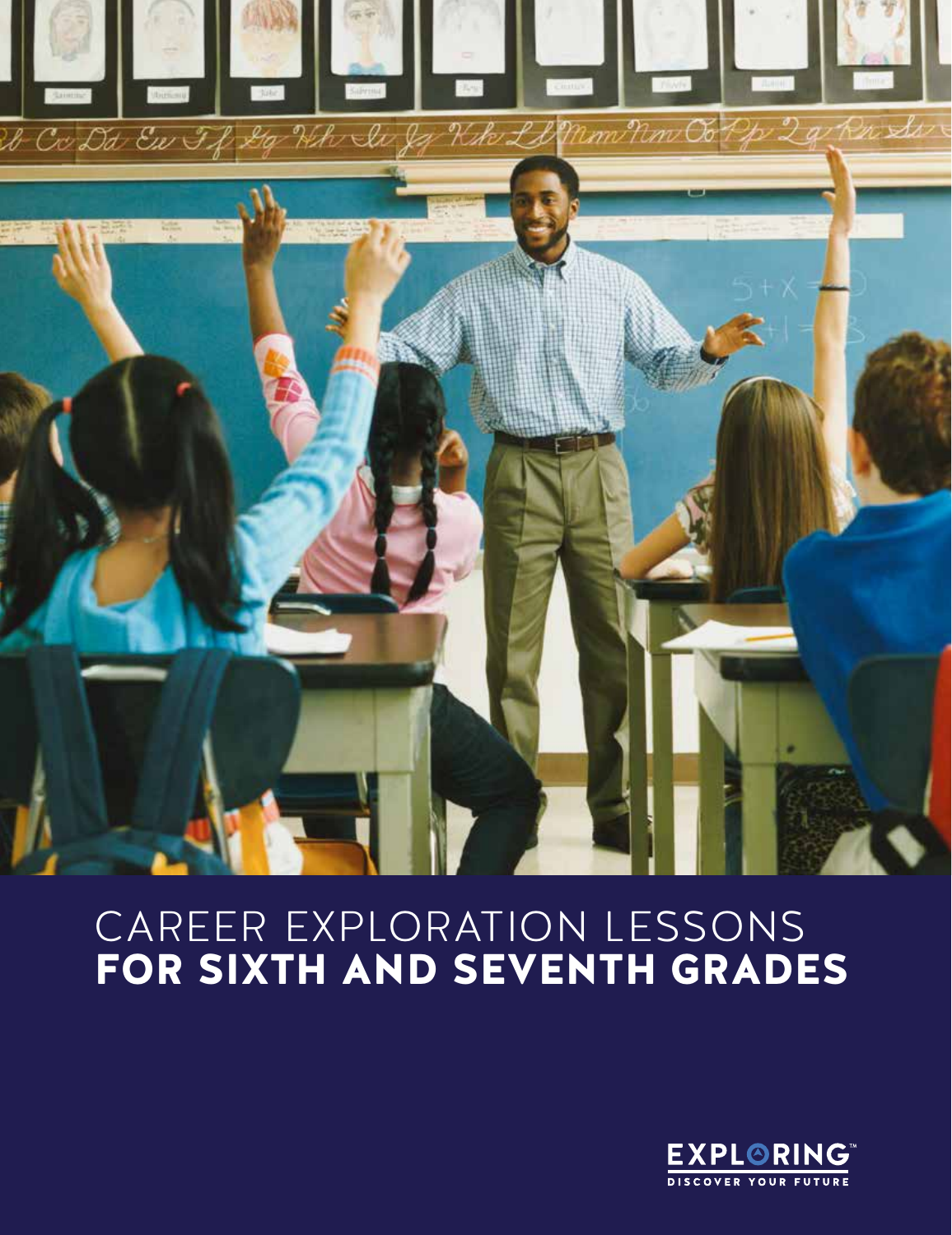

# CAREER EXPLORATION LESSONS FOR SIXTH AND SEVENTH GRADES

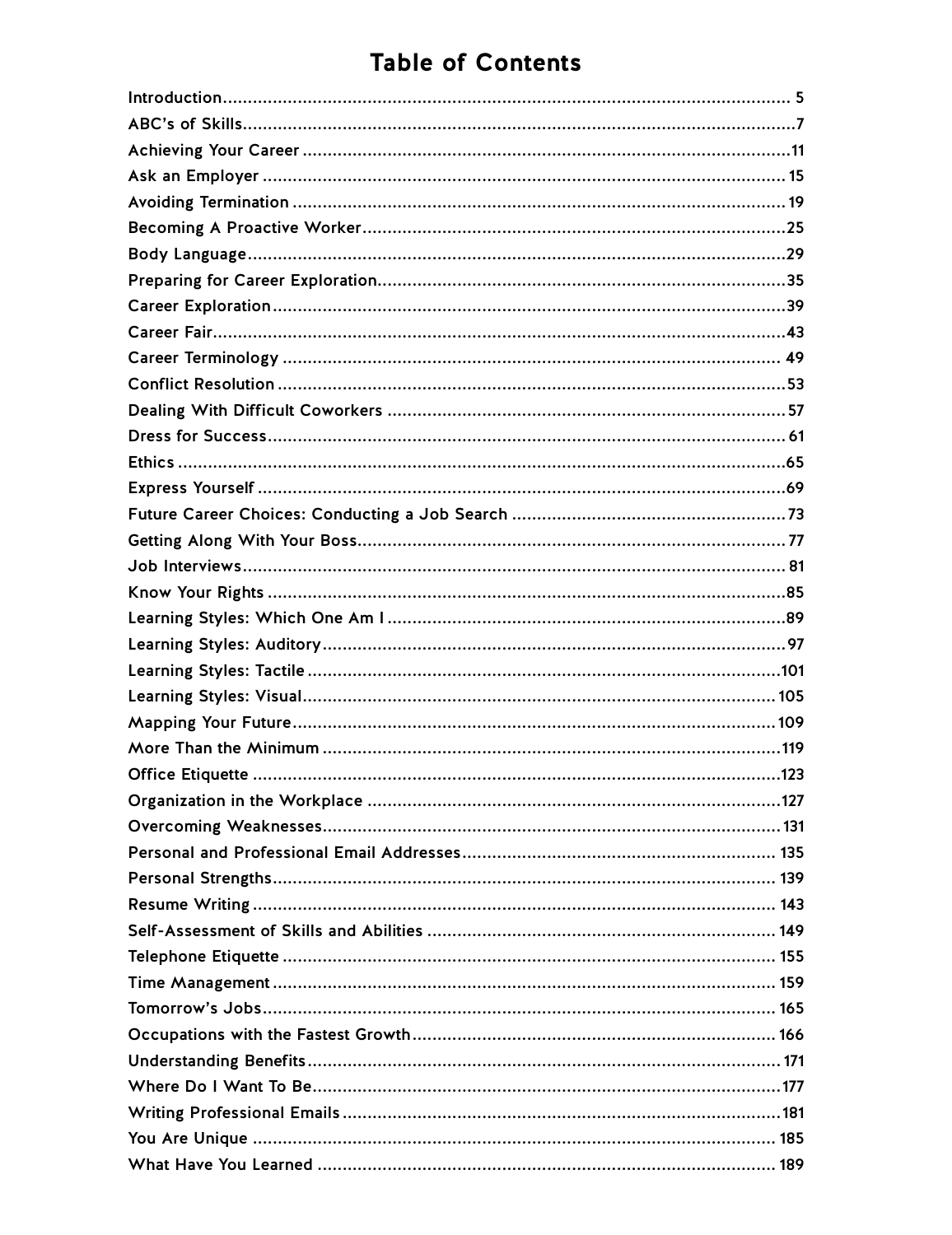## **Table of Contents**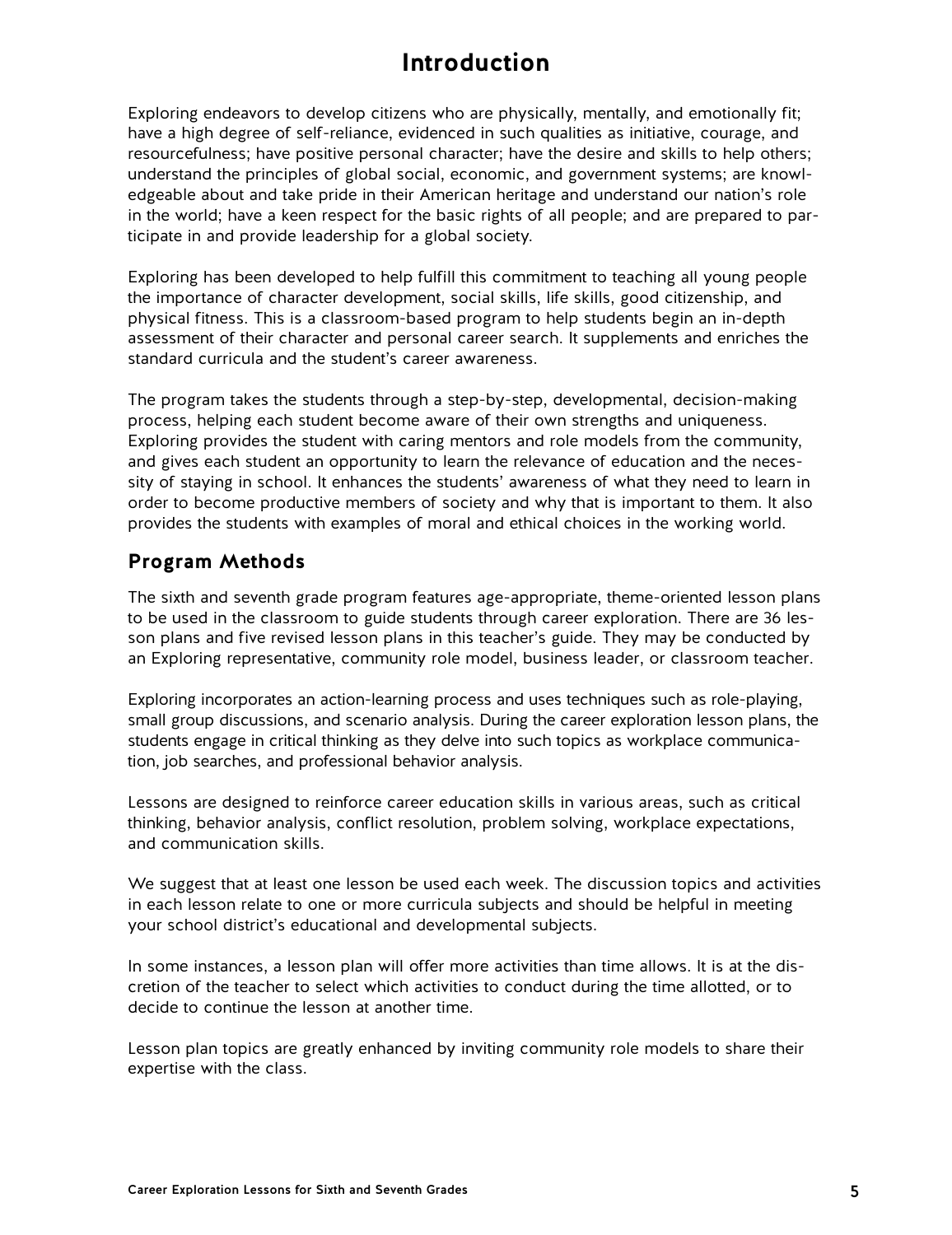## **Introduction**

<span id="page-4-0"></span>Exploring endeavors to develop citizens who are physically, mentally, and emotionally fit; have a high degree of self-reliance, evidenced in such qualities as initiative, courage, and resourcefulness; have positive personal character; have the desire and skills to help others; understand the principles of global social, economic, and government systems; are knowledgeable about and take pride in their American heritage and understand our nation's role in the world; have a keen respect for the basic rights of all people; and are prepared to participate in and provide leadership for a global society.

Exploring has been developed to help fulfill this commitment to teaching all young people the importance of character development, social skills, life skills, good citizenship, and physical fitness. This is a classroom-based program to help students begin an in-depth assessment of their character and personal career search. It supplements and enriches the standard curricula and the student's career awareness.

The program takes the students through a step-by-step, developmental, decision-making process, helping each student become aware of their own strengths and uniqueness. Exploring provides the student with caring mentors and role models from the community, and gives each student an opportunity to learn the relevance of education and the necessity of staying in school. It enhances the students' awareness of what they need to learn in order to become productive members of society and why that is important to them. It also provides the students with examples of moral and ethical choices in the working world.

### **Program Methods**

The sixth and seventh grade program features age-appropriate, theme-oriented lesson plans to be used in the classroom to guide students through career exploration. There are 36 lesson plans and five revised lesson plans in this teacher's guide. They may be conducted by an Exploring representative, community role model, business leader, or classroom teacher.

Exploring incorporates an action-learning process and uses techniques such as role-playing, small group discussions, and scenario analysis. During the career exploration lesson plans, the students engage in critical thinking as they delve into such topics as workplace communication, job searches, and professional behavior analysis.

Lessons are designed to reinforce career education skills in various areas, such as critical thinking, behavior analysis, conflict resolution, problem solving, workplace expectations, and communication skills.

We suggest that at least one lesson be used each week. The discussion topics and activities in each lesson relate to one or more curricula subjects and should be helpful in meeting your school district's educational and developmental subjects.

In some instances, a lesson plan will offer more activities than time allows. It is at the discretion of the teacher to select which activities to conduct during the time allotted, or to decide to continue the lesson at another time.

Lesson plan topics are greatly enhanced by inviting community role models to share their expertise with the class.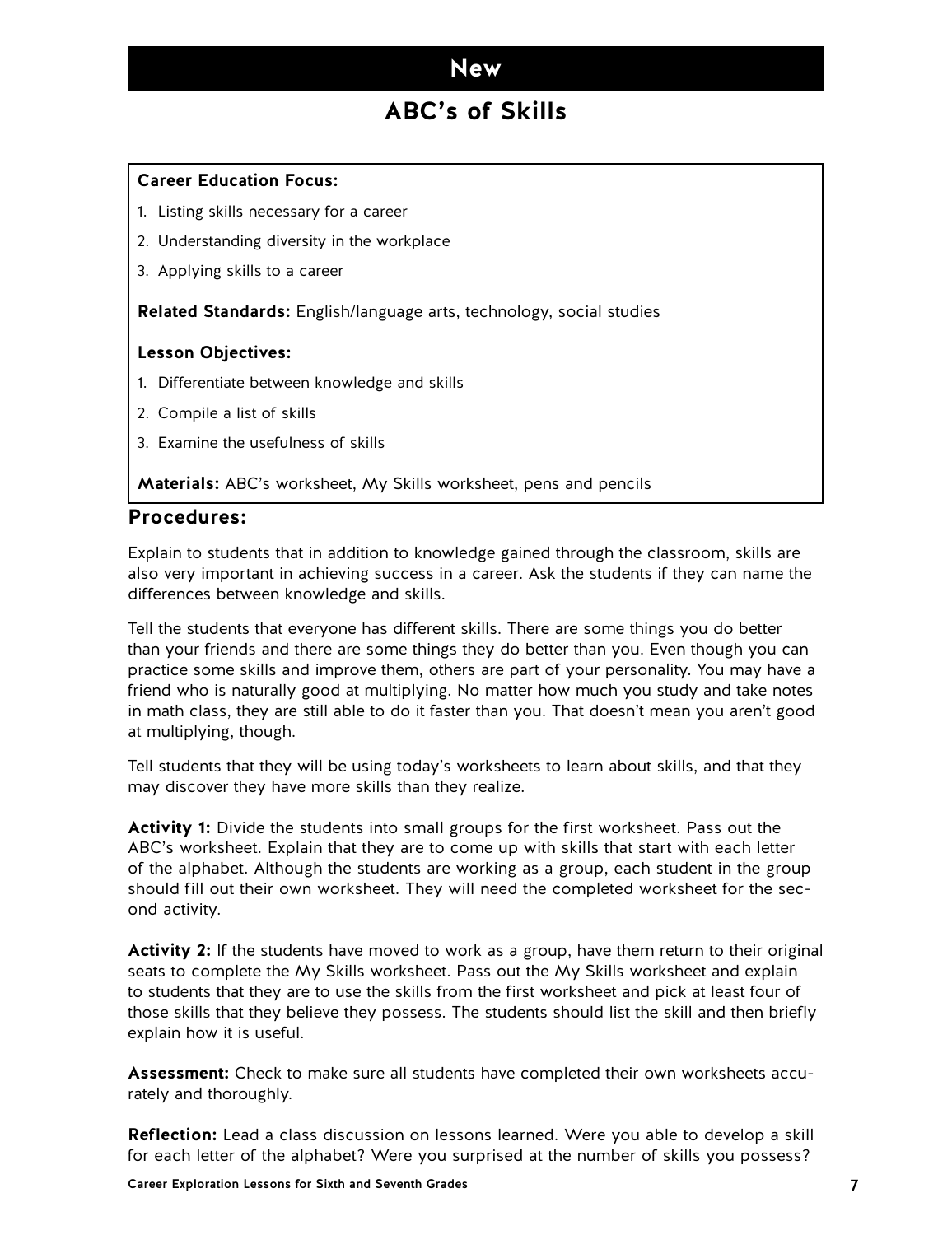### **ABC's of Skills**

#### <span id="page-6-0"></span>**Career Education Focus:**

- 1. Listing skills necessary for a career
- 2. Understanding diversity in the workplace
- 3. Applying skills to a career

**Related Standards:** English/language arts, technology, social studies

#### **Lesson Objectives:**

- 1. Differentiate between knowledge and skills
- 2. Compile a list of skills
- 3. Examine the usefulness of skills

**Materials:** ABC's worksheet, My Skills worksheet, pens and pencils

#### **Procedures:**

Explain to students that in addition to knowledge gained through the classroom, skills are also very important in achieving success in a career. Ask the students if they can name the differences between knowledge and skills.

Tell the students that everyone has different skills. There are some things you do better than your friends and there are some things they do better than you. Even though you can practice some skills and improve them, others are part of your personality. You may have a friend who is naturally good at multiplying. No matter how much you study and take notes in math class, they are still able to do it faster than you. That doesn't mean you aren't good at multiplying, though.

Tell students that they will be using today's worksheets to learn about skills, and that they may discover they have more skills than they realize.

**Activity 1:** Divide the students into small groups for the first worksheet. Pass out the ABC's worksheet. Explain that they are to come up with skills that start with each letter of the alphabet. Although the students are working as a group, each student in the group should fill out their own worksheet. They will need the completed worksheet for the second activity.

**Activity 2:** If the students have moved to work as a group, have them return to their original seats to complete the My Skills worksheet. Pass out the My Skills worksheet and explain to students that they are to use the skills from the first worksheet and pick at least four of those skills that they believe they possess. The students should list the skill and then briefly explain how it is useful.

**Assessment:** Check to make sure all students have completed their own worksheets accurately and thoroughly.

**Reflection:** Lead a class discussion on lessons learned. Were you able to develop a skill for each letter of the alphabet? Were you surprised at the number of skills you possess?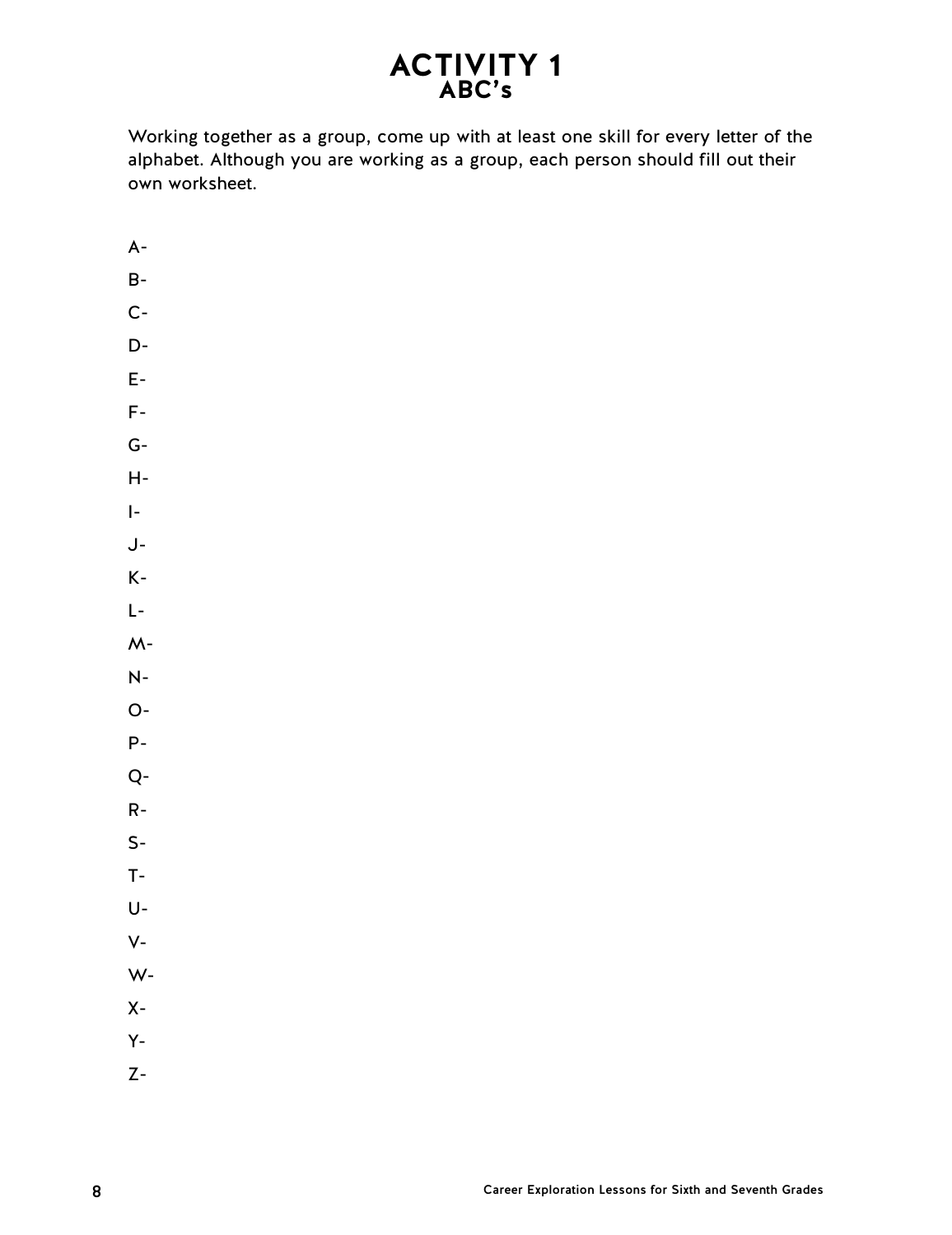## **ACTIVITY 1 ABC's**

Working together as a group, come up with at least one skill for every letter of the alphabet. Although you are working as a group, each person should fill out their own worksheet.

A-B-C-D-E-F- $G-$ H-I-J-K-L- $M -$ N-O-P-Q-R-S-T-U-V-W-X-Y-Z-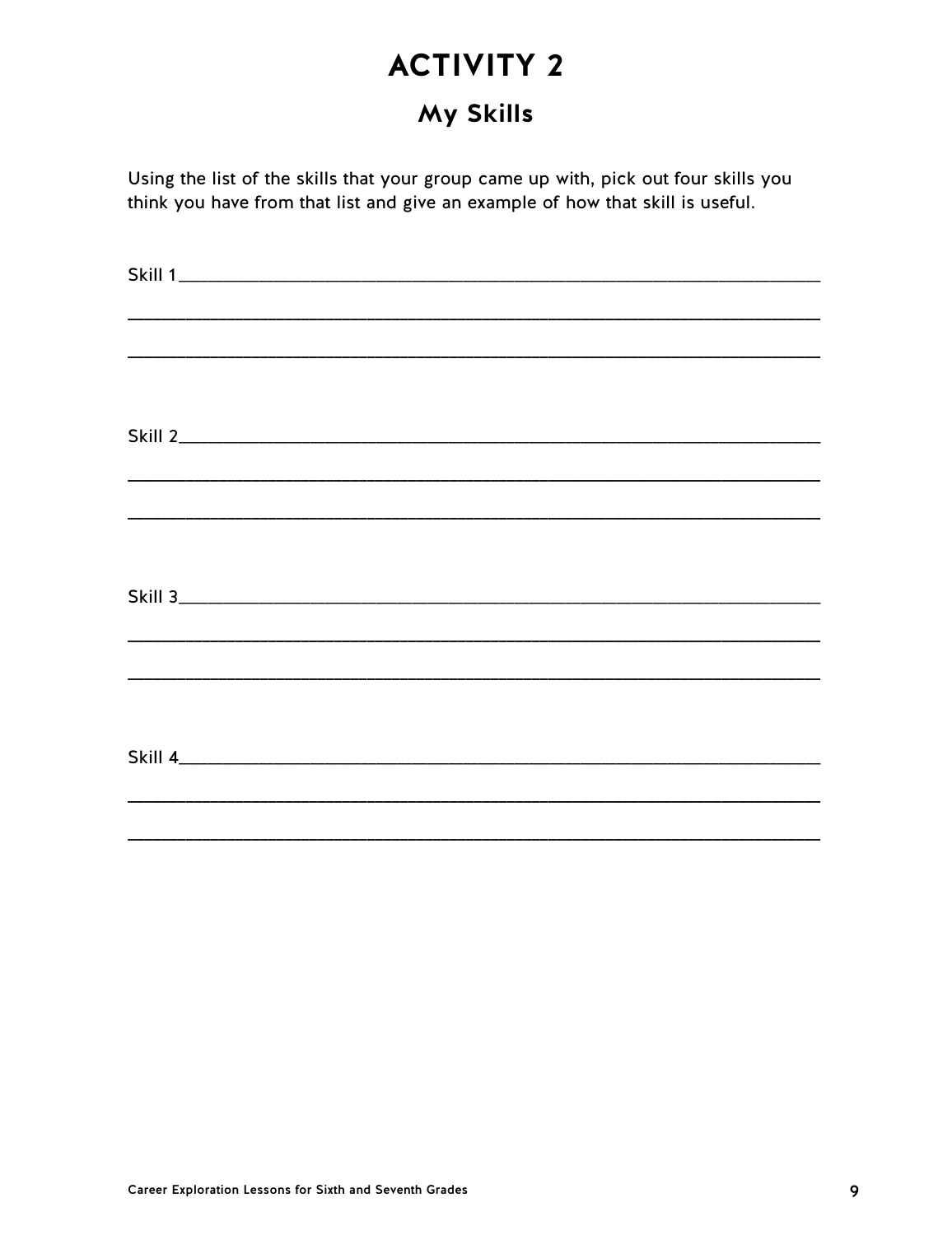## My Skills

Using the list of the skills that your group came up with, pick out four skills you think you have from that list and give an example of how that skill is useful.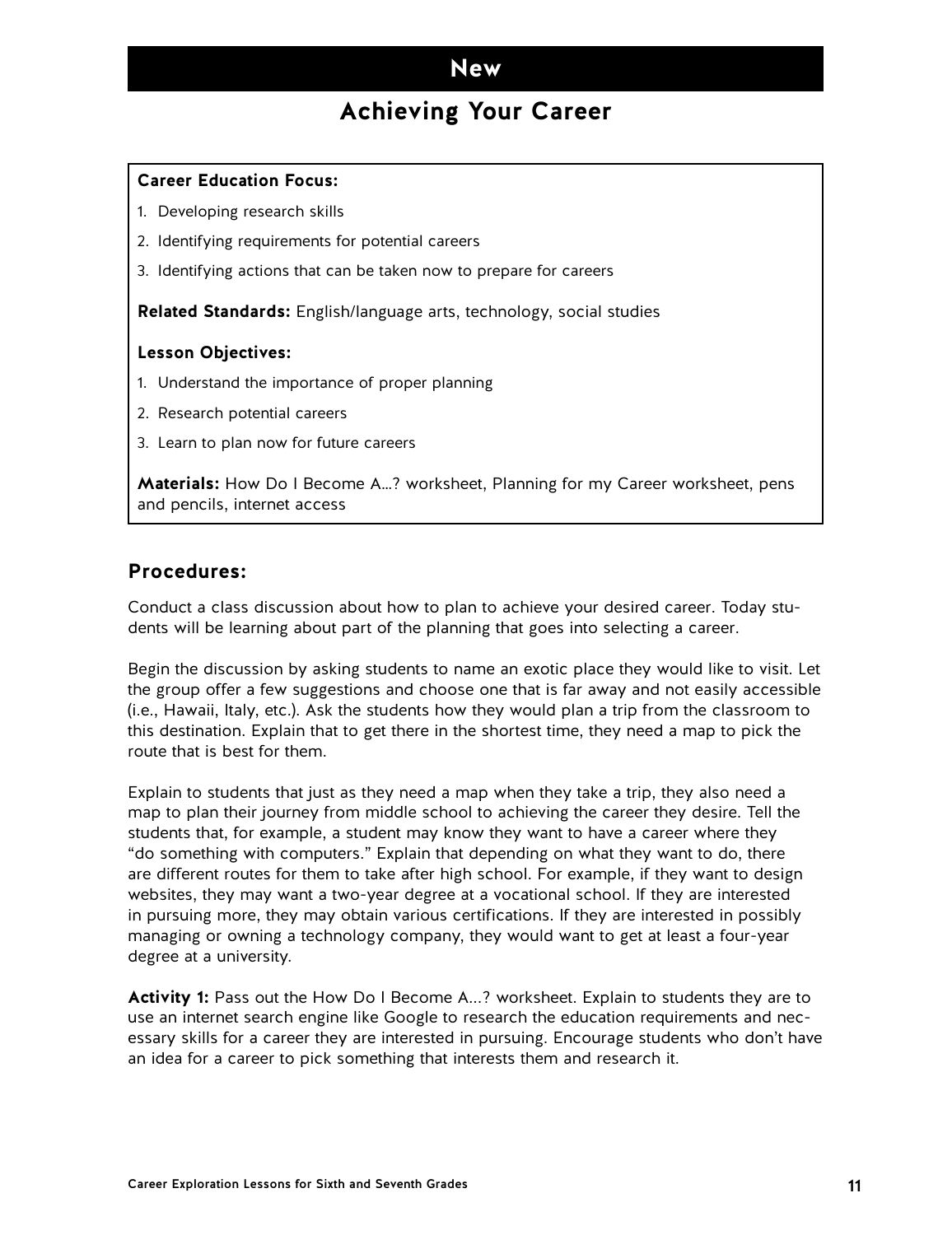## **Achieving Your Career**

#### <span id="page-10-0"></span>**Career Education Focus:**

- 1. Developing research skills
- 2. Identifying requirements for potential careers
- 3. Identifying actions that can be taken now to prepare for careers

**Related Standards:** English/language arts, technology, social studies

#### **Lesson Objectives:**

- 1. Understand the importance of proper planning
- 2. Research potential careers
- 3. Learn to plan now for future careers

**Materials:** How Do I Become A…? worksheet, Planning for my Career worksheet, pens and pencils, internet access

### **Procedures:**

Conduct a class discussion about how to plan to achieve your desired career. Today students will be learning about part of the planning that goes into selecting a career.

Begin the discussion by asking students to name an exotic place they would like to visit. Let the group offer a few suggestions and choose one that is far away and not easily accessible (i.e., Hawaii, Italy, etc.). Ask the students how they would plan a trip from the classroom to this destination. Explain that to get there in the shortest time, they need a map to pick the route that is best for them.

Explain to students that just as they need a map when they take a trip, they also need a map to plan their journey from middle school to achieving the career they desire. Tell the students that, for example, a student may know they want to have a career where they "do something with computers." Explain that depending on what they want to do, there are different routes for them to take after high school. For example, if they want to design websites, they may want a two-year degree at a vocational school. If they are interested in pursuing more, they may obtain various certifications. If they are interested in possibly managing or owning a technology company, they would want to get at least a four-year degree at a university.

**Activity 1:** Pass out the How Do I Become A...? worksheet. Explain to students they are to use an internet search engine like Google to research the education requirements and necessary skills for a career they are interested in pursuing. Encourage students who don't have an idea for a career to pick something that interests them and research it.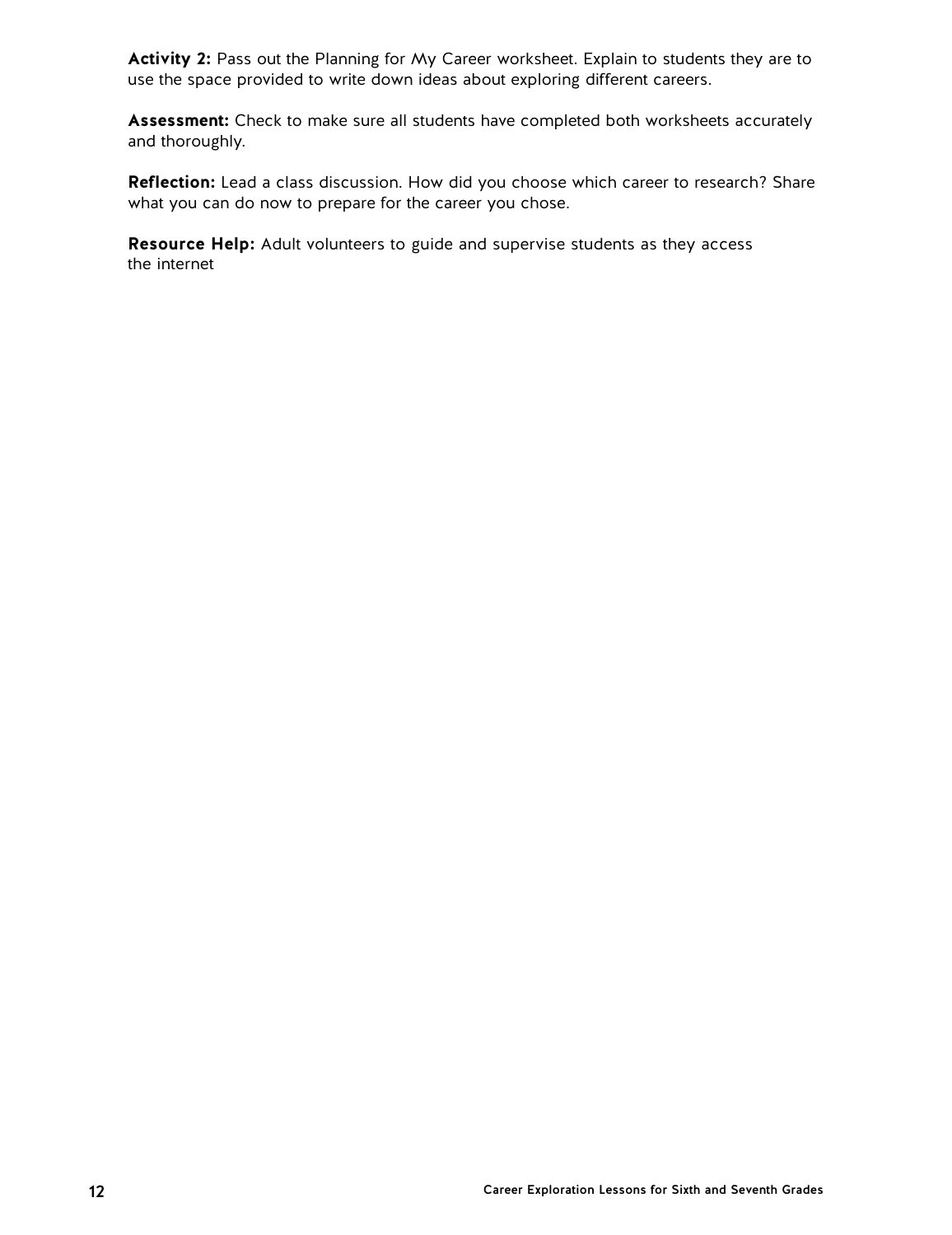**Activity 2:** Pass out the Planning for My Career worksheet. Explain to students they are to use the space provided to write down ideas about exploring different careers.

**Assessment:** Check to make sure all students have completed both worksheets accurately and thoroughly.

**Reflection:** Lead a class discussion. How did you choose which career to research? Share what you can do now to prepare for the career you chose.

**Resource Help:** Adult volunteers to guide and supervise students as they access the internet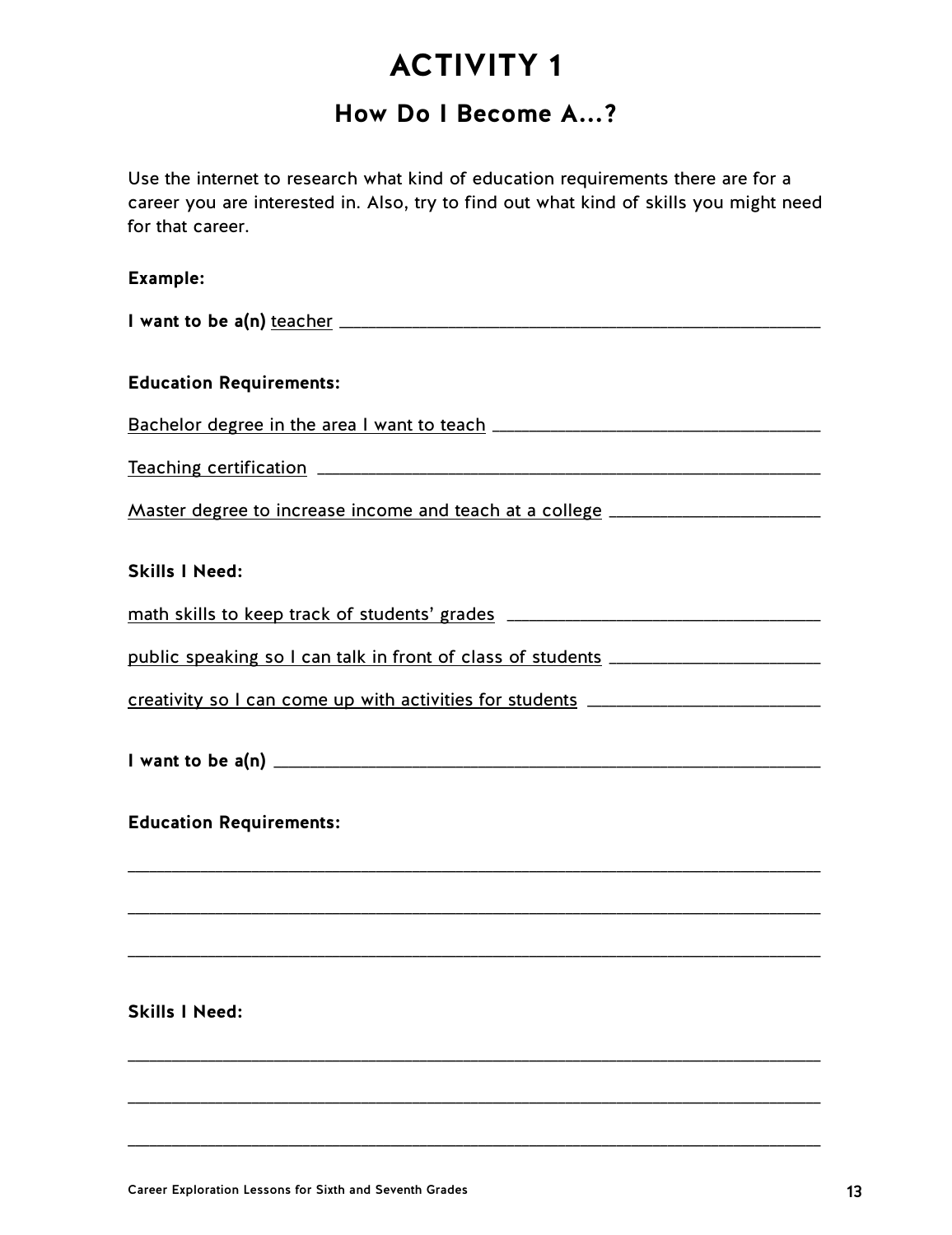## **How Do I Become A...?**

Use the internet to research what kind of education requirements there are for a career you are interested in. Also, try to find out what kind of skills you might need for that career.

### **Example:**

\_\_\_\_\_\_\_\_\_\_\_\_\_\_\_\_\_\_\_\_\_\_\_\_\_\_\_\_\_\_\_\_\_\_\_\_\_\_\_\_\_\_\_\_\_\_\_\_\_\_\_\_\_\_\_\_\_\_\_\_\_\_\_\_\_\_\_\_\_\_\_\_\_\_\_\_\_\_\_\_\_\_\_\_\_\_\_\_\_\_\_\_\_\_\_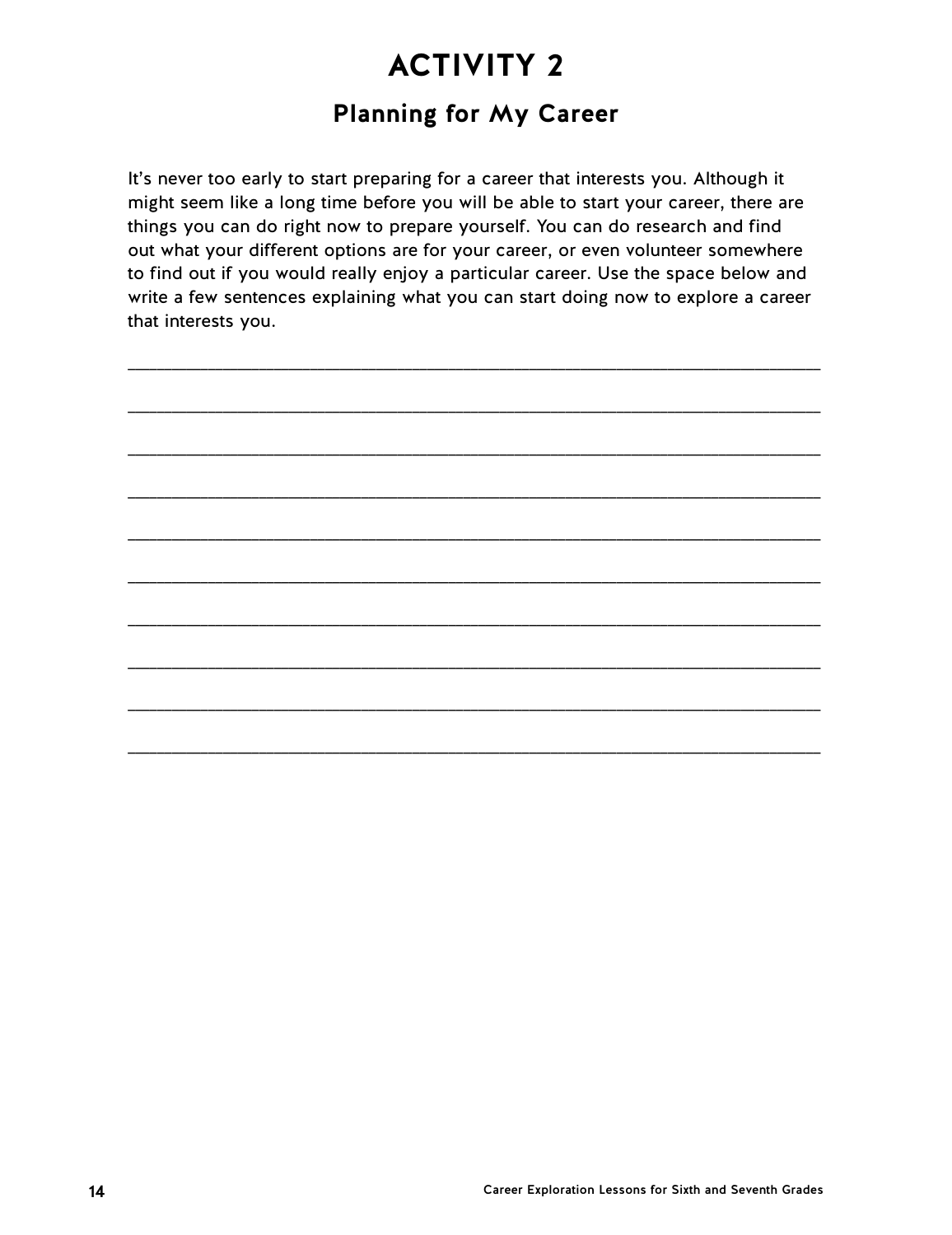## **Planning for My Career**

It's never too early to start preparing for a career that interests you. Although it might seem like a long time before you will be able to start your career, there are things you can do right now to prepare yourself. You can do research and find out what your different options are for your career, or even volunteer somewhere to find out if you would really enjoy a particular career. Use the space below and write a few sentences explaining what you can start doing now to explore a career that interests you.

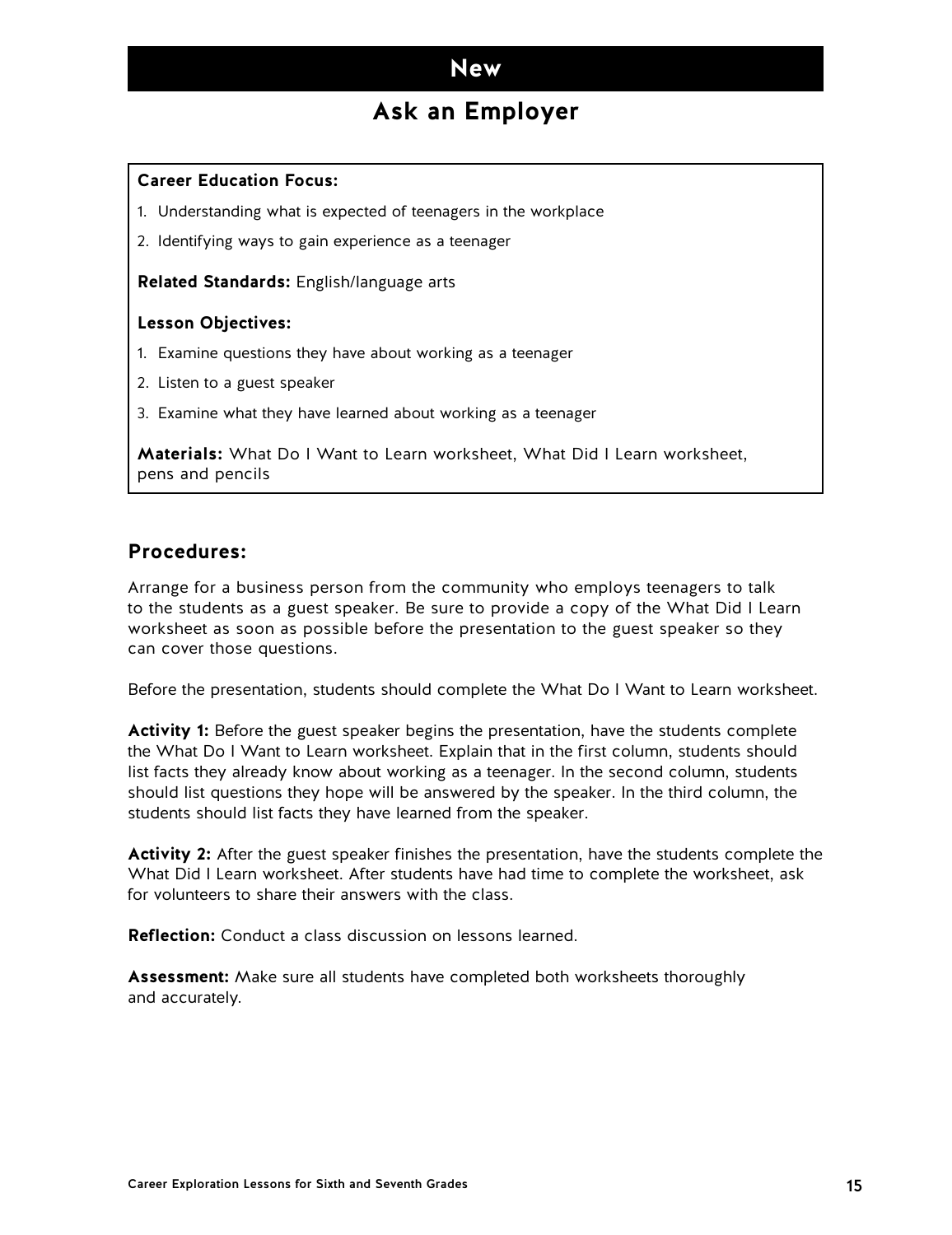### **Ask an Employer**

#### <span id="page-14-0"></span>**Career Education Focus:**

- 1. Understanding what is expected of teenagers in the workplace
- 2. Identifying ways to gain experience as a teenager

**Related Standards:** English/language arts

#### **Lesson Objectives:**

- 1. Examine questions they have about working as a teenager
- 2. Listen to a guest speaker
- 3. Examine what they have learned about working as a teenager

**Materials:** What Do I Want to Learn worksheet, What Did I Learn worksheet, pens and pencils

### **Procedures:**

Arrange for a business person from the community who employs teenagers to talk to the students as a guest speaker. Be sure to provide a copy of the What Did I Learn worksheet as soon as possible before the presentation to the guest speaker so they can cover those questions.

Before the presentation, students should complete the What Do I Want to Learn worksheet.

**Activity 1:** Before the guest speaker begins the presentation, have the students complete the What Do I Want to Learn worksheet. Explain that in the first column, students should list facts they already know about working as a teenager. In the second column, students should list questions they hope will be answered by the speaker. In the third column, the students should list facts they have learned from the speaker.

**Activity 2:** After the guest speaker finishes the presentation, have the students complete the What Did I Learn worksheet. After students have had time to complete the worksheet, ask for volunteers to share their answers with the class.

**Reflection:** Conduct a class discussion on lessons learned.

**Assessment:** Make sure all students have completed both worksheets thoroughly and accurately.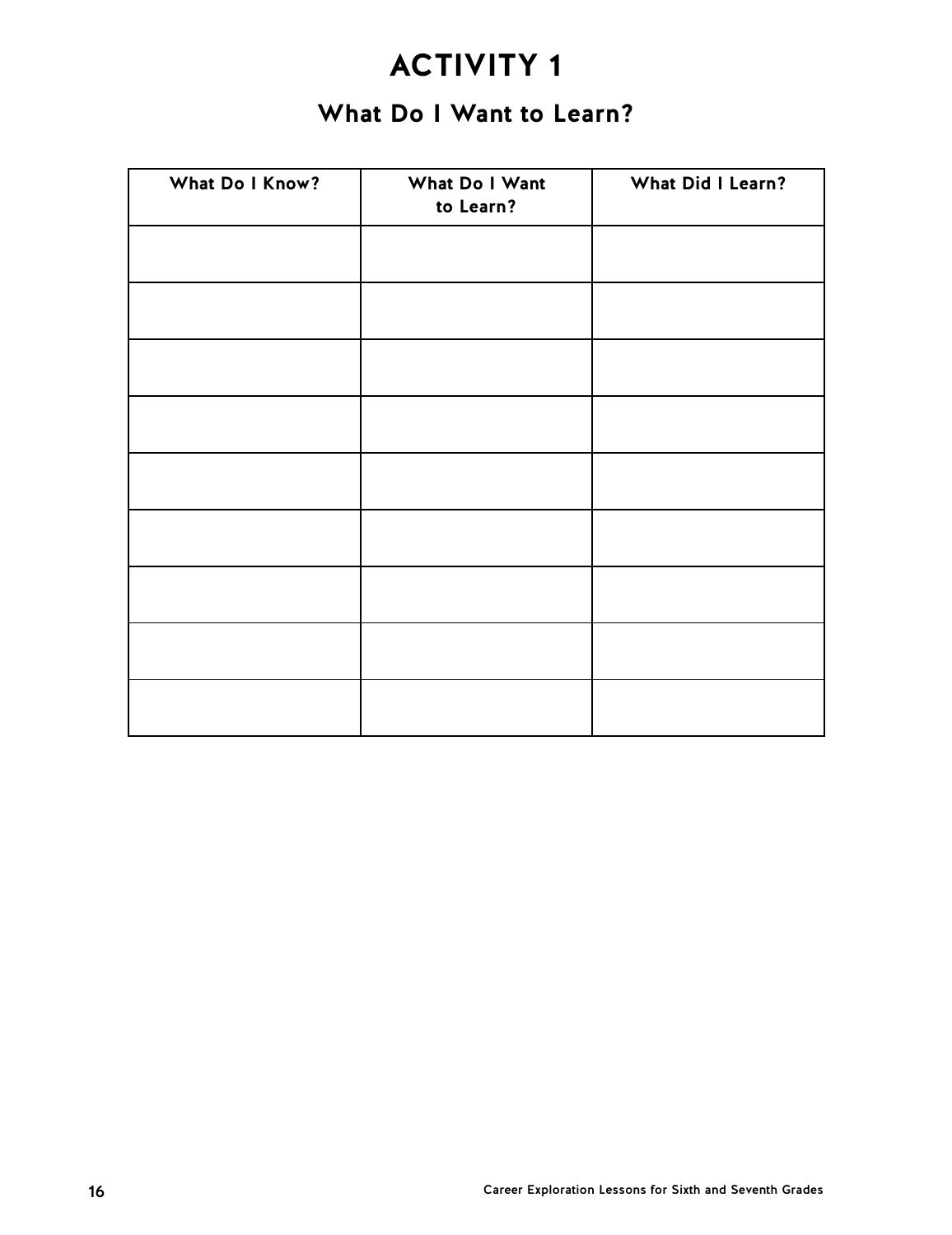## **What Do I Want to Learn?**

| What Do I Know? | What Do I Want<br>to Learn? | What Did I Learn? |
|-----------------|-----------------------------|-------------------|
|                 |                             |                   |
|                 |                             |                   |
|                 |                             |                   |
|                 |                             |                   |
|                 |                             |                   |
|                 |                             |                   |
|                 |                             |                   |
|                 |                             |                   |
|                 |                             |                   |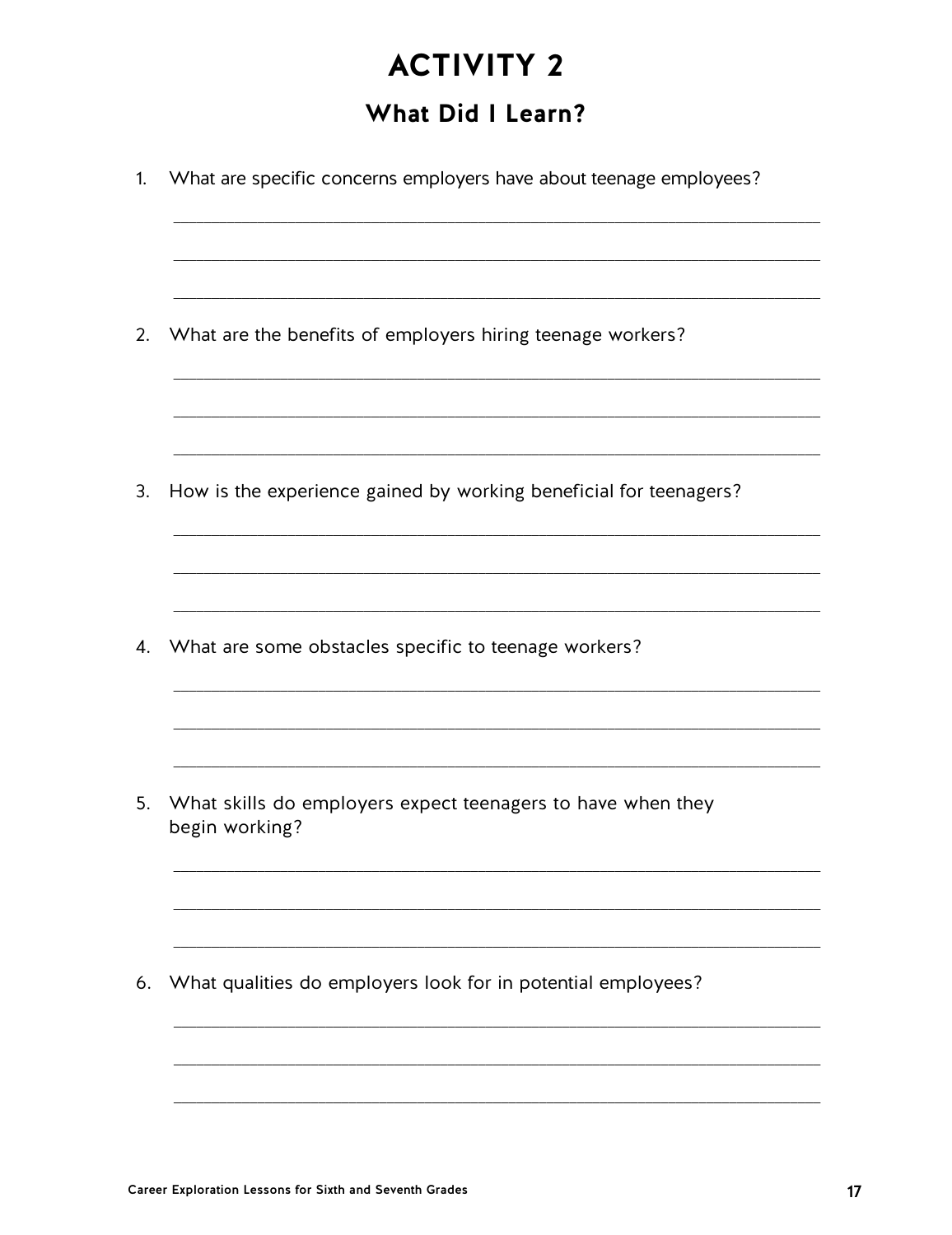## What Did I Learn?

| What are specific concerns employers have about teenage employees?            |
|-------------------------------------------------------------------------------|
| What are the benefits of employers hiring teenage workers?                    |
| How is the experience gained by working beneficial for teenagers?             |
| What are some obstacles specific to teenage workers?                          |
| What skills do employers expect teenagers to have when they<br>begin working? |
| What qualities do employers look for in potential employees?                  |
|                                                                               |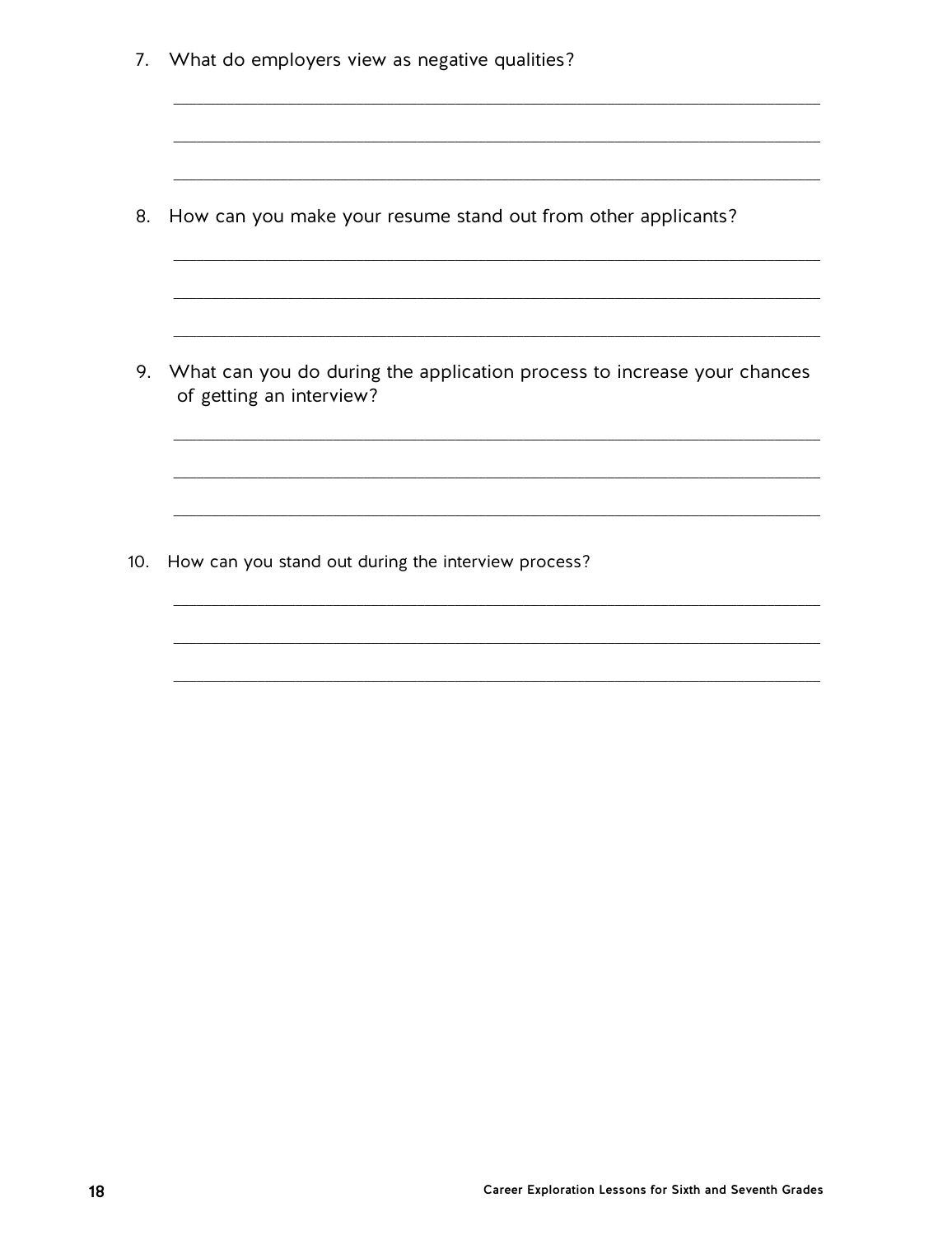7. What do employers view as negative qualities? 8. How can you make your resume stand out from other applicants? 9. What can you do during the application process to increase your chances of getting an interview? 10. How can you stand out during the interview process?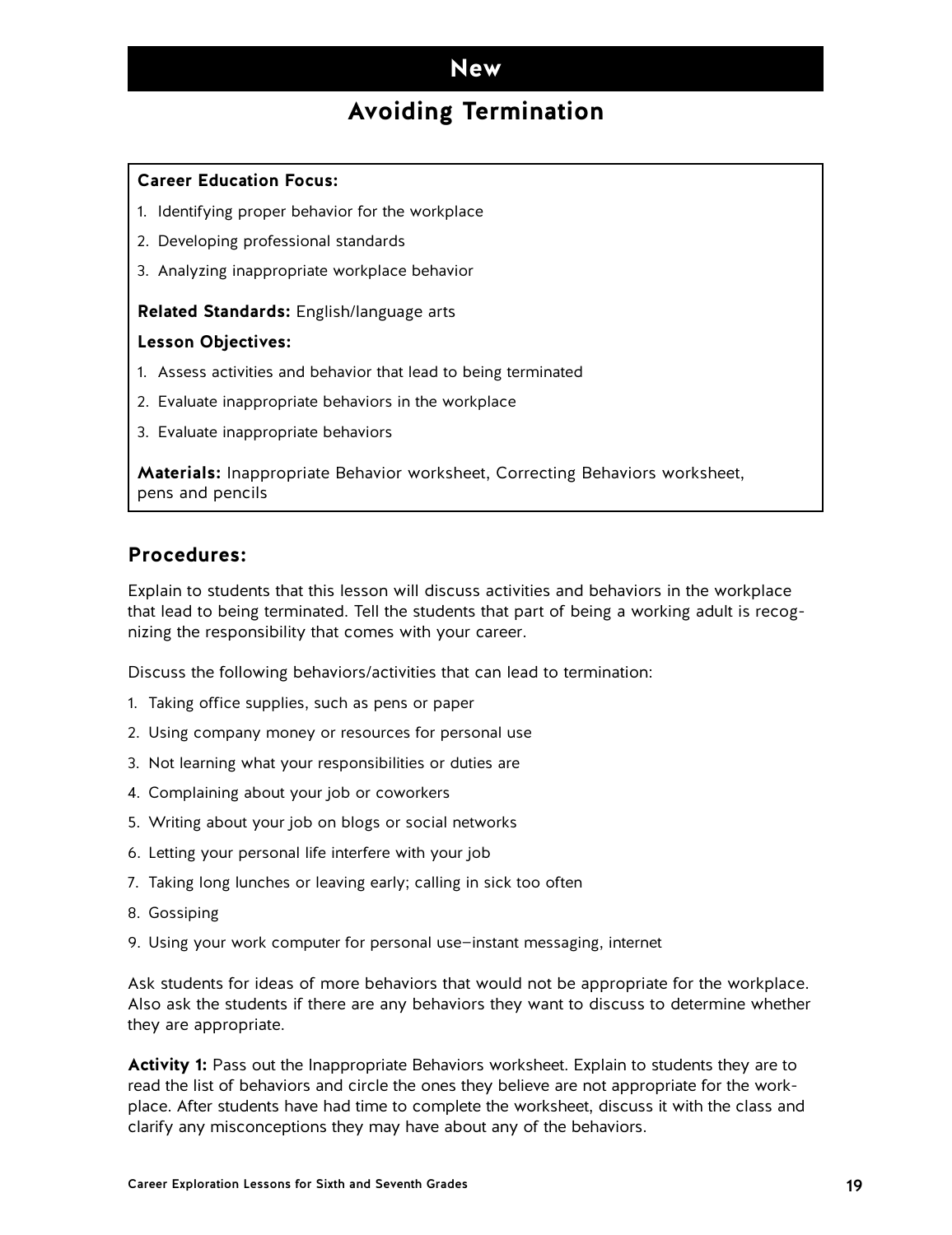## **Avoiding Termination**

#### <span id="page-18-0"></span>**Career Education Focus:**

- 1. Identifying proper behavior for the workplace
- 2. Developing professional standards
- 3. Analyzing inappropriate workplace behavior

#### **Related Standards:** English/language arts

#### **Lesson Objectives:**

- 1. Assess activities and behavior that lead to being terminated
- 2. Evaluate inappropriate behaviors in the workplace
- 3. Evaluate inappropriate behaviors

**Materials:** Inappropriate Behavior worksheet, Correcting Behaviors worksheet, pens and pencils

### **Procedures:**

Explain to students that this lesson will discuss activities and behaviors in the workplace that lead to being terminated. Tell the students that part of being a working adult is recognizing the responsibility that comes with your career.

Discuss the following behaviors/activities that can lead to termination:

- 1. Taking office supplies, such as pens or paper
- 2. Using company money or resources for personal use
- 3. Not learning what your responsibilities or duties are
- 4. Complaining about your job or coworkers
- 5. Writing about your job on blogs or social networks
- 6. Letting your personal life interfere with your job
- 7. Taking long lunches or leaving early; calling in sick too often
- 8. Gossiping
- 9. Using your work computer for personal use—instant messaging, internet

Ask students for ideas of more behaviors that would not be appropriate for the workplace. Also ask the students if there are any behaviors they want to discuss to determine whether they are appropriate.

**Activity 1:** Pass out the Inappropriate Behaviors worksheet. Explain to students they are to read the list of behaviors and circle the ones they believe are not appropriate for the workplace. After students have had time to complete the worksheet, discuss it with the class and clarify any misconceptions they may have about any of the behaviors.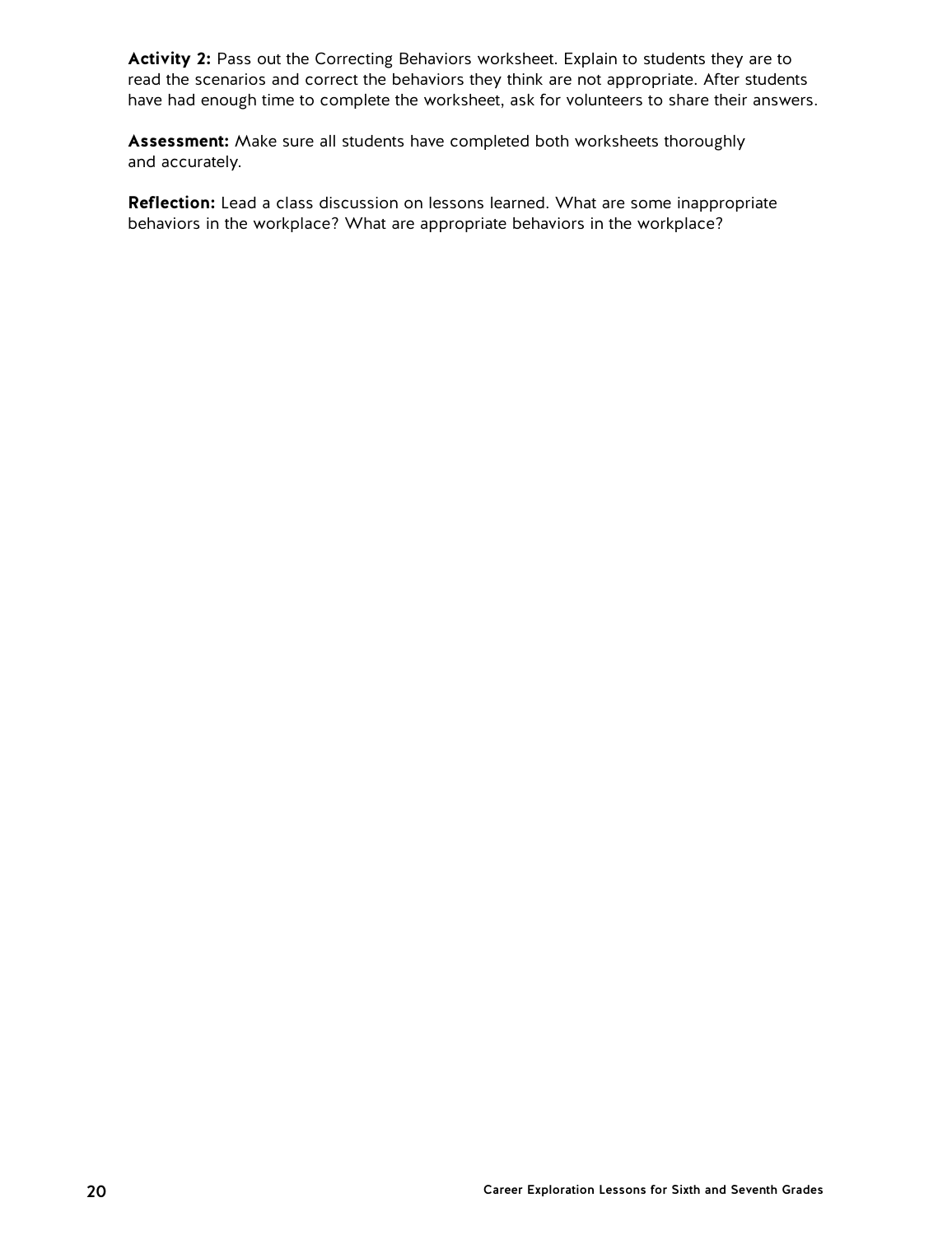**Activity 2:** Pass out the Correcting Behaviors worksheet. Explain to students they are to read the scenarios and correct the behaviors they think are not appropriate. After students have had enough time to complete the worksheet, ask for volunteers to share their answers.

**Assessment:** Make sure all students have completed both worksheets thoroughly and accurately.

**Reflection:** Lead a class discussion on lessons learned. What are some inappropriate behaviors in the workplace? What are appropriate behaviors in the workplace?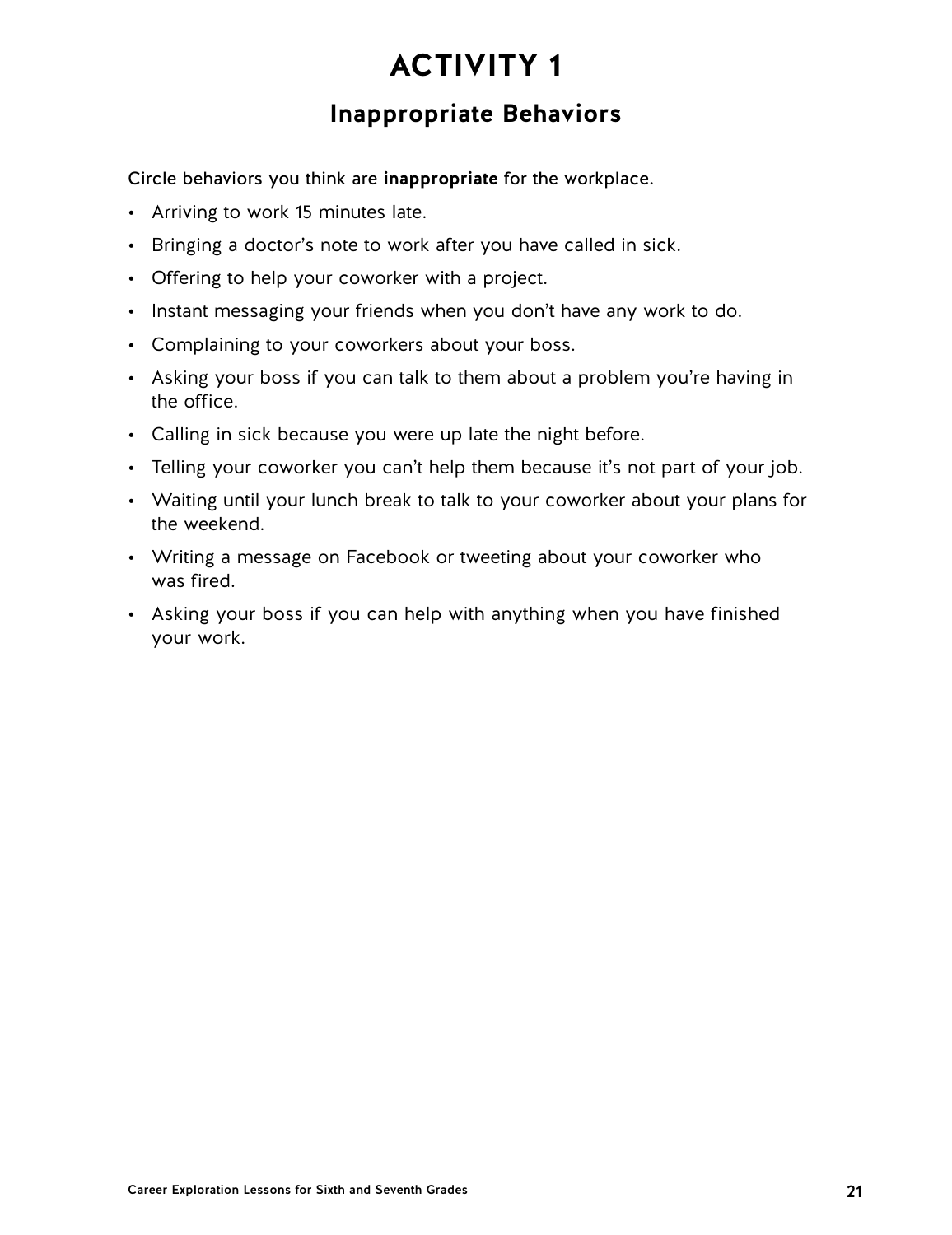### **Inappropriate Behaviors**

Circle behaviors you think are **inappropriate** for the workplace.

- Arriving to work 15 minutes late.
- Bringing a doctor's note to work after you have called in sick.
- Offering to help your coworker with a project.
- Instant messaging your friends when you don't have any work to do.
- Complaining to your coworkers about your boss.
- Asking your boss if you can talk to them about a problem you're having in the office.
- Calling in sick because you were up late the night before.
- Telling your coworker you can't help them because it's not part of your job.
- Waiting until your lunch break to talk to your coworker about your plans for the weekend.
- Writing a message on Facebook or tweeting about your coworker who was fired.
- Asking your boss if you can help with anything when you have finished your work.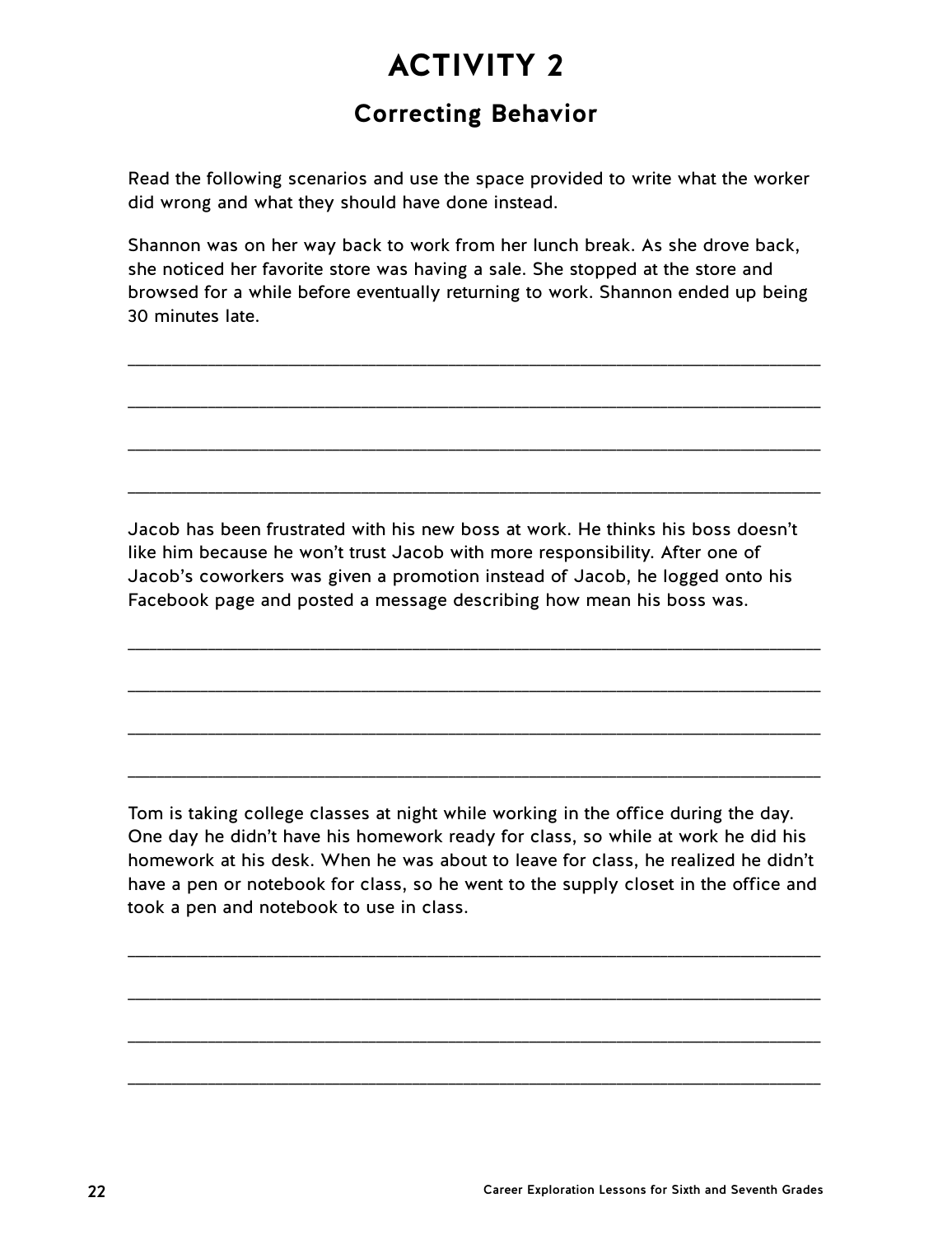## **Correcting Behavior**

Read the following scenarios and use the space provided to write what the worker did wrong and what they should have done instead.

Shannon was on her way back to work from her lunch break. As she drove back, she noticed her favorite store was having a sale. She stopped at the store and browsed for a while before eventually returning to work. Shannon ended up being 30 minutes late.

\_\_\_\_\_\_\_\_\_\_\_\_\_\_\_\_\_\_\_\_\_\_\_\_\_\_\_\_\_\_\_\_\_\_\_\_\_\_\_\_\_\_\_\_\_\_\_\_\_\_\_\_\_\_\_\_\_\_\_\_\_\_\_\_\_\_\_\_\_\_\_\_\_\_\_\_\_\_\_\_\_\_\_\_\_\_\_\_\_\_\_\_\_\_\_

\_\_\_\_\_\_\_\_\_\_\_\_\_\_\_\_\_\_\_\_\_\_\_\_\_\_\_\_\_\_\_\_\_\_\_\_\_\_\_\_\_\_\_\_\_\_\_\_\_\_\_\_\_\_\_\_\_\_\_\_\_\_\_\_\_\_\_\_\_\_\_\_\_\_\_\_\_\_\_\_\_\_\_\_\_\_\_\_\_\_\_\_\_\_\_

\_\_\_\_\_\_\_\_\_\_\_\_\_\_\_\_\_\_\_\_\_\_\_\_\_\_\_\_\_\_\_\_\_\_\_\_\_\_\_\_\_\_\_\_\_\_\_\_\_\_\_\_\_\_\_\_\_\_\_\_\_\_\_\_\_\_\_\_\_\_\_\_\_\_\_\_\_\_\_\_\_\_\_\_\_\_\_\_\_\_\_\_\_\_\_

\_\_\_\_\_\_\_\_\_\_\_\_\_\_\_\_\_\_\_\_\_\_\_\_\_\_\_\_\_\_\_\_\_\_\_\_\_\_\_\_\_\_\_\_\_\_\_\_\_\_\_\_\_\_\_\_\_\_\_\_\_\_\_\_\_\_\_\_\_\_\_\_\_\_\_\_\_\_\_\_\_\_\_\_\_\_\_\_\_\_\_\_\_\_\_

Jacob has been frustrated with his new boss at work. He thinks his boss doesn't like him because he won't trust Jacob with more responsibility. After one of Jacob's coworkers was given a promotion instead of Jacob, he logged onto his Facebook page and posted a message describing how mean his boss was.

\_\_\_\_\_\_\_\_\_\_\_\_\_\_\_\_\_\_\_\_\_\_\_\_\_\_\_\_\_\_\_\_\_\_\_\_\_\_\_\_\_\_\_\_\_\_\_\_\_\_\_\_\_\_\_\_\_\_\_\_\_\_\_\_\_\_\_\_\_\_\_\_\_\_\_\_\_\_\_\_\_\_\_\_\_\_\_\_\_\_\_\_\_\_\_

\_\_\_\_\_\_\_\_\_\_\_\_\_\_\_\_\_\_\_\_\_\_\_\_\_\_\_\_\_\_\_\_\_\_\_\_\_\_\_\_\_\_\_\_\_\_\_\_\_\_\_\_\_\_\_\_\_\_\_\_\_\_\_\_\_\_\_\_\_\_\_\_\_\_\_\_\_\_\_\_\_\_\_\_\_\_\_\_\_\_\_\_\_\_\_

\_\_\_\_\_\_\_\_\_\_\_\_\_\_\_\_\_\_\_\_\_\_\_\_\_\_\_\_\_\_\_\_\_\_\_\_\_\_\_\_\_\_\_\_\_\_\_\_\_\_\_\_\_\_\_\_\_\_\_\_\_\_\_\_\_\_\_\_\_\_\_\_\_\_\_\_\_\_\_\_\_\_\_\_\_\_\_\_\_\_\_\_\_\_\_

\_\_\_\_\_\_\_\_\_\_\_\_\_\_\_\_\_\_\_\_\_\_\_\_\_\_\_\_\_\_\_\_\_\_\_\_\_\_\_\_\_\_\_\_\_\_\_\_\_\_\_\_\_\_\_\_\_\_\_\_\_\_\_\_\_\_\_\_\_\_\_\_\_\_\_\_\_\_\_\_\_\_\_\_\_\_\_\_\_\_\_\_\_\_\_

Tom is taking college classes at night while working in the office during the day. One day he didn't have his homework ready for class, so while at work he did his homework at his desk. When he was about to leave for class, he realized he didn't have a pen or notebook for class, so he went to the supply closet in the office and took a pen and notebook to use in class.

\_\_\_\_\_\_\_\_\_\_\_\_\_\_\_\_\_\_\_\_\_\_\_\_\_\_\_\_\_\_\_\_\_\_\_\_\_\_\_\_\_\_\_\_\_\_\_\_\_\_\_\_\_\_\_\_\_\_\_\_\_\_\_\_\_\_\_\_\_\_\_\_\_\_\_\_\_\_\_\_\_\_\_\_\_\_\_\_\_\_\_\_\_\_\_

\_\_\_\_\_\_\_\_\_\_\_\_\_\_\_\_\_\_\_\_\_\_\_\_\_\_\_\_\_\_\_\_\_\_\_\_\_\_\_\_\_\_\_\_\_\_\_\_\_\_\_\_\_\_\_\_\_\_\_\_\_\_\_\_\_\_\_\_\_\_\_\_\_\_\_\_\_\_\_\_\_\_\_\_\_\_\_\_\_\_\_\_\_\_\_

\_\_\_\_\_\_\_\_\_\_\_\_\_\_\_\_\_\_\_\_\_\_\_\_\_\_\_\_\_\_\_\_\_\_\_\_\_\_\_\_\_\_\_\_\_\_\_\_\_\_\_\_\_\_\_\_\_\_\_\_\_\_\_\_\_\_\_\_\_\_\_\_\_\_\_\_\_\_\_\_\_\_\_\_\_\_\_\_\_\_\_\_\_\_\_

\_\_\_\_\_\_\_\_\_\_\_\_\_\_\_\_\_\_\_\_\_\_\_\_\_\_\_\_\_\_\_\_\_\_\_\_\_\_\_\_\_\_\_\_\_\_\_\_\_\_\_\_\_\_\_\_\_\_\_\_\_\_\_\_\_\_\_\_\_\_\_\_\_\_\_\_\_\_\_\_\_\_\_\_\_\_\_\_\_\_\_\_\_\_\_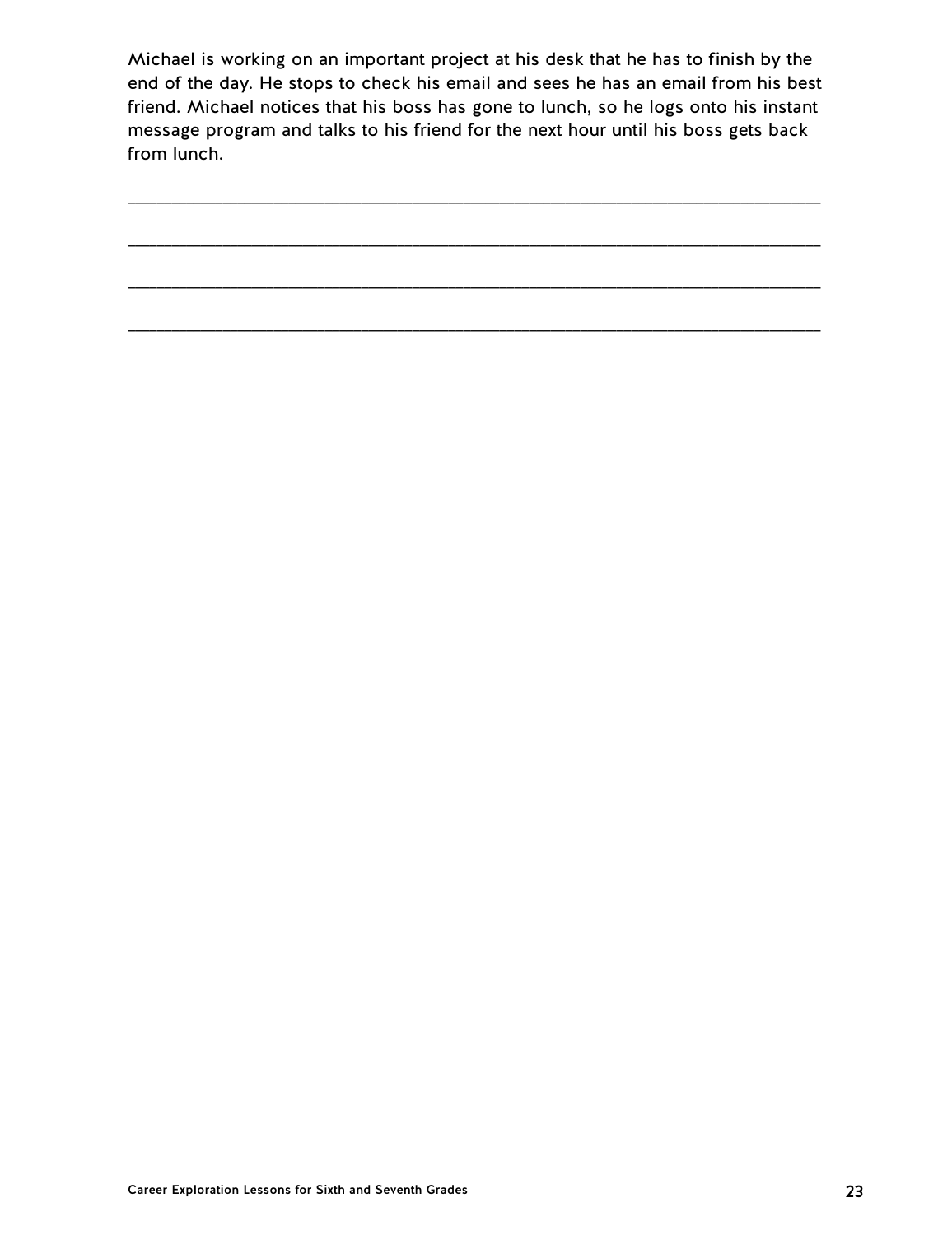Michael is working on an important project at his desk that he has to finish by the end of the day. He stops to check his email and sees he has an email from his best friend. Michael notices that his boss has gone to lunch, so he logs onto his instant message program and talks to his friend for the next hour until his boss gets back from lunch.

\_\_\_\_\_\_\_\_\_\_\_\_\_\_\_\_\_\_\_\_\_\_\_\_\_\_\_\_\_\_\_\_\_\_\_\_\_\_\_\_\_\_\_\_\_\_\_\_\_\_\_\_\_\_\_\_\_\_\_\_\_\_\_\_\_\_\_\_\_\_\_\_\_\_\_\_\_\_\_\_\_\_\_\_\_\_\_\_\_\_\_\_\_\_\_

\_\_\_\_\_\_\_\_\_\_\_\_\_\_\_\_\_\_\_\_\_\_\_\_\_\_\_\_\_\_\_\_\_\_\_\_\_\_\_\_\_\_\_\_\_\_\_\_\_\_\_\_\_\_\_\_\_\_\_\_\_\_\_\_\_\_\_\_\_\_\_\_\_\_\_\_\_\_\_\_\_\_\_\_\_\_\_\_\_\_\_\_\_\_\_

\_\_\_\_\_\_\_\_\_\_\_\_\_\_\_\_\_\_\_\_\_\_\_\_\_\_\_\_\_\_\_\_\_\_\_\_\_\_\_\_\_\_\_\_\_\_\_\_\_\_\_\_\_\_\_\_\_\_\_\_\_\_\_\_\_\_\_\_\_\_\_\_\_\_\_\_\_\_\_\_\_\_\_\_\_\_\_\_\_\_\_\_\_\_\_

\_\_\_\_\_\_\_\_\_\_\_\_\_\_\_\_\_\_\_\_\_\_\_\_\_\_\_\_\_\_\_\_\_\_\_\_\_\_\_\_\_\_\_\_\_\_\_\_\_\_\_\_\_\_\_\_\_\_\_\_\_\_\_\_\_\_\_\_\_\_\_\_\_\_\_\_\_\_\_\_\_\_\_\_\_\_\_\_\_\_\_\_\_\_\_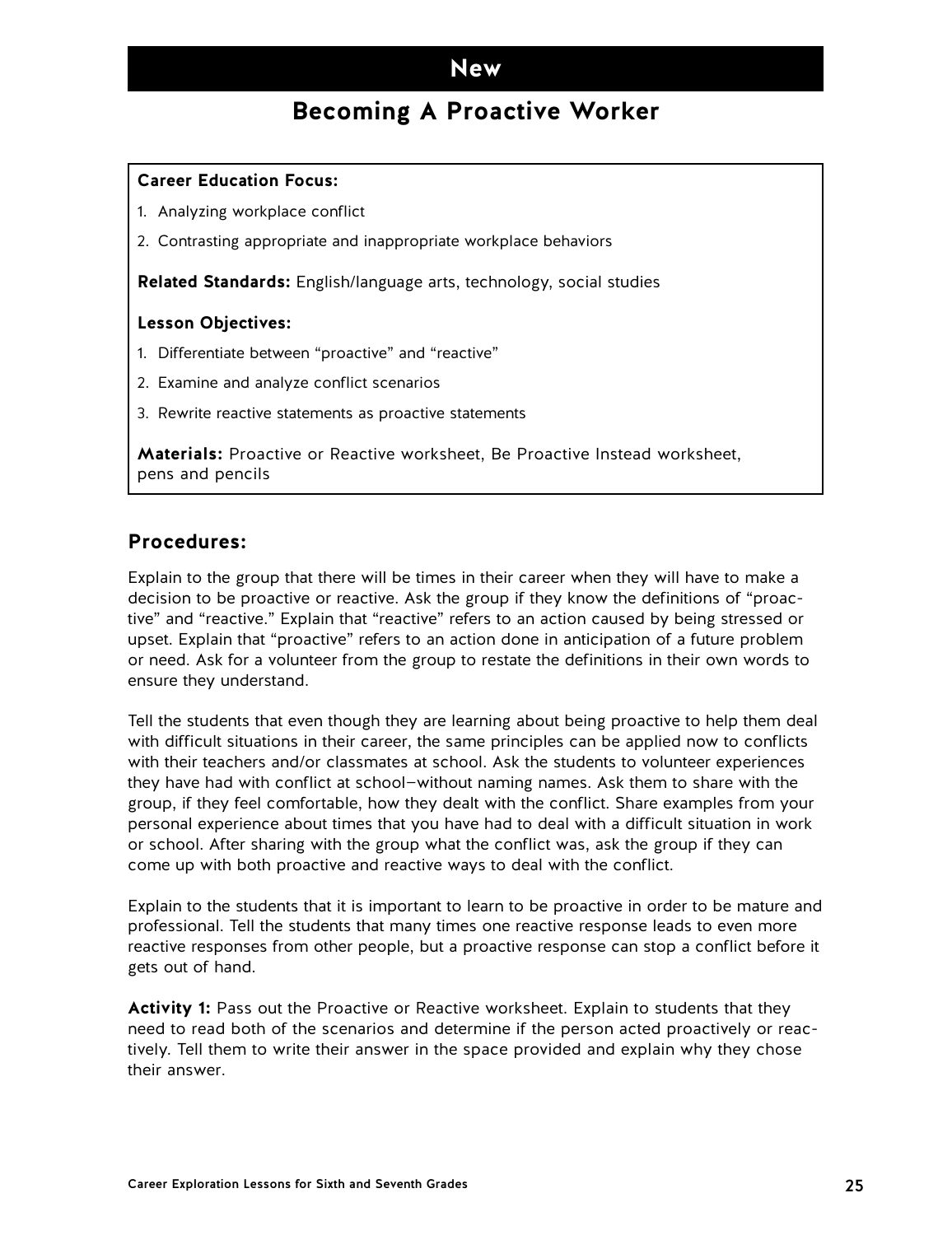### **Becoming A Proactive Worker**

### <span id="page-24-0"></span>**Career Education Focus:**

- 1. Analyzing workplace conflict
- 2. Contrasting appropriate and inappropriate workplace behaviors

**Related Standards:** English/language arts, technology, social studies

### **Lesson Objectives:**

- 1. Differentiate between "proactive" and "reactive"
- 2. Examine and analyze conflict scenarios
- 3. Rewrite reactive statements as proactive statements

**Materials:** Proactive or Reactive worksheet, Be Proactive Instead worksheet, pens and pencils

### **Procedures:**

Explain to the group that there will be times in their career when they will have to make a decision to be proactive or reactive. Ask the group if they know the definitions of "proactive" and "reactive." Explain that "reactive" refers to an action caused by being stressed or upset. Explain that "proactive" refers to an action done in anticipation of a future problem or need. Ask for a volunteer from the group to restate the definitions in their own words to ensure they understand.

Tell the students that even though they are learning about being proactive to help them deal with difficult situations in their career, the same principles can be applied now to conflicts with their teachers and/or classmates at school. Ask the students to volunteer experiences they have had with conflict at school—without naming names. Ask them to share with the group, if they feel comfortable, how they dealt with the conflict. Share examples from your personal experience about times that you have had to deal with a difficult situation in work or school. After sharing with the group what the conflict was, ask the group if they can come up with both proactive and reactive ways to deal with the conflict.

Explain to the students that it is important to learn to be proactive in order to be mature and professional. Tell the students that many times one reactive response leads to even more reactive responses from other people, but a proactive response can stop a conflict before it gets out of hand.

**Activity 1:** Pass out the Proactive or Reactive worksheet. Explain to students that they need to read both of the scenarios and determine if the person acted proactively or reactively. Tell them to write their answer in the space provided and explain why they chose their answer.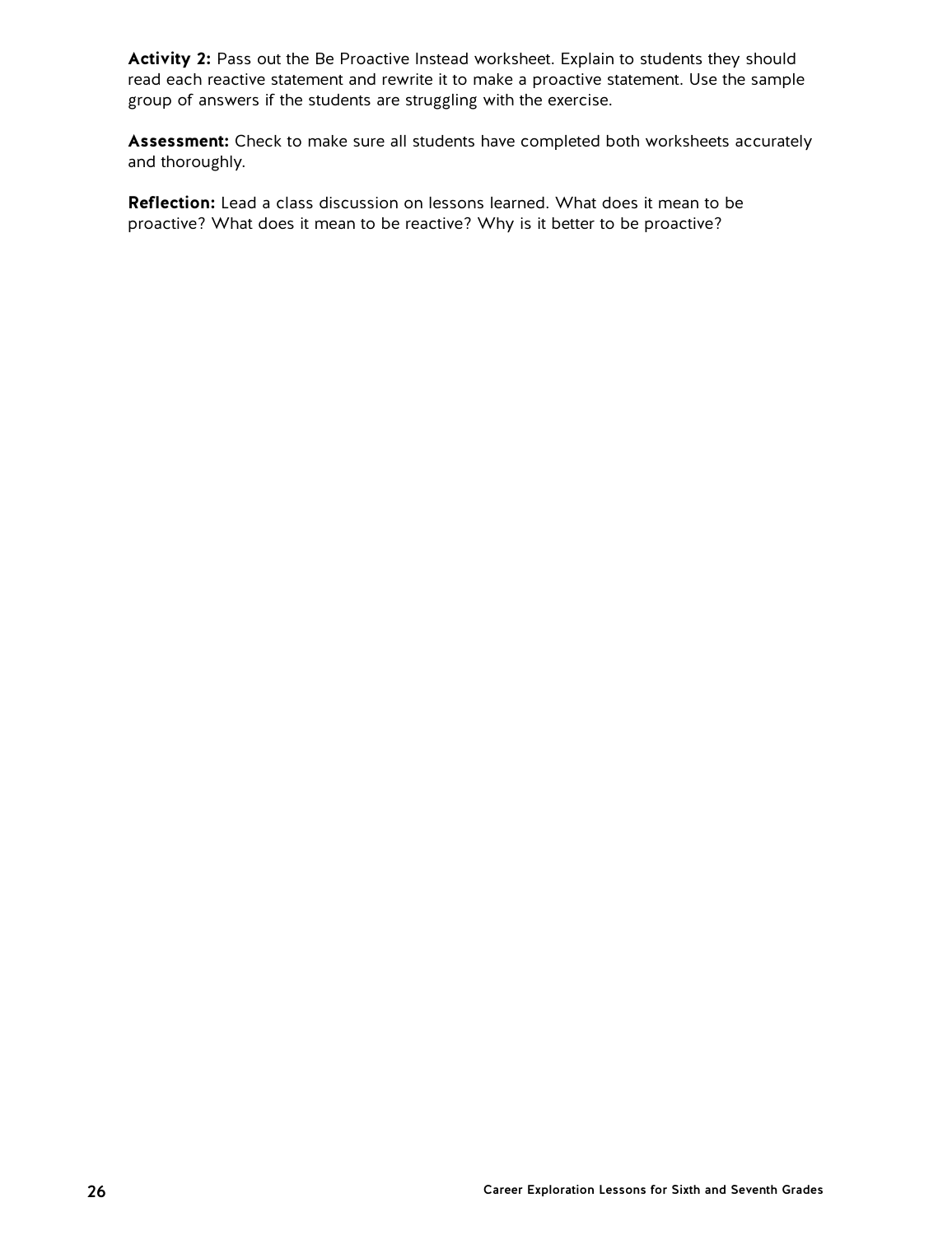Activity 2: Pass out the Be Proactive Instead worksheet. Explain to students they should read each reactive statement and rewrite it to make a proactive statement. Use the sample group of answers if the students are struggling with the exercise.

**Assessment:** Check to make sure all students have completed both worksheets accurately and thoroughly.

**Reflection:** Lead a class discussion on lessons learned. What does it mean to be proactive? What does it mean to be reactive? Why is it better to be proactive?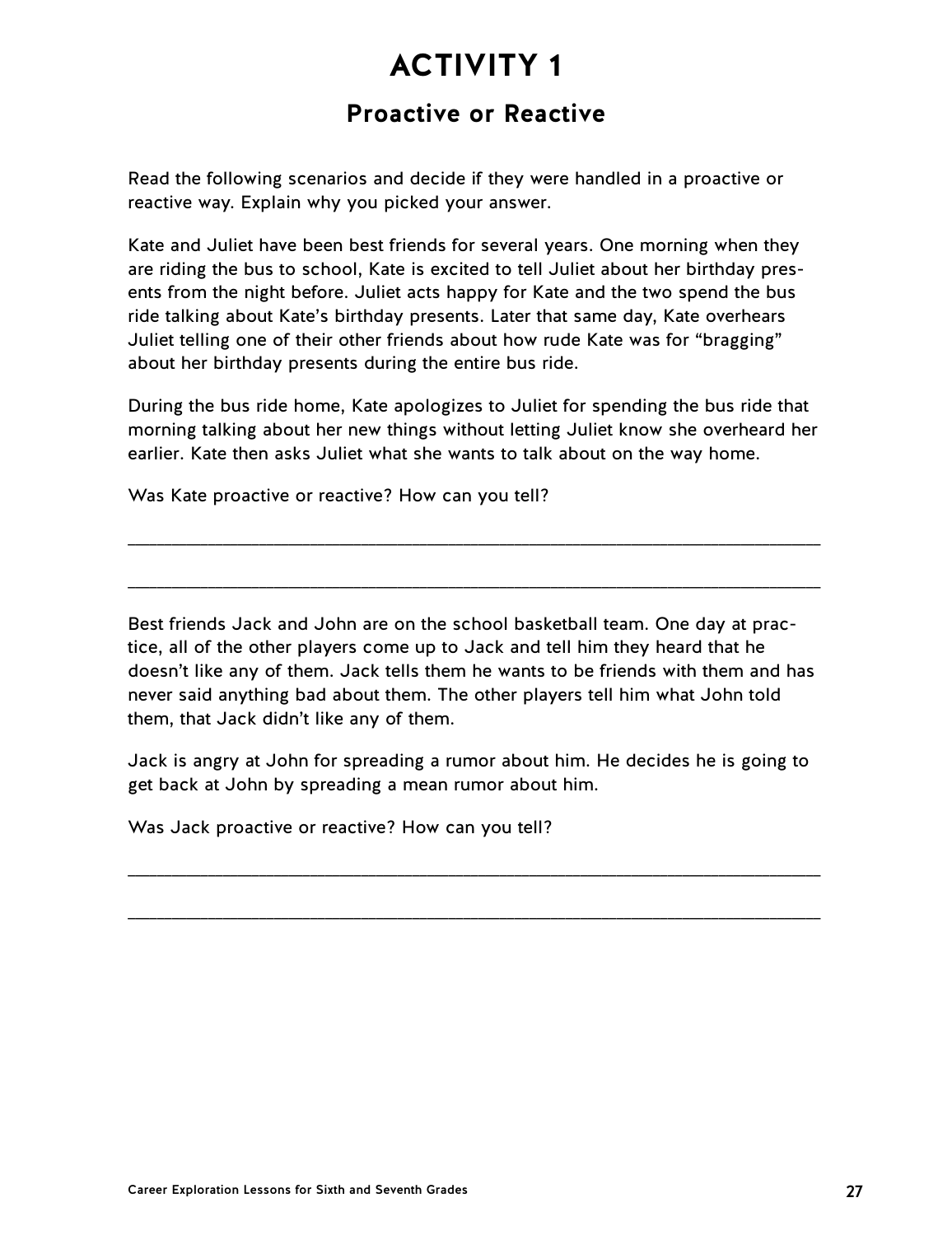### **Proactive or Reactive**

Read the following scenarios and decide if they were handled in a proactive or reactive way. Explain why you picked your answer.

Kate and Juliet have been best friends for several years. One morning when they are riding the bus to school, Kate is excited to tell Juliet about her birthday presents from the night before. Juliet acts happy for Kate and the two spend the bus ride talking about Kate's birthday presents. Later that same day, Kate overhears Juliet telling one of their other friends about how rude Kate was for "bragging" about her birthday presents during the entire bus ride.

During the bus ride home, Kate apologizes to Juliet for spending the bus ride that morning talking about her new things without letting Juliet know she overheard her earlier. Kate then asks Juliet what she wants to talk about on the way home.

\_\_\_\_\_\_\_\_\_\_\_\_\_\_\_\_\_\_\_\_\_\_\_\_\_\_\_\_\_\_\_\_\_\_\_\_\_\_\_\_\_\_\_\_\_\_\_\_\_\_\_\_\_\_\_\_\_\_\_\_\_\_\_\_\_\_\_\_\_\_\_\_\_\_\_\_\_\_\_\_\_\_\_\_\_\_\_\_\_\_\_\_\_\_\_

\_\_\_\_\_\_\_\_\_\_\_\_\_\_\_\_\_\_\_\_\_\_\_\_\_\_\_\_\_\_\_\_\_\_\_\_\_\_\_\_\_\_\_\_\_\_\_\_\_\_\_\_\_\_\_\_\_\_\_\_\_\_\_\_\_\_\_\_\_\_\_\_\_\_\_\_\_\_\_\_\_\_\_\_\_\_\_\_\_\_\_\_\_\_\_

Was Kate proactive or reactive? How can you tell?

Best friends Jack and John are on the school basketball team. One day at practice, all of the other players come up to Jack and tell him they heard that he doesn't like any of them. Jack tells them he wants to be friends with them and has never said anything bad about them. The other players tell him what John told them, that Jack didn't like any of them.

Jack is angry at John for spreading a rumor about him. He decides he is going to get back at John by spreading a mean rumor about him.

\_\_\_\_\_\_\_\_\_\_\_\_\_\_\_\_\_\_\_\_\_\_\_\_\_\_\_\_\_\_\_\_\_\_\_\_\_\_\_\_\_\_\_\_\_\_\_\_\_\_\_\_\_\_\_\_\_\_\_\_\_\_\_\_\_\_\_\_\_\_\_\_\_\_\_\_\_\_\_\_\_\_\_\_\_\_\_\_\_\_\_\_\_\_\_

\_\_\_\_\_\_\_\_\_\_\_\_\_\_\_\_\_\_\_\_\_\_\_\_\_\_\_\_\_\_\_\_\_\_\_\_\_\_\_\_\_\_\_\_\_\_\_\_\_\_\_\_\_\_\_\_\_\_\_\_\_\_\_\_\_\_\_\_\_\_\_\_\_\_\_\_\_\_\_\_\_\_\_\_\_\_\_\_\_\_\_\_\_\_\_

Was Jack proactive or reactive? How can you tell?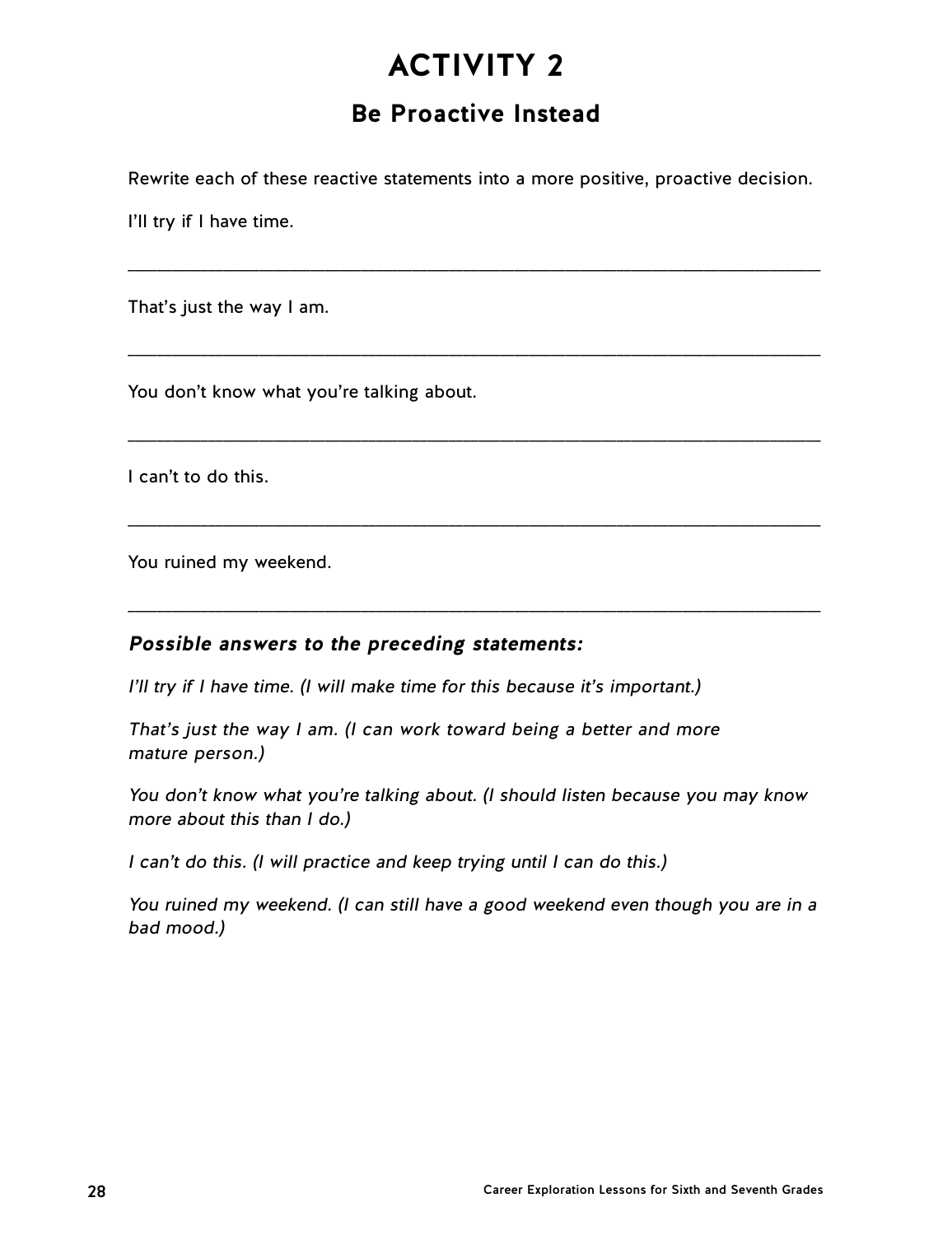## **Be Proactive Instead**

Rewrite each of these reactive statements into a more positive, proactive decision.

\_\_\_\_\_\_\_\_\_\_\_\_\_\_\_\_\_\_\_\_\_\_\_\_\_\_\_\_\_\_\_\_\_\_\_\_\_\_\_\_\_\_\_\_\_\_\_\_\_\_\_\_\_\_\_\_\_\_\_\_\_\_\_\_\_\_\_\_\_\_\_\_\_\_\_\_\_\_\_\_\_\_\_\_\_\_\_\_\_\_\_\_\_\_\_

\_\_\_\_\_\_\_\_\_\_\_\_\_\_\_\_\_\_\_\_\_\_\_\_\_\_\_\_\_\_\_\_\_\_\_\_\_\_\_\_\_\_\_\_\_\_\_\_\_\_\_\_\_\_\_\_\_\_\_\_\_\_\_\_\_\_\_\_\_\_\_\_\_\_\_\_\_\_\_\_\_\_\_\_\_\_\_\_\_\_\_\_\_\_\_

\_\_\_\_\_\_\_\_\_\_\_\_\_\_\_\_\_\_\_\_\_\_\_\_\_\_\_\_\_\_\_\_\_\_\_\_\_\_\_\_\_\_\_\_\_\_\_\_\_\_\_\_\_\_\_\_\_\_\_\_\_\_\_\_\_\_\_\_\_\_\_\_\_\_\_\_\_\_\_\_\_\_\_\_\_\_\_\_\_\_\_\_\_\_\_

\_\_\_\_\_\_\_\_\_\_\_\_\_\_\_\_\_\_\_\_\_\_\_\_\_\_\_\_\_\_\_\_\_\_\_\_\_\_\_\_\_\_\_\_\_\_\_\_\_\_\_\_\_\_\_\_\_\_\_\_\_\_\_\_\_\_\_\_\_\_\_\_\_\_\_\_\_\_\_\_\_\_\_\_\_\_\_\_\_\_\_\_\_\_\_

\_\_\_\_\_\_\_\_\_\_\_\_\_\_\_\_\_\_\_\_\_\_\_\_\_\_\_\_\_\_\_\_\_\_\_\_\_\_\_\_\_\_\_\_\_\_\_\_\_\_\_\_\_\_\_\_\_\_\_\_\_\_\_\_\_\_\_\_\_\_\_\_\_\_\_\_\_\_\_\_\_\_\_\_\_\_\_\_\_\_\_\_\_\_\_

I'll try if I have time.

That's just the way I am.

You don't know what you're talking about.

I can't to do this.

You ruined my weekend.

### **Possible answers to the preceding statements:**

I'll try if I have time. (I will make time for this because it's important.)

That's just the way I am. (I can work toward being a better and more mature person.)

You don't know what you're talking about. (I should listen because you may know more about this than I do.)

I can't do this. (I will practice and keep trying until I can do this.)

You ruined my weekend. (I can still have a good weekend even though you are in a bad mood.)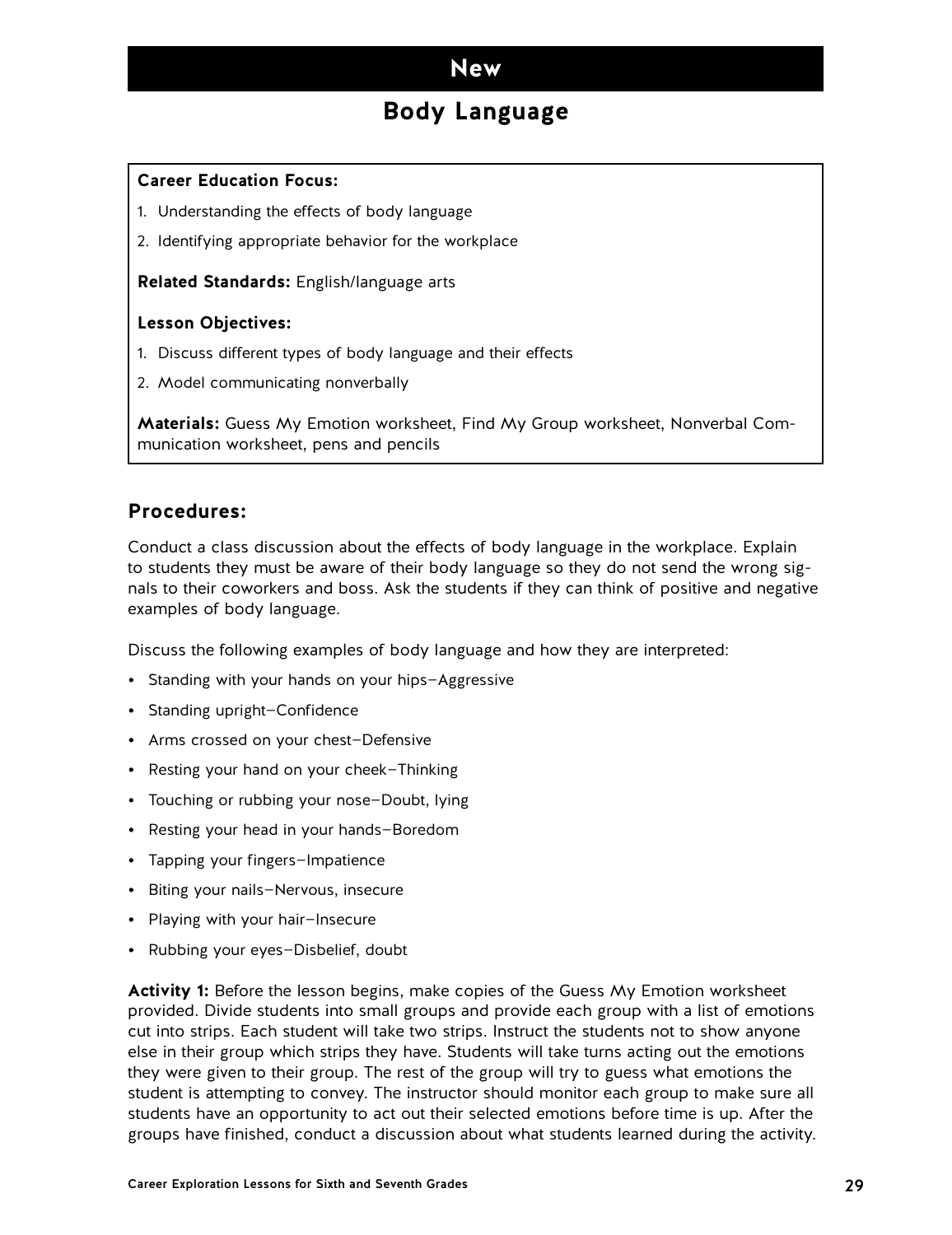### **Body Language**

#### <span id="page-28-0"></span>**Career Education Focus:**

- 1. Understanding the effects of body language
- 2. Identifying appropriate behavior for the workplace

**Related Standards:** English/language arts

#### **Lesson Objectives:**

- 1. Discuss different types of body language and their effects
- 2. Model communicating nonverbally

**Materials:** Guess My Emotion worksheet, Find My Group worksheet, Nonverbal Communication worksheet, pens and pencils

### **Procedures:**

Conduct a class discussion about the effects of body language in the workplace. Explain to students they must be aware of their body language so they do not send the wrong signals to their coworkers and boss. Ask the students if they can think of positive and negative examples of body language.

Discuss the following examples of body language and how they are interpreted:

- Standing with your hands on your hips—Aggressive
- Standing upright—Confidence
- Arms crossed on your chest—Defensive
- Resting your hand on your cheek—Thinking
- Touching or rubbing your nose—Doubt, lying
- Resting your head in your hands—Boredom
- Tapping your fingers—Impatience
- Biting your nails—Nervous, insecure
- Playing with your hair—Insecure
- Rubbing your eyes—Disbelief, doubt

**Activity 1:** Before the lesson begins, make copies of the Guess My Emotion worksheet provided. Divide students into small groups and provide each group with a list of emotions cut into strips. Each student will take two strips. Instruct the students not to show anyone else in their group which strips they have. Students will take turns acting out the emotions they were given to their group. The rest of the group will try to guess what emotions the student is attempting to convey. The instructor should monitor each group to make sure all students have an opportunity to act out their selected emotions before time is up. After the groups have finished, conduct a discussion about what students learned during the activity.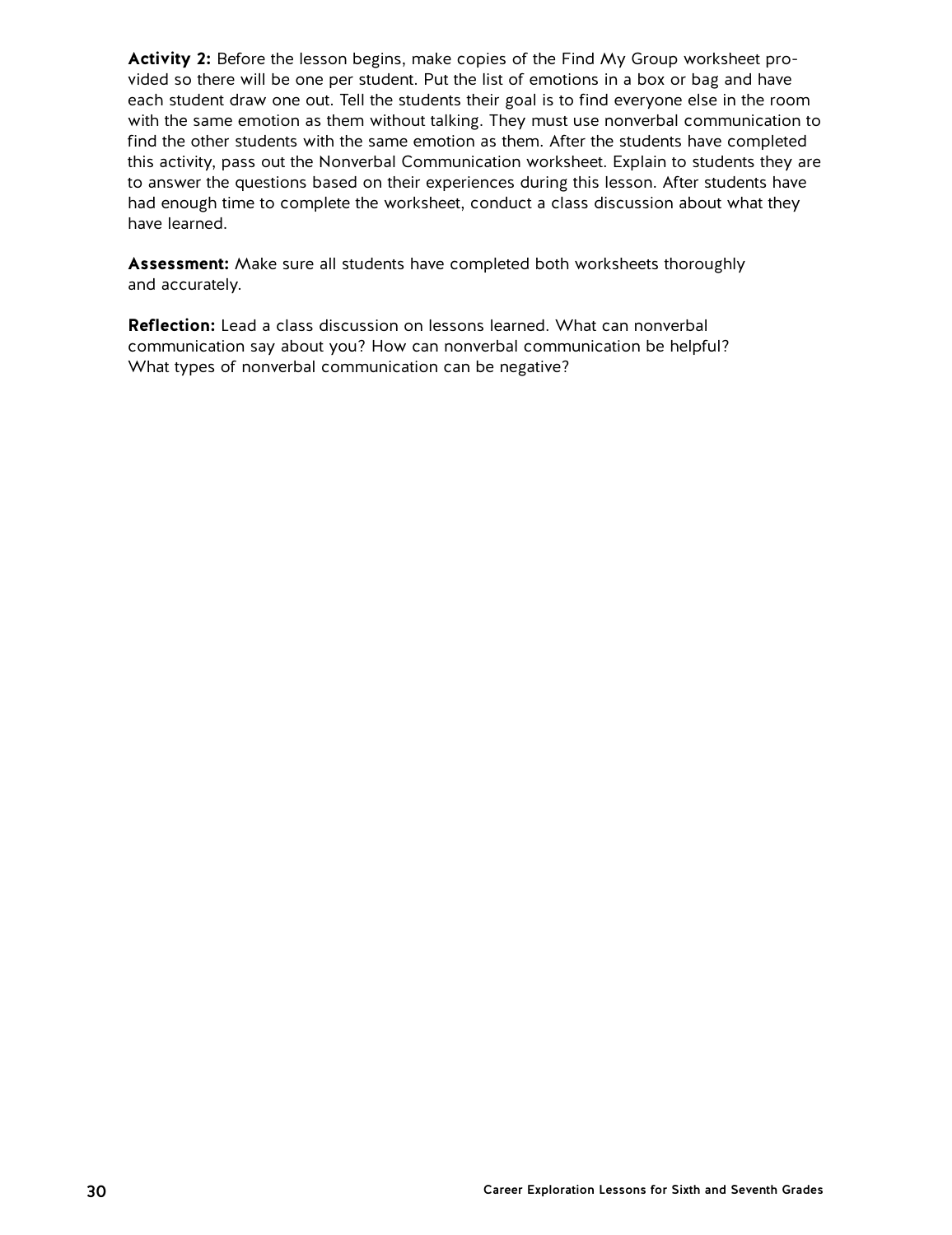**Activity 2:** Before the lesson begins, make copies of the Find My Group worksheet provided so there will be one per student. Put the list of emotions in a box or bag and have each student draw one out. Tell the students their goal is to find everyone else in the room with the same emotion as them without talking. They must use nonverbal communication to find the other students with the same emotion as them. After the students have completed this activity, pass out the Nonverbal Communication worksheet. Explain to students they are to answer the questions based on their experiences during this lesson. After students have had enough time to complete the worksheet, conduct a class discussion about what they have learned.

**Assessment:** Make sure all students have completed both worksheets thoroughly and accurately.

**Reflection:** Lead a class discussion on lessons learned. What can nonverbal communication say about you? How can nonverbal communication be helpful? What types of nonverbal communication can be negative?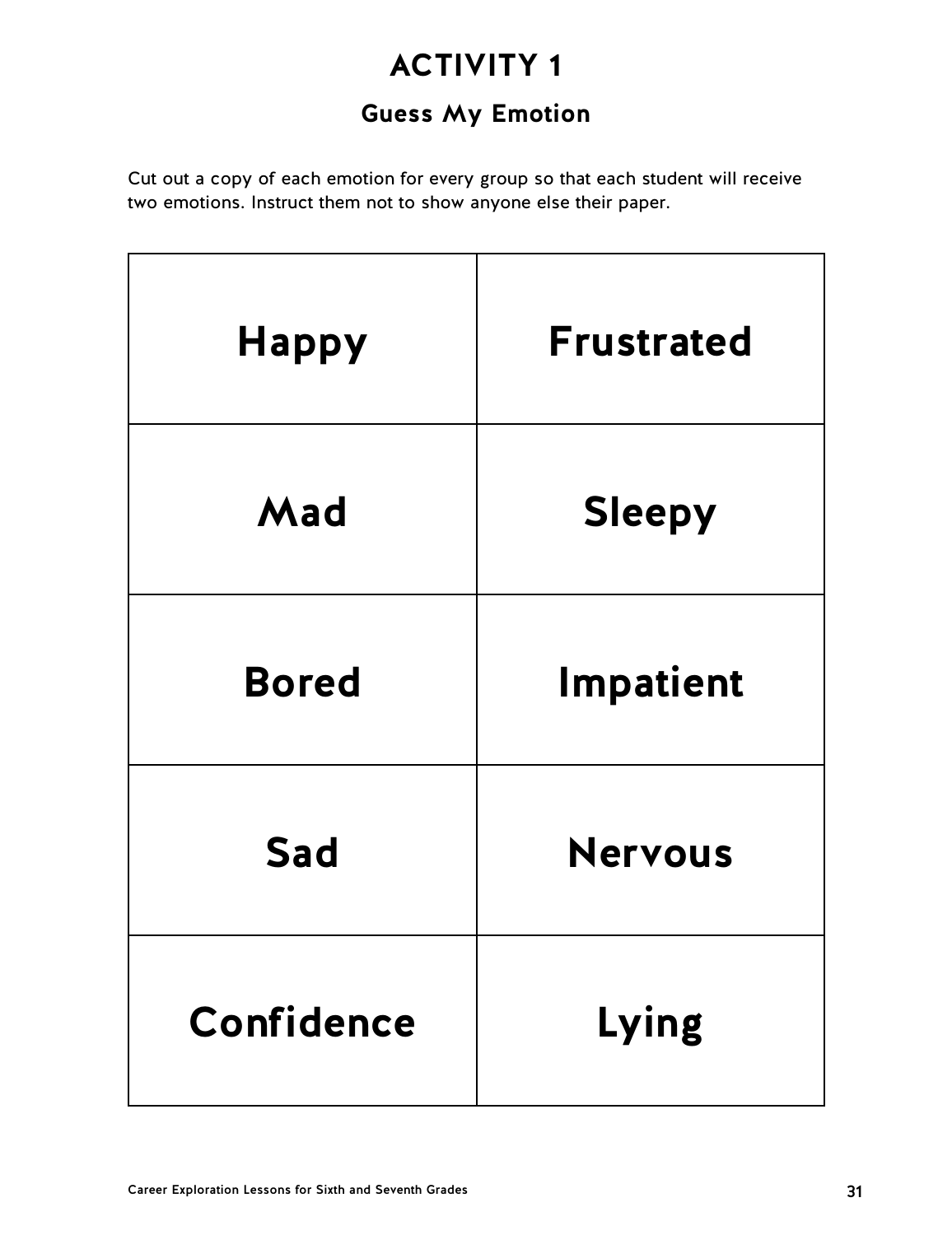## **Guess My Emotion**

Cut out a copy of each emotion for every group so that each student will receive two emotions. Instruct them not to show anyone else their paper.

| <b>Happy</b> | <b>Frustrated</b> |
|--------------|-------------------|
| Mad          | <b>Sleepy</b>     |
| <b>Bored</b> | Impatient         |
| <b>Sad</b>   | <b>Nervous</b>    |
| Confidence   | Lying             |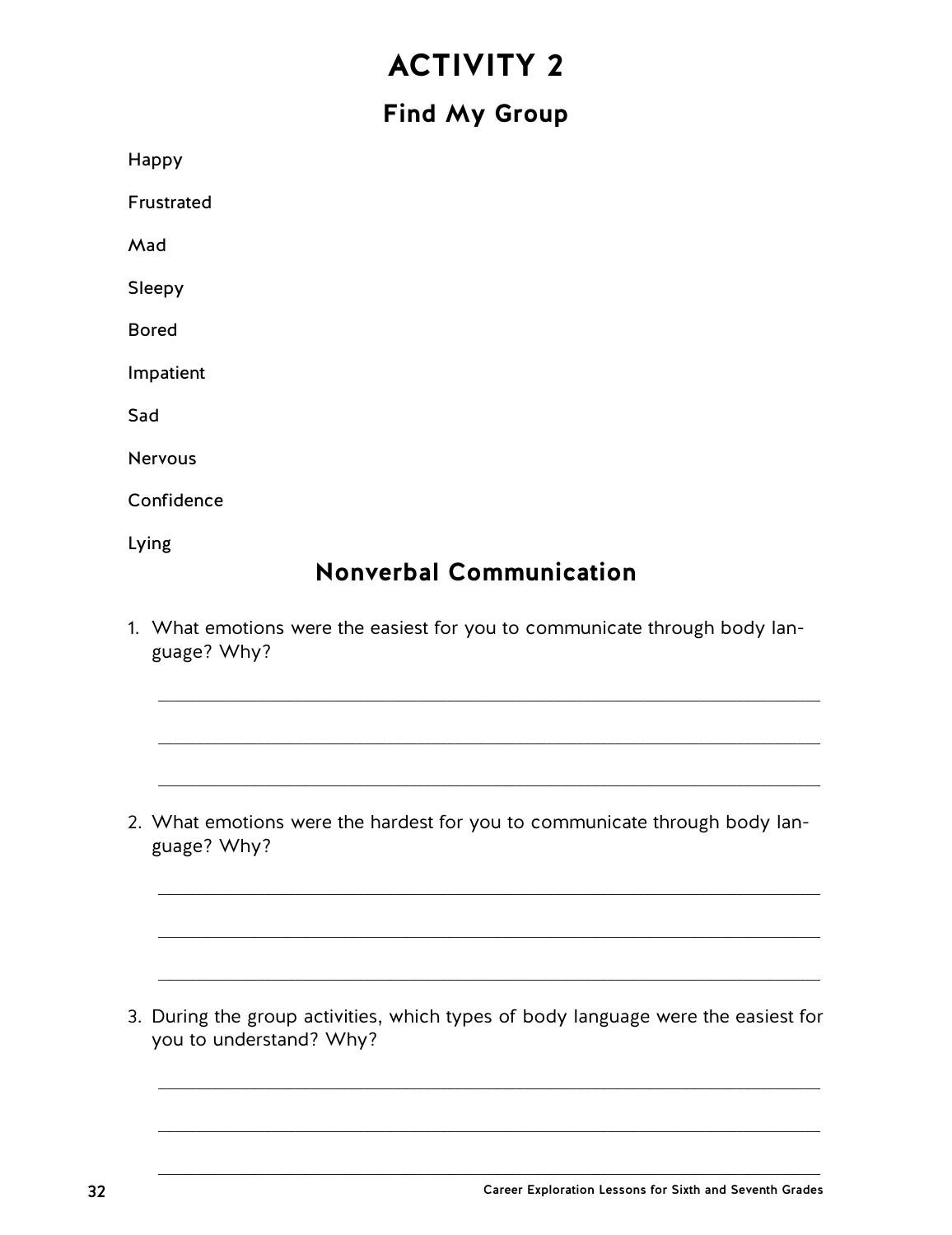## **Find My Group**

Happy Frustrated Mad Sleepy Bored Impatient Sad Nervous Confidence Lying

## **Nonverbal Communication**

1. What emotions were the easiest for you to communicate through body language? Why?

\_\_\_\_\_\_\_\_\_\_\_\_\_\_\_\_\_\_\_\_\_\_\_\_\_\_\_\_\_\_\_\_\_\_\_\_\_\_\_\_\_\_\_\_\_\_\_\_\_\_\_\_\_\_\_\_\_\_\_\_\_\_\_\_\_\_\_\_\_\_\_\_\_\_\_\_\_\_\_\_\_\_\_\_\_\_\_

\_\_\_\_\_\_\_\_\_\_\_\_\_\_\_\_\_\_\_\_\_\_\_\_\_\_\_\_\_\_\_\_\_\_\_\_\_\_\_\_\_\_\_\_\_\_\_\_\_\_\_\_\_\_\_\_\_\_\_\_\_\_\_\_\_\_\_\_\_\_\_\_\_\_\_\_\_\_\_\_\_\_\_\_\_\_\_

\_\_\_\_\_\_\_\_\_\_\_\_\_\_\_\_\_\_\_\_\_\_\_\_\_\_\_\_\_\_\_\_\_\_\_\_\_\_\_\_\_\_\_\_\_\_\_\_\_\_\_\_\_\_\_\_\_\_\_\_\_\_\_\_\_\_\_\_\_\_\_\_\_\_\_\_\_\_\_\_\_\_\_\_\_\_\_

\_\_\_\_\_\_\_\_\_\_\_\_\_\_\_\_\_\_\_\_\_\_\_\_\_\_\_\_\_\_\_\_\_\_\_\_\_\_\_\_\_\_\_\_\_\_\_\_\_\_\_\_\_\_\_\_\_\_\_\_\_\_\_\_\_\_\_\_\_\_\_\_\_\_\_\_\_\_\_\_\_\_\_\_\_\_\_

\_\_\_\_\_\_\_\_\_\_\_\_\_\_\_\_\_\_\_\_\_\_\_\_\_\_\_\_\_\_\_\_\_\_\_\_\_\_\_\_\_\_\_\_\_\_\_\_\_\_\_\_\_\_\_\_\_\_\_\_\_\_\_\_\_\_\_\_\_\_\_\_\_\_\_\_\_\_\_\_\_\_\_\_\_\_\_

\_\_\_\_\_\_\_\_\_\_\_\_\_\_\_\_\_\_\_\_\_\_\_\_\_\_\_\_\_\_\_\_\_\_\_\_\_\_\_\_\_\_\_\_\_\_\_\_\_\_\_\_\_\_\_\_\_\_\_\_\_\_\_\_\_\_\_\_\_\_\_\_\_\_\_\_\_\_\_\_\_\_\_\_\_\_\_

\_\_\_\_\_\_\_\_\_\_\_\_\_\_\_\_\_\_\_\_\_\_\_\_\_\_\_\_\_\_\_\_\_\_\_\_\_\_\_\_\_\_\_\_\_\_\_\_\_\_\_\_\_\_\_\_\_\_\_\_\_\_\_\_\_\_\_\_\_\_\_\_\_\_\_\_\_\_\_\_\_\_\_\_\_\_\_

\_\_\_\_\_\_\_\_\_\_\_\_\_\_\_\_\_\_\_\_\_\_\_\_\_\_\_\_\_\_\_\_\_\_\_\_\_\_\_\_\_\_\_\_\_\_\_\_\_\_\_\_\_\_\_\_\_\_\_\_\_\_\_\_\_\_\_\_\_\_\_\_\_\_\_\_\_\_\_\_\_\_\_\_\_\_\_

\_\_\_\_\_\_\_\_\_\_\_\_\_\_\_\_\_\_\_\_\_\_\_\_\_\_\_\_\_\_\_\_\_\_\_\_\_\_\_\_\_\_\_\_\_\_\_\_\_\_\_\_\_\_\_\_\_\_\_\_\_\_\_\_\_\_\_\_\_\_\_\_\_\_\_\_\_\_\_\_\_\_\_\_\_\_\_

2. What emotions were the hardest for you to communicate through body language? Why?

3. During the group activities, which types of body language were the easiest for you to understand? Why?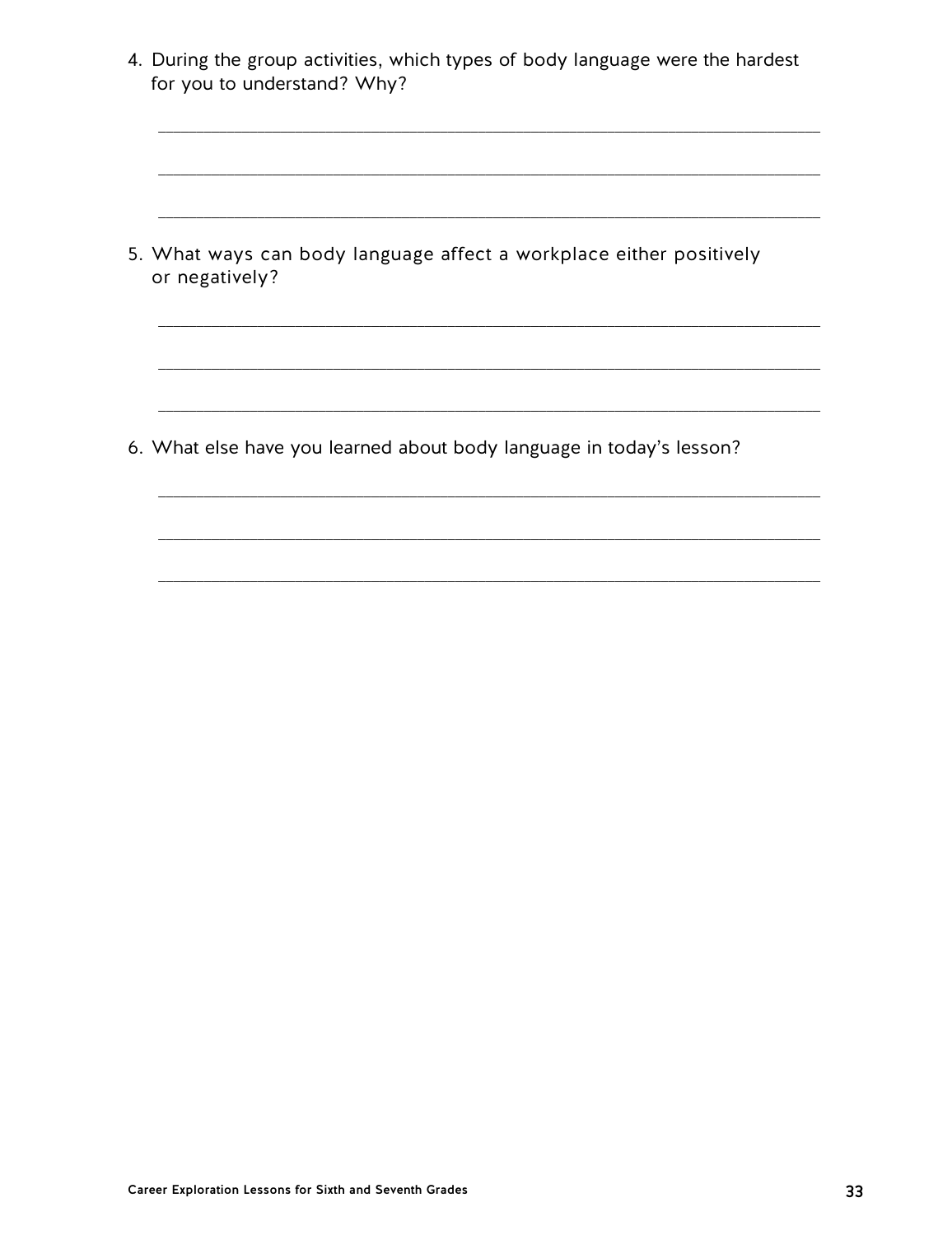4. During the group activities, which types of body language were the hardest for you to understand? Why?

5. What ways can body language affect a workplace either positively or negatively?

6. What else have you learned about body language in today's lesson?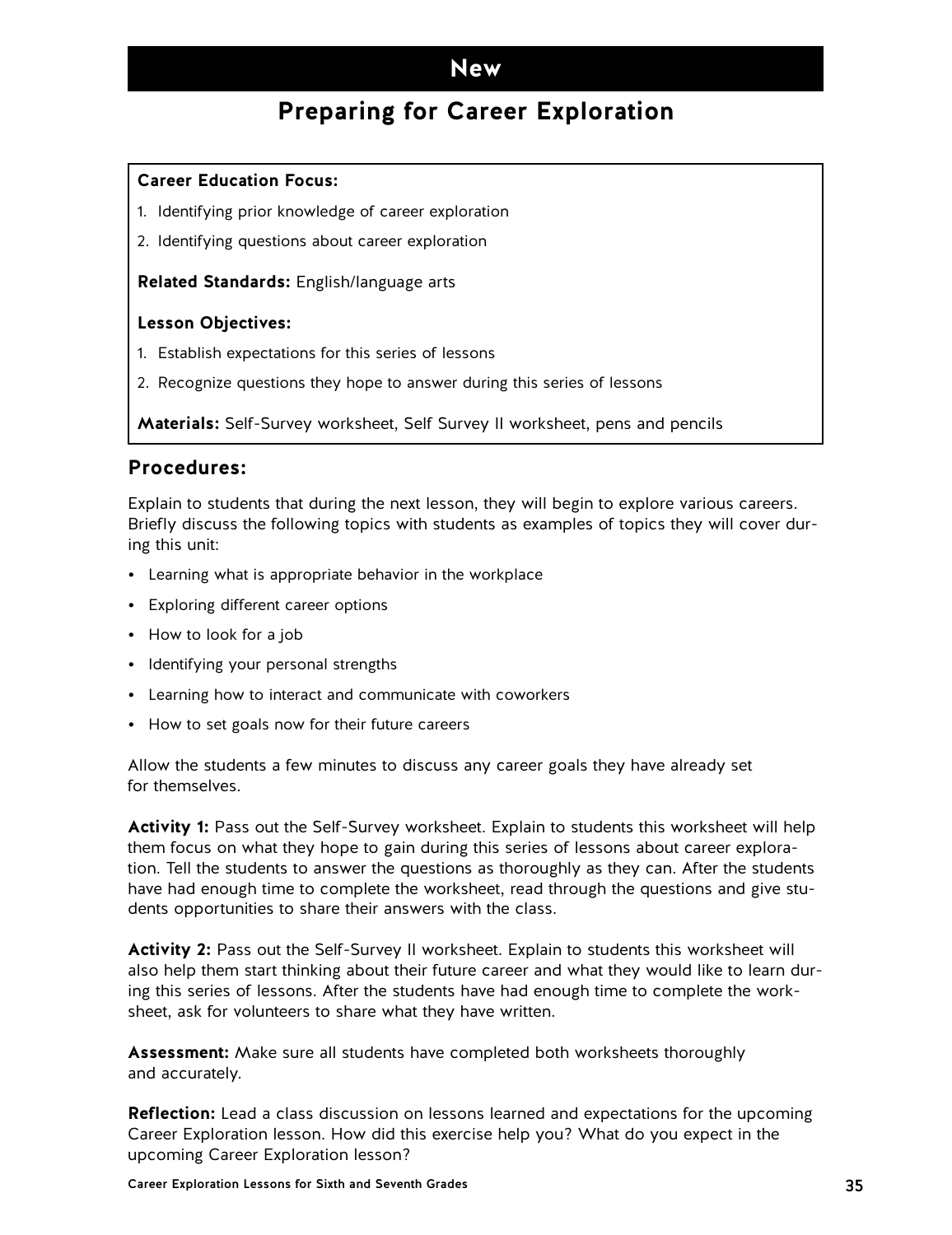## **Preparing for Career Exploration**

### <span id="page-34-0"></span>**Career Education Focus:**

- 1. Identifying prior knowledge of career exploration
- 2. Identifying questions about career exploration

**Related Standards:** English/language arts

### **Lesson Objectives:**

- 1. Establish expectations for this series of lessons
- 2. Recognize questions they hope to answer during this series of lessons

**Materials:** Self-Survey worksheet, Self Survey II worksheet, pens and pencils

### **Procedures:**

Explain to students that during the next lesson, they will begin to explore various careers. Briefly discuss the following topics with students as examples of topics they will cover during this unit:

- Learning what is appropriate behavior in the workplace
- Exploring different career options
- How to look for a job
- Identifying your personal strengths
- Learning how to interact and communicate with coworkers
- How to set goals now for their future careers

Allow the students a few minutes to discuss any career goals they have already set for themselves.

**Activity 1:** Pass out the Self-Survey worksheet. Explain to students this worksheet will help them focus on what they hope to gain during this series of lessons about career exploration. Tell the students to answer the questions as thoroughly as they can. After the students have had enough time to complete the worksheet, read through the questions and give students opportunities to share their answers with the class.

**Activity 2:** Pass out the Self-Survey II worksheet. Explain to students this worksheet will also help them start thinking about their future career and what they would like to learn during this series of lessons. After the students have had enough time to complete the worksheet, ask for volunteers to share what they have written.

**Assessment:** Make sure all students have completed both worksheets thoroughly and accurately.

**Reflection:** Lead a class discussion on lessons learned and expectations for the upcoming Career Exploration lesson. How did this exercise help you? What do you expect in the upcoming Career Exploration lesson?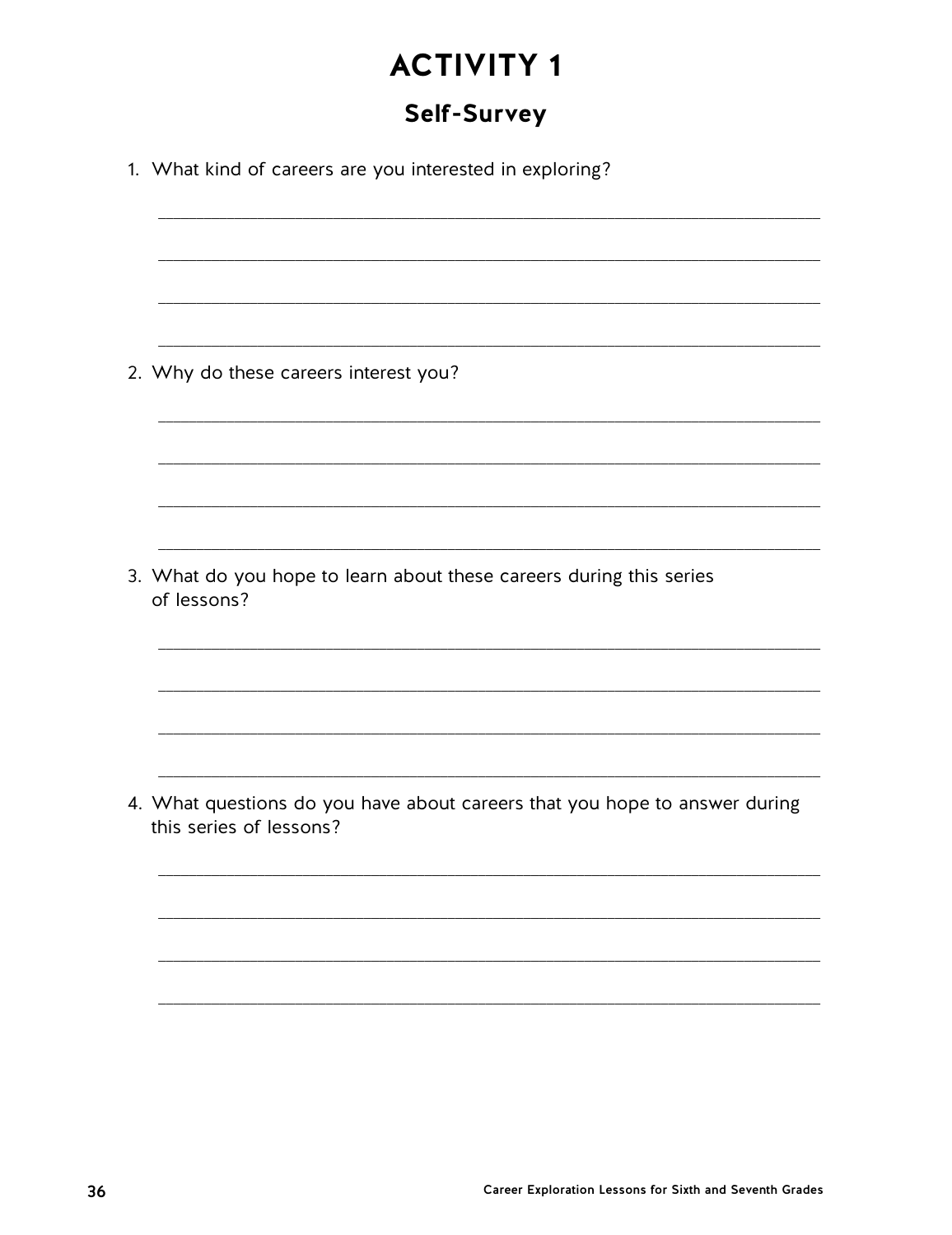## Self-Survey

| 1. What kind of careers are you interested in exploring?                                              |
|-------------------------------------------------------------------------------------------------------|
|                                                                                                       |
|                                                                                                       |
| 2. Why do these careers interest you?                                                                 |
|                                                                                                       |
|                                                                                                       |
| 3. What do you hope to learn about these careers during this series<br>of lessons?                    |
|                                                                                                       |
|                                                                                                       |
| 4. What questions do you have about careers that you hope to answer during<br>this series of lessons? |
|                                                                                                       |
|                                                                                                       |
|                                                                                                       |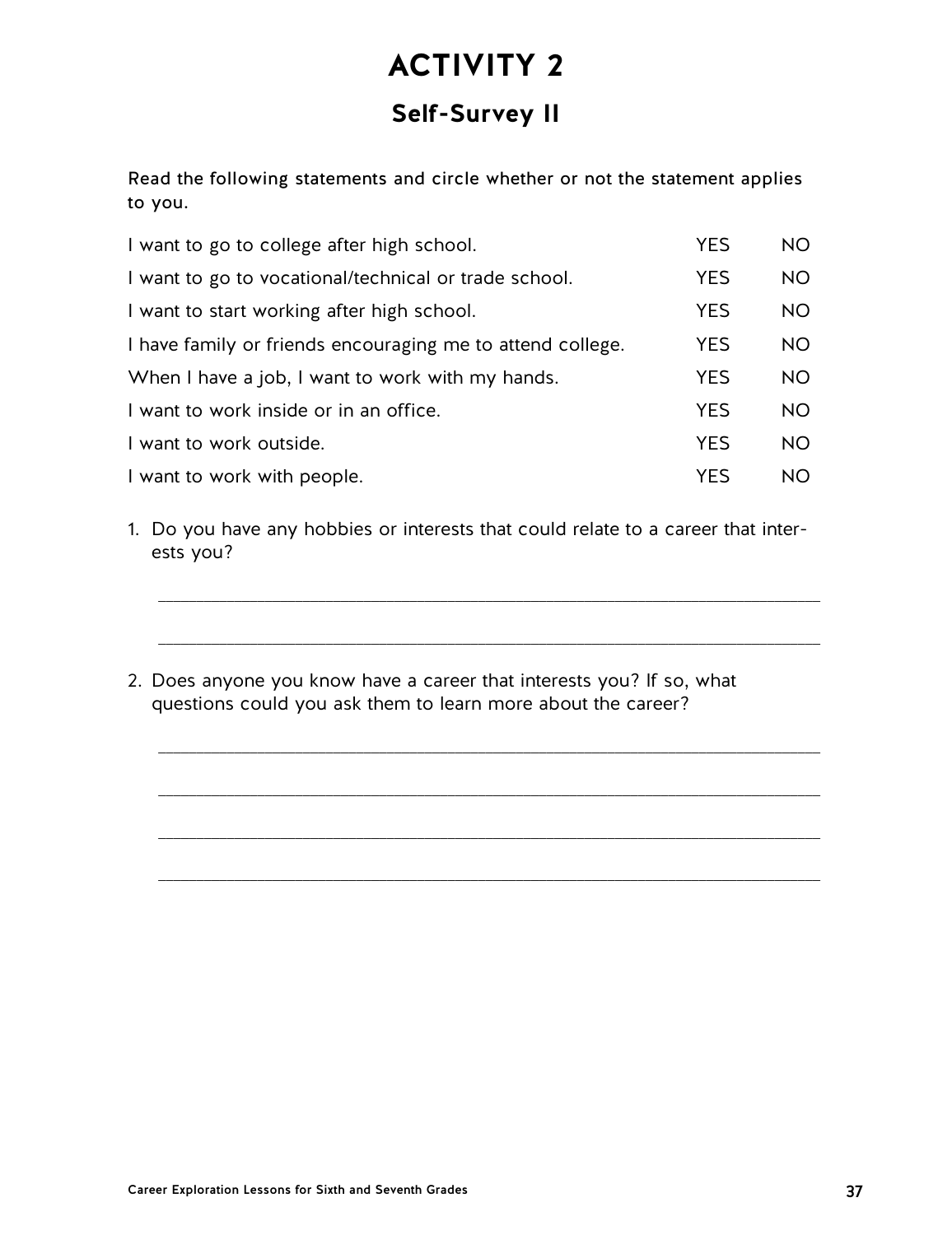# **Self-Survey II**

Read the following statements and circle whether or not the statement applies to you.

| I want to go to college after high school.                 | <b>YES</b> | NO.       |
|------------------------------------------------------------|------------|-----------|
| I want to go to vocational/technical or trade school.      | <b>YES</b> | <b>NO</b> |
| I want to start working after high school.                 | <b>YES</b> | NO.       |
| I have family or friends encouraging me to attend college. | <b>YES</b> | NO.       |
| When I have a job, I want to work with my hands.           | <b>YES</b> | NO.       |
| I want to work inside or in an office.                     | <b>YES</b> | NO.       |
| I want to work outside.                                    | <b>YES</b> | <b>NO</b> |
| I want to work with people.                                | YES        | NO.       |

1. Do you have any hobbies or interests that could relate to a career that interests you?

\_\_\_\_\_\_\_\_\_\_\_\_\_\_\_\_\_\_\_\_\_\_\_\_\_\_\_\_\_\_\_\_\_\_\_\_\_\_\_\_\_\_\_\_\_\_\_\_\_\_\_\_\_\_\_\_\_\_\_\_\_\_\_\_\_\_\_\_\_\_\_\_\_\_\_\_\_\_\_\_\_\_\_\_\_\_\_

\_\_\_\_\_\_\_\_\_\_\_\_\_\_\_\_\_\_\_\_\_\_\_\_\_\_\_\_\_\_\_\_\_\_\_\_\_\_\_\_\_\_\_\_\_\_\_\_\_\_\_\_\_\_\_\_\_\_\_\_\_\_\_\_\_\_\_\_\_\_\_\_\_\_\_\_\_\_\_\_\_\_\_\_\_\_\_

\_\_\_\_\_\_\_\_\_\_\_\_\_\_\_\_\_\_\_\_\_\_\_\_\_\_\_\_\_\_\_\_\_\_\_\_\_\_\_\_\_\_\_\_\_\_\_\_\_\_\_\_\_\_\_\_\_\_\_\_\_\_\_\_\_\_\_\_\_\_\_\_\_\_\_\_\_\_\_\_\_\_\_\_\_\_\_

\_\_\_\_\_\_\_\_\_\_\_\_\_\_\_\_\_\_\_\_\_\_\_\_\_\_\_\_\_\_\_\_\_\_\_\_\_\_\_\_\_\_\_\_\_\_\_\_\_\_\_\_\_\_\_\_\_\_\_\_\_\_\_\_\_\_\_\_\_\_\_\_\_\_\_\_\_\_\_\_\_\_\_\_\_\_\_

\_\_\_\_\_\_\_\_\_\_\_\_\_\_\_\_\_\_\_\_\_\_\_\_\_\_\_\_\_\_\_\_\_\_\_\_\_\_\_\_\_\_\_\_\_\_\_\_\_\_\_\_\_\_\_\_\_\_\_\_\_\_\_\_\_\_\_\_\_\_\_\_\_\_\_\_\_\_\_\_\_\_\_\_\_\_\_

\_\_\_\_\_\_\_\_\_\_\_\_\_\_\_\_\_\_\_\_\_\_\_\_\_\_\_\_\_\_\_\_\_\_\_\_\_\_\_\_\_\_\_\_\_\_\_\_\_\_\_\_\_\_\_\_\_\_\_\_\_\_\_\_\_\_\_\_\_\_\_\_\_\_\_\_\_\_\_\_\_\_\_\_\_\_\_

2. Does anyone you know have a career that interests you? If so, what questions could you ask them to learn more about the career?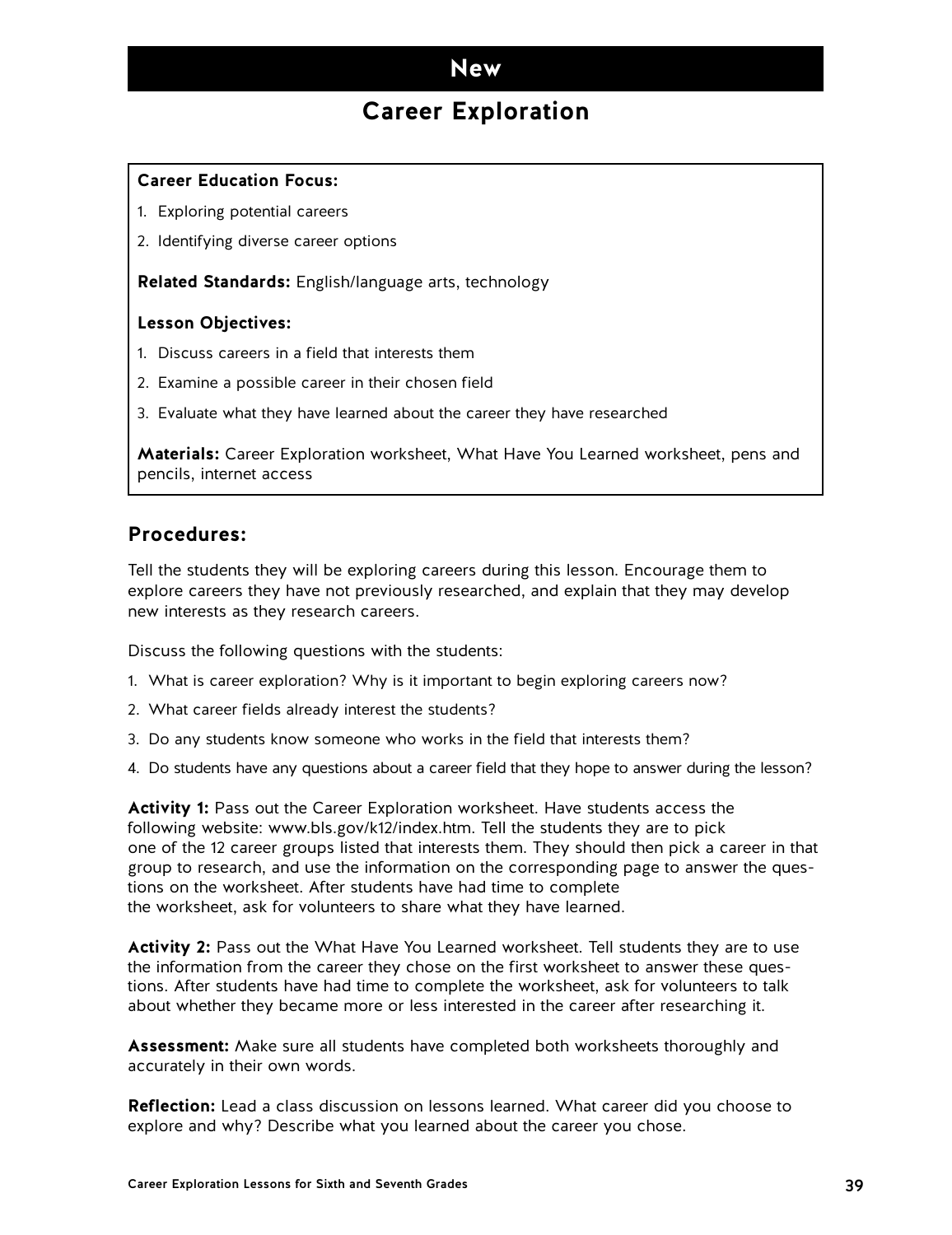## **Career Exploration**

#### **Career Education Focus:**

- 1. Exploring potential careers
- 2. Identifying diverse career options

**Related Standards:** English/language arts, technology

### **Lesson Objectives:**

- 1. Discuss careers in a field that interests them
- 2. Examine a possible career in their chosen field
- 3. Evaluate what they have learned about the career they have researched

**Materials:** Career Exploration worksheet, What Have You Learned worksheet, pens and pencils, internet access

### **Procedures:**

Tell the students they will be exploring careers during this lesson. Encourage them to explore careers they have not previously researched, and explain that they may develop new interests as they research careers.

Discuss the following questions with the students:

- 1. What is career exploration? Why is it important to begin exploring careers now?
- 2. What career fields already interest the students?
- 3. Do any students know someone who works in the field that interests them?
- 4. Do students have any questions about a career field that they hope to answer during the lesson?

**Activity 1:** Pass out the Career Exploration worksheet. Have students access the following website: www.bls.gov/k12/index.htm. Tell the students they are to pick one of the 12 career groups listed that interests them. They should then pick a career in that group to research, and use the information on the corresponding page to answer the questions on the worksheet. After students have had time to complete the worksheet, ask for volunteers to share what they have learned.

**Activity 2:** Pass out the What Have You Learned worksheet. Tell students they are to use the information from the career they chose on the first worksheet to answer these questions. After students have had time to complete the worksheet, ask for volunteers to talk about whether they became more or less interested in the career after researching it.

**Assessment:** Make sure all students have completed both worksheets thoroughly and accurately in their own words.

**Reflection:** Lead a class discussion on lessons learned. What career did you choose to explore and why? Describe what you learned about the career you chose.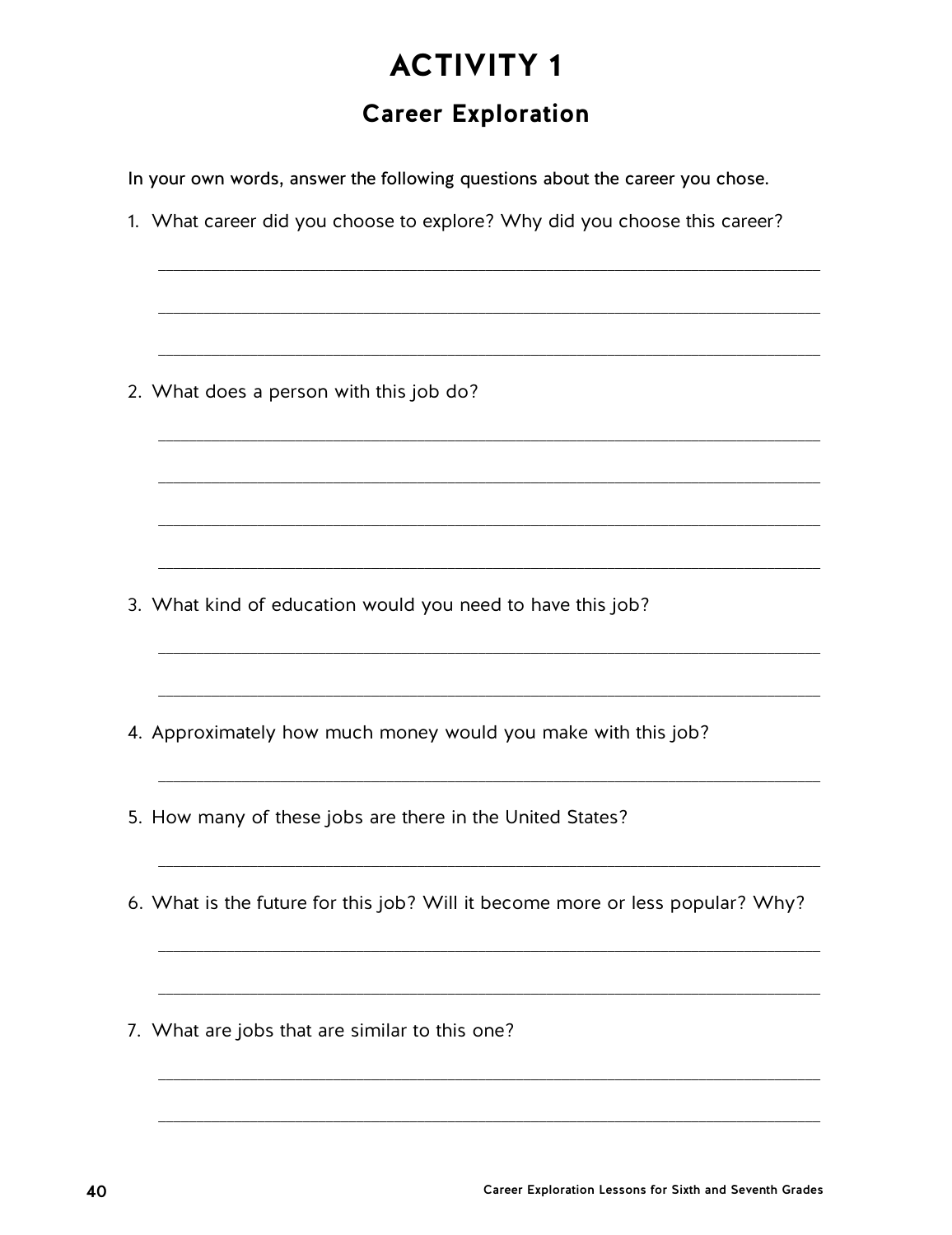# **Career Exploration**

In your own words, answer the following questions about the career you chose.

1. What career did you choose to explore? Why did you choose this career?

2. What does a person with this job do?

3. What kind of education would you need to have this job?

4. Approximately how much money would you make with this job?

5. How many of these jobs are there in the United States?

6. What is the future for this job? Will it become more or less popular? Why?

7. What are jobs that are similar to this one?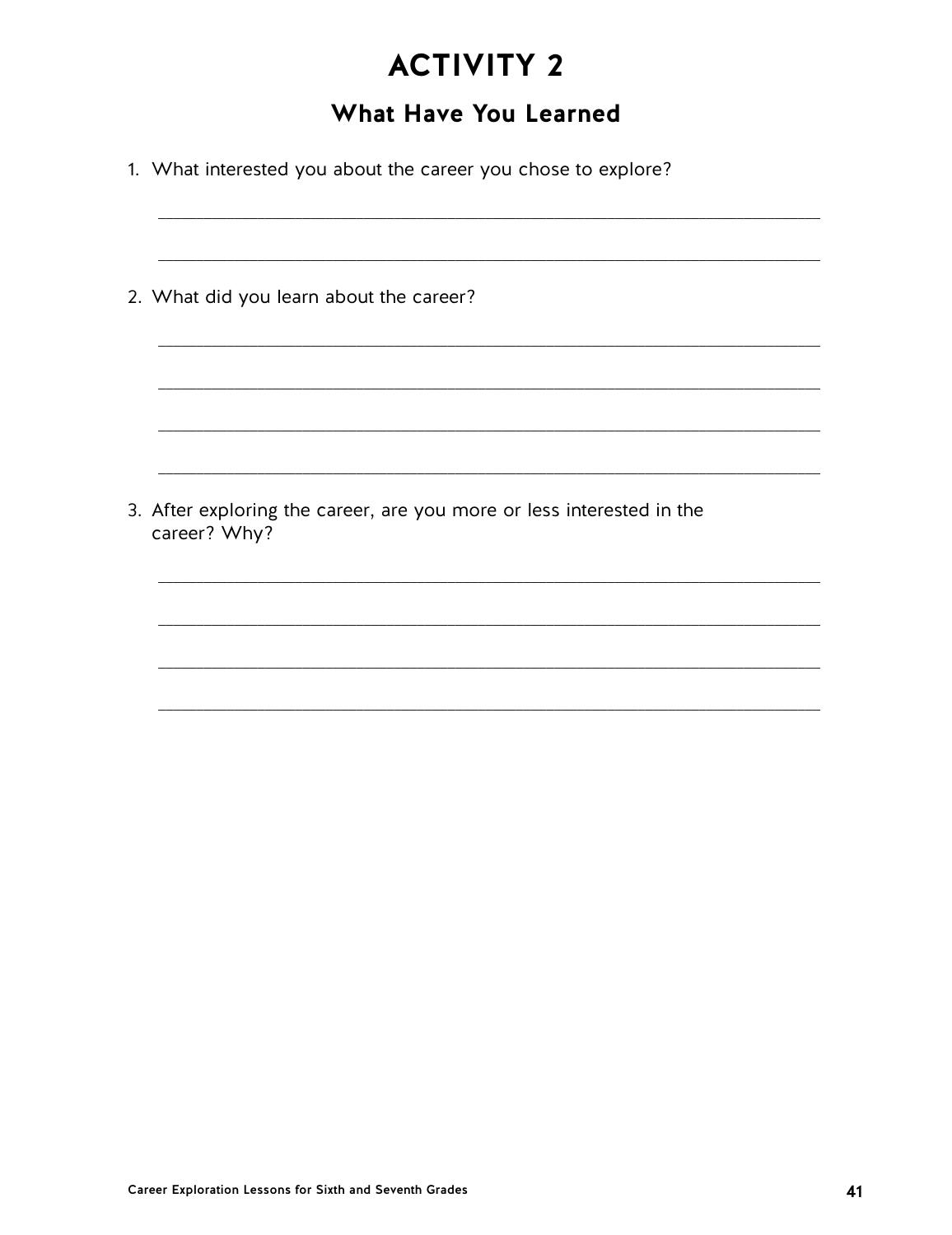# **What Have You Learned**

- 1. What interested you about the career you chose to explore?
- 2. What did you learn about the career? 3. After exploring the career, are you more or less interested in the career? Why?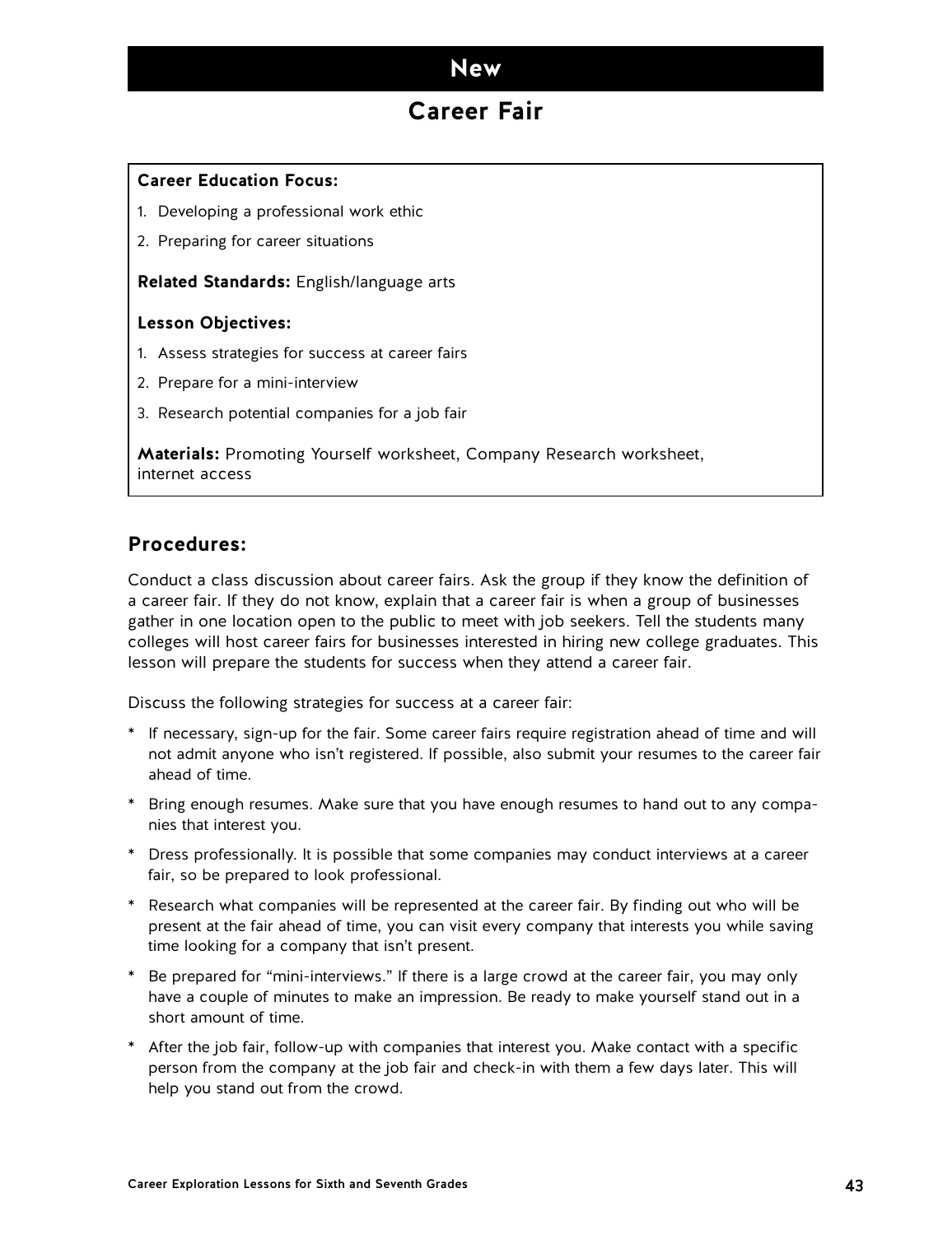## **Career Fair**

### **Career Education Focus:**

- 1. Developing a professional work ethic
- 2. Preparing for career situations

### **Related Standards:** English/language arts

### **Lesson Objectives:**

- 1. Assess strategies for success at career fairs
- 2. Prepare for a mini-interview
- 3. Research potential companies for a job fair

**Materials:** Promoting Yourself worksheet, Company Research worksheet, internet access

## **Procedures:**

Conduct a class discussion about career fairs. Ask the group if they know the definition of a career fair. If they do not know, explain that a career fair is when a group of businesses gather in one location open to the public to meet with job seekers. Tell the students many colleges will host career fairs for businesses interested in hiring new college graduates. This lesson will prepare the students for success when they attend a career fair.

Discuss the following strategies for success at a career fair:

- \* If necessary, sign-up for the fair. Some career fairs require registration ahead of time and will not admit anyone who isn't registered. If possible, also submit your resumes to the career fair ahead of time.
- \* Bring enough resumes. Make sure that you have enough resumes to hand out to any companies that interest you.
- \* Dress professionally. It is possible that some companies may conduct interviews at a career fair, so be prepared to look professional.
- \* Research what companies will be represented at the career fair. By finding out who will be present at the fair ahead of time, you can visit every company that interests you while saving time looking for a company that isn't present.
- \* Be prepared for "mini-interviews." If there is a large crowd at the career fair, you may only have a couple of minutes to make an impression. Be ready to make yourself stand out in a short amount of time.
- \* After the job fair, follow-up with companies that interest you. Make contact with a specific person from the company at the job fair and check-in with them a few days later. This will help you stand out from the crowd.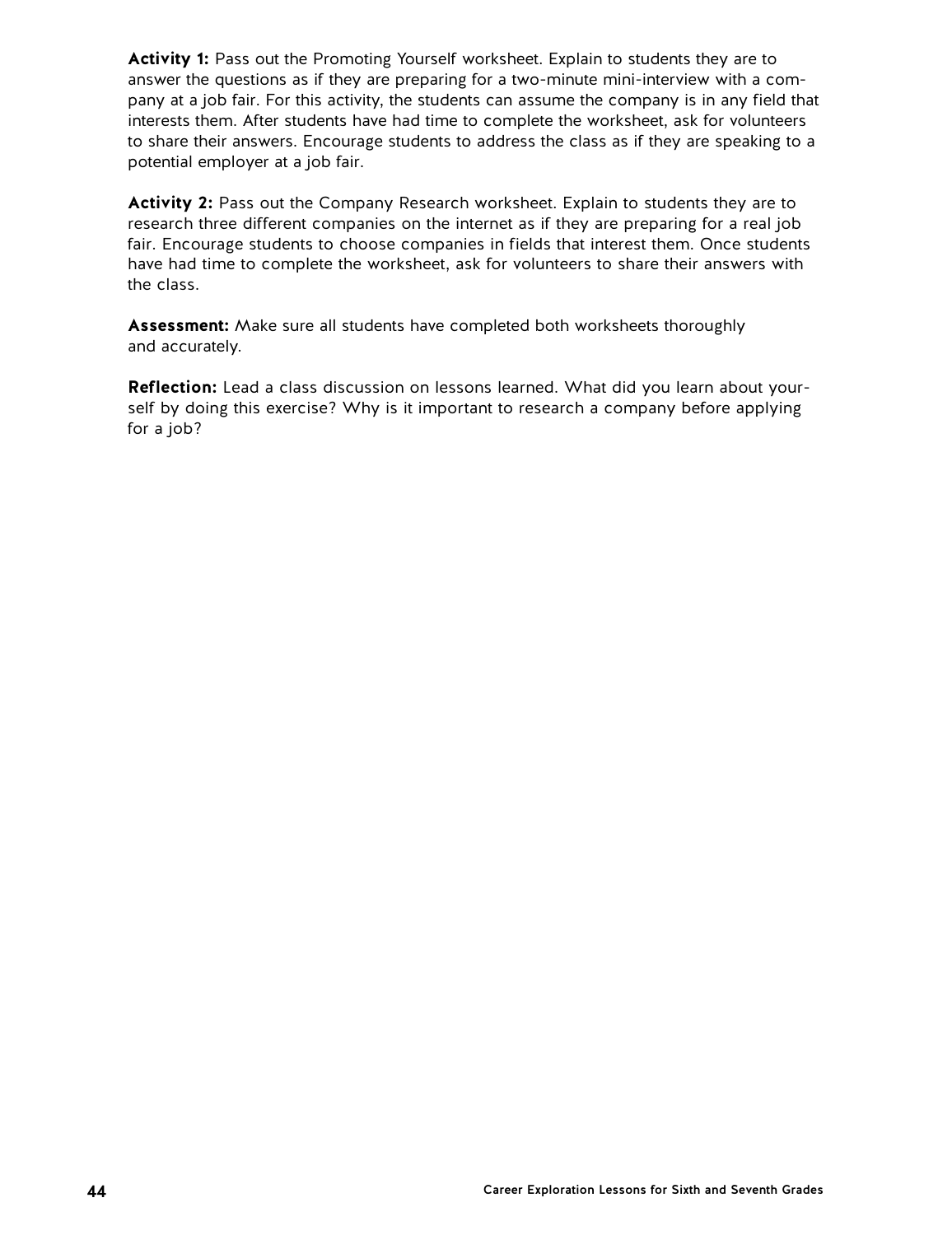**Activity 1:** Pass out the Promoting Yourself worksheet. Explain to students they are to answer the questions as if they are preparing for a two-minute mini-interview with a company at a job fair. For this activity, the students can assume the company is in any field that interests them. After students have had time to complete the worksheet, ask for volunteers to share their answers. Encourage students to address the class as if they are speaking to a potential employer at a job fair.

**Activity 2:** Pass out the Company Research worksheet. Explain to students they are to research three different companies on the internet as if they are preparing for a real job fair. Encourage students to choose companies in fields that interest them. Once students have had time to complete the worksheet, ask for volunteers to share their answers with the class.

**Assessment:** Make sure all students have completed both worksheets thoroughly and accurately.

**Reflection:** Lead a class discussion on lessons learned. What did you learn about yourself by doing this exercise? Why is it important to research a company before applying for a job?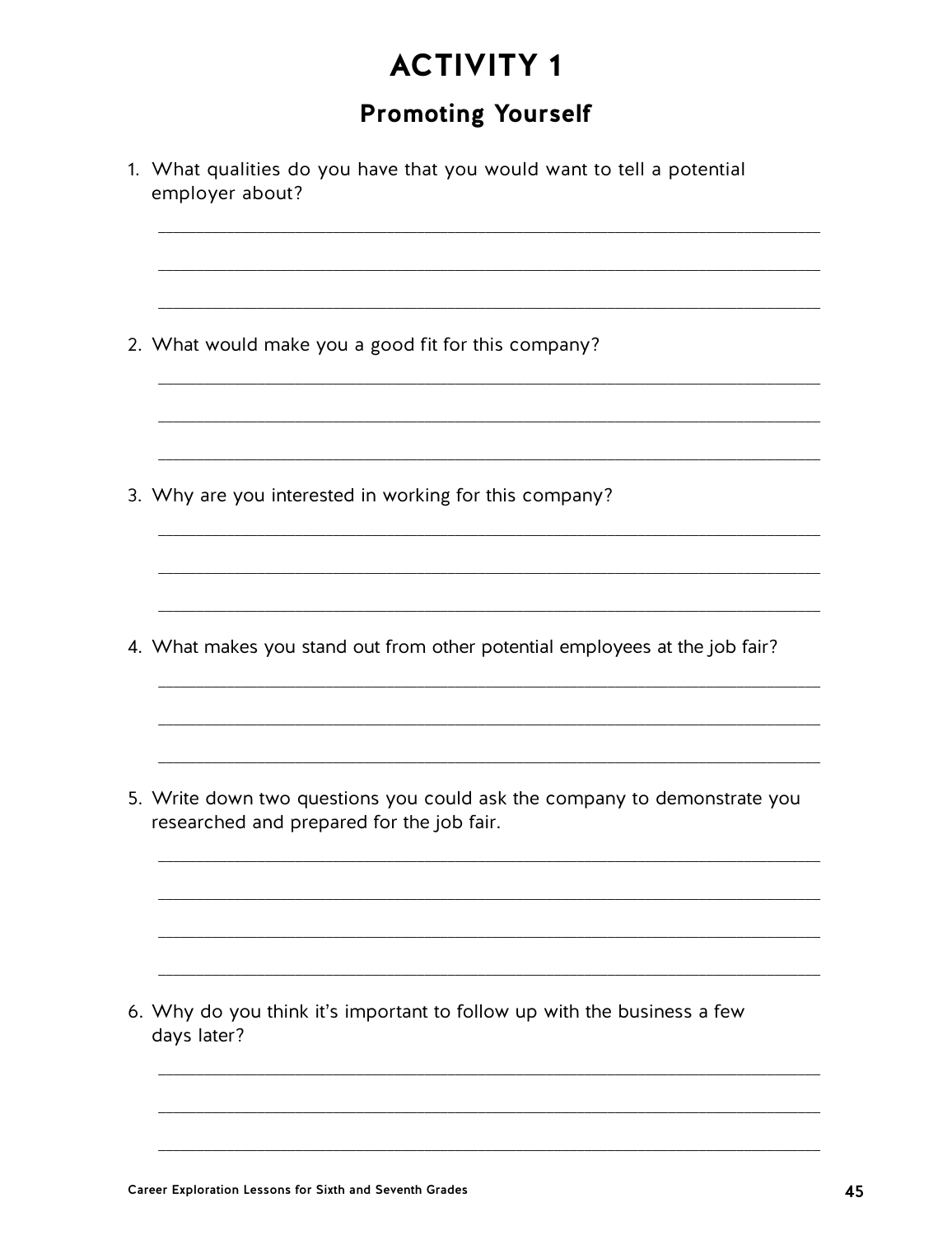# **Promoting Yourself**

| 1. What qualities do you have that you would want to tell a potential<br>employer about?                              |  |  |  |  |  |  |  |  |  |  |
|-----------------------------------------------------------------------------------------------------------------------|--|--|--|--|--|--|--|--|--|--|
| 2. What would make you a good fit for this company?                                                                   |  |  |  |  |  |  |  |  |  |  |
| 3. Why are you interested in working for this company?                                                                |  |  |  |  |  |  |  |  |  |  |
| 4. What makes you stand out from other potential employees at the job fair?                                           |  |  |  |  |  |  |  |  |  |  |
| 5. Write down two questions you could ask the company to demonstrate you<br>researched and prepared for the job fair. |  |  |  |  |  |  |  |  |  |  |
| 6. Why do you think it's important to follow up with the business a few<br>days later?                                |  |  |  |  |  |  |  |  |  |  |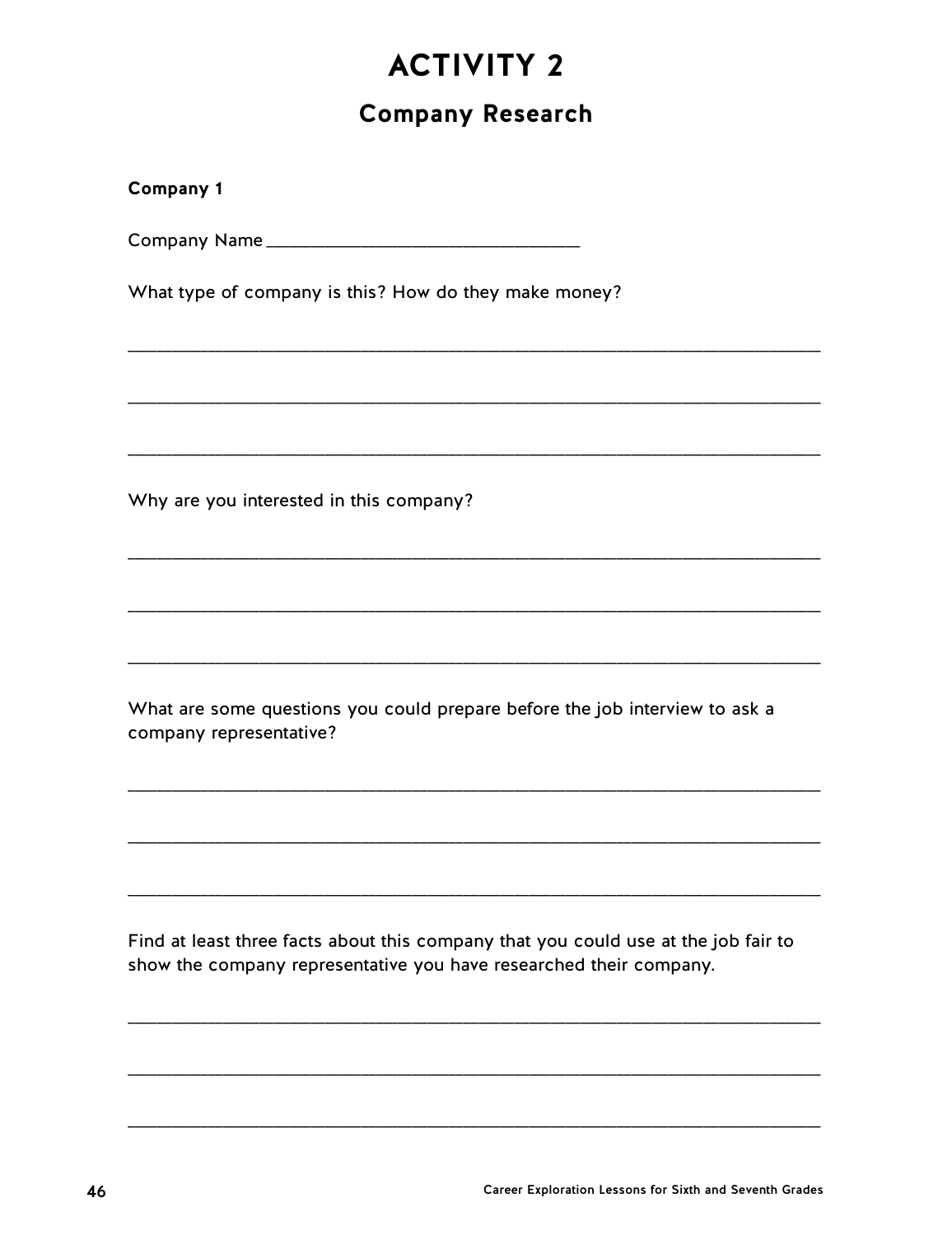# **Company Research**

| <b>Company 1</b>                                                                                                                                         |
|----------------------------------------------------------------------------------------------------------------------------------------------------------|
|                                                                                                                                                          |
| What type of company is this? How do they make money?                                                                                                    |
|                                                                                                                                                          |
|                                                                                                                                                          |
| Why are you interested in this company?                                                                                                                  |
|                                                                                                                                                          |
|                                                                                                                                                          |
| What are some questions you could prepare before the job interview to ask a<br>company representative?                                                   |
|                                                                                                                                                          |
|                                                                                                                                                          |
| Find at least three facts about this company that you could use at the job fair to<br>show the company representative you have researched their company. |
|                                                                                                                                                          |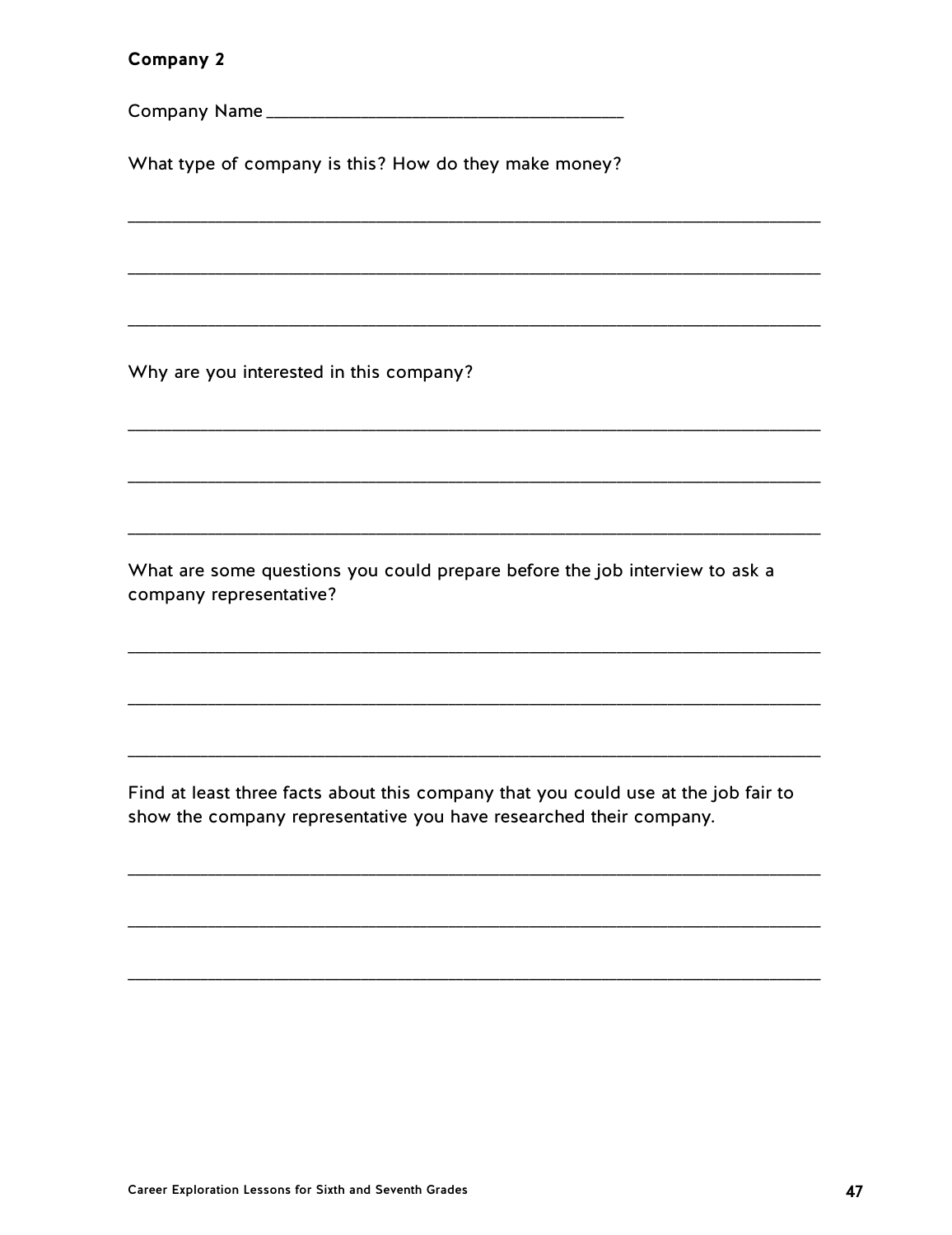### Company 2

What type of company is this? How do they make money?

Why are you interested in this company?

What are some questions you could prepare before the job interview to ask a company representative?

Find at least three facts about this company that you could use at the job fair to show the company representative you have researched their company.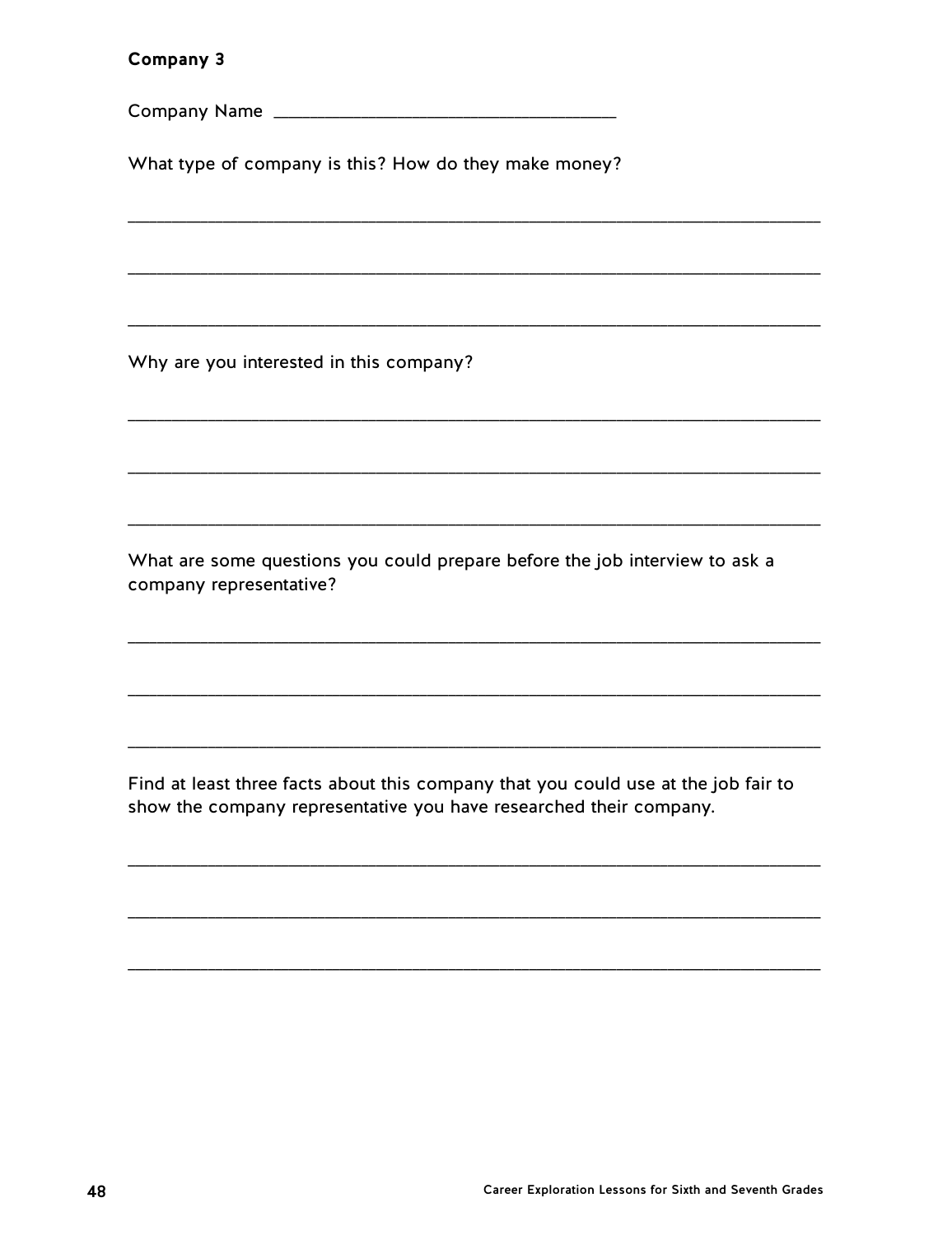### Company 3

What type of company is this? How do they make money?

Why are you interested in this company?

What are some questions you could prepare before the job interview to ask a company representative?

Find at least three facts about this company that you could use at the job fair to show the company representative you have researched their company.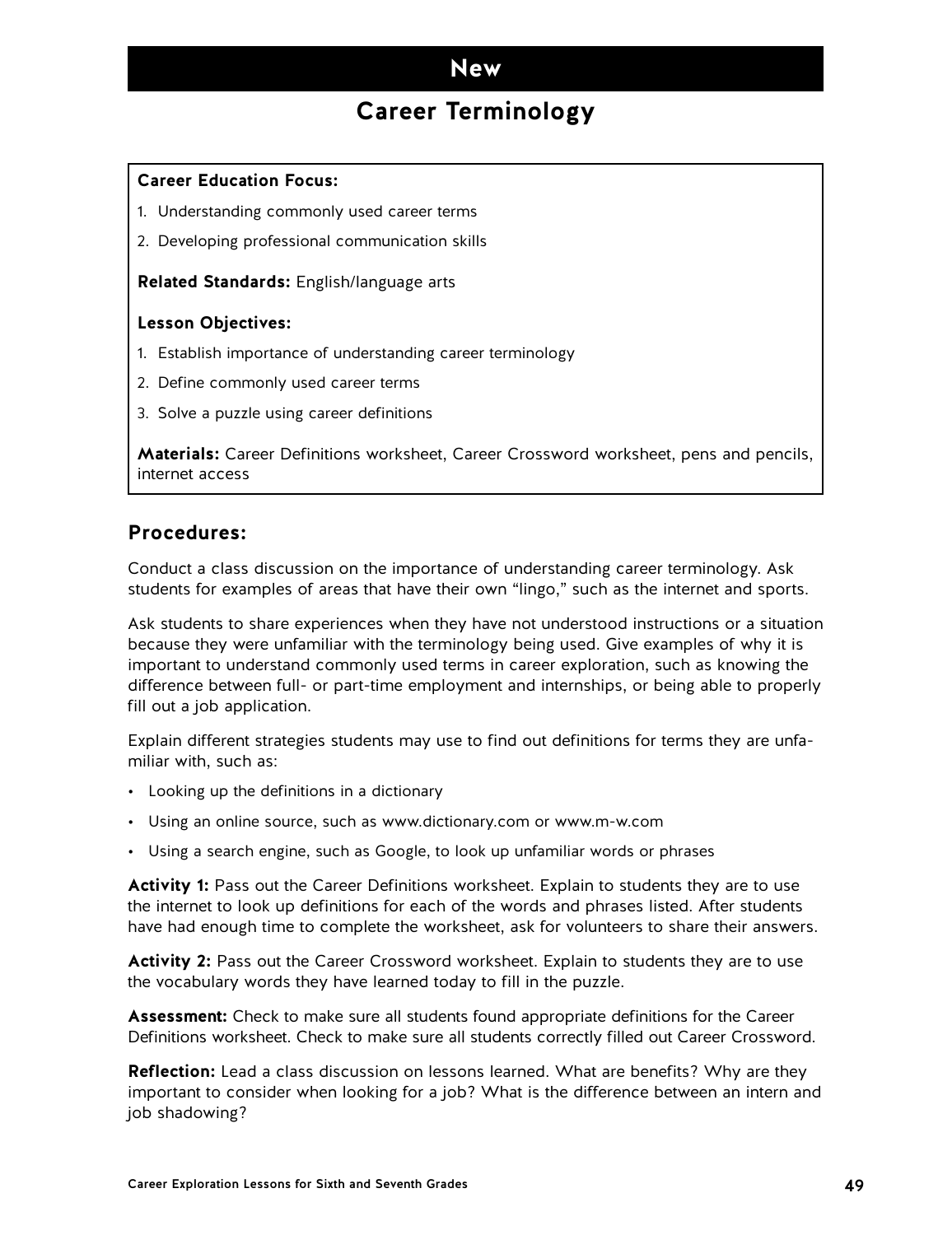## **Career Terminology**

### **Career Education Focus:**

- 1. Understanding commonly used career terms
- 2. Developing professional communication skills

**Related Standards:** English/language arts

#### **Lesson Objectives:**

- 1. Establish importance of understanding career terminology
- 2. Define commonly used career terms
- 3. Solve a puzzle using career definitions

**Materials:** Career Definitions worksheet, Career Crossword worksheet, pens and pencils, internet access

## **Procedures:**

Conduct a class discussion on the importance of understanding career terminology. Ask students for examples of areas that have their own "lingo," such as the internet and sports.

Ask students to share experiences when they have not understood instructions or a situation because they were unfamiliar with the terminology being used. Give examples of why it is important to understand commonly used terms in career exploration, such as knowing the difference between full- or part-time employment and internships, or being able to properly fill out a job application.

Explain different strategies students may use to find out definitions for terms they are unfamiliar with, such as:

- Looking up the definitions in a dictionary
- Using an online source, such as www.dictionary.com or www.m-w.com
- Using a search engine, such as Google, to look up unfamiliar words or phrases

**Activity 1:** Pass out the Career Definitions worksheet. Explain to students they are to use the internet to look up definitions for each of the words and phrases listed. After students have had enough time to complete the worksheet, ask for volunteers to share their answers.

**Activity 2:** Pass out the Career Crossword worksheet. Explain to students they are to use the vocabulary words they have learned today to fill in the puzzle.

**Assessment:** Check to make sure all students found appropriate definitions for the Career Definitions worksheet. Check to make sure all students correctly filled out Career Crossword.

**Reflection:** Lead a class discussion on lessons learned. What are benefits? Why are they important to consider when looking for a job? What is the difference between an intern and job shadowing?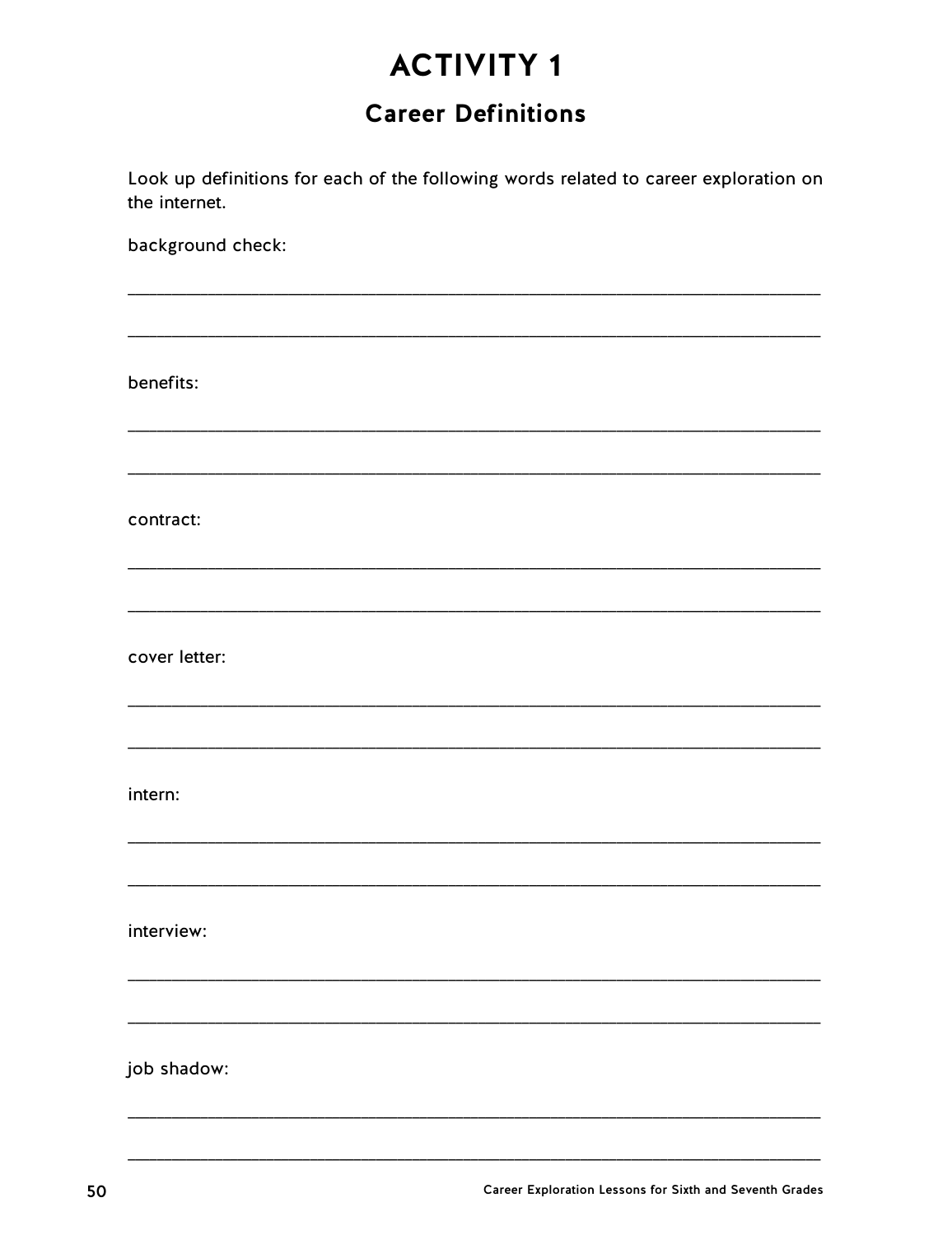# **Career Definitions**

Look up definitions for each of the following words related to career exploration on the internet.

background check:

benefits: contract: cover letter: intern: interview:

job shadow: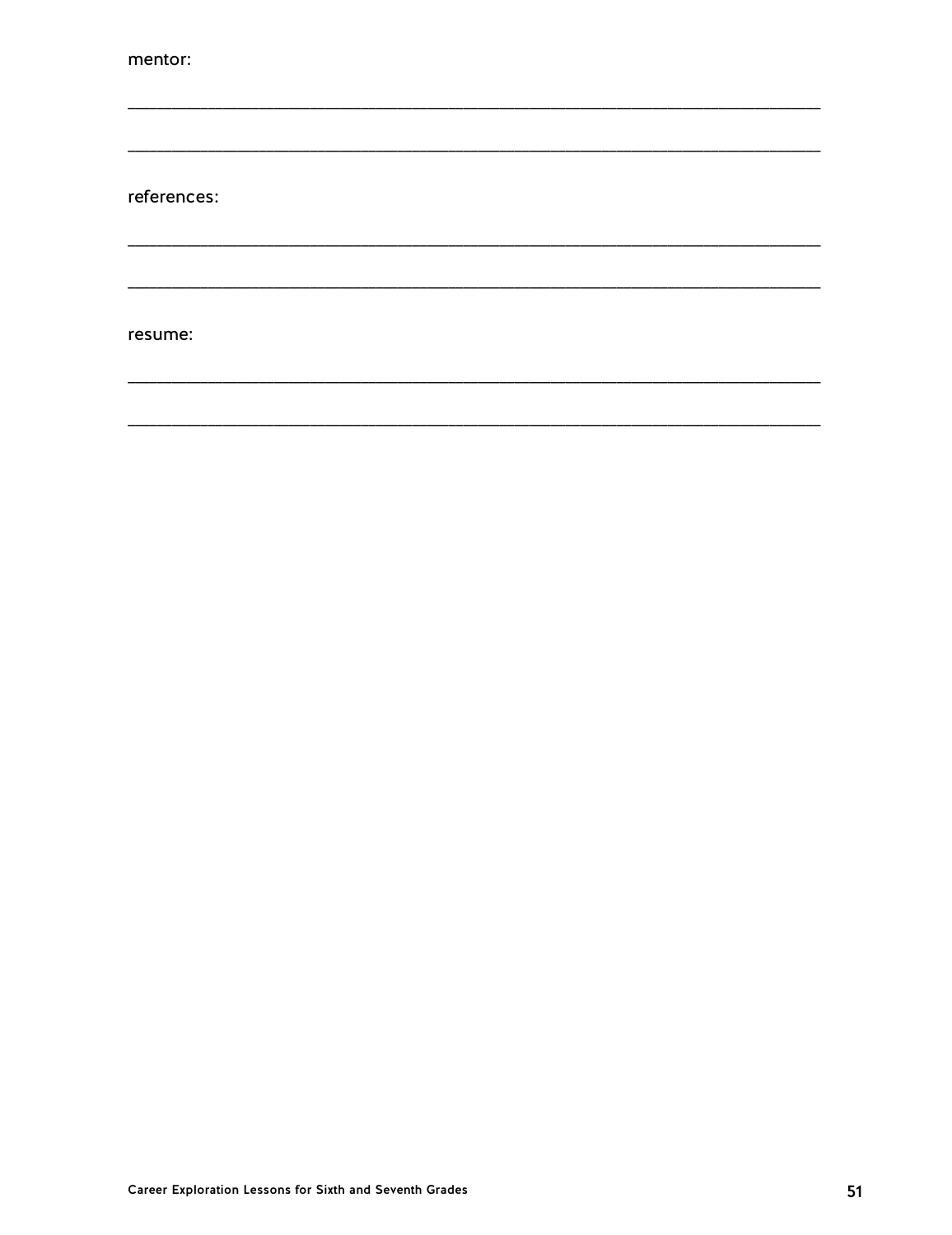mentor:

references:

resume: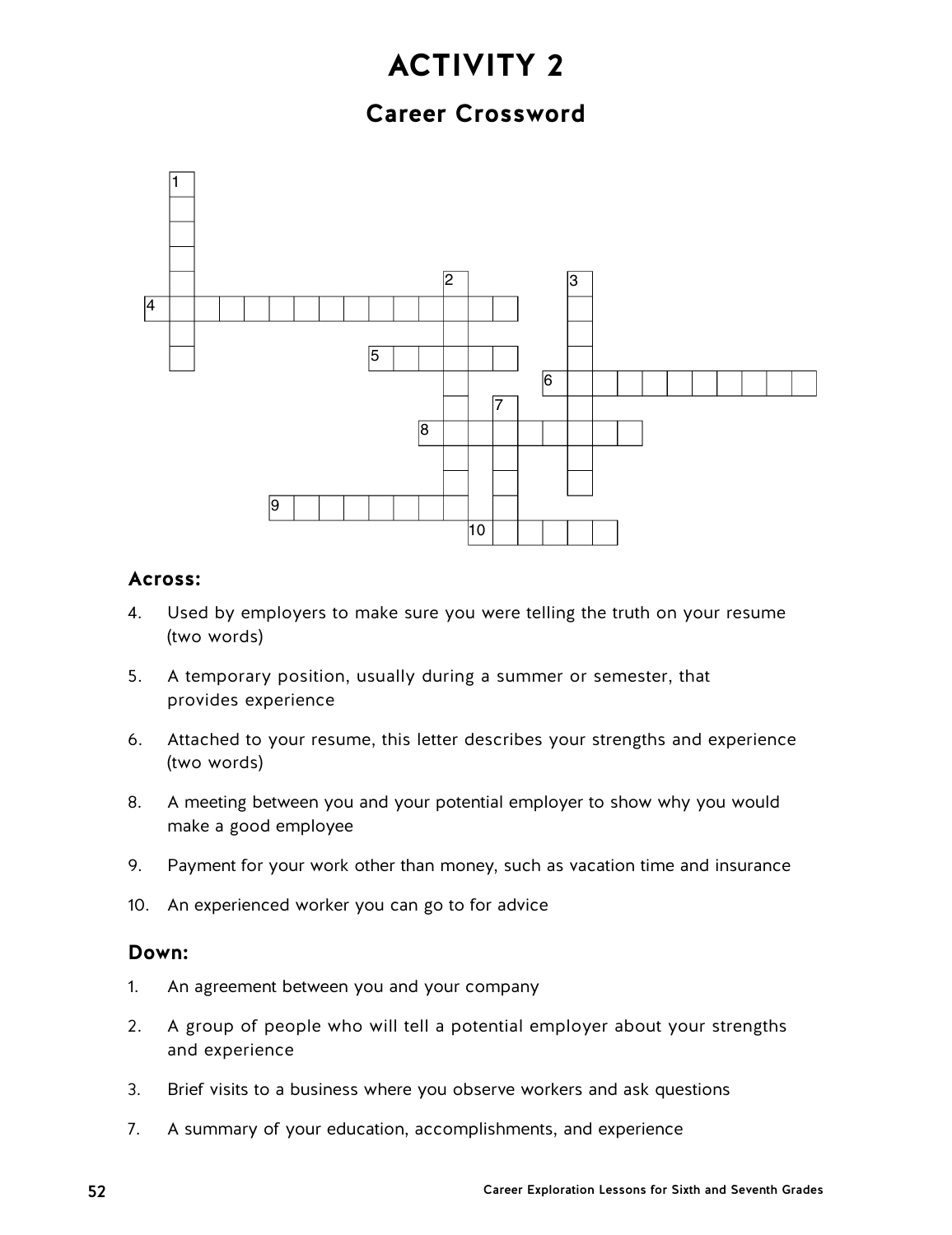# **Career Crossword**



## **Across:**

- 4. Used by employers to make sure you were telling the truth on your resume (two words)
- 5. A temporary position, usually during a summer or semester, that provides experience
- 6. Attached to your resume, this letter describes your strengths and experience (two words)
- 8. A meeting between you and your potential employer to show why you would make a good employee
- 9. Payment for your work other than money, such as vacation time and insurance
- 10. An experienced worker you can go to for advice

## **Down:**

- 1. An agreement between you and your company
- 2. A group of people who will tell a potential employer about your strengths and experience
- 3. Brief visits to a business where you observe workers and ask questions
- 7. A summary of your education, accomplishments, and experience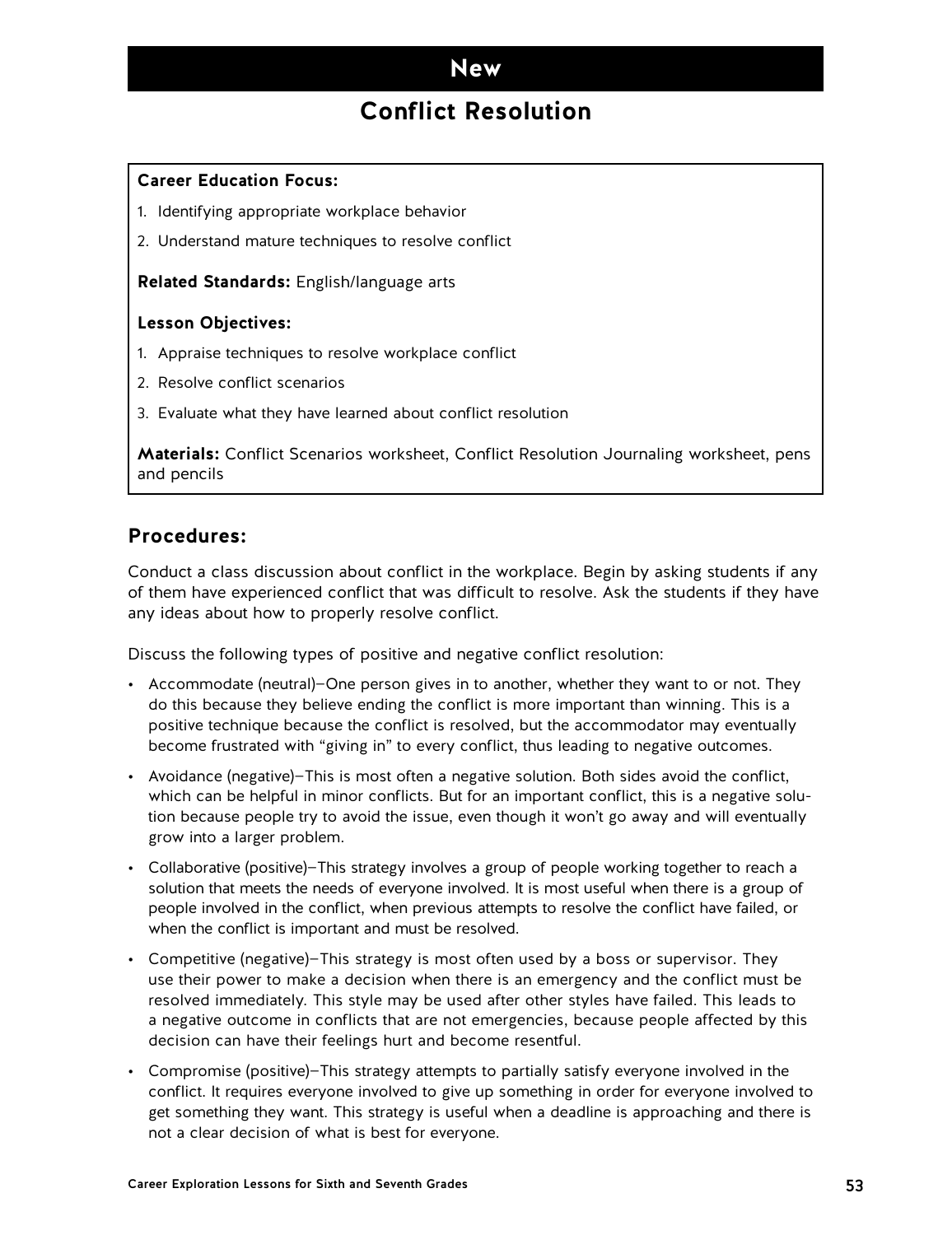# **Conflict Resolution**

### **Career Education Focus:**

- 1. Identifying appropriate workplace behavior
- 2. Understand mature techniques to resolve conflict

#### **Related Standards:** English/language arts

### **Lesson Objectives:**

- 1. Appraise techniques to resolve workplace conflict
- 2. Resolve conflict scenarios
- 3. Evaluate what they have learned about conflict resolution

**Materials:** Conflict Scenarios worksheet, Conflict Resolution Journaling worksheet, pens and pencils

### **Procedures:**

Conduct a class discussion about conflict in the workplace. Begin by asking students if any of them have experienced conflict that was difficult to resolve. Ask the students if they have any ideas about how to properly resolve conflict.

Discuss the following types of positive and negative conflict resolution:

- Accommodate (neutral)—One person gives in to another, whether they want to or not. They do this because they believe ending the conflict is more important than winning. This is a positive technique because the conflict is resolved, but the accommodator may eventually become frustrated with "giving in" to every conflict, thus leading to negative outcomes.
- Avoidance (negative)—This is most often a negative solution. Both sides avoid the conflict, which can be helpful in minor conflicts. But for an important conflict, this is a negative solution because people try to avoid the issue, even though it won't go away and will eventually grow into a larger problem.
- Collaborative (positive)—This strategy involves a group of people working together to reach a solution that meets the needs of everyone involved. It is most useful when there is a group of people involved in the conflict, when previous attempts to resolve the conflict have failed, or when the conflict is important and must be resolved.
- Competitive (negative)—This strategy is most often used by a boss or supervisor. They use their power to make a decision when there is an emergency and the conflict must be resolved immediately. This style may be used after other styles have failed. This leads to a negative outcome in conflicts that are not emergencies, because people affected by this decision can have their feelings hurt and become resentful.
- Compromise (positive)—This strategy attempts to partially satisfy everyone involved in the conflict. It requires everyone involved to give up something in order for everyone involved to get something they want. This strategy is useful when a deadline is approaching and there is not a clear decision of what is best for everyone.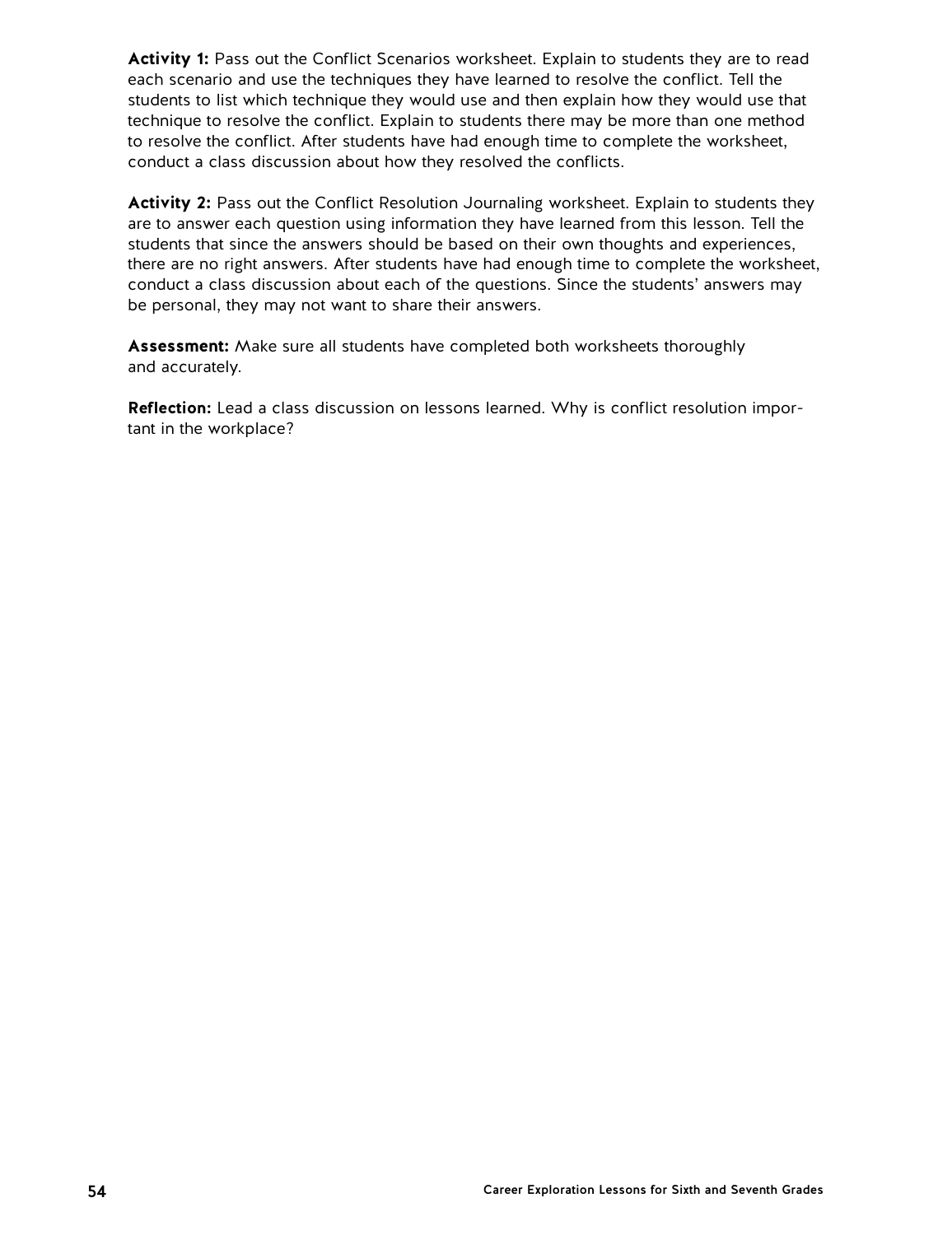Activity 1: Pass out the Conflict Scenarios worksheet. Explain to students they are to read each scenario and use the techniques they have learned to resolve the conflict. Tell the students to list which technique they would use and then explain how they would use that technique to resolve the conflict. Explain to students there may be more than one method to resolve the conflict. After students have had enough time to complete the worksheet, conduct a class discussion about how they resolved the conflicts.

**Activity 2:** Pass out the Conflict Resolution Journaling worksheet. Explain to students they are to answer each question using information they have learned from this lesson. Tell the students that since the answers should be based on their own thoughts and experiences, there are no right answers. After students have had enough time to complete the worksheet, conduct a class discussion about each of the questions. Since the students' answers may be personal, they may not want to share their answers.

**Assessment:** Make sure all students have completed both worksheets thoroughly and accurately.

**Reflection:** Lead a class discussion on lessons learned. Why is conflict resolution important in the workplace?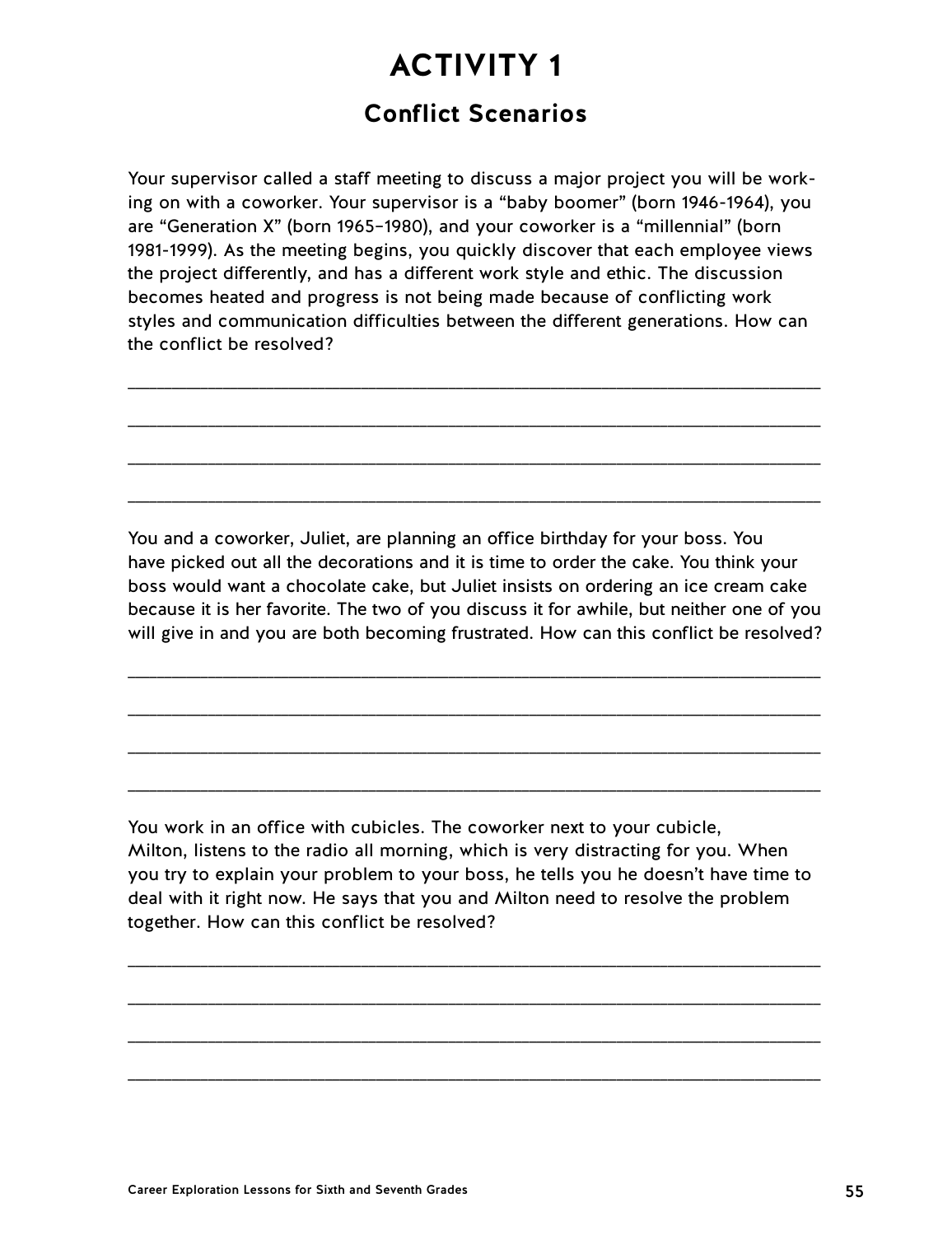# **ACTIVITY 1 Conflict Scenarios**

Your supervisor called a staff meeting to discuss a major project you will be working on with a coworker. Your supervisor is a "baby boomer" (born 1946-1964), you are "Generation X" (born 1965–1980), and your coworker is a "millennial" (born 1981-1999). As the meeting begins, you quickly discover that each employee views the project differently, and has a different work style and ethic. The discussion becomes heated and progress is not being made because of conflicting work styles and communication difficulties between the different generations. How can the conflict be resolved?

\_\_\_\_\_\_\_\_\_\_\_\_\_\_\_\_\_\_\_\_\_\_\_\_\_\_\_\_\_\_\_\_\_\_\_\_\_\_\_\_\_\_\_\_\_\_\_\_\_\_\_\_\_\_\_\_\_\_\_\_\_\_\_\_\_\_\_\_\_\_\_\_\_\_\_\_\_\_\_\_\_\_\_\_\_\_\_\_\_\_\_\_\_\_\_

\_\_\_\_\_\_\_\_\_\_\_\_\_\_\_\_\_\_\_\_\_\_\_\_\_\_\_\_\_\_\_\_\_\_\_\_\_\_\_\_\_\_\_\_\_\_\_\_\_\_\_\_\_\_\_\_\_\_\_\_\_\_\_\_\_\_\_\_\_\_\_\_\_\_\_\_\_\_\_\_\_\_\_\_\_\_\_\_\_\_\_\_\_\_\_

\_\_\_\_\_\_\_\_\_\_\_\_\_\_\_\_\_\_\_\_\_\_\_\_\_\_\_\_\_\_\_\_\_\_\_\_\_\_\_\_\_\_\_\_\_\_\_\_\_\_\_\_\_\_\_\_\_\_\_\_\_\_\_\_\_\_\_\_\_\_\_\_\_\_\_\_\_\_\_\_\_\_\_\_\_\_\_\_\_\_\_\_\_\_\_

\_\_\_\_\_\_\_\_\_\_\_\_\_\_\_\_\_\_\_\_\_\_\_\_\_\_\_\_\_\_\_\_\_\_\_\_\_\_\_\_\_\_\_\_\_\_\_\_\_\_\_\_\_\_\_\_\_\_\_\_\_\_\_\_\_\_\_\_\_\_\_\_\_\_\_\_\_\_\_\_\_\_\_\_\_\_\_\_\_\_\_\_\_\_\_

You and a coworker, Juliet, are planning an office birthday for your boss. You have picked out all the decorations and it is time to order the cake. You think your boss would want a chocolate cake, but Juliet insists on ordering an ice cream cake because it is her favorite. The two of you discuss it for awhile, but neither one of you will give in and you are both becoming frustrated. How can this conflict be resolved?

\_\_\_\_\_\_\_\_\_\_\_\_\_\_\_\_\_\_\_\_\_\_\_\_\_\_\_\_\_\_\_\_\_\_\_\_\_\_\_\_\_\_\_\_\_\_\_\_\_\_\_\_\_\_\_\_\_\_\_\_\_\_\_\_\_\_\_\_\_\_\_\_\_\_\_\_\_\_\_\_\_\_\_\_\_\_\_\_\_\_\_\_\_\_\_

\_\_\_\_\_\_\_\_\_\_\_\_\_\_\_\_\_\_\_\_\_\_\_\_\_\_\_\_\_\_\_\_\_\_\_\_\_\_\_\_\_\_\_\_\_\_\_\_\_\_\_\_\_\_\_\_\_\_\_\_\_\_\_\_\_\_\_\_\_\_\_\_\_\_\_\_\_\_\_\_\_\_\_\_\_\_\_\_\_\_\_\_\_\_\_

\_\_\_\_\_\_\_\_\_\_\_\_\_\_\_\_\_\_\_\_\_\_\_\_\_\_\_\_\_\_\_\_\_\_\_\_\_\_\_\_\_\_\_\_\_\_\_\_\_\_\_\_\_\_\_\_\_\_\_\_\_\_\_\_\_\_\_\_\_\_\_\_\_\_\_\_\_\_\_\_\_\_\_\_\_\_\_\_\_\_\_\_\_\_\_

\_\_\_\_\_\_\_\_\_\_\_\_\_\_\_\_\_\_\_\_\_\_\_\_\_\_\_\_\_\_\_\_\_\_\_\_\_\_\_\_\_\_\_\_\_\_\_\_\_\_\_\_\_\_\_\_\_\_\_\_\_\_\_\_\_\_\_\_\_\_\_\_\_\_\_\_\_\_\_\_\_\_\_\_\_\_\_\_\_\_\_\_\_\_\_

You work in an office with cubicles. The coworker next to your cubicle, Milton, listens to the radio all morning, which is very distracting for you. When you try to explain your problem to your boss, he tells you he doesn't have time to deal with it right now. He says that you and Milton need to resolve the problem together. How can this conflict be resolved?

\_\_\_\_\_\_\_\_\_\_\_\_\_\_\_\_\_\_\_\_\_\_\_\_\_\_\_\_\_\_\_\_\_\_\_\_\_\_\_\_\_\_\_\_\_\_\_\_\_\_\_\_\_\_\_\_\_\_\_\_\_\_\_\_\_\_\_\_\_\_\_\_\_\_\_\_\_\_\_\_\_\_\_\_\_\_\_\_\_\_\_\_\_\_\_

\_\_\_\_\_\_\_\_\_\_\_\_\_\_\_\_\_\_\_\_\_\_\_\_\_\_\_\_\_\_\_\_\_\_\_\_\_\_\_\_\_\_\_\_\_\_\_\_\_\_\_\_\_\_\_\_\_\_\_\_\_\_\_\_\_\_\_\_\_\_\_\_\_\_\_\_\_\_\_\_\_\_\_\_\_\_\_\_\_\_\_\_\_\_\_

\_\_\_\_\_\_\_\_\_\_\_\_\_\_\_\_\_\_\_\_\_\_\_\_\_\_\_\_\_\_\_\_\_\_\_\_\_\_\_\_\_\_\_\_\_\_\_\_\_\_\_\_\_\_\_\_\_\_\_\_\_\_\_\_\_\_\_\_\_\_\_\_\_\_\_\_\_\_\_\_\_\_\_\_\_\_\_\_\_\_\_\_\_\_\_

\_\_\_\_\_\_\_\_\_\_\_\_\_\_\_\_\_\_\_\_\_\_\_\_\_\_\_\_\_\_\_\_\_\_\_\_\_\_\_\_\_\_\_\_\_\_\_\_\_\_\_\_\_\_\_\_\_\_\_\_\_\_\_\_\_\_\_\_\_\_\_\_\_\_\_\_\_\_\_\_\_\_\_\_\_\_\_\_\_\_\_\_\_\_\_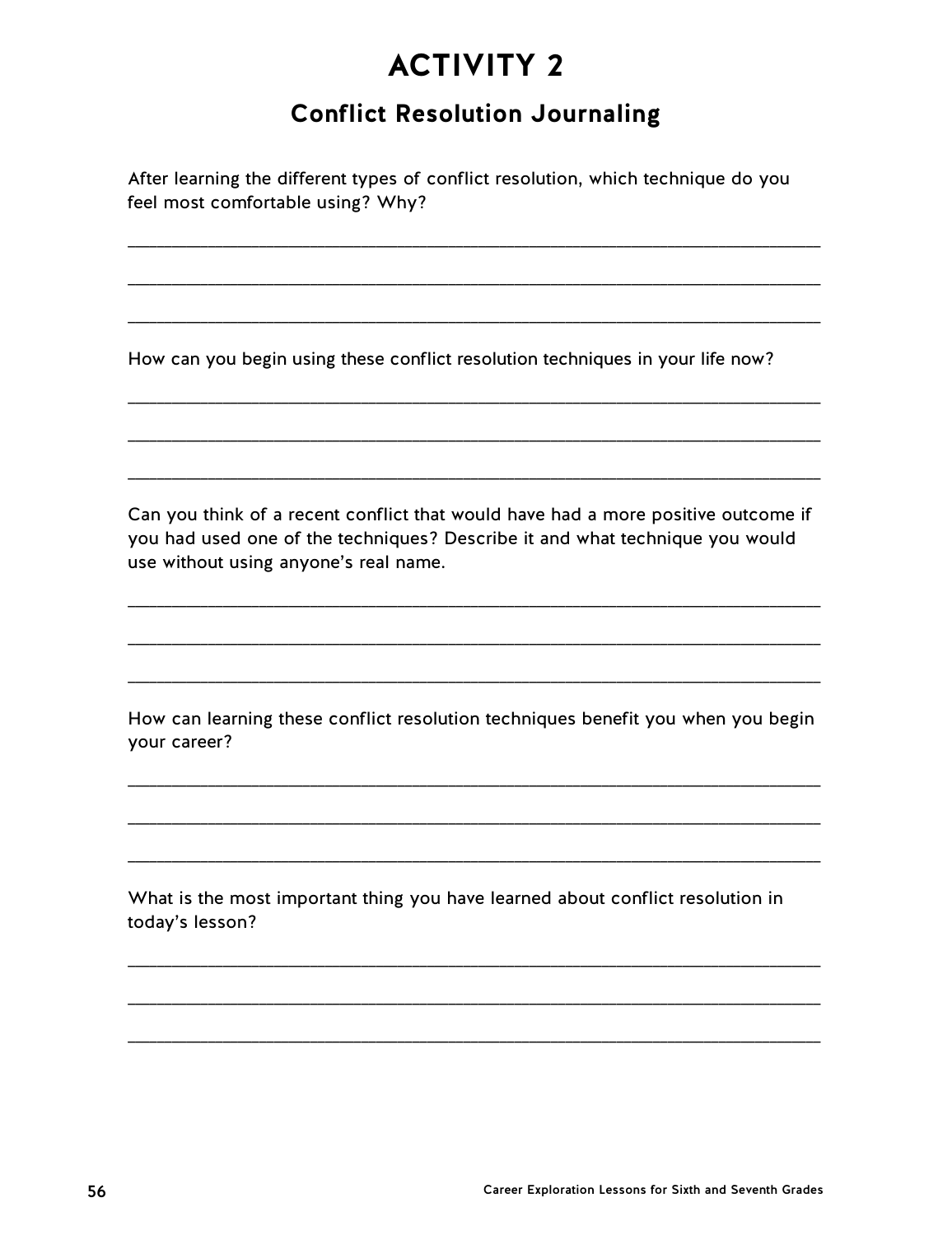# **Conflict Resolution Journaling**

After learning the different types of conflict resolution, which technique do you feel most comfortable using? Why?

How can you begin using these conflict resolution techniques in your life now?

Can you think of a recent conflict that would have had a more positive outcome if you had used one of the techniques? Describe it and what technique you would use without using anyone's real name.

How can learning these conflict resolution techniques benefit you when you begin your career?

What is the most important thing you have learned about conflict resolution in today's lesson?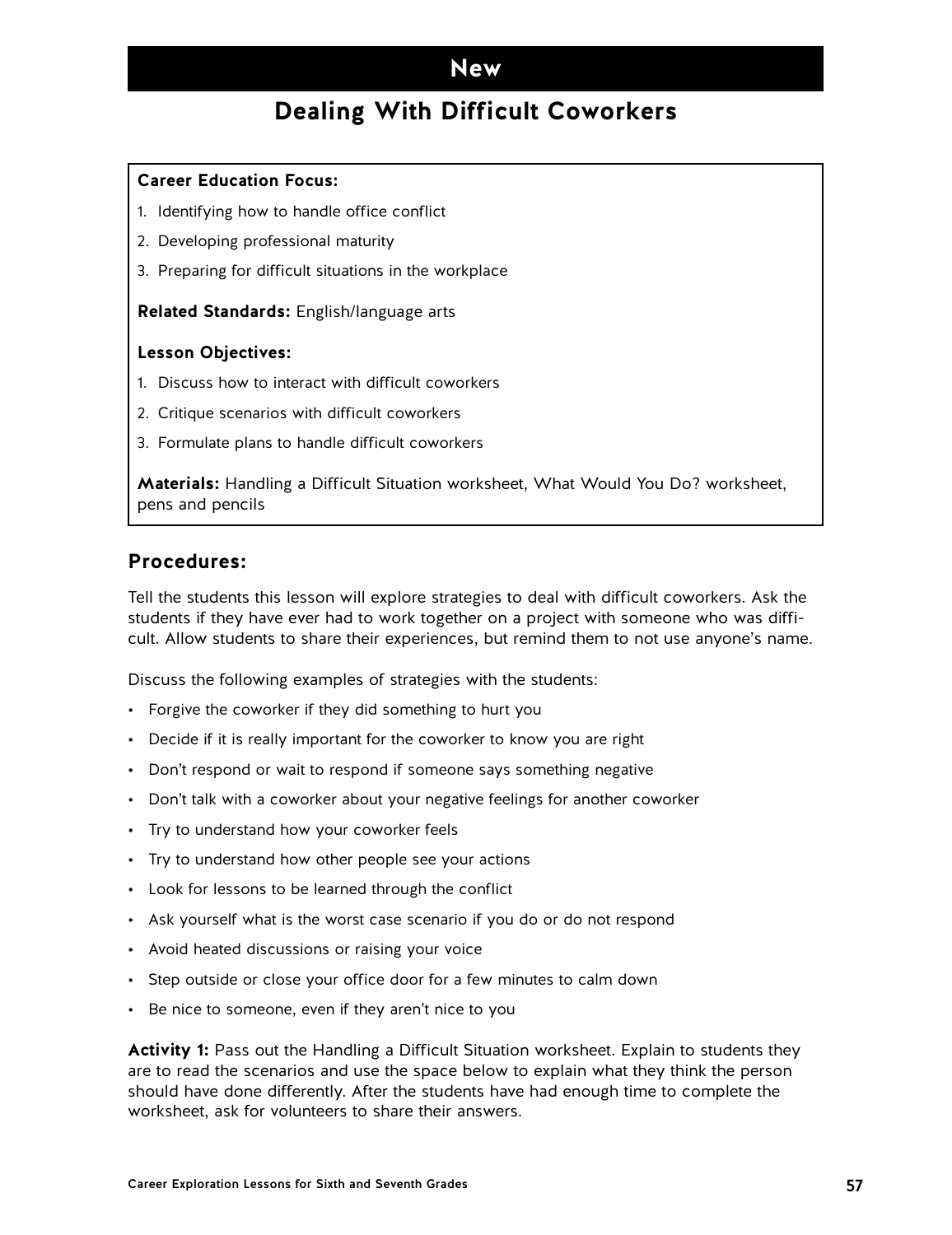# **Dealing With Difficult Coworkers**

#### **Career Education Focus:**

- 1. Identifying how to handle office conflict
- 2. Developing professional maturity
- 3. Preparing for difficult situations in the workplace

#### **Related Standards:** English/language arts

#### **Lesson Objectives:**

- 1. Discuss how to interact with difficult coworkers
- 2. Critique scenarios with difficult coworkers
- 3. Formulate plans to handle difficult coworkers

**Materials:** Handling a Difficult Situation worksheet, What Would You Do? worksheet, pens and pencils

## **Procedures:**

Tell the students this lesson will explore strategies to deal with difficult coworkers. Ask the students if they have ever had to work together on a project with someone who was difficult. Allow students to share their experiences, but remind them to not use anyone's name.

Discuss the following examples of strategies with the students:

- Forgive the coworker if they did something to hurt you
- Decide if it is really important for the coworker to know you are right
- Don't respond or wait to respond if someone says something negative
- Don't talk with a coworker about your negative feelings for another coworker
- Try to understand how your coworker feels
- Try to understand how other people see your actions
- Look for lessons to be learned through the conflict
- Ask yourself what is the worst case scenario if you do or do not respond
- Avoid heated discussions or raising your voice
- Step outside or close your office door for a few minutes to calm down
- Be nice to someone, even if they aren't nice to you

**Activity 1:** Pass out the Handling a Difficult Situation worksheet. Explain to students they are to read the scenarios and use the space below to explain what they think the person should have done differently. After the students have had enough time to complete the worksheet, ask for volunteers to share their answers.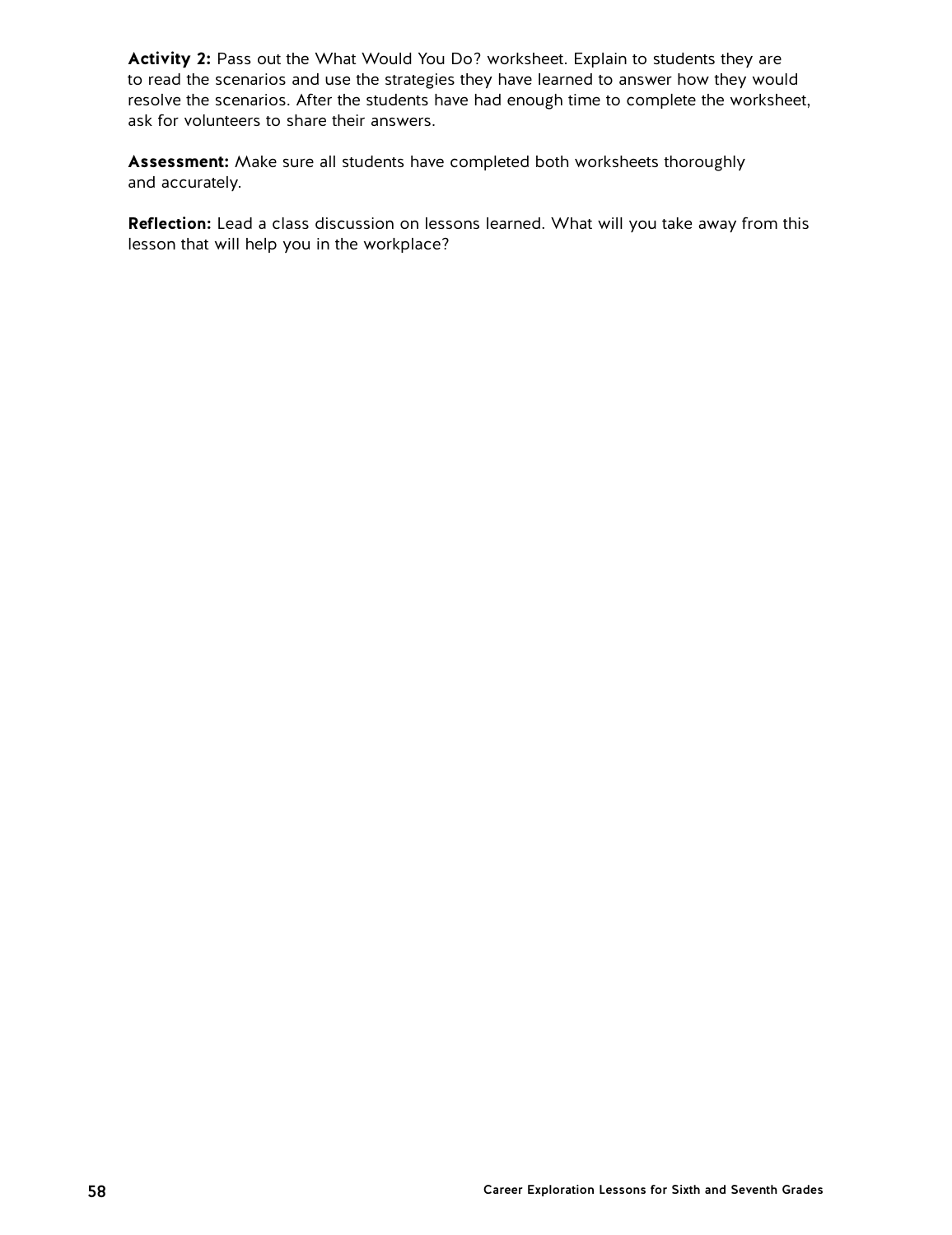**Activity 2:** Pass out the What Would You Do? worksheet. Explain to students they are to read the scenarios and use the strategies they have learned to answer how they would resolve the scenarios. After the students have had enough time to complete the worksheet, ask for volunteers to share their answers.

**Assessment:** Make sure all students have completed both worksheets thoroughly and accurately.

**Reflection:** Lead a class discussion on lessons learned. What will you take away from this lesson that will help you in the workplace?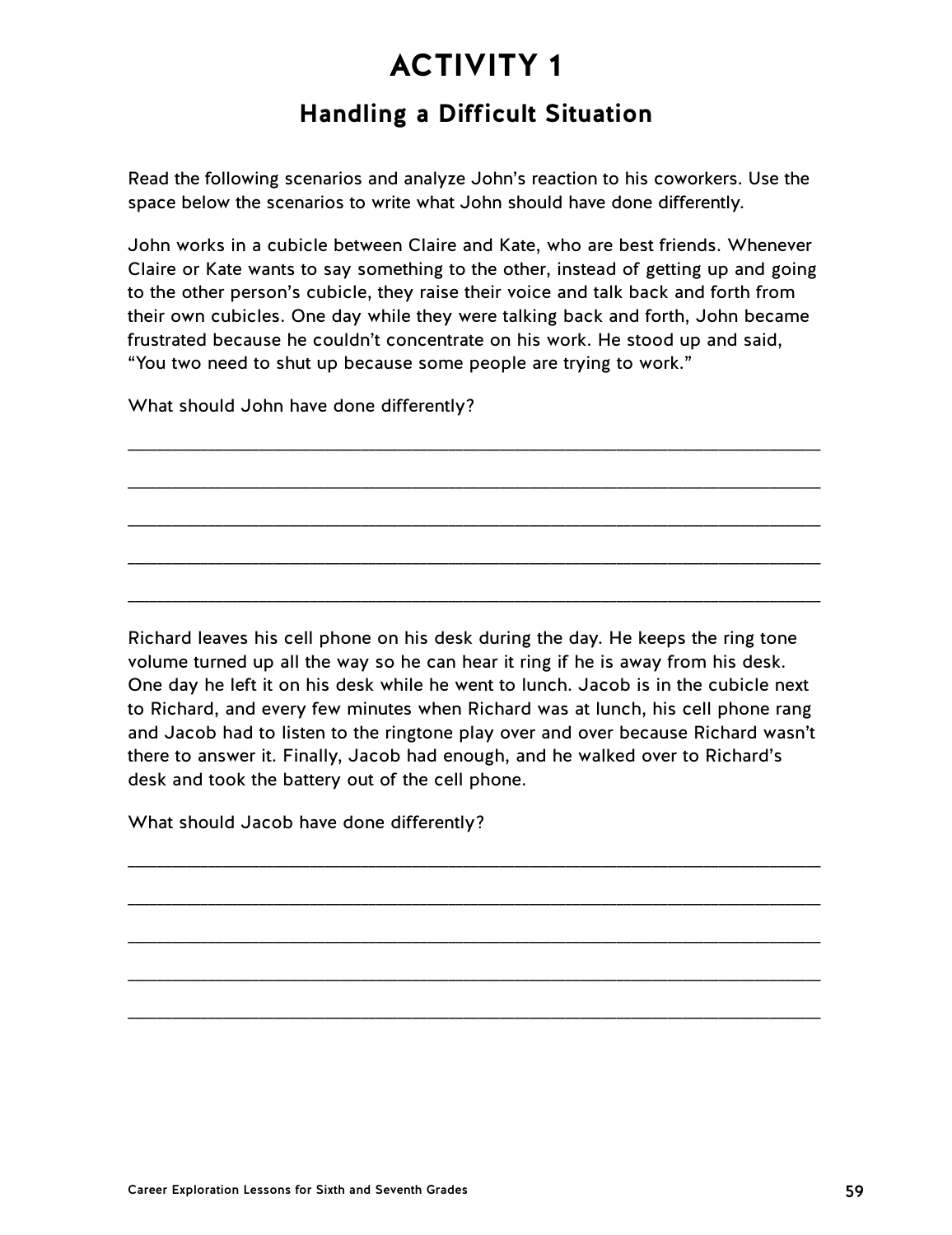# **Handling a Difficult Situation**

Read the following scenarios and analyze John's reaction to his coworkers. Use the space below the scenarios to write what John should have done differently.

John works in a cubicle between Claire and Kate, who are best friends. Whenever Claire or Kate wants to say something to the other, instead of getting up and going to the other person's cubicle, they raise their voice and talk back and forth from their own cubicles. One day while they were talking back and forth, John became frustrated because he couldn't concentrate on his work. He stood up and said, "You two need to shut up because some people are trying to work."

\_\_\_\_\_\_\_\_\_\_\_\_\_\_\_\_\_\_\_\_\_\_\_\_\_\_\_\_\_\_\_\_\_\_\_\_\_\_\_\_\_\_\_\_\_\_\_\_\_\_\_\_\_\_\_\_\_\_\_\_\_\_\_\_\_\_\_\_\_\_\_\_\_\_\_\_\_\_\_\_\_\_\_\_\_\_\_\_\_\_\_\_\_\_\_

\_\_\_\_\_\_\_\_\_\_\_\_\_\_\_\_\_\_\_\_\_\_\_\_\_\_\_\_\_\_\_\_\_\_\_\_\_\_\_\_\_\_\_\_\_\_\_\_\_\_\_\_\_\_\_\_\_\_\_\_\_\_\_\_\_\_\_\_\_\_\_\_\_\_\_\_\_\_\_\_\_\_\_\_\_\_\_\_\_\_\_\_\_\_\_

\_\_\_\_\_\_\_\_\_\_\_\_\_\_\_\_\_\_\_\_\_\_\_\_\_\_\_\_\_\_\_\_\_\_\_\_\_\_\_\_\_\_\_\_\_\_\_\_\_\_\_\_\_\_\_\_\_\_\_\_\_\_\_\_\_\_\_\_\_\_\_\_\_\_\_\_\_\_\_\_\_\_\_\_\_\_\_\_\_\_\_\_\_\_\_

\_\_\_\_\_\_\_\_\_\_\_\_\_\_\_\_\_\_\_\_\_\_\_\_\_\_\_\_\_\_\_\_\_\_\_\_\_\_\_\_\_\_\_\_\_\_\_\_\_\_\_\_\_\_\_\_\_\_\_\_\_\_\_\_\_\_\_\_\_\_\_\_\_\_\_\_\_\_\_\_\_\_\_\_\_\_\_\_\_\_\_\_\_\_\_

\_\_\_\_\_\_\_\_\_\_\_\_\_\_\_\_\_\_\_\_\_\_\_\_\_\_\_\_\_\_\_\_\_\_\_\_\_\_\_\_\_\_\_\_\_\_\_\_\_\_\_\_\_\_\_\_\_\_\_\_\_\_\_\_\_\_\_\_\_\_\_\_\_\_\_\_\_\_\_\_\_\_\_\_\_\_\_\_\_\_\_\_\_\_\_

What should John have done differently?

Richard leaves his cell phone on his desk during the day. He keeps the ring tone volume turned up all the way so he can hear it ring if he is away from his desk. One day he left it on his desk while he went to lunch. Jacob is in the cubicle next to Richard, and every few minutes when Richard was at lunch, his cell phone rang and Jacob had to listen to the ringtone play over and over because Richard wasn't there to answer it. Finally, Jacob had enough, and he walked over to Richard's desk and took the battery out of the cell phone.

\_\_\_\_\_\_\_\_\_\_\_\_\_\_\_\_\_\_\_\_\_\_\_\_\_\_\_\_\_\_\_\_\_\_\_\_\_\_\_\_\_\_\_\_\_\_\_\_\_\_\_\_\_\_\_\_\_\_\_\_\_\_\_\_\_\_\_\_\_\_\_\_\_\_\_\_\_\_\_\_\_\_\_\_\_\_\_\_\_\_\_\_\_\_\_

\_\_\_\_\_\_\_\_\_\_\_\_\_\_\_\_\_\_\_\_\_\_\_\_\_\_\_\_\_\_\_\_\_\_\_\_\_\_\_\_\_\_\_\_\_\_\_\_\_\_\_\_\_\_\_\_\_\_\_\_\_\_\_\_\_\_\_\_\_\_\_\_\_\_\_\_\_\_\_\_\_\_\_\_\_\_\_\_\_\_\_\_\_\_\_

\_\_\_\_\_\_\_\_\_\_\_\_\_\_\_\_\_\_\_\_\_\_\_\_\_\_\_\_\_\_\_\_\_\_\_\_\_\_\_\_\_\_\_\_\_\_\_\_\_\_\_\_\_\_\_\_\_\_\_\_\_\_\_\_\_\_\_\_\_\_\_\_\_\_\_\_\_\_\_\_\_\_\_\_\_\_\_\_\_\_\_\_\_\_\_

\_\_\_\_\_\_\_\_\_\_\_\_\_\_\_\_\_\_\_\_\_\_\_\_\_\_\_\_\_\_\_\_\_\_\_\_\_\_\_\_\_\_\_\_\_\_\_\_\_\_\_\_\_\_\_\_\_\_\_\_\_\_\_\_\_\_\_\_\_\_\_\_\_\_\_\_\_\_\_\_\_\_\_\_\_\_\_\_\_\_\_\_\_\_\_

\_\_\_\_\_\_\_\_\_\_\_\_\_\_\_\_\_\_\_\_\_\_\_\_\_\_\_\_\_\_\_\_\_\_\_\_\_\_\_\_\_\_\_\_\_\_\_\_\_\_\_\_\_\_\_\_\_\_\_\_\_\_\_\_\_\_\_\_\_\_\_\_\_\_\_\_\_\_\_\_\_\_\_\_\_\_\_\_\_\_\_\_\_\_\_

What should Jacob have done differently?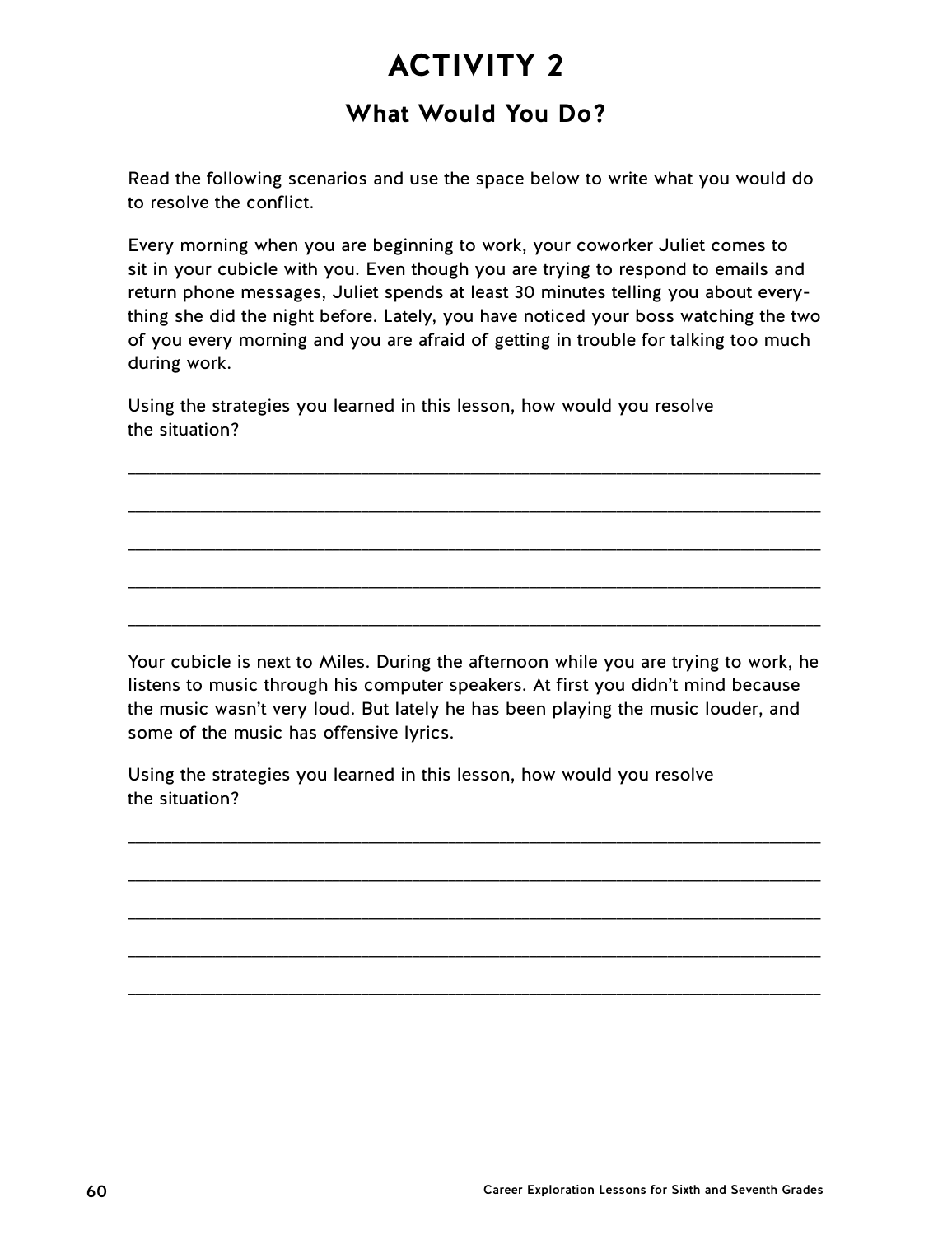## **What Would You Do?**

Read the following scenarios and use the space below to write what you would do to resolve the conflict.

Every morning when you are beginning to work, your coworker Juliet comes to sit in your cubicle with you. Even though you are trying to respond to emails and return phone messages, Juliet spends at least 30 minutes telling you about everything she did the night before. Lately, you have noticed your boss watching the two of you every morning and you are afraid of getting in trouble for talking too much during work.

\_\_\_\_\_\_\_\_\_\_\_\_\_\_\_\_\_\_\_\_\_\_\_\_\_\_\_\_\_\_\_\_\_\_\_\_\_\_\_\_\_\_\_\_\_\_\_\_\_\_\_\_\_\_\_\_\_\_\_\_\_\_\_\_\_\_\_\_\_\_\_\_\_\_\_\_\_\_\_\_\_\_\_\_\_\_\_\_\_\_\_\_\_\_\_

\_\_\_\_\_\_\_\_\_\_\_\_\_\_\_\_\_\_\_\_\_\_\_\_\_\_\_\_\_\_\_\_\_\_\_\_\_\_\_\_\_\_\_\_\_\_\_\_\_\_\_\_\_\_\_\_\_\_\_\_\_\_\_\_\_\_\_\_\_\_\_\_\_\_\_\_\_\_\_\_\_\_\_\_\_\_\_\_\_\_\_\_\_\_\_

\_\_\_\_\_\_\_\_\_\_\_\_\_\_\_\_\_\_\_\_\_\_\_\_\_\_\_\_\_\_\_\_\_\_\_\_\_\_\_\_\_\_\_\_\_\_\_\_\_\_\_\_\_\_\_\_\_\_\_\_\_\_\_\_\_\_\_\_\_\_\_\_\_\_\_\_\_\_\_\_\_\_\_\_\_\_\_\_\_\_\_\_\_\_\_

\_\_\_\_\_\_\_\_\_\_\_\_\_\_\_\_\_\_\_\_\_\_\_\_\_\_\_\_\_\_\_\_\_\_\_\_\_\_\_\_\_\_\_\_\_\_\_\_\_\_\_\_\_\_\_\_\_\_\_\_\_\_\_\_\_\_\_\_\_\_\_\_\_\_\_\_\_\_\_\_\_\_\_\_\_\_\_\_\_\_\_\_\_\_\_

\_\_\_\_\_\_\_\_\_\_\_\_\_\_\_\_\_\_\_\_\_\_\_\_\_\_\_\_\_\_\_\_\_\_\_\_\_\_\_\_\_\_\_\_\_\_\_\_\_\_\_\_\_\_\_\_\_\_\_\_\_\_\_\_\_\_\_\_\_\_\_\_\_\_\_\_\_\_\_\_\_\_\_\_\_\_\_\_\_\_\_\_\_\_\_

Using the strategies you learned in this lesson, how would you resolve the situation?

Your cubicle is next to Miles. During the afternoon while you are trying to work, he listens to music through his computer speakers. At first you didn't mind because the music wasn't very loud. But lately he has been playing the music louder, and some of the music has offensive lyrics.

\_\_\_\_\_\_\_\_\_\_\_\_\_\_\_\_\_\_\_\_\_\_\_\_\_\_\_\_\_\_\_\_\_\_\_\_\_\_\_\_\_\_\_\_\_\_\_\_\_\_\_\_\_\_\_\_\_\_\_\_\_\_\_\_\_\_\_\_\_\_\_\_\_\_\_\_\_\_\_\_\_\_\_\_\_\_\_\_\_\_\_\_\_\_\_

\_\_\_\_\_\_\_\_\_\_\_\_\_\_\_\_\_\_\_\_\_\_\_\_\_\_\_\_\_\_\_\_\_\_\_\_\_\_\_\_\_\_\_\_\_\_\_\_\_\_\_\_\_\_\_\_\_\_\_\_\_\_\_\_\_\_\_\_\_\_\_\_\_\_\_\_\_\_\_\_\_\_\_\_\_\_\_\_\_\_\_\_\_\_\_

\_\_\_\_\_\_\_\_\_\_\_\_\_\_\_\_\_\_\_\_\_\_\_\_\_\_\_\_\_\_\_\_\_\_\_\_\_\_\_\_\_\_\_\_\_\_\_\_\_\_\_\_\_\_\_\_\_\_\_\_\_\_\_\_\_\_\_\_\_\_\_\_\_\_\_\_\_\_\_\_\_\_\_\_\_\_\_\_\_\_\_\_\_\_\_

\_\_\_\_\_\_\_\_\_\_\_\_\_\_\_\_\_\_\_\_\_\_\_\_\_\_\_\_\_\_\_\_\_\_\_\_\_\_\_\_\_\_\_\_\_\_\_\_\_\_\_\_\_\_\_\_\_\_\_\_\_\_\_\_\_\_\_\_\_\_\_\_\_\_\_\_\_\_\_\_\_\_\_\_\_\_\_\_\_\_\_\_\_\_\_

\_\_\_\_\_\_\_\_\_\_\_\_\_\_\_\_\_\_\_\_\_\_\_\_\_\_\_\_\_\_\_\_\_\_\_\_\_\_\_\_\_\_\_\_\_\_\_\_\_\_\_\_\_\_\_\_\_\_\_\_\_\_\_\_\_\_\_\_\_\_\_\_\_\_\_\_\_\_\_\_\_\_\_\_\_\_\_\_\_\_\_\_\_\_\_

Using the strategies you learned in this lesson, how would you resolve the situation?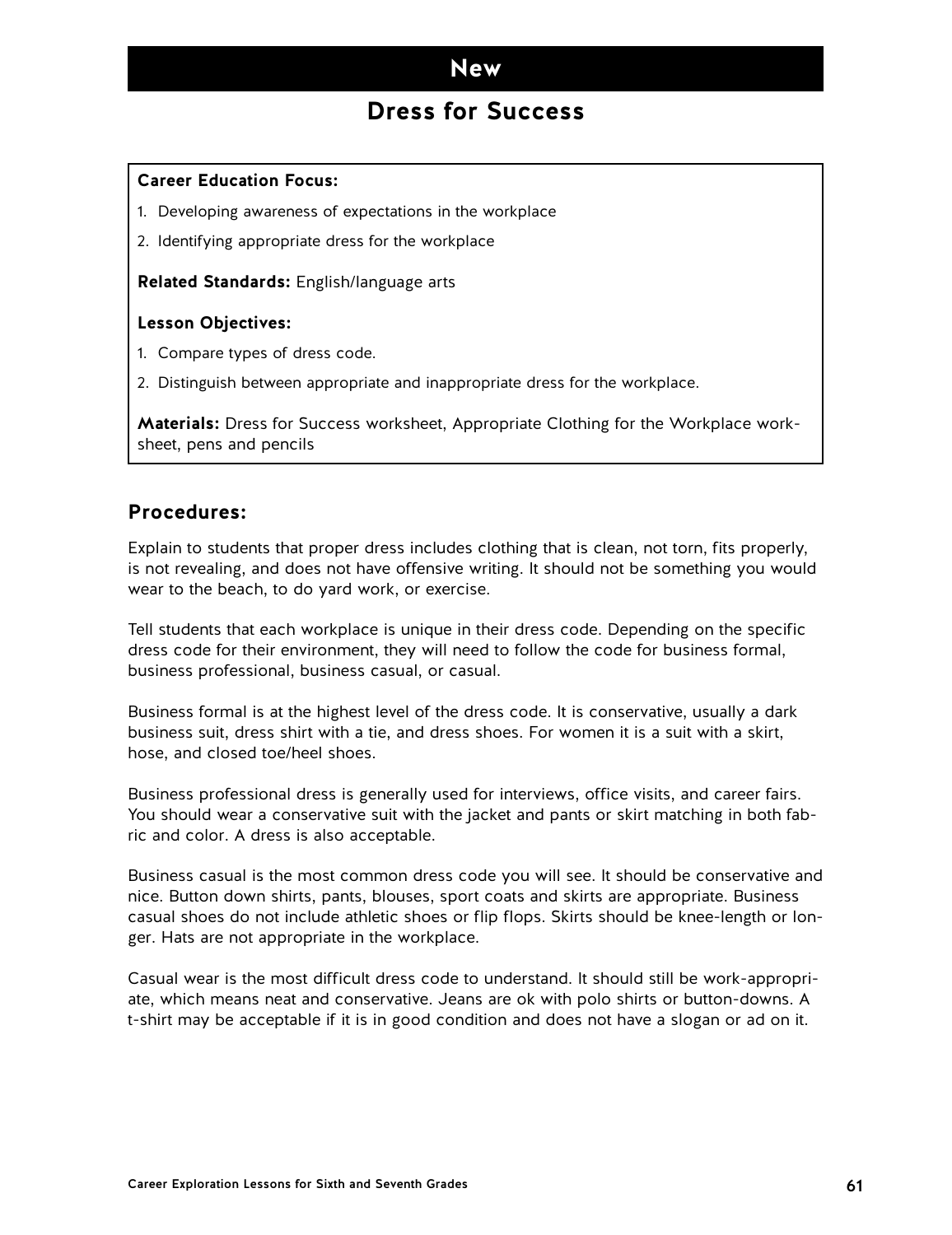## **Dress for Success**

### **Career Education Focus:**

- 1. Developing awareness of expectations in the workplace
- 2. Identifying appropriate dress for the workplace

**Related Standards:** English/language arts

### **Lesson Objectives:**

- 1. Compare types of dress code.
- 2. Distinguish between appropriate and inappropriate dress for the workplace.

**Materials:** Dress for Success worksheet, Appropriate Clothing for the Workplace worksheet, pens and pencils

## **Procedures:**

Explain to students that proper dress includes clothing that is clean, not torn, fits properly, is not revealing, and does not have offensive writing. It should not be something you would wear to the beach, to do yard work, or exercise.

Tell students that each workplace is unique in their dress code. Depending on the specific dress code for their environment, they will need to follow the code for business formal, business professional, business casual, or casual.

Business formal is at the highest level of the dress code. It is conservative, usually a dark business suit, dress shirt with a tie, and dress shoes. For women it is a suit with a skirt, hose, and closed toe/heel shoes.

Business professional dress is generally used for interviews, office visits, and career fairs. You should wear a conservative suit with the jacket and pants or skirt matching in both fabric and color. A dress is also acceptable.

Business casual is the most common dress code you will see. It should be conservative and nice. Button down shirts, pants, blouses, sport coats and skirts are appropriate. Business casual shoes do not include athletic shoes or flip flops. Skirts should be knee-length or longer. Hats are not appropriate in the workplace.

Casual wear is the most difficult dress code to understand. It should still be work-appropriate, which means neat and conservative. Jeans are ok with polo shirts or button-downs. A t-shirt may be acceptable if it is in good condition and does not have a slogan or ad on it.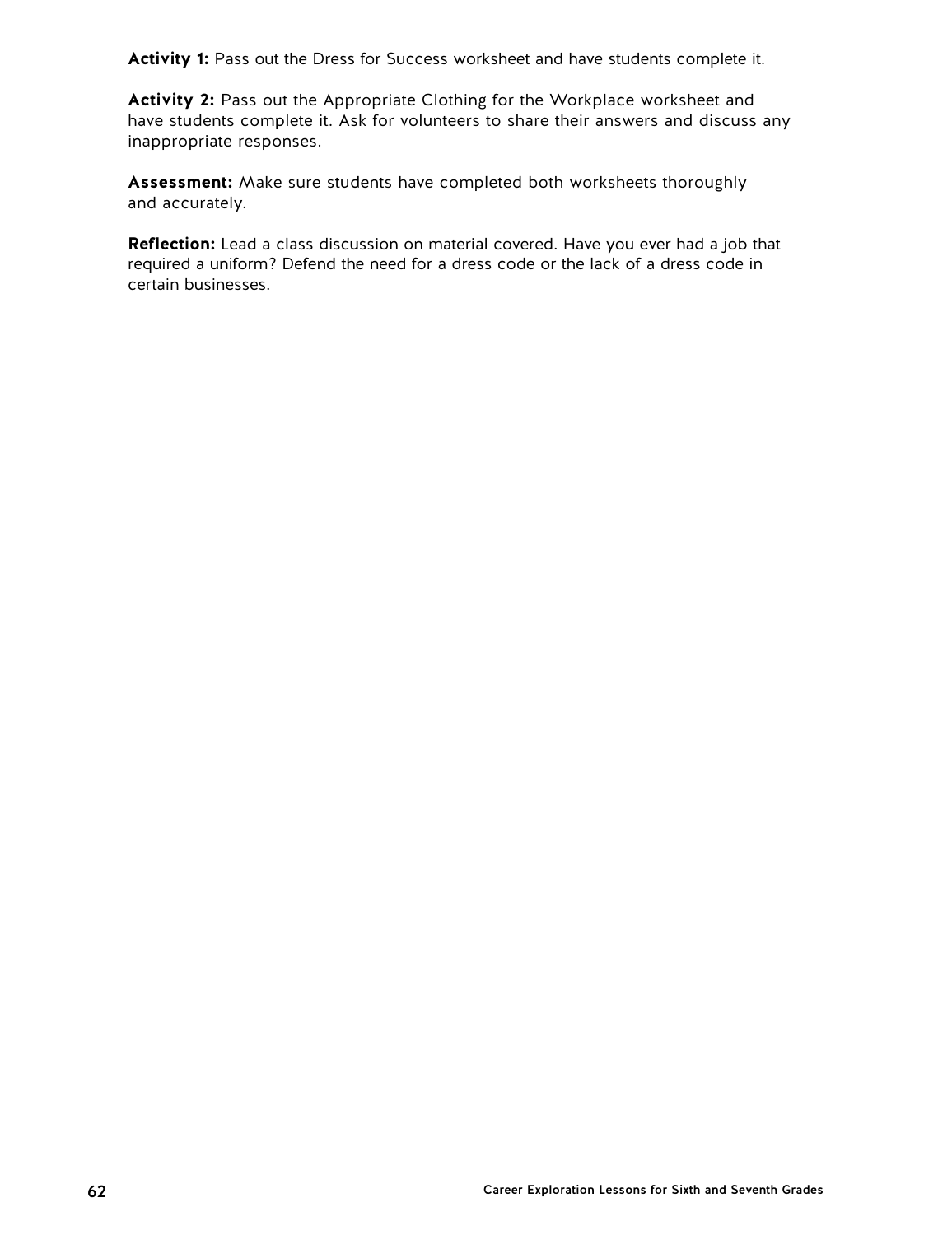**Activity 1:** Pass out the Dress for Success worksheet and have students complete it.

**Activity 2:** Pass out the Appropriate Clothing for the Workplace worksheet and have students complete it. Ask for volunteers to share their answers and discuss any inappropriate responses.

**Assessment:** Make sure students have completed both worksheets thoroughly and accurately.

**Reflection:** Lead a class discussion on material covered. Have you ever had a job that required a uniform? Defend the need for a dress code or the lack of a dress code in certain businesses.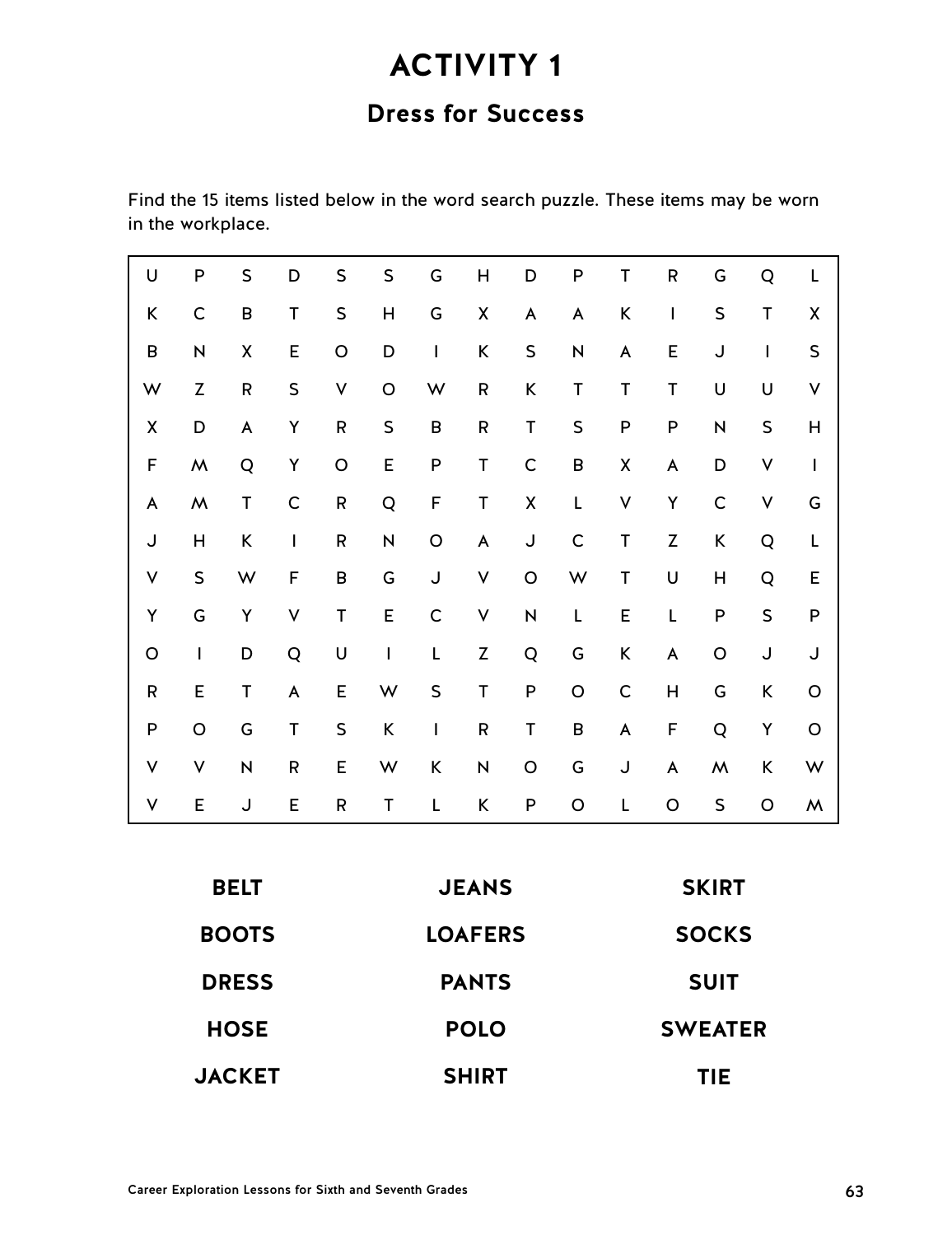# **Dress for Success**

Find the 15 items listed below in the word search puzzle. These items may be worn in the workplace.

| U             | P                       | $\sf S$   | D            | S         | $\sf S$        | G           | H           | D                       | P              | T            | ${\sf R}$   | G            | Q       | L            |
|---------------|-------------------------|-----------|--------------|-----------|----------------|-------------|-------------|-------------------------|----------------|--------------|-------------|--------------|---------|--------------|
| K             | $\mathsf{C}$            | B         | $\mathsf T$  | $\sf S$   | H              | G           | Χ           | A                       | A              | K            | I           | $\sf S$      | T       | χ            |
| B             | $\overline{\mathsf{N}}$ | Χ         | E            | $\circ$   | D              | I           | K           | $\sf S$                 | N              | A            | E           | J            | I       | $\sf S$      |
| W             | $\mathsf Z$             | ${\sf R}$ | $\sf S$      | ٧         | O              | W           | $\mathsf R$ | K                       | T              | $\mathsf T$  | T           | U            | U       | ٧            |
| χ             | D                       | A         | Υ            | ${\sf R}$ | $\sf S$        | $\sf B$     | ${\sf R}$   | T                       | $\sf S$        | P            | P           | N            | $\sf S$ | H            |
| $\mathsf F$   | Μ                       | Q         | Υ            | O         | E              | P           | T           | $\mathsf C$             | B              | Χ            | A           | D            | ٧       | $\mathsf{I}$ |
| A             | ${\sf M}$               | T         | $\mathsf C$  | ${\sf R}$ | Q              | F           | T           | Χ                       | Г              | $\vee$       | Υ           | $\mathsf{C}$ | ٧       | G            |
| J             | Н                       | K         | $\mathsf{I}$ | ${\sf R}$ | N              | $\circ$     | A           | J                       | $\mathsf{C}$   | $\mathsf T$  | $\mathsf Z$ | K            | Q       | L            |
| ٧             | $\sf S$                 | W         | F            | B         | G              | J           | V           | $\mathsf O$             | W              | $\mathsf T$  | U           | Н            | Q       | E            |
| Υ             | G                       | Υ         | V            | T         | E              | $\mathsf C$ | V           | $\overline{\mathsf{N}}$ | L              | E            | L           | P            | $\sf S$ | P            |
| O             | $\mathsf{I}$            | D         | Q            | U         | $\mathsf{I}$   | L           | $\mathsf Z$ | Q                       | G              | K            | A           | $\circ$      | J       | J            |
| $\mathsf R$   | E                       | T         | A            | E         | W              | $\sf S$     | T           | P                       | $\circ$        | $\mathsf{C}$ | Η           | G            | K       | $\circ$      |
| P             | $\circ$                 | G         | $\mathsf T$  | $\sf S$   | K              | I           | ${\sf R}$   | T                       | B              | A            | F           | Q            | Υ       | $\circ$      |
| ٧             | ٧                       | N         | ${\sf R}$    | E         | W              | K           | N           | $\circ$                 | G              | J            | A           | Μ            | K       | W            |
| ٧             | E                       | J         | E            | ${\sf R}$ | T              | L           | K           | P                       | O              | L            | O           | $\sf S$      | O       | W            |
|               |                         |           |              |           |                |             |             |                         |                |              |             |              |         |              |
| <b>BELT</b>   |                         |           |              |           | <b>JEANS</b>   |             |             |                         |                | <b>SKIRT</b> |             |              |         |              |
| <b>BOOTS</b>  |                         |           |              |           | <b>LOAFERS</b> |             |             |                         |                | <b>SOCKS</b> |             |              |         |              |
| <b>DRESS</b>  |                         |           |              |           | <b>PANTS</b>   |             |             |                         | <b>SUIT</b>    |              |             |              |         |              |
| <b>HOSE</b>   |                         |           |              |           | <b>POLO</b>    |             |             |                         | <b>SWEATER</b> |              |             |              |         |              |
| <b>JACKET</b> |                         |           |              |           | <b>SHIRT</b>   |             |             |                         | <b>TIE</b>     |              |             |              |         |              |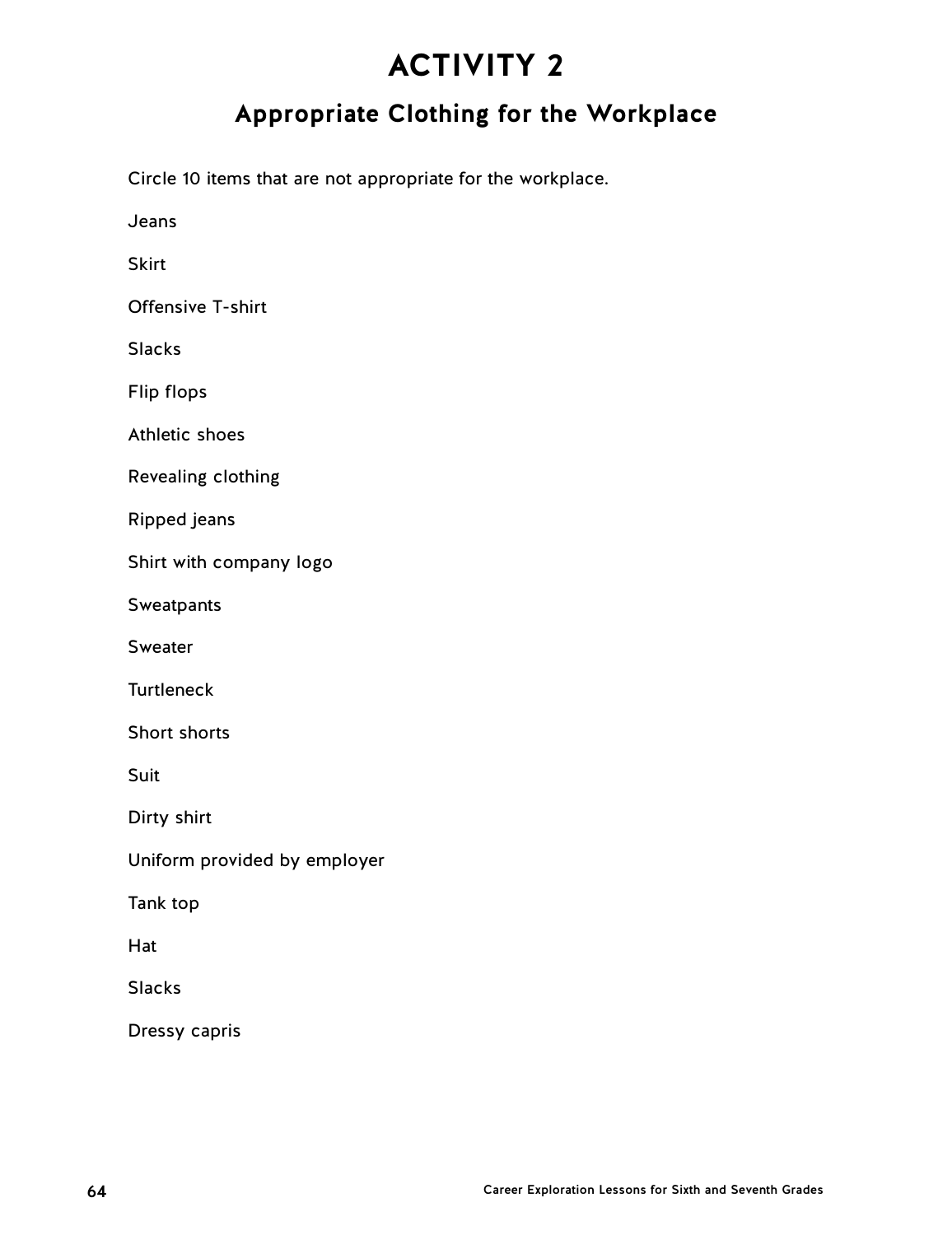# **Appropriate Clothing for the Workplace**

Circle 10 items that are not appropriate for the workplace.

Jeans

**Skirt** 

Offensive T-shirt

Slacks

Flip flops

Athletic shoes

Revealing clothing

Ripped jeans

Shirt with company logo

**Sweatpants** 

Sweater

**Turtleneck** 

Short shorts

Suit

Dirty shirt

Uniform provided by employer

Tank top

Hat

Slacks

Dressy capris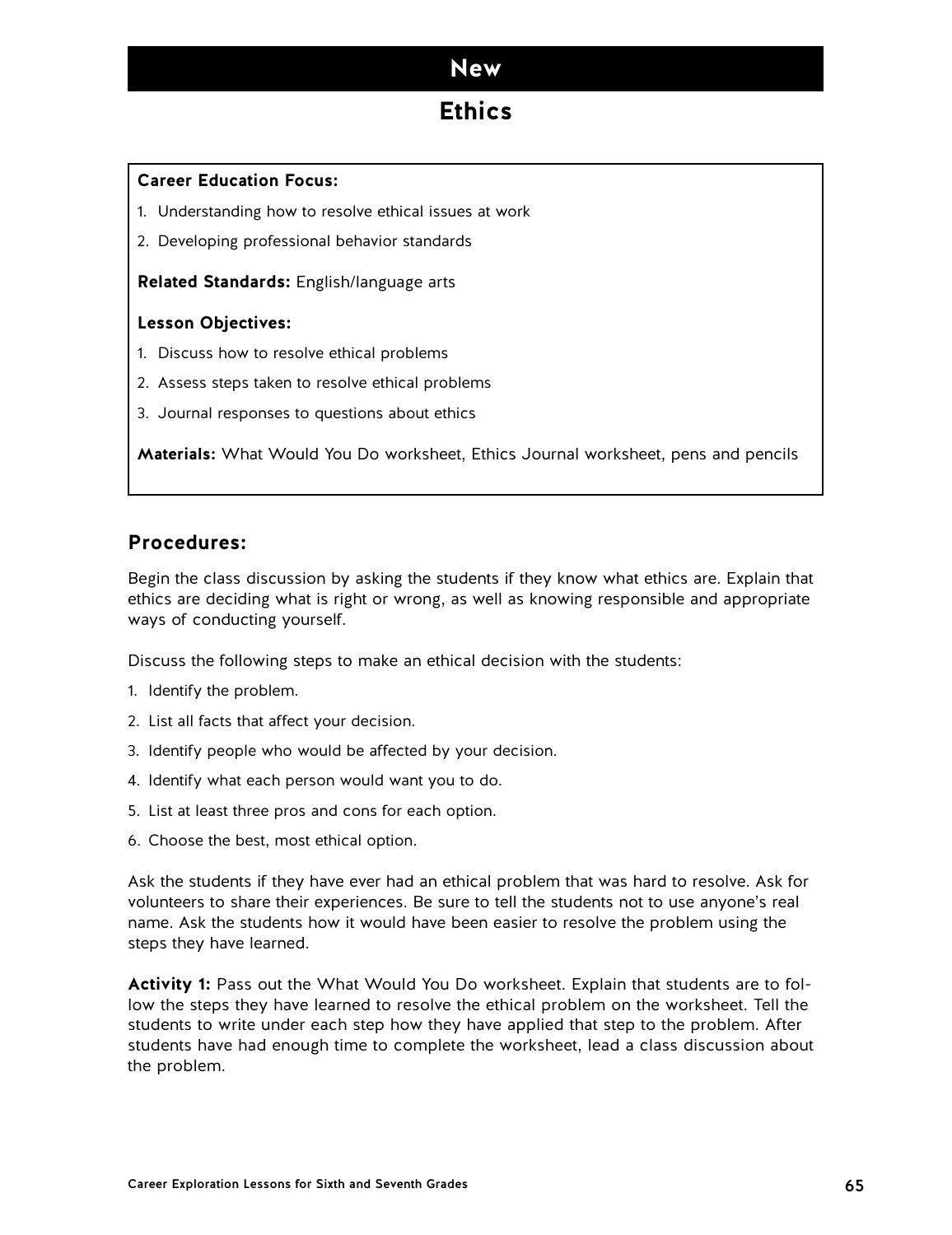## **Ethics**

### **Career Education Focus:**

- 1. Understanding how to resolve ethical issues at work
- 2. Developing professional behavior standards

**Related Standards:** English/language arts

### **Lesson Objectives:**

- 1. Discuss how to resolve ethical problems
- 2. Assess steps taken to resolve ethical problems
- 3. Journal responses to questions about ethics

**Materials:** What Would You Do worksheet, Ethics Journal worksheet, pens and pencils

### **Procedures:**

Begin the class discussion by asking the students if they know what ethics are. Explain that ethics are deciding what is right or wrong, as well as knowing responsible and appropriate ways of conducting yourself.

Discuss the following steps to make an ethical decision with the students:

- 1. Identify the problem.
- 2. List all facts that affect your decision.
- 3. Identify people who would be affected by your decision.
- 4. Identify what each person would want you to do.
- 5. List at least three pros and cons for each option.
- 6. Choose the best, most ethical option.

Ask the students if they have ever had an ethical problem that was hard to resolve. Ask for volunteers to share their experiences. Be sure to tell the students not to use anyone's real name. Ask the students how it would have been easier to resolve the problem using the steps they have learned.

**Activity 1:** Pass out the What Would You Do worksheet. Explain that students are to follow the steps they have learned to resolve the ethical problem on the worksheet. Tell the students to write under each step how they have applied that step to the problem. After students have had enough time to complete the worksheet, lead a class discussion about the problem.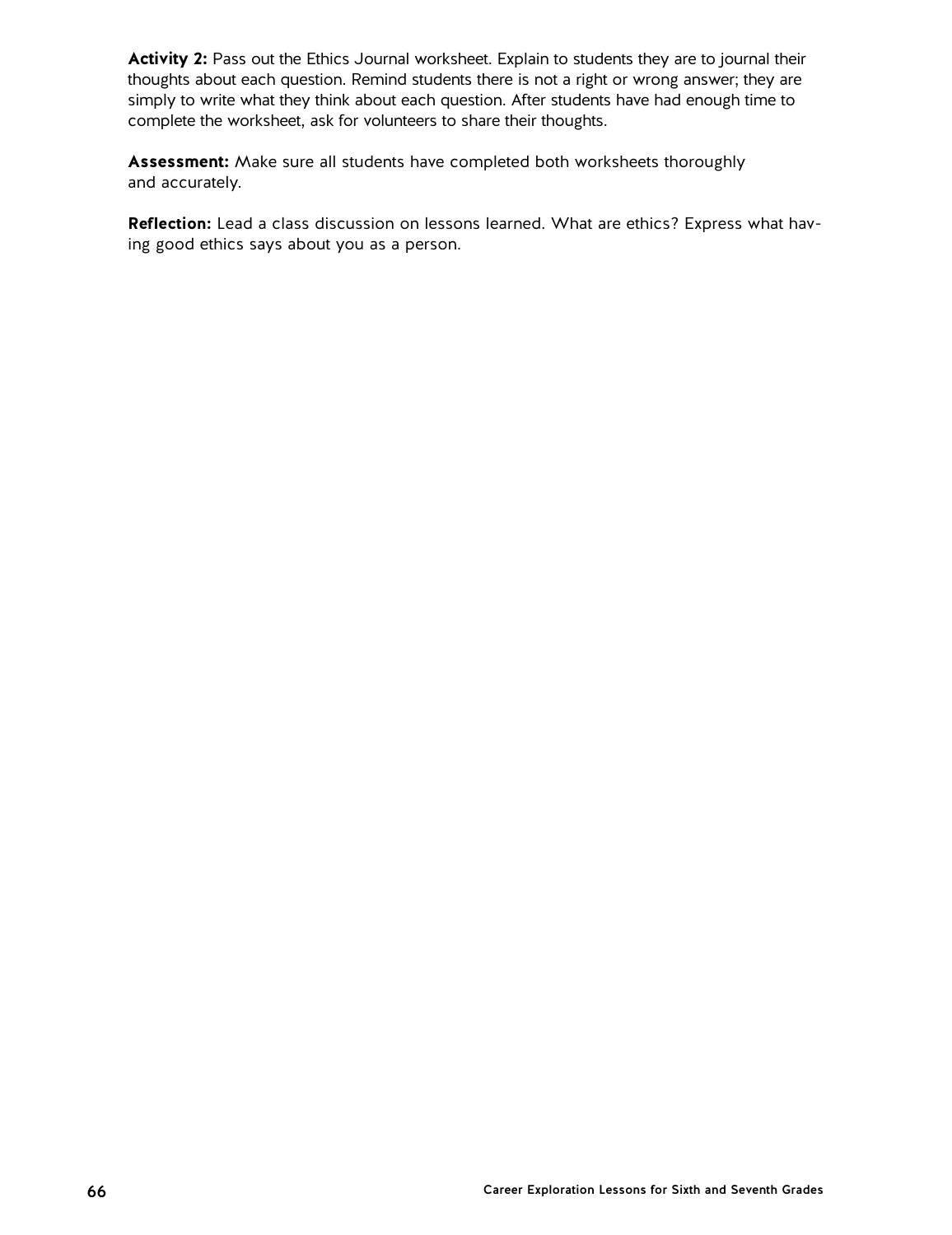Activity 2: Pass out the Ethics Journal worksheet. Explain to students they are to journal their thoughts about each question. Remind students there is not a right or wrong answer; they are simply to write what they think about each question. After students have had enough time to complete the worksheet, ask for volunteers to share their thoughts.

**Assessment:** Make sure all students have completed both worksheets thoroughly and accurately.

**Reflection:** Lead a class discussion on lessons learned. What are ethics? Express what having good ethics says about you as a person.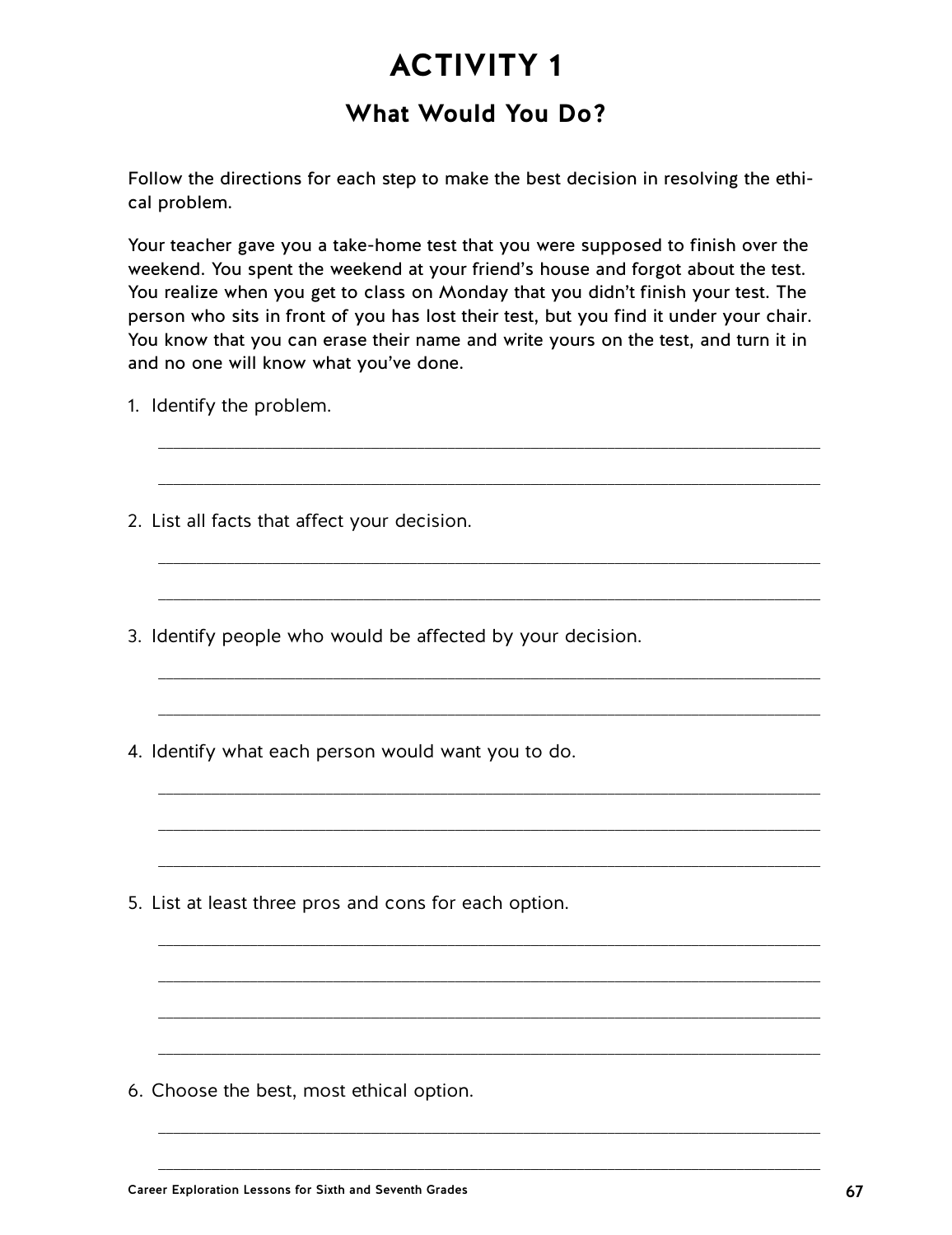## **What Would You Do?**

Follow the directions for each step to make the best decision in resolving the ethical problem.

Your teacher gave you a take-home test that you were supposed to finish over the weekend. You spent the weekend at your friend's house and forgot about the test. You realize when you get to class on Monday that you didn't finish your test. The person who sits in front of you has lost their test, but you find it under your chair. You know that you can erase their name and write yours on the test, and turn it in and no one will know what you've done.

\_\_\_\_\_\_\_\_\_\_\_\_\_\_\_\_\_\_\_\_\_\_\_\_\_\_\_\_\_\_\_\_\_\_\_\_\_\_\_\_\_\_\_\_\_\_\_\_\_\_\_\_\_\_\_\_\_\_\_\_\_\_\_\_\_\_\_\_\_\_\_\_\_\_\_\_\_\_\_\_\_\_\_\_\_\_\_

\_\_\_\_\_\_\_\_\_\_\_\_\_\_\_\_\_\_\_\_\_\_\_\_\_\_\_\_\_\_\_\_\_\_\_\_\_\_\_\_\_\_\_\_\_\_\_\_\_\_\_\_\_\_\_\_\_\_\_\_\_\_\_\_\_\_\_\_\_\_\_\_\_\_\_\_\_\_\_\_\_\_\_\_\_\_\_

\_\_\_\_\_\_\_\_\_\_\_\_\_\_\_\_\_\_\_\_\_\_\_\_\_\_\_\_\_\_\_\_\_\_\_\_\_\_\_\_\_\_\_\_\_\_\_\_\_\_\_\_\_\_\_\_\_\_\_\_\_\_\_\_\_\_\_\_\_\_\_\_\_\_\_\_\_\_\_\_\_\_\_\_\_\_\_

\_\_\_\_\_\_\_\_\_\_\_\_\_\_\_\_\_\_\_\_\_\_\_\_\_\_\_\_\_\_\_\_\_\_\_\_\_\_\_\_\_\_\_\_\_\_\_\_\_\_\_\_\_\_\_\_\_\_\_\_\_\_\_\_\_\_\_\_\_\_\_\_\_\_\_\_\_\_\_\_\_\_\_\_\_\_\_

\_\_\_\_\_\_\_\_\_\_\_\_\_\_\_\_\_\_\_\_\_\_\_\_\_\_\_\_\_\_\_\_\_\_\_\_\_\_\_\_\_\_\_\_\_\_\_\_\_\_\_\_\_\_\_\_\_\_\_\_\_\_\_\_\_\_\_\_\_\_\_\_\_\_\_\_\_\_\_\_\_\_\_\_\_\_\_

\_\_\_\_\_\_\_\_\_\_\_\_\_\_\_\_\_\_\_\_\_\_\_\_\_\_\_\_\_\_\_\_\_\_\_\_\_\_\_\_\_\_\_\_\_\_\_\_\_\_\_\_\_\_\_\_\_\_\_\_\_\_\_\_\_\_\_\_\_\_\_\_\_\_\_\_\_\_\_\_\_\_\_\_\_\_\_

\_\_\_\_\_\_\_\_\_\_\_\_\_\_\_\_\_\_\_\_\_\_\_\_\_\_\_\_\_\_\_\_\_\_\_\_\_\_\_\_\_\_\_\_\_\_\_\_\_\_\_\_\_\_\_\_\_\_\_\_\_\_\_\_\_\_\_\_\_\_\_\_\_\_\_\_\_\_\_\_\_\_\_\_\_\_\_

\_\_\_\_\_\_\_\_\_\_\_\_\_\_\_\_\_\_\_\_\_\_\_\_\_\_\_\_\_\_\_\_\_\_\_\_\_\_\_\_\_\_\_\_\_\_\_\_\_\_\_\_\_\_\_\_\_\_\_\_\_\_\_\_\_\_\_\_\_\_\_\_\_\_\_\_\_\_\_\_\_\_\_\_\_\_\_

\_\_\_\_\_\_\_\_\_\_\_\_\_\_\_\_\_\_\_\_\_\_\_\_\_\_\_\_\_\_\_\_\_\_\_\_\_\_\_\_\_\_\_\_\_\_\_\_\_\_\_\_\_\_\_\_\_\_\_\_\_\_\_\_\_\_\_\_\_\_\_\_\_\_\_\_\_\_\_\_\_\_\_\_\_\_\_

\_\_\_\_\_\_\_\_\_\_\_\_\_\_\_\_\_\_\_\_\_\_\_\_\_\_\_\_\_\_\_\_\_\_\_\_\_\_\_\_\_\_\_\_\_\_\_\_\_\_\_\_\_\_\_\_\_\_\_\_\_\_\_\_\_\_\_\_\_\_\_\_\_\_\_\_\_\_\_\_\_\_\_\_\_\_\_

\_\_\_\_\_\_\_\_\_\_\_\_\_\_\_\_\_\_\_\_\_\_\_\_\_\_\_\_\_\_\_\_\_\_\_\_\_\_\_\_\_\_\_\_\_\_\_\_\_\_\_\_\_\_\_\_\_\_\_\_\_\_\_\_\_\_\_\_\_\_\_\_\_\_\_\_\_\_\_\_\_\_\_\_\_\_\_

\_\_\_\_\_\_\_\_\_\_\_\_\_\_\_\_\_\_\_\_\_\_\_\_\_\_\_\_\_\_\_\_\_\_\_\_\_\_\_\_\_\_\_\_\_\_\_\_\_\_\_\_\_\_\_\_\_\_\_\_\_\_\_\_\_\_\_\_\_\_\_\_\_\_\_\_\_\_\_\_\_\_\_\_\_\_\_

\_\_\_\_\_\_\_\_\_\_\_\_\_\_\_\_\_\_\_\_\_\_\_\_\_\_\_\_\_\_\_\_\_\_\_\_\_\_\_\_\_\_\_\_\_\_\_\_\_\_\_\_\_\_\_\_\_\_\_\_\_\_\_\_\_\_\_\_\_\_\_\_\_\_\_\_\_\_\_\_\_\_\_\_\_\_\_

\_\_\_\_\_\_\_\_\_\_\_\_\_\_\_\_\_\_\_\_\_\_\_\_\_\_\_\_\_\_\_\_\_\_\_\_\_\_\_\_\_\_\_\_\_\_\_\_\_\_\_\_\_\_\_\_\_\_\_\_\_\_\_\_\_\_\_\_\_\_\_\_\_\_\_\_\_\_\_\_\_\_\_\_\_\_\_

\_\_\_\_\_\_\_\_\_\_\_\_\_\_\_\_\_\_\_\_\_\_\_\_\_\_\_\_\_\_\_\_\_\_\_\_\_\_\_\_\_\_\_\_\_\_\_\_\_\_\_\_\_\_\_\_\_\_\_\_\_\_\_\_\_\_\_\_\_\_\_\_\_\_\_\_\_\_\_\_\_\_\_\_\_\_\_

- 1. Identify the problem.
- 2. List all facts that affect your decision.
- 3. Identify people who would be affected by your decision.
- 4. Identify what each person would want you to do.

5. List at least three pros and cons for each option.

6. Choose the best, most ethical option.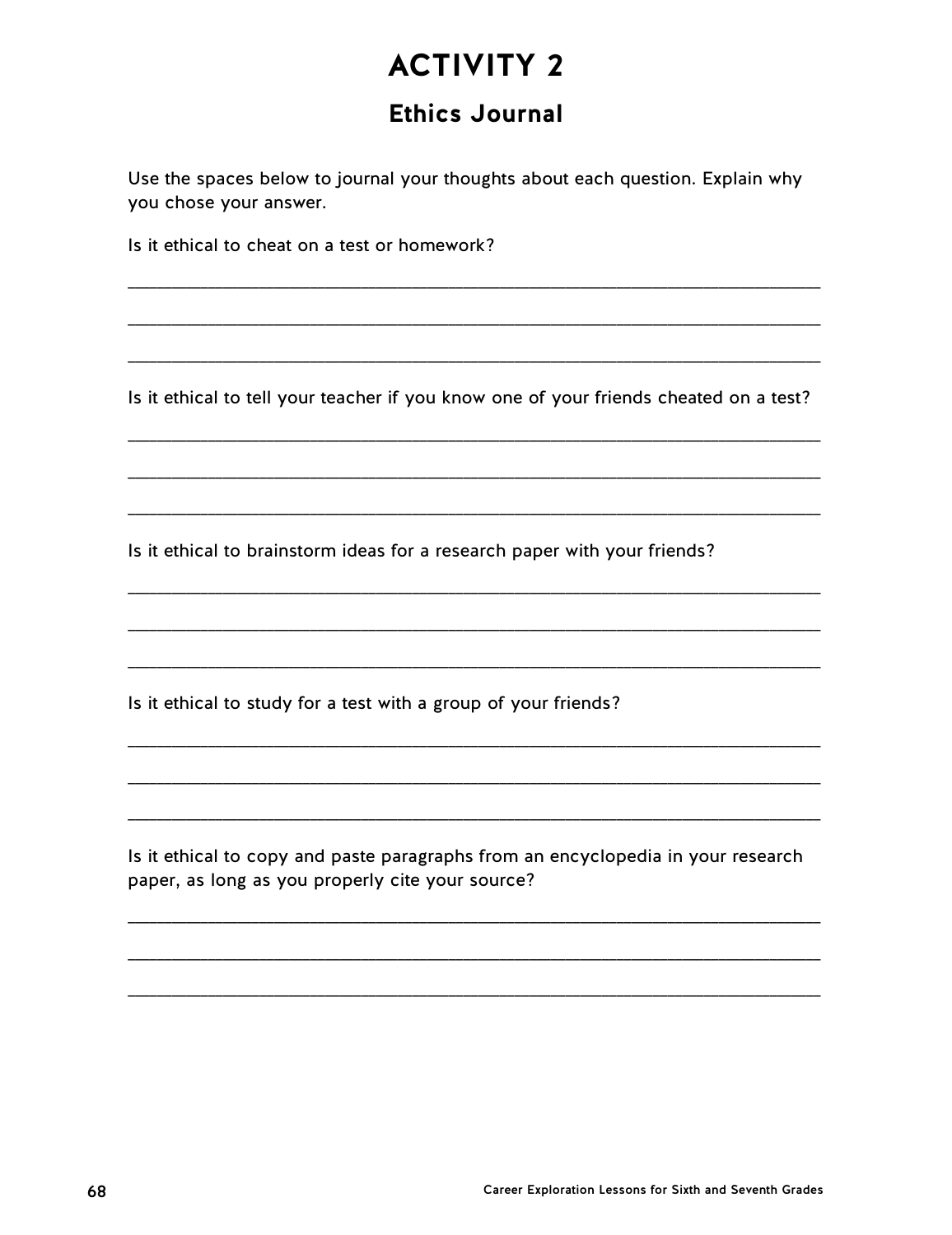# **Ethics Journal**

Use the spaces below to journal your thoughts about each question. Explain why you chose your answer.

Is it ethical to cheat on a test or homework?

Is it ethical to tell your teacher if you know one of your friends cheated on a test?

Is it ethical to brainstorm ideas for a research paper with your friends?

Is it ethical to study for a test with a group of your friends?

Is it ethical to copy and paste paragraphs from an encyclopedia in your research paper, as long as you properly cite your source?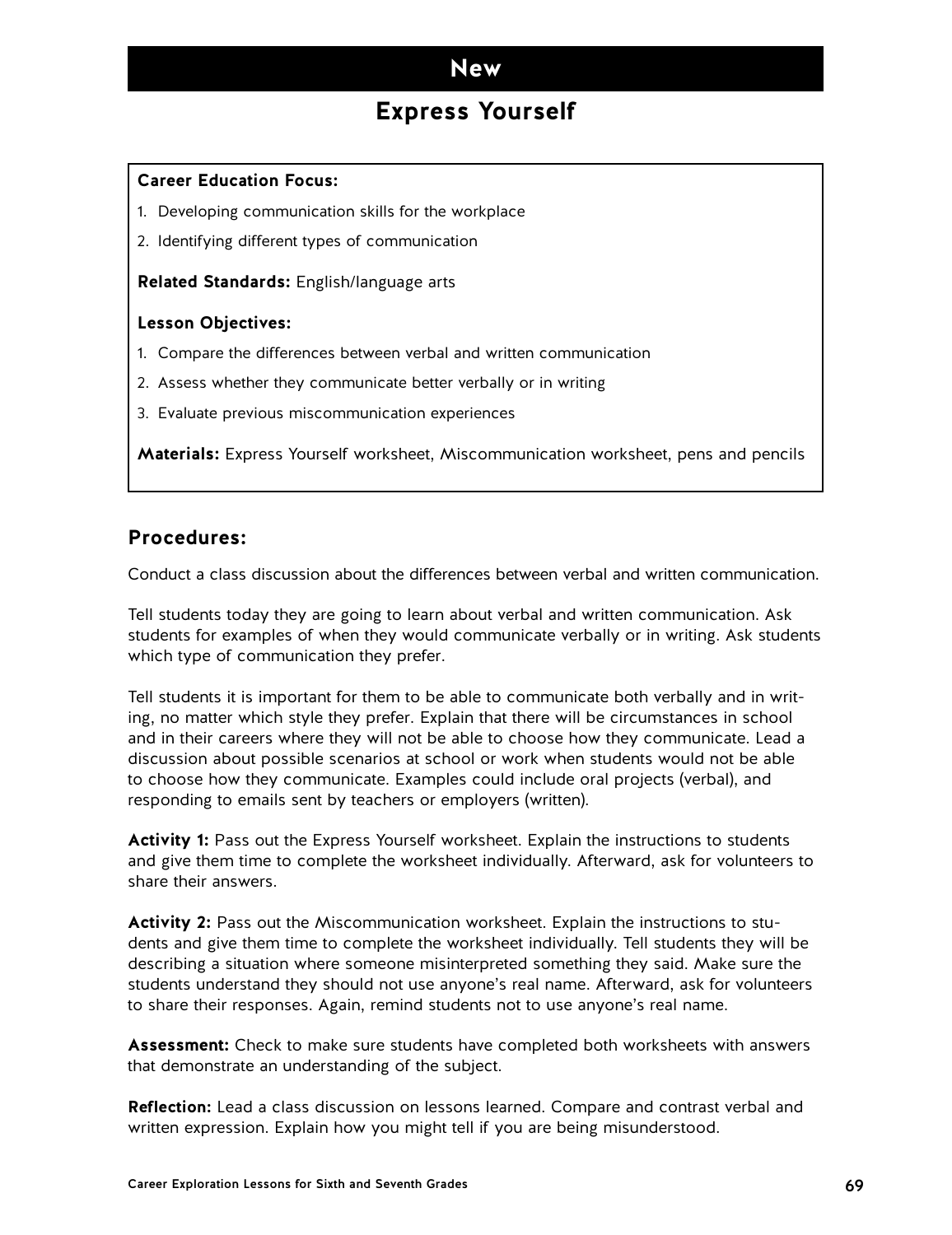## **Express Yourself**

### **Career Education Focus:**

- 1. Developing communication skills for the workplace
- 2. Identifying different types of communication

**Related Standards:** English/language arts

### **Lesson Objectives:**

- 1. Compare the differences between verbal and written communication
- 2. Assess whether they communicate better verbally or in writing
- 3. Evaluate previous miscommunication experiences

**Materials:** Express Yourself worksheet, Miscommunication worksheet, pens and pencils

### **Procedures:**

Conduct a class discussion about the differences between verbal and written communication.

Tell students today they are going to learn about verbal and written communication. Ask students for examples of when they would communicate verbally or in writing. Ask students which type of communication they prefer.

Tell students it is important for them to be able to communicate both verbally and in writing, no matter which style they prefer. Explain that there will be circumstances in school and in their careers where they will not be able to choose how they communicate. Lead a discussion about possible scenarios at school or work when students would not be able to choose how they communicate. Examples could include oral projects (verbal), and responding to emails sent by teachers or employers (written).

**Activity 1:** Pass out the Express Yourself worksheet. Explain the instructions to students and give them time to complete the worksheet individually. Afterward, ask for volunteers to share their answers.

**Activity 2:** Pass out the Miscommunication worksheet. Explain the instructions to students and give them time to complete the worksheet individually. Tell students they will be describing a situation where someone misinterpreted something they said. Make sure the students understand they should not use anyone's real name. Afterward, ask for volunteers to share their responses. Again, remind students not to use anyone's real name.

**Assessment:** Check to make sure students have completed both worksheets with answers that demonstrate an understanding of the subject.

**Reflection:** Lead a class discussion on lessons learned. Compare and contrast verbal and written expression. Explain how you might tell if you are being misunderstood.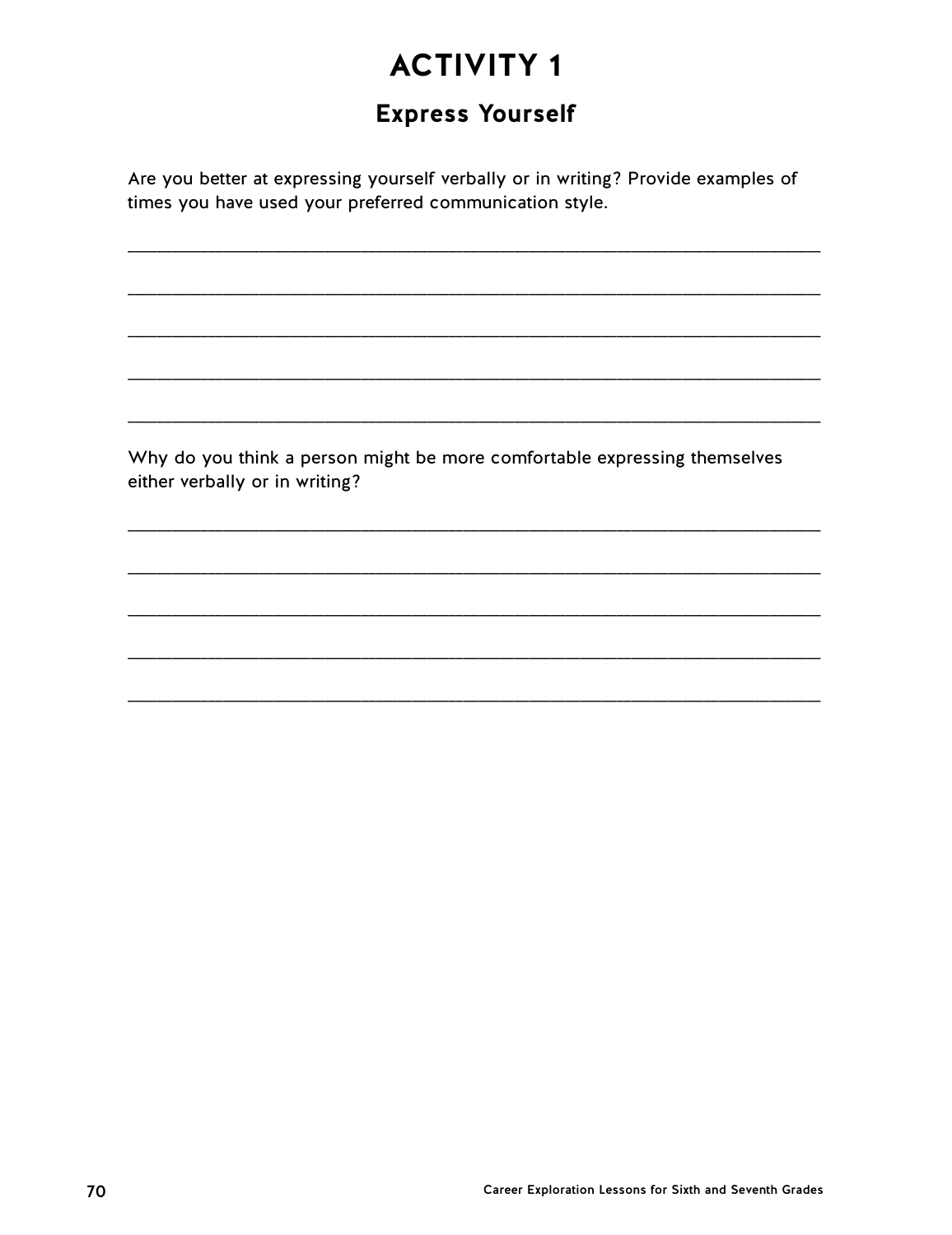# **Express Yourself**

Are you better at expressing yourself verbally or in writing? Provide examples of times you have used your preferred communication style.

Why do you think a person might be more comfortable expressing themselves either verbally or in writing?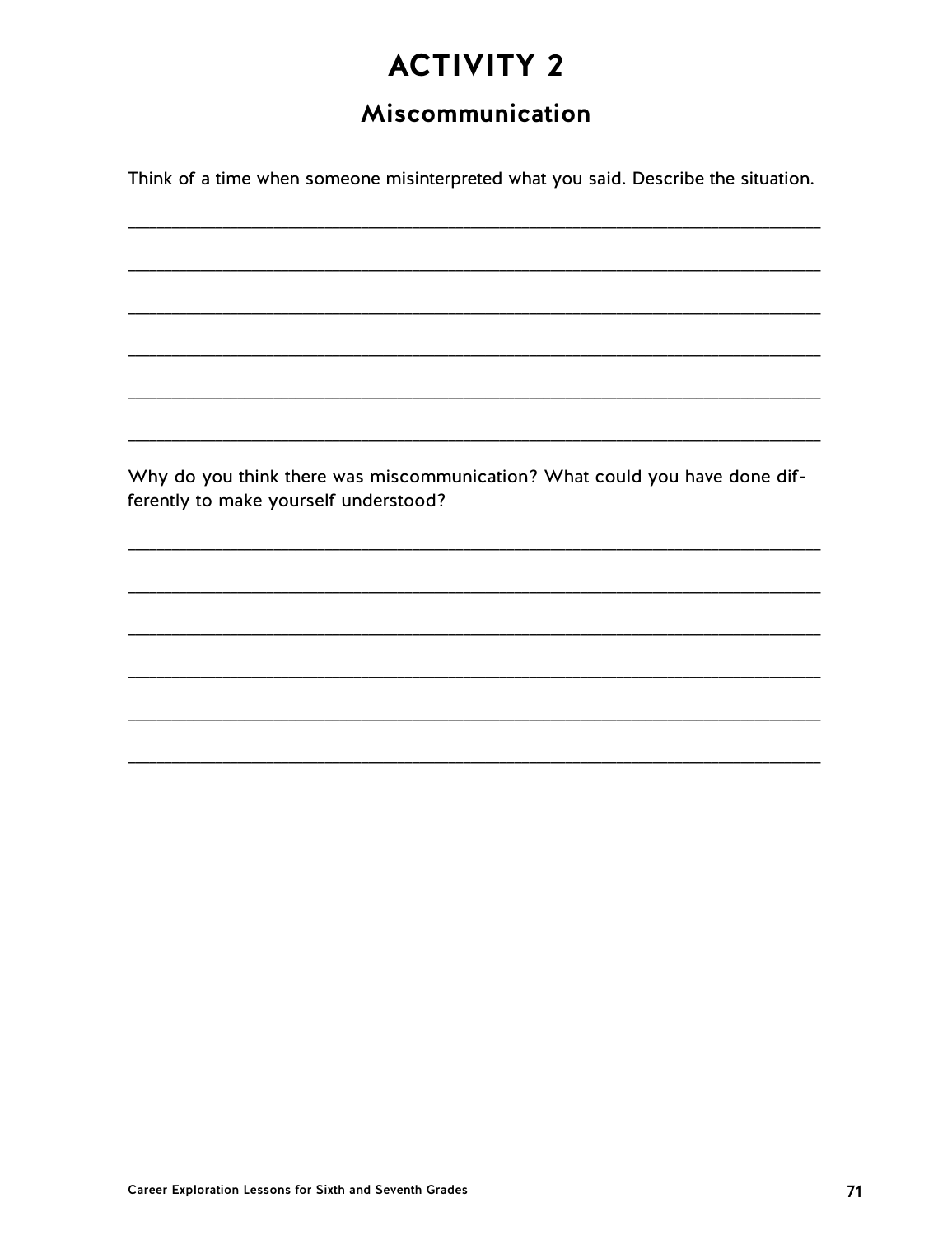# Miscommunication

Think of a time when someone misinterpreted what you said. Describe the situation.

Why do you think there was miscommunication? What could you have done differently to make yourself understood?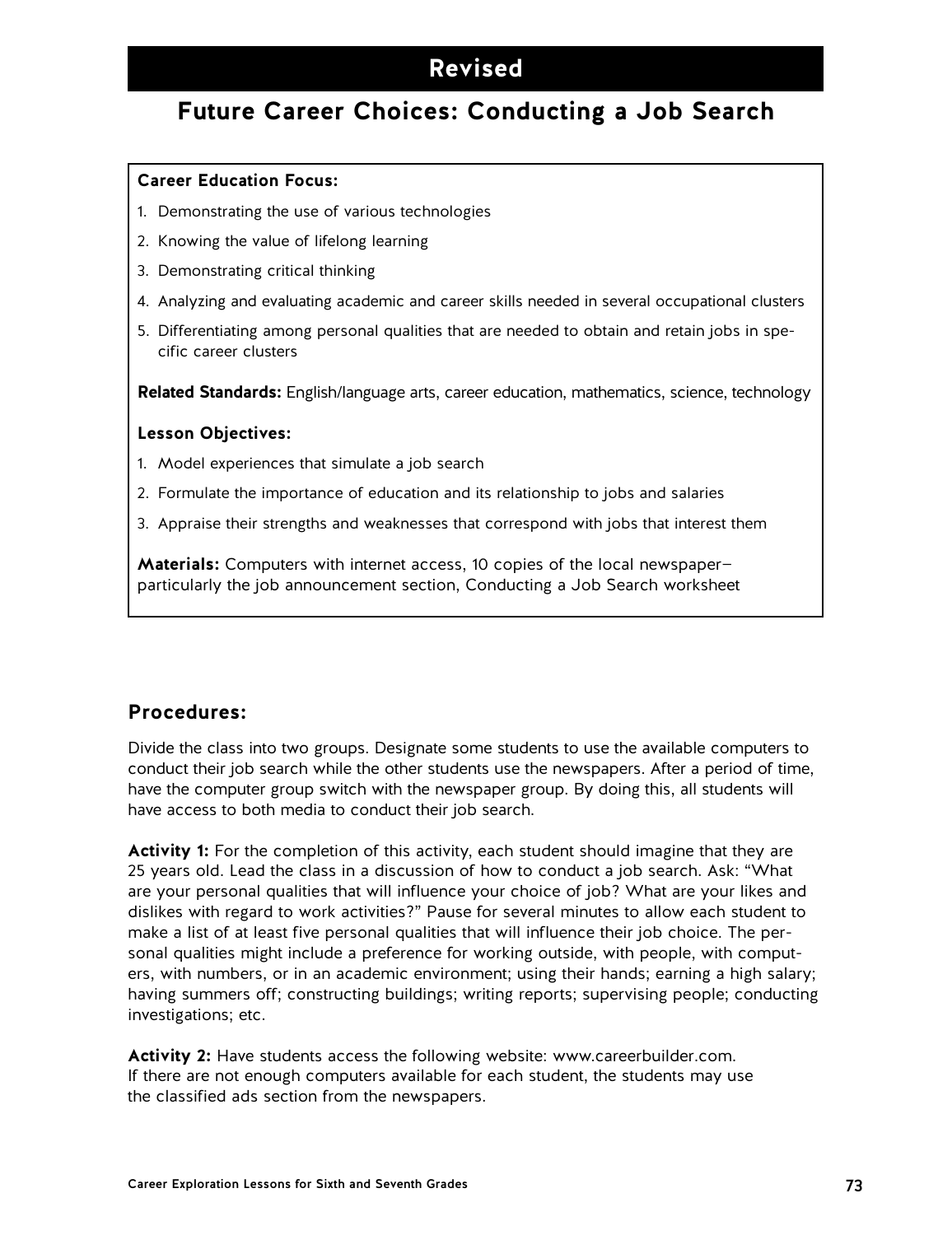# **Revised**

# **Future Career Choices: Conducting a Job Search**

### **Career Education Focus:**

- 1. Demonstrating the use of various technologies
- 2. Knowing the value of lifelong learning
- 3. Demonstrating critical thinking
- 4. Analyzing and evaluating academic and career skills needed in several occupational clusters
- 5. Differentiating among personal qualities that are needed to obtain and retain jobs in specific career clusters

**Related Standards:** English/language arts, career education, mathematics, science, technology

### **Lesson Objectives:**

- 1. Model experiences that simulate a job search
- 2. Formulate the importance of education and its relationship to jobs and salaries
- 3. Appraise their strengths and weaknesses that correspond with jobs that interest them

**Materials:** Computers with internet access, 10 copies of the local newspaper particularly the job announcement section, Conducting a Job Search worksheet

### **Procedures:**

Divide the class into two groups. Designate some students to use the available computers to conduct their job search while the other students use the newspapers. After a period of time, have the computer group switch with the newspaper group. By doing this, all students will have access to both media to conduct their job search.

**Activity 1:** For the completion of this activity, each student should imagine that they are 25 years old. Lead the class in a discussion of how to conduct a job search. Ask: "What are your personal qualities that will influence your choice of job? What are your likes and dislikes with regard to work activities?" Pause for several minutes to allow each student to make a list of at least five personal qualities that will influence their job choice. The personal qualities might include a preference for working outside, with people, with computers, with numbers, or in an academic environment; using their hands; earning a high salary; having summers off; constructing buildings; writing reports; supervising people; conducting investigations; etc.

**Activity 2:** Have students access the following website: www.careerbuilder.com. If there are not enough computers available for each student, the students may use the classified ads section from the newspapers.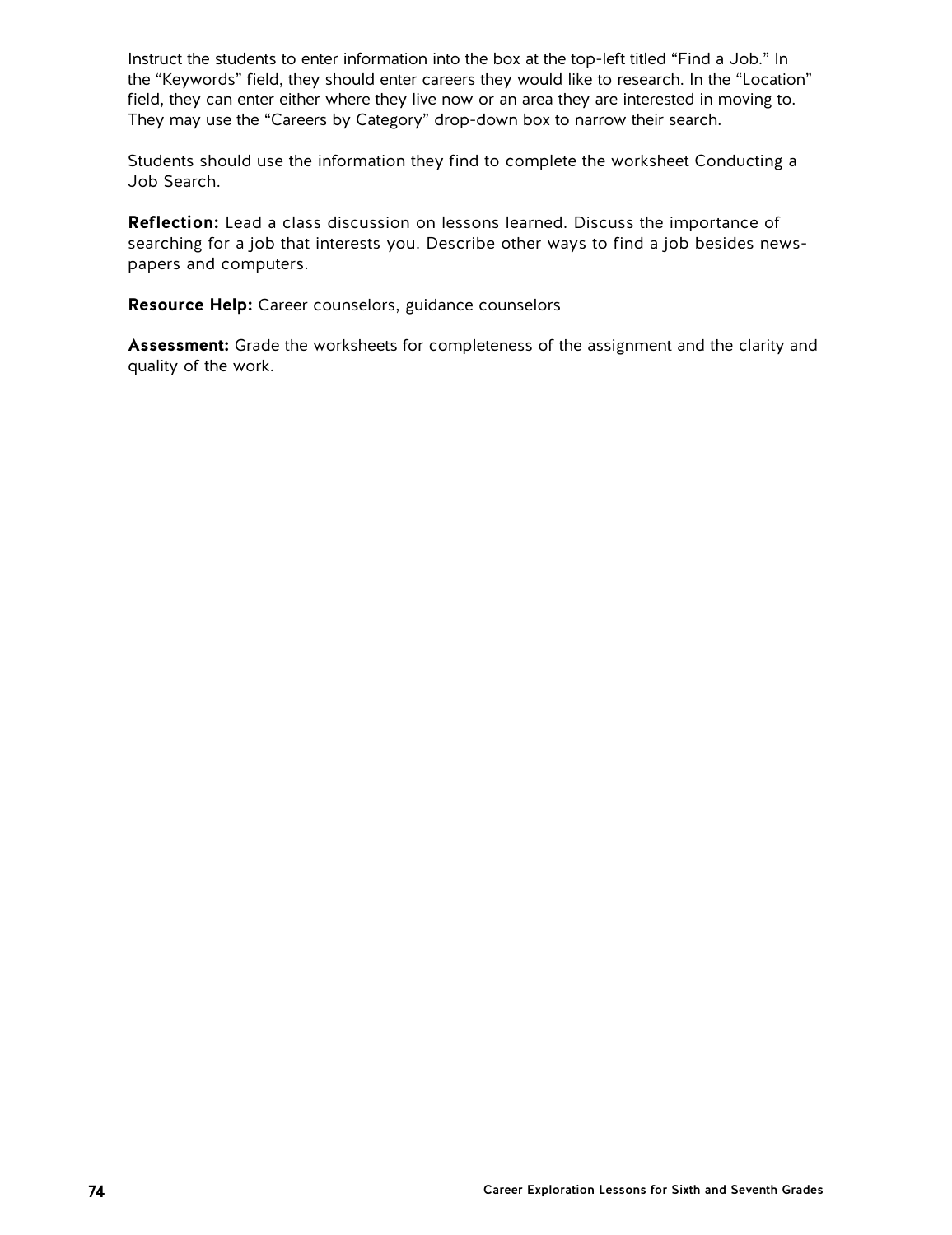Instruct the students to enter information into the box at the top-left titled "Find a Job." In the "Keywords" field, they should enter careers they would like to research. In the "Location" field, they can enter either where they live now or an area they are interested in moving to. They may use the "Careers by Category" drop-down box to narrow their search.

Students should use the information they find to complete the worksheet Conducting a Job Search.

**Reflection:** Lead a class discussion on lessons learned. Discuss the importance of searching for a job that interests you. Describe other ways to find a job besides newspapers and computers.

**Resource Help:** Career counselors, guidance counselors

**Assessment:** Grade the worksheets for completeness of the assignment and the clarity and quality of the work.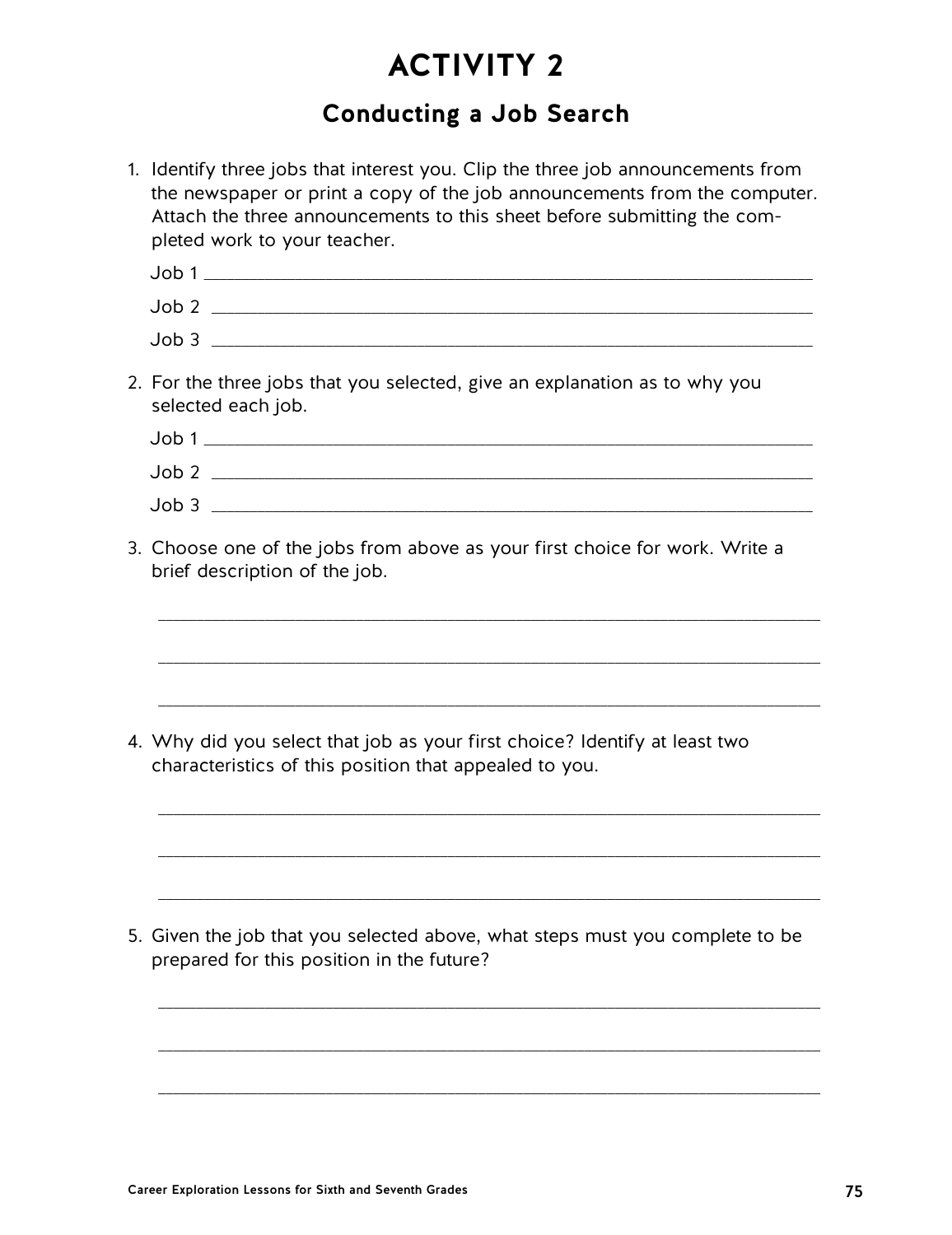# **Conducting a Job Search**

1. Identify three jobs that interest you. Clip the three job announcements from the newspaper or print a copy of the job announcements from the computer. Attach the three announcements to this sheet before submitting the completed work to your teacher. Job 1 \_\_\_\_\_\_\_\_\_\_\_\_\_\_\_\_\_\_\_\_\_\_\_\_\_\_\_\_\_\_\_\_\_\_\_\_\_\_\_\_\_\_\_\_\_\_\_\_\_\_\_\_\_\_\_\_\_\_\_\_\_\_\_\_\_\_\_\_\_\_\_\_\_\_\_\_\_\_\_\_ Job 2 \_\_\_\_\_\_\_\_\_\_\_\_\_\_\_\_\_\_\_\_\_\_\_\_\_\_\_\_\_\_\_\_\_\_\_\_\_\_\_\_\_\_\_\_\_\_\_\_\_\_\_\_\_\_\_\_\_\_\_\_\_\_\_\_\_\_\_\_\_\_\_\_\_\_\_\_\_\_\_ Job 3 \_\_\_\_\_\_\_\_\_\_\_\_\_\_\_\_\_\_\_\_\_\_\_\_\_\_\_\_\_\_\_\_\_\_\_\_\_\_\_\_\_\_\_\_\_\_\_\_\_\_\_\_\_\_\_\_\_\_\_\_\_\_\_\_\_\_\_\_\_\_\_\_\_\_\_\_\_\_\_ 2. For the three jobs that you selected, give an explanation as to why you selected each job. Job 1 \_\_\_\_\_\_\_\_\_\_\_\_\_\_\_\_\_\_\_\_\_\_\_\_\_\_\_\_\_\_\_\_\_\_\_\_\_\_\_\_\_\_\_\_\_\_\_\_\_\_\_\_\_\_\_\_\_\_\_\_\_\_\_\_\_\_\_\_\_\_\_\_\_\_\_\_\_\_\_\_ Job 2 \_\_\_\_\_\_\_\_\_\_\_\_\_\_\_\_\_\_\_\_\_\_\_\_\_\_\_\_\_\_\_\_\_\_\_\_\_\_\_\_\_\_\_\_\_\_\_\_\_\_\_\_\_\_\_\_\_\_\_\_\_\_\_\_\_\_\_\_\_\_\_\_\_\_\_\_\_\_\_ Job 3 \_\_\_\_\_\_\_\_\_\_\_\_\_\_\_\_\_\_\_\_\_\_\_\_\_\_\_\_\_\_\_\_\_\_\_\_\_\_\_\_\_\_\_\_\_\_\_\_\_\_\_\_\_\_\_\_\_\_\_\_\_\_\_\_\_\_\_\_\_\_\_\_\_\_\_\_\_\_\_ 3. Choose one of the jobs from above as your first choice for work. Write a brief description of the job. \_\_\_\_\_\_\_\_\_\_\_\_\_\_\_\_\_\_\_\_\_\_\_\_\_\_\_\_\_\_\_\_\_\_\_\_\_\_\_\_\_\_\_\_\_\_\_\_\_\_\_\_\_\_\_\_\_\_\_\_\_\_\_\_\_\_\_\_\_\_\_\_\_\_\_\_\_\_\_\_\_\_\_\_\_\_\_ \_\_\_\_\_\_\_\_\_\_\_\_\_\_\_\_\_\_\_\_\_\_\_\_\_\_\_\_\_\_\_\_\_\_\_\_\_\_\_\_\_\_\_\_\_\_\_\_\_\_\_\_\_\_\_\_\_\_\_\_\_\_\_\_\_\_\_\_\_\_\_\_\_\_\_\_\_\_\_\_\_\_\_\_\_\_\_ \_\_\_\_\_\_\_\_\_\_\_\_\_\_\_\_\_\_\_\_\_\_\_\_\_\_\_\_\_\_\_\_\_\_\_\_\_\_\_\_\_\_\_\_\_\_\_\_\_\_\_\_\_\_\_\_\_\_\_\_\_\_\_\_\_\_\_\_\_\_\_\_\_\_\_\_\_\_\_\_\_\_\_\_\_\_\_ 4. Why did you select that job as your first choice? Identify at least two characteristics of this position that appealed to you. \_\_\_\_\_\_\_\_\_\_\_\_\_\_\_\_\_\_\_\_\_\_\_\_\_\_\_\_\_\_\_\_\_\_\_\_\_\_\_\_\_\_\_\_\_\_\_\_\_\_\_\_\_\_\_\_\_\_\_\_\_\_\_\_\_\_\_\_\_\_\_\_\_\_\_\_\_\_\_\_\_\_\_\_\_\_\_ \_\_\_\_\_\_\_\_\_\_\_\_\_\_\_\_\_\_\_\_\_\_\_\_\_\_\_\_\_\_\_\_\_\_\_\_\_\_\_\_\_\_\_\_\_\_\_\_\_\_\_\_\_\_\_\_\_\_\_\_\_\_\_\_\_\_\_\_\_\_\_\_\_\_\_\_\_\_\_\_\_\_\_\_\_\_\_ \_\_\_\_\_\_\_\_\_\_\_\_\_\_\_\_\_\_\_\_\_\_\_\_\_\_\_\_\_\_\_\_\_\_\_\_\_\_\_\_\_\_\_\_\_\_\_\_\_\_\_\_\_\_\_\_\_\_\_\_\_\_\_\_\_\_\_\_\_\_\_\_\_\_\_\_\_\_\_\_\_\_\_\_\_\_\_ 5. Given the job that you selected above, what steps must you complete to be prepared for this position in the future? \_\_\_\_\_\_\_\_\_\_\_\_\_\_\_\_\_\_\_\_\_\_\_\_\_\_\_\_\_\_\_\_\_\_\_\_\_\_\_\_\_\_\_\_\_\_\_\_\_\_\_\_\_\_\_\_\_\_\_\_\_\_\_\_\_\_\_\_\_\_\_\_\_\_\_\_\_\_\_\_\_\_\_\_\_\_\_ \_\_\_\_\_\_\_\_\_\_\_\_\_\_\_\_\_\_\_\_\_\_\_\_\_\_\_\_\_\_\_\_\_\_\_\_\_\_\_\_\_\_\_\_\_\_\_\_\_\_\_\_\_\_\_\_\_\_\_\_\_\_\_\_\_\_\_\_\_\_\_\_\_\_\_\_\_\_\_\_\_\_\_\_\_\_\_

\_\_\_\_\_\_\_\_\_\_\_\_\_\_\_\_\_\_\_\_\_\_\_\_\_\_\_\_\_\_\_\_\_\_\_\_\_\_\_\_\_\_\_\_\_\_\_\_\_\_\_\_\_\_\_\_\_\_\_\_\_\_\_\_\_\_\_\_\_\_\_\_\_\_\_\_\_\_\_\_\_\_\_\_\_\_\_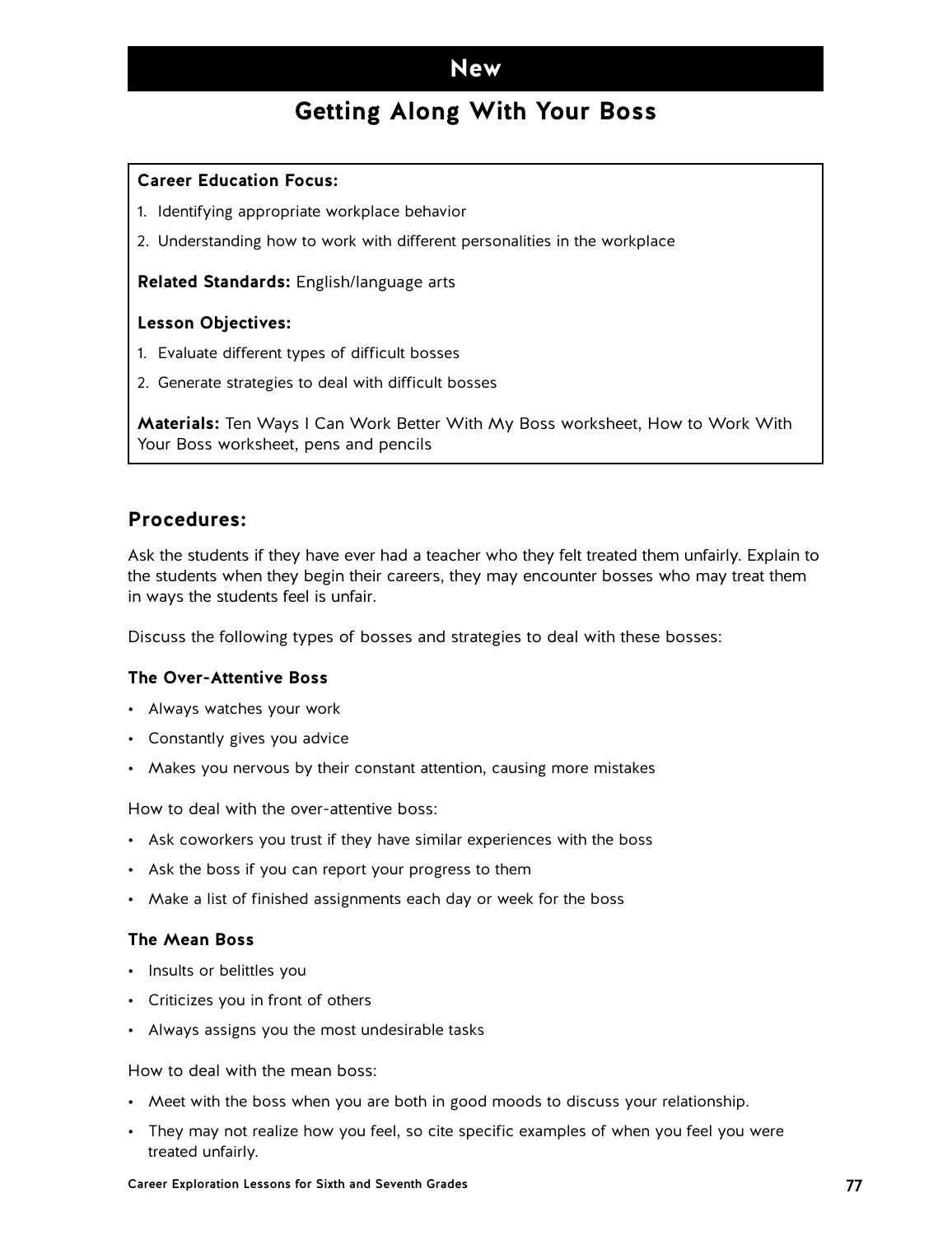## **Getting Along With Your Boss**

### **Career Education Focus:**

- 1. Identifying appropriate workplace behavior
- 2. Understanding how to work with different personalities in the workplace

**Related Standards:** English/language arts

### **Lesson Objectives:**

- 1. Evaluate different types of difficult bosses
- 2. Generate strategies to deal with difficult bosses

**Materials:** Ten Ways I Can Work Better With My Boss worksheet, How to Work With Your Boss worksheet, pens and pencils

### **Procedures:**

Ask the students if they have ever had a teacher who they felt treated them unfairly. Explain to the students when they begin their careers, they may encounter bosses who may treat them in ways the students feel is unfair.

Discuss the following types of bosses and strategies to deal with these bosses:

#### **The Over-Attentive Boss**

- Always watches your work
- Constantly gives you advice
- Makes you nervous by their constant attention, causing more mistakes

How to deal with the over-attentive boss:

- Ask coworkers you trust if they have similar experiences with the boss
- Ask the boss if you can report your progress to them
- Make a list of finished assignments each day or week for the boss

#### **The Mean Boss**

- Insults or belittles you
- Criticizes you in front of others
- Always assigns you the most undesirable tasks

How to deal with the mean boss:

- Meet with the boss when you are both in good moods to discuss your relationship.
- They may not realize how you feel, so cite specific examples of when you feel you were treated unfairly.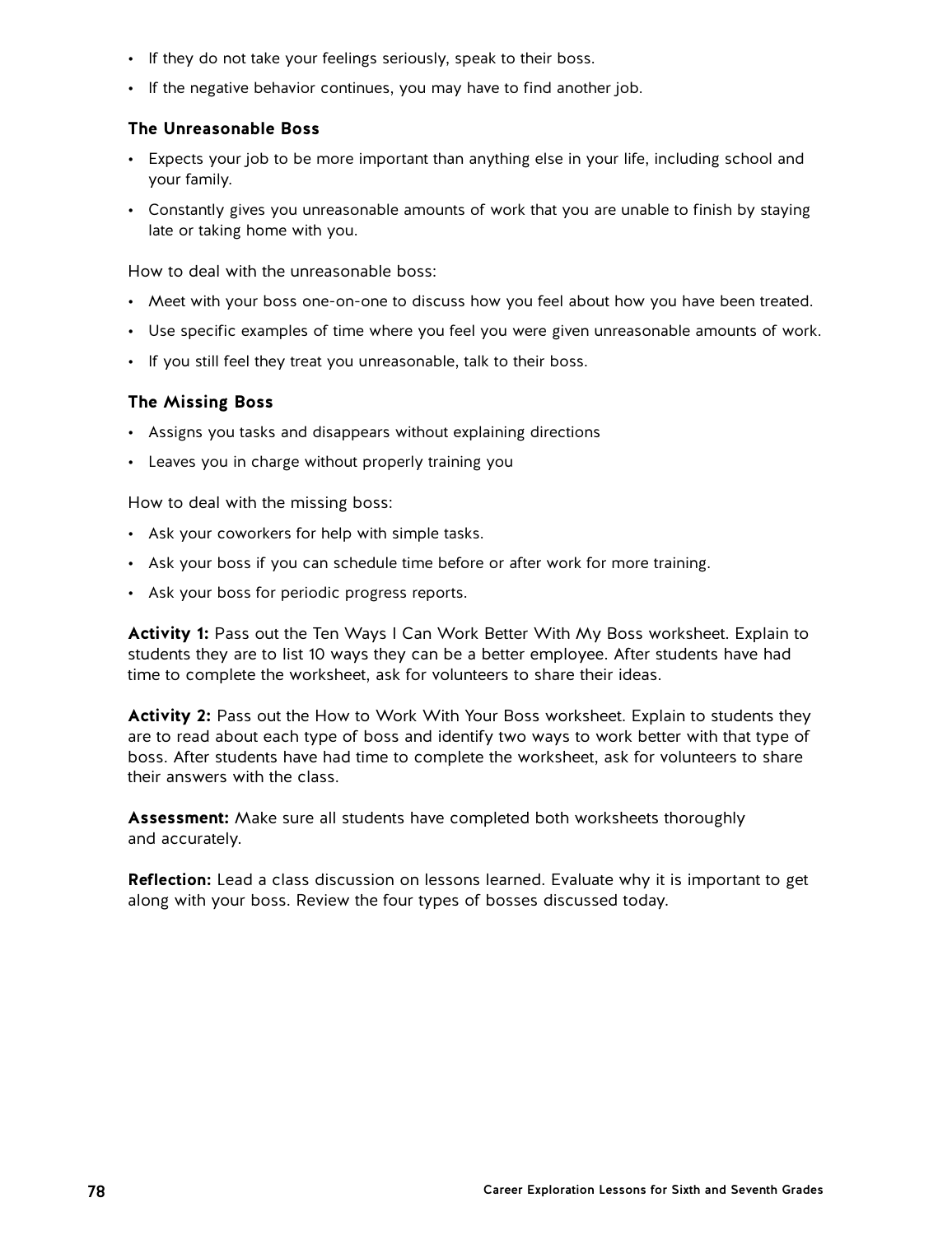- If they do not take your feelings seriously, speak to their boss.
- If the negative behavior continues, you may have to find another job.

### **The Unreasonable Boss**

- Expects your job to be more important than anything else in your life, including school and your family.
- Constantly gives you unreasonable amounts of work that you are unable to finish by staying late or taking home with you.

How to deal with the unreasonable boss:

- Meet with your boss one-on-one to discuss how you feel about how you have been treated.
- Use specific examples of time where you feel you were given unreasonable amounts of work.
- If you still feel they treat you unreasonable, talk to their boss.

### **The Missing Boss**

- Assigns you tasks and disappears without explaining directions
- Leaves you in charge without properly training you

How to deal with the missing boss:

- Ask your coworkers for help with simple tasks.
- Ask your boss if you can schedule time before or after work for more training.
- Ask your boss for periodic progress reports.

**Activity 1:** Pass out the Ten Ways I Can Work Better With My Boss worksheet. Explain to students they are to list 10 ways they can be a better employee. After students have had time to complete the worksheet, ask for volunteers to share their ideas.

**Activity 2:** Pass out the How to Work With Your Boss worksheet. Explain to students they are to read about each type of boss and identify two ways to work better with that type of boss. After students have had time to complete the worksheet, ask for volunteers to share their answers with the class.

**Assessment:** Make sure all students have completed both worksheets thoroughly and accurately.

**Reflection:** Lead a class discussion on lessons learned. Evaluate why it is important to get along with your boss. Review the four types of bosses discussed today.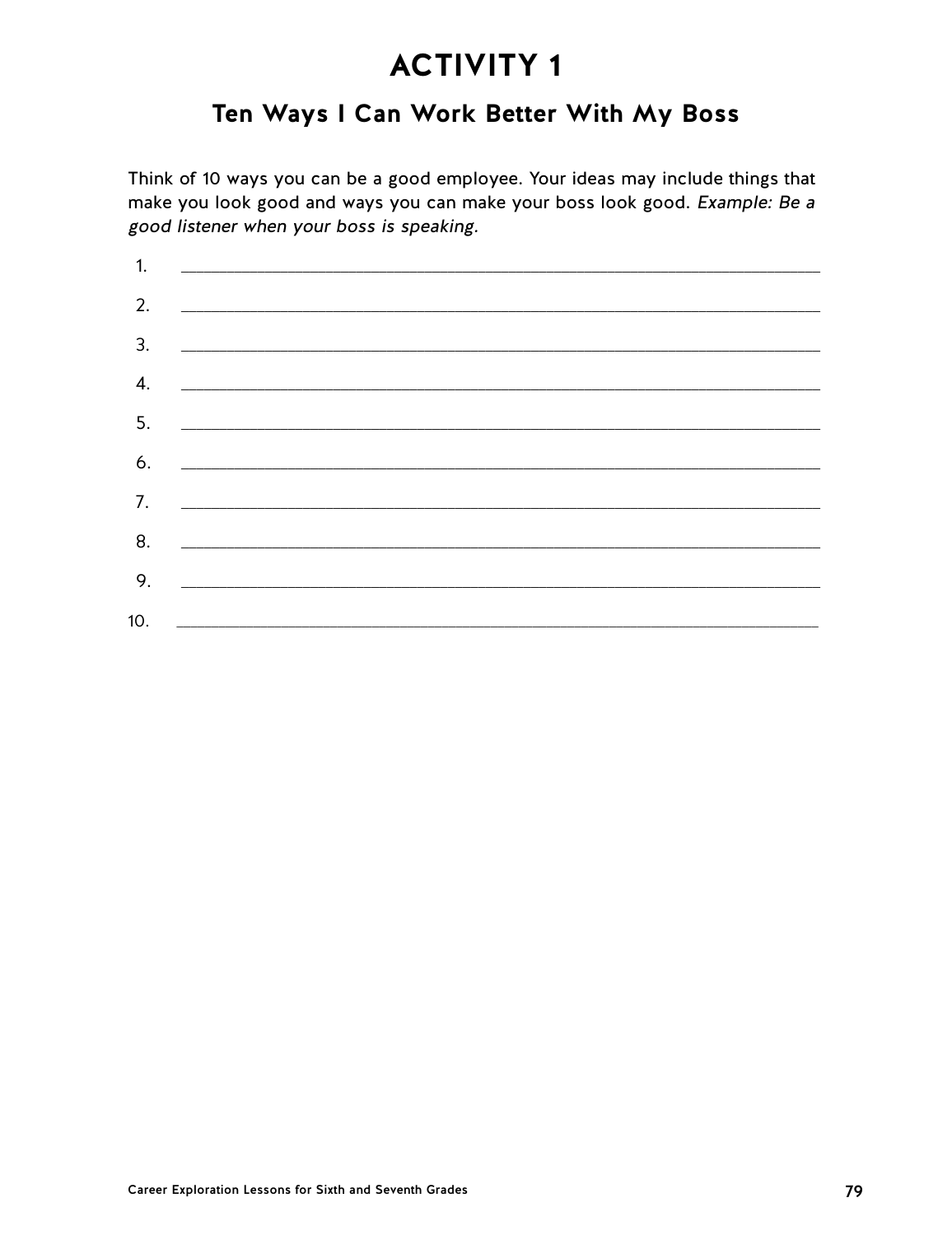# Ten Ways I Can Work Better With My Boss

Think of 10 ways you can be a good employee. Your ideas may include things that make you look good and ways you can make your boss look good. Example: Be a good listener when your boss is speaking.

| 1. |                                                                                                                       |  |  |
|----|-----------------------------------------------------------------------------------------------------------------------|--|--|
| 2. |                                                                                                                       |  |  |
| 3. |                                                                                                                       |  |  |
| 4. |                                                                                                                       |  |  |
| 5. |                                                                                                                       |  |  |
|    |                                                                                                                       |  |  |
| 6. |                                                                                                                       |  |  |
| 7. | <u> 1980 - Jan Amerikaanse kommunister († 1950)</u>                                                                   |  |  |
| 8. | <u> 1980 - Johann Barn, mars and de British Barn, mars and de British Barn, mars and de British Barn, mars and de</u> |  |  |
| 9. |                                                                                                                       |  |  |
|    |                                                                                                                       |  |  |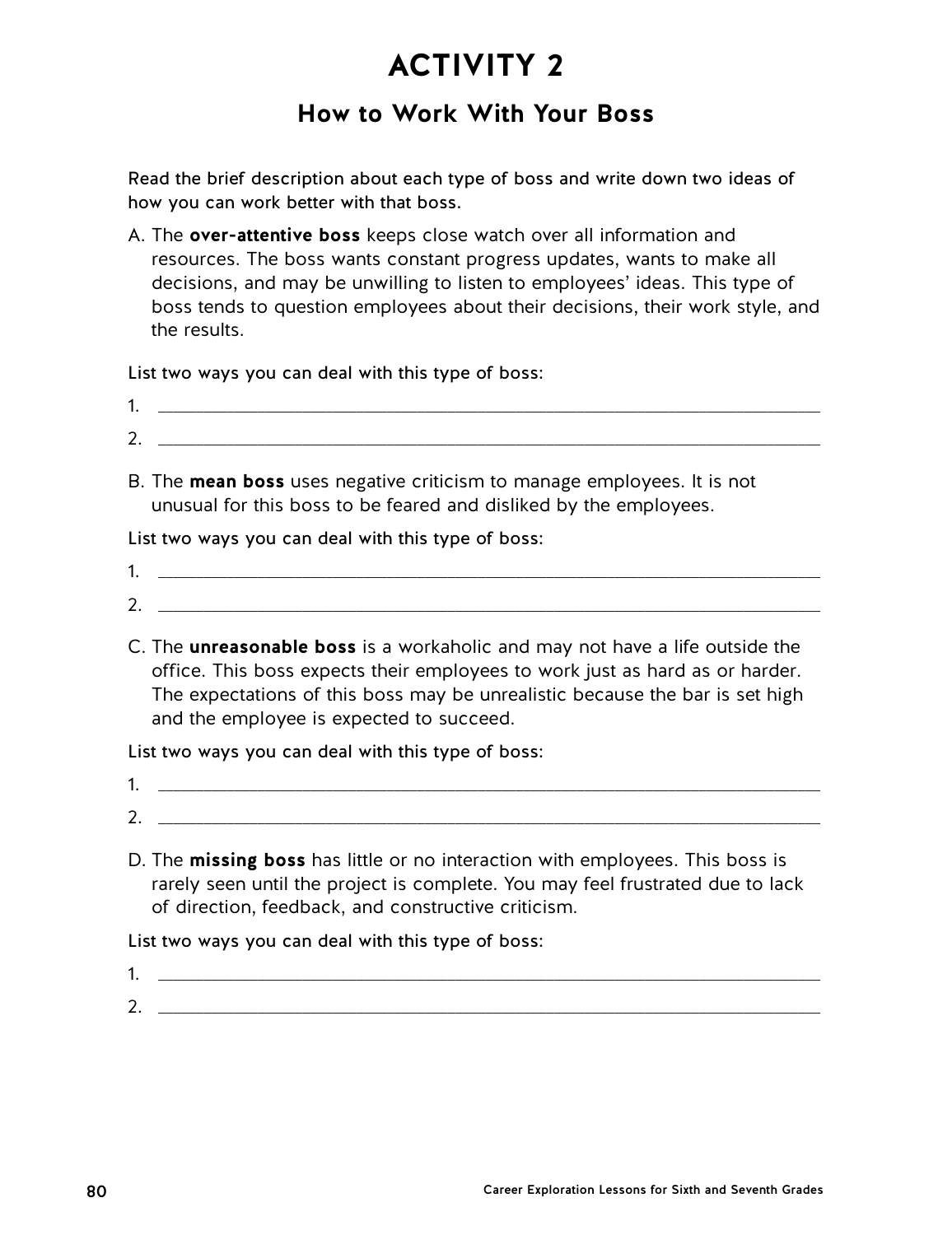## **How to Work With Your Boss**

Read the brief description about each type of boss and write down two ideas of how you can work better with that boss.

A. The **over-attentive boss** keeps close watch over all information and resources. The boss wants constant progress updates, wants to make all decisions, and may be unwilling to listen to employees' ideas. This type of boss tends to question employees about their decisions, their work style, and the results.

List two ways you can deal with this type of boss:

- 1. \_\_\_\_\_\_\_\_\_\_\_\_\_\_\_\_\_\_\_\_\_\_\_\_\_\_\_\_\_\_\_\_\_\_\_\_\_\_\_\_\_\_\_\_\_\_\_\_\_\_\_\_\_\_\_\_\_\_\_\_\_\_\_\_\_\_\_\_\_\_\_\_\_\_\_\_\_\_\_\_\_\_\_\_\_\_\_ 2. \_\_\_\_\_\_\_\_\_\_\_\_\_\_\_\_\_\_\_\_\_\_\_\_\_\_\_\_\_\_\_\_\_\_\_\_\_\_\_\_\_\_\_\_\_\_\_\_\_\_\_\_\_\_\_\_\_\_\_\_\_\_\_\_\_\_\_\_\_\_\_\_\_\_\_\_\_\_\_\_\_\_\_\_\_\_\_
- B. The **mean boss** uses negative criticism to manage employees. It is not unusual for this boss to be feared and disliked by the employees.

List two ways you can deal with this type of boss:

- $1.$
- $2.$
- C. The **unreasonable boss** is a workaholic and may not have a life outside the office. This boss expects their employees to work just as hard as or harder. The expectations of this boss may be unrealistic because the bar is set high and the employee is expected to succeed.

List two ways you can deal with this type of boss:

- 1. \_\_\_\_\_\_\_\_\_\_\_\_\_\_\_\_\_\_\_\_\_\_\_\_\_\_\_\_\_\_\_\_\_\_\_\_\_\_\_\_\_\_\_\_\_\_\_\_\_\_\_\_\_\_\_\_\_\_\_\_\_\_\_\_\_\_\_\_\_\_\_\_\_\_\_\_\_\_\_\_\_\_\_\_\_\_\_ 2. \_\_\_\_\_\_\_\_\_\_\_\_\_\_\_\_\_\_\_\_\_\_\_\_\_\_\_\_\_\_\_\_\_\_\_\_\_\_\_\_\_\_\_\_\_\_\_\_\_\_\_\_\_\_\_\_\_\_\_\_\_\_\_\_\_\_\_\_\_\_\_\_\_\_\_\_\_\_\_\_\_\_\_\_\_\_\_
- D. The **missing boss** has little or no interaction with employees. This boss is rarely seen until the project is complete. You may feel frustrated due to lack of direction, feedback, and constructive criticism.

List two ways you can deal with this type of boss:

1. \_\_\_\_\_\_\_\_\_\_\_\_\_\_\_\_\_\_\_\_\_\_\_\_\_\_\_\_\_\_\_\_\_\_\_\_\_\_\_\_\_\_\_\_\_\_\_\_\_\_\_\_\_\_\_\_\_\_\_\_\_\_\_\_\_\_\_\_\_\_\_\_\_\_\_\_\_\_\_\_\_\_\_\_\_\_\_ 2. \_\_\_\_\_\_\_\_\_\_\_\_\_\_\_\_\_\_\_\_\_\_\_\_\_\_\_\_\_\_\_\_\_\_\_\_\_\_\_\_\_\_\_\_\_\_\_\_\_\_\_\_\_\_\_\_\_\_\_\_\_\_\_\_\_\_\_\_\_\_\_\_\_\_\_\_\_\_\_\_\_\_\_\_\_\_\_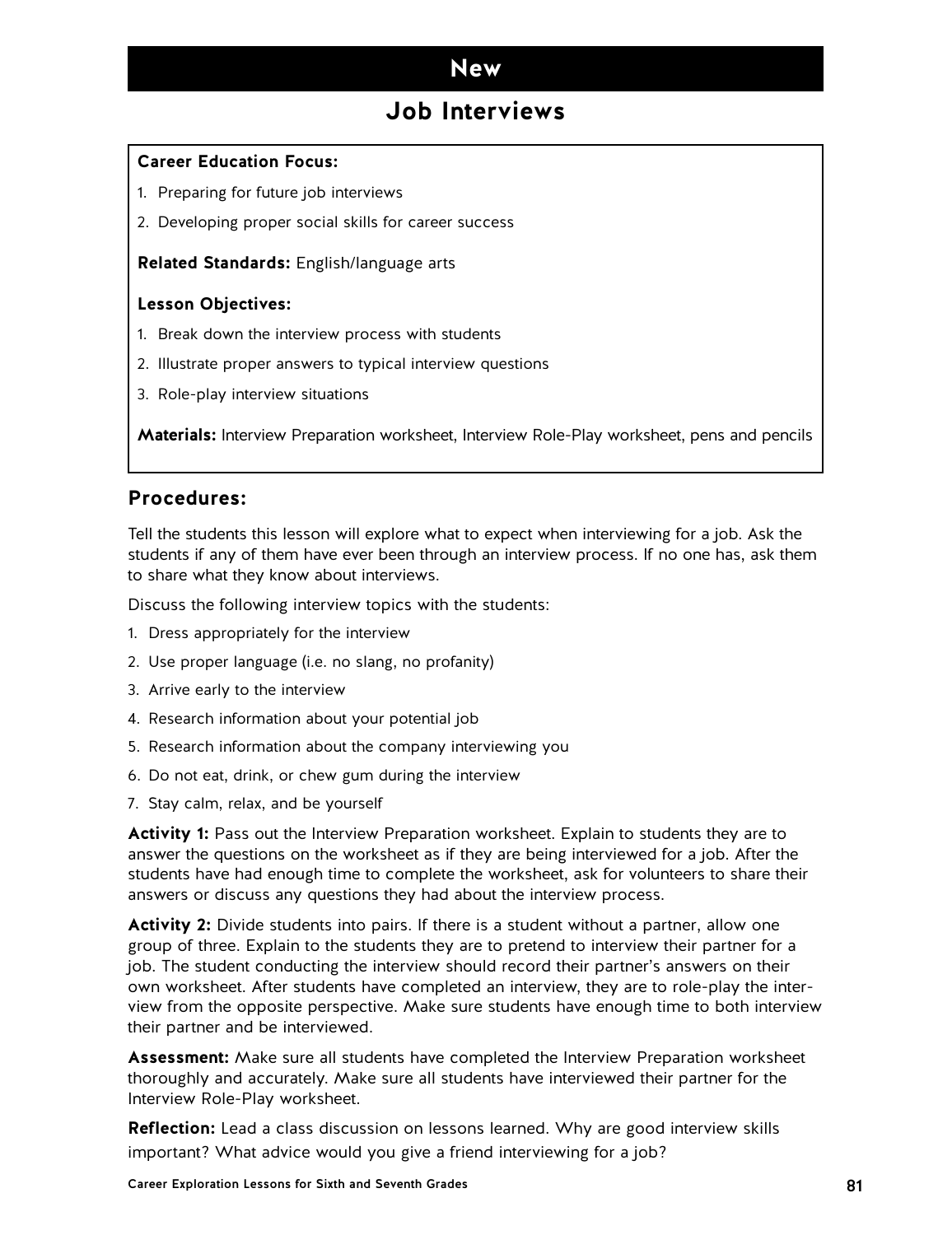## **Job Interviews**

### **Career Education Focus:**

- 1. Preparing for future job interviews
- 2. Developing proper social skills for career success

**Related Standards:** English/language arts

### **Lesson Objectives:**

- 1. Break down the interview process with students
- 2. Illustrate proper answers to typical interview questions
- 3. Role-play interview situations

**Materials:** Interview Preparation worksheet, Interview Role-Play worksheet, pens and pencils

### **Procedures:**

Tell the students this lesson will explore what to expect when interviewing for a job. Ask the students if any of them have ever been through an interview process. If no one has, ask them to share what they know about interviews.

Discuss the following interview topics with the students:

- 1. Dress appropriately for the interview
- 2. Use proper language (i.e. no slang, no profanity)
- 3. Arrive early to the interview
- 4. Research information about your potential job
- 5. Research information about the company interviewing you
- 6. Do not eat, drink, or chew gum during the interview
- 7. Stay calm, relax, and be yourself

**Activity 1:** Pass out the Interview Preparation worksheet. Explain to students they are to answer the questions on the worksheet as if they are being interviewed for a job. After the students have had enough time to complete the worksheet, ask for volunteers to share their answers or discuss any questions they had about the interview process.

**Activity 2:** Divide students into pairs. If there is a student without a partner, allow one group of three. Explain to the students they are to pretend to interview their partner for a job. The student conducting the interview should record their partner's answers on their own worksheet. After students have completed an interview, they are to role-play the interview from the opposite perspective. Make sure students have enough time to both interview their partner and be interviewed.

**Assessment:** Make sure all students have completed the Interview Preparation worksheet thoroughly and accurately. Make sure all students have interviewed their partner for the Interview Role-Play worksheet.

**Reflection:** Lead a class discussion on lessons learned. Why are good interview skills important? What advice would you give a friend interviewing for a job?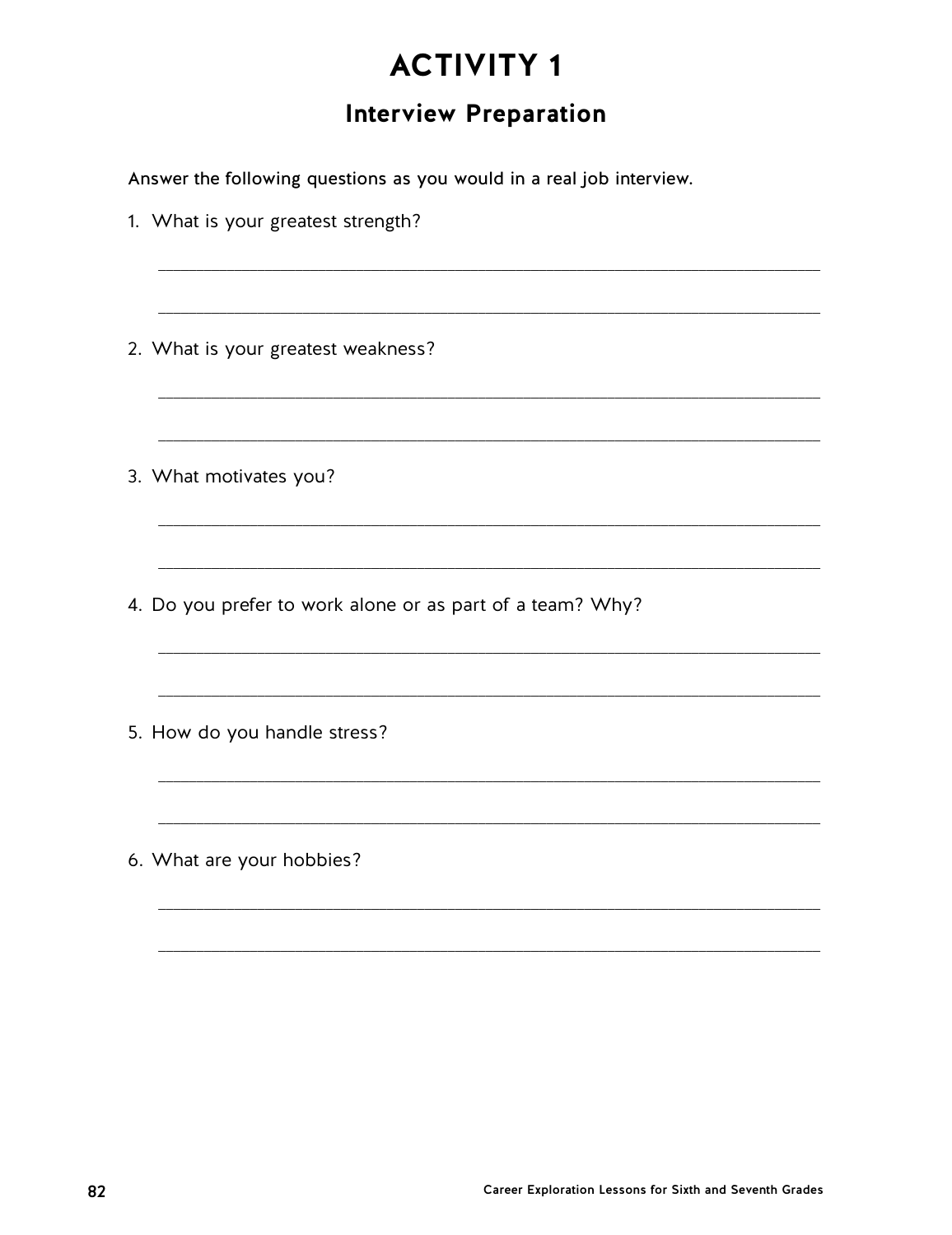# **Interview Preparation**

Answer the following questions as you would in a real job interview.

| 1. What is your greatest strength?                        |  |  |  |  |
|-----------------------------------------------------------|--|--|--|--|
|                                                           |  |  |  |  |
| 2. What is your greatest weakness?                        |  |  |  |  |
|                                                           |  |  |  |  |
| 3. What motivates you?                                    |  |  |  |  |
|                                                           |  |  |  |  |
| 4. Do you prefer to work alone or as part of a team? Why? |  |  |  |  |
|                                                           |  |  |  |  |
| 5. How do you handle stress?                              |  |  |  |  |
|                                                           |  |  |  |  |
| 6. What are your hobbies?                                 |  |  |  |  |
|                                                           |  |  |  |  |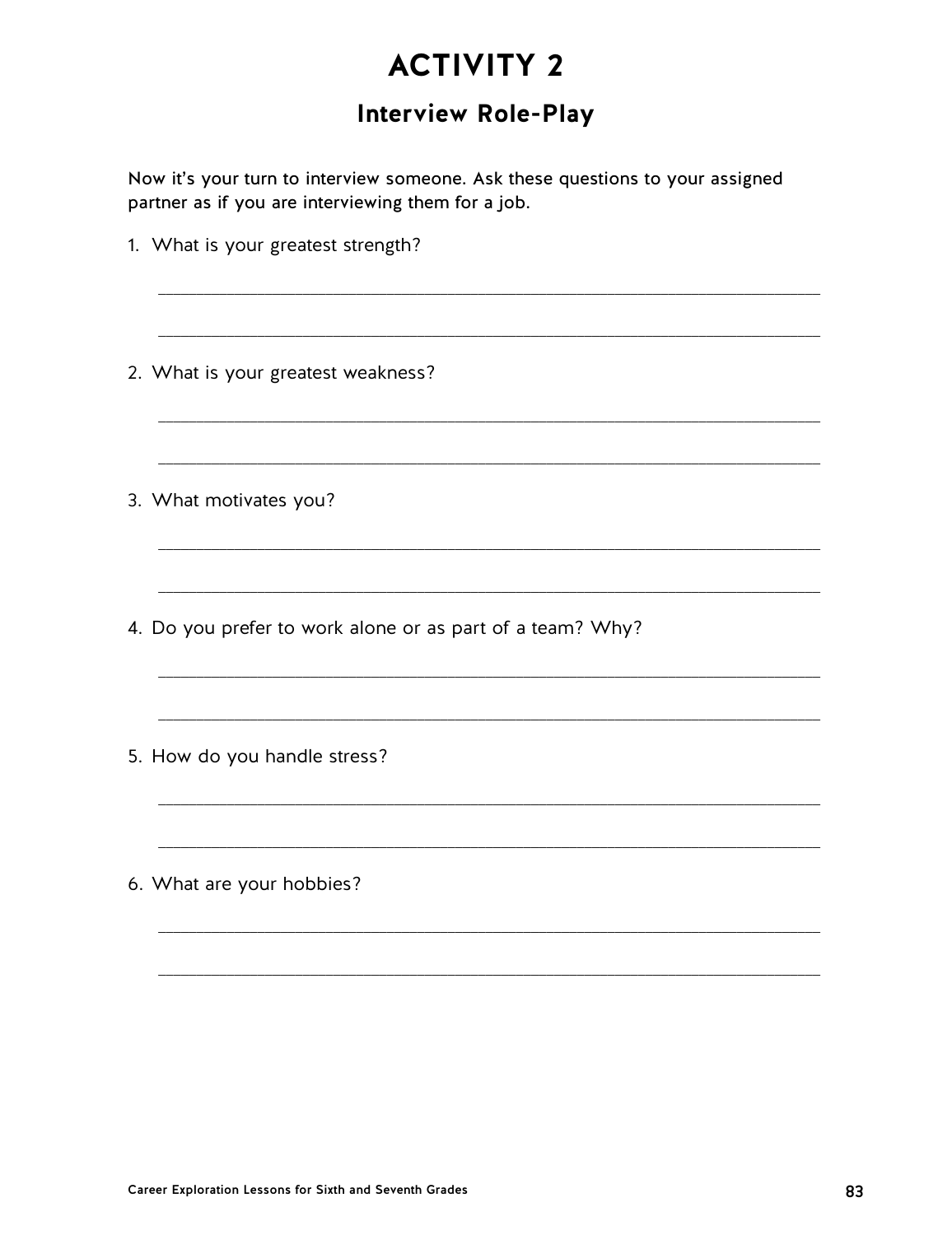# **Interview Role-Play**

Now it's your turn to interview someone. Ask these questions to your assigned partner as if you are interviewing them for a job.

| 1. What is your greatest strength?                        |  |  |  |
|-----------------------------------------------------------|--|--|--|
|                                                           |  |  |  |
| 2. What is your greatest weakness?                        |  |  |  |
|                                                           |  |  |  |
| 3. What motivates you?                                    |  |  |  |
|                                                           |  |  |  |
| 4. Do you prefer to work alone or as part of a team? Why? |  |  |  |
|                                                           |  |  |  |
| 5. How do you handle stress?                              |  |  |  |
|                                                           |  |  |  |
| 6. What are your hobbies?                                 |  |  |  |
|                                                           |  |  |  |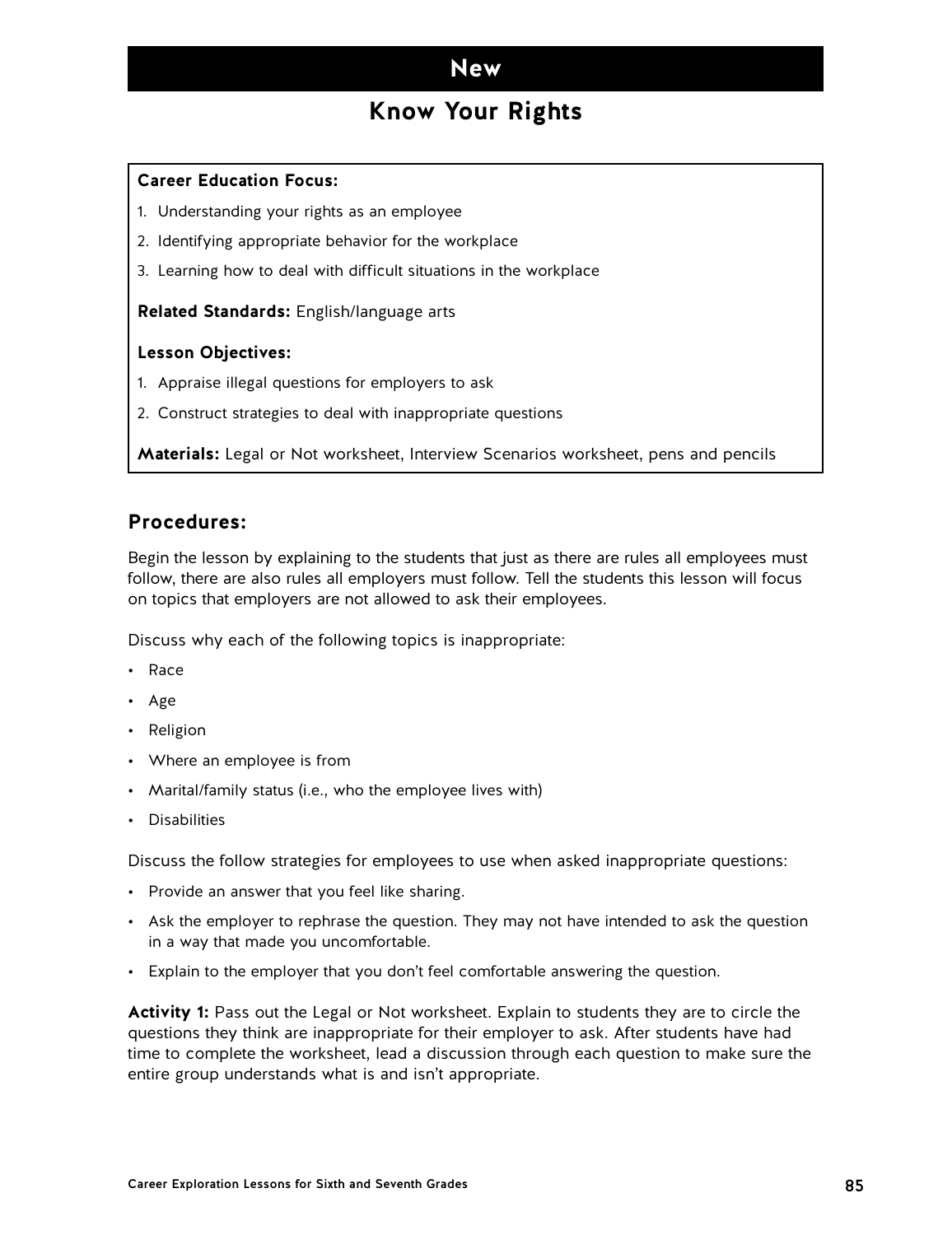## **Know Your Rights**

### **Career Education Focus:**

- 1. Understanding your rights as an employee
- 2. Identifying appropriate behavior for the workplace
- 3. Learning how to deal with difficult situations in the workplace

#### **Related Standards:** English/language arts

#### **Lesson Objectives:**

- 1. Appraise illegal questions for employers to ask
- 2. Construct strategies to deal with inappropriate questions

**Materials:** Legal or Not worksheet, Interview Scenarios worksheet, pens and pencils

### **Procedures:**

Begin the lesson by explaining to the students that just as there are rules all employees must follow, there are also rules all employers must follow. Tell the students this lesson will focus on topics that employers are not allowed to ask their employees.

Discuss why each of the following topics is inappropriate:

- Race
- Age
- Religion
- Where an employee is from
- Marital/family status (i.e., who the employee lives with)
- Disabilities

Discuss the follow strategies for employees to use when asked inappropriate questions:

- Provide an answer that you feel like sharing.
- Ask the employer to rephrase the question. They may not have intended to ask the question in a way that made you uncomfortable.
- Explain to the employer that you don't feel comfortable answering the question.

**Activity 1:** Pass out the Legal or Not worksheet. Explain to students they are to circle the questions they think are inappropriate for their employer to ask. After students have had time to complete the worksheet, lead a discussion through each question to make sure the entire group understands what is and isn't appropriate.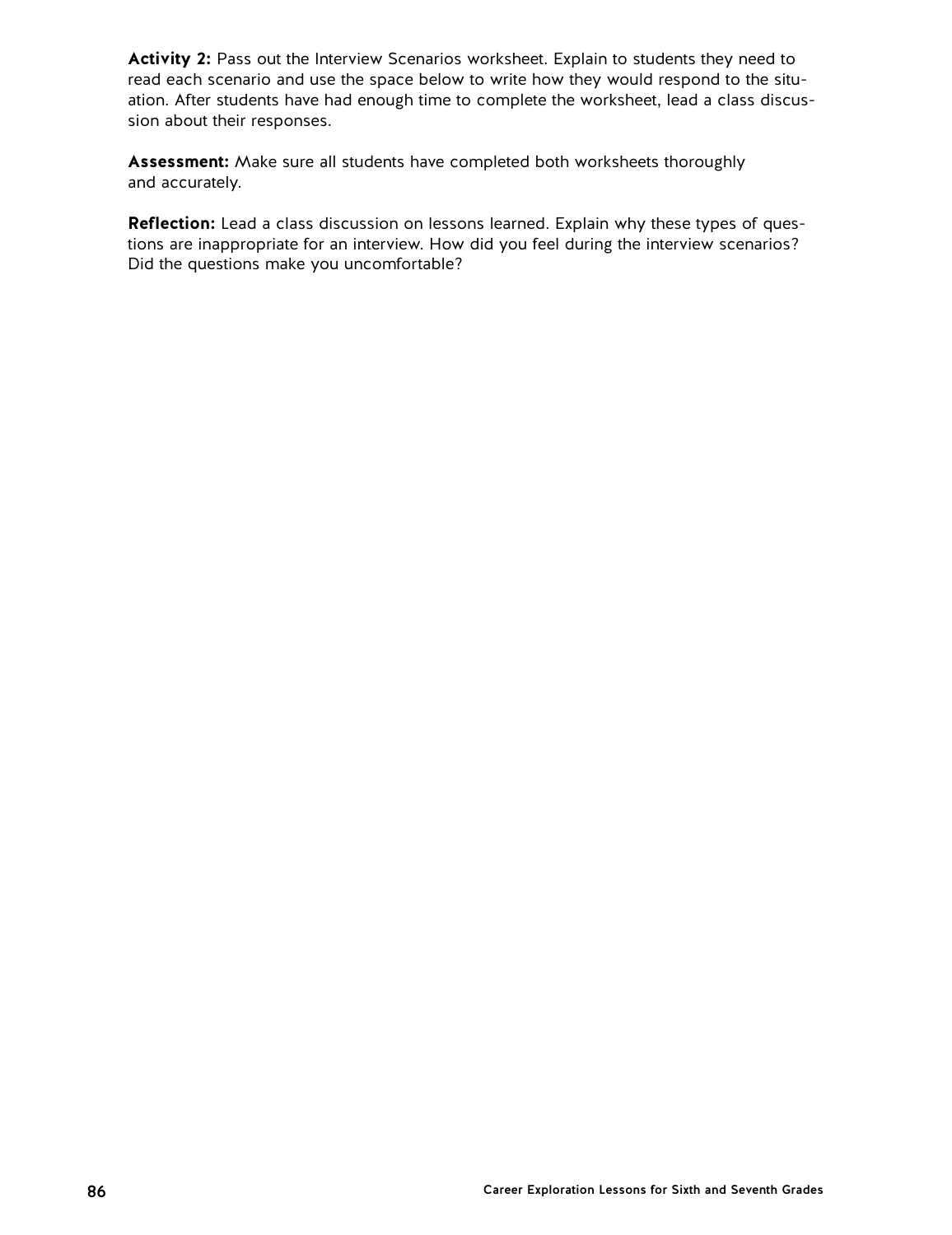Activity 2: Pass out the Interview Scenarios worksheet. Explain to students they need to read each scenario and use the space below to write how they would respond to the situation. After students have had enough time to complete the worksheet, lead a class discussion about their responses.

**Assessment:** Make sure all students have completed both worksheets thoroughly and accurately.

**Reflection:** Lead a class discussion on lessons learned. Explain why these types of questions are inappropriate for an interview. How did you feel during the interview scenarios? Did the questions make you uncomfortable?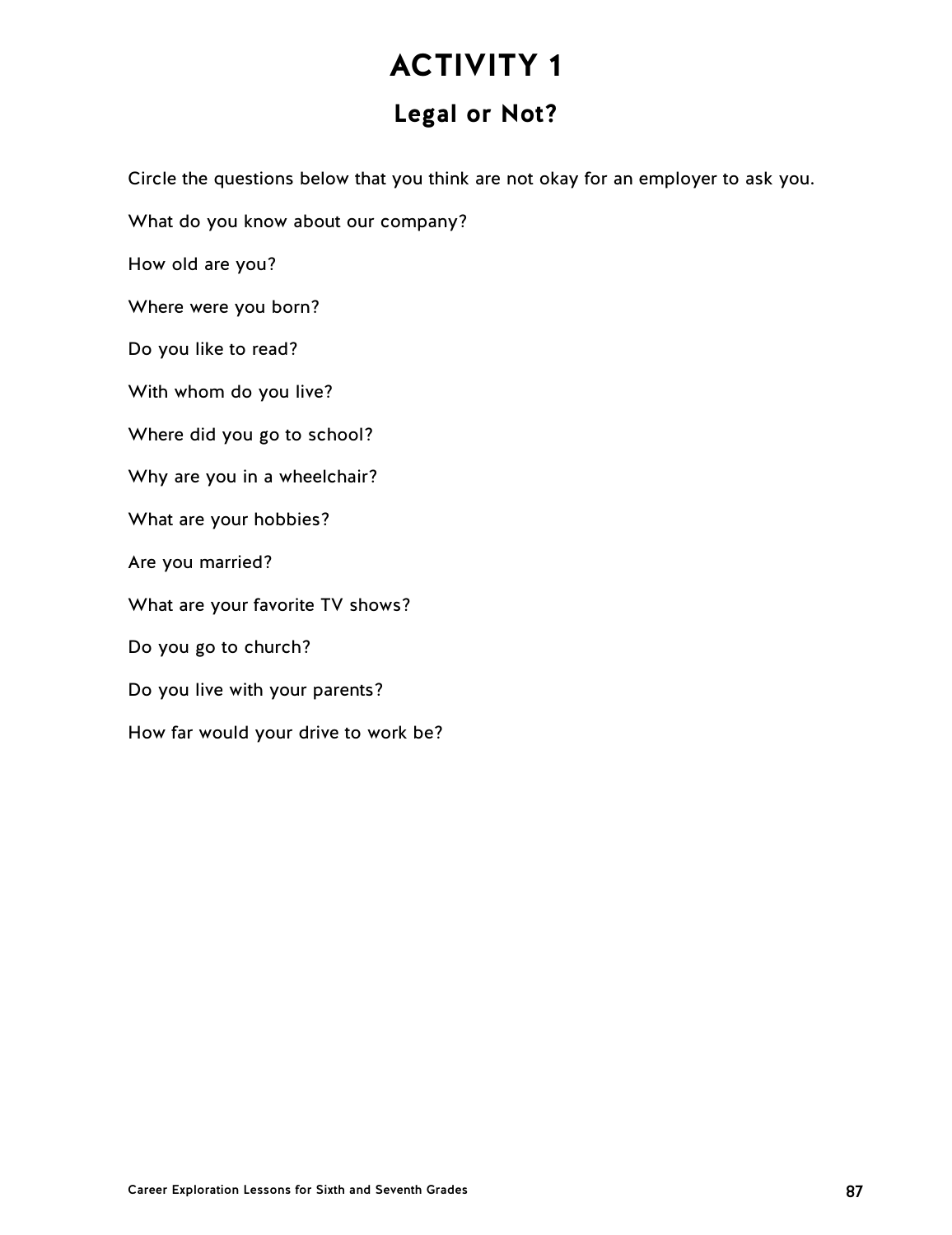# **Legal or Not?**

Circle the questions below that you think are not okay for an employer to ask you.

What do you know about our company?

How old are you?

Where were you born?

Do you like to read?

With whom do you live?

Where did you go to school?

Why are you in a wheelchair?

What are your hobbies?

Are you married?

What are your favorite TV shows?

Do you go to church?

Do you live with your parents?

How far would your drive to work be?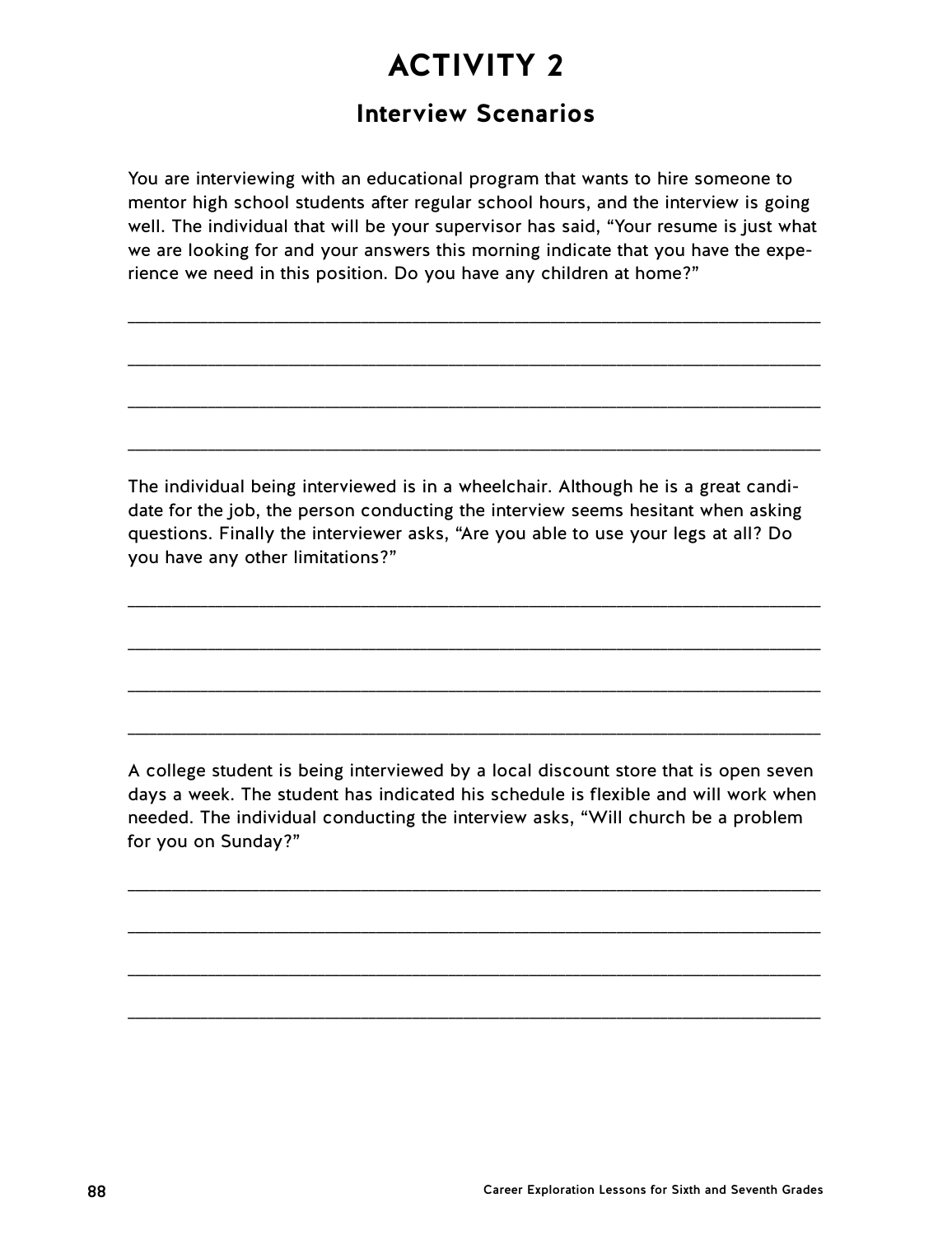# **Interview Scenarios**

You are interviewing with an educational program that wants to hire someone to mentor high school students after regular school hours, and the interview is going well. The individual that will be your supervisor has said, "Your resume is just what we are looking for and your answers this morning indicate that you have the experience we need in this position. Do you have any children at home?"

\_\_\_\_\_\_\_\_\_\_\_\_\_\_\_\_\_\_\_\_\_\_\_\_\_\_\_\_\_\_\_\_\_\_\_\_\_\_\_\_\_\_\_\_\_\_\_\_\_\_\_\_\_\_\_\_\_\_\_\_\_\_\_\_\_\_\_\_\_\_\_\_\_\_\_\_\_\_\_\_\_\_\_\_\_\_\_\_\_\_\_\_\_\_\_

\_\_\_\_\_\_\_\_\_\_\_\_\_\_\_\_\_\_\_\_\_\_\_\_\_\_\_\_\_\_\_\_\_\_\_\_\_\_\_\_\_\_\_\_\_\_\_\_\_\_\_\_\_\_\_\_\_\_\_\_\_\_\_\_\_\_\_\_\_\_\_\_\_\_\_\_\_\_\_\_\_\_\_\_\_\_\_\_\_\_\_\_\_\_\_

\_\_\_\_\_\_\_\_\_\_\_\_\_\_\_\_\_\_\_\_\_\_\_\_\_\_\_\_\_\_\_\_\_\_\_\_\_\_\_\_\_\_\_\_\_\_\_\_\_\_\_\_\_\_\_\_\_\_\_\_\_\_\_\_\_\_\_\_\_\_\_\_\_\_\_\_\_\_\_\_\_\_\_\_\_\_\_\_\_\_\_\_\_\_\_

\_\_\_\_\_\_\_\_\_\_\_\_\_\_\_\_\_\_\_\_\_\_\_\_\_\_\_\_\_\_\_\_\_\_\_\_\_\_\_\_\_\_\_\_\_\_\_\_\_\_\_\_\_\_\_\_\_\_\_\_\_\_\_\_\_\_\_\_\_\_\_\_\_\_\_\_\_\_\_\_\_\_\_\_\_\_\_\_\_\_\_\_\_\_\_

The individual being interviewed is in a wheelchair. Although he is a great candidate for the job, the person conducting the interview seems hesitant when asking questions. Finally the interviewer asks, "Are you able to use your legs at all? Do you have any other limitations?"

\_\_\_\_\_\_\_\_\_\_\_\_\_\_\_\_\_\_\_\_\_\_\_\_\_\_\_\_\_\_\_\_\_\_\_\_\_\_\_\_\_\_\_\_\_\_\_\_\_\_\_\_\_\_\_\_\_\_\_\_\_\_\_\_\_\_\_\_\_\_\_\_\_\_\_\_\_\_\_\_\_\_\_\_\_\_\_\_\_\_\_\_\_\_\_

\_\_\_\_\_\_\_\_\_\_\_\_\_\_\_\_\_\_\_\_\_\_\_\_\_\_\_\_\_\_\_\_\_\_\_\_\_\_\_\_\_\_\_\_\_\_\_\_\_\_\_\_\_\_\_\_\_\_\_\_\_\_\_\_\_\_\_\_\_\_\_\_\_\_\_\_\_\_\_\_\_\_\_\_\_\_\_\_\_\_\_\_\_\_\_

\_\_\_\_\_\_\_\_\_\_\_\_\_\_\_\_\_\_\_\_\_\_\_\_\_\_\_\_\_\_\_\_\_\_\_\_\_\_\_\_\_\_\_\_\_\_\_\_\_\_\_\_\_\_\_\_\_\_\_\_\_\_\_\_\_\_\_\_\_\_\_\_\_\_\_\_\_\_\_\_\_\_\_\_\_\_\_\_\_\_\_\_\_\_\_

\_\_\_\_\_\_\_\_\_\_\_\_\_\_\_\_\_\_\_\_\_\_\_\_\_\_\_\_\_\_\_\_\_\_\_\_\_\_\_\_\_\_\_\_\_\_\_\_\_\_\_\_\_\_\_\_\_\_\_\_\_\_\_\_\_\_\_\_\_\_\_\_\_\_\_\_\_\_\_\_\_\_\_\_\_\_\_\_\_\_\_\_\_\_\_

A college student is being interviewed by a local discount store that is open seven days a week. The student has indicated his schedule is flexible and will work when needed. The individual conducting the interview asks, "Will church be a problem for you on Sunday?"

\_\_\_\_\_\_\_\_\_\_\_\_\_\_\_\_\_\_\_\_\_\_\_\_\_\_\_\_\_\_\_\_\_\_\_\_\_\_\_\_\_\_\_\_\_\_\_\_\_\_\_\_\_\_\_\_\_\_\_\_\_\_\_\_\_\_\_\_\_\_\_\_\_\_\_\_\_\_\_\_\_\_\_\_\_\_\_\_\_\_\_\_\_\_\_

\_\_\_\_\_\_\_\_\_\_\_\_\_\_\_\_\_\_\_\_\_\_\_\_\_\_\_\_\_\_\_\_\_\_\_\_\_\_\_\_\_\_\_\_\_\_\_\_\_\_\_\_\_\_\_\_\_\_\_\_\_\_\_\_\_\_\_\_\_\_\_\_\_\_\_\_\_\_\_\_\_\_\_\_\_\_\_\_\_\_\_\_\_\_\_

\_\_\_\_\_\_\_\_\_\_\_\_\_\_\_\_\_\_\_\_\_\_\_\_\_\_\_\_\_\_\_\_\_\_\_\_\_\_\_\_\_\_\_\_\_\_\_\_\_\_\_\_\_\_\_\_\_\_\_\_\_\_\_\_\_\_\_\_\_\_\_\_\_\_\_\_\_\_\_\_\_\_\_\_\_\_\_\_\_\_\_\_\_\_\_

\_\_\_\_\_\_\_\_\_\_\_\_\_\_\_\_\_\_\_\_\_\_\_\_\_\_\_\_\_\_\_\_\_\_\_\_\_\_\_\_\_\_\_\_\_\_\_\_\_\_\_\_\_\_\_\_\_\_\_\_\_\_\_\_\_\_\_\_\_\_\_\_\_\_\_\_\_\_\_\_\_\_\_\_\_\_\_\_\_\_\_\_\_\_\_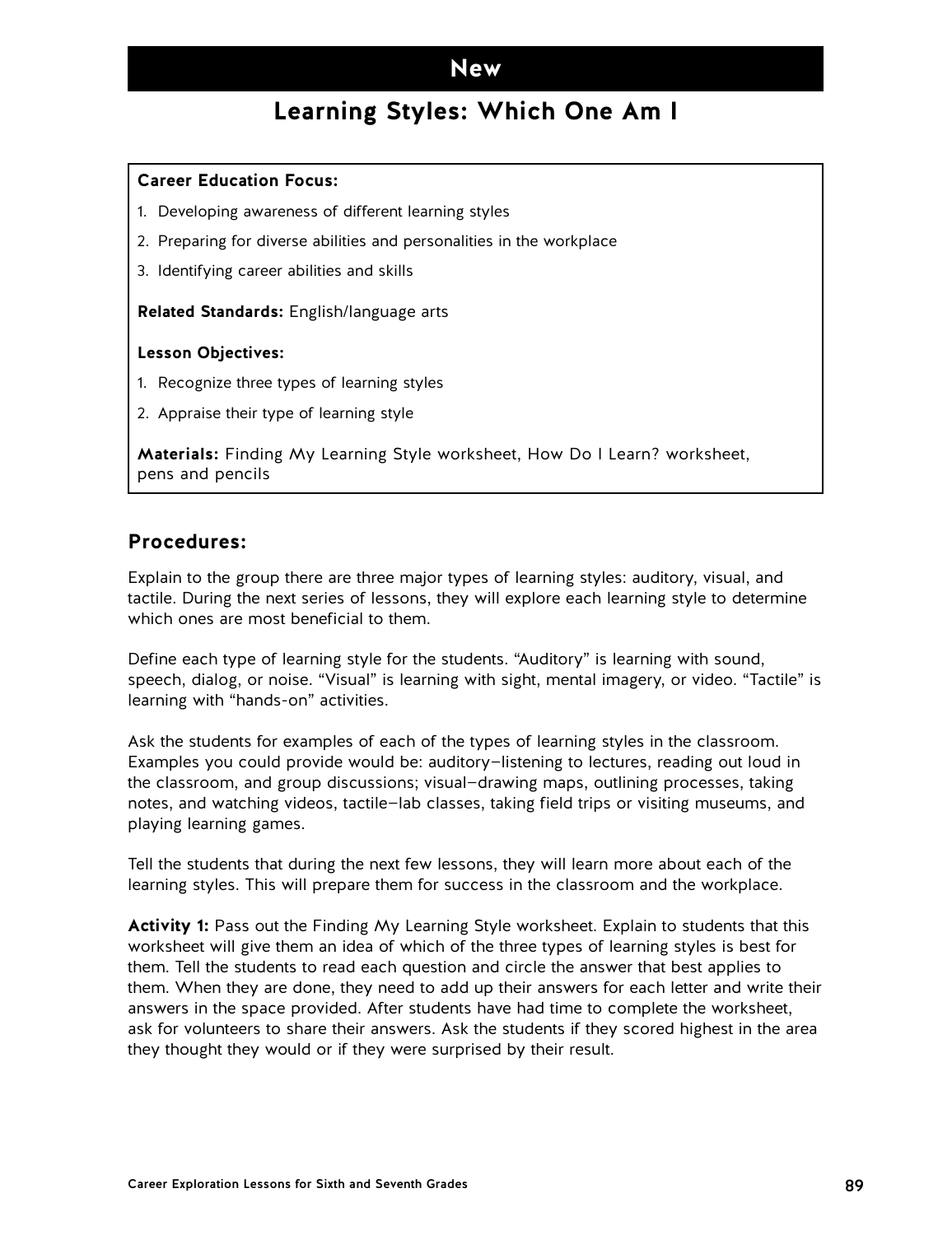## **Learning Styles: Which One Am I**

#### **Career Education Focus:**

- 1. Developing awareness of different learning styles
- 2. Preparing for diverse abilities and personalities in the workplace
- 3. Identifying career abilities and skills

**Related Standards:** English/language arts

#### **Lesson Objectives:**

- 1. Recognize three types of learning styles
- 2. Appraise their type of learning style

**Materials:** Finding My Learning Style worksheet, How Do I Learn? worksheet, pens and pencils

### **Procedures:**

Explain to the group there are three major types of learning styles: auditory, visual, and tactile. During the next series of lessons, they will explore each learning style to determine which ones are most beneficial to them.

Define each type of learning style for the students. "Auditory" is learning with sound, speech, dialog, or noise. "Visual" is learning with sight, mental imagery, or video. "Tactile" is learning with "hands-on" activities.

Ask the students for examples of each of the types of learning styles in the classroom. Examples you could provide would be: auditory—listening to lectures, reading out loud in the classroom, and group discussions; visual—drawing maps, outlining processes, taking notes, and watching videos, tactile—lab classes, taking field trips or visiting museums, and playing learning games.

Tell the students that during the next few lessons, they will learn more about each of the learning styles. This will prepare them for success in the classroom and the workplace.

**Activity 1:** Pass out the Finding My Learning Style worksheet. Explain to students that this worksheet will give them an idea of which of the three types of learning styles is best for them. Tell the students to read each question and circle the answer that best applies to them. When they are done, they need to add up their answers for each letter and write their answers in the space provided. After students have had time to complete the worksheet, ask for volunteers to share their answers. Ask the students if they scored highest in the area they thought they would or if they were surprised by their result.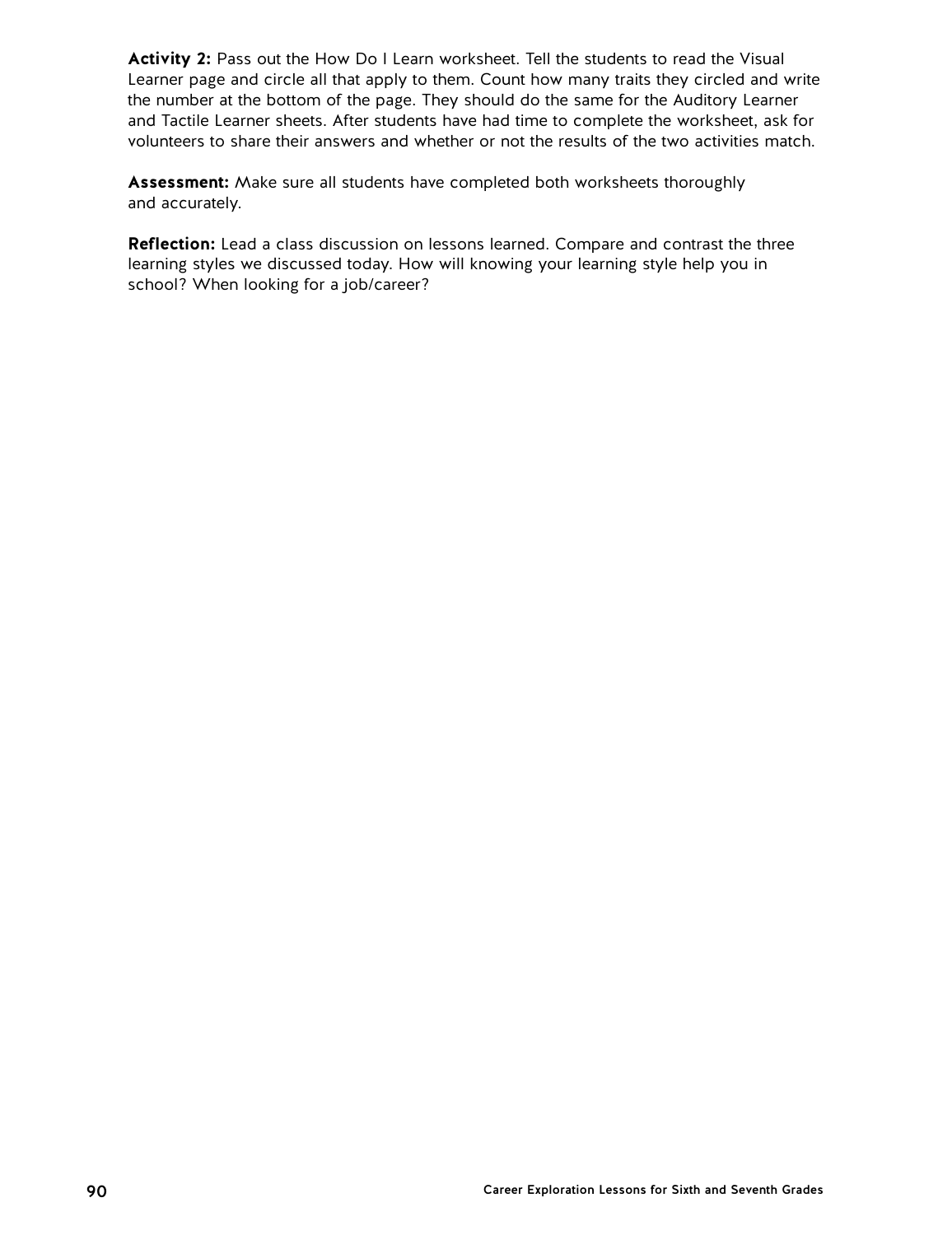**Activity 2:** Pass out the How Do I Learn worksheet. Tell the students to read the Visual Learner page and circle all that apply to them. Count how many traits they circled and write the number at the bottom of the page. They should do the same for the Auditory Learner and Tactile Learner sheets. After students have had time to complete the worksheet, ask for volunteers to share their answers and whether or not the results of the two activities match.

**Assessment:** Make sure all students have completed both worksheets thoroughly and accurately.

**Reflection:** Lead a class discussion on lessons learned. Compare and contrast the three learning styles we discussed today. How will knowing your learning style help you in school? When looking for a job/career?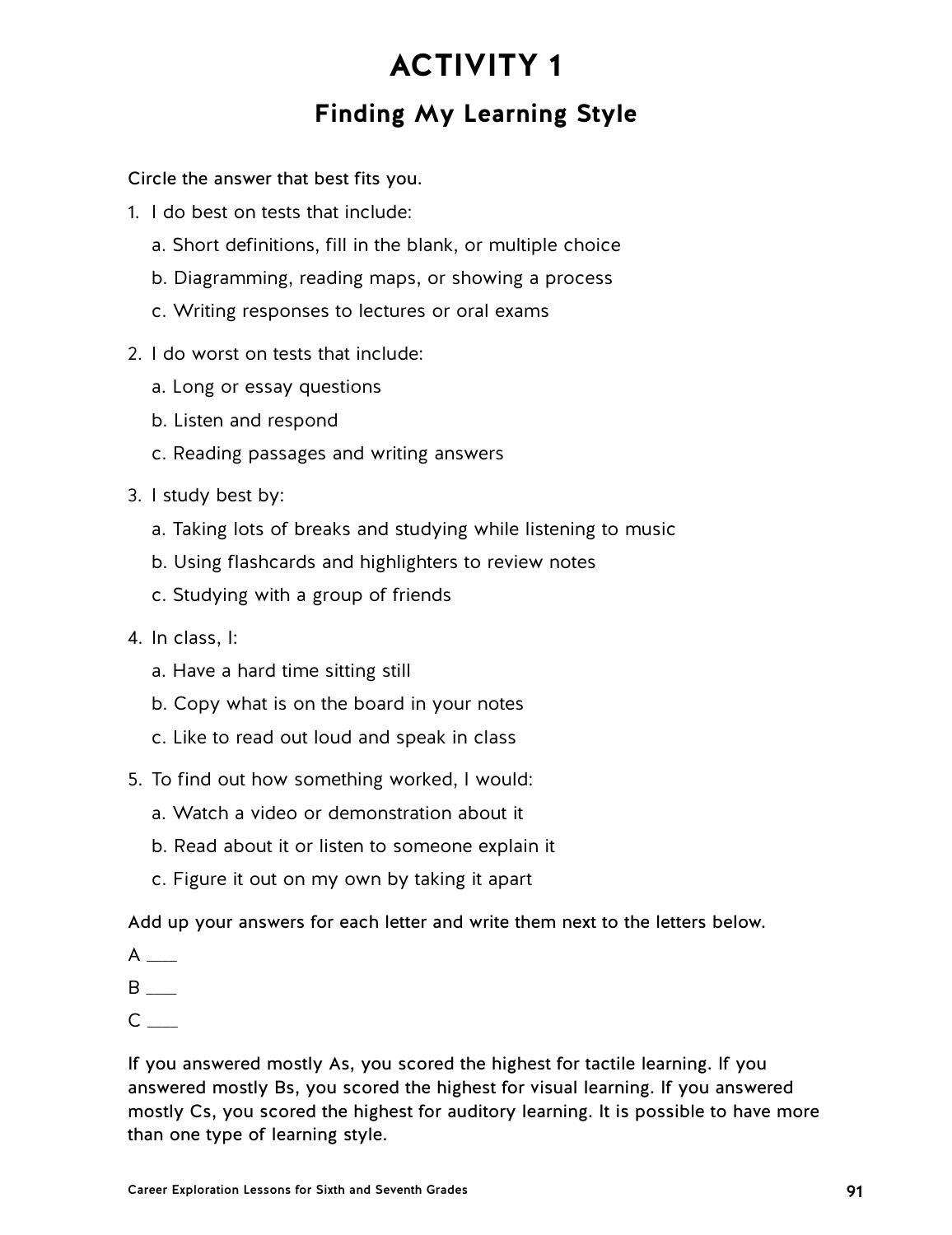# **ACTIVITY 1 Finding My Learning Style**

Circle the answer that best fits you.

- 1. I do best on tests that include:
	- a. Short definitions, fill in the blank, or multiple choice
	- b. Diagramming, reading maps, or showing a process
	- c. Writing responses to lectures or oral exams
- 2. I do worst on tests that include:
	- a. Long or essay questions
	- b. Listen and respond
	- c. Reading passages and writing answers
- 3. I study best by:
	- a. Taking lots of breaks and studying while listening to music
	- b. Using flashcards and highlighters to review notes
	- c. Studying with a group of friends
- 4. In class, I:
	- a. Have a hard time sitting still
	- b. Copy what is on the board in your notes
	- c. Like to read out loud and speak in class
- 5. To find out how something worked, I would:
	- a. Watch a video or demonstration about it
	- b. Read about it or listen to someone explain it
	- c. Figure it out on my own by taking it apart

Add up your answers for each letter and write them next to the letters below.

- A \_\_\_\_
- B \_\_\_\_
- $C \_$

If you answered mostly As, you scored the highest for tactile learning. If you answered mostly Bs, you scored the highest for visual learning. If you answered mostly Cs, you scored the highest for auditory learning. It is possible to have more than one type of learning style.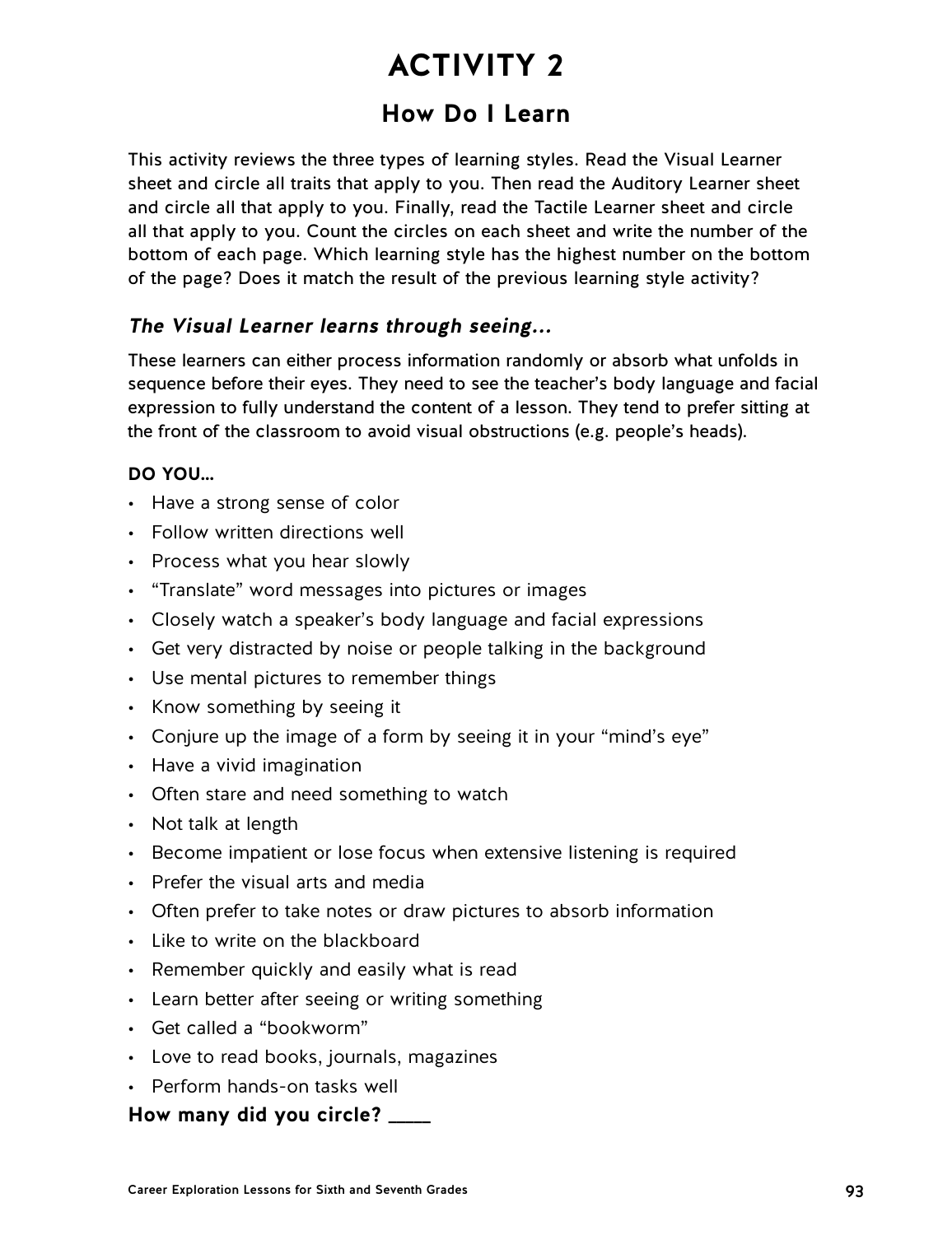# **How Do I Learn**

This activity reviews the three types of learning styles. Read the Visual Learner sheet and circle all traits that apply to you. Then read the Auditory Learner sheet and circle all that apply to you. Finally, read the Tactile Learner sheet and circle all that apply to you. Count the circles on each sheet and write the number of the bottom of each page. Which learning style has the highest number on the bottom of the page? Does it match the result of the previous learning style activity?

## **The Visual Learner learns through seeing...**

These learners can either process information randomly or absorb what unfolds in sequence before their eyes. They need to see the teacher's body language and facial expression to fully understand the content of a lesson. They tend to prefer sitting at the front of the classroom to avoid visual obstructions (e.g. people's heads).

### **DO YOU…**

- Have a strong sense of color
- Follow written directions well
- Process what you hear slowly
- "Translate" word messages into pictures or images
- Closely watch a speaker's body language and facial expressions
- Get very distracted by noise or people talking in the background
- Use mental pictures to remember things
- Know something by seeing it
- Conjure up the image of a form by seeing it in your "mind's eye"
- Have a vivid imagination
- Often stare and need something to watch
- Not talk at length
- Become impatient or lose focus when extensive listening is required
- Prefer the visual arts and media
- Often prefer to take notes or draw pictures to absorb information
- Like to write on the blackboard
- Remember quickly and easily what is read
- Learn better after seeing or writing something
- Get called a "bookworm"
- Love to read books, journals, magazines
- Perform hands-on tasks well

### **How many did you circle? \_\_\_\_\_**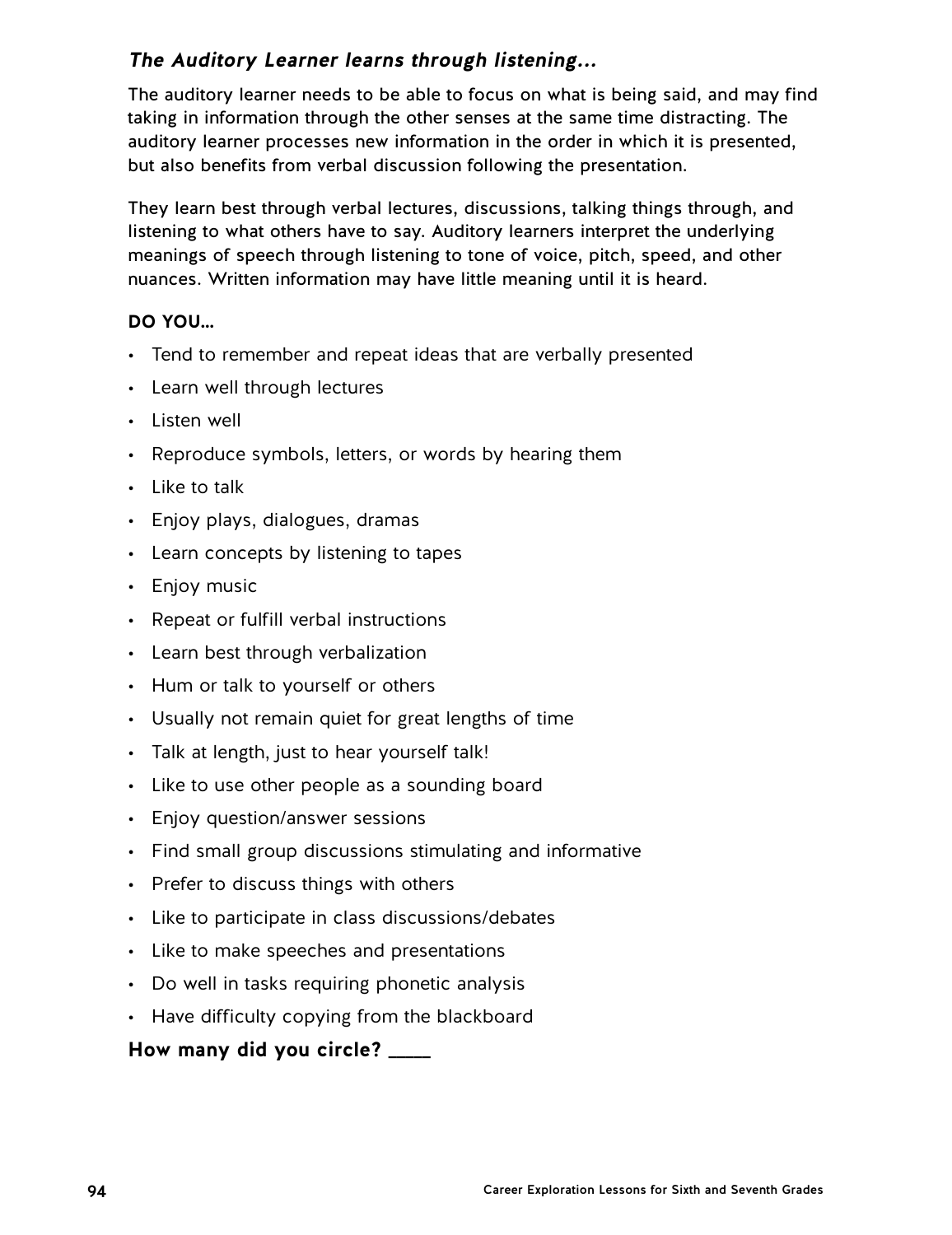## **The Auditory Learner learns through listening...**

The auditory learner needs to be able to focus on what is being said, and may find taking in information through the other senses at the same time distracting. The auditory learner processes new information in the order in which it is presented, but also benefits from verbal discussion following the presentation.

They learn best through verbal lectures, discussions, talking things through, and listening to what others have to say. Auditory learners interpret the underlying meanings of speech through listening to tone of voice, pitch, speed, and other nuances. Written information may have little meaning until it is heard.

## **DO YOU…**

- Tend to remember and repeat ideas that are verbally presented
- Learn well through lectures
- Listen well
- Reproduce symbols, letters, or words by hearing them
- Like to talk
- Enjoy plays, dialogues, dramas
- Learn concepts by listening to tapes
- Enjoy music
- Repeat or fulfill verbal instructions
- Learn best through verbalization
- Hum or talk to yourself or others
- Usually not remain quiet for great lengths of time
- Talk at length, just to hear yourself talk!
- Like to use other people as a sounding board
- Enjoy question/answer sessions
- Find small group discussions stimulating and informative
- Prefer to discuss things with others
- Like to participate in class discussions/debates
- Like to make speeches and presentations
- Do well in tasks requiring phonetic analysis
- Have difficulty copying from the blackboard

## **How many did you circle? \_\_\_\_\_**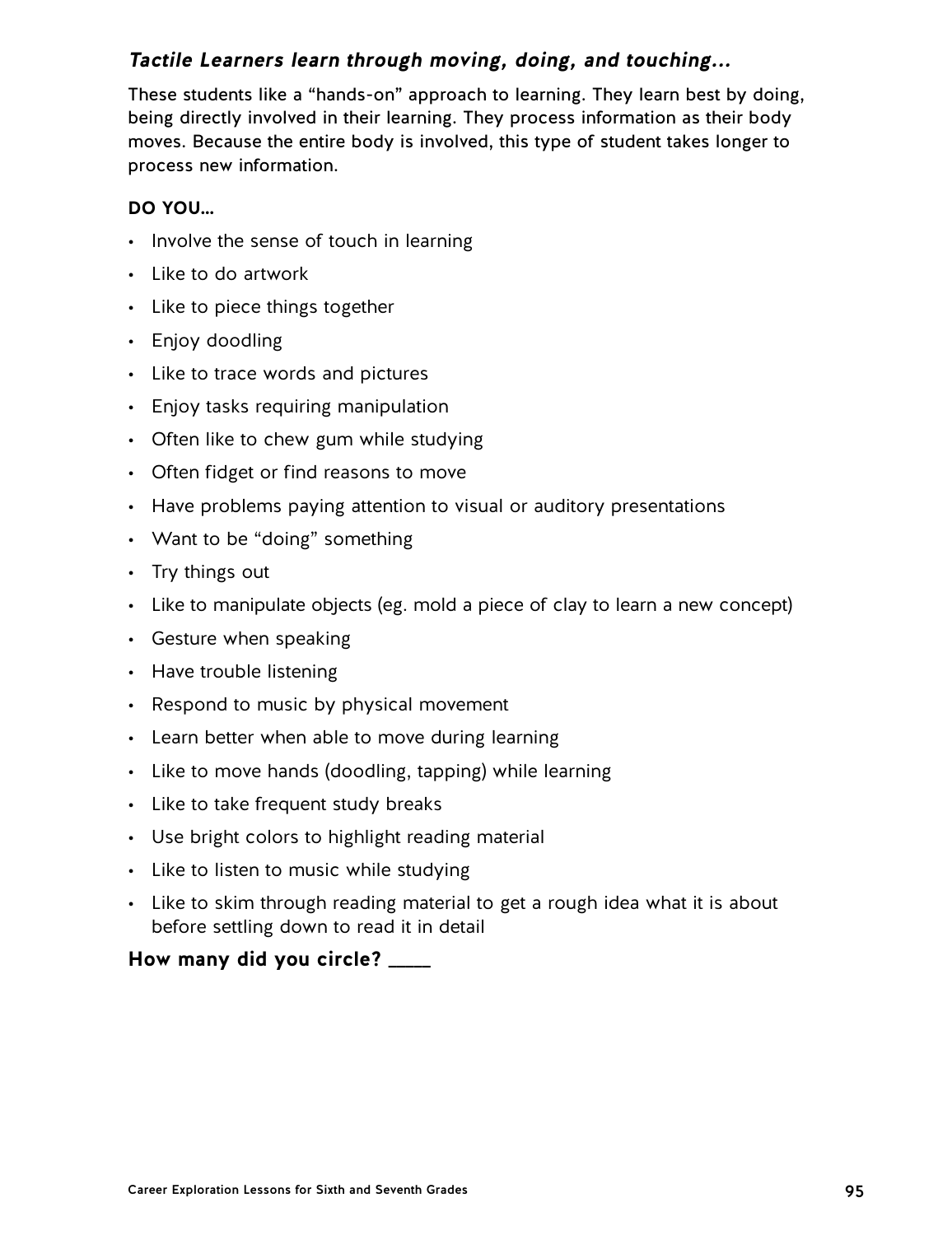## **Tactile Learners learn through moving, doing, and touching...**

These students like a "hands-on" approach to learning. They learn best by doing, being directly involved in their learning. They process information as their body moves. Because the entire body is involved, this type of student takes longer to process new information.

### **DO YOU…**

- Involve the sense of touch in learning
- Like to do artwork
- Like to piece things together
- Enjoy doodling
- Like to trace words and pictures
- Enjoy tasks requiring manipulation
- Often like to chew gum while studying
- Often fidget or find reasons to move
- Have problems paying attention to visual or auditory presentations
- Want to be "doing" something
- $\cdot$  Try things out
- Like to manipulate objects (eg. mold a piece of clay to learn a new concept)
- Gesture when speaking
- Have trouble listening
- Respond to music by physical movement
- Learn better when able to move during learning
- Like to move hands (doodling, tapping) while learning
- Like to take frequent study breaks
- Use bright colors to highlight reading material
- Like to listen to music while studying
- Like to skim through reading material to get a rough idea what it is about before settling down to read it in detail

## **How many did you circle? \_\_\_\_\_**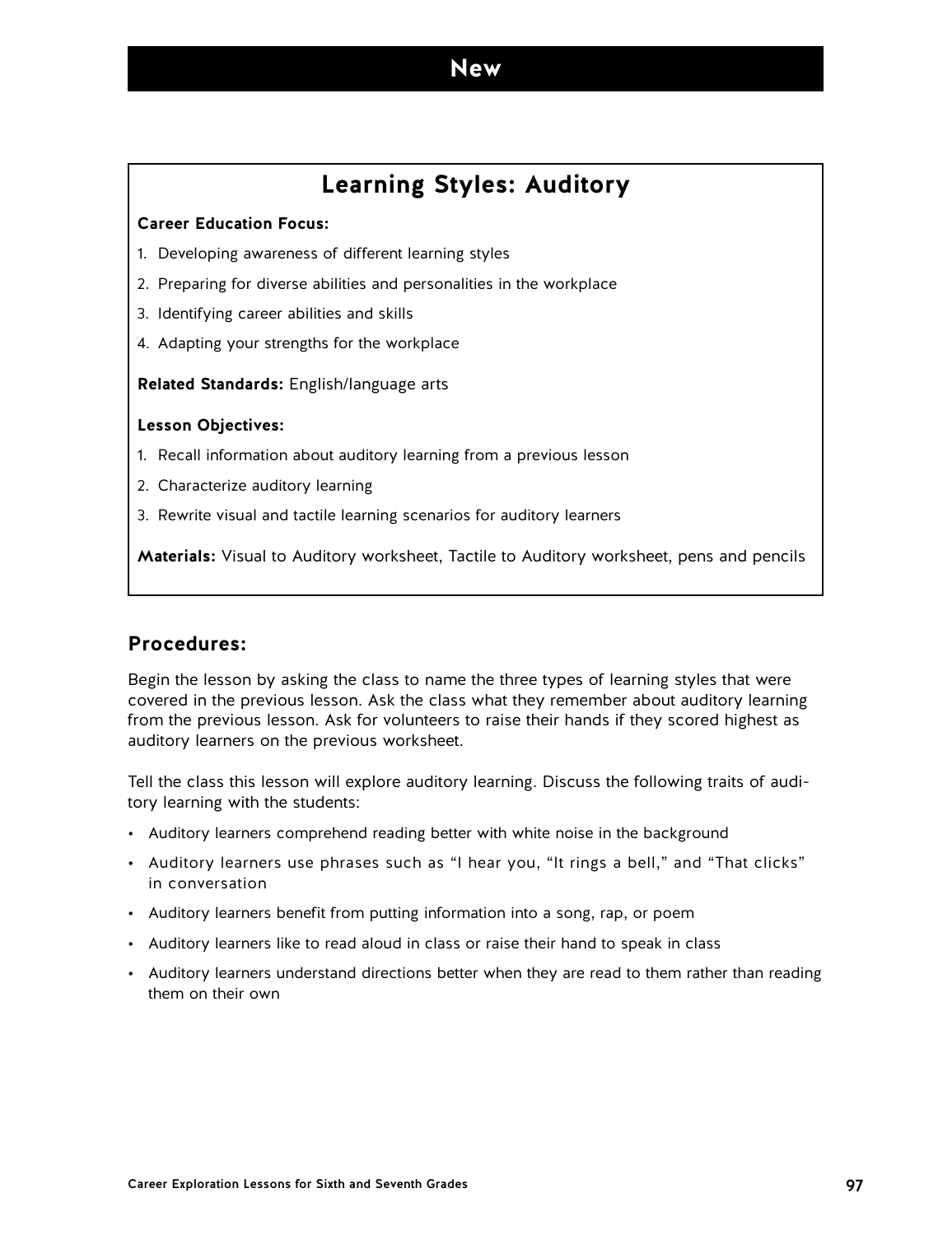# **Learning Styles: Auditory**

#### **Career Education Focus:**

- 1. Developing awareness of different learning styles
- 2. Preparing for diverse abilities and personalities in the workplace
- 3. Identifying career abilities and skills
- 4. Adapting your strengths for the workplace

**Related Standards:** English/language arts

#### **Lesson Objectives:**

- 1. Recall information about auditory learning from a previous lesson
- 2. Characterize auditory learning
- 3. Rewrite visual and tactile learning scenarios for auditory learners

**Materials:** Visual to Auditory worksheet, Tactile to Auditory worksheet, pens and pencils

### **Procedures:**

Begin the lesson by asking the class to name the three types of learning styles that were covered in the previous lesson. Ask the class what they remember about auditory learning from the previous lesson. Ask for volunteers to raise their hands if they scored highest as auditory learners on the previous worksheet.

Tell the class this lesson will explore auditory learning. Discuss the following traits of auditory learning with the students:

- Auditory learners comprehend reading better with white noise in the background
- Auditory learners use phrases such as "I hear you, "It rings a bell," and "That clicks" in conversation
- Auditory learners benefit from putting information into a song, rap, or poem
- Auditory learners like to read aloud in class or raise their hand to speak in class
- Auditory learners understand directions better when they are read to them rather than reading them on their own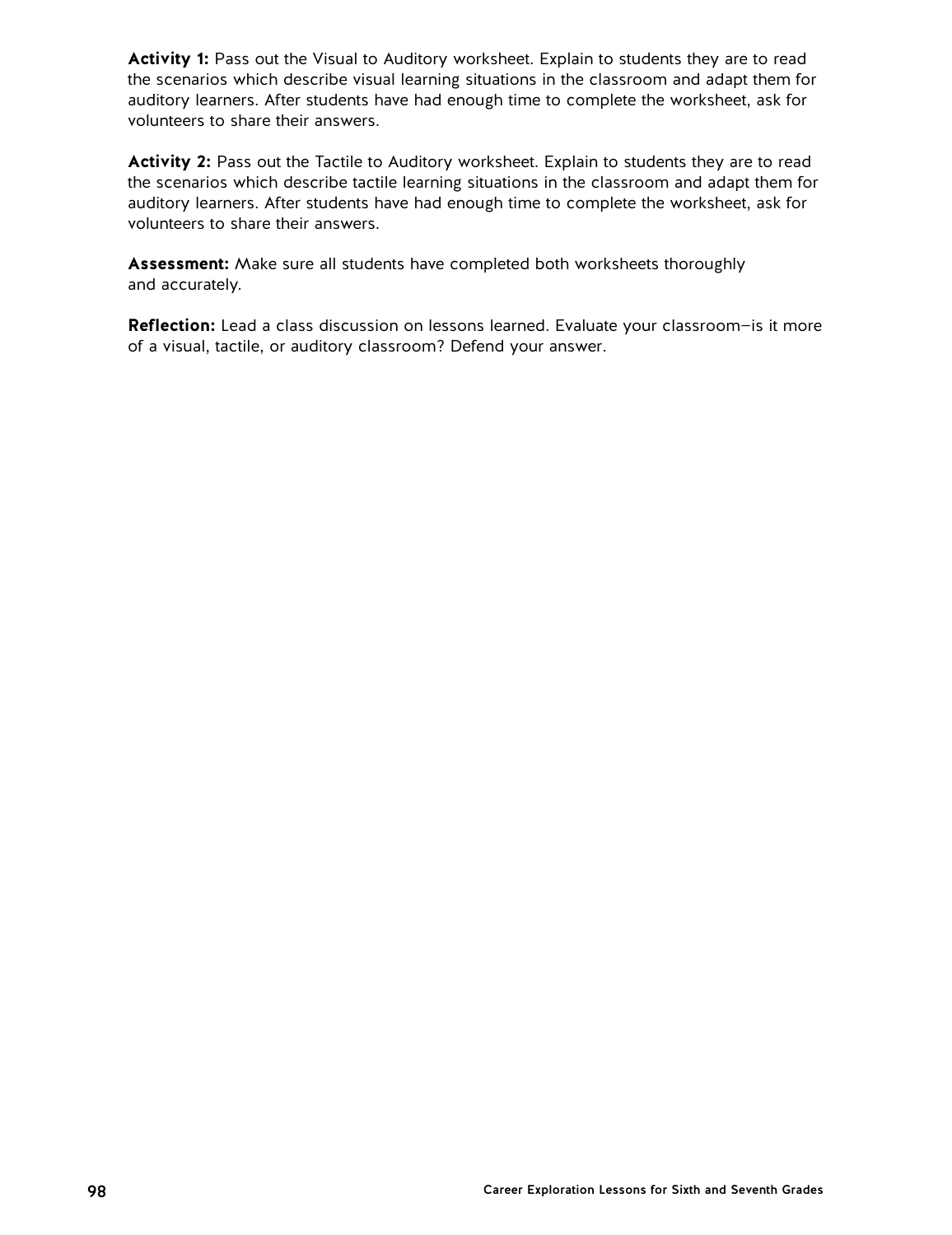Activity 1: Pass out the Visual to Auditory worksheet. Explain to students they are to read the scenarios which describe visual learning situations in the classroom and adapt them for auditory learners. After students have had enough time to complete the worksheet, ask for volunteers to share their answers.

Activity 2: Pass out the Tactile to Auditory worksheet. Explain to students they are to read the scenarios which describe tactile learning situations in the classroom and adapt them for auditory learners. After students have had enough time to complete the worksheet, ask for volunteers to share their answers.

**Assessment:** Make sure all students have completed both worksheets thoroughly and accurately.

**Reflection:** Lead a class discussion on lessons learned. Evaluate your classroom—is it more of a visual, tactile, or auditory classroom? Defend your answer.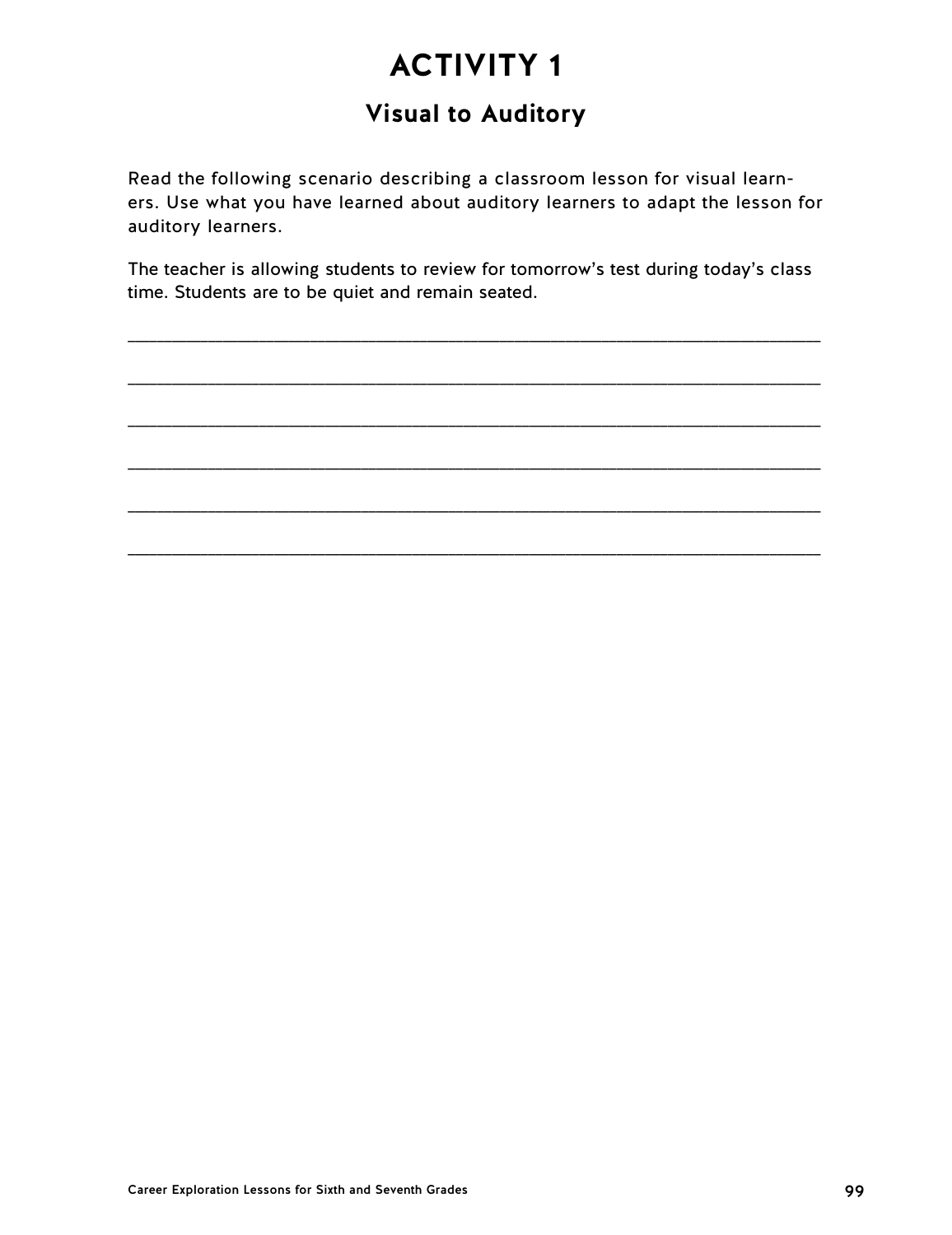# **Visual to Auditory**

Read the following scenario describing a classroom lesson for visual learners. Use what you have learned about auditory learners to adapt the lesson for auditory learners.

The teacher is allowing students to review for tomorrow's test during today's class time. Students are to be quiet and remain seated.

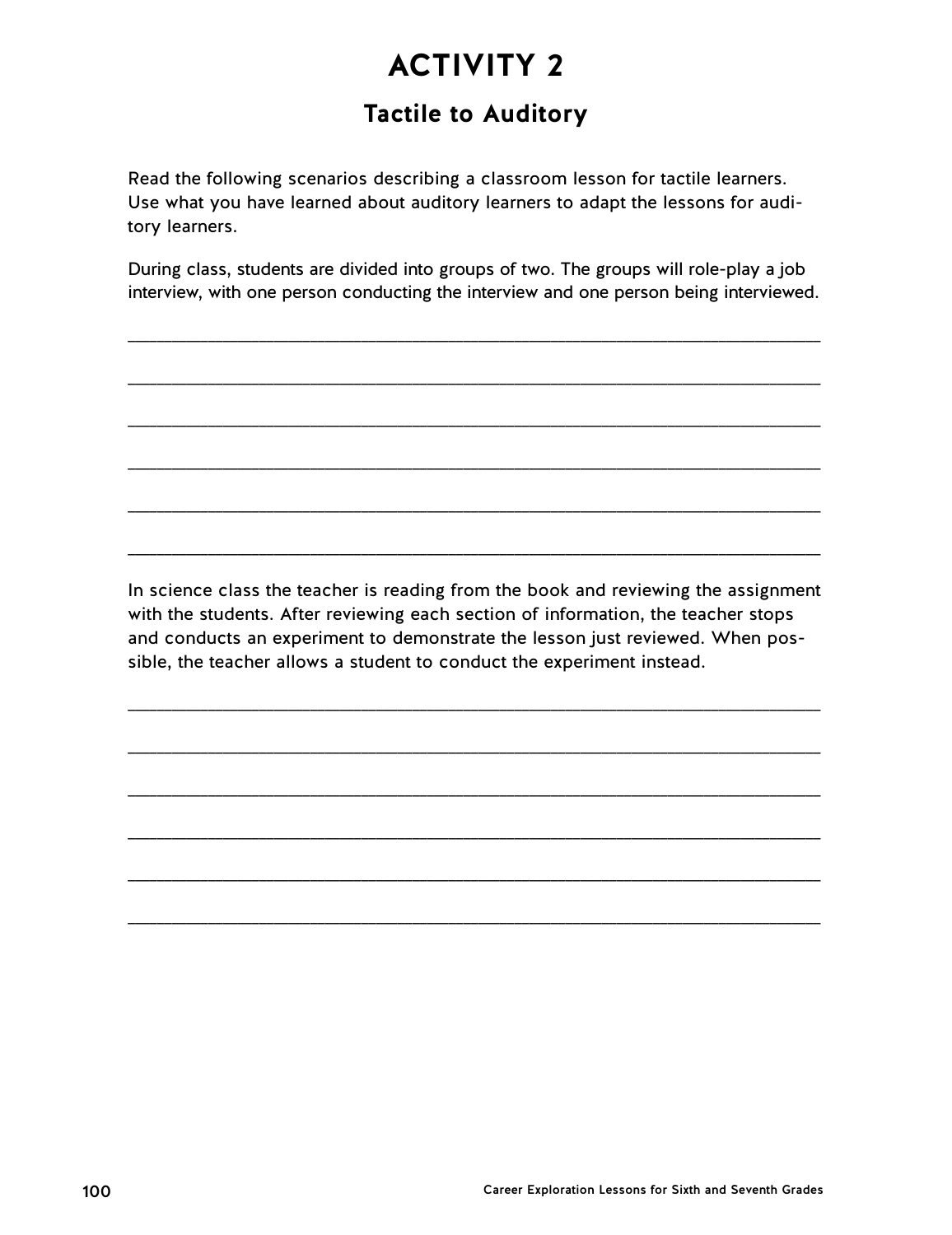# **Tactile to Auditory**

Read the following scenarios describing a classroom lesson for tactile learners. Use what you have learned about auditory learners to adapt the lessons for auditory learners.

During class, students are divided into groups of two. The groups will role-play a job interview, with one person conducting the interview and one person being interviewed.

\_\_\_\_\_\_\_\_\_\_\_\_\_\_\_\_\_\_\_\_\_\_\_\_\_\_\_\_\_\_\_\_\_\_\_\_\_\_\_\_\_\_\_\_\_\_\_\_\_\_\_\_\_\_\_\_\_\_\_\_\_\_\_\_\_\_\_\_\_\_\_\_\_\_\_\_\_\_\_\_\_\_\_\_\_\_\_\_\_\_\_\_\_\_\_

\_\_\_\_\_\_\_\_\_\_\_\_\_\_\_\_\_\_\_\_\_\_\_\_\_\_\_\_\_\_\_\_\_\_\_\_\_\_\_\_\_\_\_\_\_\_\_\_\_\_\_\_\_\_\_\_\_\_\_\_\_\_\_\_\_\_\_\_\_\_\_\_\_\_\_\_\_\_\_\_\_\_\_\_\_\_\_\_\_\_\_\_\_\_\_

\_\_\_\_\_\_\_\_\_\_\_\_\_\_\_\_\_\_\_\_\_\_\_\_\_\_\_\_\_\_\_\_\_\_\_\_\_\_\_\_\_\_\_\_\_\_\_\_\_\_\_\_\_\_\_\_\_\_\_\_\_\_\_\_\_\_\_\_\_\_\_\_\_\_\_\_\_\_\_\_\_\_\_\_\_\_\_\_\_\_\_\_\_\_\_

\_\_\_\_\_\_\_\_\_\_\_\_\_\_\_\_\_\_\_\_\_\_\_\_\_\_\_\_\_\_\_\_\_\_\_\_\_\_\_\_\_\_\_\_\_\_\_\_\_\_\_\_\_\_\_\_\_\_\_\_\_\_\_\_\_\_\_\_\_\_\_\_\_\_\_\_\_\_\_\_\_\_\_\_\_\_\_\_\_\_\_\_\_\_\_

\_\_\_\_\_\_\_\_\_\_\_\_\_\_\_\_\_\_\_\_\_\_\_\_\_\_\_\_\_\_\_\_\_\_\_\_\_\_\_\_\_\_\_\_\_\_\_\_\_\_\_\_\_\_\_\_\_\_\_\_\_\_\_\_\_\_\_\_\_\_\_\_\_\_\_\_\_\_\_\_\_\_\_\_\_\_\_\_\_\_\_\_\_\_\_

\_\_\_\_\_\_\_\_\_\_\_\_\_\_\_\_\_\_\_\_\_\_\_\_\_\_\_\_\_\_\_\_\_\_\_\_\_\_\_\_\_\_\_\_\_\_\_\_\_\_\_\_\_\_\_\_\_\_\_\_\_\_\_\_\_\_\_\_\_\_\_\_\_\_\_\_\_\_\_\_\_\_\_\_\_\_\_\_\_\_\_\_\_\_\_

In science class the teacher is reading from the book and reviewing the assignment with the students. After reviewing each section of information, the teacher stops and conducts an experiment to demonstrate the lesson just reviewed. When possible, the teacher allows a student to conduct the experiment instead.

\_\_\_\_\_\_\_\_\_\_\_\_\_\_\_\_\_\_\_\_\_\_\_\_\_\_\_\_\_\_\_\_\_\_\_\_\_\_\_\_\_\_\_\_\_\_\_\_\_\_\_\_\_\_\_\_\_\_\_\_\_\_\_\_\_\_\_\_\_\_\_\_\_\_\_\_\_\_\_\_\_\_\_\_\_\_\_\_\_\_\_\_\_\_\_

\_\_\_\_\_\_\_\_\_\_\_\_\_\_\_\_\_\_\_\_\_\_\_\_\_\_\_\_\_\_\_\_\_\_\_\_\_\_\_\_\_\_\_\_\_\_\_\_\_\_\_\_\_\_\_\_\_\_\_\_\_\_\_\_\_\_\_\_\_\_\_\_\_\_\_\_\_\_\_\_\_\_\_\_\_\_\_\_\_\_\_\_\_\_\_

\_\_\_\_\_\_\_\_\_\_\_\_\_\_\_\_\_\_\_\_\_\_\_\_\_\_\_\_\_\_\_\_\_\_\_\_\_\_\_\_\_\_\_\_\_\_\_\_\_\_\_\_\_\_\_\_\_\_\_\_\_\_\_\_\_\_\_\_\_\_\_\_\_\_\_\_\_\_\_\_\_\_\_\_\_\_\_\_\_\_\_\_\_\_\_

\_\_\_\_\_\_\_\_\_\_\_\_\_\_\_\_\_\_\_\_\_\_\_\_\_\_\_\_\_\_\_\_\_\_\_\_\_\_\_\_\_\_\_\_\_\_\_\_\_\_\_\_\_\_\_\_\_\_\_\_\_\_\_\_\_\_\_\_\_\_\_\_\_\_\_\_\_\_\_\_\_\_\_\_\_\_\_\_\_\_\_\_\_\_\_

\_\_\_\_\_\_\_\_\_\_\_\_\_\_\_\_\_\_\_\_\_\_\_\_\_\_\_\_\_\_\_\_\_\_\_\_\_\_\_\_\_\_\_\_\_\_\_\_\_\_\_\_\_\_\_\_\_\_\_\_\_\_\_\_\_\_\_\_\_\_\_\_\_\_\_\_\_\_\_\_\_\_\_\_\_\_\_\_\_\_\_\_\_\_\_

\_\_\_\_\_\_\_\_\_\_\_\_\_\_\_\_\_\_\_\_\_\_\_\_\_\_\_\_\_\_\_\_\_\_\_\_\_\_\_\_\_\_\_\_\_\_\_\_\_\_\_\_\_\_\_\_\_\_\_\_\_\_\_\_\_\_\_\_\_\_\_\_\_\_\_\_\_\_\_\_\_\_\_\_\_\_\_\_\_\_\_\_\_\_\_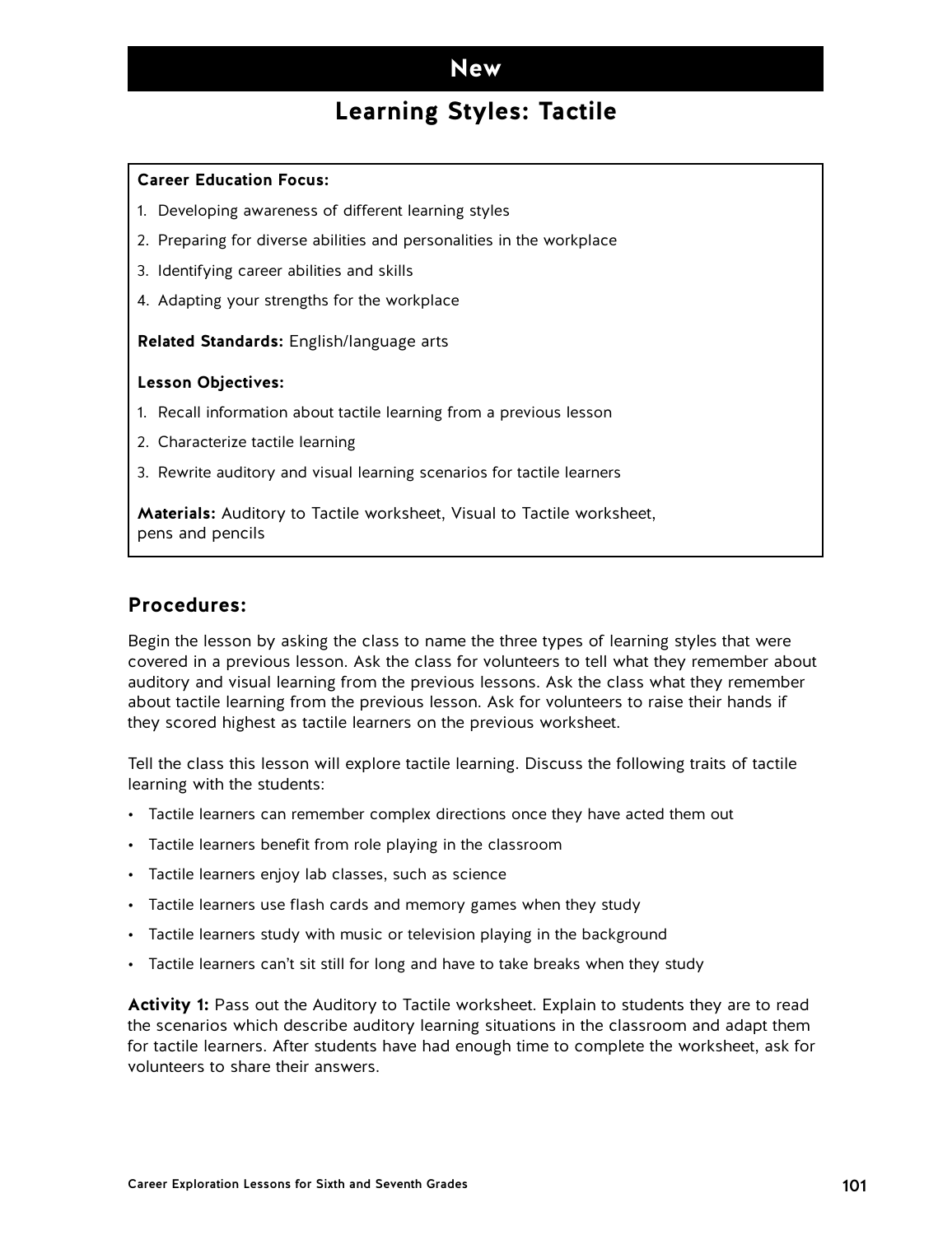## **Learning Styles: Tactile**

#### **Career Education Focus:**

- 1. Developing awareness of different learning styles
- 2. Preparing for diverse abilities and personalities in the workplace
- 3. Identifying career abilities and skills
- 4. Adapting your strengths for the workplace

**Related Standards:** English/language arts

#### **Lesson Objectives:**

- 1. Recall information about tactile learning from a previous lesson
- 2. Characterize tactile learning
- 3. Rewrite auditory and visual learning scenarios for tactile learners

**Materials:** Auditory to Tactile worksheet, Visual to Tactile worksheet, pens and pencils

### **Procedures:**

Begin the lesson by asking the class to name the three types of learning styles that were covered in a previous lesson. Ask the class for volunteers to tell what they remember about auditory and visual learning from the previous lessons. Ask the class what they remember about tactile learning from the previous lesson. Ask for volunteers to raise their hands if they scored highest as tactile learners on the previous worksheet.

Tell the class this lesson will explore tactile learning. Discuss the following traits of tactile learning with the students:

- Tactile learners can remember complex directions once they have acted them out
- Tactile learners benefit from role playing in the classroom
- Tactile learners enjoy lab classes, such as science
- Tactile learners use flash cards and memory games when they study
- Tactile learners study with music or television playing in the background
- Tactile learners can't sit still for long and have to take breaks when they study

**Activity 1:** Pass out the Auditory to Tactile worksheet. Explain to students they are to read the scenarios which describe auditory learning situations in the classroom and adapt them for tactile learners. After students have had enough time to complete the worksheet, ask for volunteers to share their answers.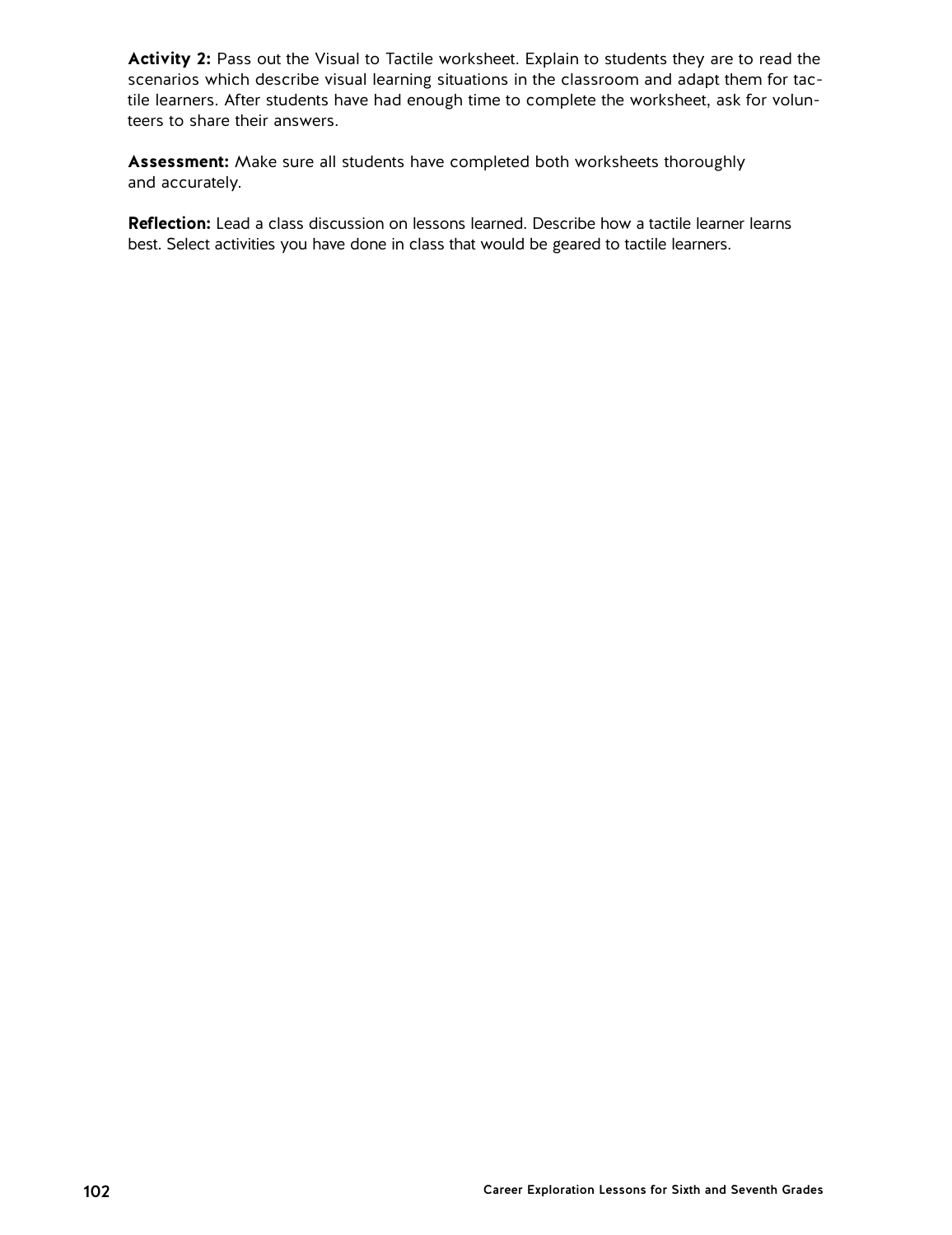**Activity 2:** Pass out the Visual to Tactile worksheet. Explain to students they are to read the scenarios which describe visual learning situations in the classroom and adapt them for tactile learners. After students have had enough time to complete the worksheet, ask for volunteers to share their answers.

**Assessment:** Make sure all students have completed both worksheets thoroughly and accurately.

**Reflection:** Lead a class discussion on lessons learned. Describe how a tactile learner learns best. Select activities you have done in class that would be geared to tactile learners.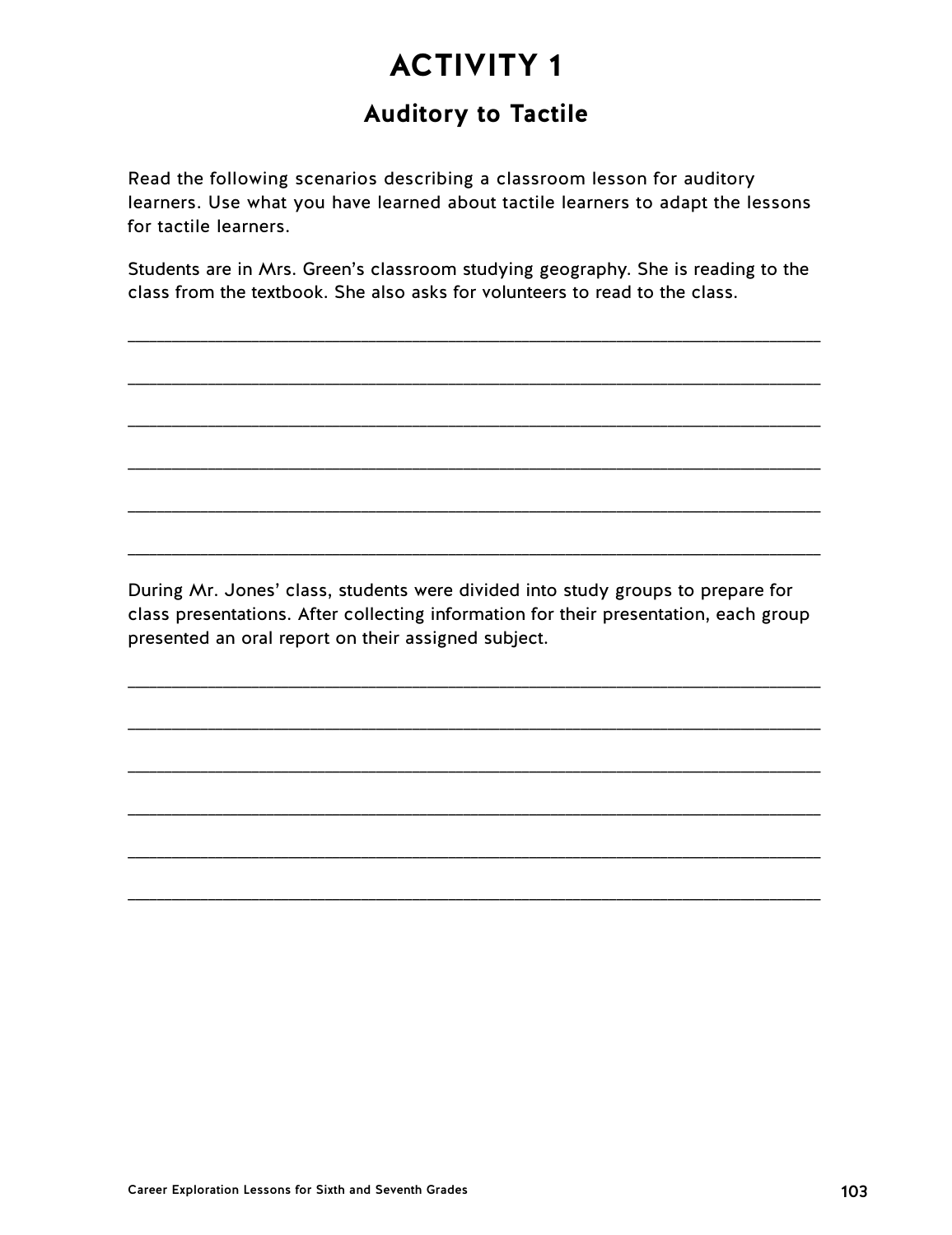# **Auditory to Tactile**

Read the following scenarios describing a classroom lesson for auditory learners. Use what you have learned about tactile learners to adapt the lessons for tactile learners.

Students are in Mrs. Green's classroom studying geography. She is reading to the class from the textbook. She also asks for volunteers to read to the class.

\_\_\_\_\_\_\_\_\_\_\_\_\_\_\_\_\_\_\_\_\_\_\_\_\_\_\_\_\_\_\_\_\_\_\_\_\_\_\_\_\_\_\_\_\_\_\_\_\_\_\_\_\_\_\_\_\_\_\_\_\_\_\_\_\_\_\_\_\_\_\_\_\_\_\_\_\_\_\_\_\_\_\_\_\_\_\_\_\_\_\_\_\_\_\_

\_\_\_\_\_\_\_\_\_\_\_\_\_\_\_\_\_\_\_\_\_\_\_\_\_\_\_\_\_\_\_\_\_\_\_\_\_\_\_\_\_\_\_\_\_\_\_\_\_\_\_\_\_\_\_\_\_\_\_\_\_\_\_\_\_\_\_\_\_\_\_\_\_\_\_\_\_\_\_\_\_\_\_\_\_\_\_\_\_\_\_\_\_\_\_

\_\_\_\_\_\_\_\_\_\_\_\_\_\_\_\_\_\_\_\_\_\_\_\_\_\_\_\_\_\_\_\_\_\_\_\_\_\_\_\_\_\_\_\_\_\_\_\_\_\_\_\_\_\_\_\_\_\_\_\_\_\_\_\_\_\_\_\_\_\_\_\_\_\_\_\_\_\_\_\_\_\_\_\_\_\_\_\_\_\_\_\_\_\_\_

\_\_\_\_\_\_\_\_\_\_\_\_\_\_\_\_\_\_\_\_\_\_\_\_\_\_\_\_\_\_\_\_\_\_\_\_\_\_\_\_\_\_\_\_\_\_\_\_\_\_\_\_\_\_\_\_\_\_\_\_\_\_\_\_\_\_\_\_\_\_\_\_\_\_\_\_\_\_\_\_\_\_\_\_\_\_\_\_\_\_\_\_\_\_\_

\_\_\_\_\_\_\_\_\_\_\_\_\_\_\_\_\_\_\_\_\_\_\_\_\_\_\_\_\_\_\_\_\_\_\_\_\_\_\_\_\_\_\_\_\_\_\_\_\_\_\_\_\_\_\_\_\_\_\_\_\_\_\_\_\_\_\_\_\_\_\_\_\_\_\_\_\_\_\_\_\_\_\_\_\_\_\_\_\_\_\_\_\_\_\_

\_\_\_\_\_\_\_\_\_\_\_\_\_\_\_\_\_\_\_\_\_\_\_\_\_\_\_\_\_\_\_\_\_\_\_\_\_\_\_\_\_\_\_\_\_\_\_\_\_\_\_\_\_\_\_\_\_\_\_\_\_\_\_\_\_\_\_\_\_\_\_\_\_\_\_\_\_\_\_\_\_\_\_\_\_\_\_\_\_\_\_\_\_\_\_

During Mr. Jones' class, students were divided into study groups to prepare for class presentations. After collecting information for their presentation, each group presented an oral report on their assigned subject.

\_\_\_\_\_\_\_\_\_\_\_\_\_\_\_\_\_\_\_\_\_\_\_\_\_\_\_\_\_\_\_\_\_\_\_\_\_\_\_\_\_\_\_\_\_\_\_\_\_\_\_\_\_\_\_\_\_\_\_\_\_\_\_\_\_\_\_\_\_\_\_\_\_\_\_\_\_\_\_\_\_\_\_\_\_\_\_\_\_\_\_\_\_\_\_

\_\_\_\_\_\_\_\_\_\_\_\_\_\_\_\_\_\_\_\_\_\_\_\_\_\_\_\_\_\_\_\_\_\_\_\_\_\_\_\_\_\_\_\_\_\_\_\_\_\_\_\_\_\_\_\_\_\_\_\_\_\_\_\_\_\_\_\_\_\_\_\_\_\_\_\_\_\_\_\_\_\_\_\_\_\_\_\_\_\_\_\_\_\_\_

\_\_\_\_\_\_\_\_\_\_\_\_\_\_\_\_\_\_\_\_\_\_\_\_\_\_\_\_\_\_\_\_\_\_\_\_\_\_\_\_\_\_\_\_\_\_\_\_\_\_\_\_\_\_\_\_\_\_\_\_\_\_\_\_\_\_\_\_\_\_\_\_\_\_\_\_\_\_\_\_\_\_\_\_\_\_\_\_\_\_\_\_\_\_\_

\_\_\_\_\_\_\_\_\_\_\_\_\_\_\_\_\_\_\_\_\_\_\_\_\_\_\_\_\_\_\_\_\_\_\_\_\_\_\_\_\_\_\_\_\_\_\_\_\_\_\_\_\_\_\_\_\_\_\_\_\_\_\_\_\_\_\_\_\_\_\_\_\_\_\_\_\_\_\_\_\_\_\_\_\_\_\_\_\_\_\_\_\_\_\_

\_\_\_\_\_\_\_\_\_\_\_\_\_\_\_\_\_\_\_\_\_\_\_\_\_\_\_\_\_\_\_\_\_\_\_\_\_\_\_\_\_\_\_\_\_\_\_\_\_\_\_\_\_\_\_\_\_\_\_\_\_\_\_\_\_\_\_\_\_\_\_\_\_\_\_\_\_\_\_\_\_\_\_\_\_\_\_\_\_\_\_\_\_\_\_

\_\_\_\_\_\_\_\_\_\_\_\_\_\_\_\_\_\_\_\_\_\_\_\_\_\_\_\_\_\_\_\_\_\_\_\_\_\_\_\_\_\_\_\_\_\_\_\_\_\_\_\_\_\_\_\_\_\_\_\_\_\_\_\_\_\_\_\_\_\_\_\_\_\_\_\_\_\_\_\_\_\_\_\_\_\_\_\_\_\_\_\_\_\_\_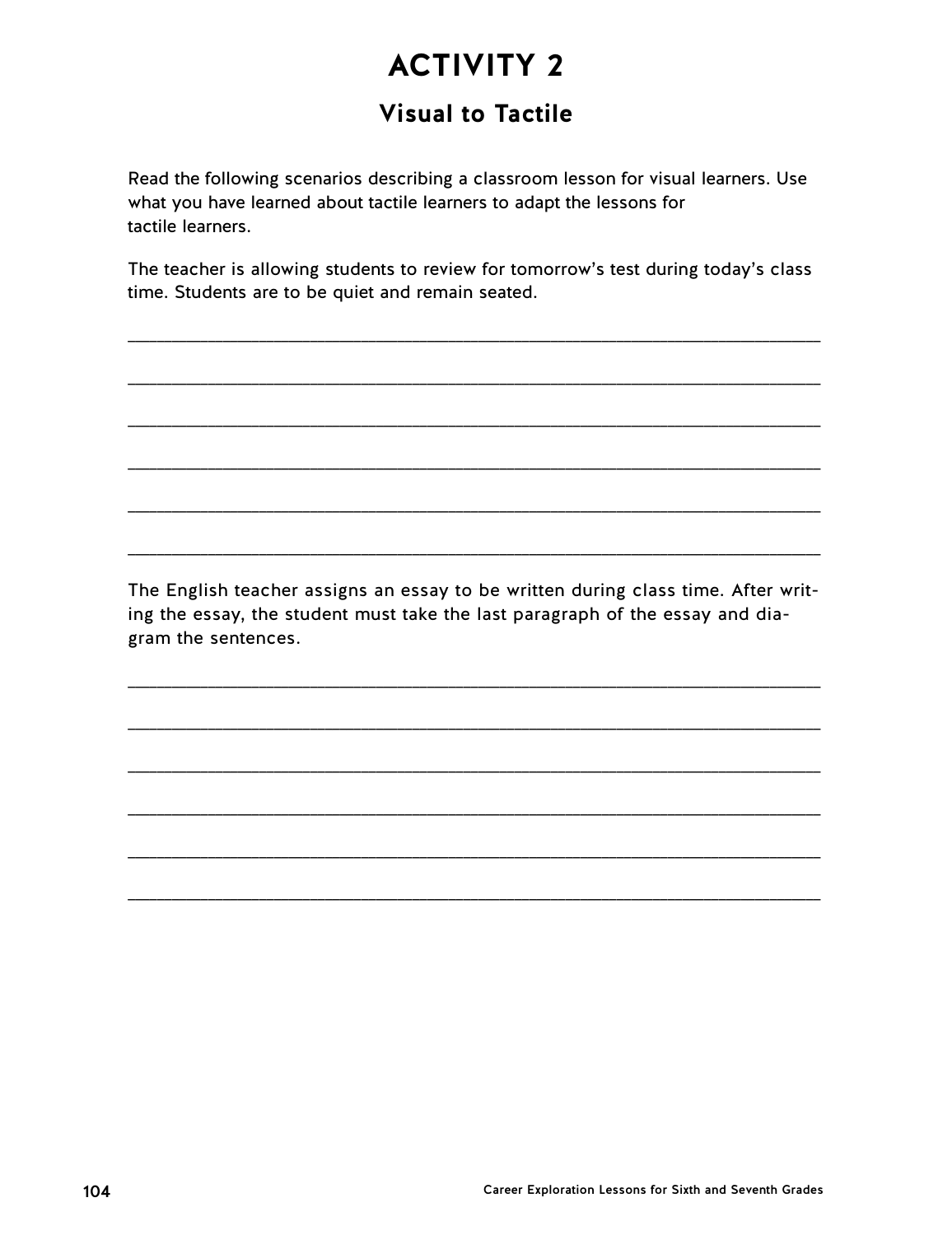# **Visual to Tactile**

Read the following scenarios describing a classroom lesson for visual learners. Use what you have learned about tactile learners to adapt the lessons for tactile learners.

The teacher is allowing students to review for tomorrow's test during today's class time. Students are to be quiet and remain seated.

The English teacher assigns an essay to be written during class time. After writing the essay, the student must take the last paragraph of the essay and diagram the sentences.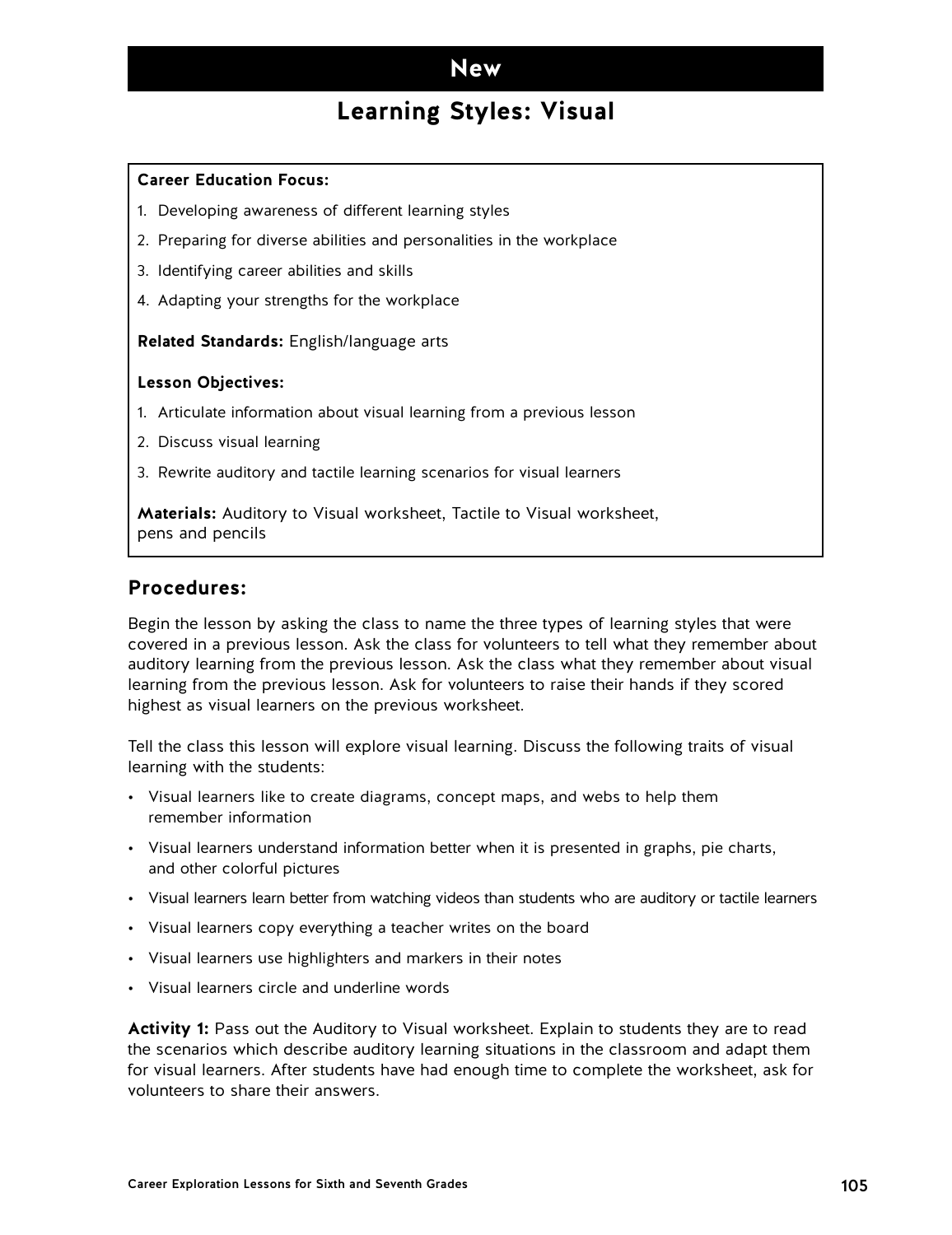## **Learning Styles: Visual**

#### **Career Education Focus:**

- 1. Developing awareness of different learning styles
- 2. Preparing for diverse abilities and personalities in the workplace
- 3. Identifying career abilities and skills
- 4. Adapting your strengths for the workplace

**Related Standards:** English/language arts

#### **Lesson Objectives:**

- 1. Articulate information about visual learning from a previous lesson
- 2. Discuss visual learning
- 3. Rewrite auditory and tactile learning scenarios for visual learners

**Materials:** Auditory to Visual worksheet, Tactile to Visual worksheet, pens and pencils

### **Procedures:**

Begin the lesson by asking the class to name the three types of learning styles that were covered in a previous lesson. Ask the class for volunteers to tell what they remember about auditory learning from the previous lesson. Ask the class what they remember about visual learning from the previous lesson. Ask for volunteers to raise their hands if they scored highest as visual learners on the previous worksheet.

Tell the class this lesson will explore visual learning. Discuss the following traits of visual learning with the students:

- Visual learners like to create diagrams, concept maps, and webs to help them remember information
- Visual learners understand information better when it is presented in graphs, pie charts, and other colorful pictures
- Visual learners learn better from watching videos than students who are auditory or tactile learners
- Visual learners copy everything a teacher writes on the board
- Visual learners use highlighters and markers in their notes
- Visual learners circle and underline words

**Activity 1:** Pass out the Auditory to Visual worksheet. Explain to students they are to read the scenarios which describe auditory learning situations in the classroom and adapt them for visual learners. After students have had enough time to complete the worksheet, ask for volunteers to share their answers.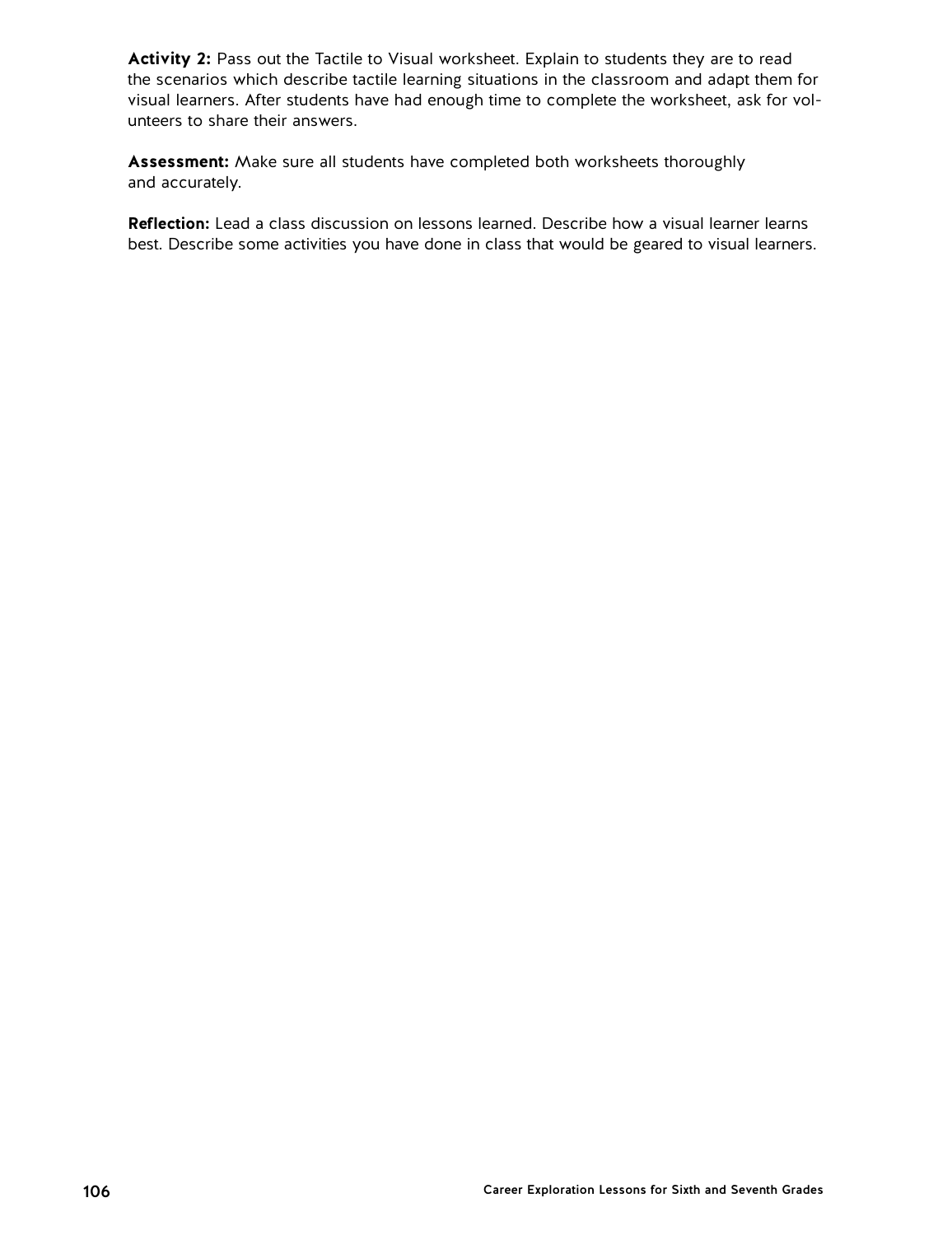Activity 2: Pass out the Tactile to Visual worksheet. Explain to students they are to read the scenarios which describe tactile learning situations in the classroom and adapt them for visual learners. After students have had enough time to complete the worksheet, ask for volunteers to share their answers.

**Assessment:** Make sure all students have completed both worksheets thoroughly and accurately.

**Reflection:** Lead a class discussion on lessons learned. Describe how a visual learner learns best. Describe some activities you have done in class that would be geared to visual learners.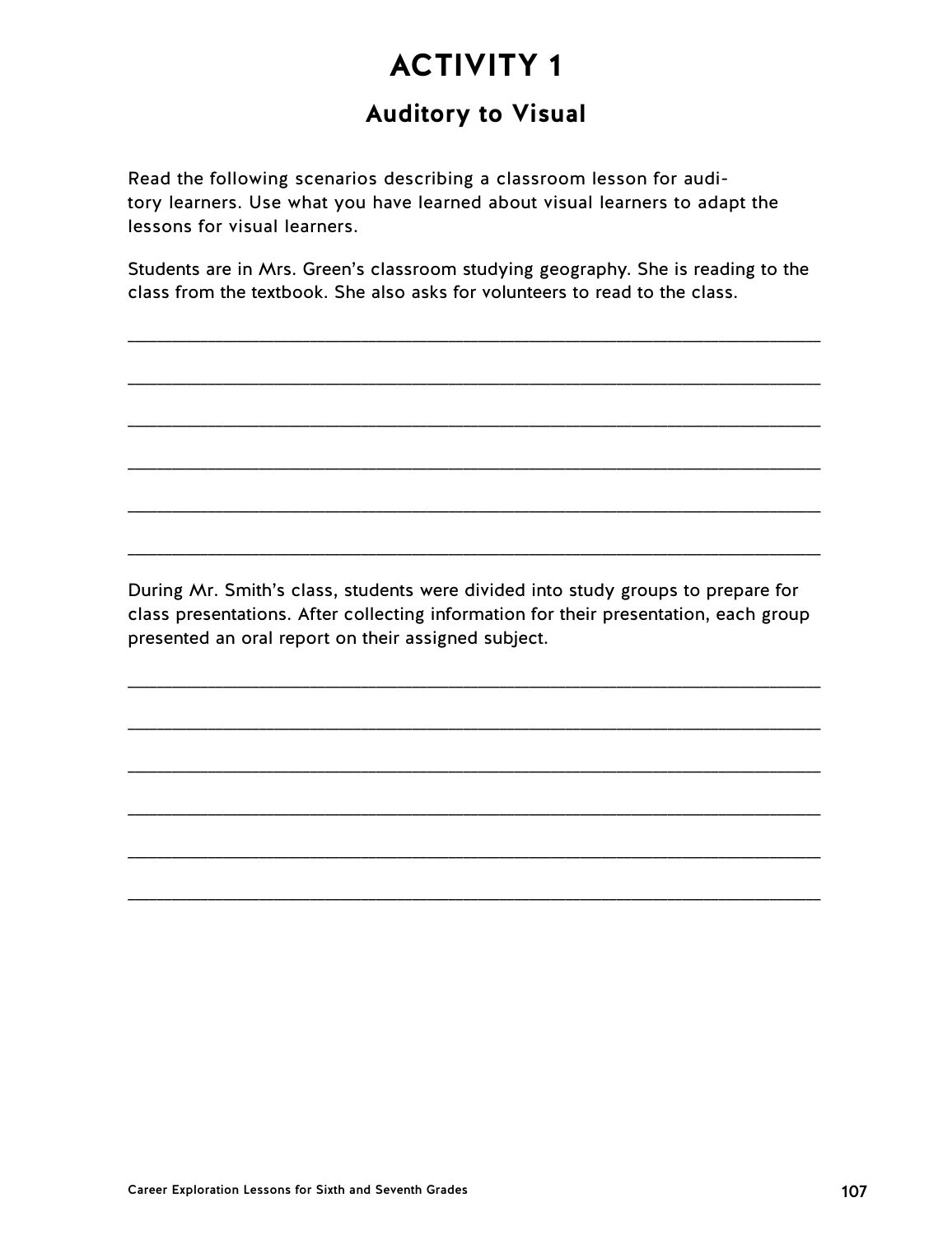# **Auditory to Visual**

Read the following scenarios describing a classroom lesson for auditory learners. Use what you have learned about visual learners to adapt the lessons for visual learners.

Students are in Mrs. Green's classroom studying geography. She is reading to the class from the textbook. She also asks for volunteers to read to the class.

\_\_\_\_\_\_\_\_\_\_\_\_\_\_\_\_\_\_\_\_\_\_\_\_\_\_\_\_\_\_\_\_\_\_\_\_\_\_\_\_\_\_\_\_\_\_\_\_\_\_\_\_\_\_\_\_\_\_\_\_\_\_\_\_\_\_\_\_\_\_\_\_\_\_\_\_\_\_\_\_\_\_\_\_\_\_\_\_\_\_\_\_\_\_\_

\_\_\_\_\_\_\_\_\_\_\_\_\_\_\_\_\_\_\_\_\_\_\_\_\_\_\_\_\_\_\_\_\_\_\_\_\_\_\_\_\_\_\_\_\_\_\_\_\_\_\_\_\_\_\_\_\_\_\_\_\_\_\_\_\_\_\_\_\_\_\_\_\_\_\_\_\_\_\_\_\_\_\_\_\_\_\_\_\_\_\_\_\_\_\_

\_\_\_\_\_\_\_\_\_\_\_\_\_\_\_\_\_\_\_\_\_\_\_\_\_\_\_\_\_\_\_\_\_\_\_\_\_\_\_\_\_\_\_\_\_\_\_\_\_\_\_\_\_\_\_\_\_\_\_\_\_\_\_\_\_\_\_\_\_\_\_\_\_\_\_\_\_\_\_\_\_\_\_\_\_\_\_\_\_\_\_\_\_\_\_

\_\_\_\_\_\_\_\_\_\_\_\_\_\_\_\_\_\_\_\_\_\_\_\_\_\_\_\_\_\_\_\_\_\_\_\_\_\_\_\_\_\_\_\_\_\_\_\_\_\_\_\_\_\_\_\_\_\_\_\_\_\_\_\_\_\_\_\_\_\_\_\_\_\_\_\_\_\_\_\_\_\_\_\_\_\_\_\_\_\_\_\_\_\_\_

\_\_\_\_\_\_\_\_\_\_\_\_\_\_\_\_\_\_\_\_\_\_\_\_\_\_\_\_\_\_\_\_\_\_\_\_\_\_\_\_\_\_\_\_\_\_\_\_\_\_\_\_\_\_\_\_\_\_\_\_\_\_\_\_\_\_\_\_\_\_\_\_\_\_\_\_\_\_\_\_\_\_\_\_\_\_\_\_\_\_\_\_\_\_\_

\_\_\_\_\_\_\_\_\_\_\_\_\_\_\_\_\_\_\_\_\_\_\_\_\_\_\_\_\_\_\_\_\_\_\_\_\_\_\_\_\_\_\_\_\_\_\_\_\_\_\_\_\_\_\_\_\_\_\_\_\_\_\_\_\_\_\_\_\_\_\_\_\_\_\_\_\_\_\_\_\_\_\_\_\_\_\_\_\_\_\_\_\_\_\_

During Mr. Smith's class, students were divided into study groups to prepare for class presentations. After collecting information for their presentation, each group presented an oral report on their assigned subject.

\_\_\_\_\_\_\_\_\_\_\_\_\_\_\_\_\_\_\_\_\_\_\_\_\_\_\_\_\_\_\_\_\_\_\_\_\_\_\_\_\_\_\_\_\_\_\_\_\_\_\_\_\_\_\_\_\_\_\_\_\_\_\_\_\_\_\_\_\_\_\_\_\_\_\_\_\_\_\_\_\_\_\_\_\_\_\_\_\_\_\_\_\_\_\_

\_\_\_\_\_\_\_\_\_\_\_\_\_\_\_\_\_\_\_\_\_\_\_\_\_\_\_\_\_\_\_\_\_\_\_\_\_\_\_\_\_\_\_\_\_\_\_\_\_\_\_\_\_\_\_\_\_\_\_\_\_\_\_\_\_\_\_\_\_\_\_\_\_\_\_\_\_\_\_\_\_\_\_\_\_\_\_\_\_\_\_\_\_\_\_

\_\_\_\_\_\_\_\_\_\_\_\_\_\_\_\_\_\_\_\_\_\_\_\_\_\_\_\_\_\_\_\_\_\_\_\_\_\_\_\_\_\_\_\_\_\_\_\_\_\_\_\_\_\_\_\_\_\_\_\_\_\_\_\_\_\_\_\_\_\_\_\_\_\_\_\_\_\_\_\_\_\_\_\_\_\_\_\_\_\_\_\_\_\_\_

\_\_\_\_\_\_\_\_\_\_\_\_\_\_\_\_\_\_\_\_\_\_\_\_\_\_\_\_\_\_\_\_\_\_\_\_\_\_\_\_\_\_\_\_\_\_\_\_\_\_\_\_\_\_\_\_\_\_\_\_\_\_\_\_\_\_\_\_\_\_\_\_\_\_\_\_\_\_\_\_\_\_\_\_\_\_\_\_\_\_\_\_\_\_\_

\_\_\_\_\_\_\_\_\_\_\_\_\_\_\_\_\_\_\_\_\_\_\_\_\_\_\_\_\_\_\_\_\_\_\_\_\_\_\_\_\_\_\_\_\_\_\_\_\_\_\_\_\_\_\_\_\_\_\_\_\_\_\_\_\_\_\_\_\_\_\_\_\_\_\_\_\_\_\_\_\_\_\_\_\_\_\_\_\_\_\_\_\_\_\_

\_\_\_\_\_\_\_\_\_\_\_\_\_\_\_\_\_\_\_\_\_\_\_\_\_\_\_\_\_\_\_\_\_\_\_\_\_\_\_\_\_\_\_\_\_\_\_\_\_\_\_\_\_\_\_\_\_\_\_\_\_\_\_\_\_\_\_\_\_\_\_\_\_\_\_\_\_\_\_\_\_\_\_\_\_\_\_\_\_\_\_\_\_\_\_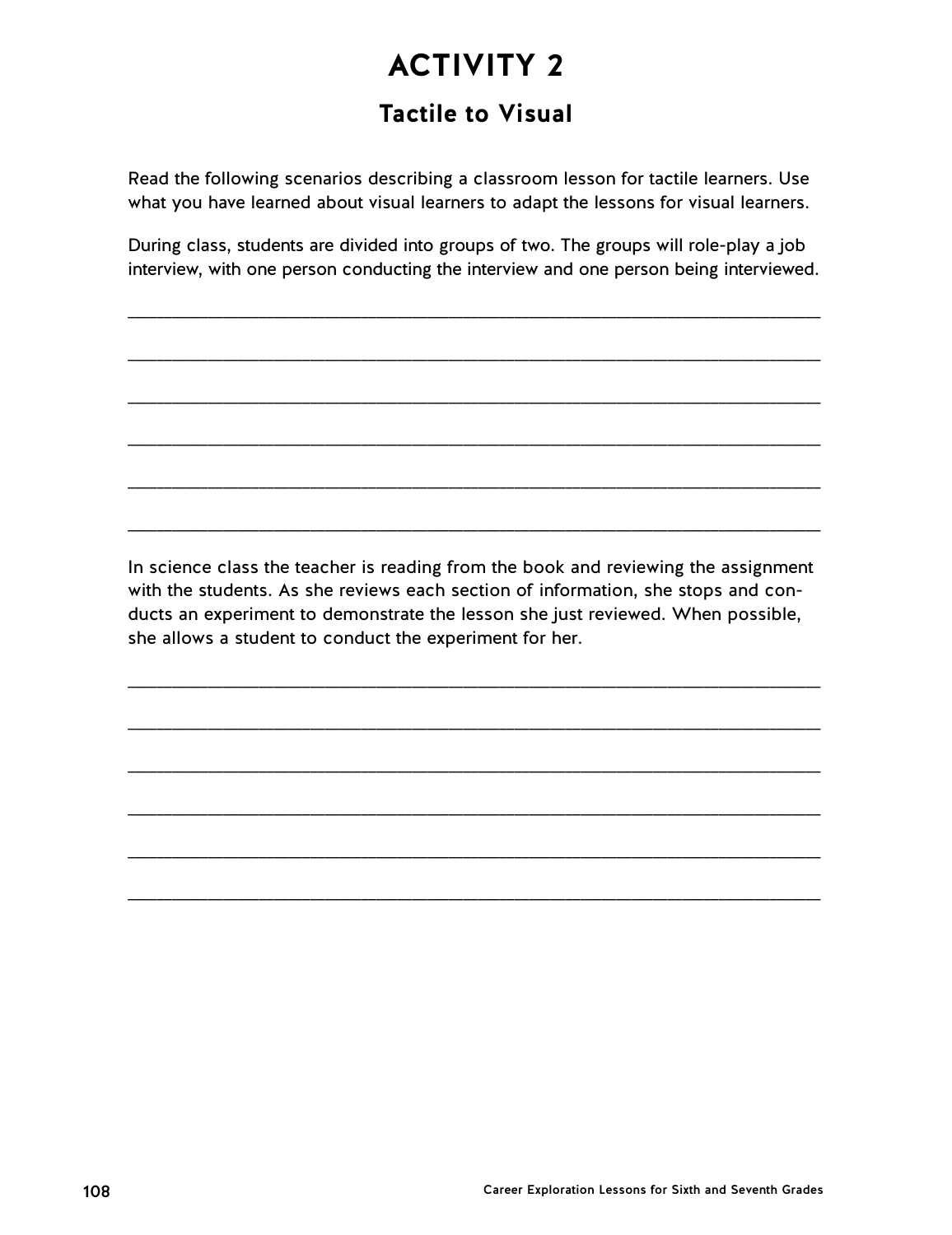# **ACTIVITY 2 Tactile to Visual**

Read the following scenarios describing a classroom lesson for tactile learners. Use what you have learned about visual learners to adapt the lessons for visual learners.

During class, students are divided into groups of two. The groups will role-play a job interview, with one person conducting the interview and one person being interviewed.

\_\_\_\_\_\_\_\_\_\_\_\_\_\_\_\_\_\_\_\_\_\_\_\_\_\_\_\_\_\_\_\_\_\_\_\_\_\_\_\_\_\_\_\_\_\_\_\_\_\_\_\_\_\_\_\_\_\_\_\_\_\_\_\_\_\_\_\_\_\_\_\_\_\_\_\_\_\_\_\_\_\_\_\_\_\_\_\_\_\_\_\_\_\_\_

\_\_\_\_\_\_\_\_\_\_\_\_\_\_\_\_\_\_\_\_\_\_\_\_\_\_\_\_\_\_\_\_\_\_\_\_\_\_\_\_\_\_\_\_\_\_\_\_\_\_\_\_\_\_\_\_\_\_\_\_\_\_\_\_\_\_\_\_\_\_\_\_\_\_\_\_\_\_\_\_\_\_\_\_\_\_\_\_\_\_\_\_\_\_\_

\_\_\_\_\_\_\_\_\_\_\_\_\_\_\_\_\_\_\_\_\_\_\_\_\_\_\_\_\_\_\_\_\_\_\_\_\_\_\_\_\_\_\_\_\_\_\_\_\_\_\_\_\_\_\_\_\_\_\_\_\_\_\_\_\_\_\_\_\_\_\_\_\_\_\_\_\_\_\_\_\_\_\_\_\_\_\_\_\_\_\_\_\_\_\_

\_\_\_\_\_\_\_\_\_\_\_\_\_\_\_\_\_\_\_\_\_\_\_\_\_\_\_\_\_\_\_\_\_\_\_\_\_\_\_\_\_\_\_\_\_\_\_\_\_\_\_\_\_\_\_\_\_\_\_\_\_\_\_\_\_\_\_\_\_\_\_\_\_\_\_\_\_\_\_\_\_\_\_\_\_\_\_\_\_\_\_\_\_\_\_

\_\_\_\_\_\_\_\_\_\_\_\_\_\_\_\_\_\_\_\_\_\_\_\_\_\_\_\_\_\_\_\_\_\_\_\_\_\_\_\_\_\_\_\_\_\_\_\_\_\_\_\_\_\_\_\_\_\_\_\_\_\_\_\_\_\_\_\_\_\_\_\_\_\_\_\_\_\_\_\_\_\_\_\_\_\_\_\_\_\_\_\_\_\_\_

\_\_\_\_\_\_\_\_\_\_\_\_\_\_\_\_\_\_\_\_\_\_\_\_\_\_\_\_\_\_\_\_\_\_\_\_\_\_\_\_\_\_\_\_\_\_\_\_\_\_\_\_\_\_\_\_\_\_\_\_\_\_\_\_\_\_\_\_\_\_\_\_\_\_\_\_\_\_\_\_\_\_\_\_\_\_\_\_\_\_\_\_\_\_\_

In science class the teacher is reading from the book and reviewing the assignment with the students. As she reviews each section of information, she stops and conducts an experiment to demonstrate the lesson she just reviewed. When possible, she allows a student to conduct the experiment for her.

\_\_\_\_\_\_\_\_\_\_\_\_\_\_\_\_\_\_\_\_\_\_\_\_\_\_\_\_\_\_\_\_\_\_\_\_\_\_\_\_\_\_\_\_\_\_\_\_\_\_\_\_\_\_\_\_\_\_\_\_\_\_\_\_\_\_\_\_\_\_\_\_\_\_\_\_\_\_\_\_\_\_\_\_\_\_\_\_\_\_\_\_\_\_\_

\_\_\_\_\_\_\_\_\_\_\_\_\_\_\_\_\_\_\_\_\_\_\_\_\_\_\_\_\_\_\_\_\_\_\_\_\_\_\_\_\_\_\_\_\_\_\_\_\_\_\_\_\_\_\_\_\_\_\_\_\_\_\_\_\_\_\_\_\_\_\_\_\_\_\_\_\_\_\_\_\_\_\_\_\_\_\_\_\_\_\_\_\_\_\_

\_\_\_\_\_\_\_\_\_\_\_\_\_\_\_\_\_\_\_\_\_\_\_\_\_\_\_\_\_\_\_\_\_\_\_\_\_\_\_\_\_\_\_\_\_\_\_\_\_\_\_\_\_\_\_\_\_\_\_\_\_\_\_\_\_\_\_\_\_\_\_\_\_\_\_\_\_\_\_\_\_\_\_\_\_\_\_\_\_\_\_\_\_\_\_

\_\_\_\_\_\_\_\_\_\_\_\_\_\_\_\_\_\_\_\_\_\_\_\_\_\_\_\_\_\_\_\_\_\_\_\_\_\_\_\_\_\_\_\_\_\_\_\_\_\_\_\_\_\_\_\_\_\_\_\_\_\_\_\_\_\_\_\_\_\_\_\_\_\_\_\_\_\_\_\_\_\_\_\_\_\_\_\_\_\_\_\_\_\_\_

\_\_\_\_\_\_\_\_\_\_\_\_\_\_\_\_\_\_\_\_\_\_\_\_\_\_\_\_\_\_\_\_\_\_\_\_\_\_\_\_\_\_\_\_\_\_\_\_\_\_\_\_\_\_\_\_\_\_\_\_\_\_\_\_\_\_\_\_\_\_\_\_\_\_\_\_\_\_\_\_\_\_\_\_\_\_\_\_\_\_\_\_\_\_\_

\_\_\_\_\_\_\_\_\_\_\_\_\_\_\_\_\_\_\_\_\_\_\_\_\_\_\_\_\_\_\_\_\_\_\_\_\_\_\_\_\_\_\_\_\_\_\_\_\_\_\_\_\_\_\_\_\_\_\_\_\_\_\_\_\_\_\_\_\_\_\_\_\_\_\_\_\_\_\_\_\_\_\_\_\_\_\_\_\_\_\_\_\_\_\_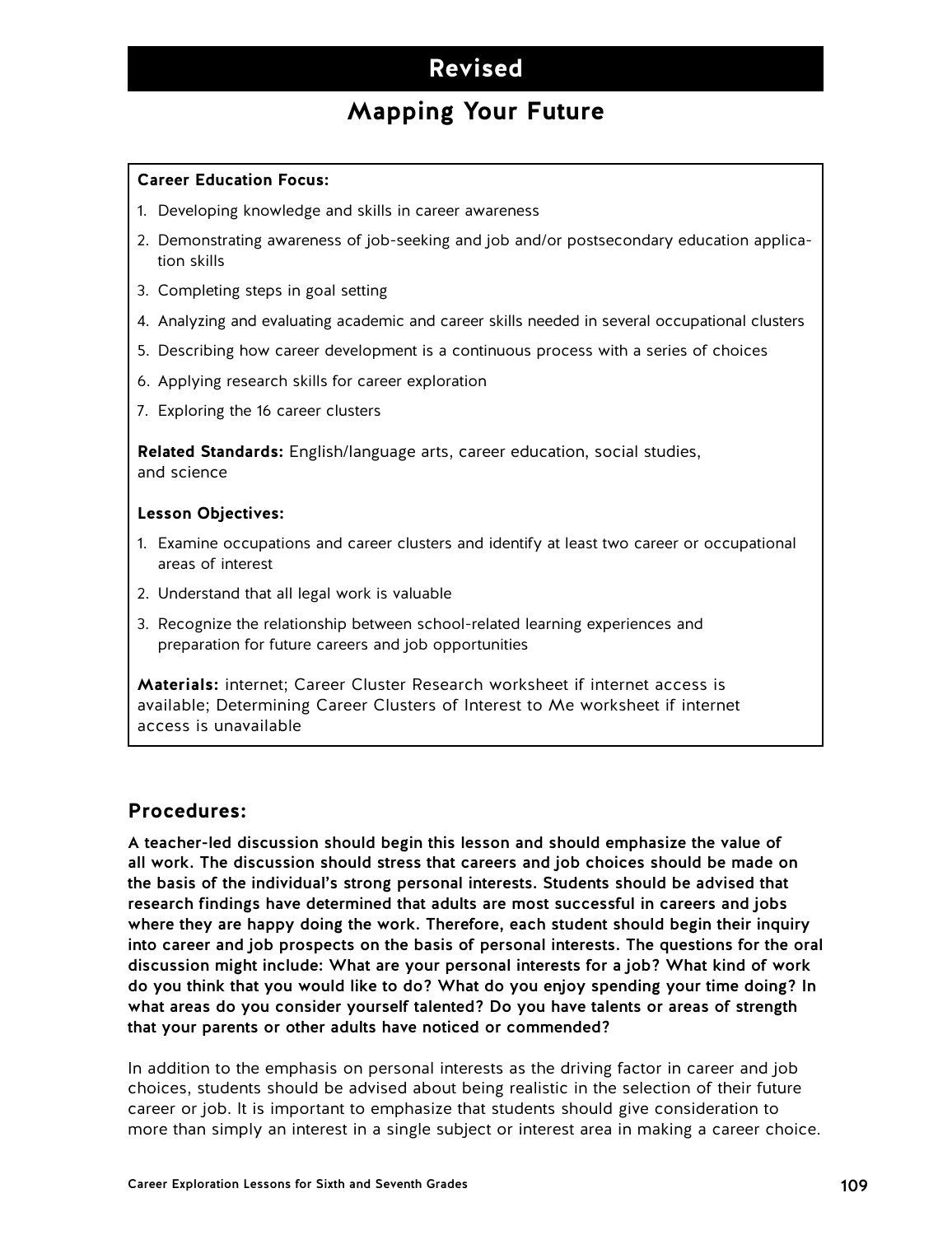## **Revised**

## **Mapping Your Future**

#### **Career Education Focus:**

- 1. Developing knowledge and skills in career awareness
- 2. Demonstrating awareness of job-seeking and job and/or postsecondary education application skills
- 3. Completing steps in goal setting
- 4. Analyzing and evaluating academic and career skills needed in several occupational clusters
- 5. Describing how career development is a continuous process with a series of choices
- 6. Applying research skills for career exploration
- 7. Exploring the 16 career clusters

**Related Standards:** English/language arts, career education, social studies, and science

#### **Lesson Objectives:**

- 1. Examine occupations and career clusters and identify at least two career or occupational areas of interest
- 2. Understand that all legal work is valuable
- 3. Recognize the relationship between school-related learning experiences and preparation for future careers and job opportunities

**Materials:** internet; Career Cluster Research worksheet if internet access is available; Determining Career Clusters of Interest to Me worksheet if internet access is unavailable

#### **Procedures:**

A teacher-led discussion should begin this lesson and should emphasize the value of all work. The discussion should stress that careers and job choices should be made on the basis of the individual's strong personal interests. Students should be advised that research findings have determined that adults are most successful in careers and jobs where they are happy doing the work. Therefore, each student should begin their inquiry into career and job prospects on the basis of personal interests. The questions for the oral discussion might include: What are your personal interests for a job? What kind of work do you think that you would like to do? What do you enjoy spending your time doing? In what areas do you consider yourself talented? Do you have talents or areas of strength that your parents or other adults have noticed or commended?

In addition to the emphasis on personal interests as the driving factor in career and job choices, students should be advised about being realistic in the selection of their future career or job. It is important to emphasize that students should give consideration to more than simply an interest in a single subject or interest area in making a career choice.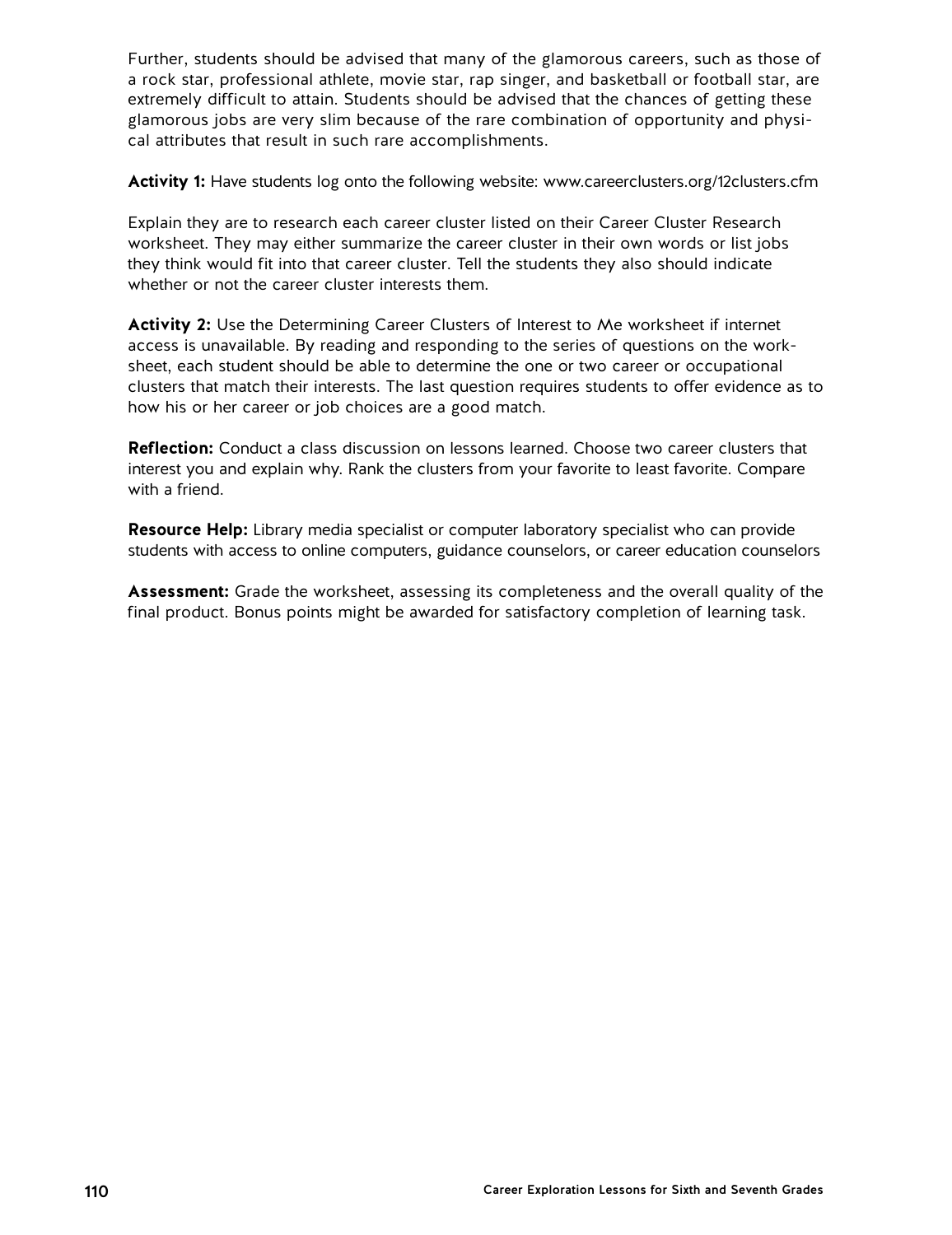Further, students should be advised that many of the glamorous careers, such as those of a rock star, professional athlete, movie star, rap singer, and basketball or football star, are extremely difficult to attain. Students should be advised that the chances of getting these glamorous jobs are very slim because of the rare combination of opportunity and physical attributes that result in such rare accomplishments.

**Activity 1:** Have students log onto the following website: www.careerclusters.org/12clusters.cfm

Explain they are to research each career cluster listed on their Career Cluster Research worksheet. They may either summarize the career cluster in their own words or list jobs they think would fit into that career cluster. Tell the students they also should indicate whether or not the career cluster interests them.

**Activity 2:** Use the Determining Career Clusters of Interest to Me worksheet if internet access is unavailable. By reading and responding to the series of questions on the worksheet, each student should be able to determine the one or two career or occupational clusters that match their interests. The last question requires students to offer evidence as to how his or her career or job choices are a good match.

**Reflection:** Conduct a class discussion on lessons learned. Choose two career clusters that interest you and explain why. Rank the clusters from your favorite to least favorite. Compare with a friend.

**Resource Help:** Library media specialist or computer laboratory specialist who can provide students with access to online computers, guidance counselors, or career education counselors

**Assessment:** Grade the worksheet, assessing its completeness and the overall quality of the final product. Bonus points might be awarded for satisfactory completion of learning task.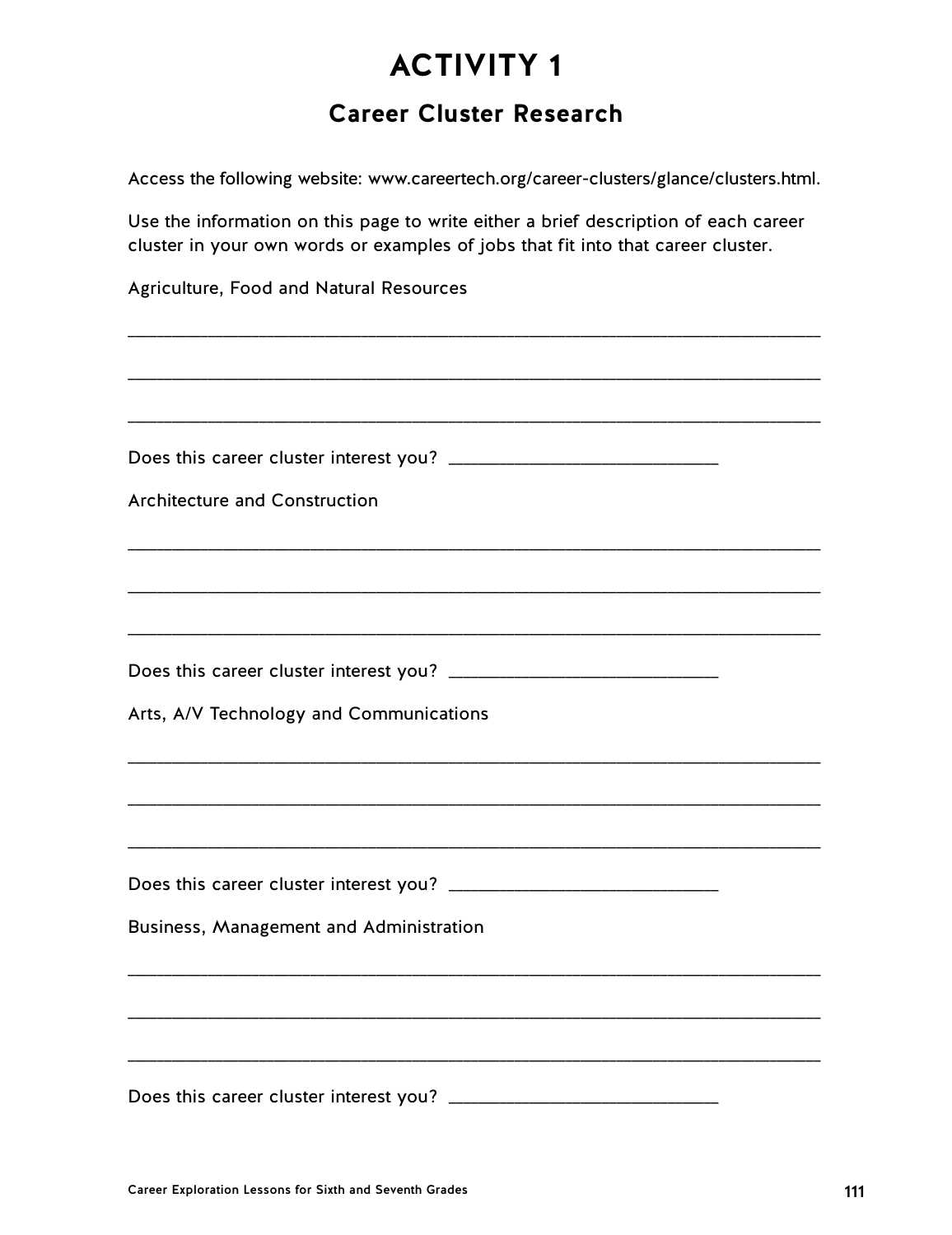## **Career Cluster Research**

Access the following website: www.careertech.org/career-clusters/glance/clusters.html.

Use the information on this page to write either a brief description of each career cluster in your own words or examples of jobs that fit into that career cluster.

| Agriculture, Food and Natural Resources |
|-----------------------------------------|
|                                         |
|                                         |
|                                         |
| <b>Architecture and Construction</b>    |
|                                         |
|                                         |
|                                         |
| Arts, A/V Technology and Communications |
|                                         |
|                                         |
|                                         |
| Business, Management and Administration |
|                                         |
|                                         |
| Does this career cluster interest you?  |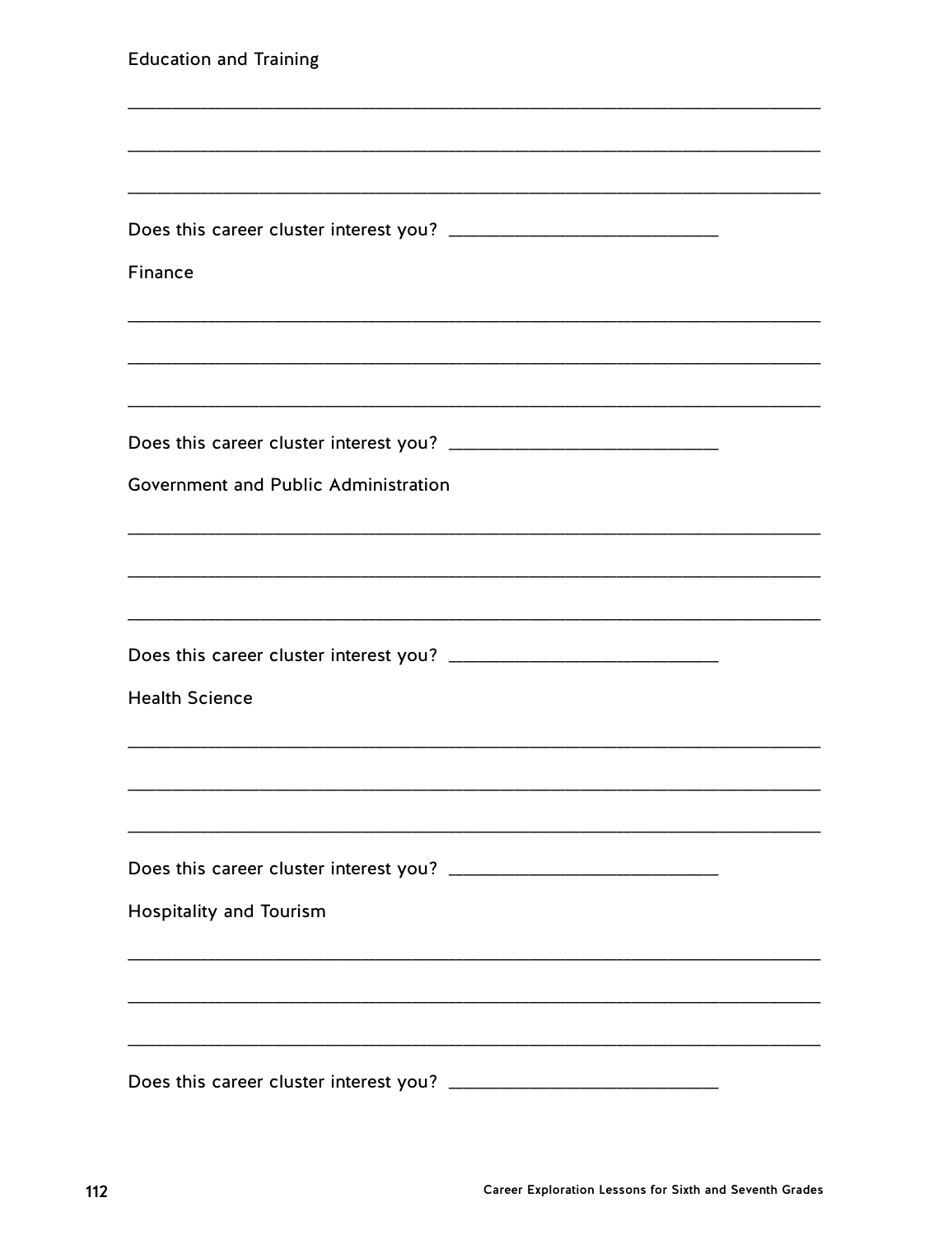| <b>Education and Training</b>          |  |
|----------------------------------------|--|
|                                        |  |
|                                        |  |
|                                        |  |
| Finance                                |  |
|                                        |  |
|                                        |  |
|                                        |  |
| Government and Public Administration   |  |
|                                        |  |
|                                        |  |
|                                        |  |
| <b>Health Science</b>                  |  |
|                                        |  |
|                                        |  |
| Does this career cluster interest you? |  |
| <b>Hospitality and Tourism</b>         |  |
|                                        |  |
|                                        |  |
| Does this career cluster interest you? |  |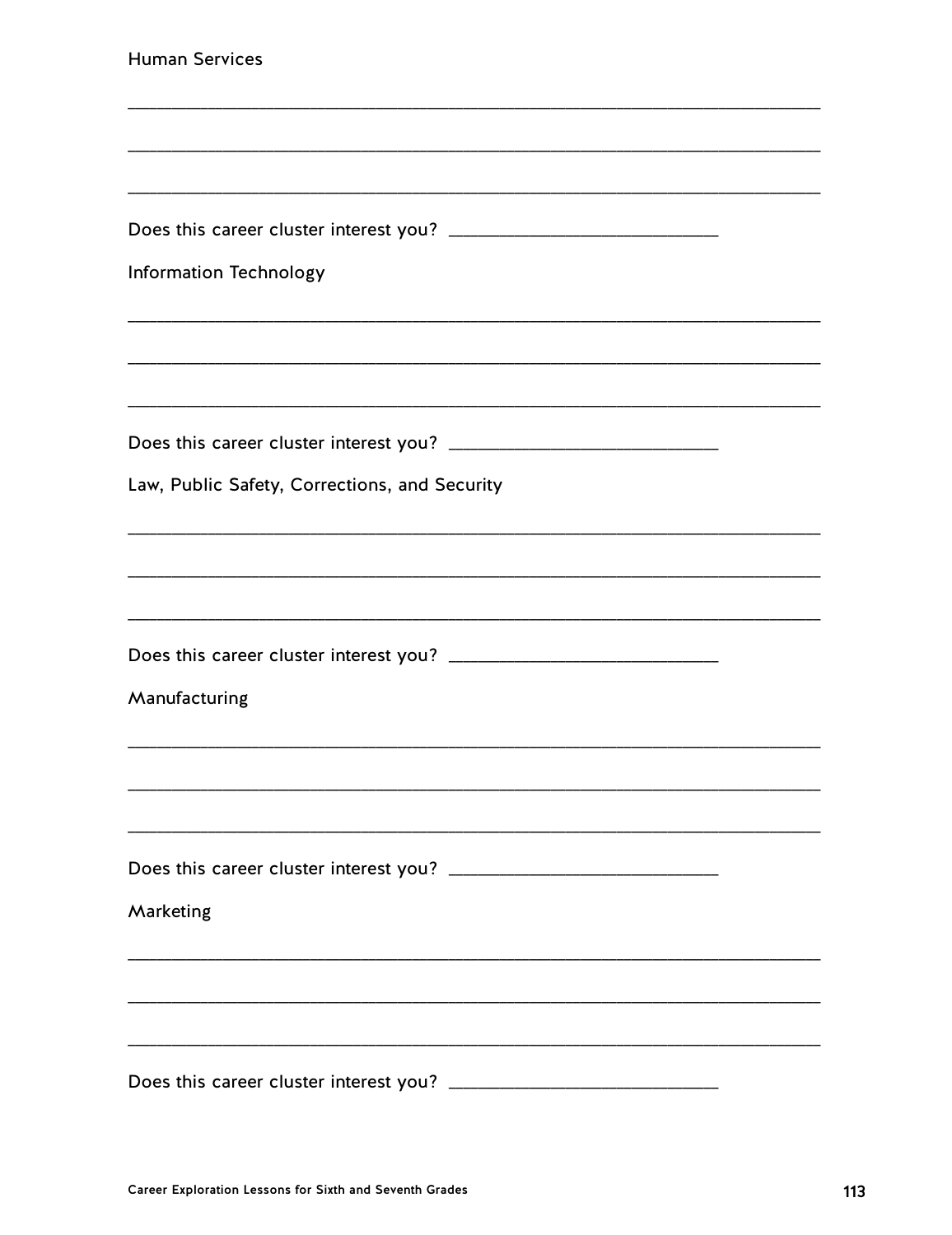| <b>Human Services</b>                         |
|-----------------------------------------------|
|                                               |
|                                               |
|                                               |
| <b>Information Technology</b>                 |
|                                               |
|                                               |
|                                               |
| Law, Public Safety, Corrections, and Security |
|                                               |
|                                               |
|                                               |
| Manufacturing                                 |
|                                               |
|                                               |
|                                               |
| Marketing                                     |
|                                               |
|                                               |
| Does this career cluster interest you?        |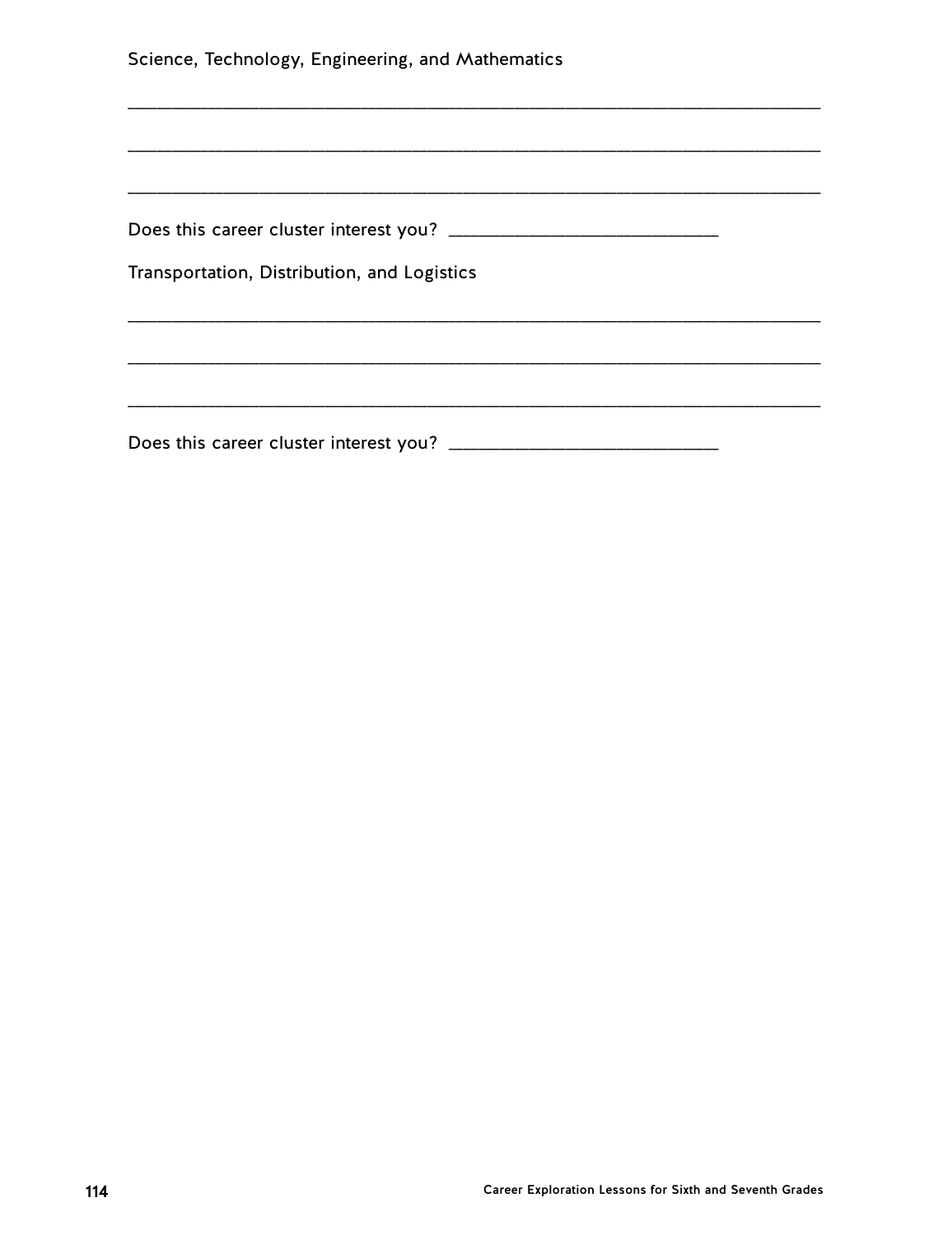| Science, Technology, Engineering, and Mathematics |  |  |
|---------------------------------------------------|--|--|
|                                                   |  |  |
|                                                   |  |  |
|                                                   |  |  |
|                                                   |  |  |
| Transportation, Distribution, and Logistics       |  |  |
|                                                   |  |  |
|                                                   |  |  |
|                                                   |  |  |
|                                                   |  |  |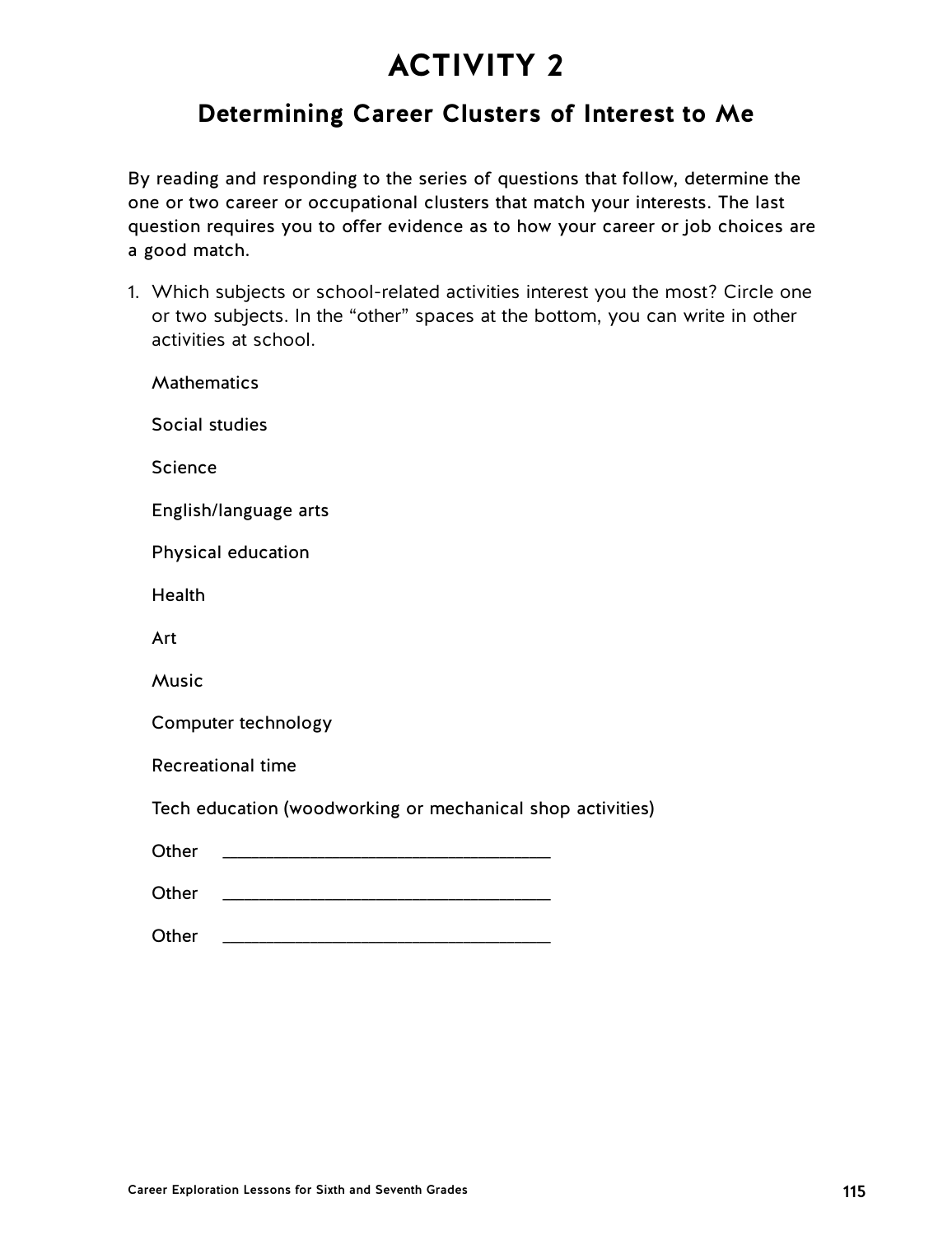## **Determining Career Clusters of Interest to Me**

By reading and responding to the series of questions that follow, determine the one or two career or occupational clusters that match your interests. The last question requires you to offer evidence as to how your career or job choices are a good match.

1. Which subjects or school-related activities interest you the most? Circle one or two subjects. In the "other" spaces at the bottom, you can write in other activities at school.

| Mathematics                                                |
|------------------------------------------------------------|
| Social studies                                             |
| <b>Science</b>                                             |
| English/language arts                                      |
| Physical education                                         |
| Health                                                     |
| Art                                                        |
| Music                                                      |
| Computer technology                                        |
| <b>Recreational time</b>                                   |
| Tech education (woodworking or mechanical shop activities) |
| Other                                                      |
| Other                                                      |
| Other                                                      |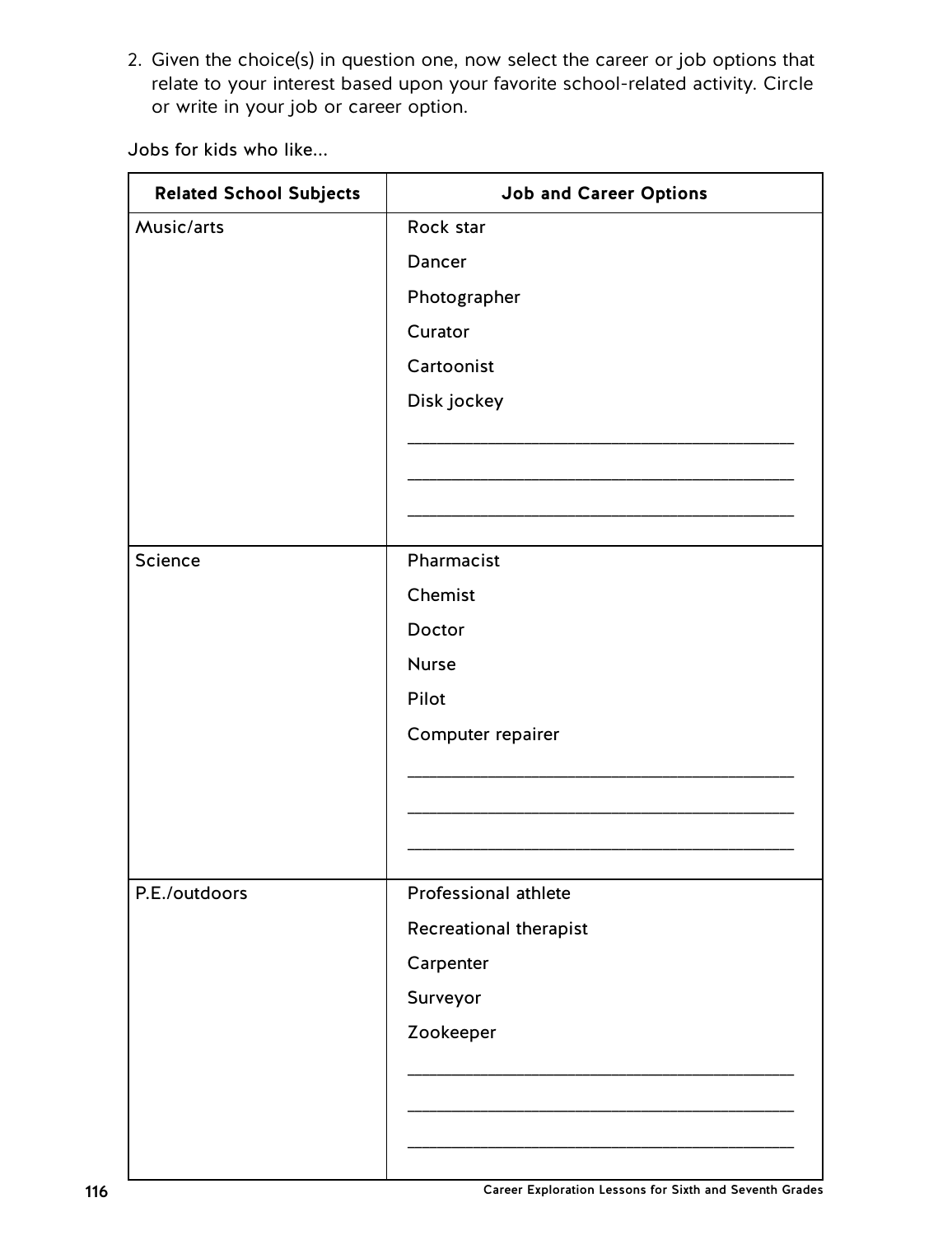2. Given the choice(s) in question one, now select the career or job options that relate to your interest based upon your favorite school-related activity. Circle or write in your job or career option.

Jobs for kids who like...

| <b>Related School Subjects</b> | <b>Job and Career Options</b> |
|--------------------------------|-------------------------------|
| Music/arts                     | Rock star                     |
|                                | Dancer                        |
|                                | Photographer                  |
|                                | Curator                       |
|                                | Cartoonist                    |
|                                | Disk jockey                   |
|                                |                               |
|                                |                               |
|                                |                               |
| Science                        | Pharmacist                    |
|                                | Chemist                       |
|                                | Doctor                        |
|                                | <b>Nurse</b>                  |
|                                | Pilot                         |
|                                | Computer repairer             |
|                                |                               |
|                                |                               |
|                                |                               |
|                                |                               |
| P.E./outdoors                  | Professional athlete          |
|                                | Recreational therapist        |
|                                | Carpenter                     |
|                                | Surveyor                      |
|                                | Zookeeper                     |
|                                |                               |
|                                |                               |
|                                |                               |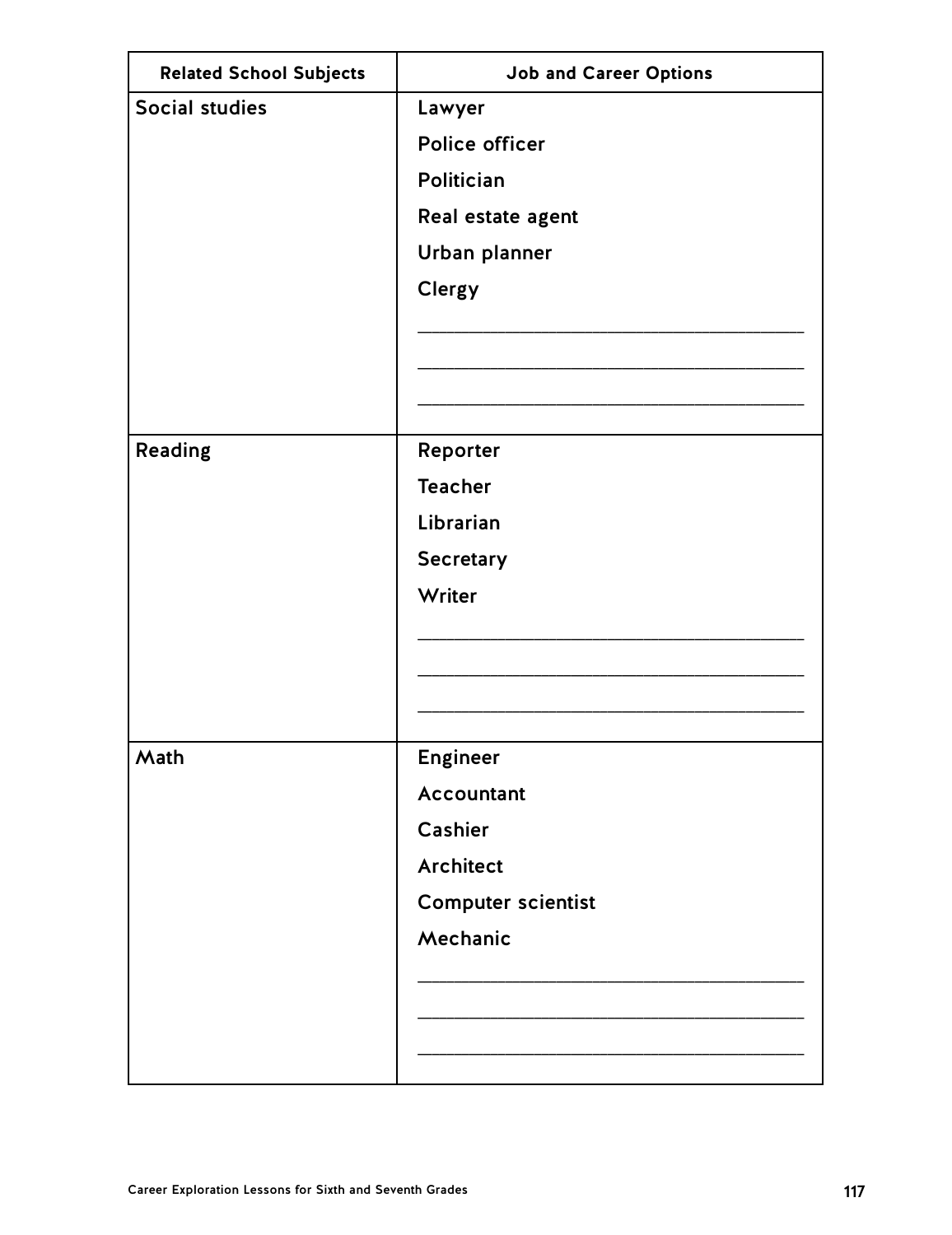| <b>Related School Subjects</b> | <b>Job and Career Options</b> |
|--------------------------------|-------------------------------|
| <b>Social studies</b>          | Lawyer                        |
|                                | Police officer                |
|                                | Politician                    |
|                                | Real estate agent             |
|                                | Urban planner                 |
|                                | Clergy                        |
|                                |                               |
|                                |                               |
|                                |                               |
| Reading                        | Reporter                      |
|                                | <b>Teacher</b>                |
|                                | Librarian                     |
|                                | <b>Secretary</b>              |
|                                | Writer                        |
|                                |                               |
|                                |                               |
|                                |                               |
|                                |                               |
| Math                           | <b>Engineer</b>               |
|                                | Accountant                    |
|                                | Cashier                       |
|                                | <b>Architect</b>              |
|                                | <b>Computer scientist</b>     |
|                                | Mechanic                      |
|                                |                               |
|                                |                               |
|                                |                               |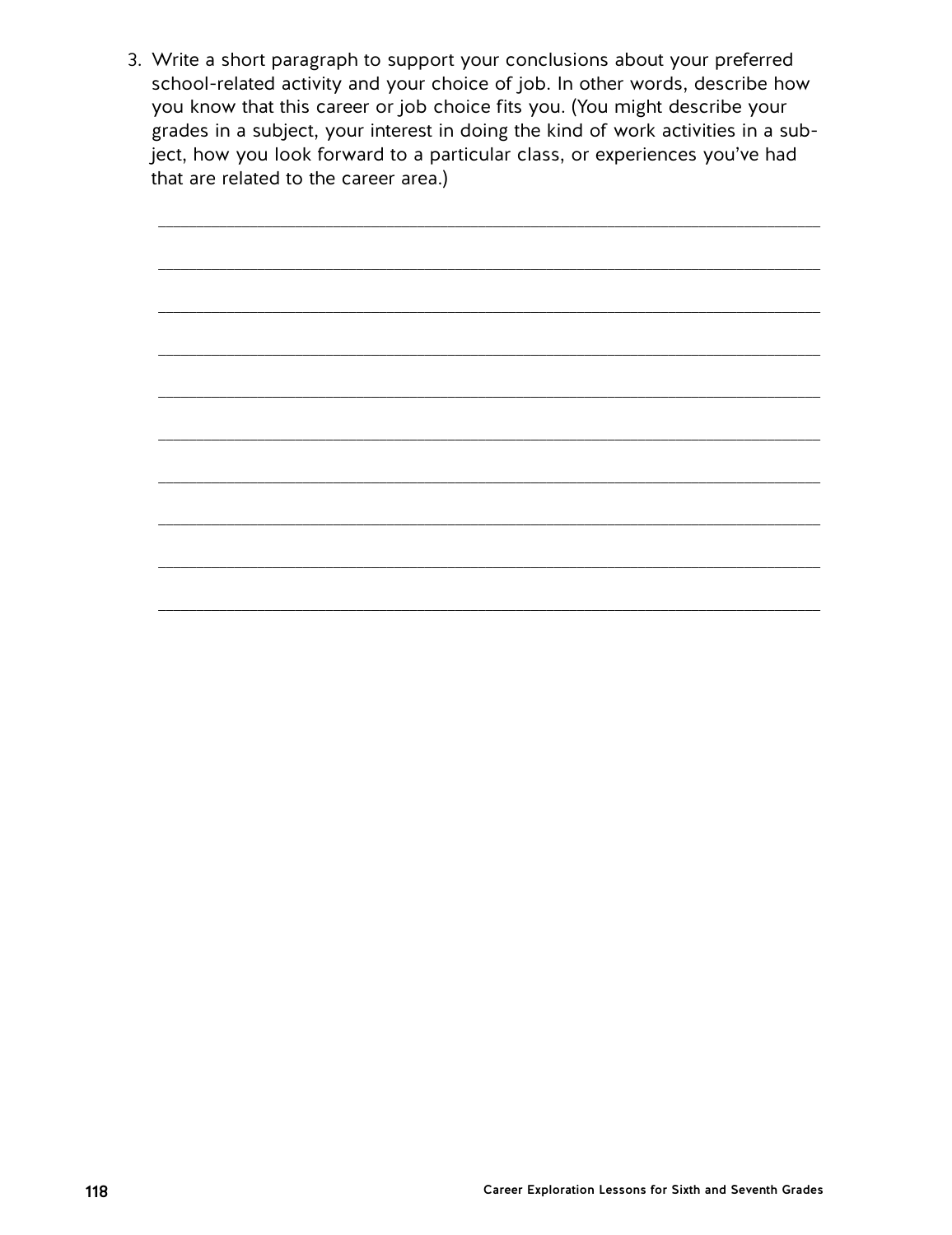3. Write a short paragraph to support your conclusions about your preferred school-related activity and your choice of job. In other words, describe how you know that this career or job choice fits you. (You might describe your grades in a subject, your interest in doing the kind of work activities in a subject, how you look forward to a particular class, or experiences you've had that are related to the career area.)

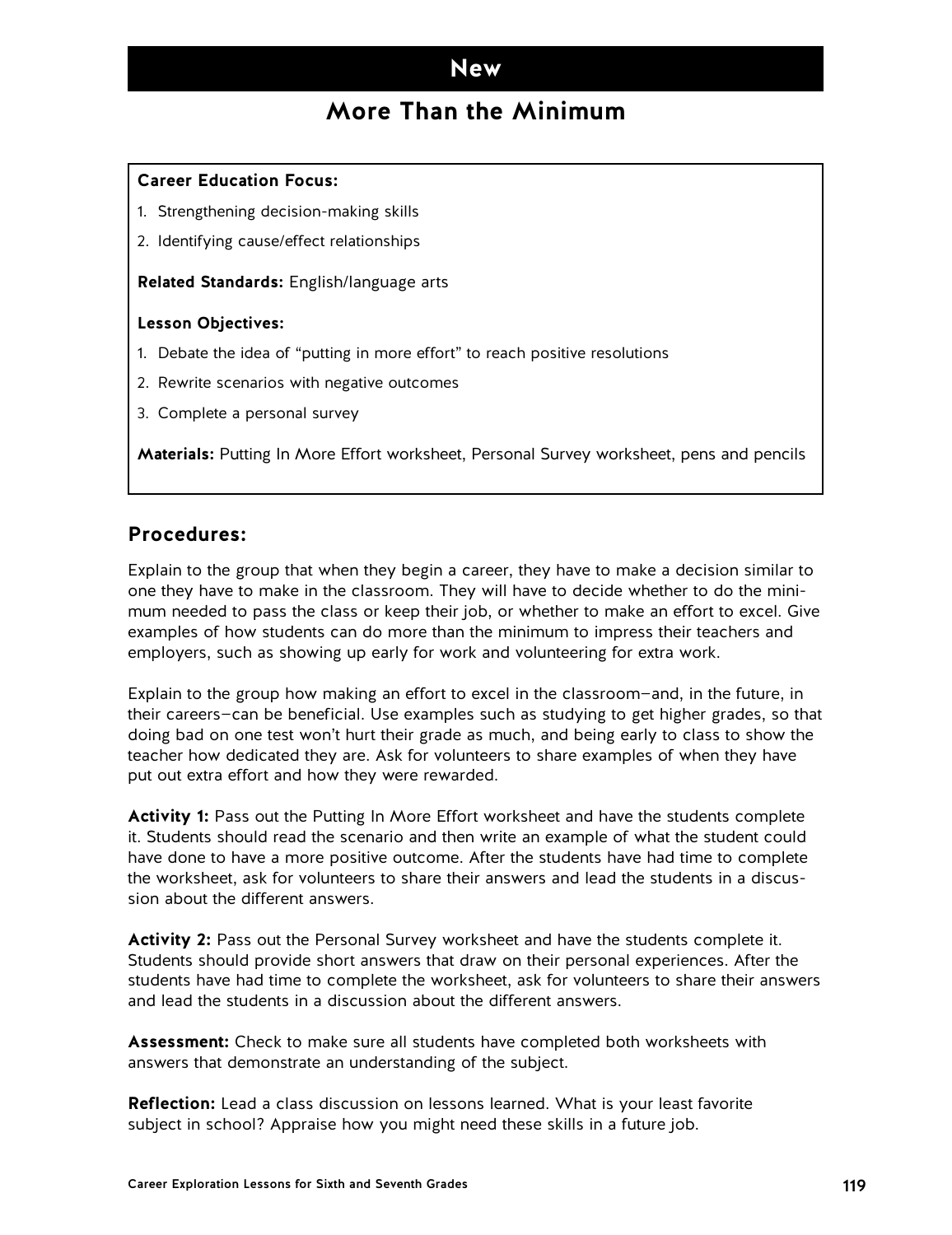### **New**

## **More Than the Minimum**

#### **Career Education Focus:**

- 1. Strengthening decision-making skills
- 2. Identifying cause/effect relationships

**Related Standards:** English/language arts

#### **Lesson Objectives:**

- 1. Debate the idea of "putting in more effort" to reach positive resolutions
- 2. Rewrite scenarios with negative outcomes
- 3. Complete a personal survey

**Materials:** Putting In More Effort worksheet, Personal Survey worksheet, pens and pencils

#### **Procedures:**

Explain to the group that when they begin a career, they have to make a decision similar to one they have to make in the classroom. They will have to decide whether to do the minimum needed to pass the class or keep their job, or whether to make an effort to excel. Give examples of how students can do more than the minimum to impress their teachers and employers, such as showing up early for work and volunteering for extra work.

Explain to the group how making an effort to excel in the classroom—and, in the future, in their careers—can be beneficial. Use examples such as studying to get higher grades, so that doing bad on one test won't hurt their grade as much, and being early to class to show the teacher how dedicated they are. Ask for volunteers to share examples of when they have put out extra effort and how they were rewarded.

**Activity 1:** Pass out the Putting In More Effort worksheet and have the students complete it. Students should read the scenario and then write an example of what the student could have done to have a more positive outcome. After the students have had time to complete the worksheet, ask for volunteers to share their answers and lead the students in a discussion about the different answers.

**Activity 2:** Pass out the Personal Survey worksheet and have the students complete it. Students should provide short answers that draw on their personal experiences. After the students have had time to complete the worksheet, ask for volunteers to share their answers and lead the students in a discussion about the different answers.

**Assessment:** Check to make sure all students have completed both worksheets with answers that demonstrate an understanding of the subject.

**Reflection:** Lead a class discussion on lessons learned. What is your least favorite subject in school? Appraise how you might need these skills in a future job.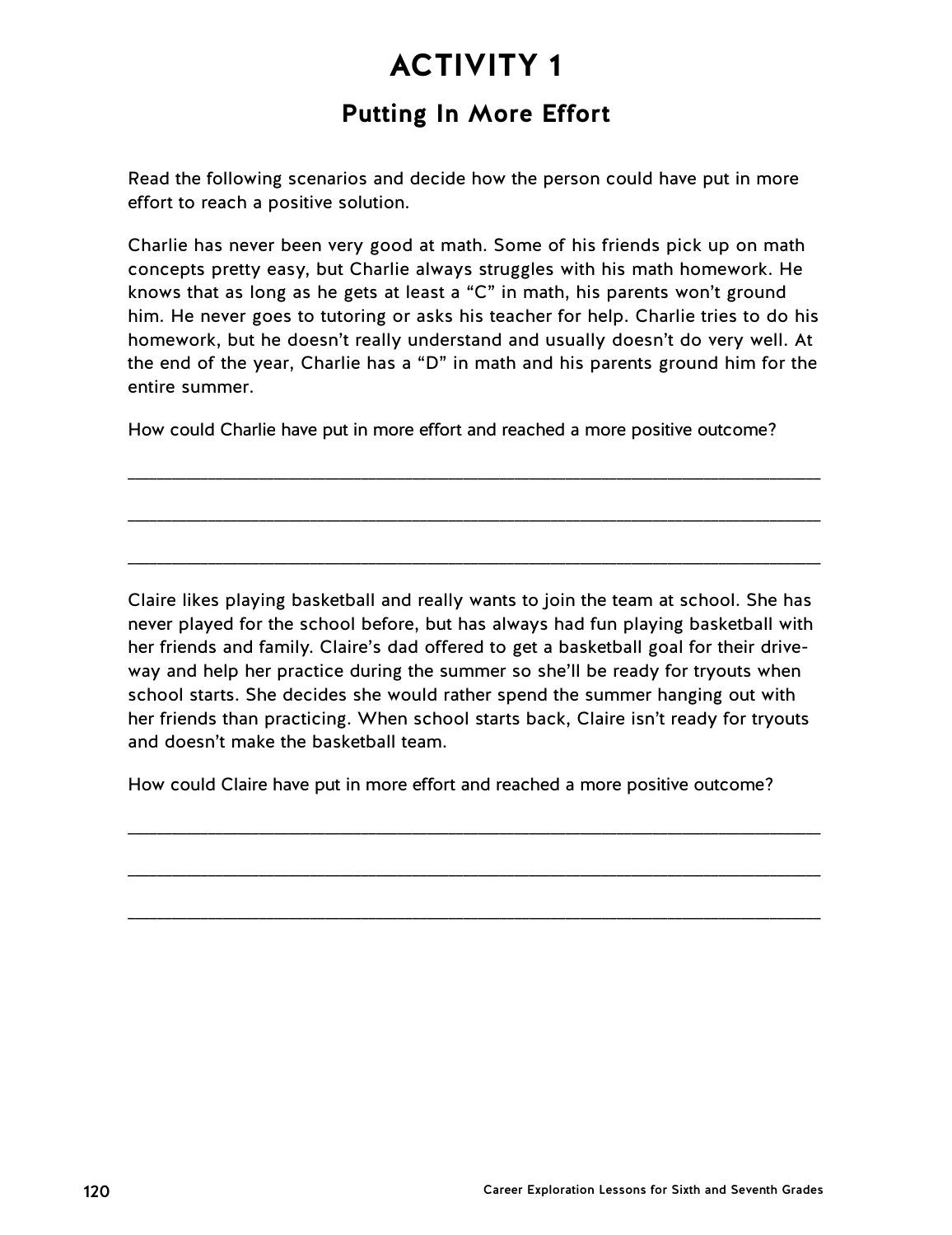## **Putting In More Effort**

Read the following scenarios and decide how the person could have put in more effort to reach a positive solution.

Charlie has never been very good at math. Some of his friends pick up on math concepts pretty easy, but Charlie always struggles with his math homework. He knows that as long as he gets at least a "C" in math, his parents won't ground him. He never goes to tutoring or asks his teacher for help. Charlie tries to do his homework, but he doesn't really understand and usually doesn't do very well. At the end of the year, Charlie has a "D" in math and his parents ground him for the entire summer.

How could Charlie have put in more effort and reached a more positive outcome?

\_\_\_\_\_\_\_\_\_\_\_\_\_\_\_\_\_\_\_\_\_\_\_\_\_\_\_\_\_\_\_\_\_\_\_\_\_\_\_\_\_\_\_\_\_\_\_\_\_\_\_\_\_\_\_\_\_\_\_\_\_\_\_\_\_\_\_\_\_\_\_\_\_\_\_\_\_\_\_\_\_\_\_\_\_\_\_\_\_\_\_\_\_\_\_

\_\_\_\_\_\_\_\_\_\_\_\_\_\_\_\_\_\_\_\_\_\_\_\_\_\_\_\_\_\_\_\_\_\_\_\_\_\_\_\_\_\_\_\_\_\_\_\_\_\_\_\_\_\_\_\_\_\_\_\_\_\_\_\_\_\_\_\_\_\_\_\_\_\_\_\_\_\_\_\_\_\_\_\_\_\_\_\_\_\_\_\_\_\_\_

\_\_\_\_\_\_\_\_\_\_\_\_\_\_\_\_\_\_\_\_\_\_\_\_\_\_\_\_\_\_\_\_\_\_\_\_\_\_\_\_\_\_\_\_\_\_\_\_\_\_\_\_\_\_\_\_\_\_\_\_\_\_\_\_\_\_\_\_\_\_\_\_\_\_\_\_\_\_\_\_\_\_\_\_\_\_\_\_\_\_\_\_\_\_\_

Claire likes playing basketball and really wants to join the team at school. She has never played for the school before, but has always had fun playing basketball with her friends and family. Claire's dad offered to get a basketball goal for their driveway and help her practice during the summer so she'll be ready for tryouts when school starts. She decides she would rather spend the summer hanging out with her friends than practicing. When school starts back, Claire isn't ready for tryouts and doesn't make the basketball team.

How could Claire have put in more effort and reached a more positive outcome?

\_\_\_\_\_\_\_\_\_\_\_\_\_\_\_\_\_\_\_\_\_\_\_\_\_\_\_\_\_\_\_\_\_\_\_\_\_\_\_\_\_\_\_\_\_\_\_\_\_\_\_\_\_\_\_\_\_\_\_\_\_\_\_\_\_\_\_\_\_\_\_\_\_\_\_\_\_\_\_\_\_\_\_\_\_\_\_\_\_\_\_\_\_\_\_

\_\_\_\_\_\_\_\_\_\_\_\_\_\_\_\_\_\_\_\_\_\_\_\_\_\_\_\_\_\_\_\_\_\_\_\_\_\_\_\_\_\_\_\_\_\_\_\_\_\_\_\_\_\_\_\_\_\_\_\_\_\_\_\_\_\_\_\_\_\_\_\_\_\_\_\_\_\_\_\_\_\_\_\_\_\_\_\_\_\_\_\_\_\_\_

\_\_\_\_\_\_\_\_\_\_\_\_\_\_\_\_\_\_\_\_\_\_\_\_\_\_\_\_\_\_\_\_\_\_\_\_\_\_\_\_\_\_\_\_\_\_\_\_\_\_\_\_\_\_\_\_\_\_\_\_\_\_\_\_\_\_\_\_\_\_\_\_\_\_\_\_\_\_\_\_\_\_\_\_\_\_\_\_\_\_\_\_\_\_\_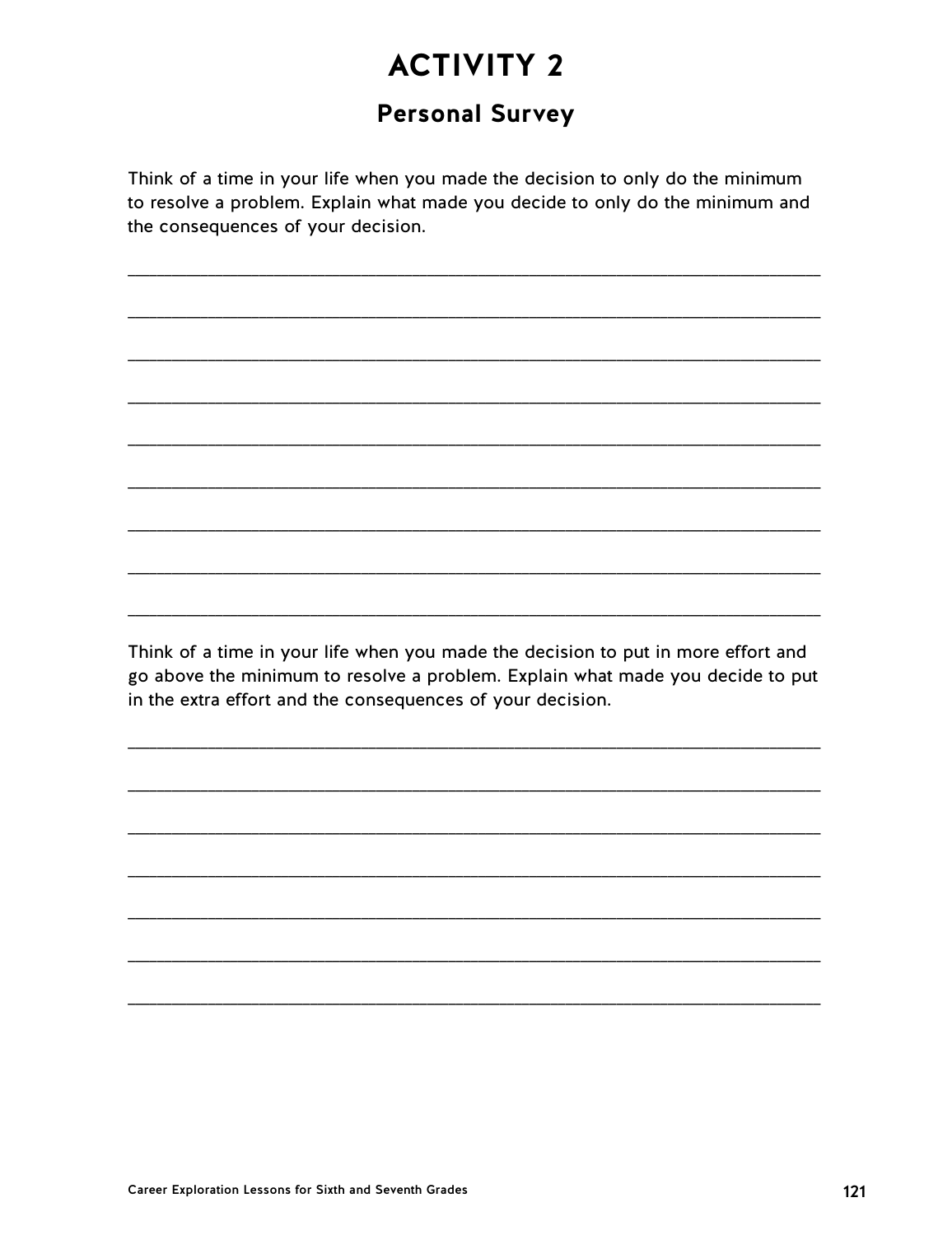## **Personal Survey**

Think of a time in your life when you made the decision to only do the minimum to resolve a problem. Explain what made you decide to only do the minimum and the consequences of your decision.

Think of a time in your life when you made the decision to put in more effort and go above the minimum to resolve a problem. Explain what made you decide to put in the extra effort and the consequences of your decision.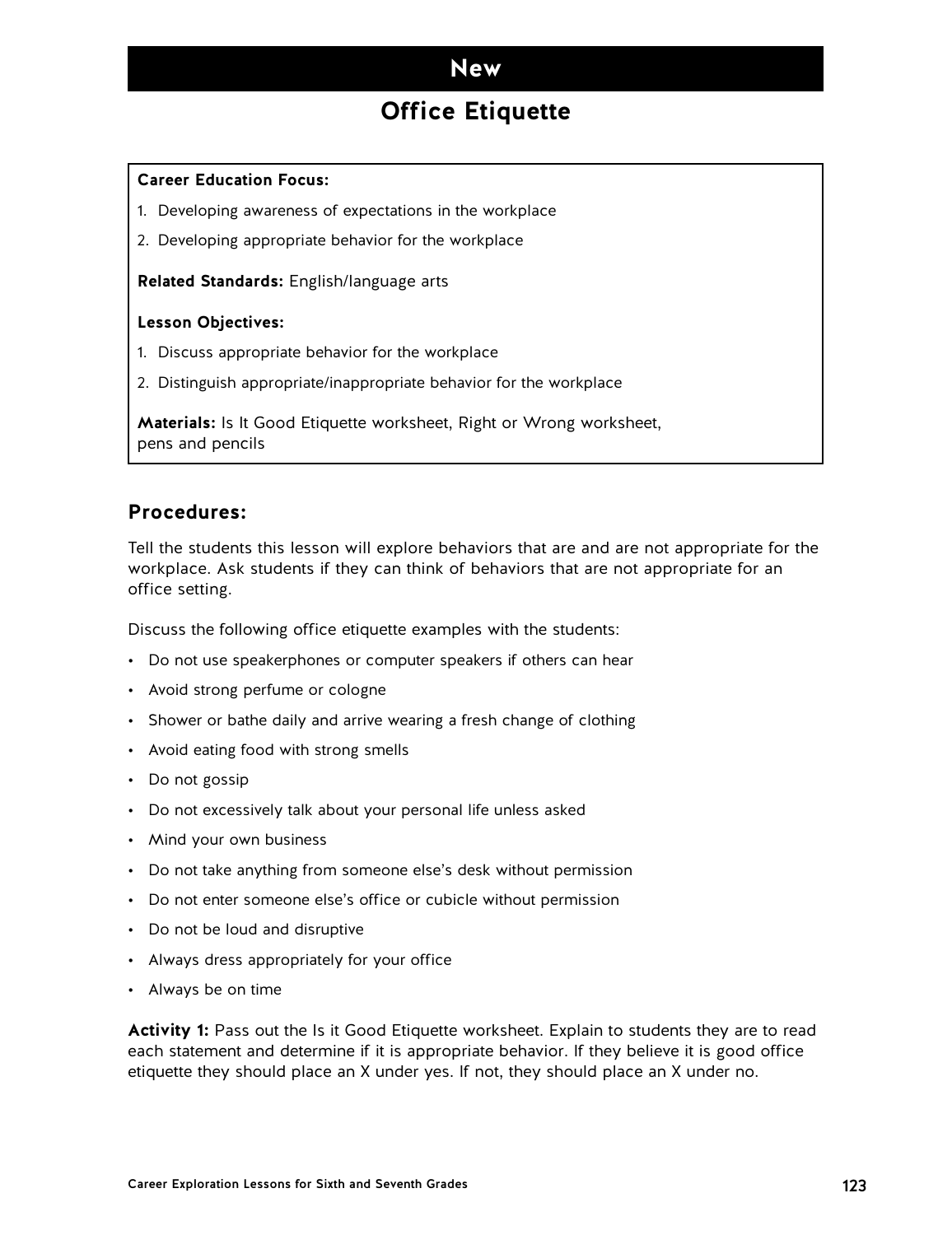### **New**

## **Office Etiquette**

#### **Career Education Focus:**

- 1. Developing awareness of expectations in the workplace
- 2. Developing appropriate behavior for the workplace

**Related Standards:** English/language arts

#### **Lesson Objectives:**

- 1. Discuss appropriate behavior for the workplace
- 2. Distinguish appropriate/inappropriate behavior for the workplace

**Materials:** Is It Good Etiquette worksheet, Right or Wrong worksheet, pens and pencils

#### **Procedures:**

Tell the students this lesson will explore behaviors that are and are not appropriate for the workplace. Ask students if they can think of behaviors that are not appropriate for an office setting.

Discuss the following office etiquette examples with the students:

- Do not use speakerphones or computer speakers if others can hear
- Avoid strong perfume or cologne
- Shower or bathe daily and arrive wearing a fresh change of clothing
- Avoid eating food with strong smells
- Do not gossip
- Do not excessively talk about your personal life unless asked
- Mind your own business
- Do not take anything from someone else's desk without permission
- Do not enter someone else's office or cubicle without permission
- Do not be loud and disruptive
- Always dress appropriately for your office
- Always be on time

**Activity 1:** Pass out the Is it Good Etiquette worksheet. Explain to students they are to read each statement and determine if it is appropriate behavior. If they believe it is good office etiquette they should place an X under yes. If not, they should place an X under no.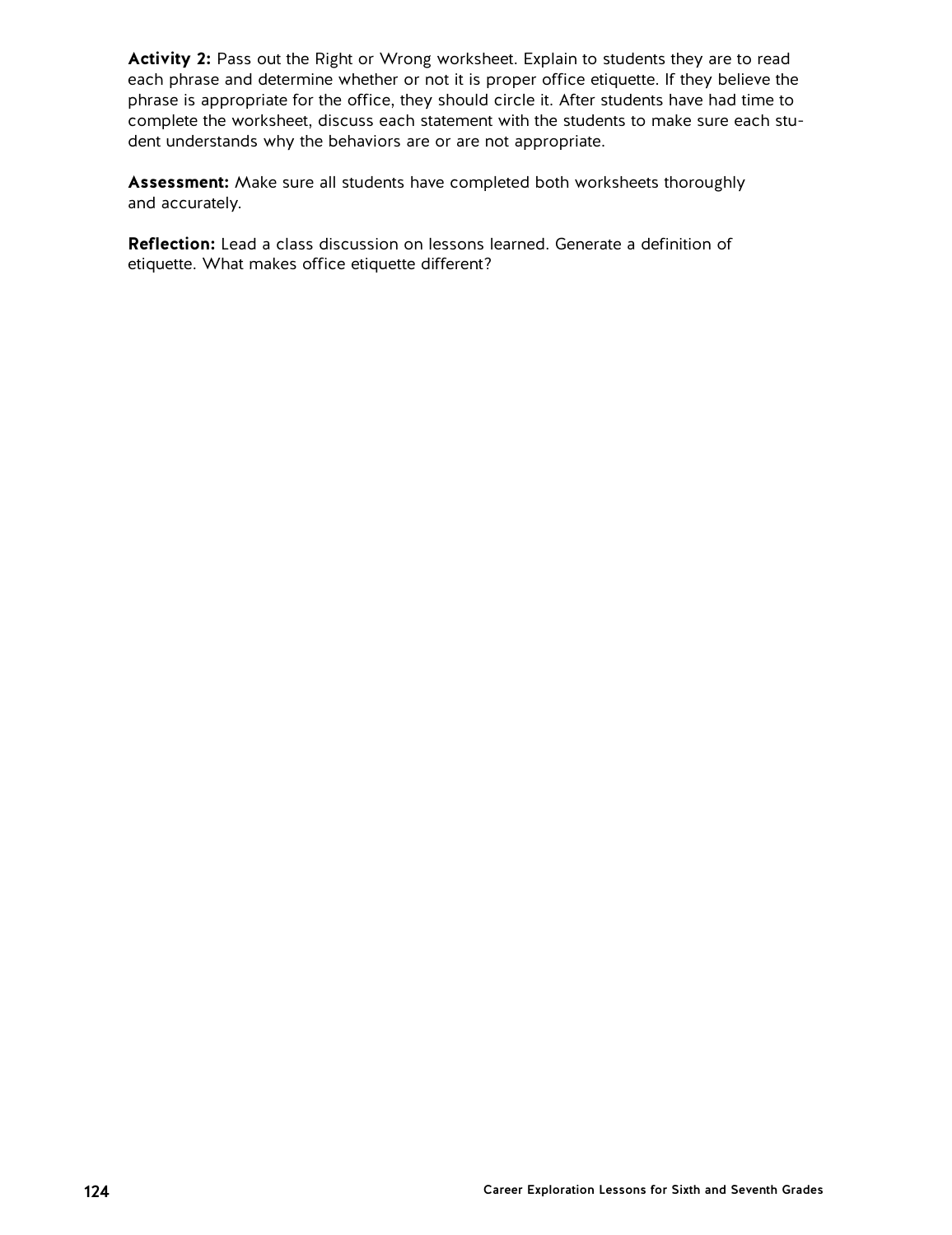**Activity 2:** Pass out the Right or Wrong worksheet. Explain to students they are to read each phrase and determine whether or not it is proper office etiquette. If they believe the phrase is appropriate for the office, they should circle it. After students have had time to complete the worksheet, discuss each statement with the students to make sure each student understands why the behaviors are or are not appropriate.

**Assessment:** Make sure all students have completed both worksheets thoroughly and accurately.

**Reflection:** Lead a class discussion on lessons learned. Generate a definition of etiquette. What makes office etiquette different?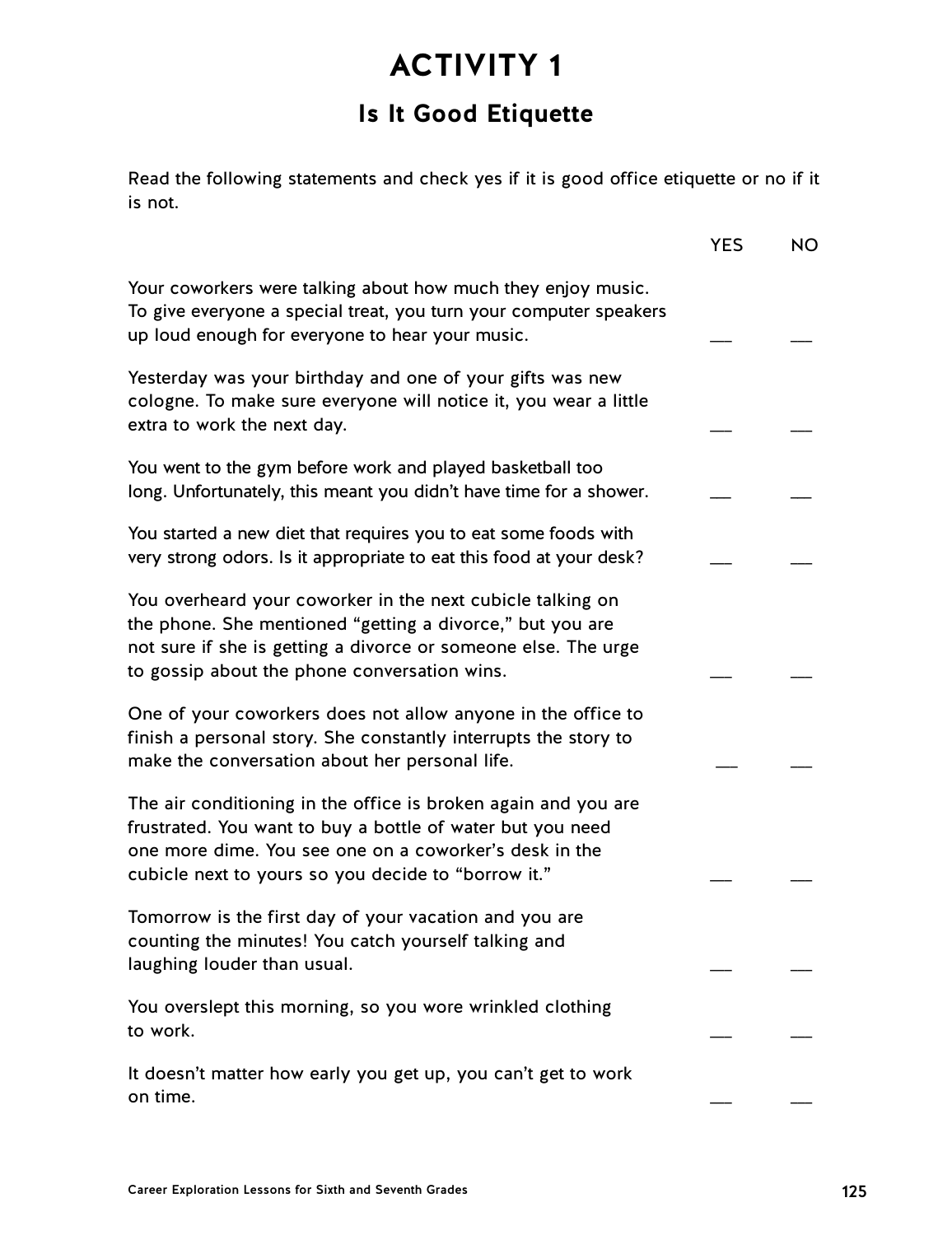## **Is It Good Etiquette**

Read the following statements and check yes if it is good office etiquette or no if it is not.

|                                                                                                                                                                                                                                               | <b>YES</b> | <b>NO</b> |
|-----------------------------------------------------------------------------------------------------------------------------------------------------------------------------------------------------------------------------------------------|------------|-----------|
| Your coworkers were talking about how much they enjoy music.<br>To give everyone a special treat, you turn your computer speakers<br>up loud enough for everyone to hear your music.                                                          |            |           |
| Yesterday was your birthday and one of your gifts was new<br>cologne. To make sure everyone will notice it, you wear a little<br>extra to work the next day.                                                                                  |            |           |
| You went to the gym before work and played basketball too<br>long. Unfortunately, this meant you didn't have time for a shower.                                                                                                               |            |           |
| You started a new diet that requires you to eat some foods with<br>very strong odors. Is it appropriate to eat this food at your desk?                                                                                                        |            |           |
| You overheard your coworker in the next cubicle talking on<br>the phone. She mentioned "getting a divorce," but you are<br>not sure if she is getting a divorce or someone else. The urge<br>to gossip about the phone conversation wins.     |            |           |
| One of your coworkers does not allow anyone in the office to<br>finish a personal story. She constantly interrupts the story to<br>make the conversation about her personal life.                                                             |            |           |
| The air conditioning in the office is broken again and you are<br>frustrated. You want to buy a bottle of water but you need<br>one more dime. You see one on a coworker's desk in the<br>cubicle next to yours so you decide to "borrow it." |            |           |
| Tomorrow is the first day of your vacation and you are<br>counting the minutes! You catch yourself talking and<br>laughing louder than usual.                                                                                                 |            |           |
| You overslept this morning, so you wore wrinkled clothing<br>to work.                                                                                                                                                                         |            |           |
| It doesn't matter how early you get up, you can't get to work<br>on time.                                                                                                                                                                     |            |           |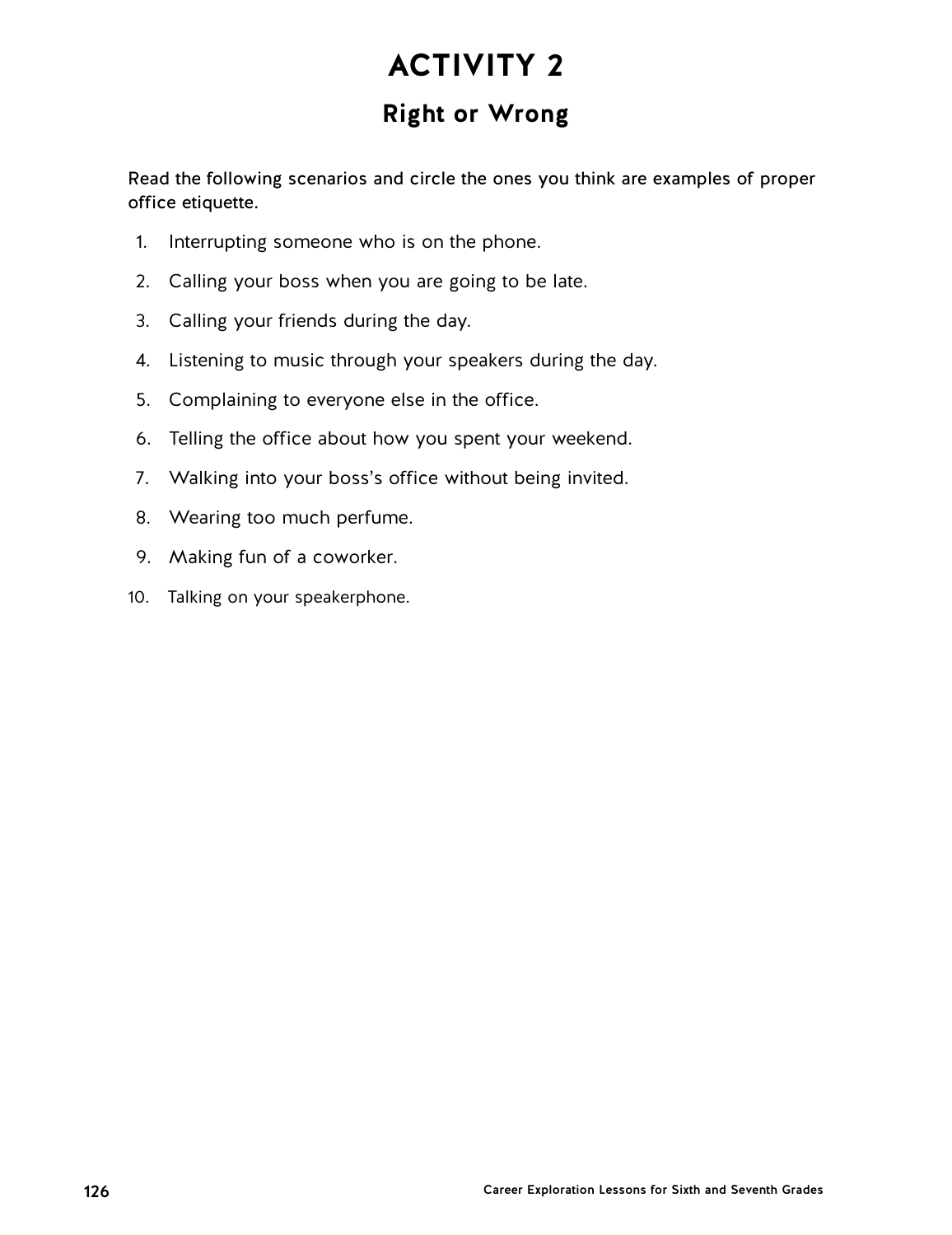## **Right or Wrong**

Read the following scenarios and circle the ones you think are examples of proper office etiquette.

- 1. Interrupting someone who is on the phone.
- 2. Calling your boss when you are going to be late.
- 3. Calling your friends during the day.
- 4. Listening to music through your speakers during the day.
- 5. Complaining to everyone else in the office.
- 6. Telling the office about how you spent your weekend.
- 7. Walking into your boss's office without being invited.
- 8. Wearing too much perfume.
- 9. Making fun of a coworker.
- 10. Talking on your speakerphone.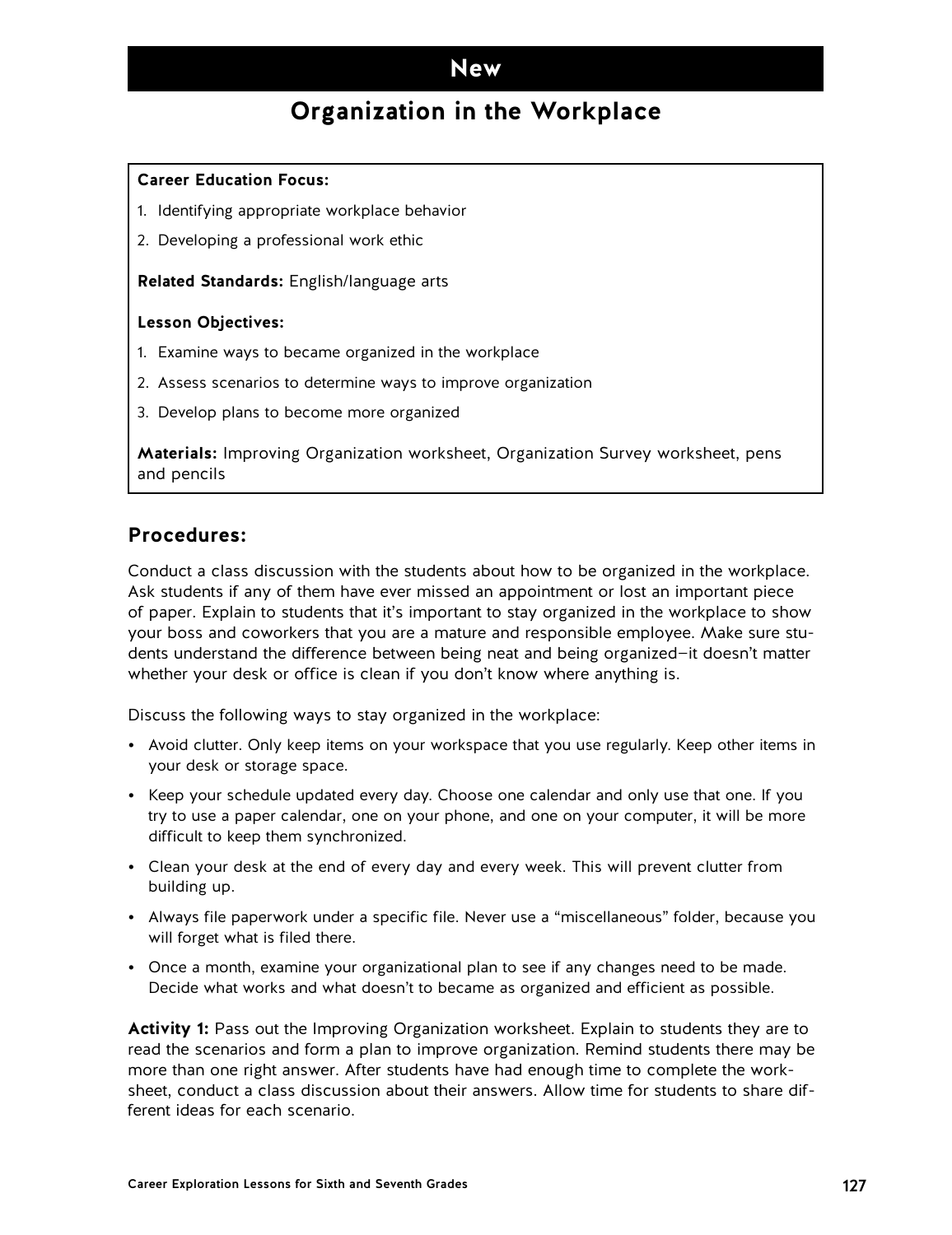### **New**

## **Organization in the Workplace**

#### **Career Education Focus:**

- 1. Identifying appropriate workplace behavior
- 2. Developing a professional work ethic

**Related Standards:** English/language arts

#### **Lesson Objectives:**

- 1. Examine ways to became organized in the workplace
- 2. Assess scenarios to determine ways to improve organization
- 3. Develop plans to become more organized

**Materials:** Improving Organization worksheet, Organization Survey worksheet, pens and pencils

#### **Procedures:**

Conduct a class discussion with the students about how to be organized in the workplace. Ask students if any of them have ever missed an appointment or lost an important piece of paper. Explain to students that it's important to stay organized in the workplace to show your boss and coworkers that you are a mature and responsible employee. Make sure students understand the difference between being neat and being organized—it doesn't matter whether your desk or office is clean if you don't know where anything is.

Discuss the following ways to stay organized in the workplace:

- Avoid clutter. Only keep items on your workspace that you use regularly. Keep other items in your desk or storage space.
- Keep your schedule updated every day. Choose one calendar and only use that one. If you try to use a paper calendar, one on your phone, and one on your computer, it will be more difficult to keep them synchronized.
- Clean your desk at the end of every day and every week. This will prevent clutter from building up.
- Always file paperwork under a specific file. Never use a "miscellaneous" folder, because you will forget what is filed there.
- Once a month, examine your organizational plan to see if any changes need to be made. Decide what works and what doesn't to became as organized and efficient as possible.

**Activity 1:** Pass out the Improving Organization worksheet. Explain to students they are to read the scenarios and form a plan to improve organization. Remind students there may be more than one right answer. After students have had enough time to complete the worksheet, conduct a class discussion about their answers. Allow time for students to share different ideas for each scenario.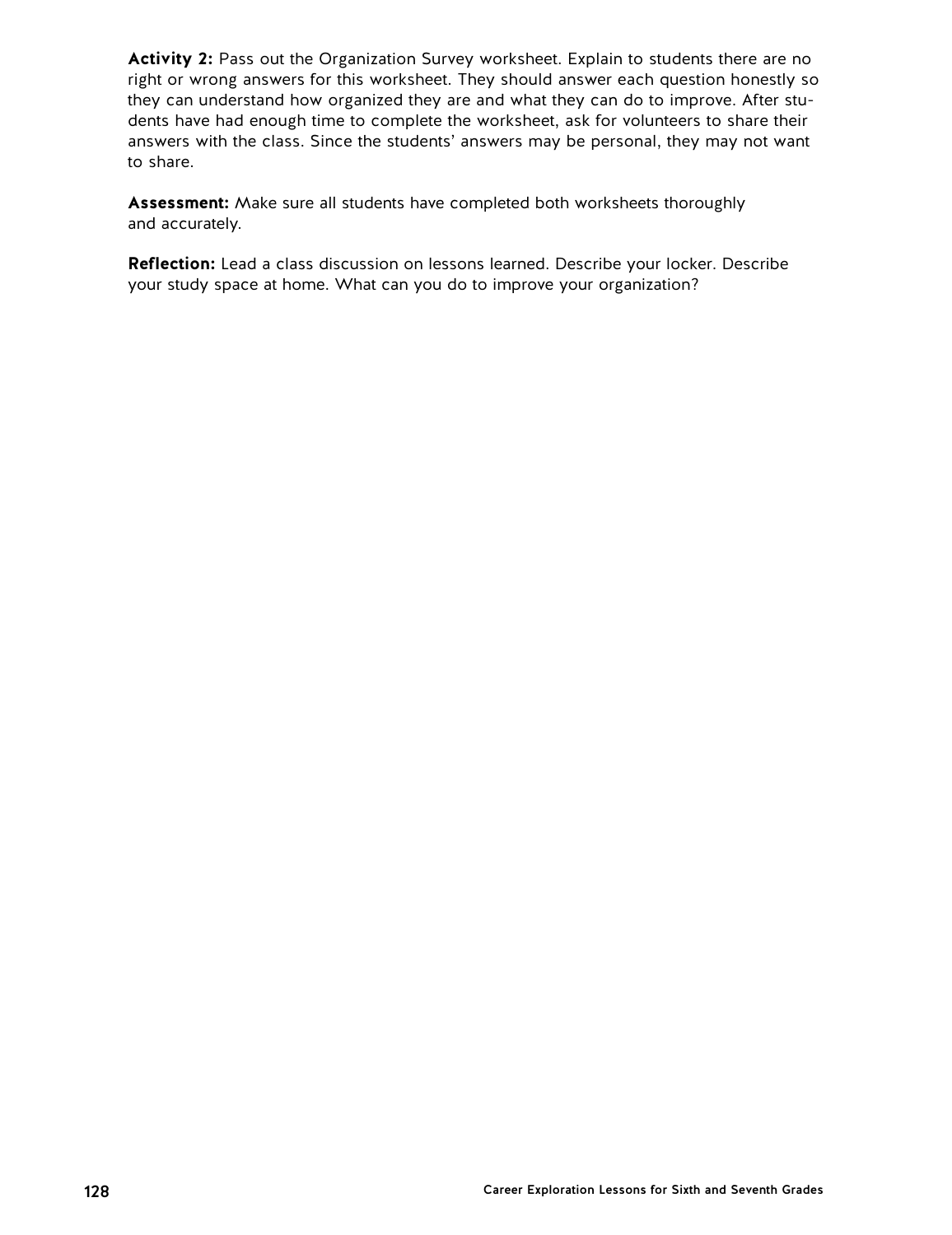**Activity 2:** Pass out the Organization Survey worksheet. Explain to students there are no right or wrong answers for this worksheet. They should answer each question honestly so they can understand how organized they are and what they can do to improve. After students have had enough time to complete the worksheet, ask for volunteers to share their answers with the class. Since the students' answers may be personal, they may not want to share.

**Assessment:** Make sure all students have completed both worksheets thoroughly and accurately.

**Reflection:** Lead a class discussion on lessons learned. Describe your locker. Describe your study space at home. What can you do to improve your organization?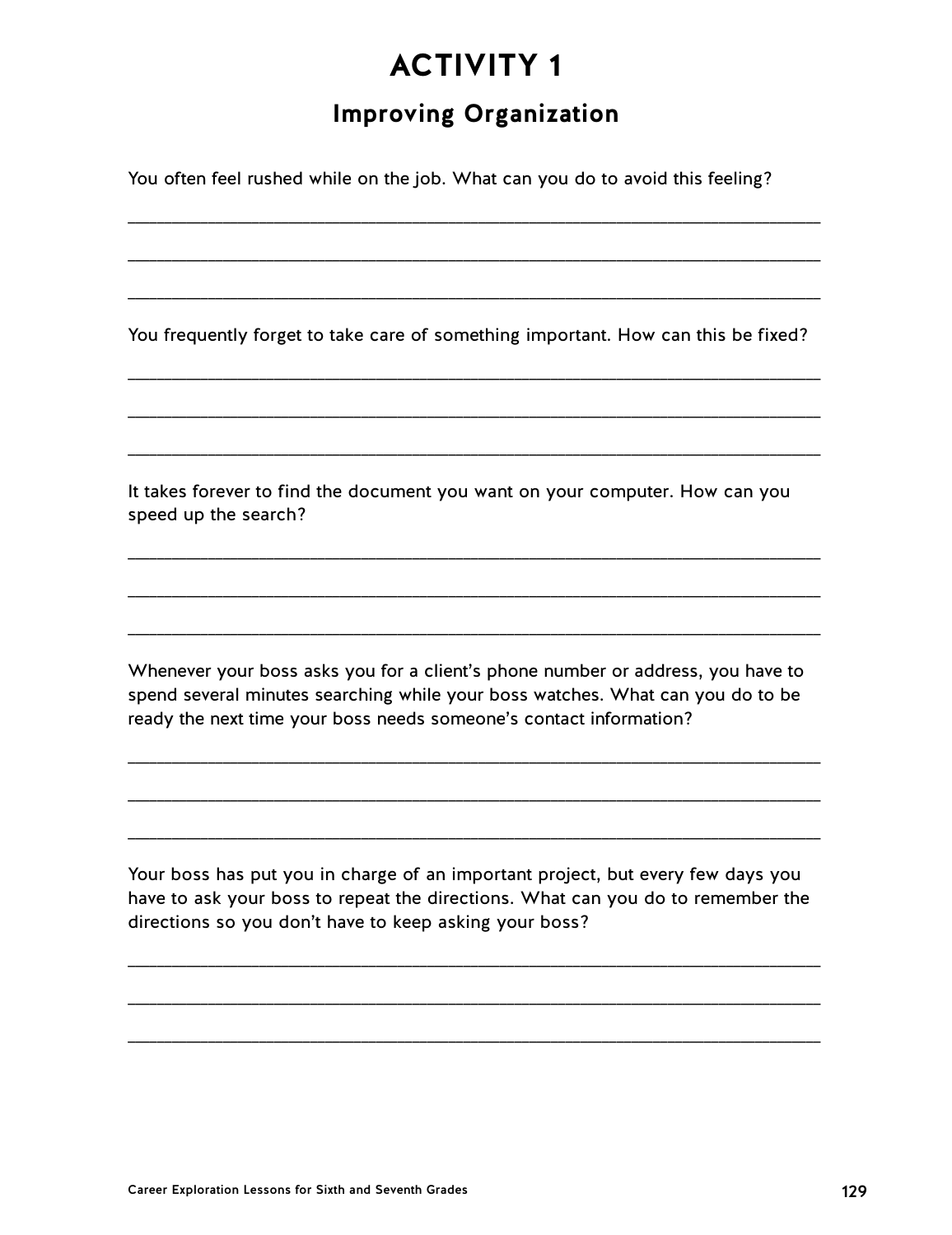## **Improving Organization**

\_\_\_\_\_\_\_\_\_\_\_\_\_\_\_\_\_\_\_\_\_\_\_\_\_\_\_\_\_\_\_\_\_\_\_\_\_\_\_\_\_\_\_\_\_\_\_\_\_\_\_\_\_\_\_\_\_\_\_\_\_\_\_\_\_\_\_\_\_\_\_\_\_\_\_\_\_\_\_\_\_\_\_\_\_\_\_\_\_\_\_\_\_\_\_

\_\_\_\_\_\_\_\_\_\_\_\_\_\_\_\_\_\_\_\_\_\_\_\_\_\_\_\_\_\_\_\_\_\_\_\_\_\_\_\_\_\_\_\_\_\_\_\_\_\_\_\_\_\_\_\_\_\_\_\_\_\_\_\_\_\_\_\_\_\_\_\_\_\_\_\_\_\_\_\_\_\_\_\_\_\_\_\_\_\_\_\_\_\_\_

\_\_\_\_\_\_\_\_\_\_\_\_\_\_\_\_\_\_\_\_\_\_\_\_\_\_\_\_\_\_\_\_\_\_\_\_\_\_\_\_\_\_\_\_\_\_\_\_\_\_\_\_\_\_\_\_\_\_\_\_\_\_\_\_\_\_\_\_\_\_\_\_\_\_\_\_\_\_\_\_\_\_\_\_\_\_\_\_\_\_\_\_\_\_\_

You often feel rushed while on the job. What can you do to avoid this feeling?

You frequently forget to take care of something important. How can this be fixed?

\_\_\_\_\_\_\_\_\_\_\_\_\_\_\_\_\_\_\_\_\_\_\_\_\_\_\_\_\_\_\_\_\_\_\_\_\_\_\_\_\_\_\_\_\_\_\_\_\_\_\_\_\_\_\_\_\_\_\_\_\_\_\_\_\_\_\_\_\_\_\_\_\_\_\_\_\_\_\_\_\_\_\_\_\_\_\_\_\_\_\_\_\_\_\_

\_\_\_\_\_\_\_\_\_\_\_\_\_\_\_\_\_\_\_\_\_\_\_\_\_\_\_\_\_\_\_\_\_\_\_\_\_\_\_\_\_\_\_\_\_\_\_\_\_\_\_\_\_\_\_\_\_\_\_\_\_\_\_\_\_\_\_\_\_\_\_\_\_\_\_\_\_\_\_\_\_\_\_\_\_\_\_\_\_\_\_\_\_\_\_

\_\_\_\_\_\_\_\_\_\_\_\_\_\_\_\_\_\_\_\_\_\_\_\_\_\_\_\_\_\_\_\_\_\_\_\_\_\_\_\_\_\_\_\_\_\_\_\_\_\_\_\_\_\_\_\_\_\_\_\_\_\_\_\_\_\_\_\_\_\_\_\_\_\_\_\_\_\_\_\_\_\_\_\_\_\_\_\_\_\_\_\_\_\_\_

\_\_\_\_\_\_\_\_\_\_\_\_\_\_\_\_\_\_\_\_\_\_\_\_\_\_\_\_\_\_\_\_\_\_\_\_\_\_\_\_\_\_\_\_\_\_\_\_\_\_\_\_\_\_\_\_\_\_\_\_\_\_\_\_\_\_\_\_\_\_\_\_\_\_\_\_\_\_\_\_\_\_\_\_\_\_\_\_\_\_\_\_\_\_\_

\_\_\_\_\_\_\_\_\_\_\_\_\_\_\_\_\_\_\_\_\_\_\_\_\_\_\_\_\_\_\_\_\_\_\_\_\_\_\_\_\_\_\_\_\_\_\_\_\_\_\_\_\_\_\_\_\_\_\_\_\_\_\_\_\_\_\_\_\_\_\_\_\_\_\_\_\_\_\_\_\_\_\_\_\_\_\_\_\_\_\_\_\_\_\_

\_\_\_\_\_\_\_\_\_\_\_\_\_\_\_\_\_\_\_\_\_\_\_\_\_\_\_\_\_\_\_\_\_\_\_\_\_\_\_\_\_\_\_\_\_\_\_\_\_\_\_\_\_\_\_\_\_\_\_\_\_\_\_\_\_\_\_\_\_\_\_\_\_\_\_\_\_\_\_\_\_\_\_\_\_\_\_\_\_\_\_\_\_\_\_

It takes forever to find the document you want on your computer. How can you speed up the search?

Whenever your boss asks you for a client's phone number or address, you have to spend several minutes searching while your boss watches. What can you do to be ready the next time your boss needs someone's contact information?

\_\_\_\_\_\_\_\_\_\_\_\_\_\_\_\_\_\_\_\_\_\_\_\_\_\_\_\_\_\_\_\_\_\_\_\_\_\_\_\_\_\_\_\_\_\_\_\_\_\_\_\_\_\_\_\_\_\_\_\_\_\_\_\_\_\_\_\_\_\_\_\_\_\_\_\_\_\_\_\_\_\_\_\_\_\_\_\_\_\_\_\_\_\_\_

\_\_\_\_\_\_\_\_\_\_\_\_\_\_\_\_\_\_\_\_\_\_\_\_\_\_\_\_\_\_\_\_\_\_\_\_\_\_\_\_\_\_\_\_\_\_\_\_\_\_\_\_\_\_\_\_\_\_\_\_\_\_\_\_\_\_\_\_\_\_\_\_\_\_\_\_\_\_\_\_\_\_\_\_\_\_\_\_\_\_\_\_\_\_\_

\_\_\_\_\_\_\_\_\_\_\_\_\_\_\_\_\_\_\_\_\_\_\_\_\_\_\_\_\_\_\_\_\_\_\_\_\_\_\_\_\_\_\_\_\_\_\_\_\_\_\_\_\_\_\_\_\_\_\_\_\_\_\_\_\_\_\_\_\_\_\_\_\_\_\_\_\_\_\_\_\_\_\_\_\_\_\_\_\_\_\_\_\_\_\_

Your boss has put you in charge of an important project, but every few days you have to ask your boss to repeat the directions. What can you do to remember the directions so you don't have to keep asking your boss?

\_\_\_\_\_\_\_\_\_\_\_\_\_\_\_\_\_\_\_\_\_\_\_\_\_\_\_\_\_\_\_\_\_\_\_\_\_\_\_\_\_\_\_\_\_\_\_\_\_\_\_\_\_\_\_\_\_\_\_\_\_\_\_\_\_\_\_\_\_\_\_\_\_\_\_\_\_\_\_\_\_\_\_\_\_\_\_\_\_\_\_\_\_\_\_

\_\_\_\_\_\_\_\_\_\_\_\_\_\_\_\_\_\_\_\_\_\_\_\_\_\_\_\_\_\_\_\_\_\_\_\_\_\_\_\_\_\_\_\_\_\_\_\_\_\_\_\_\_\_\_\_\_\_\_\_\_\_\_\_\_\_\_\_\_\_\_\_\_\_\_\_\_\_\_\_\_\_\_\_\_\_\_\_\_\_\_\_\_\_\_

\_\_\_\_\_\_\_\_\_\_\_\_\_\_\_\_\_\_\_\_\_\_\_\_\_\_\_\_\_\_\_\_\_\_\_\_\_\_\_\_\_\_\_\_\_\_\_\_\_\_\_\_\_\_\_\_\_\_\_\_\_\_\_\_\_\_\_\_\_\_\_\_\_\_\_\_\_\_\_\_\_\_\_\_\_\_\_\_\_\_\_\_\_\_\_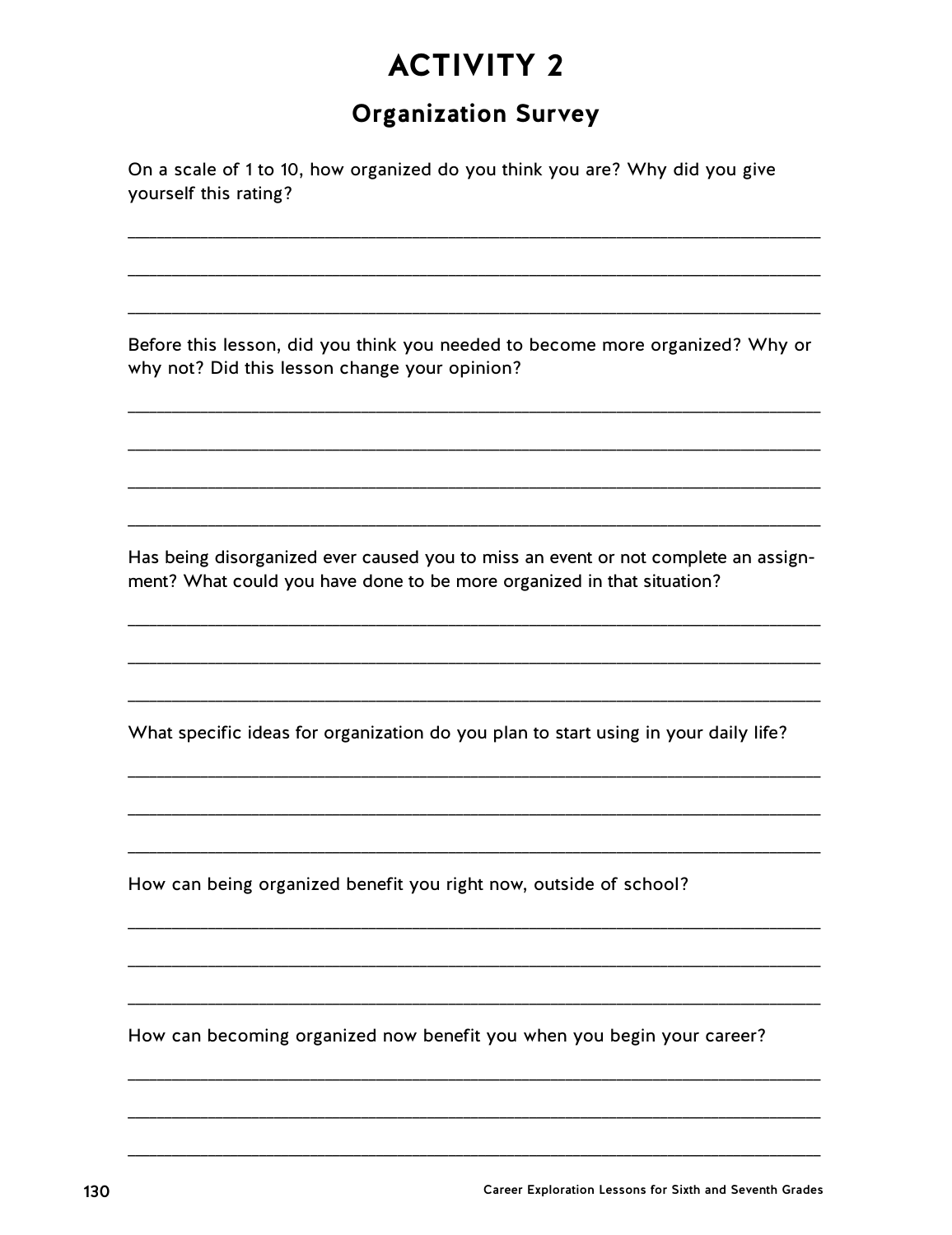## **Organization Survey**

On a scale of 1 to 10, how organized do you think you are? Why did you give yourself this rating?

Before this lesson, did you think you needed to become more organized? Why or why not? Did this lesson change your opinion?

Has being disorganized ever caused you to miss an event or not complete an assignment? What could you have done to be more organized in that situation?

What specific ideas for organization do you plan to start using in your daily life?

How can being organized benefit you right now, outside of school?

How can becoming organized now benefit you when you begin your career?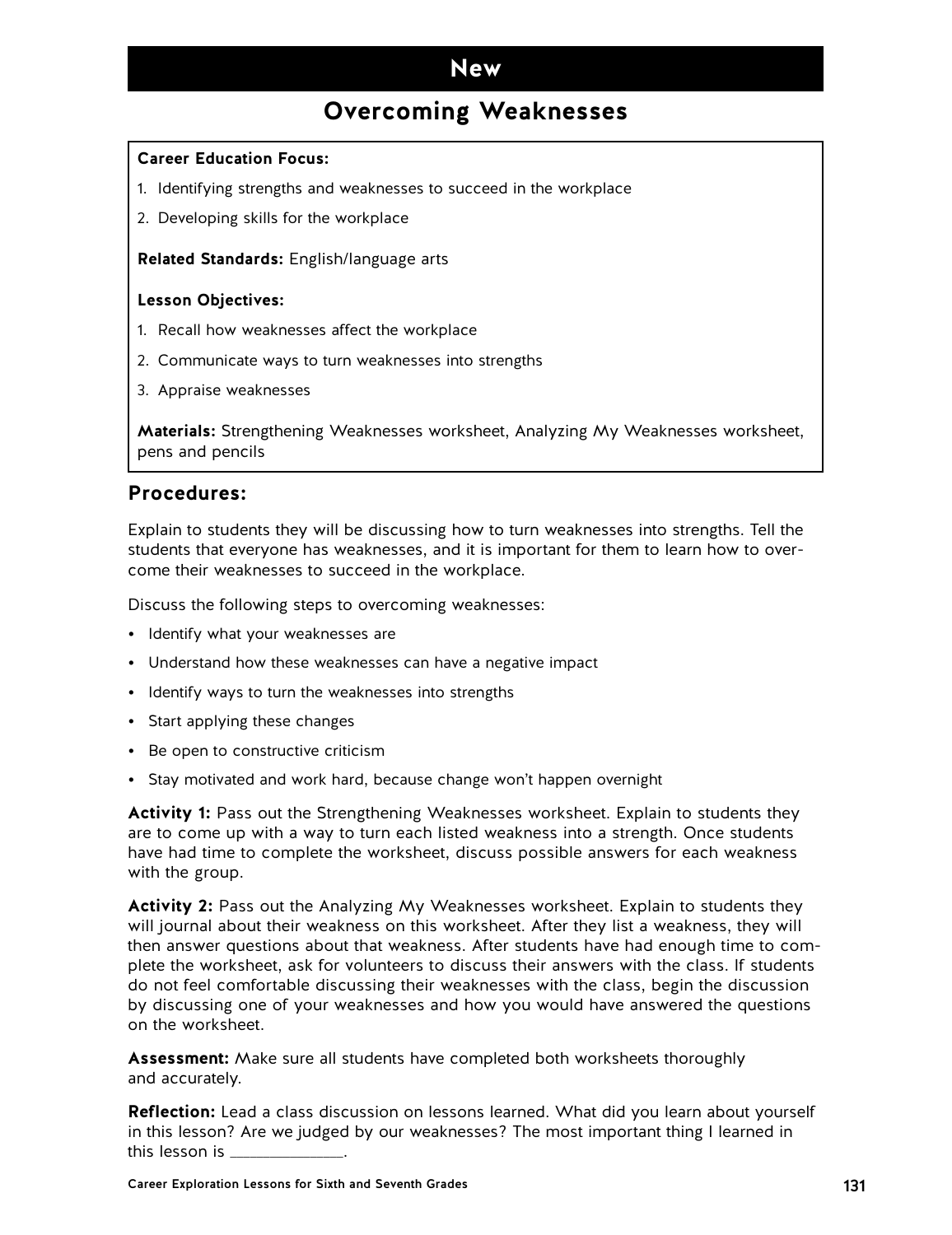### **New**

## **Overcoming Weaknesses**

#### **Career Education Focus:**

- 1. Identifying strengths and weaknesses to succeed in the workplace
- 2. Developing skills for the workplace

**Related Standards:** English/language arts

#### **Lesson Objectives:**

- 1. Recall how weaknesses affect the workplace
- 2. Communicate ways to turn weaknesses into strengths
- 3. Appraise weaknesses

**Materials:** Strengthening Weaknesses worksheet, Analyzing My Weaknesses worksheet, pens and pencils

#### **Procedures:**

Explain to students they will be discussing how to turn weaknesses into strengths. Tell the students that everyone has weaknesses, and it is important for them to learn how to overcome their weaknesses to succeed in the workplace.

Discuss the following steps to overcoming weaknesses:

- Identify what your weaknesses are
- Understand how these weaknesses can have a negative impact
- Identify ways to turn the weaknesses into strengths
- Start applying these changes
- Be open to constructive criticism
- Stay motivated and work hard, because change won't happen overnight

**Activity 1:** Pass out the Strengthening Weaknesses worksheet. Explain to students they are to come up with a way to turn each listed weakness into a strength. Once students have had time to complete the worksheet, discuss possible answers for each weakness with the group.

**Activity 2:** Pass out the Analyzing My Weaknesses worksheet. Explain to students they will journal about their weakness on this worksheet. After they list a weakness, they will then answer questions about that weakness. After students have had enough time to complete the worksheet, ask for volunteers to discuss their answers with the class. If students do not feel comfortable discussing their weaknesses with the class, begin the discussion by discussing one of your weaknesses and how you would have answered the questions on the worksheet.

**Assessment:** Make sure all students have completed both worksheets thoroughly and accurately.

**Reflection:** Lead a class discussion on lessons learned. What did you learn about yourself in this lesson? Are we judged by our weaknesses? The most important thing I learned in this lesson is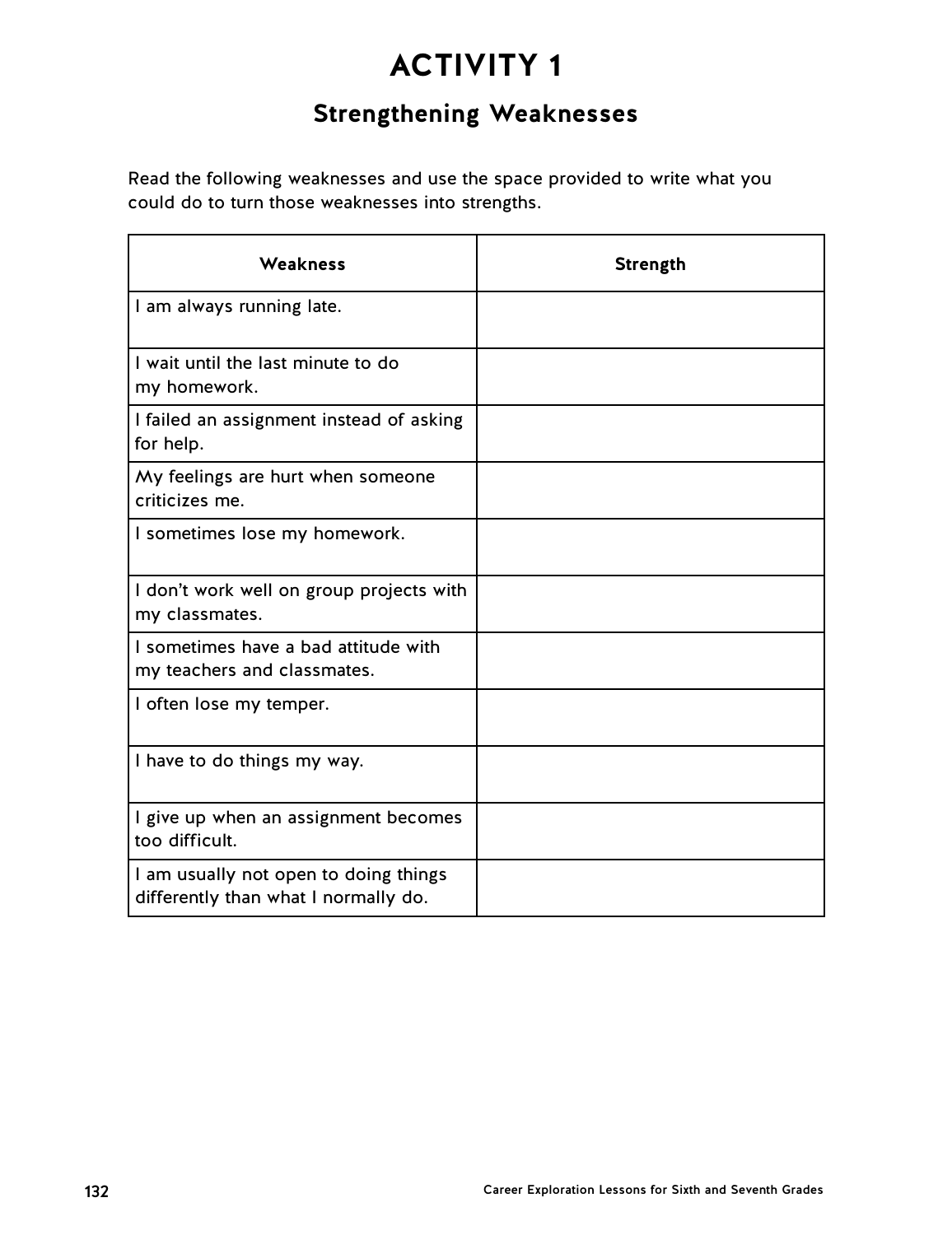## **Strengthening Weaknesses**

Read the following weaknesses and use the space provided to write what you could do to turn those weaknesses into strengths.

| Weakness                                                                      | <b>Strength</b> |
|-------------------------------------------------------------------------------|-----------------|
| I am always running late.                                                     |                 |
| I wait until the last minute to do<br>my homework.                            |                 |
| I failed an assignment instead of asking<br>for help.                         |                 |
| My feelings are hurt when someone<br>criticizes me.                           |                 |
| I sometimes lose my homework.                                                 |                 |
| I don't work well on group projects with<br>my classmates.                    |                 |
| I sometimes have a bad attitude with<br>my teachers and classmates.           |                 |
| I often lose my temper.                                                       |                 |
| I have to do things my way.                                                   |                 |
| I give up when an assignment becomes<br>too difficult.                        |                 |
| I am usually not open to doing things<br>differently than what I normally do. |                 |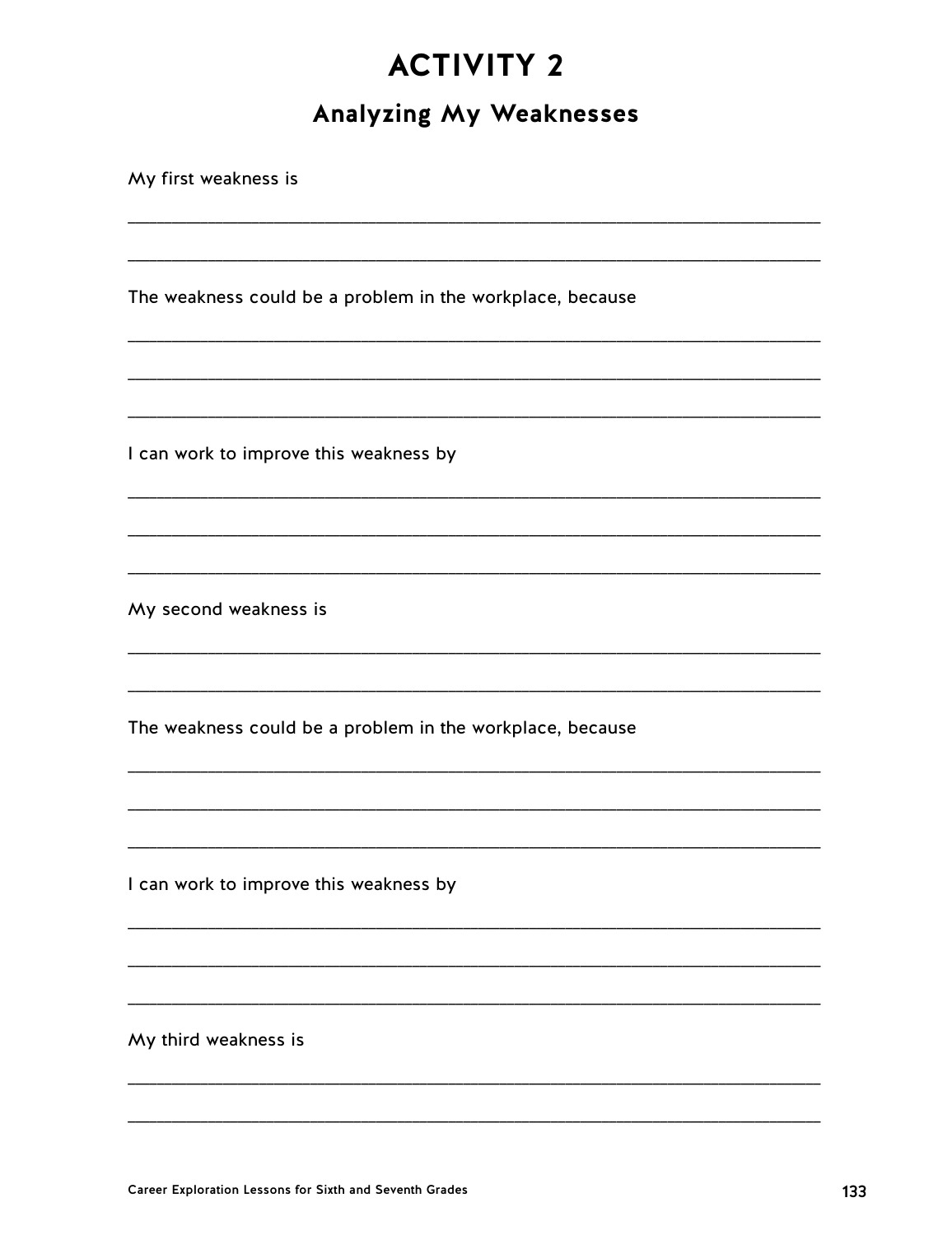## **Analyzing My Weaknesses**

My first weakness is The weakness could be a problem in the workplace, because I can work to improve this weakness by My second weakness is The weakness could be a problem in the workplace, because I can work to improve this weakness by My third weakness is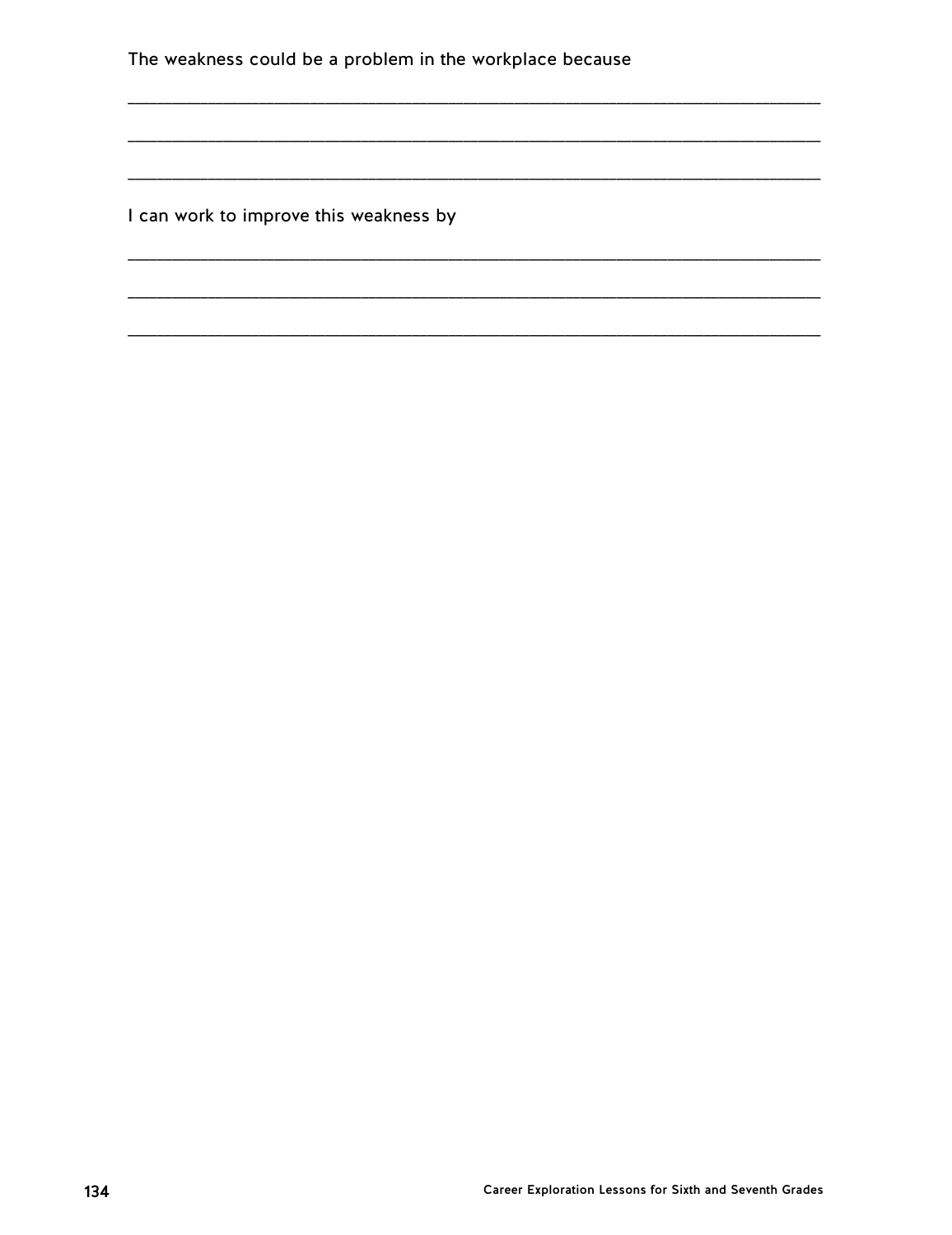The weakness could be a problem in the workplace because

I can work to improve this weakness by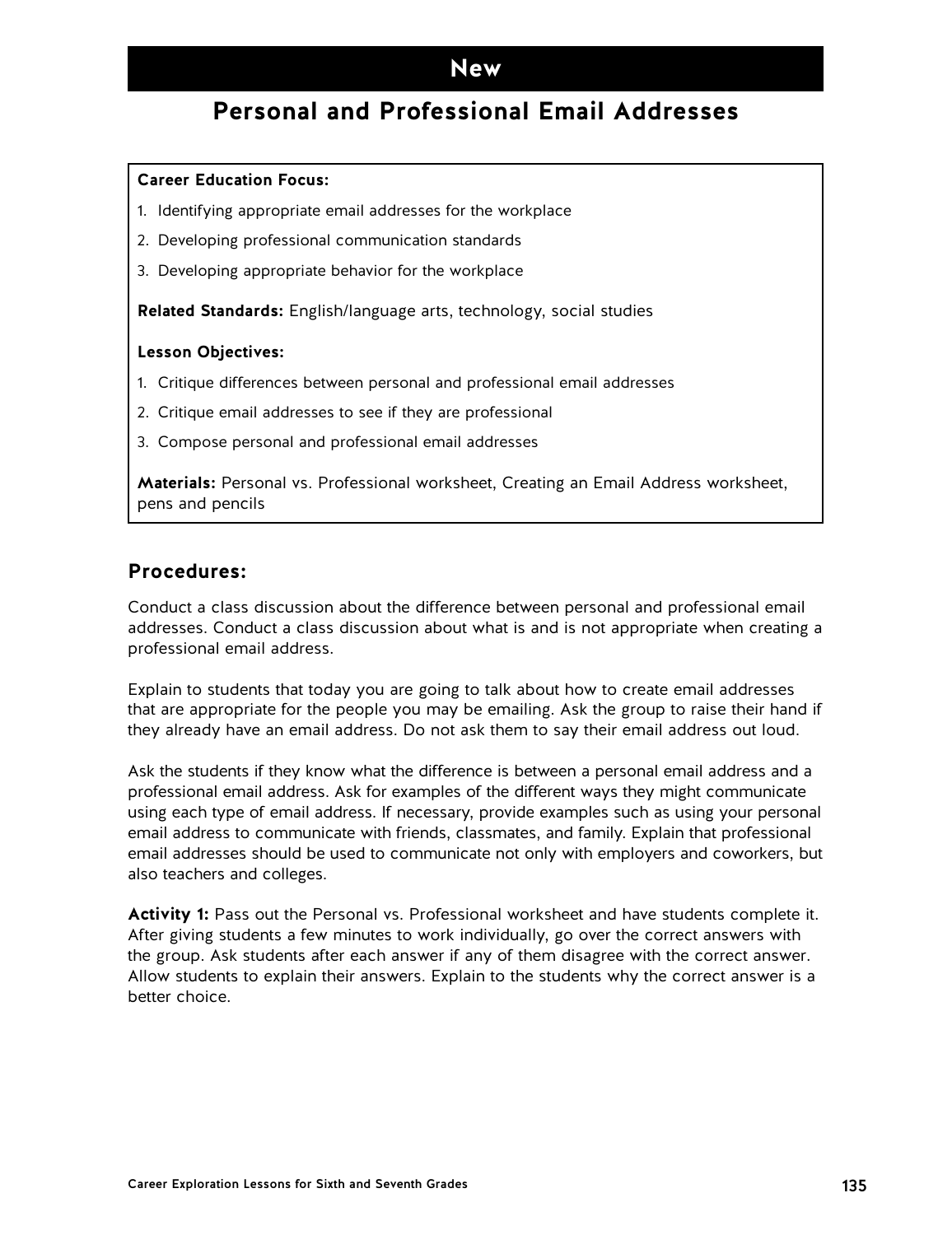### **New**

## **Personal and Professional Email Addresses**

#### **Career Education Focus:**

- 1. Identifying appropriate email addresses for the workplace
- 2. Developing professional communication standards
- 3. Developing appropriate behavior for the workplace

**Related Standards:** English/language arts, technology, social studies

#### **Lesson Objectives:**

- 1. Critique differences between personal and professional email addresses
- 2. Critique email addresses to see if they are professional
- 3. Compose personal and professional email addresses

**Materials:** Personal vs. Professional worksheet, Creating an Email Address worksheet, pens and pencils

### **Procedures:**

Conduct a class discussion about the difference between personal and professional email addresses. Conduct a class discussion about what is and is not appropriate when creating a professional email address.

Explain to students that today you are going to talk about how to create email addresses that are appropriate for the people you may be emailing. Ask the group to raise their hand if they already have an email address. Do not ask them to say their email address out loud.

Ask the students if they know what the difference is between a personal email address and a professional email address. Ask for examples of the different ways they might communicate using each type of email address. If necessary, provide examples such as using your personal email address to communicate with friends, classmates, and family. Explain that professional email addresses should be used to communicate not only with employers and coworkers, but also teachers and colleges.

**Activity 1:** Pass out the Personal vs. Professional worksheet and have students complete it. After giving students a few minutes to work individually, go over the correct answers with the group. Ask students after each answer if any of them disagree with the correct answer. Allow students to explain their answers. Explain to the students why the correct answer is a better choice.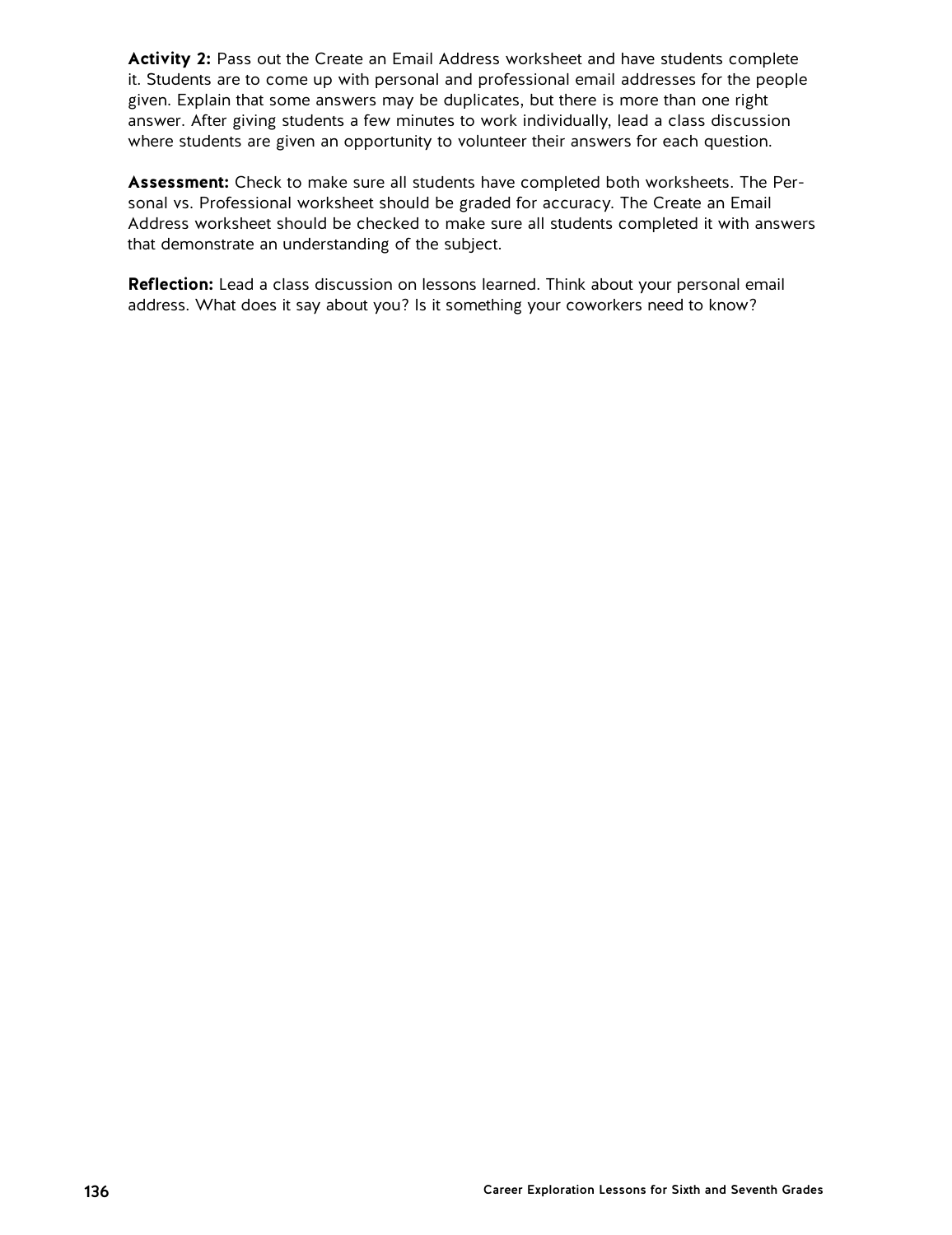**Activity 2:** Pass out the Create an Email Address worksheet and have students complete it. Students are to come up with personal and professional email addresses for the people given. Explain that some answers may be duplicates, but there is more than one right answer. After giving students a few minutes to work individually, lead a class discussion where students are given an opportunity to volunteer their answers for each question.

**Assessment:** Check to make sure all students have completed both worksheets. The Personal vs. Professional worksheet should be graded for accuracy. The Create an Email Address worksheet should be checked to make sure all students completed it with answers that demonstrate an understanding of the subject.

**Reflection:** Lead a class discussion on lessons learned. Think about your personal email address. What does it say about you? Is it something your coworkers need to know?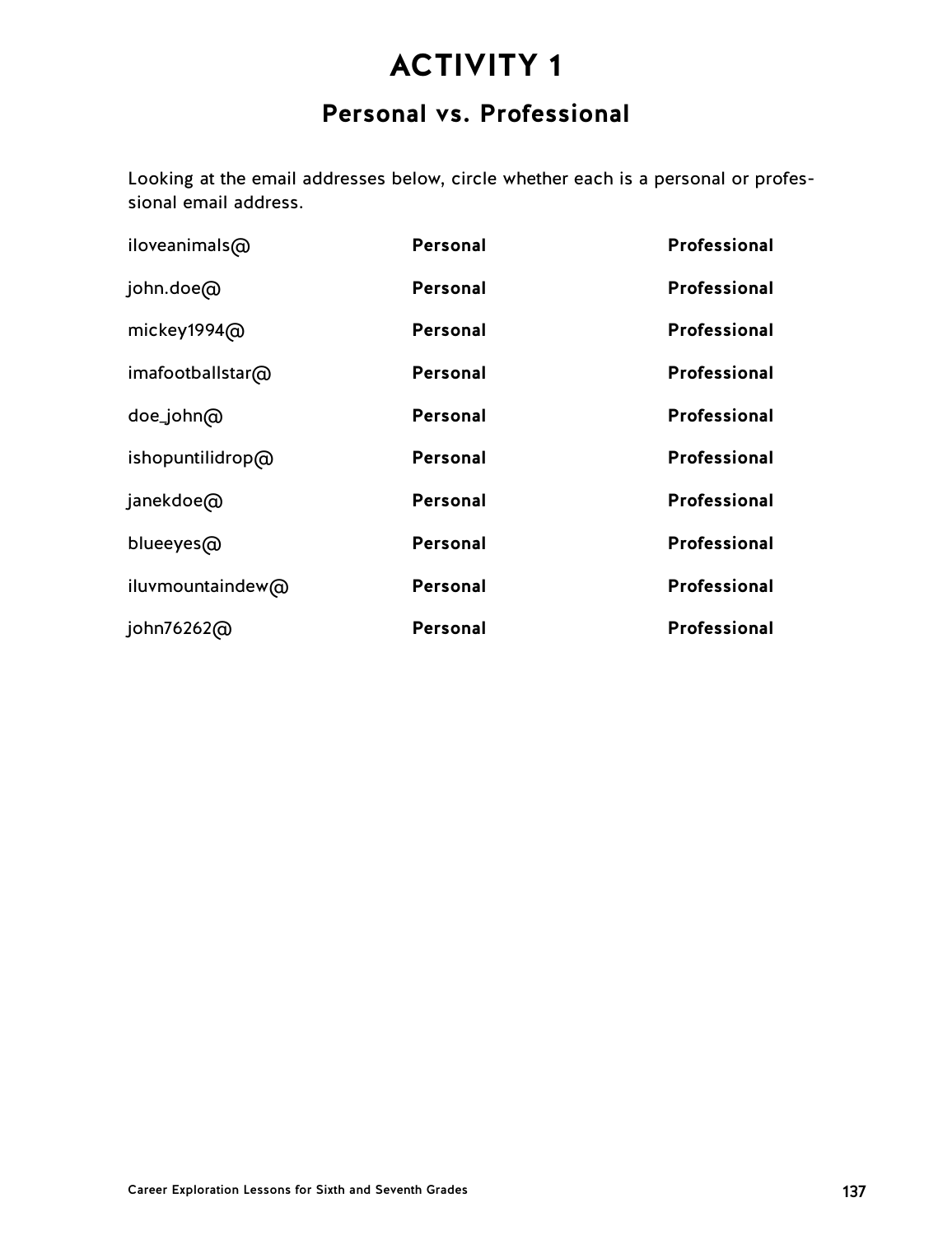## **Personal vs. Professional**

Looking at the email addresses below, circle whether each is a personal or professional email address.

| iloveanimals@    | Personal        | Professional        |
|------------------|-----------------|---------------------|
| john.doe@        | Personal        | <b>Professional</b> |
| mickey1994@      | Personal        | <b>Professional</b> |
| imafootballstar@ | Personal        | <b>Professional</b> |
| doe_john@        | Personal        | Professional        |
| ishopuntilidrop@ | Personal        | Professional        |
| janekdoe@        | Personal        | Professional        |
| blueeyes@        | Personal        | Professional        |
| iluvmountaindew@ | Personal        | Professional        |
| john76262@       | <b>Personal</b> | Professional        |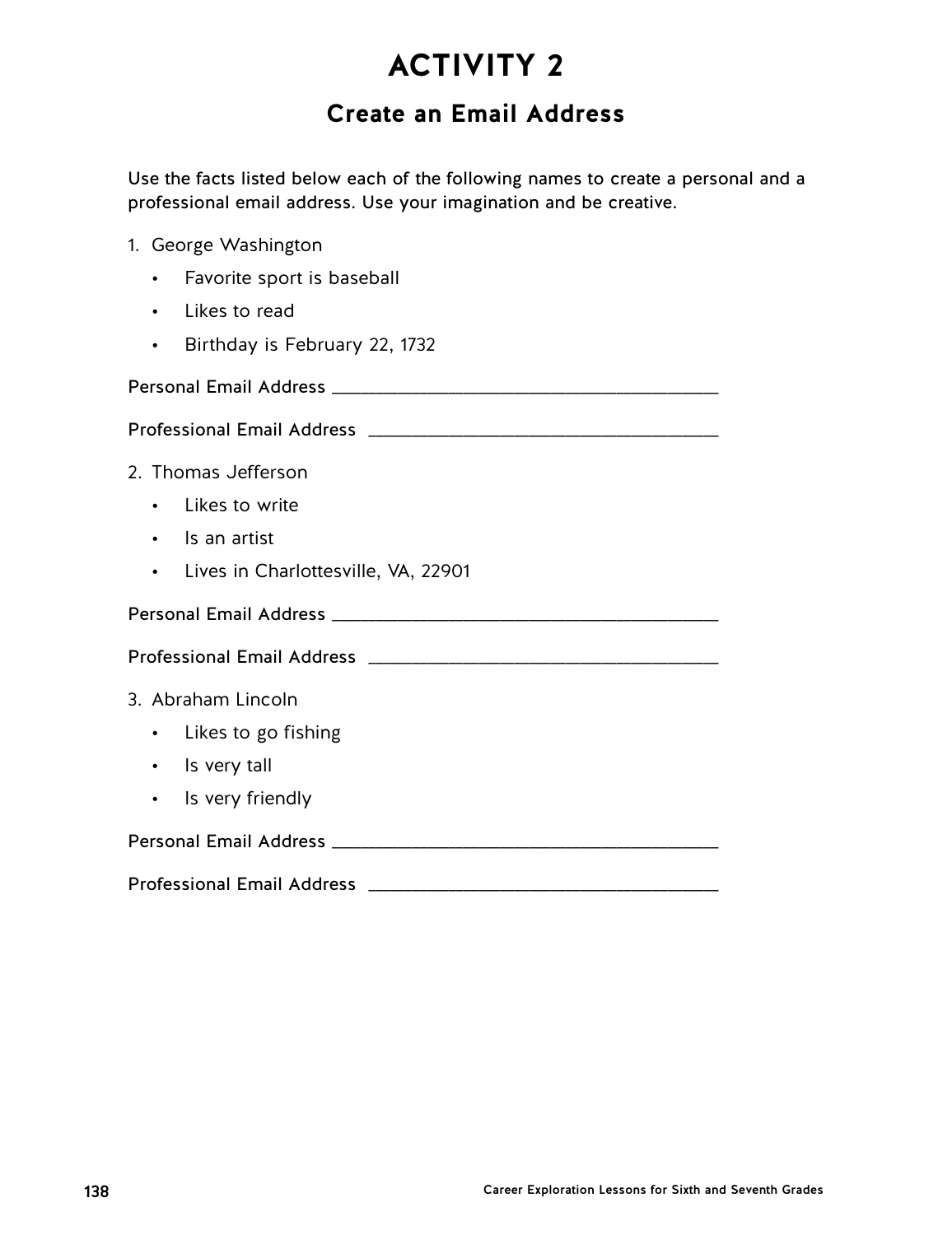## **Create an Email Address**

Use the facts listed below each of the following names to create a personal and a professional email address. Use your imagination and be creative.

- 1. George Washington
	- Favorite sport is baseball
	- Likes to read
	- Birthday is February 22, 1732

Personal Email Address \_\_\_\_\_\_\_\_\_\_\_\_\_\_\_\_\_\_\_\_\_\_\_\_\_\_\_\_\_\_\_\_\_\_\_\_\_\_\_\_\_\_\_\_\_\_\_\_\_\_\_\_\_

Professional Email Address \_\_\_\_\_\_\_\_\_\_\_\_\_\_\_\_\_\_\_\_\_\_\_\_\_\_\_\_\_\_\_\_\_\_\_\_\_\_\_\_\_\_\_\_\_\_\_\_

- 2. Thomas Jefferson
	- Likes to write
	- Is an artist
	- Lives in Charlottesville, VA, 22901

Personal Email Address \_\_\_\_\_\_\_\_\_\_\_\_\_\_\_\_\_\_\_\_\_\_\_\_\_\_\_\_\_\_\_\_\_\_\_\_\_\_\_\_\_\_\_\_\_\_\_\_\_\_\_\_\_

Professional Email Address \_\_\_\_\_\_\_\_\_\_\_\_\_\_\_\_\_\_\_\_\_\_\_\_\_\_\_\_\_\_\_\_\_\_\_\_\_\_\_\_\_\_\_\_\_\_\_\_

### 3. Abraham Lincoln

- Likes to go fishing
- Is very tall
- Is very friendly

| <b>Personal Email Address</b> |  |
|-------------------------------|--|
|-------------------------------|--|

### Professional Email Address \_\_\_\_\_\_\_\_\_\_\_\_\_\_\_\_\_\_\_\_\_\_\_\_\_\_\_\_\_\_\_\_\_\_\_\_\_\_\_\_\_\_\_\_\_\_\_\_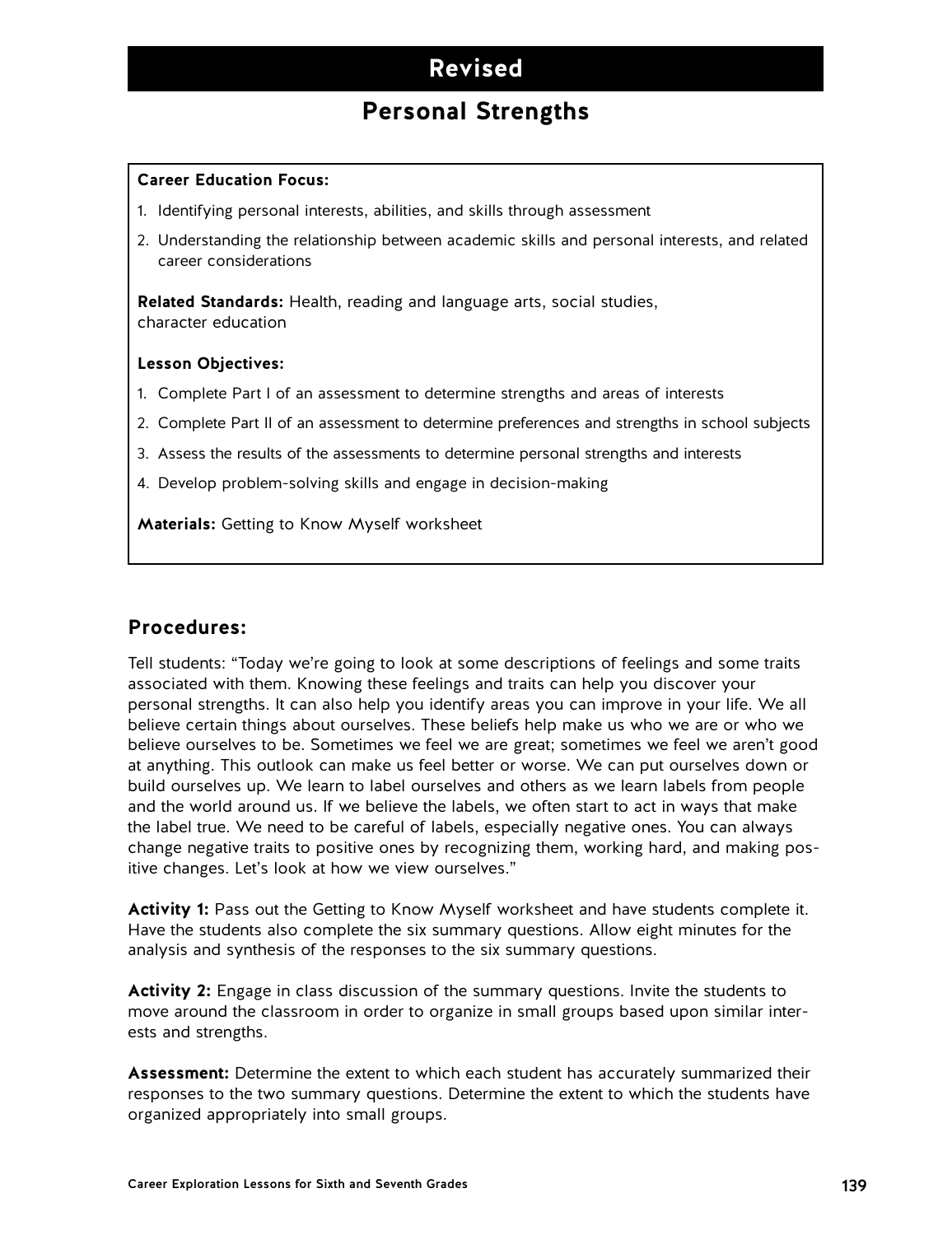## **Revised**

## **Personal Strengths**

#### **Career Education Focus:**

- 1. Identifying personal interests, abilities, and skills through assessment
- 2. Understanding the relationship between academic skills and personal interests, and related career considerations

**Related Standards:** Health, reading and language arts, social studies, character education

#### **Lesson Objectives:**

- 1. Complete Part I of an assessment to determine strengths and areas of interests
- 2. Complete Part II of an assessment to determine preferences and strengths in school subjects
- 3. Assess the results of the assessments to determine personal strengths and interests
- 4. Develop problem-solving skills and engage in decision-making

**Materials:** Getting to Know Myself worksheet

#### **Procedures:**

Tell students: "Today we're going to look at some descriptions of feelings and some traits associated with them. Knowing these feelings and traits can help you discover your personal strengths. It can also help you identify areas you can improve in your life. We all believe certain things about ourselves. These beliefs help make us who we are or who we believe ourselves to be. Sometimes we feel we are great; sometimes we feel we aren't good at anything. This outlook can make us feel better or worse. We can put ourselves down or build ourselves up. We learn to label ourselves and others as we learn labels from people and the world around us. If we believe the labels, we often start to act in ways that make the label true. We need to be careful of labels, especially negative ones. You can always change negative traits to positive ones by recognizing them, working hard, and making positive changes. Let's look at how we view ourselves."

**Activity 1:** Pass out the Getting to Know Myself worksheet and have students complete it. Have the students also complete the six summary questions. Allow eight minutes for the analysis and synthesis of the responses to the six summary questions.

**Activity 2:** Engage in class discussion of the summary questions. Invite the students to move around the classroom in order to organize in small groups based upon similar interests and strengths.

**Assessment:** Determine the extent to which each student has accurately summarized their responses to the two summary questions. Determine the extent to which the students have organized appropriately into small groups.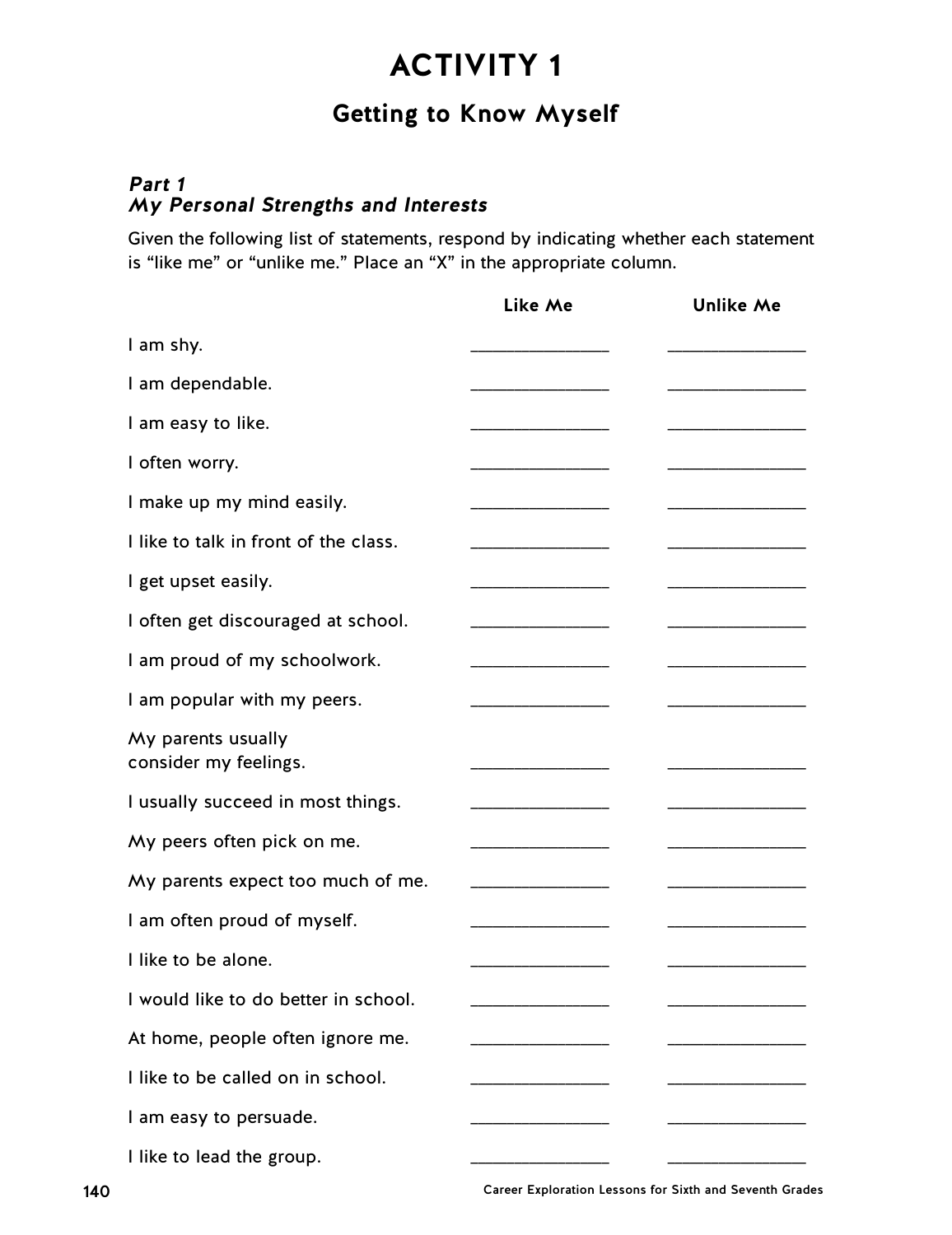## **Getting to Know Myself**

### **Part 1 My Personal Strengths and Interests**

Given the following list of statements, respond by indicating whether each statement is "like me" or "unlike me." Place an "X" in the appropriate column.

|                                             | Like Me               | <b>Unlike Me</b> |
|---------------------------------------------|-----------------------|------------------|
| I am shy.                                   |                       |                  |
| I am dependable.                            |                       |                  |
| I am easy to like.                          |                       |                  |
| I often worry.                              |                       |                  |
| I make up my mind easily.                   |                       |                  |
| I like to talk in front of the class.       |                       |                  |
| I get upset easily.                         |                       |                  |
| I often get discouraged at school.          |                       |                  |
| I am proud of my schoolwork.                |                       |                  |
| I am popular with my peers.                 |                       |                  |
| My parents usually<br>consider my feelings. |                       |                  |
| I usually succeed in most things.           | _____________________ |                  |
| My peers often pick on me.                  |                       |                  |
| My parents expect too much of me.           |                       |                  |
| I am often proud of myself.                 |                       |                  |
| I like to be alone.                         |                       |                  |
| I would like to do better in school.        |                       |                  |
| At home, people often ignore me.            |                       |                  |
| I like to be called on in school.           |                       |                  |
| I am easy to persuade.                      |                       |                  |
| I like to lead the group.                   |                       |                  |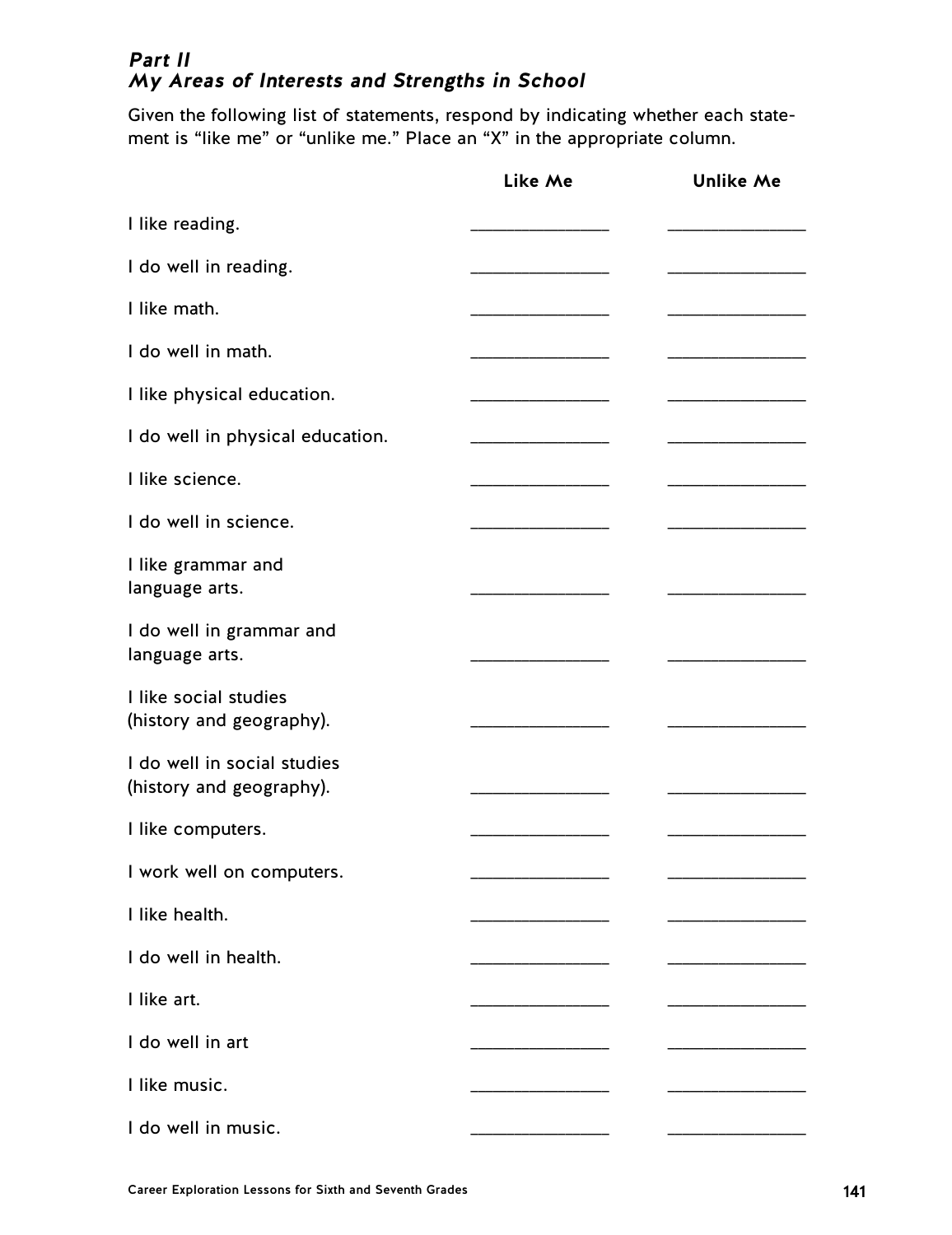### **Part II My Areas of Interests and Strengths in School**

Given the following list of statements, respond by indicating whether each statement is "like me" or "unlike me." Place an "X" in the appropriate column.

|                                                         | Like Me                       | <b>Unlike Me</b> |
|---------------------------------------------------------|-------------------------------|------------------|
| I like reading.                                         |                               |                  |
| I do well in reading.                                   |                               |                  |
| I like math.                                            |                               |                  |
| I do well in math.                                      |                               |                  |
| I like physical education.                              |                               |                  |
| I do well in physical education.                        |                               |                  |
| I like science.                                         |                               |                  |
| I do well in science.                                   | _____________________________ |                  |
| I like grammar and<br>language arts.                    |                               |                  |
| I do well in grammar and<br>language arts.              |                               |                  |
| I like social studies<br>(history and geography).       |                               |                  |
| I do well in social studies<br>(history and geography). |                               |                  |
| I like computers.                                       |                               |                  |
| I work well on computers.                               |                               |                  |
| I like health.                                          |                               |                  |
| I do well in health.                                    |                               |                  |
| I like art.                                             |                               |                  |
| I do well in art                                        |                               |                  |
| I like music.                                           |                               |                  |
| I do well in music.                                     |                               |                  |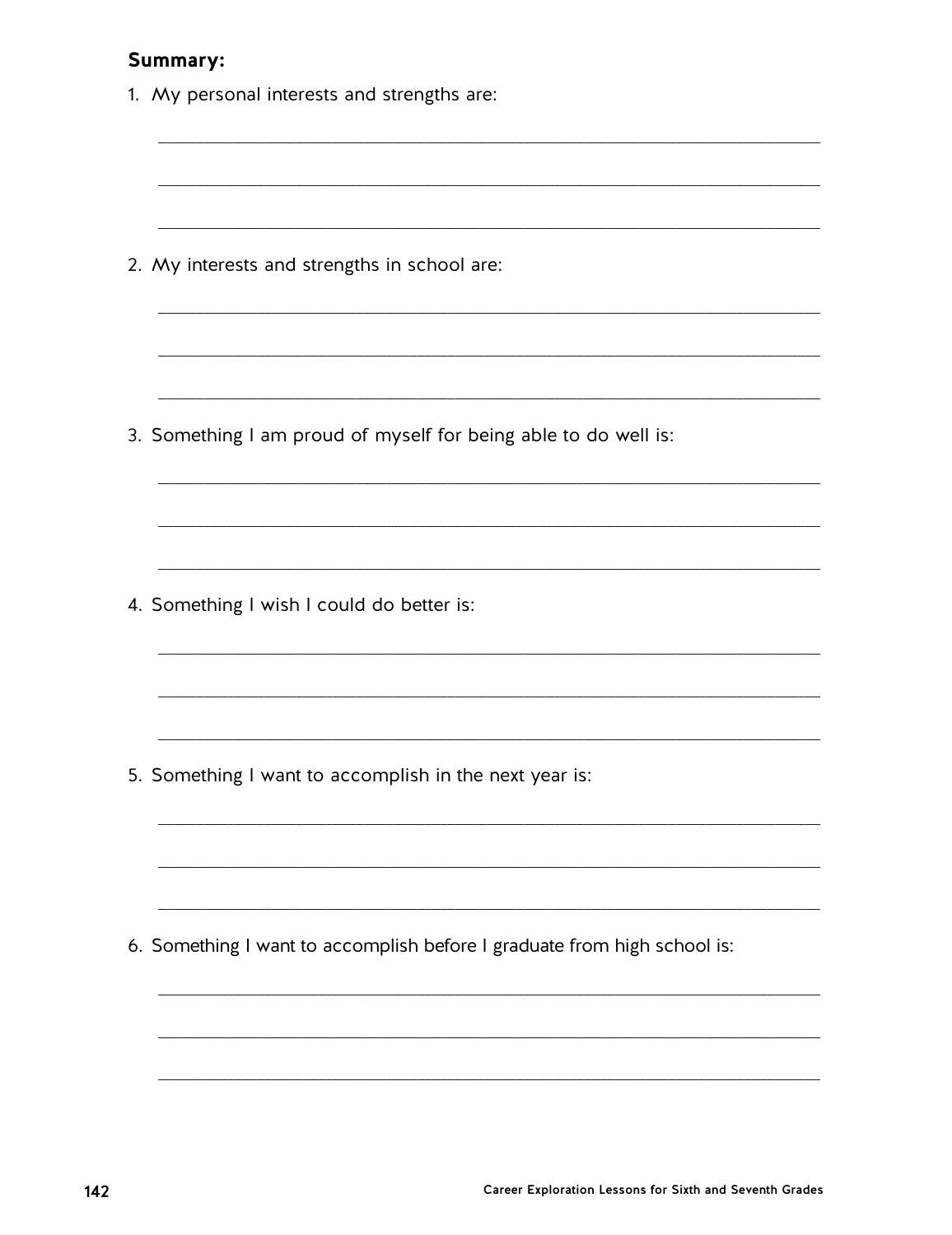### Summary:

| 1. My personal interests and strengths are:                              |  |
|--------------------------------------------------------------------------|--|
|                                                                          |  |
| 2. My interests and strengths in school are:                             |  |
|                                                                          |  |
| 3. Something I am proud of myself for being able to do well is:          |  |
|                                                                          |  |
| 4. Something I wish I could do better is:                                |  |
|                                                                          |  |
| 5. Something I want to accomplish in the next year is:                   |  |
|                                                                          |  |
| 6. Something I want to accomplish before I graduate from high school is: |  |
|                                                                          |  |
|                                                                          |  |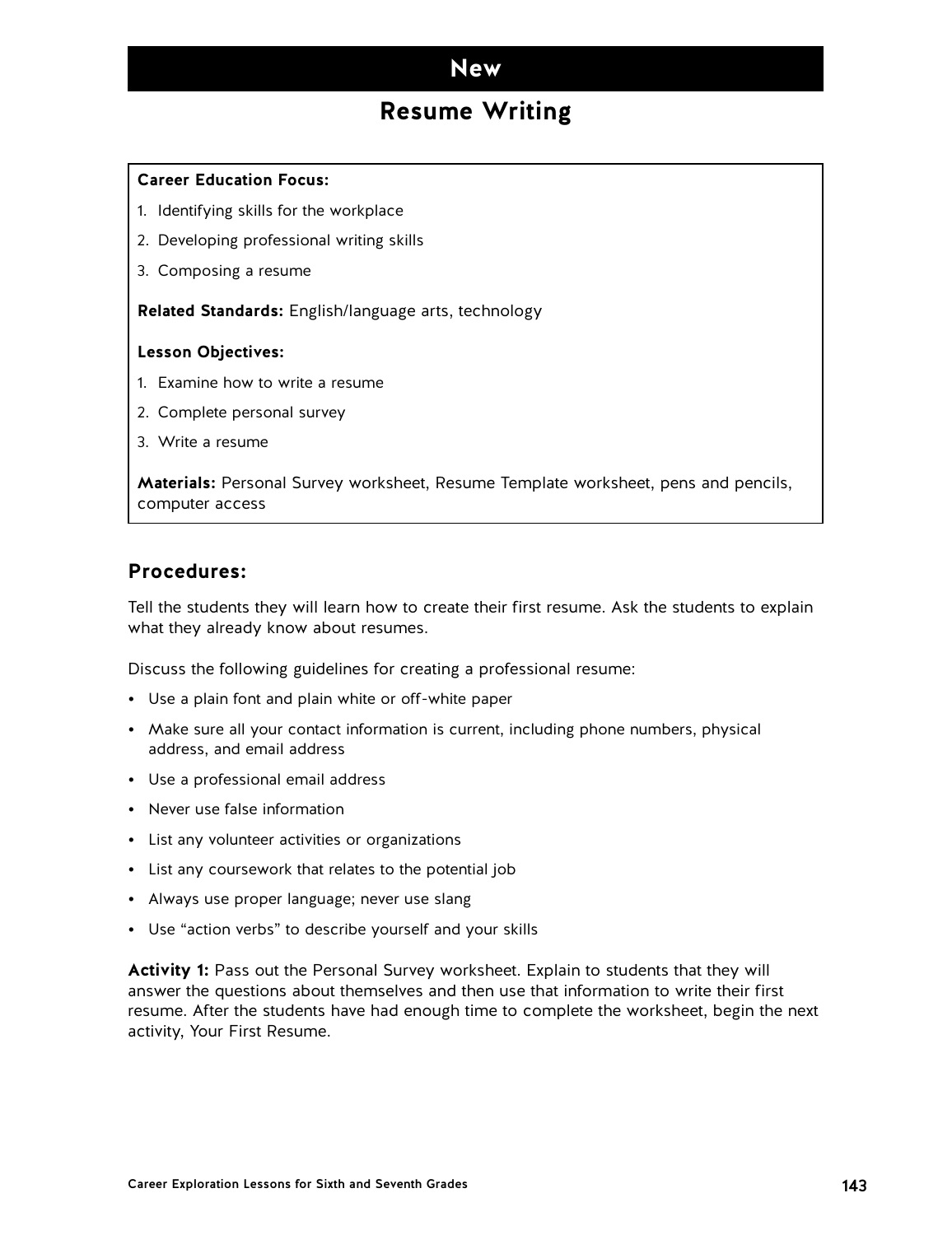### **New**

### **Resume Writing**

#### **Career Education Focus:**

- 1. Identifying skills for the workplace
- 2. Developing professional writing skills
- 3. Composing a resume

**Related Standards:** English/language arts, technology

#### **Lesson Objectives:**

- 1. Examine how to write a resume
- 2. Complete personal survey
- 3. Write a resume

**Materials:** Personal Survey worksheet, Resume Template worksheet, pens and pencils, computer access

#### **Procedures:**

Tell the students they will learn how to create their first resume. Ask the students to explain what they already know about resumes.

Discuss the following guidelines for creating a professional resume:

- Use a plain font and plain white or off-white paper
- Make sure all your contact information is current, including phone numbers, physical address, and email address
- Use a professional email address
- Never use false information
- List any volunteer activities or organizations
- List any coursework that relates to the potential job
- Always use proper language; never use slang
- Use "action verbs" to describe yourself and your skills

**Activity 1:** Pass out the Personal Survey worksheet. Explain to students that they will answer the questions about themselves and then use that information to write their first resume. After the students have had enough time to complete the worksheet, begin the next activity, Your First Resume.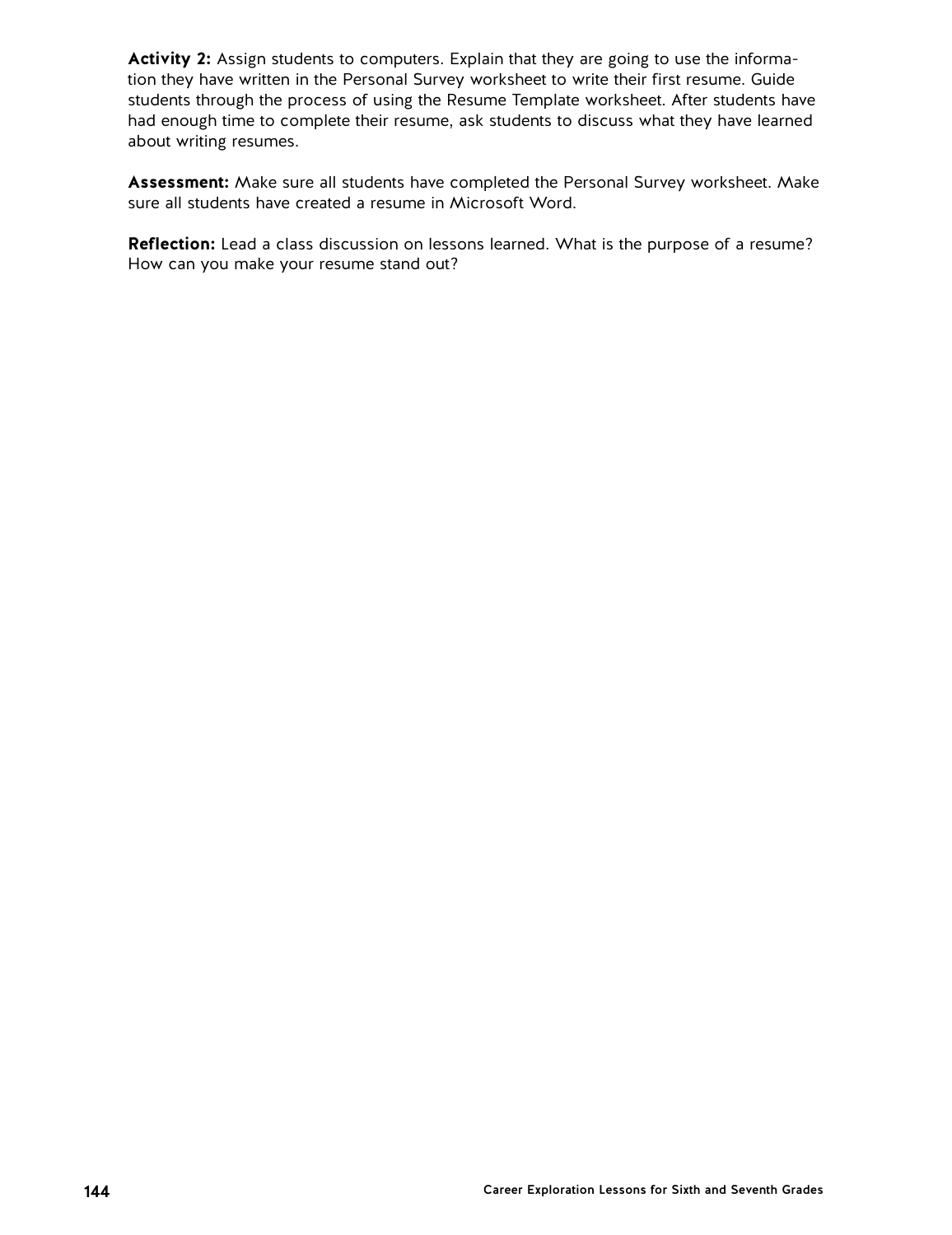**Activity 2:** Assign students to computers. Explain that they are going to use the information they have written in the Personal Survey worksheet to write their first resume. Guide students through the process of using the Resume Template worksheet. After students have had enough time to complete their resume, ask students to discuss what they have learned about writing resumes.

**Assessment:** Make sure all students have completed the Personal Survey worksheet. Make sure all students have created a resume in Microsoft Word.

**Reflection:** Lead a class discussion on lessons learned. What is the purpose of a resume? How can you make your resume stand out?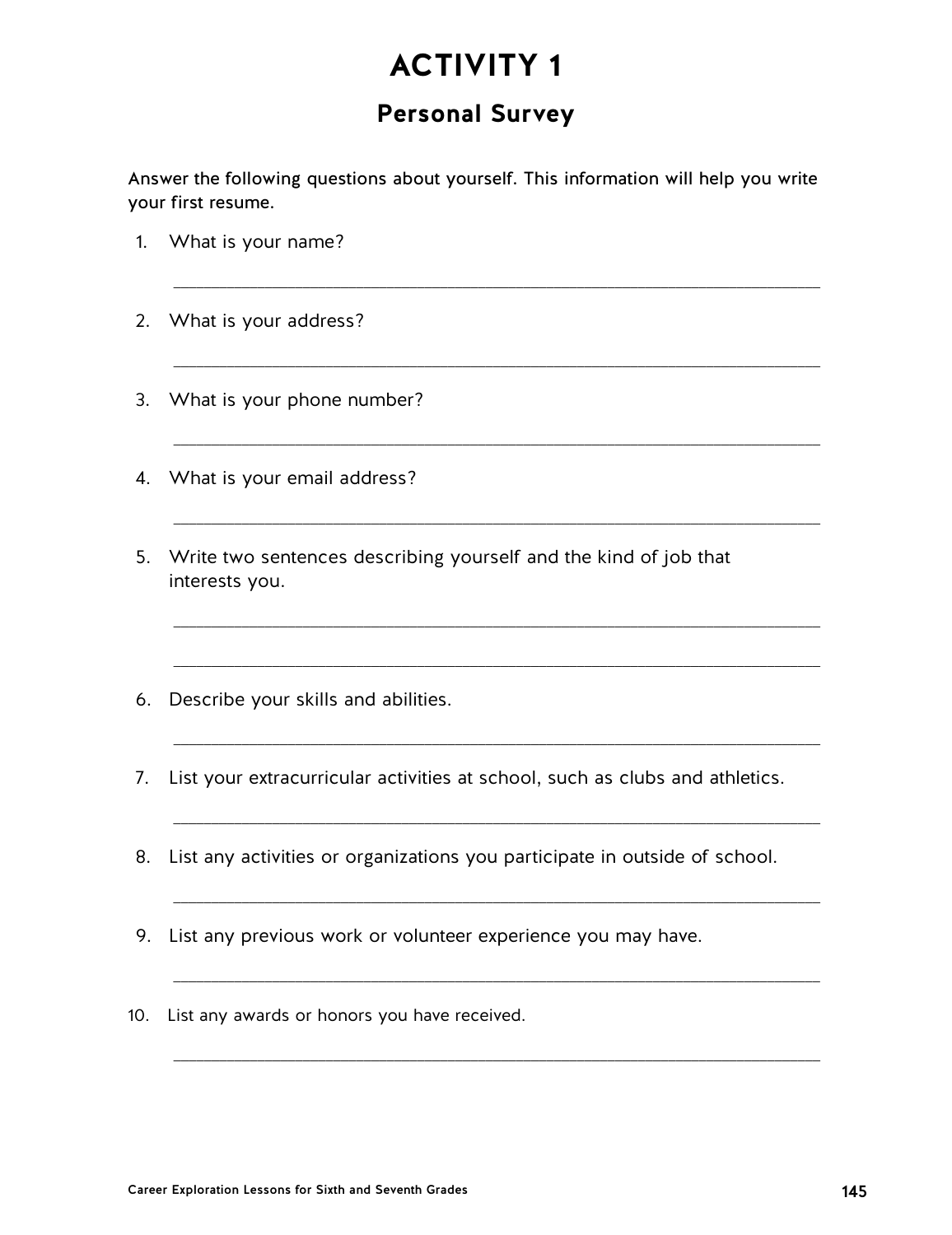## **Personal Survey**

Answer the following questions about yourself. This information will help you write your first resume.

 $\overline{\phantom{a}}$  ,  $\overline{\phantom{a}}$  ,  $\overline{\phantom{a}}$  ,  $\overline{\phantom{a}}$  ,  $\overline{\phantom{a}}$  ,  $\overline{\phantom{a}}$  ,  $\overline{\phantom{a}}$  ,  $\overline{\phantom{a}}$  ,  $\overline{\phantom{a}}$  ,  $\overline{\phantom{a}}$  ,  $\overline{\phantom{a}}$  ,  $\overline{\phantom{a}}$  ,  $\overline{\phantom{a}}$  ,  $\overline{\phantom{a}}$  ,  $\overline{\phantom{a}}$  ,  $\overline{\phantom{a}}$ 

\_\_\_\_\_\_\_\_\_\_\_\_\_\_\_\_\_\_\_\_\_\_\_\_\_\_\_\_\_\_\_\_\_\_\_\_\_\_\_\_\_\_\_\_\_\_\_\_\_\_\_\_\_\_\_\_\_\_\_\_\_\_\_\_\_\_\_\_\_\_\_\_\_\_\_\_\_\_\_\_\_\_\_\_\_

 $\_$  ,  $\_$  ,  $\_$  ,  $\_$  ,  $\_$  ,  $\_$  ,  $\_$  ,  $\_$  ,  $\_$  ,  $\_$  ,  $\_$  ,  $\_$  ,  $\_$  ,  $\_$  ,  $\_$  ,  $\_$  ,  $\_$  ,  $\_$  ,  $\_$  ,  $\_$  ,  $\_$  ,  $\_$  ,  $\_$  ,  $\_$  ,  $\_$  ,  $\_$  ,  $\_$  ,  $\_$  ,  $\_$  ,  $\_$  ,  $\_$  ,  $\_$  ,  $\_$  ,  $\_$  ,  $\_$  ,  $\_$  ,  $\_$  ,

 $\_$  ,  $\_$  ,  $\_$  ,  $\_$  ,  $\_$  ,  $\_$  ,  $\_$  ,  $\_$  ,  $\_$  ,  $\_$  ,  $\_$  ,  $\_$  ,  $\_$  ,  $\_$  ,  $\_$  ,  $\_$  ,  $\_$  ,  $\_$  ,  $\_$  ,  $\_$  ,  $\_$  ,  $\_$  ,  $\_$  ,  $\_$  ,  $\_$  ,  $\_$  ,  $\_$  ,  $\_$  ,  $\_$  ,  $\_$  ,  $\_$  ,  $\_$  ,  $\_$  ,  $\_$  ,  $\_$  ,  $\_$  ,  $\_$  ,

\_\_\_\_\_\_\_\_\_\_\_\_\_\_\_\_\_\_\_\_\_\_\_\_\_\_\_\_\_\_\_\_\_\_\_\_\_\_\_\_\_\_\_\_\_\_\_\_\_\_\_\_\_\_\_\_\_\_\_\_\_\_\_\_\_\_\_\_\_\_\_\_\_\_\_\_\_\_\_\_\_\_\_\_\_

 $\_$  ,  $\_$  ,  $\_$  ,  $\_$  ,  $\_$  ,  $\_$  ,  $\_$  ,  $\_$  ,  $\_$  ,  $\_$  ,  $\_$  ,  $\_$  ,  $\_$  ,  $\_$  ,  $\_$  ,  $\_$  ,  $\_$  ,  $\_$  ,  $\_$  ,  $\_$  ,  $\_$  ,  $\_$  ,  $\_$  ,  $\_$  ,  $\_$  ,  $\_$  ,  $\_$  ,  $\_$  ,  $\_$  ,  $\_$  ,  $\_$  ,  $\_$  ,  $\_$  ,  $\_$  ,  $\_$  ,  $\_$  ,  $\_$  ,

\_\_\_\_\_\_\_\_\_\_\_\_\_\_\_\_\_\_\_\_\_\_\_\_\_\_\_\_\_\_\_\_\_\_\_\_\_\_\_\_\_\_\_\_\_\_\_\_\_\_\_\_\_\_\_\_\_\_\_\_\_\_\_\_\_\_\_\_\_\_\_\_\_\_\_\_\_\_\_\_\_\_\_\_\_

 $\_$  ,  $\_$  ,  $\_$  ,  $\_$  ,  $\_$  ,  $\_$  ,  $\_$  ,  $\_$  ,  $\_$  ,  $\_$  ,  $\_$  ,  $\_$  ,  $\_$  ,  $\_$  ,  $\_$  ,  $\_$  ,  $\_$  ,  $\_$  ,  $\_$  ,  $\_$  ,  $\_$  ,  $\_$  ,  $\_$  ,  $\_$  ,  $\_$  ,  $\_$  ,  $\_$  ,  $\_$  ,  $\_$  ,  $\_$  ,  $\_$  ,  $\_$  ,  $\_$  ,  $\_$  ,  $\_$  ,  $\_$  ,  $\_$  ,

\_\_\_\_\_\_\_\_\_\_\_\_\_\_\_\_\_\_\_\_\_\_\_\_\_\_\_\_\_\_\_\_\_\_\_\_\_\_\_\_\_\_\_\_\_\_\_\_\_\_\_\_\_\_\_\_\_\_\_\_\_\_\_\_\_\_\_\_\_\_\_\_\_\_\_\_\_\_\_\_\_\_\_\_\_

\_\_\_\_\_\_\_\_\_\_\_\_\_\_\_\_\_\_\_\_\_\_\_\_\_\_\_\_\_\_\_\_\_\_\_\_\_\_\_\_\_\_\_\_\_\_\_\_\_\_\_\_\_\_\_\_\_\_\_\_\_\_\_\_\_\_\_\_\_\_\_\_\_\_\_\_\_\_\_\_\_\_\_\_\_

 $\_$  , and the set of the set of the set of the set of the set of the set of the set of the set of the set of the set of the set of the set of the set of the set of the set of the set of the set of the set of the set of th

- 1. What is your name?
- 2. What is your address?
- 3. What is your phone number?
- 4. What is your email address?
- 5. Write two sentences describing yourself and the kind of job that interests you.
- 6. Describe your skills and abilities.
- 7. List your extracurricular activities at school, such as clubs and athletics.
- 8. List any activities or organizations you participate in outside of school.
- 9. List any previous work or volunteer experience you may have.
- 10. List any awards or honors you have received.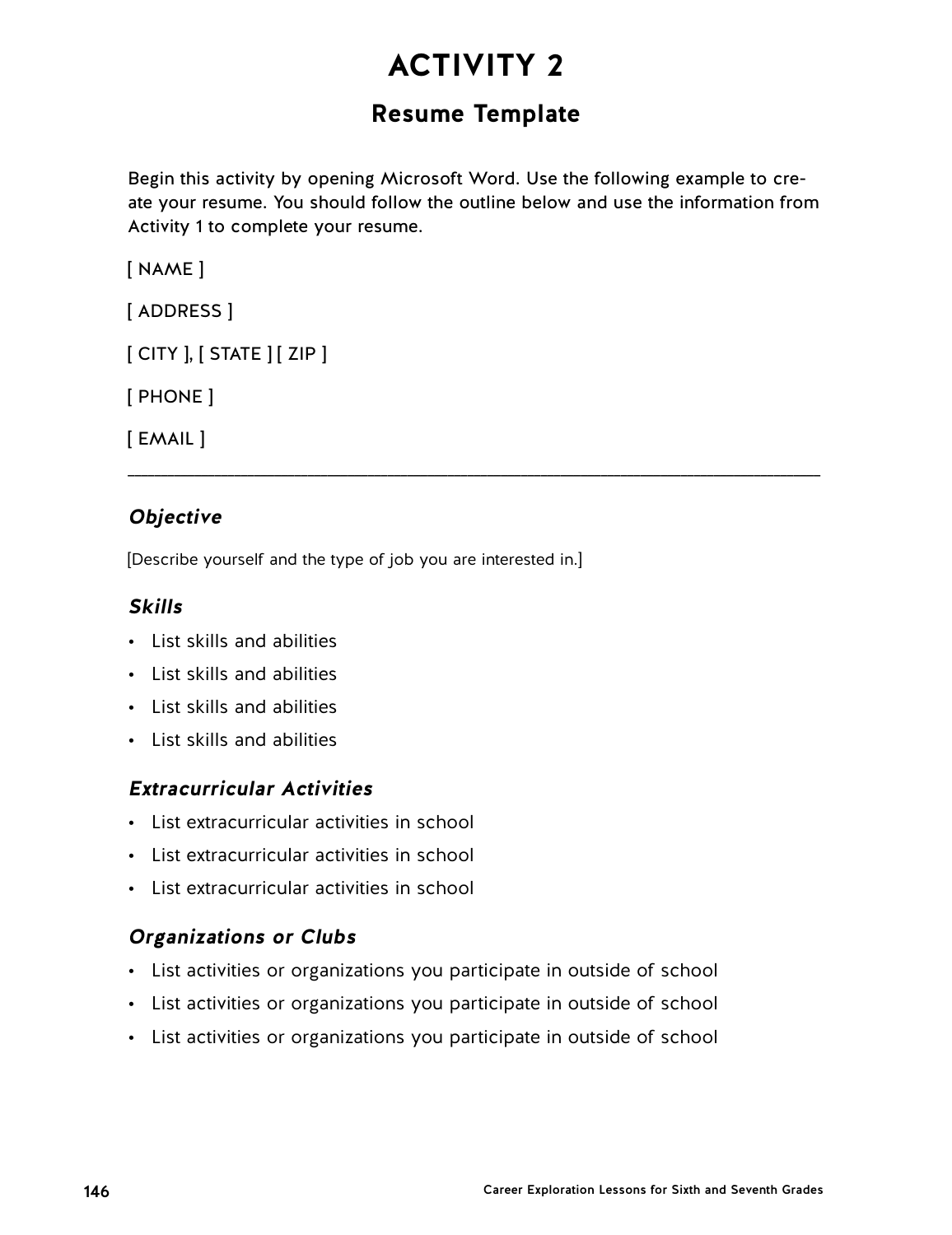## **Resume Template**

Begin this activity by opening Microsoft Word. Use the following example to create your resume. You should follow the outline below and use the information from Activity 1 to complete your resume.

\_\_\_\_\_\_\_\_\_\_\_\_\_\_\_\_\_\_\_\_\_\_\_\_\_\_\_\_\_\_\_\_\_\_\_\_\_\_\_\_\_\_\_\_\_\_\_\_\_\_\_\_\_\_\_\_\_\_\_\_\_\_\_\_\_\_\_\_\_\_\_\_\_\_\_\_\_\_\_\_\_\_\_\_\_\_\_\_\_\_\_\_\_\_\_\_\_\_\_\_\_\_\_\_

[ NAME ]

[ ADDRESS ]

[ CITY ], [ STATE ] [ ZIP ]

[ PHONE ]

[ EMAIL ]

### **Objective**

[Describe yourself and the type of job you are interested in.]

### **Skills**

- List skills and abilities
- List skills and abilities
- List skills and abilities
- List skills and abilities

### **Extracurricular Activities**

- List extracurricular activities in school
- List extracurricular activities in school
- List extracurricular activities in school

### **Organizations or Clubs**

- List activities or organizations you participate in outside of school
- List activities or organizations you participate in outside of school
- List activities or organizations you participate in outside of school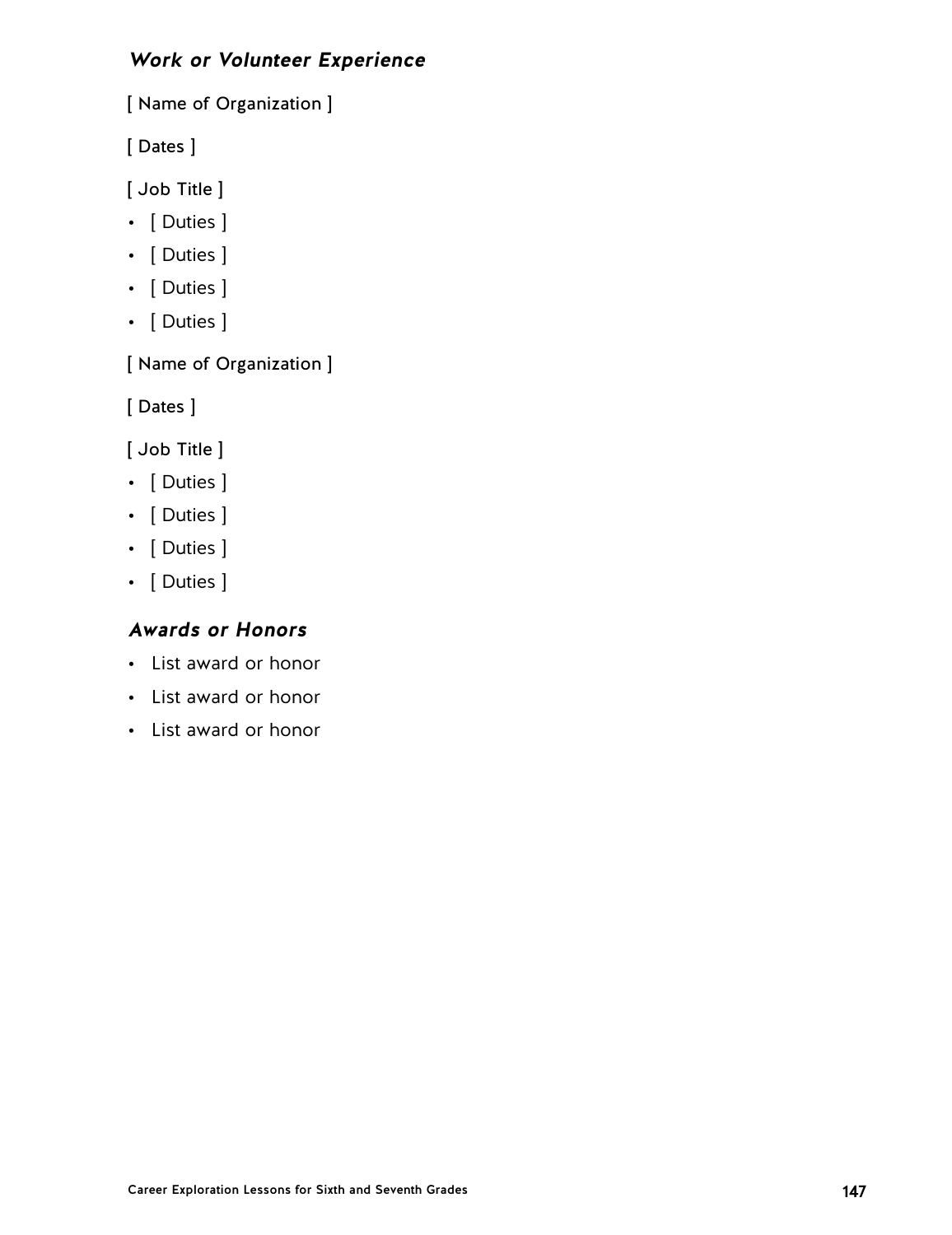### **Work or Volunteer Experience**

[ Name of Organization ]

[ Dates ]

[ Job Title ]

- [ Duties ]
- [ Duties ]
- [ Duties ]
- [ Duties ]

[ Name of Organization ]

[ Dates ]

[ Job Title ]

- [ Duties ]
- [ Duties ]
- [ Duties ]
- [ Duties ]

### **Awards or Honors**

- List award or honor
- List award or honor
- List award or honor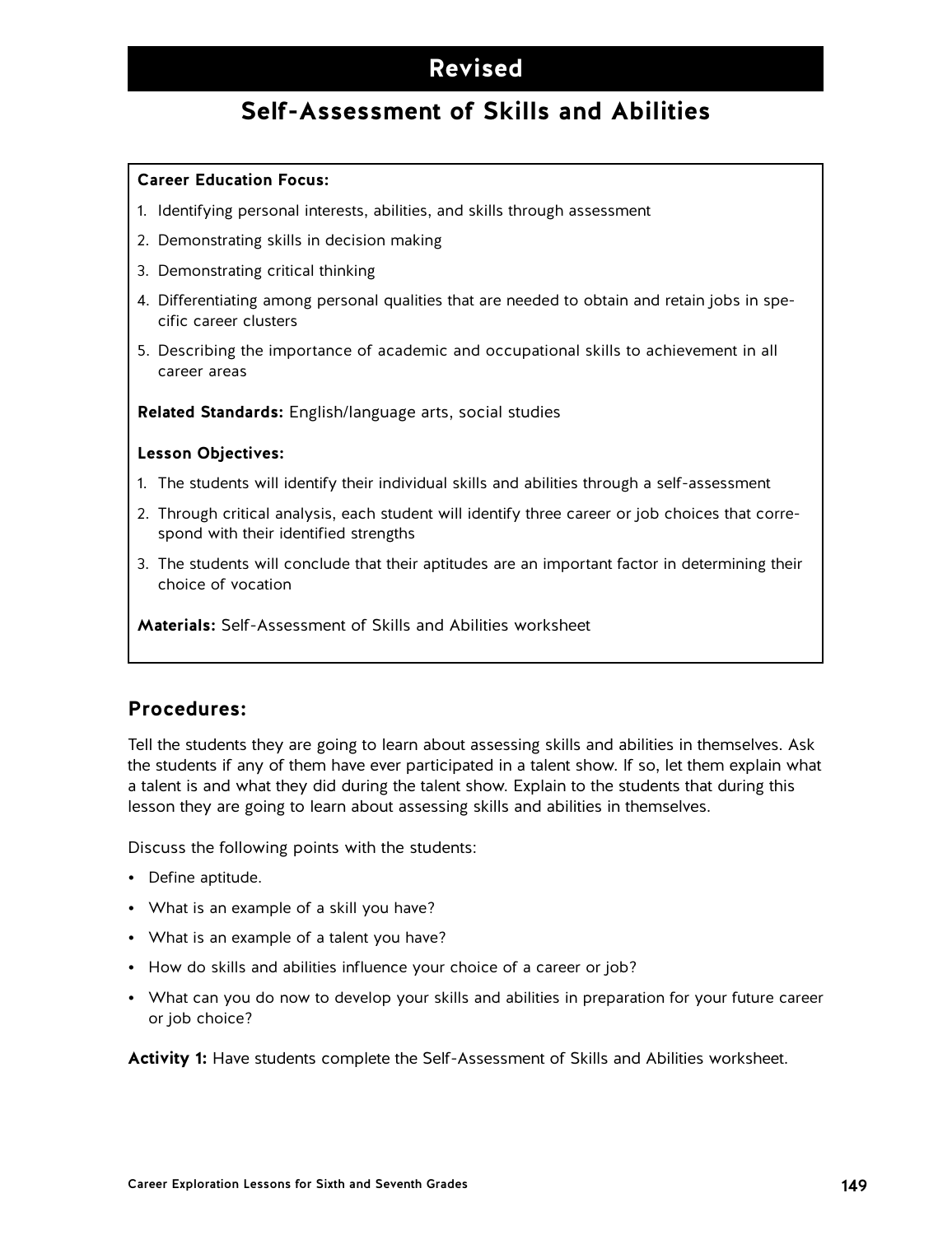## **Revised**

## **Self-Assessment of Skills and Abilities**

#### **Career Education Focus:**

- 1. Identifying personal interests, abilities, and skills through assessment
- 2. Demonstrating skills in decision making
- 3. Demonstrating critical thinking
- 4. Differentiating among personal qualities that are needed to obtain and retain jobs in specific career clusters
- 5. Describing the importance of academic and occupational skills to achievement in all career areas

**Related Standards:** English/language arts, social studies

#### **Lesson Objectives:**

- 1. The students will identify their individual skills and abilities through a self-assessment
- 2. Through critical analysis, each student will identify three career or job choices that correspond with their identified strengths
- 3. The students will conclude that their aptitudes are an important factor in determining their choice of vocation

**Materials:** Self-Assessment of Skills and Abilities worksheet

### **Procedures:**

Tell the students they are going to learn about assessing skills and abilities in themselves. Ask the students if any of them have ever participated in a talent show. If so, let them explain what a talent is and what they did during the talent show. Explain to the students that during this lesson they are going to learn about assessing skills and abilities in themselves.

Discuss the following points with the students:

- Define aptitude.
- What is an example of a skill you have?
- What is an example of a talent you have?
- How do skills and abilities influence your choice of a career or job?
- What can you do now to develop your skills and abilities in preparation for your future career or job choice?

**Activity 1:** Have students complete the Self-Assessment of Skills and Abilities worksheet.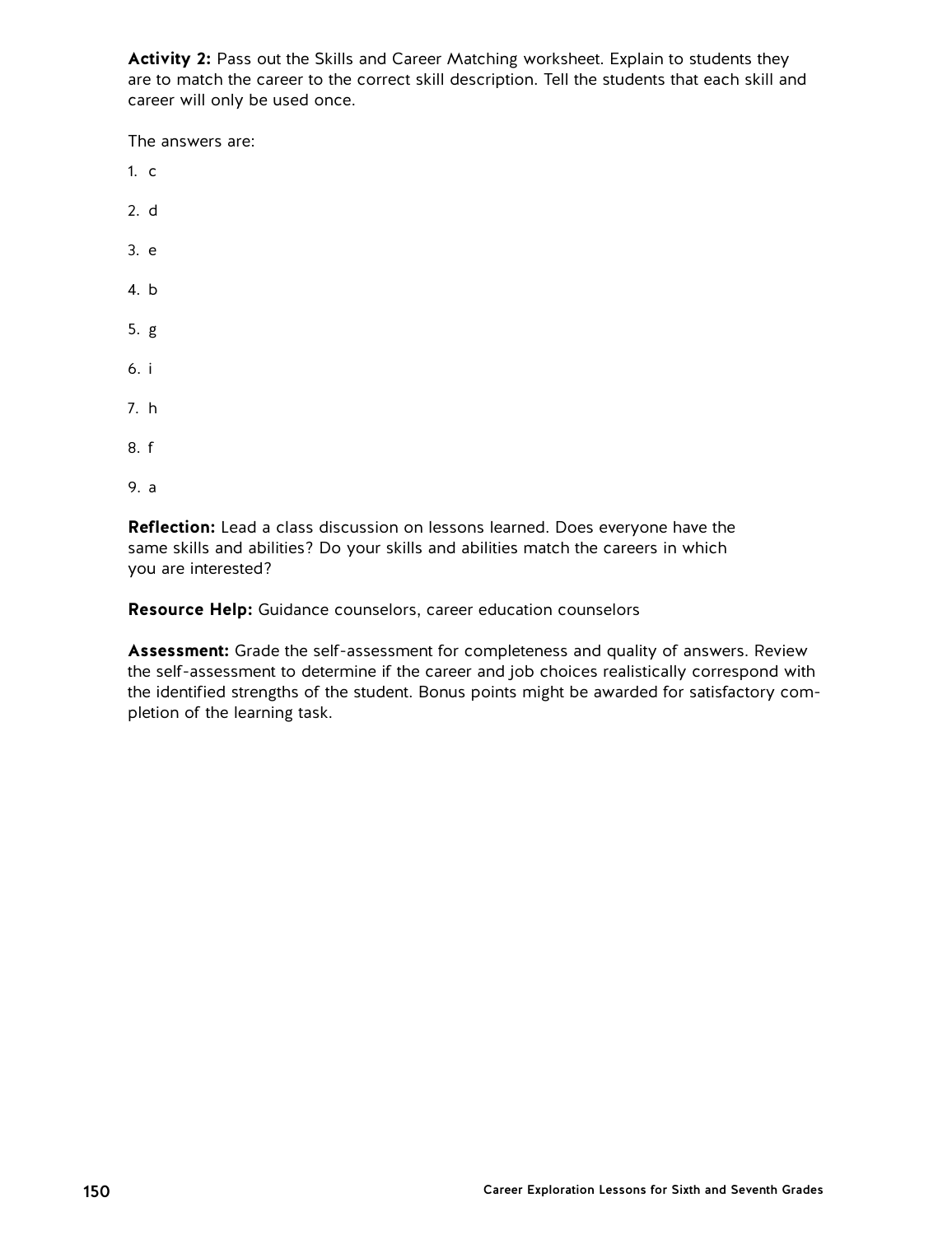**Activity 2:** Pass out the Skills and Career Matching worksheet. Explain to students they are to match the career to the correct skill description. Tell the students that each skill and career will only be used once.

The answers are:

- 1. c 2. d
- 3. e
- 4. b
- 5. g
- 6. i
- 7. h
- 8. f
- 9. a

**Reflection:** Lead a class discussion on lessons learned. Does everyone have the same skills and abilities? Do your skills and abilities match the careers in which you are interested?

**Resource Help:** Guidance counselors, career education counselors

**Assessment:** Grade the self-assessment for completeness and quality of answers. Review the self-assessment to determine if the career and job choices realistically correspond with the identified strengths of the student. Bonus points might be awarded for satisfactory completion of the learning task.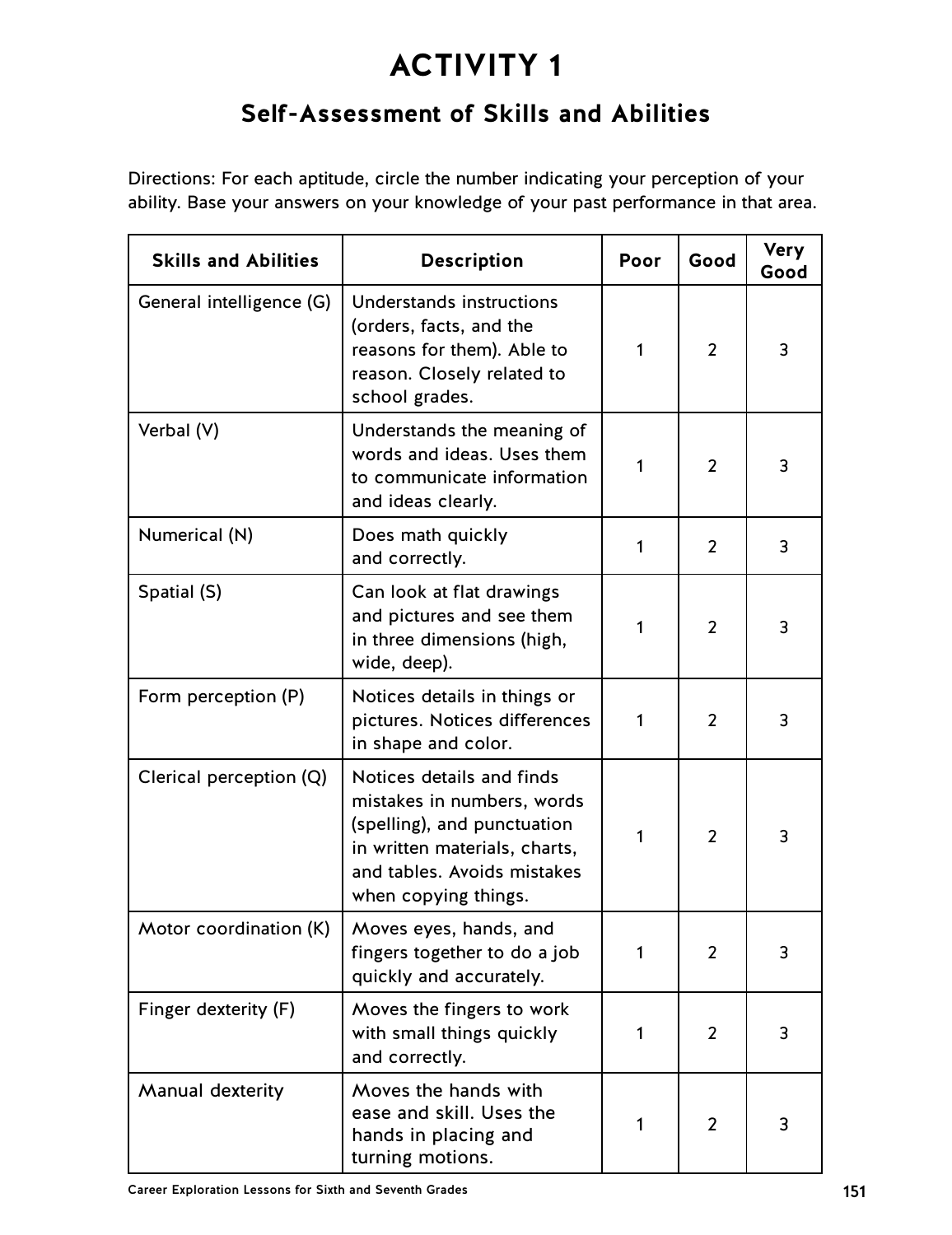## **Self-Assessment of Skills and Abilities**

Directions: For each aptitude, circle the number indicating your perception of your ability. Base your answers on your knowledge of your past performance in that area.

| <b>Skills and Abilities</b> | <b>Description</b>                                                                                                                                                             | Poor | Good           | <b>Very</b><br>Good |
|-----------------------------|--------------------------------------------------------------------------------------------------------------------------------------------------------------------------------|------|----------------|---------------------|
| General intelligence (G)    | Understands instructions<br>(orders, facts, and the<br>reasons for them). Able to<br>reason. Closely related to<br>school grades.                                              | 1    | $\overline{2}$ | 3                   |
| Verbal (V)                  | Understands the meaning of<br>words and ideas. Uses them<br>to communicate information<br>and ideas clearly.                                                                   | 1    | $\overline{2}$ | 3                   |
| Numerical (N)               | Does math quickly<br>and correctly.                                                                                                                                            | 1    | 2              | 3                   |
| Spatial (S)                 | Can look at flat drawings<br>and pictures and see them<br>in three dimensions (high,<br>wide, deep).                                                                           | 1    | 2              | 3                   |
| Form perception (P)         | Notices details in things or<br>pictures. Notices differences<br>in shape and color.                                                                                           | 1    | 2              | 3                   |
| Clerical perception (Q)     | Notices details and finds<br>mistakes in numbers, words<br>(spelling), and punctuation<br>in written materials, charts,<br>and tables. Avoids mistakes<br>when copying things. | 1    | 2              | 3                   |
| Motor coordination (K)      | Moves eyes, hands, and<br>fingers together to do a job<br>quickly and accurately.                                                                                              | 1    | 2              | 3                   |
| Finger dexterity (F)        | Moves the fingers to work<br>with small things quickly<br>and correctly.                                                                                                       | 1    | 2              | 3                   |
| Manual dexterity            | Moves the hands with<br>ease and skill. Uses the<br>hands in placing and<br>turning motions.                                                                                   | 1    | $\overline{2}$ | 3                   |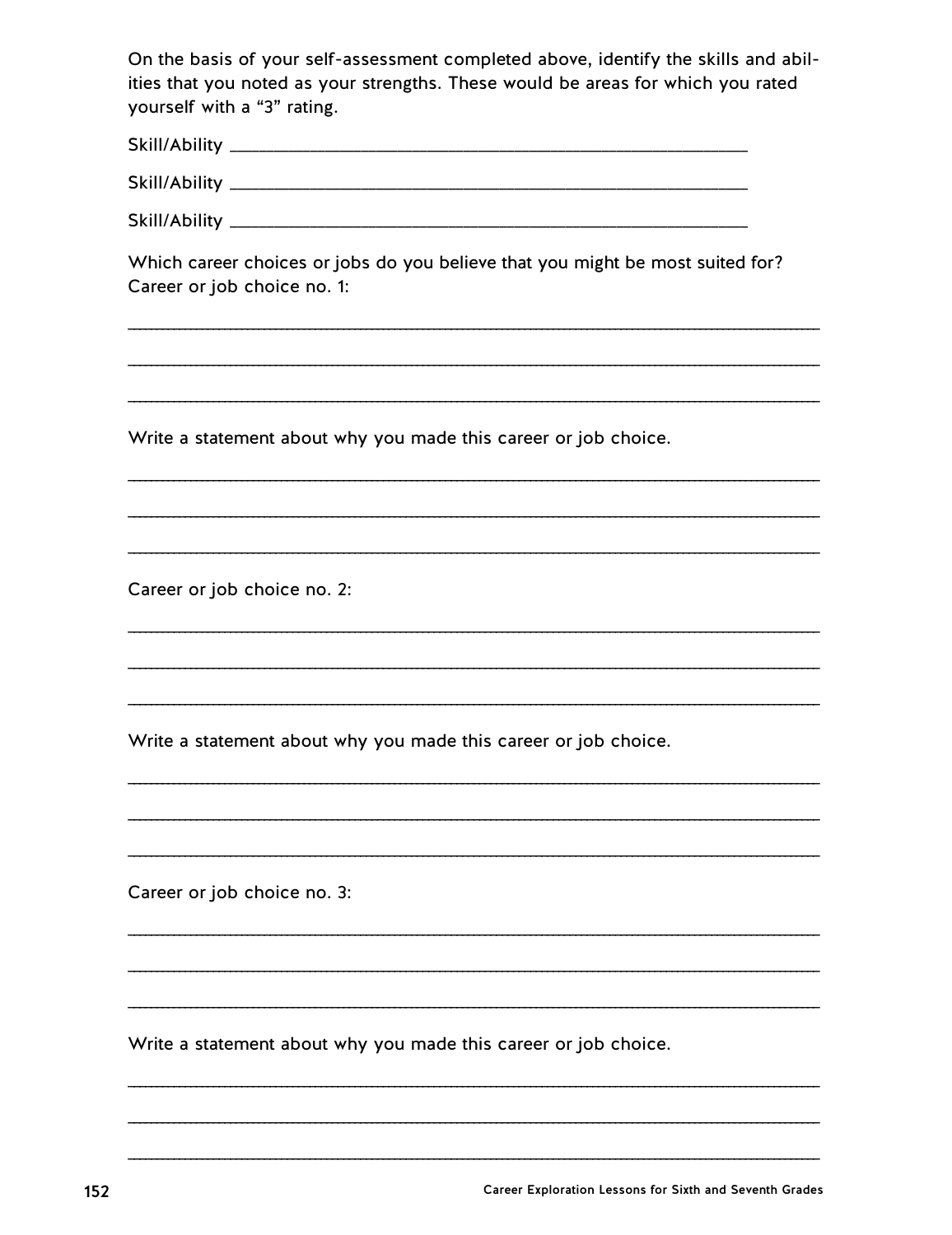On the basis of your self-assessment completed above, identify the skills and abilities that you noted as your strengths. These would be areas for which you rated yourself with a "3" rating.

| Skill/Ability |  |  |  |
|---------------|--|--|--|
|               |  |  |  |
|               |  |  |  |

Which career choices or jobs do you believe that you might be most suited for? Career or job choice no. 1:

Write a statement about why you made this career or job choice.

Career or job choice no. 2:

Write a statement about why you made this career or job choice.

Career or job choice no. 3:

Write a statement about why you made this career or job choice.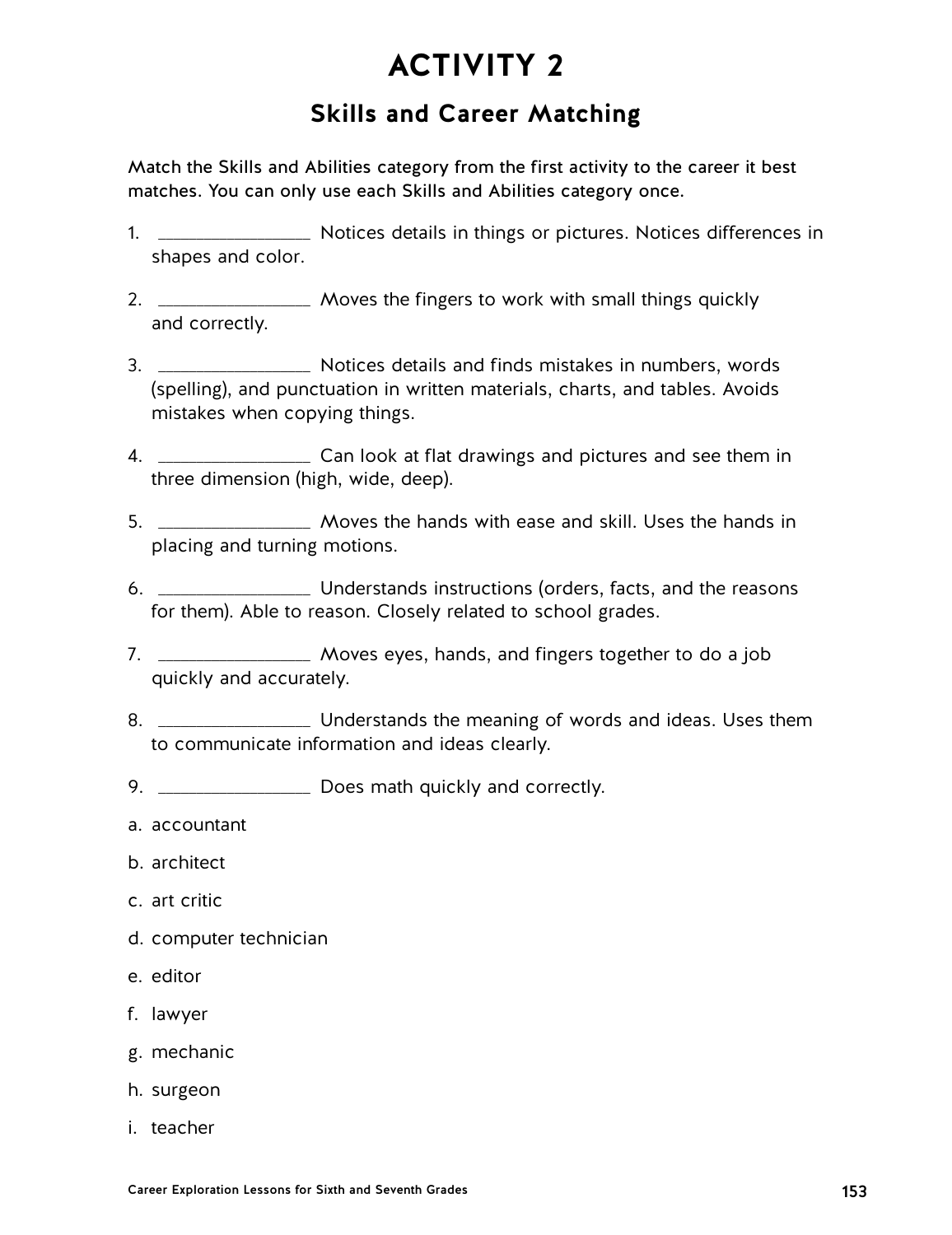## **Skills and Career Matching**

Match the Skills and Abilities category from the first activity to the career it best matches. You can only use each Skills and Abilities category once.

- 1. \_\_\_\_\_\_\_\_\_\_\_\_\_\_\_\_\_\_\_\_ Notices details in things or pictures. Notices differences in shapes and color.
- 2. \_\_\_\_\_\_\_\_\_\_\_\_\_\_\_\_\_\_\_ Moves the fingers to work with small things quickly and correctly.
- 3. \_\_\_\_\_\_\_\_\_\_\_\_\_\_\_\_\_\_\_\_ Notices details and finds mistakes in numbers, words (spelling), and punctuation in written materials, charts, and tables. Avoids mistakes when copying things.
- 4. \_\_\_\_\_\_\_\_\_\_\_\_\_\_\_\_\_\_\_\_ Can look at flat drawings and pictures and see them in three dimension (high, wide, deep).
- 5. \_\_\_\_\_\_\_\_\_\_\_\_\_\_\_\_\_\_\_\_ Moves the hands with ease and skill. Uses the hands in placing and turning motions.
- 6. \_\_\_\_\_\_\_\_\_\_\_\_\_\_\_\_\_\_\_\_ Understands instructions (orders, facts, and the reasons for them). Able to reason. Closely related to school grades.
- 7. \_\_\_\_\_\_\_\_\_\_\_\_\_\_\_\_\_\_\_\_ Moves eyes, hands, and fingers together to do a job quickly and accurately.
- 8. \_\_\_\_\_\_\_\_\_\_\_\_\_\_\_\_\_\_\_\_\_\_\_\_\_ Understands the meaning of words and ideas. Uses them to communicate information and ideas clearly.
- 9. \_\_\_\_\_\_\_\_\_\_\_\_\_\_\_\_\_\_\_\_\_\_ Does math quickly and correctly.
- a. accountant
- b. architect
- c. art critic
- d. computer technician
- e. editor
- f. lawyer
- g. mechanic
- h. surgeon
- i. teacher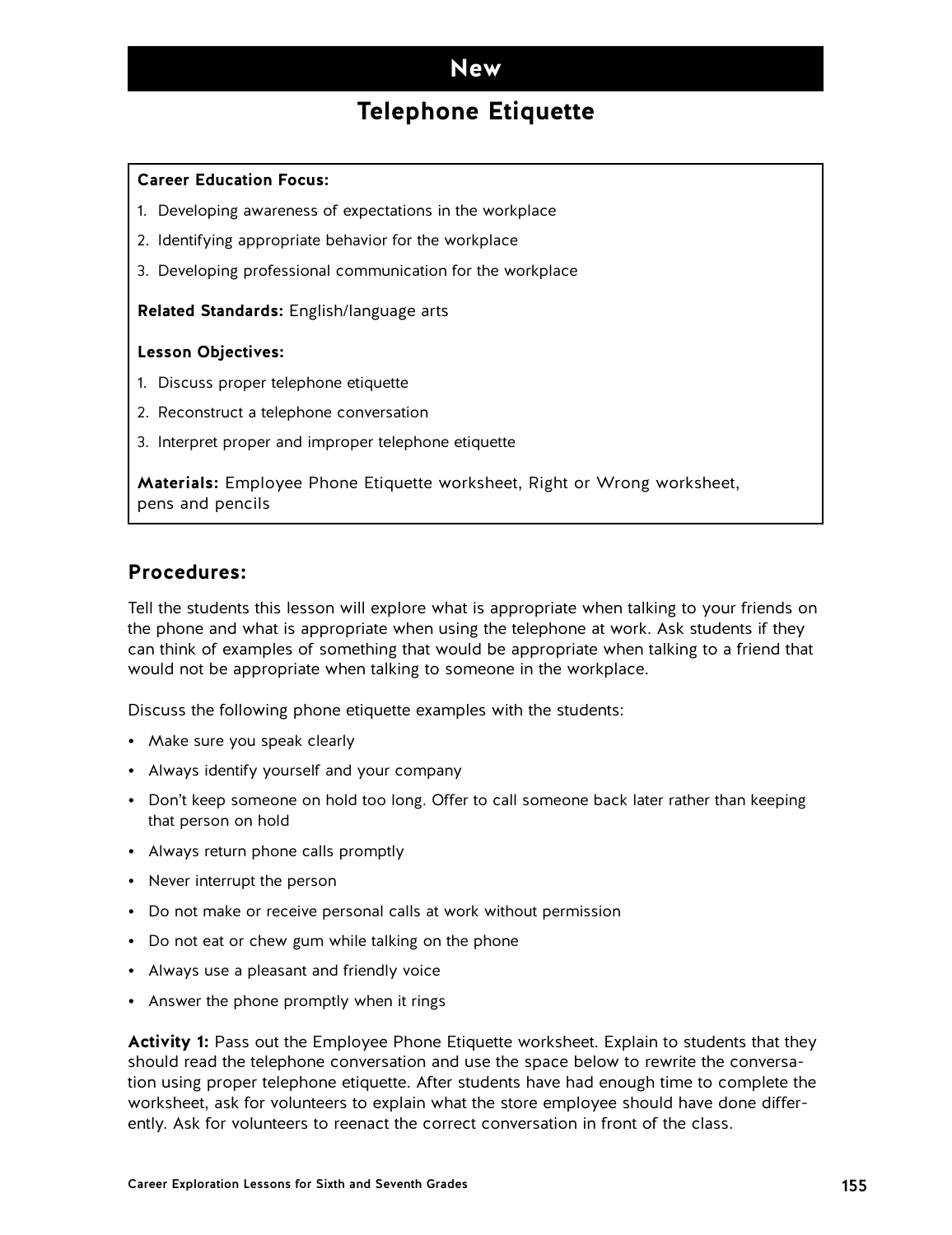### **New**

## **Telephone Etiquette**

#### **Career Education Focus:**

- 1. Developing awareness of expectations in the workplace
- 2. Identifying appropriate behavior for the workplace
- 3. Developing professional communication for the workplace

#### **Related Standards:** English/language arts

#### **Lesson Objectives:**

- 1. Discuss proper telephone etiquette
- 2. Reconstruct a telephone conversation
- 3. Interpret proper and improper telephone etiquette

**Materials:** Employee Phone Etiquette worksheet, Right or Wrong worksheet, pens and pencils

#### **Procedures:**

Tell the students this lesson will explore what is appropriate when talking to your friends on the phone and what is appropriate when using the telephone at work. Ask students if they can think of examples of something that would be appropriate when talking to a friend that would not be appropriate when talking to someone in the workplace.

Discuss the following phone etiquette examples with the students:

- Make sure you speak clearly
- Always identify yourself and your company
- Don't keep someone on hold too long. Offer to call someone back later rather than keeping that person on hold
- Always return phone calls promptly
- Never interrupt the person
- Do not make or receive personal calls at work without permission
- Do not eat or chew gum while talking on the phone
- Always use a pleasant and friendly voice
- Answer the phone promptly when it rings

**Activity 1:** Pass out the Employee Phone Etiquette worksheet. Explain to students that they should read the telephone conversation and use the space below to rewrite the conversation using proper telephone etiquette. After students have had enough time to complete the worksheet, ask for volunteers to explain what the store employee should have done differently. Ask for volunteers to reenact the correct conversation in front of the class.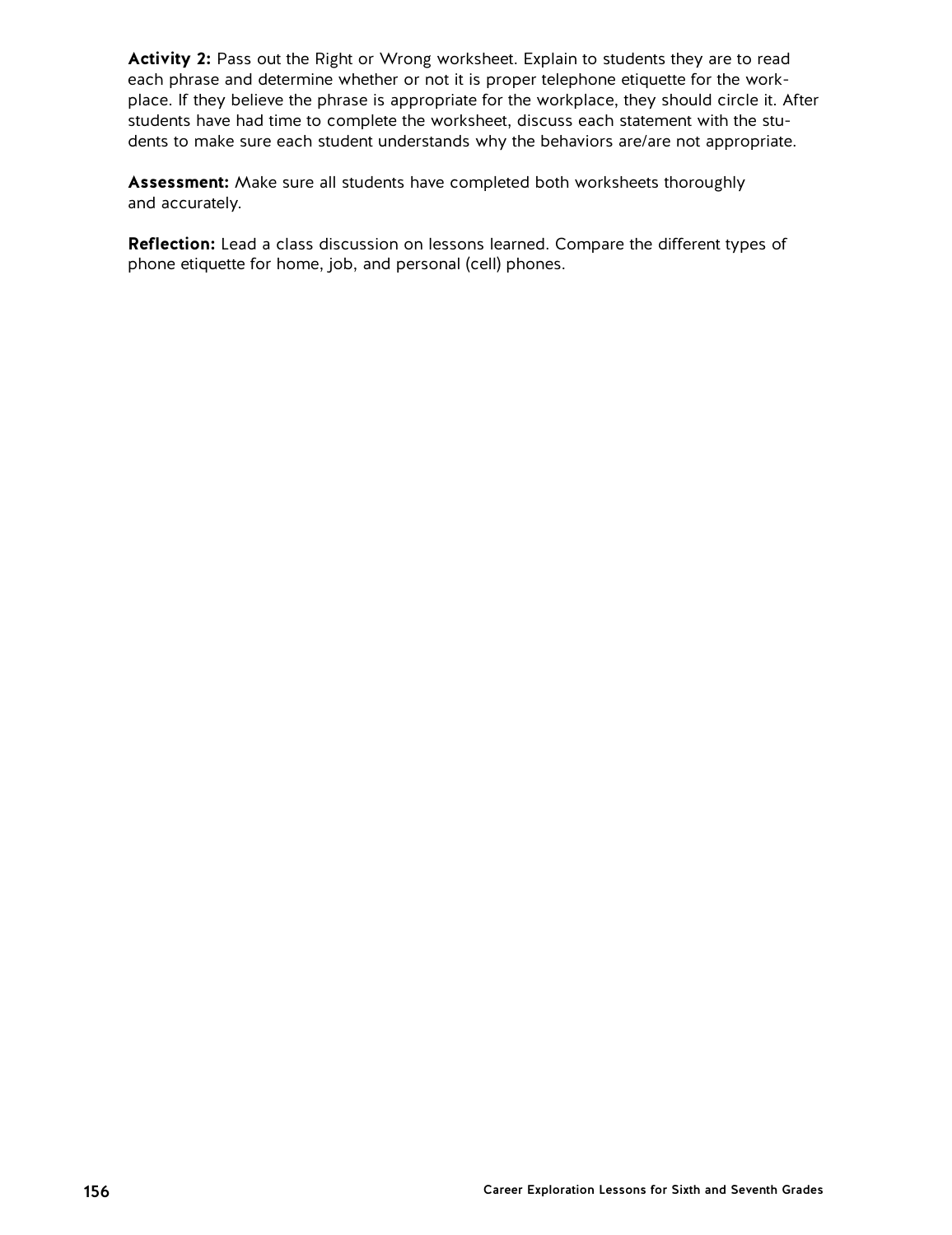**Activity 2:** Pass out the Right or Wrong worksheet. Explain to students they are to read each phrase and determine whether or not it is proper telephone etiquette for the workplace. If they believe the phrase is appropriate for the workplace, they should circle it. After students have had time to complete the worksheet, discuss each statement with the students to make sure each student understands why the behaviors are/are not appropriate.

**Assessment:** Make sure all students have completed both worksheets thoroughly and accurately.

**Reflection:** Lead a class discussion on lessons learned. Compare the different types of phone etiquette for home, job, and personal (cell) phones.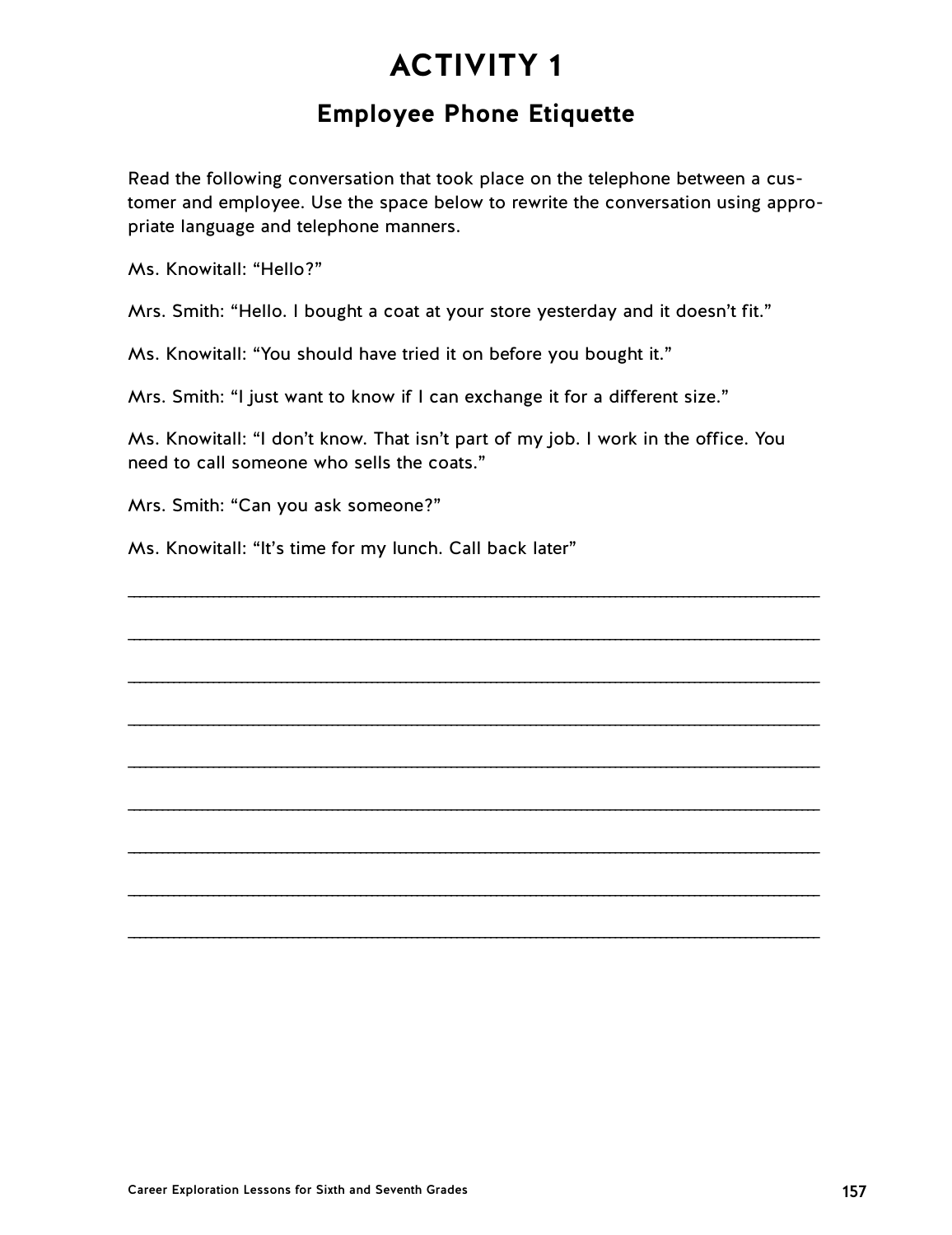## **Employee Phone Etiquette**

Read the following conversation that took place on the telephone between a customer and employee. Use the space below to rewrite the conversation using appropriate language and telephone manners.

Ms. Knowitall: "Hello?"

Mrs. Smith: "Hello. I bought a coat at your store yesterday and it doesn't fit."

Ms. Knowitall: "You should have tried it on before you bought it."

Mrs. Smith: "I just want to know if I can exchange it for a different size."

Ms. Knowitall: "I don't know. That isn't part of my job. I work in the office. You need to call someone who sells the coats."

 $\mathcal{L} = \{ \mathcal{L} = \{ \mathcal{L} = \mathcal{L} \} \cup \{ \mathcal{L} = \{ \mathcal{L} = \mathcal{L} \} \cup \{ \mathcal{L} = \{ \mathcal{L} = \mathcal{L} \} \cup \{ \mathcal{L} = \{ \mathcal{L} = \mathcal{L} \} \cup \{ \mathcal{L} = \{ \mathcal{L} = \mathcal{L} \} \cup \{ \mathcal{L} = \{ \mathcal{L} = \mathcal{L} \} \cup \{ \mathcal{L} = \{ \mathcal{L} = \mathcal{L} \} \cup \{ \mathcal{L} = \{ \mathcal{L}$ 

 $\mathcal{L} = \{ \mathcal{L} = \{ \mathcal{L} = \mathcal{L} \} \cup \{ \mathcal{L} = \{ \mathcal{L} = \mathcal{L} \} \cup \{ \mathcal{L} = \{ \mathcal{L} = \mathcal{L} \} \cup \{ \mathcal{L} = \{ \mathcal{L} = \mathcal{L} \} \cup \{ \mathcal{L} = \{ \mathcal{L} = \mathcal{L} \} \cup \{ \mathcal{L} = \{ \mathcal{L} = \mathcal{L} \} \cup \{ \mathcal{L} = \{ \mathcal{L} = \mathcal{L} \} \cup \{ \mathcal{L} = \{ \mathcal{L}$ 

 $\mathcal{L} = \{ \mathcal{L} = \{ \mathcal{L} = \mathcal{L} \} \cup \{ \mathcal{L} = \{ \mathcal{L} = \mathcal{L} \} \cup \{ \mathcal{L} = \{ \mathcal{L} = \mathcal{L} \} \cup \{ \mathcal{L} = \{ \mathcal{L} = \mathcal{L} \} \cup \{ \mathcal{L} = \{ \mathcal{L} = \mathcal{L} \} \cup \{ \mathcal{L} = \{ \mathcal{L} = \mathcal{L} \} \cup \{ \mathcal{L} = \{ \mathcal{L} = \mathcal{L} \} \cup \{ \mathcal{L} = \{ \mathcal{L}$ 

 $\mathcal{L} = \{ \mathcal{L} = \{ \mathcal{L} = \mathcal{L} \} \cup \{ \mathcal{L} = \{ \mathcal{L} = \mathcal{L} \} \cup \{ \mathcal{L} = \{ \mathcal{L} = \mathcal{L} \} \cup \{ \mathcal{L} = \{ \mathcal{L} = \mathcal{L} \} \cup \{ \mathcal{L} = \{ \mathcal{L} = \mathcal{L} \} \cup \{ \mathcal{L} = \{ \mathcal{L} = \mathcal{L} \} \cup \{ \mathcal{L} = \{ \mathcal{L} = \mathcal{L} \} \cup \{ \mathcal{L} = \{ \mathcal{L}$ 

 $\mathcal{L} = \{ \mathcal{L} = \{ \mathcal{L} = \mathcal{L} \} \cup \{ \mathcal{L} = \{ \mathcal{L} = \mathcal{L} \} \cup \{ \mathcal{L} = \{ \mathcal{L} = \mathcal{L} \} \cup \{ \mathcal{L} = \{ \mathcal{L} = \mathcal{L} \} \cup \{ \mathcal{L} = \{ \mathcal{L} = \mathcal{L} \} \cup \{ \mathcal{L} = \{ \mathcal{L} = \mathcal{L} \} \cup \{ \mathcal{L} = \{ \mathcal{L} = \mathcal{L} \} \cup \{ \mathcal{L} = \{ \mathcal{L}$ 

 $\mathcal{L} = \{ \mathcal{L} = \{ \mathcal{L} = \mathcal{L} \} \cup \{ \mathcal{L} = \{ \mathcal{L} = \mathcal{L} \} \cup \{ \mathcal{L} = \{ \mathcal{L} = \mathcal{L} \} \cup \{ \mathcal{L} = \{ \mathcal{L} = \mathcal{L} \} \cup \{ \mathcal{L} = \{ \mathcal{L} = \mathcal{L} \} \cup \{ \mathcal{L} = \{ \mathcal{L} = \mathcal{L} \} \cup \{ \mathcal{L} = \{ \mathcal{L} = \mathcal{L} \} \cup \{ \mathcal{L} = \{ \mathcal{L}$ 

 $\mathcal{L} = \{ \mathcal{L} = \{ \mathcal{L} = \mathcal{L} \} \cup \{ \mathcal{L} = \{ \mathcal{L} = \mathcal{L} \} \cup \{ \mathcal{L} = \{ \mathcal{L} = \mathcal{L} \} \cup \{ \mathcal{L} = \{ \mathcal{L} = \mathcal{L} \} \cup \{ \mathcal{L} = \{ \mathcal{L} = \mathcal{L} \} \cup \{ \mathcal{L} = \{ \mathcal{L} = \mathcal{L} \} \cup \{ \mathcal{L} = \{ \mathcal{L} = \mathcal{L} \} \cup \{ \mathcal{L} = \{ \mathcal{L}$ 

 $\mathcal{L} = \{ \mathcal{L} = \{ \mathcal{L} = \mathcal{L} \} \cup \{ \mathcal{L} = \{ \mathcal{L} = \mathcal{L} \} \cup \{ \mathcal{L} = \{ \mathcal{L} = \mathcal{L} \} \cup \{ \mathcal{L} = \{ \mathcal{L} = \mathcal{L} \} \cup \{ \mathcal{L} = \{ \mathcal{L} = \mathcal{L} \} \cup \{ \mathcal{L} = \{ \mathcal{L} = \mathcal{L} \} \cup \{ \mathcal{L} = \{ \mathcal{L} = \mathcal{L} \} \cup \{ \mathcal{L} = \{ \mathcal{L}$ 

 $\mathcal{L} = \{ \mathcal{L} = \{ \mathcal{L} = \mathcal{L} \} \cup \{ \mathcal{L} = \{ \mathcal{L} = \mathcal{L} \} \cup \{ \mathcal{L} = \{ \mathcal{L} = \mathcal{L} \} \cup \{ \mathcal{L} = \{ \mathcal{L} = \mathcal{L} \} \cup \{ \mathcal{L} = \{ \mathcal{L} = \mathcal{L} \} \cup \{ \mathcal{L} = \{ \mathcal{L} = \mathcal{L} \} \cup \{ \mathcal{L} = \{ \mathcal{L} = \mathcal{L} \} \cup \{ \mathcal{L} = \{ \mathcal{L}$ 

Mrs. Smith: "Can you ask someone?"

Ms. Knowitall: "It's time for my lunch. Call back later"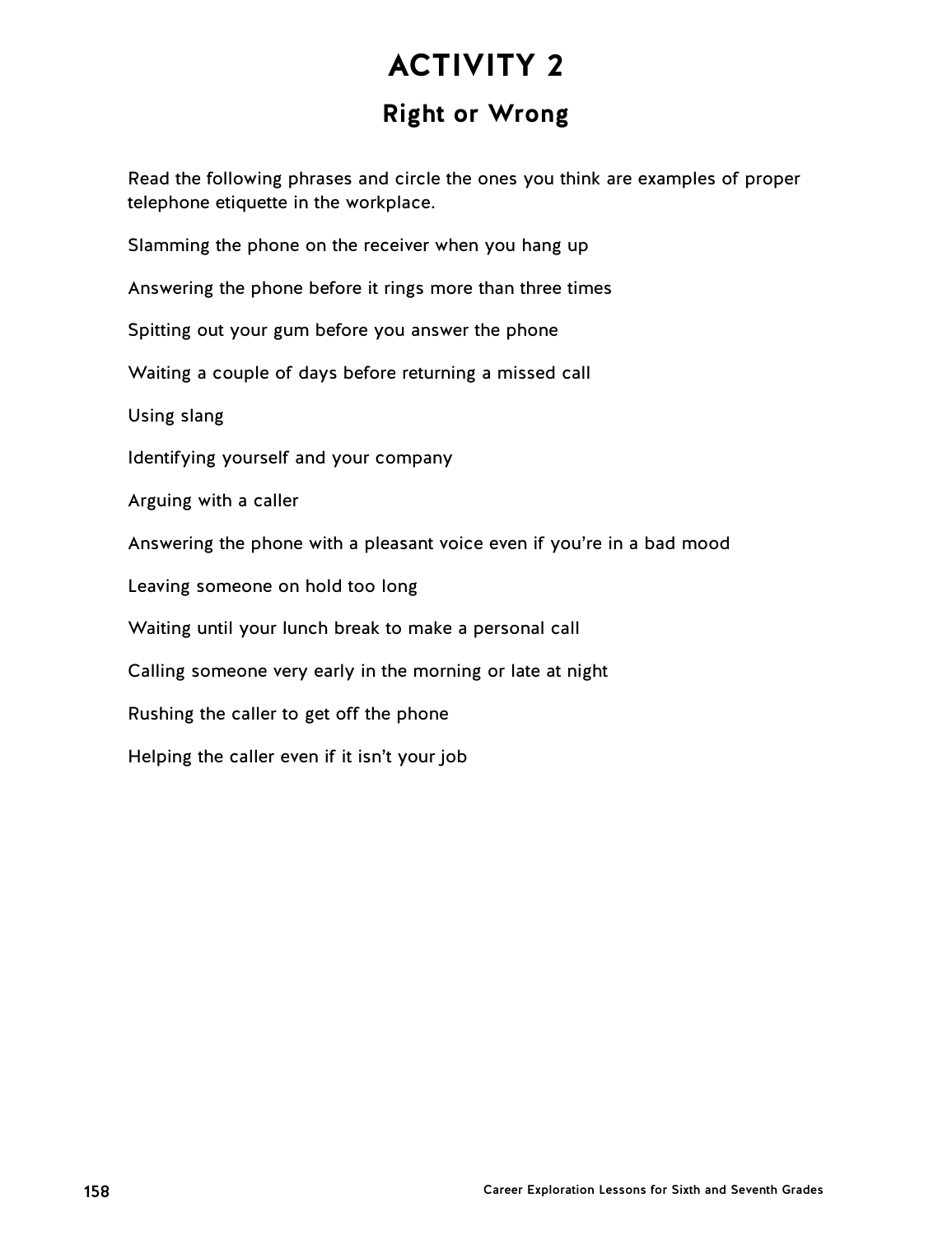# **ACTIVITY 2 Right or Wrong**

Read the following phrases and circle the ones you think are examples of proper telephone etiquette in the workplace.

Slamming the phone on the receiver when you hang up

Answering the phone before it rings more than three times

Spitting out your gum before you answer the phone

Waiting a couple of days before returning a missed call

Using slang

Identifying yourself and your company

Arguing with a caller

Answering the phone with a pleasant voice even if you're in a bad mood

Leaving someone on hold too long

Waiting until your lunch break to make a personal call

Calling someone very early in the morning or late at night

Rushing the caller to get off the phone

Helping the caller even if it isn't your job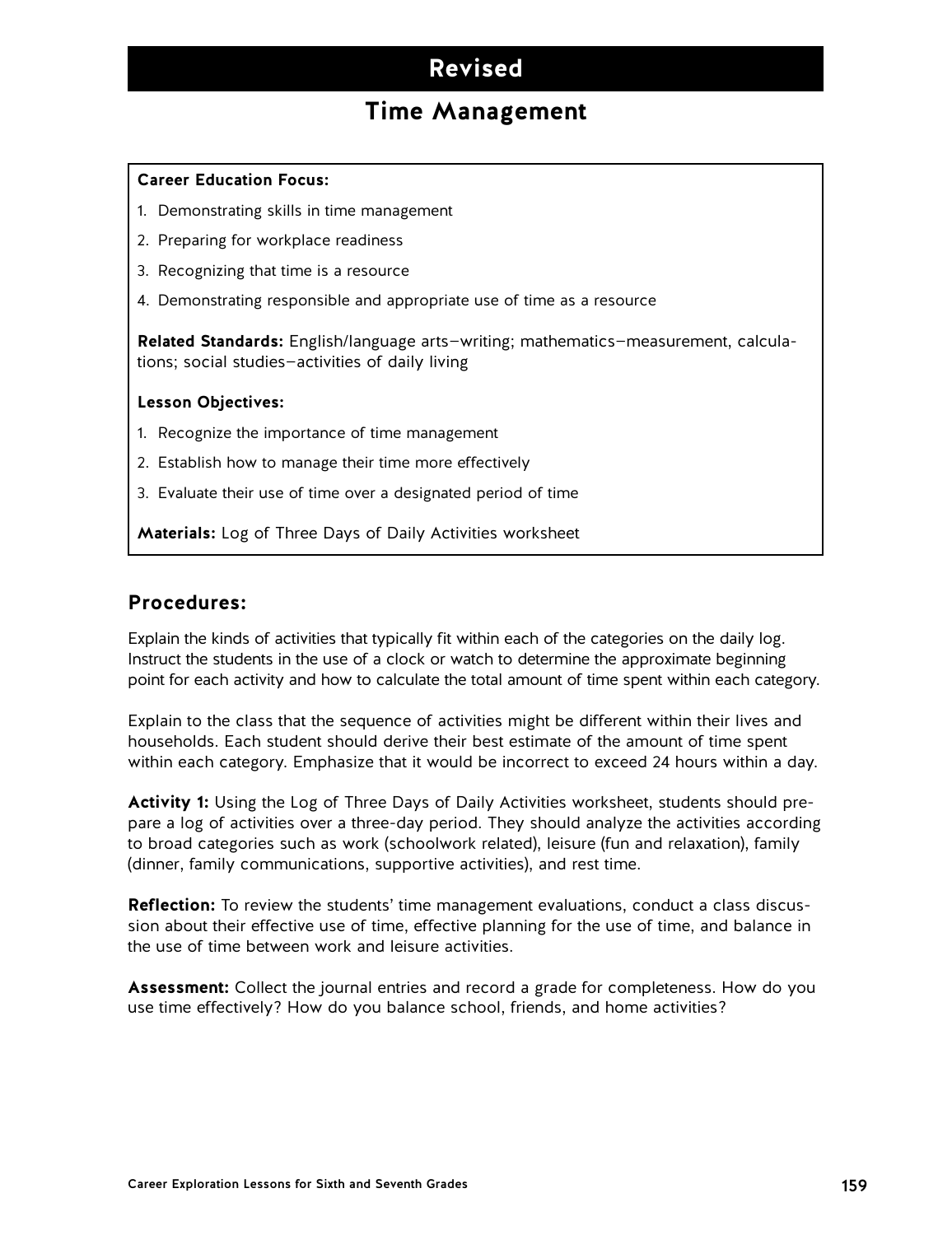## **Revised**

## **Time Management**

#### **Career Education Focus:**

- 1. Demonstrating skills in time management
- 2. Preparing for workplace readiness
- 3. Recognizing that time is a resource
- 4. Demonstrating responsible and appropriate use of time as a resource

**Related Standards:** English/language arts—writing; mathematics—measurement, calculations; social studies—activities of daily living

#### **Lesson Objectives:**

- 1. Recognize the importance of time management
- 2. Establish how to manage their time more effectively
- 3. Evaluate their use of time over a designated period of time

**Materials:** Log of Three Days of Daily Activities worksheet

#### **Procedures:**

Explain the kinds of activities that typically fit within each of the categories on the daily log. Instruct the students in the use of a clock or watch to determine the approximate beginning point for each activity and how to calculate the total amount of time spent within each category.

Explain to the class that the sequence of activities might be different within their lives and households. Each student should derive their best estimate of the amount of time spent within each category. Emphasize that it would be incorrect to exceed 24 hours within a day.

**Activity 1:** Using the Log of Three Days of Daily Activities worksheet, students should prepare a log of activities over a three-day period. They should analyze the activities according to broad categories such as work (schoolwork related), leisure (fun and relaxation), family (dinner, family communications, supportive activities), and rest time.

**Reflection:** To review the students' time management evaluations, conduct a class discussion about their effective use of time, effective planning for the use of time, and balance in the use of time between work and leisure activities.

**Assessment:** Collect the journal entries and record a grade for completeness. How do you use time effectively? How do you balance school, friends, and home activities?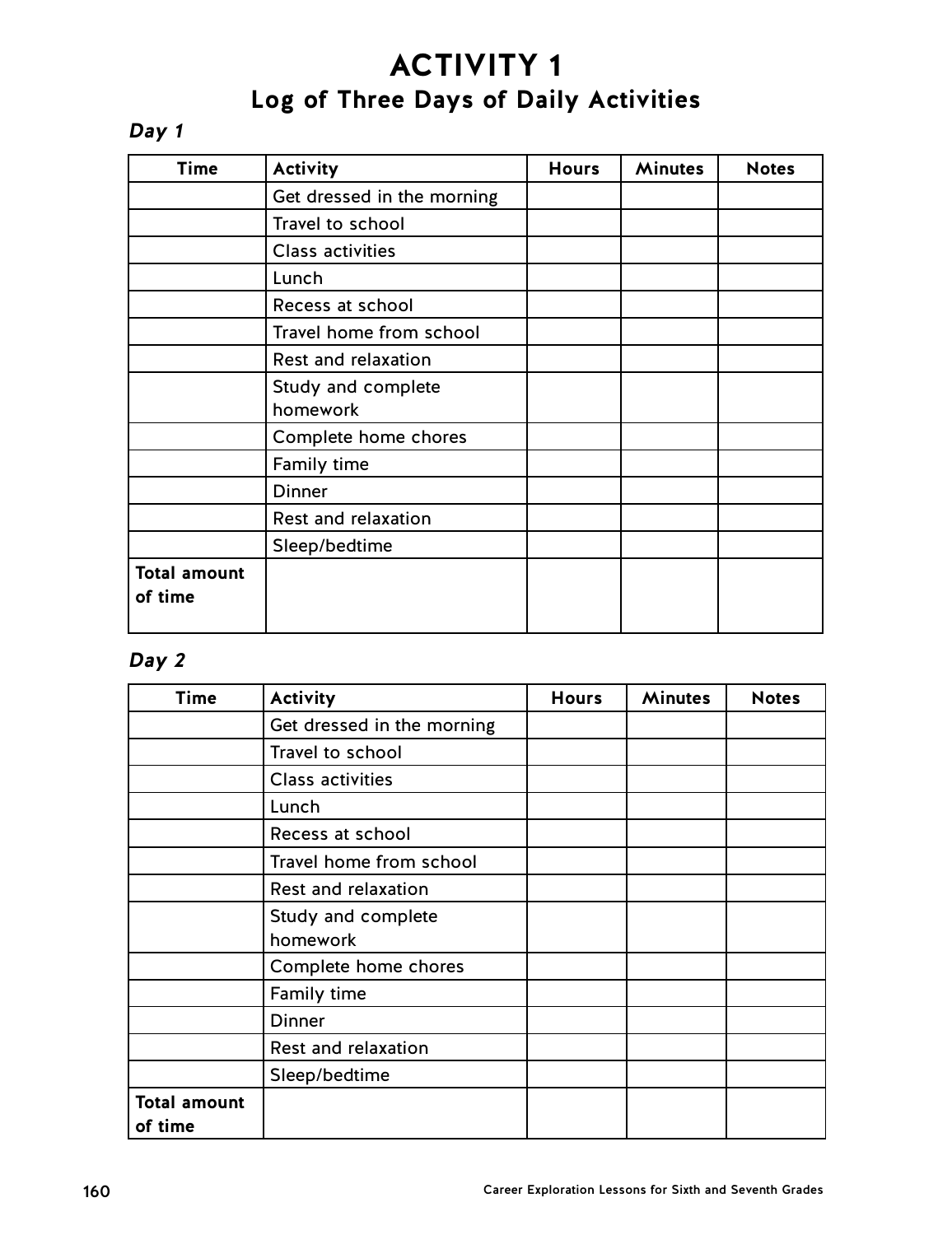# **ACTIVITY 1 Log of Three Days of Daily Activities**

### **Day 1**

| <b>Time</b>                    | <b>Activity</b>                | <b>Hours</b> | <b>Minutes</b> | <b>Notes</b> |
|--------------------------------|--------------------------------|--------------|----------------|--------------|
|                                | Get dressed in the morning     |              |                |              |
|                                | Travel to school               |              |                |              |
|                                | <b>Class activities</b>        |              |                |              |
|                                | Lunch                          |              |                |              |
|                                | Recess at school               |              |                |              |
|                                | Travel home from school        |              |                |              |
|                                | Rest and relaxation            |              |                |              |
|                                | Study and complete<br>homework |              |                |              |
|                                | Complete home chores           |              |                |              |
|                                | Family time                    |              |                |              |
|                                | <b>Dinner</b>                  |              |                |              |
|                                | Rest and relaxation            |              |                |              |
|                                | Sleep/bedtime                  |              |                |              |
| <b>Total amount</b><br>of time |                                |              |                |              |

### **Day 2**

| Time                | <b>Activity</b>            | <b>Hours</b> | <b>Minutes</b> | <b>Notes</b> |
|---------------------|----------------------------|--------------|----------------|--------------|
|                     | Get dressed in the morning |              |                |              |
|                     | Travel to school           |              |                |              |
|                     | <b>Class activities</b>    |              |                |              |
|                     | Lunch                      |              |                |              |
|                     | Recess at school           |              |                |              |
|                     | Travel home from school    |              |                |              |
|                     | Rest and relaxation        |              |                |              |
|                     | Study and complete         |              |                |              |
|                     | homework                   |              |                |              |
|                     | Complete home chores       |              |                |              |
|                     | Family time                |              |                |              |
|                     | <b>Dinner</b>              |              |                |              |
|                     | Rest and relaxation        |              |                |              |
|                     | Sleep/bedtime              |              |                |              |
| <b>Total amount</b> |                            |              |                |              |
| of time             |                            |              |                |              |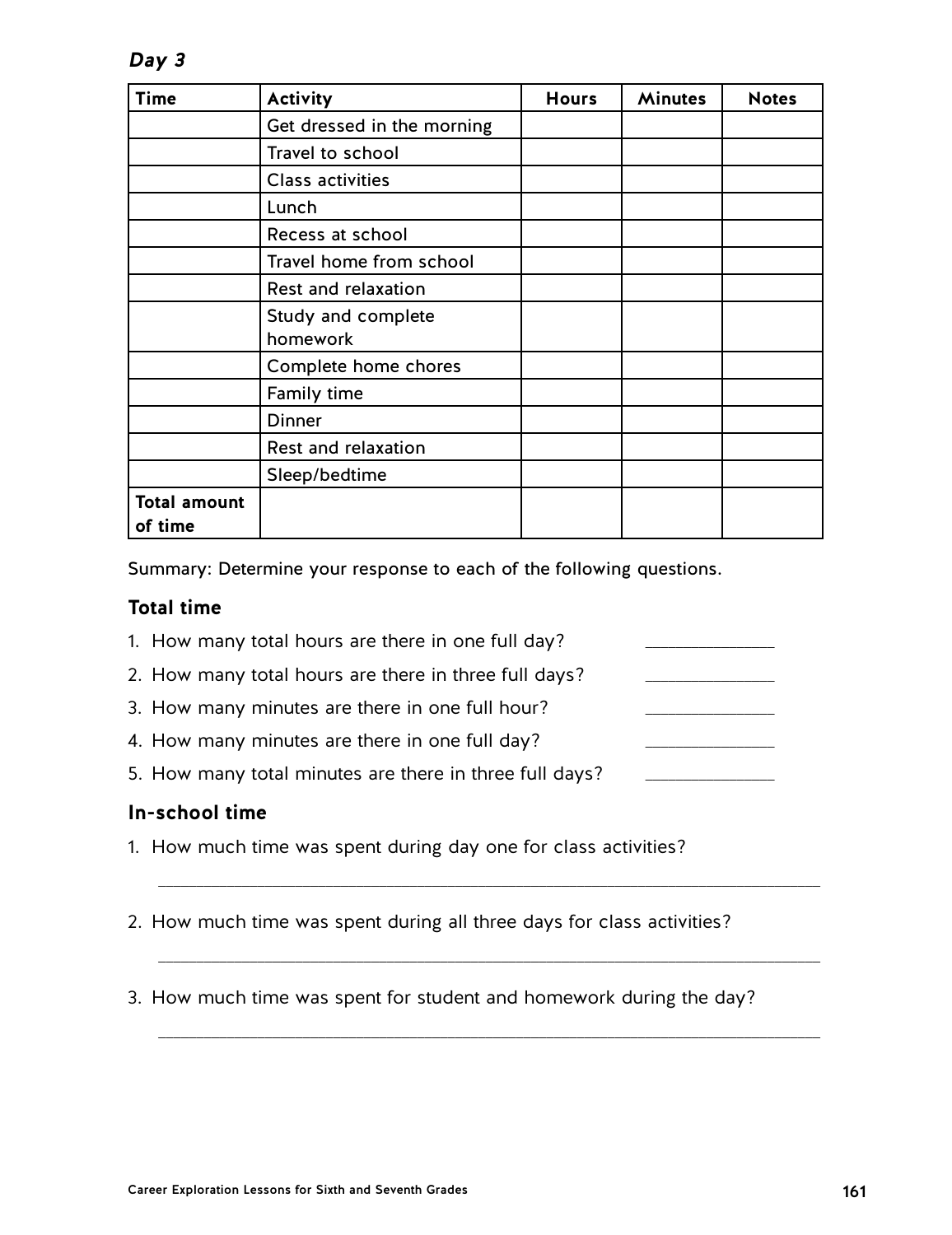**Day 3**

| Time                | <b>Activity</b>            | <b>Hours</b> | <b>Minutes</b> | <b>Notes</b> |
|---------------------|----------------------------|--------------|----------------|--------------|
|                     | Get dressed in the morning |              |                |              |
|                     | Travel to school           |              |                |              |
|                     | <b>Class activities</b>    |              |                |              |
|                     | Lunch                      |              |                |              |
|                     | Recess at school           |              |                |              |
|                     | Travel home from school    |              |                |              |
|                     | Rest and relaxation        |              |                |              |
|                     | Study and complete         |              |                |              |
|                     | homework                   |              |                |              |
|                     | Complete home chores       |              |                |              |
|                     | Family time                |              |                |              |
|                     | <b>Dinner</b>              |              |                |              |
|                     | Rest and relaxation        |              |                |              |
|                     | Sleep/bedtime              |              |                |              |
| <b>Total amount</b> |                            |              |                |              |
| of time             |                            |              |                |              |

Summary: Determine your response to each of the following questions.

### **Total time**

- 1. How many total hours are there in one full day? 2. How many total hours are there in three full days? 3. How many minutes are there in one full hour? 4. How many minutes are there in one full day?
- 5. How many total minutes are there in three full days?

### **In-school time**

- 1. How much time was spent during day one for class activities?
- 2. How much time was spent during all three days for class activities?

\_\_\_\_\_\_\_\_\_\_\_\_\_\_\_\_\_\_\_\_\_\_\_\_\_\_\_\_\_\_\_\_\_\_\_\_\_\_\_\_\_\_\_\_\_\_\_\_\_\_\_\_\_\_\_\_\_\_\_\_\_\_\_\_\_\_\_\_\_\_\_\_\_\_\_\_\_\_\_\_\_\_\_\_\_\_\_

\_\_\_\_\_\_\_\_\_\_\_\_\_\_\_\_\_\_\_\_\_\_\_\_\_\_\_\_\_\_\_\_\_\_\_\_\_\_\_\_\_\_\_\_\_\_\_\_\_\_\_\_\_\_\_\_\_\_\_\_\_\_\_\_\_\_\_\_\_\_\_\_\_\_\_\_\_\_\_\_\_\_\_\_\_\_\_

\_\_\_\_\_\_\_\_\_\_\_\_\_\_\_\_\_\_\_\_\_\_\_\_\_\_\_\_\_\_\_\_\_\_\_\_\_\_\_\_\_\_\_\_\_\_\_\_\_\_\_\_\_\_\_\_\_\_\_\_\_\_\_\_\_\_\_\_\_\_\_\_\_\_\_\_\_\_\_\_\_\_\_\_\_\_\_

3. How much time was spent for student and homework during the day?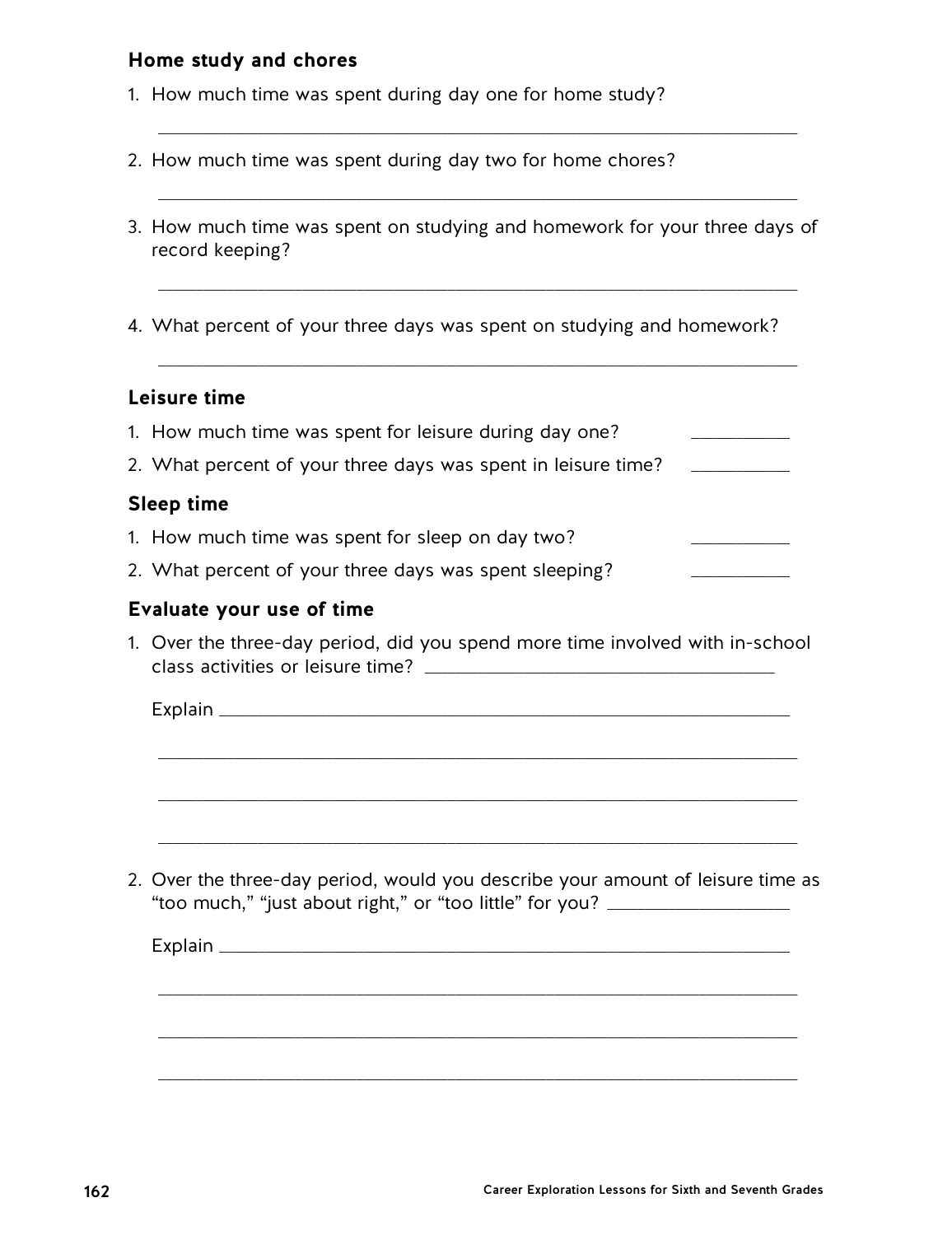### **Home study and chores**

- 1. How much time was spent during day one for home study?
- 2. How much time was spent during day two for home chores?
- 3. How much time was spent on studying and homework for your three days of record keeping?

\_\_\_\_\_\_\_\_\_\_\_\_\_\_\_\_\_\_\_\_\_\_\_\_\_\_\_\_\_\_\_\_\_\_\_\_\_\_\_\_\_\_\_\_\_\_\_\_\_\_\_\_\_\_\_\_\_\_\_\_\_\_\_\_\_\_\_\_\_\_\_\_\_\_\_\_\_\_\_\_\_\_\_\_

\_\_\_\_\_\_\_\_\_\_\_\_\_\_\_\_\_\_\_\_\_\_\_\_\_\_\_\_\_\_\_\_\_\_\_\_\_\_\_\_\_\_\_\_\_\_\_\_\_\_\_\_\_\_\_\_\_\_\_\_\_\_\_\_\_\_\_\_\_\_\_\_\_\_\_\_\_\_\_\_\_\_\_\_

\_\_\_\_\_\_\_\_\_\_\_\_\_\_\_\_\_\_\_\_\_\_\_\_\_\_\_\_\_\_\_\_\_\_\_\_\_\_\_\_\_\_\_\_\_\_\_\_\_\_\_\_\_\_\_\_\_\_\_\_\_\_\_\_\_\_\_\_\_\_\_\_\_\_\_\_\_\_\_\_\_\_\_\_

\_\_\_\_\_\_\_\_\_\_\_\_\_\_\_\_\_\_\_\_\_\_\_\_\_\_\_\_\_\_\_\_\_\_\_\_\_\_\_\_\_\_\_\_\_\_\_\_\_\_\_\_\_\_\_\_\_\_\_\_\_\_\_\_\_\_\_\_\_\_\_\_\_\_\_\_\_\_\_\_\_\_\_\_

4. What percent of your three days was spent on studying and homework?

### **Leisure time**

| 1. How much time was spent for leisure during day one?                                                                                                              |
|---------------------------------------------------------------------------------------------------------------------------------------------------------------------|
| 2. What percent of your three days was spent in leisure time?                                                                                                       |
| Sleep time                                                                                                                                                          |
| 1. How much time was spent for sleep on day two?                                                                                                                    |
| 2. What percent of your three days was spent sleeping?                                                                                                              |
| Evaluate your use of time                                                                                                                                           |
| 1. Over the three-day period, did you spend more time involved with in-school                                                                                       |
|                                                                                                                                                                     |
|                                                                                                                                                                     |
|                                                                                                                                                                     |
|                                                                                                                                                                     |
|                                                                                                                                                                     |
| 2. Over the three-day period, would you describe your amount of leisure time as<br>"too much," "just about right," or "too little" for you? _______________________ |
|                                                                                                                                                                     |
|                                                                                                                                                                     |
|                                                                                                                                                                     |
|                                                                                                                                                                     |
|                                                                                                                                                                     |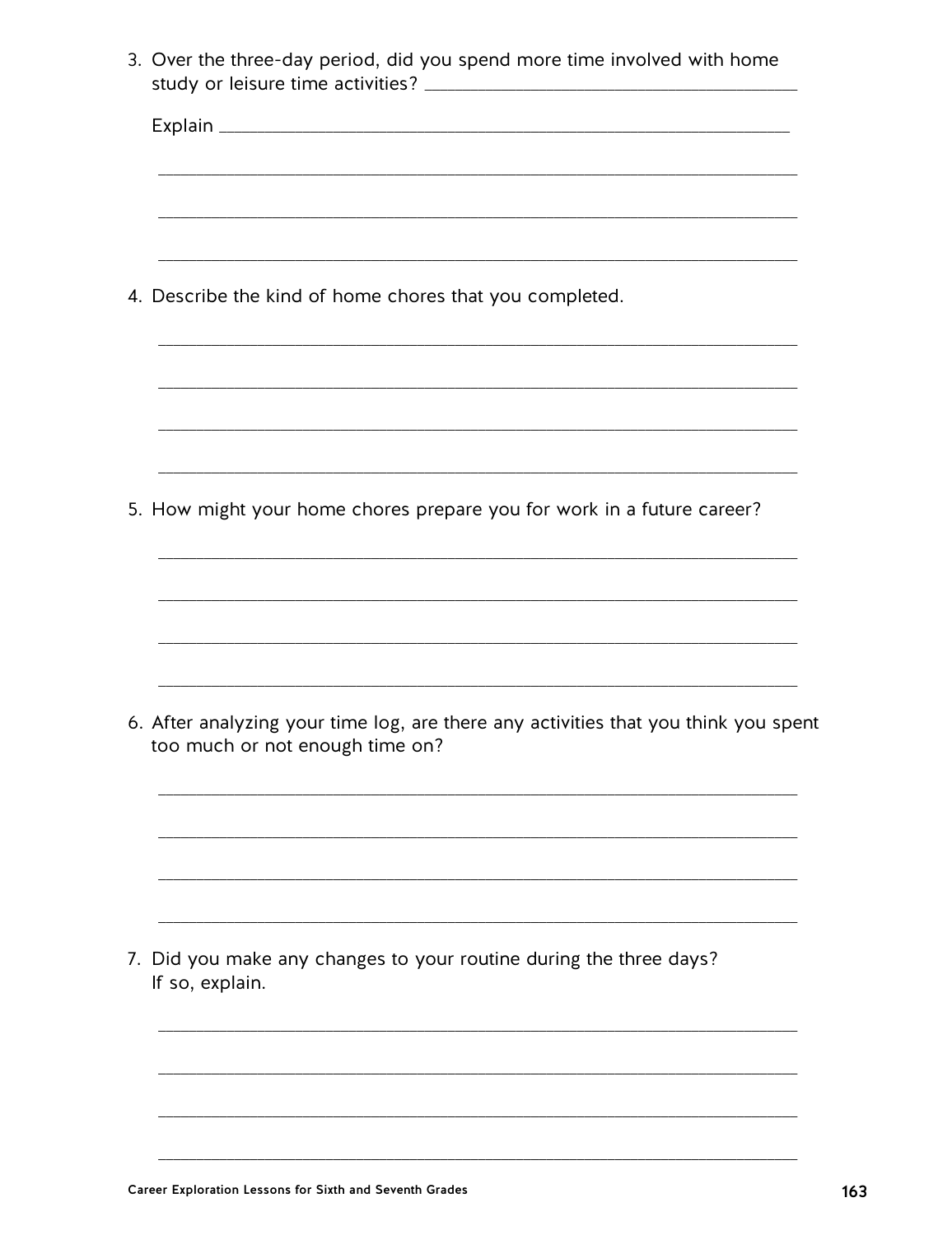|                 | 4. Describe the kind of home chores that you completed.<br>5. How might your home chores prepare you for work in a future career? |  |
|-----------------|-----------------------------------------------------------------------------------------------------------------------------------|--|
|                 |                                                                                                                                   |  |
|                 |                                                                                                                                   |  |
|                 |                                                                                                                                   |  |
|                 |                                                                                                                                   |  |
|                 |                                                                                                                                   |  |
|                 |                                                                                                                                   |  |
|                 | 6. After analyzing your time log, are there any activities that you think you spent<br>too much or not enough time on?            |  |
|                 |                                                                                                                                   |  |
| If so, explain. | 7. Did you make any changes to your routine during the three days?                                                                |  |
|                 |                                                                                                                                   |  |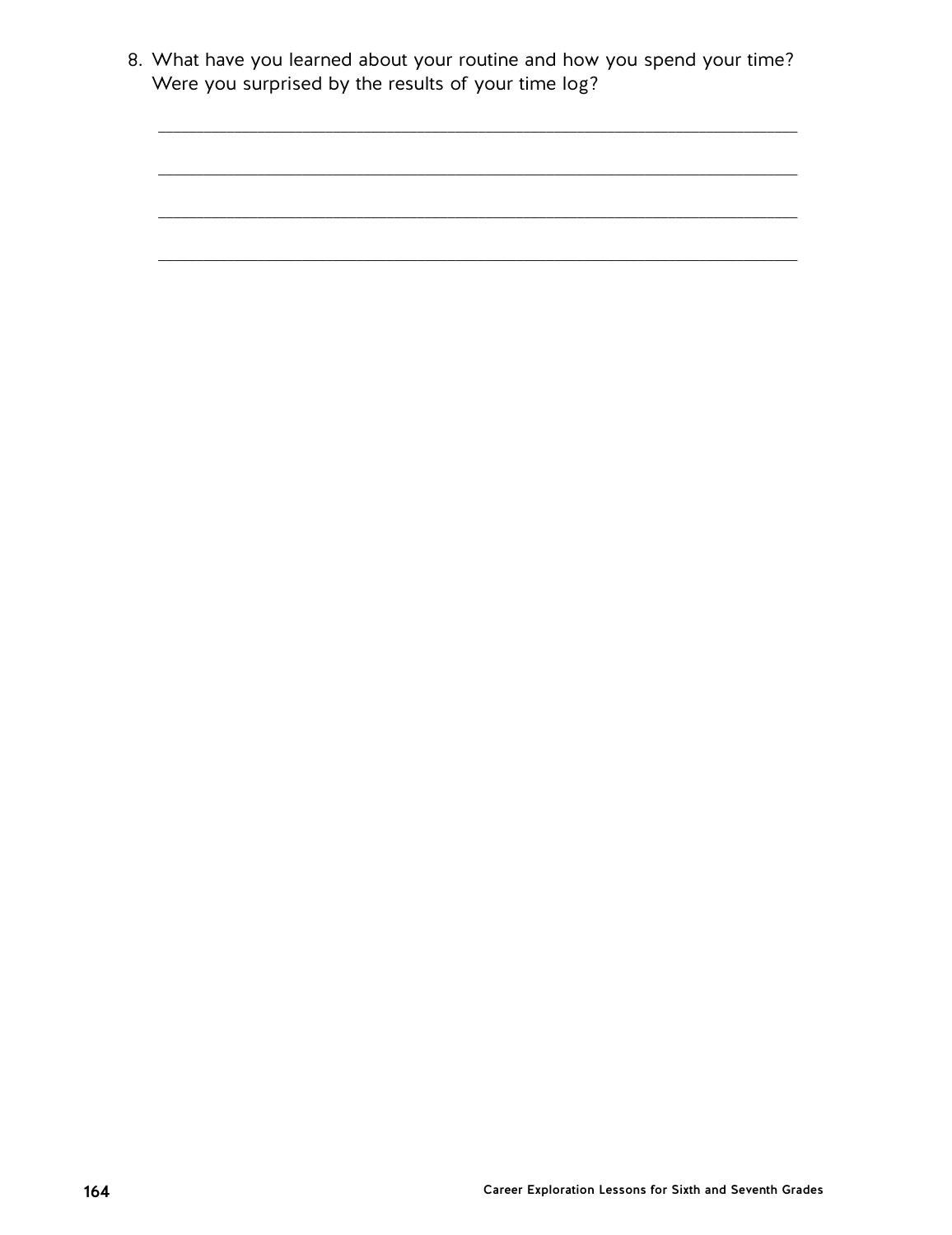8. What have you learned about your routine and how you spend your time? Were you surprised by the results of your time log?

\_\_\_\_\_\_\_\_\_\_\_\_\_\_\_\_\_\_\_\_\_\_\_\_\_\_\_\_\_\_\_\_\_\_\_\_\_\_\_\_\_\_\_\_\_\_\_\_\_\_\_\_\_\_\_\_\_\_\_\_\_\_\_\_\_\_\_\_\_\_\_\_\_\_\_\_\_\_\_\_\_\_\_\_

\_\_\_\_\_\_\_\_\_\_\_\_\_\_\_\_\_\_\_\_\_\_\_\_\_\_\_\_\_\_\_\_\_\_\_\_\_\_\_\_\_\_\_\_\_\_\_\_\_\_\_\_\_\_\_\_\_\_\_\_\_\_\_\_\_\_\_\_\_\_\_\_\_\_\_\_\_\_\_\_\_\_\_\_

\_\_\_\_\_\_\_\_\_\_\_\_\_\_\_\_\_\_\_\_\_\_\_\_\_\_\_\_\_\_\_\_\_\_\_\_\_\_\_\_\_\_\_\_\_\_\_\_\_\_\_\_\_\_\_\_\_\_\_\_\_\_\_\_\_\_\_\_\_\_\_\_\_\_\_\_\_\_\_\_\_\_\_\_

\_\_\_\_\_\_\_\_\_\_\_\_\_\_\_\_\_\_\_\_\_\_\_\_\_\_\_\_\_\_\_\_\_\_\_\_\_\_\_\_\_\_\_\_\_\_\_\_\_\_\_\_\_\_\_\_\_\_\_\_\_\_\_\_\_\_\_\_\_\_\_\_\_\_\_\_\_\_\_\_\_\_\_\_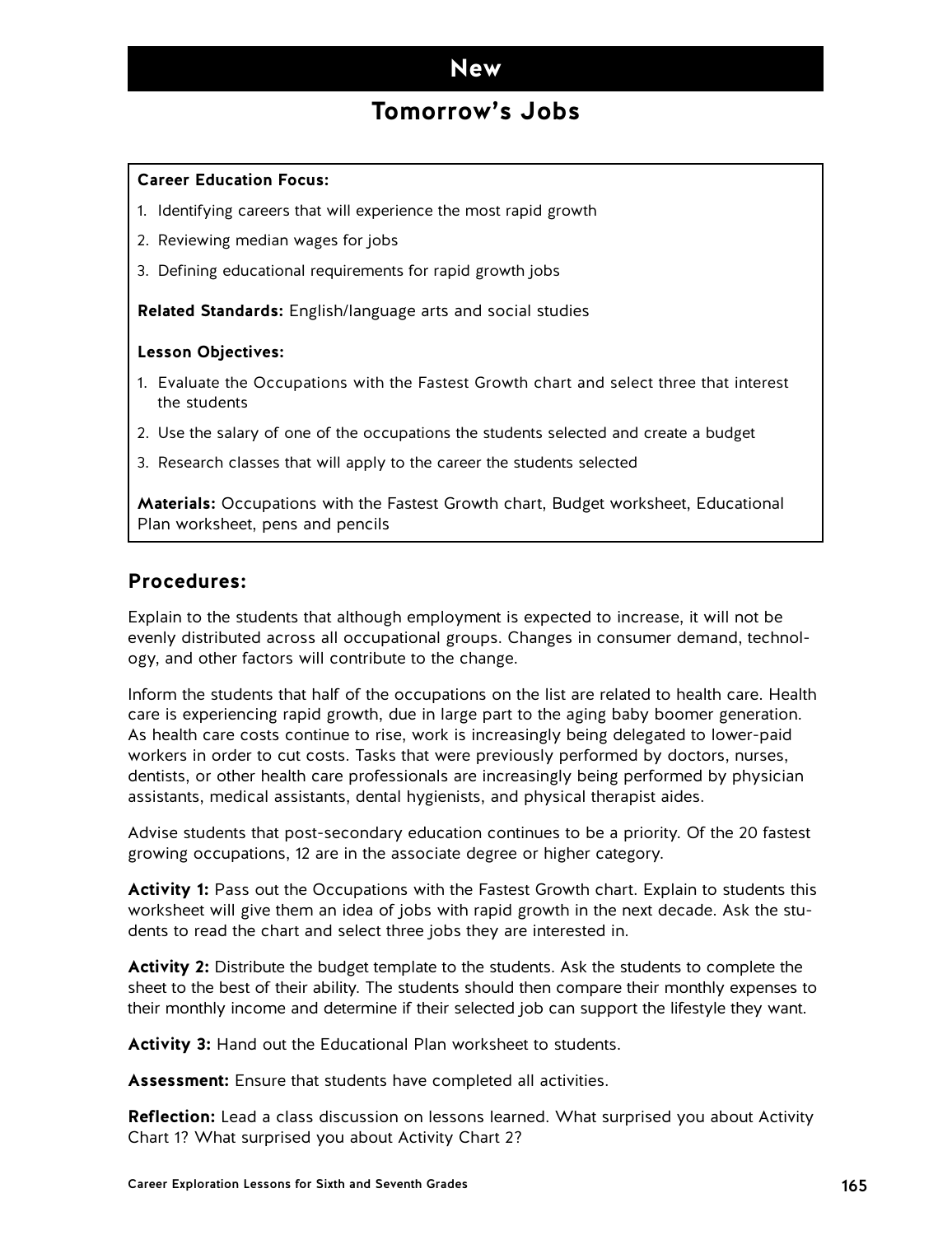### **New**

### **Tomorrow's Jobs**

#### **Career Education Focus:**

- 1. Identifying careers that will experience the most rapid growth
- 2. Reviewing median wages for jobs
- 3. Defining educational requirements for rapid growth jobs

**Related Standards:** English/language arts and social studies

#### **Lesson Objectives:**

- 1. Evaluate the Occupations with the Fastest Growth chart and select three that interest the students
- 2. Use the salary of one of the occupations the students selected and create a budget
- 3. Research classes that will apply to the career the students selected

**Materials:** Occupations with the Fastest Growth chart, Budget worksheet, Educational Plan worksheet, pens and pencils

#### **Procedures:**

Explain to the students that although employment is expected to increase, it will not be evenly distributed across all occupational groups. Changes in consumer demand, technology, and other factors will contribute to the change.

Inform the students that half of the occupations on the list are related to health care. Health care is experiencing rapid growth, due in large part to the aging baby boomer generation. As health care costs continue to rise, work is increasingly being delegated to lower-paid workers in order to cut costs. Tasks that were previously performed by doctors, nurses, dentists, or other health care professionals are increasingly being performed by physician assistants, medical assistants, dental hygienists, and physical therapist aides.

Advise students that post-secondary education continues to be a priority. Of the 20 fastest growing occupations, 12 are in the associate degree or higher category.

**Activity 1:** Pass out the Occupations with the Fastest Growth chart. Explain to students this worksheet will give them an idea of jobs with rapid growth in the next decade. Ask the students to read the chart and select three jobs they are interested in.

**Activity 2:** Distribute the budget template to the students. Ask the students to complete the sheet to the best of their ability. The students should then compare their monthly expenses to their monthly income and determine if their selected job can support the lifestyle they want.

**Activity 3:** Hand out the Educational Plan worksheet to students.

**Assessment:** Ensure that students have completed all activities.

**Reflection:** Lead a class discussion on lessons learned. What surprised you about Activity Chart 1? What surprised you about Activity Chart 2?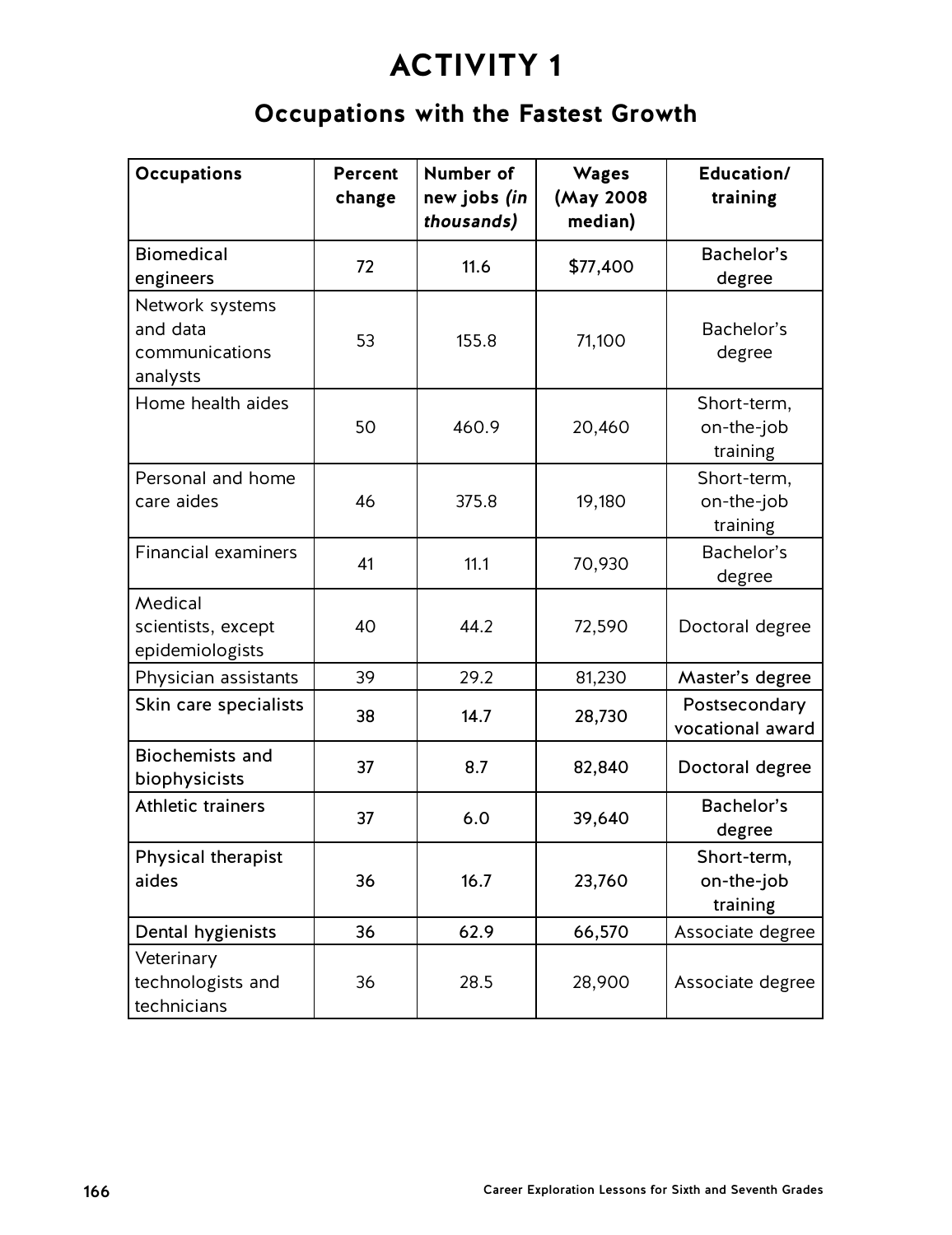## **Occupations with the Fastest Growth**

| <b>Occupations</b>                                        | <b>Percent</b><br>change | Number of<br>new jobs (in<br>thousands) | <b>Wages</b><br>(May 2008<br>median) | Education/<br>training                |
|-----------------------------------------------------------|--------------------------|-----------------------------------------|--------------------------------------|---------------------------------------|
| <b>Biomedical</b><br>engineers                            | 72                       | 11.6                                    | \$77,400                             | Bachelor's<br>degree                  |
| Network systems<br>and data<br>communications<br>analysts | 53                       | 155.8                                   | 71,100                               | Bachelor's<br>degree                  |
| Home health aides                                         | 50                       | 460.9                                   | 20,460                               | Short-term,<br>on-the-job<br>training |
| Personal and home<br>care aides                           | 46                       | 375.8                                   | 19,180                               | Short-term,<br>on-the-job<br>training |
| <b>Financial examiners</b>                                | 41                       | 11.1                                    | 70,930                               | Bachelor's<br>degree                  |
| Medical<br>scientists, except<br>epidemiologists          | 40                       | 44.2                                    | 72,590                               | Doctoral degree                       |
| Physician assistants                                      | 39                       | 29.2                                    | 81,230                               | Master's degree                       |
| Skin care specialists                                     | 38                       | 14.7                                    | 28,730                               | Postsecondary<br>vocational award     |
| <b>Biochemists and</b><br>biophysicists                   | 37                       | 8.7                                     | 82,840                               | Doctoral degree                       |
| <b>Athletic trainers</b>                                  | 37                       | 6.0                                     | 39,640                               | Bachelor's<br>degree                  |
| Physical therapist<br>aides                               | 36                       | 16.7                                    | 23,760                               | Short-term,<br>on-the-job<br>training |
| Dental hygienists                                         | 36                       | 62.9                                    | 66,570                               | Associate degree                      |
| Veterinary<br>technologists and<br>technicians            | 36                       | 28.5                                    | 28,900                               | Associate degree                      |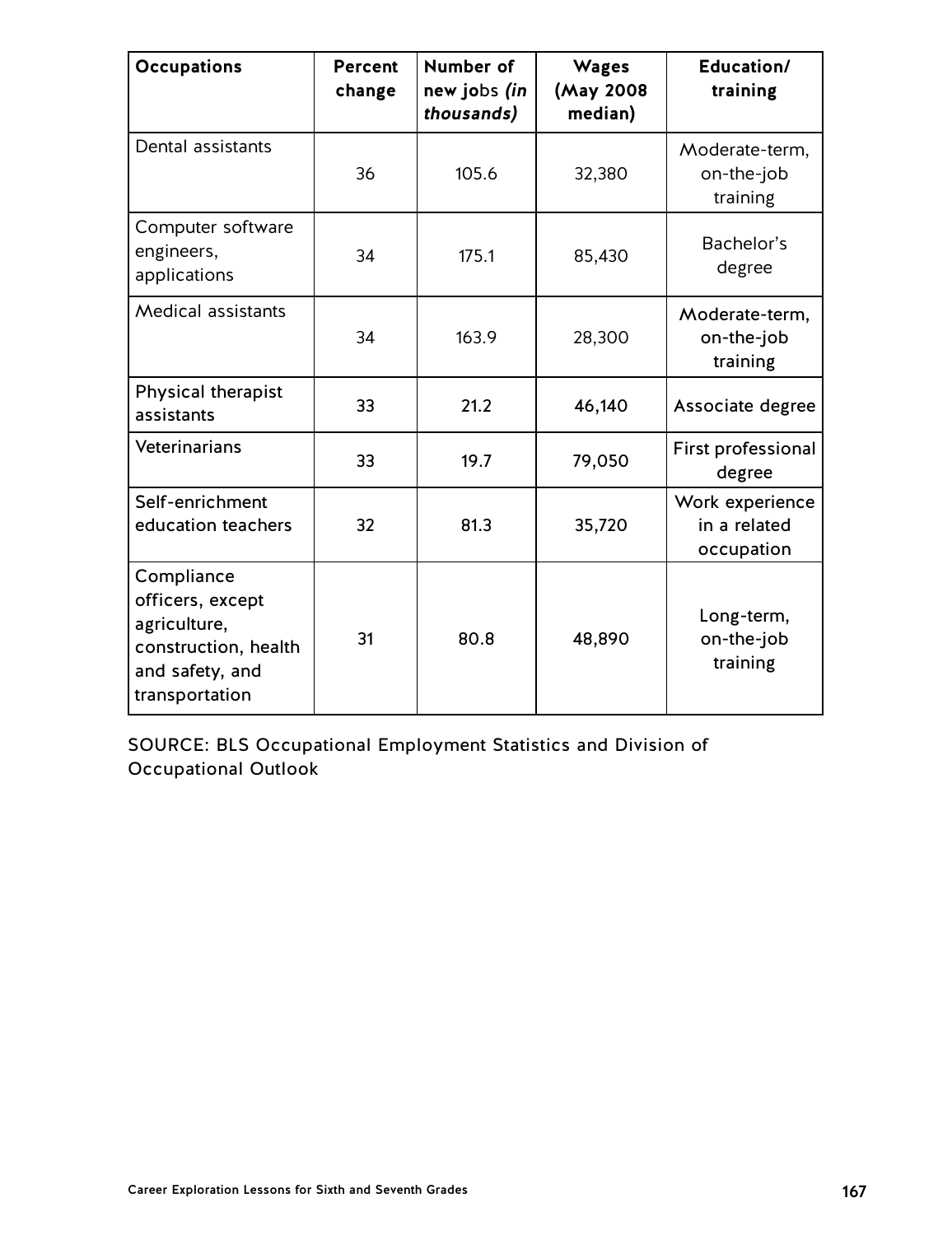| <b>Occupations</b>                                                                                          | <b>Percent</b><br>change | Number of<br>new jobs (in<br>thousands) | <b>Wages</b><br>(May 2008<br>median) | Education/<br>training                        |
|-------------------------------------------------------------------------------------------------------------|--------------------------|-----------------------------------------|--------------------------------------|-----------------------------------------------|
| Dental assistants                                                                                           | 36                       | 105.6                                   | 32,380                               | Moderate-term,<br>on-the-job<br>training      |
| Computer software<br>engineers,<br>applications                                                             | 34                       | 175.1                                   | 85,430                               | Bachelor's<br>degree                          |
| <b>Medical assistants</b>                                                                                   | 34                       | 163.9                                   | 28,300                               | Moderate-term,<br>on-the-job<br>training      |
| Physical therapist<br>assistants                                                                            | 33                       | 21.2                                    | 46,140                               | Associate degree                              |
| Veterinarians                                                                                               | 33                       | 19.7                                    | 79,050                               | <b>First professional</b><br>degree           |
| Self-enrichment<br>education teachers                                                                       | 32                       | 81.3                                    | 35,720                               | Work experience<br>in a related<br>occupation |
| Compliance<br>officers, except<br>agriculture,<br>construction, health<br>and safety, and<br>transportation | 31                       | 80.8                                    | 48,890                               | Long-term,<br>on-the-job<br>training          |

SOURCE: BLS Occupational Employment Statistics and Division of Occupational Outlook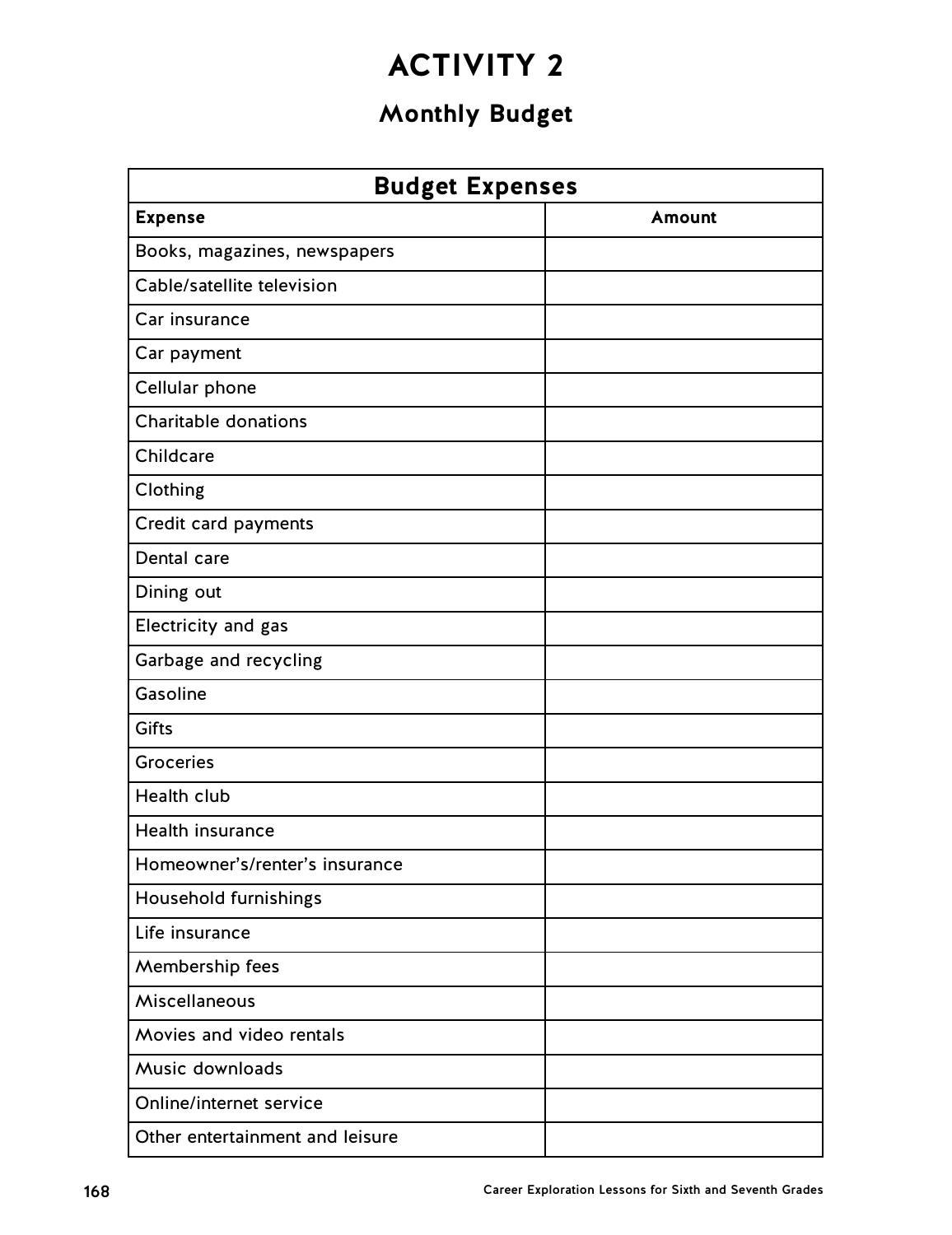## **Monthly Budget**

| <b>Budget Expenses</b>          |        |  |  |  |
|---------------------------------|--------|--|--|--|
| <b>Expense</b>                  | Amount |  |  |  |
| Books, magazines, newspapers    |        |  |  |  |
| Cable/satellite television      |        |  |  |  |
| Car insurance                   |        |  |  |  |
| Car payment                     |        |  |  |  |
| Cellular phone                  |        |  |  |  |
| <b>Charitable donations</b>     |        |  |  |  |
| Childcare                       |        |  |  |  |
| Clothing                        |        |  |  |  |
| Credit card payments            |        |  |  |  |
| Dental care                     |        |  |  |  |
| Dining out                      |        |  |  |  |
| Electricity and gas             |        |  |  |  |
| Garbage and recycling           |        |  |  |  |
| Gasoline                        |        |  |  |  |
| <b>Gifts</b>                    |        |  |  |  |
| <b>Groceries</b>                |        |  |  |  |
| <b>Health club</b>              |        |  |  |  |
| Health insurance                |        |  |  |  |
| Homeowner's/renter's insurance  |        |  |  |  |
| Household furnishings           |        |  |  |  |
| Life insurance                  |        |  |  |  |
| Membership fees                 |        |  |  |  |
| Miscellaneous                   |        |  |  |  |
| Movies and video rentals        |        |  |  |  |
| Music downloads                 |        |  |  |  |
| Online/internet service         |        |  |  |  |
| Other entertainment and leisure |        |  |  |  |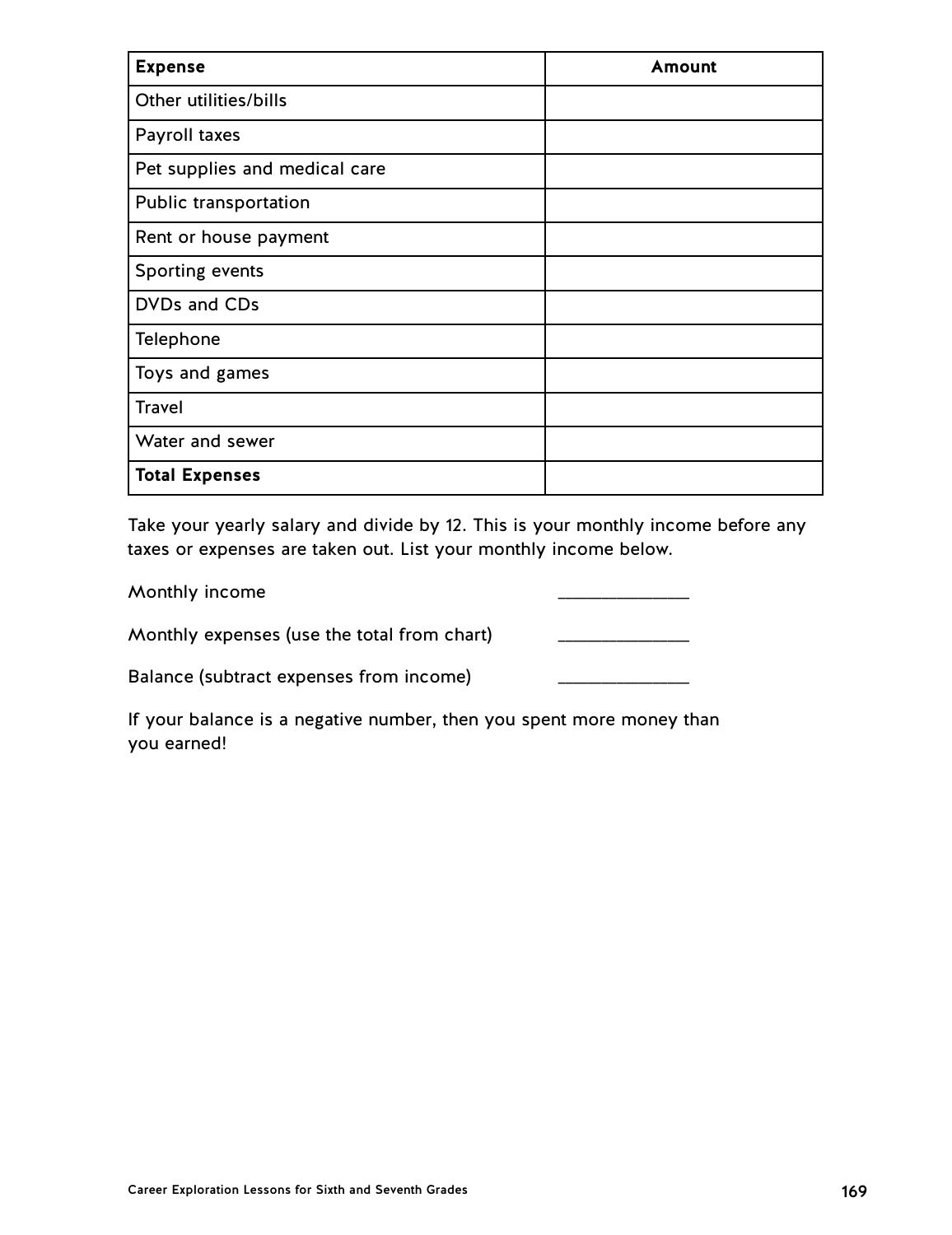| <b>Expense</b>                | Amount |
|-------------------------------|--------|
| Other utilities/bills         |        |
| Payroll taxes                 |        |
| Pet supplies and medical care |        |
| Public transportation         |        |
| Rent or house payment         |        |
| Sporting events               |        |
| DVDs and CDs                  |        |
| Telephone                     |        |
| Toys and games                |        |
| <b>Travel</b>                 |        |
| Water and sewer               |        |
| <b>Total Expenses</b>         |        |

Take your yearly salary and divide by 12. This is your monthly income before any taxes or expenses are taken out. List your monthly income below.

| Monthly income                              |  |
|---------------------------------------------|--|
| Monthly expenses (use the total from chart) |  |

Balance (subtract expenses from income)

If your balance is a negative number, then you spent more money than you earned!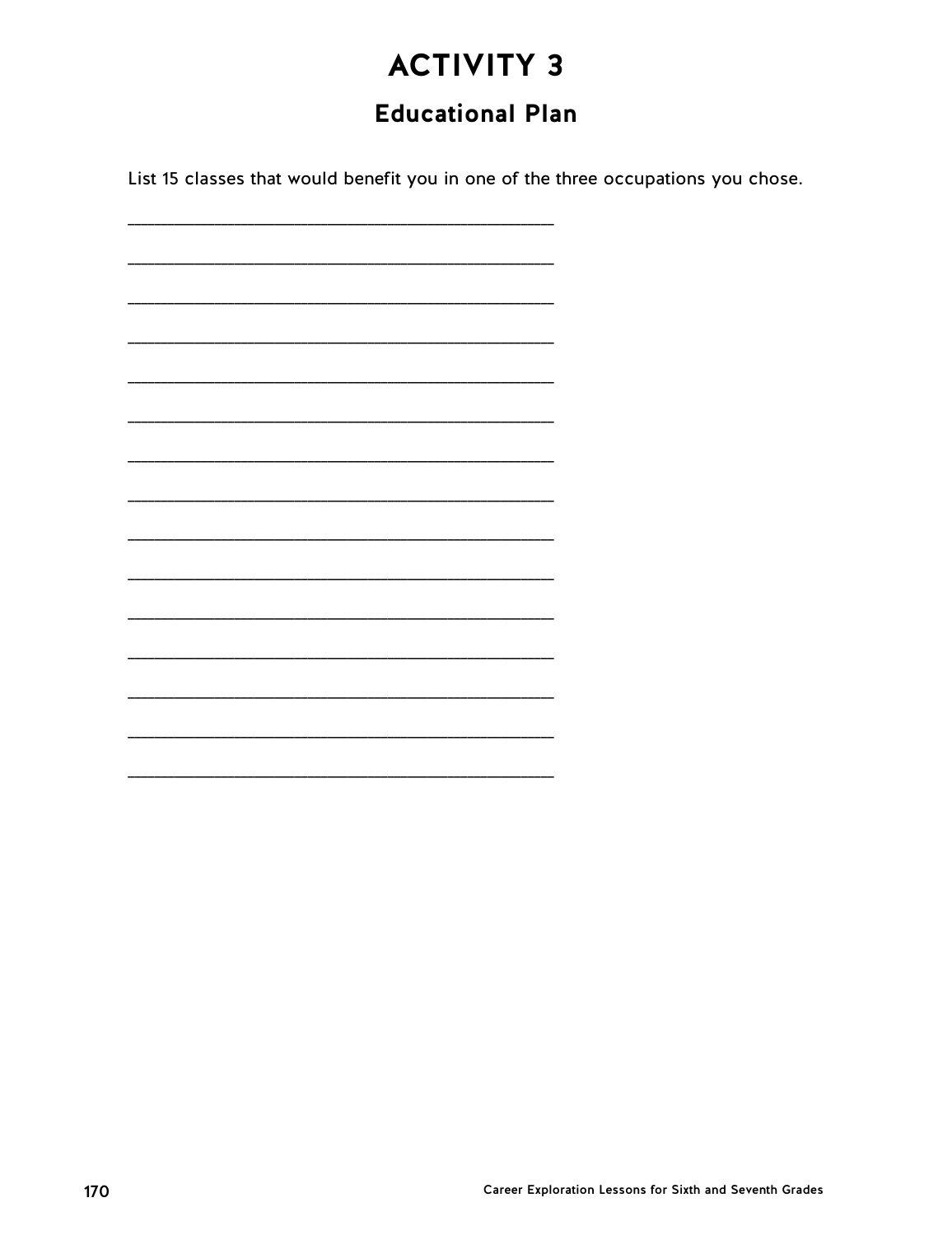## **Educational Plan**

List 15 classes that would benefit you in one of the three occupations you chose.

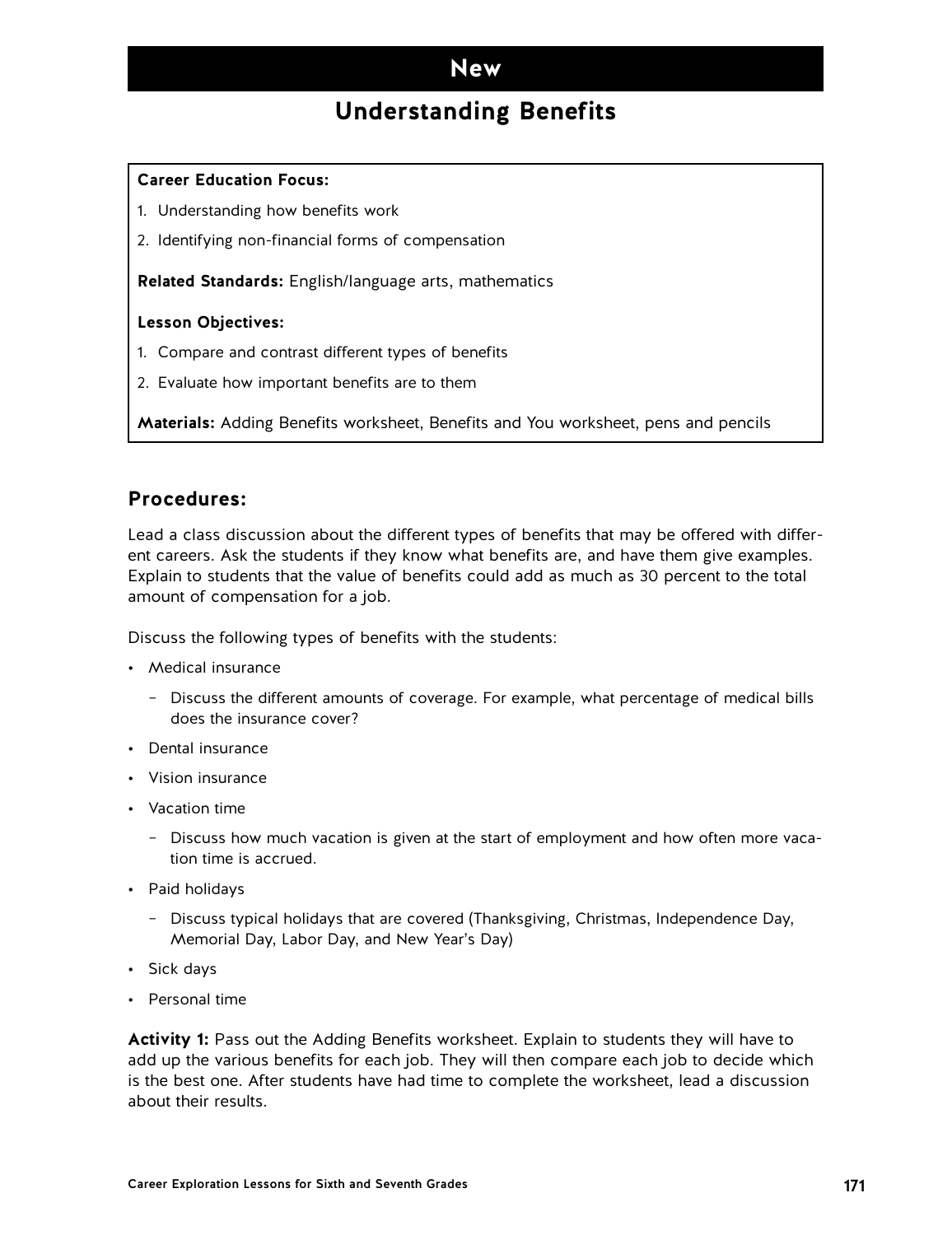### **New**

## **Understanding Benefits**

#### **Career Education Focus:**

- 1. Understanding how benefits work
- 2. Identifying non-financial forms of compensation

**Related Standards:** English/language arts, mathematics

#### **Lesson Objectives:**

- 1. Compare and contrast different types of benefits
- 2. Evaluate how important benefits are to them

**Materials:** Adding Benefits worksheet, Benefits and You worksheet, pens and pencils

#### **Procedures:**

Lead a class discussion about the different types of benefits that may be offered with different careers. Ask the students if they know what benefits are, and have them give examples. Explain to students that the value of benefits could add as much as 30 percent to the total amount of compensation for a job.

Discuss the following types of benefits with the students:

- Medical insurance
	- Discuss the different amounts of coverage. For example, what percentage of medical bills does the insurance cover?
- Dental insurance
- Vision insurance
- Vacation time
	- Discuss how much vacation is given at the start of employment and how often more vacation time is accrued.
- Paid holidays
	- Discuss typical holidays that are covered (Thanksgiving, Christmas, Independence Day, Memorial Day, Labor Day, and New Year's Day)
- Sick days
- Personal time

**Activity 1:** Pass out the Adding Benefits worksheet. Explain to students they will have to add up the various benefits for each job. They will then compare each job to decide which is the best one. After students have had time to complete the worksheet, lead a discussion about their results.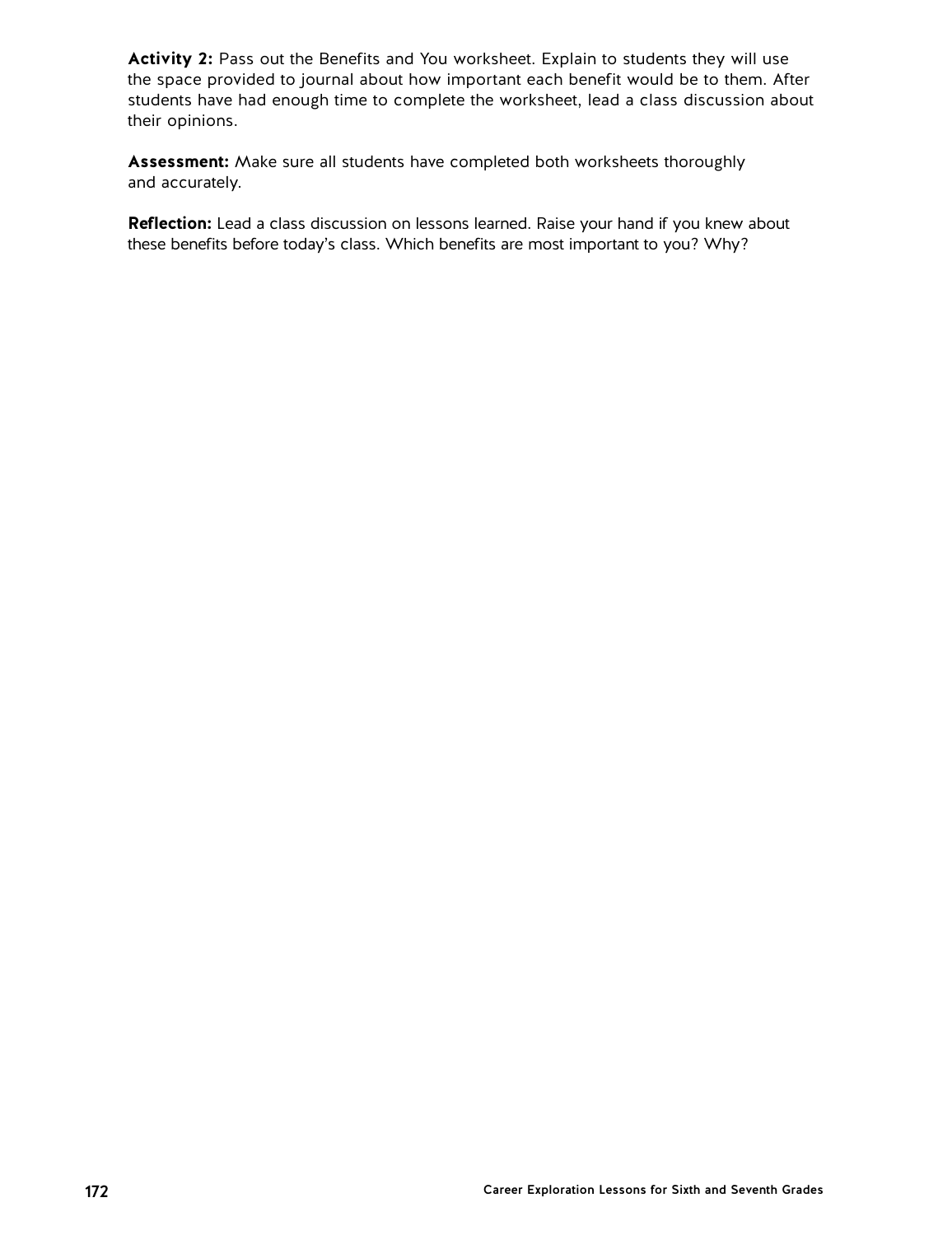**Activity 2:** Pass out the Benefits and You worksheet. Explain to students they will use the space provided to journal about how important each benefit would be to them. After students have had enough time to complete the worksheet, lead a class discussion about their opinions.

**Assessment:** Make sure all students have completed both worksheets thoroughly and accurately.

**Reflection:** Lead a class discussion on lessons learned. Raise your hand if you knew about these benefits before today's class. Which benefits are most important to you? Why?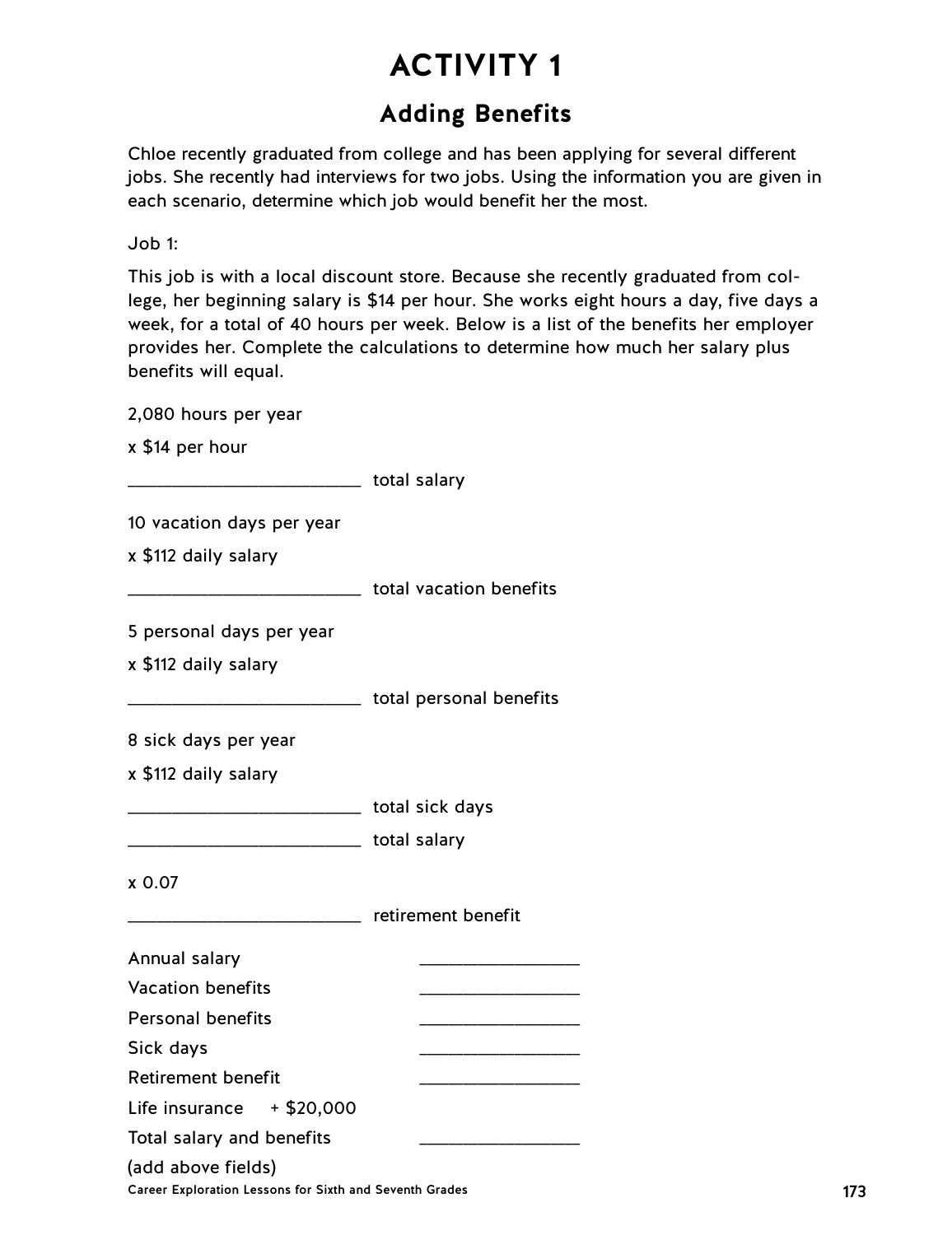## **Adding Benefits**

Chloe recently graduated from college and has been applying for several different jobs. She recently had interviews for two jobs. Using the information you are given in each scenario, determine which job would benefit her the most.

Job 1:

This job is with a local discount store. Because she recently graduated from college, her beginning salary is \$14 per hour. She works eight hours a day, five days a week, for a total of 40 hours per week. Below is a list of the benefits her employer provides her. Complete the calculations to determine how much her salary plus benefits will equal.

| 2,080 hours per year                                                          |                                                    |     |
|-------------------------------------------------------------------------------|----------------------------------------------------|-----|
| x \$14 per hour                                                               |                                                    |     |
| _________________________________ total salary                                |                                                    |     |
| 10 vacation days per year                                                     |                                                    |     |
| x \$112 daily salary                                                          |                                                    |     |
|                                                                               |                                                    |     |
| 5 personal days per year                                                      |                                                    |     |
| x \$112 daily salary                                                          |                                                    |     |
|                                                                               | __________________________ total personal benefits |     |
| 8 sick days per year                                                          |                                                    |     |
| x \$112 daily salary                                                          |                                                    |     |
| _________________________________ total sick days                             |                                                    |     |
|                                                                               |                                                    |     |
|                                                                               |                                                    |     |
| x 0.07                                                                        |                                                    |     |
| ________________________ retirement benefit                                   |                                                    |     |
| Annual salary                                                                 |                                                    |     |
| <b>Vacation benefits</b>                                                      |                                                    |     |
| <b>Personal benefits</b>                                                      |                                                    |     |
| Sick days                                                                     | _____________________________                      |     |
| <b>Retirement benefit</b>                                                     |                                                    |     |
| Life insurance<br>$+$ \$20,000                                                |                                                    |     |
| Total salary and benefits                                                     |                                                    |     |
| (add above fields)<br>Career Exploration Lessons for Sixth and Seventh Grades |                                                    | 173 |
|                                                                               |                                                    |     |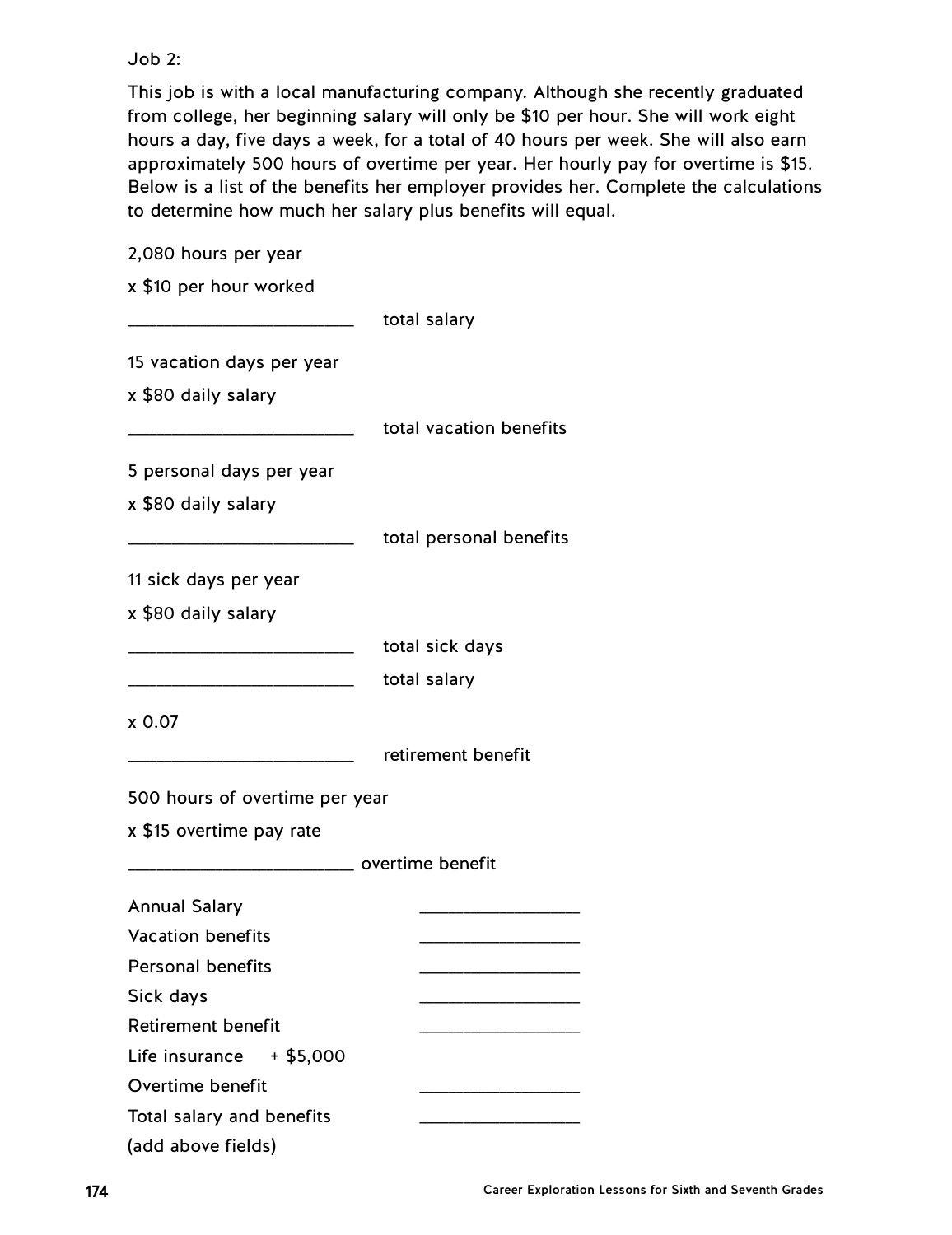#### Job 2:

This job is with a local manufacturing company. Although she recently graduated from college, her beginning salary will only be \$10 per hour. She will work eight hours a day, five days a week, for a total of 40 hours per week. She will also earn approximately 500 hours of overtime per year. Her hourly pay for overtime is \$15. Below is a list of the benefits her employer provides her. Complete the calculations to determine how much her salary plus benefits will equal.

2,080 hours per year x \$10 per hour worked \_\_\_\_\_\_\_\_\_\_\_\_\_\_\_\_\_\_\_\_\_\_\_\_\_\_\_\_\_\_\_ total salary 15 vacation days per year x \$80 daily salary total vacation benefits 5 personal days per year x \$80 daily salary total personal benefits 11 sick days per year x \$80 daily salary \_\_\_\_\_\_\_\_\_\_\_\_\_\_\_\_\_\_\_\_\_\_\_\_\_\_\_\_\_\_\_ total sick days total salary x 0.07 \_\_\_\_\_\_\_\_\_\_\_\_\_\_\_\_\_\_\_\_\_\_\_\_\_\_\_\_\_\_\_ retirement benefit 500 hours of overtime per year x \$15 overtime pay rate \_\_\_\_\_\_\_\_\_\_\_\_\_\_\_\_\_\_\_\_\_\_\_\_\_\_\_\_\_\_\_ overtime benefit Annual Salary \_\_\_\_\_\_\_\_\_\_\_\_\_\_\_\_\_\_\_\_\_\_ Vacation benefits \_\_\_\_\_\_\_\_\_\_\_\_\_\_\_\_\_\_\_\_\_\_ Personal benefits \_\_\_\_\_\_\_\_\_\_\_\_\_\_\_\_\_\_\_\_\_\_ Sick days Retirement benefit \_\_\_\_\_\_\_\_\_\_\_\_\_\_\_\_\_\_\_\_\_\_ Life insurance  $+ $5,000$ Overtime benefit \_\_\_\_\_\_\_\_\_\_\_\_\_\_\_\_\_\_\_\_\_\_ Total salary and benefits (add above fields)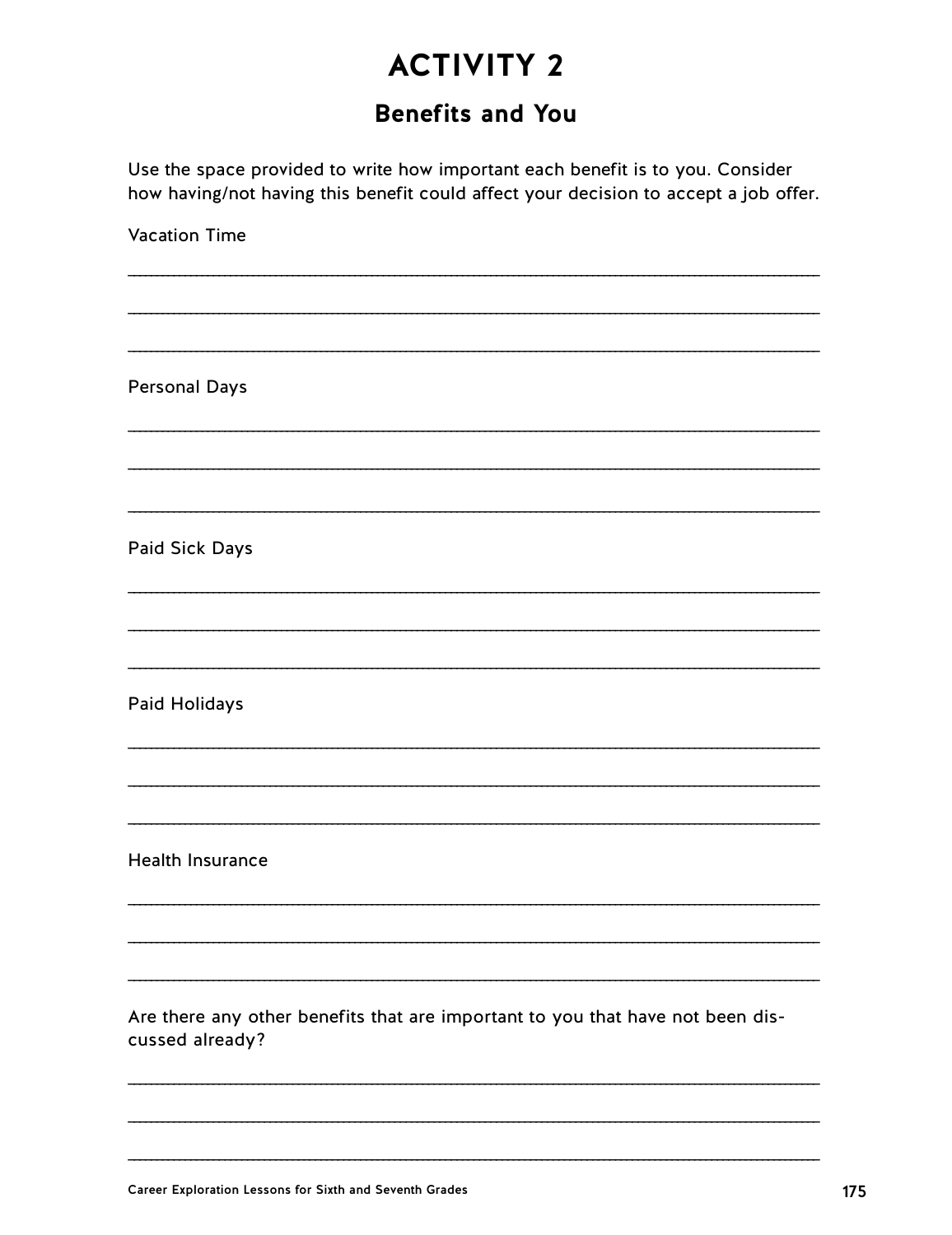## **Benefits and You**

Use the space provided to write how important each benefit is to you. Consider how having/not having this benefit could affect your decision to accept a job offer.

**Vacation Time Personal Days** Paid Sick Days Paid Holidays **Health Insurance** Are there any other benefits that are important to you that have not been discussed already?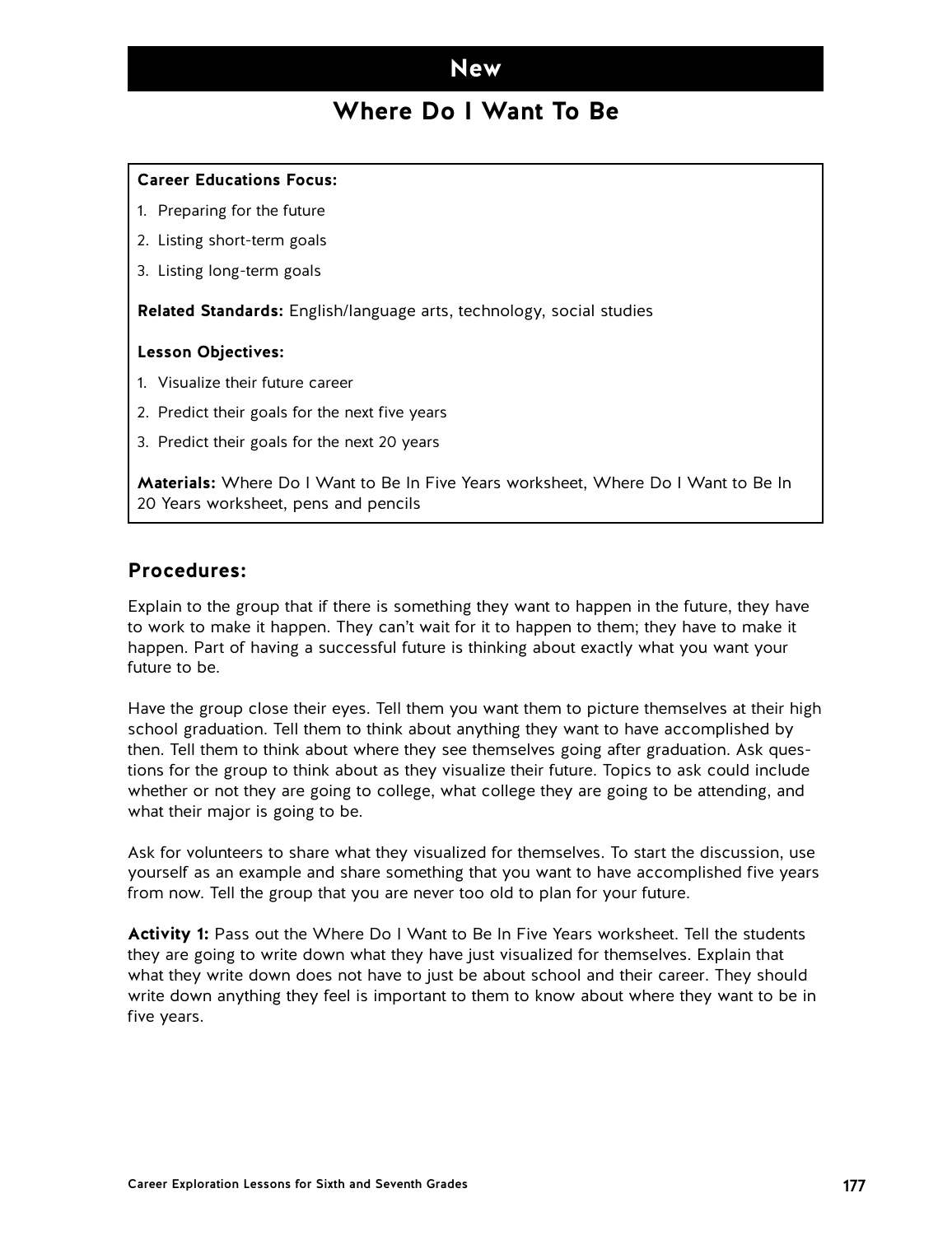### **New**

## **Where Do I Want To Be**

#### **Career Educations Focus:**

- 1. Preparing for the future
- 2. Listing short-term goals
- 3. Listing long-term goals

**Related Standards:** English/language arts, technology, social studies

#### **Lesson Objectives:**

- 1. Visualize their future career
- 2. Predict their goals for the next five years
- 3. Predict their goals for the next 20 years

**Materials:** Where Do I Want to Be In Five Years worksheet, Where Do I Want to Be In 20 Years worksheet, pens and pencils

#### **Procedures:**

Explain to the group that if there is something they want to happen in the future, they have to work to make it happen. They can't wait for it to happen to them; they have to make it happen. Part of having a successful future is thinking about exactly what you want your future to be.

Have the group close their eyes. Tell them you want them to picture themselves at their high school graduation. Tell them to think about anything they want to have accomplished by then. Tell them to think about where they see themselves going after graduation. Ask questions for the group to think about as they visualize their future. Topics to ask could include whether or not they are going to college, what college they are going to be attending, and what their major is going to be.

Ask for volunteers to share what they visualized for themselves. To start the discussion, use yourself as an example and share something that you want to have accomplished five years from now. Tell the group that you are never too old to plan for your future.

**Activity 1:** Pass out the Where Do I Want to Be In Five Years worksheet. Tell the students they are going to write down what they have just visualized for themselves. Explain that what they write down does not have to just be about school and their career. They should write down anything they feel is important to them to know about where they want to be in five years.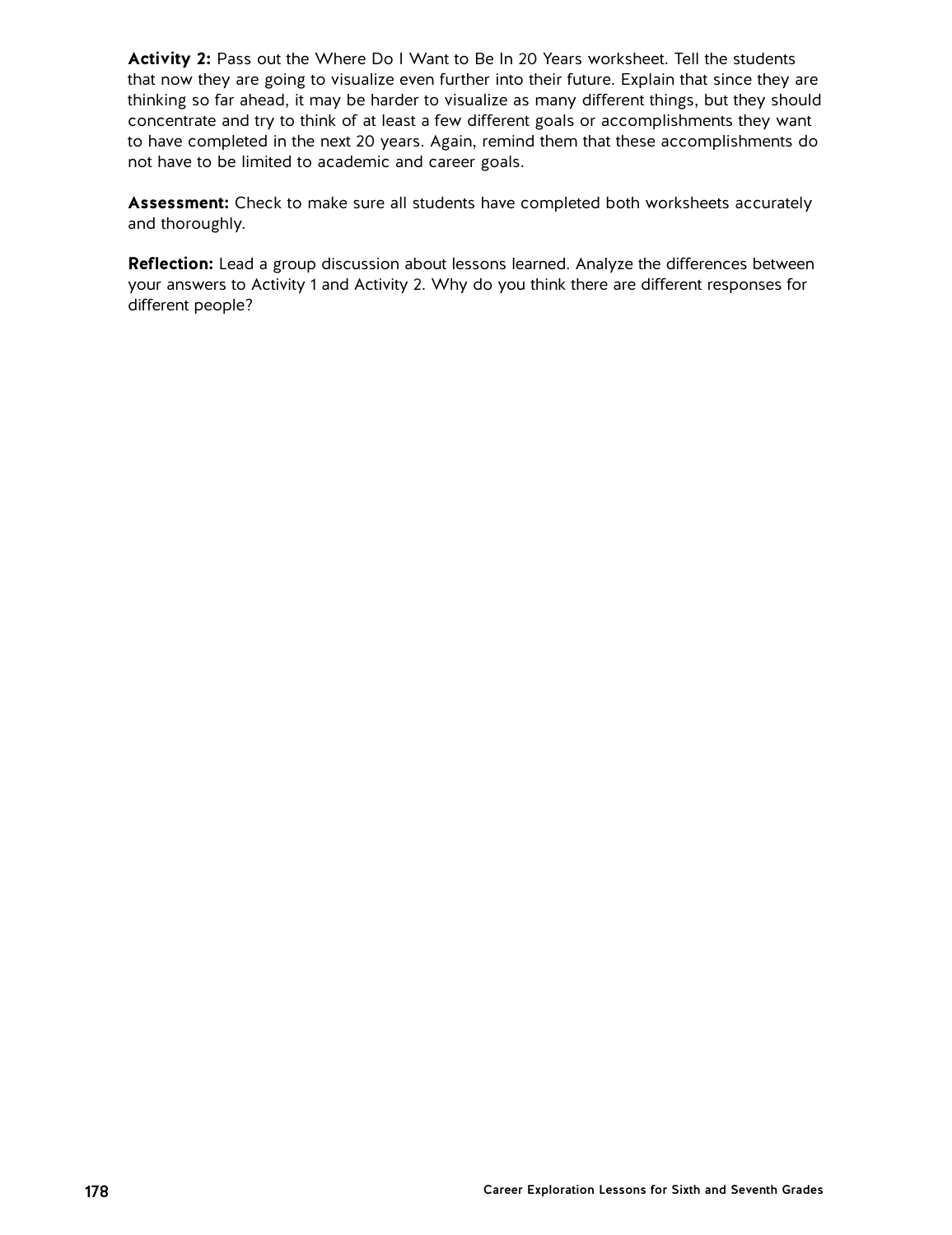**Activity 2:** Pass out the Where Do I Want to Be In 20 Years worksheet. Tell the students that now they are going to visualize even further into their future. Explain that since they are thinking so far ahead, it may be harder to visualize as many different things, but they should concentrate and try to think of at least a few different goals or accomplishments they want to have completed in the next 20 years. Again, remind them that these accomplishments do not have to be limited to academic and career goals.

**Assessment:** Check to make sure all students have completed both worksheets accurately and thoroughly.

**Reflection:** Lead a group discussion about lessons learned. Analyze the differences between your answers to Activity 1 and Activity 2. Why do you think there are different responses for different people?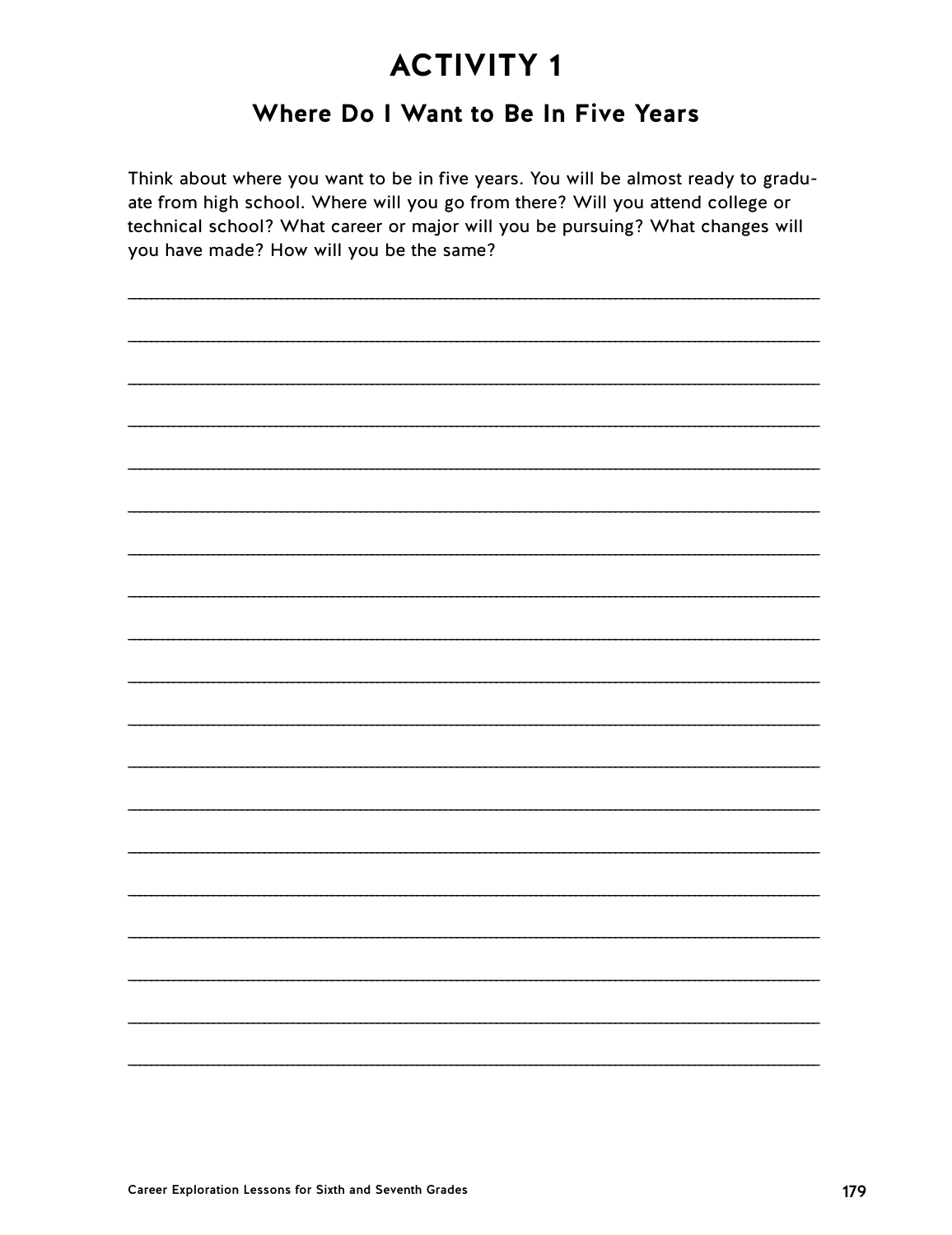## Where Do I Want to Be In Five Years

Think about where you want to be in five years. You will be almost ready to graduate from high school. Where will you go from there? Will you attend college or technical school? What career or major will you be pursuing? What changes will you have made? How will you be the same?

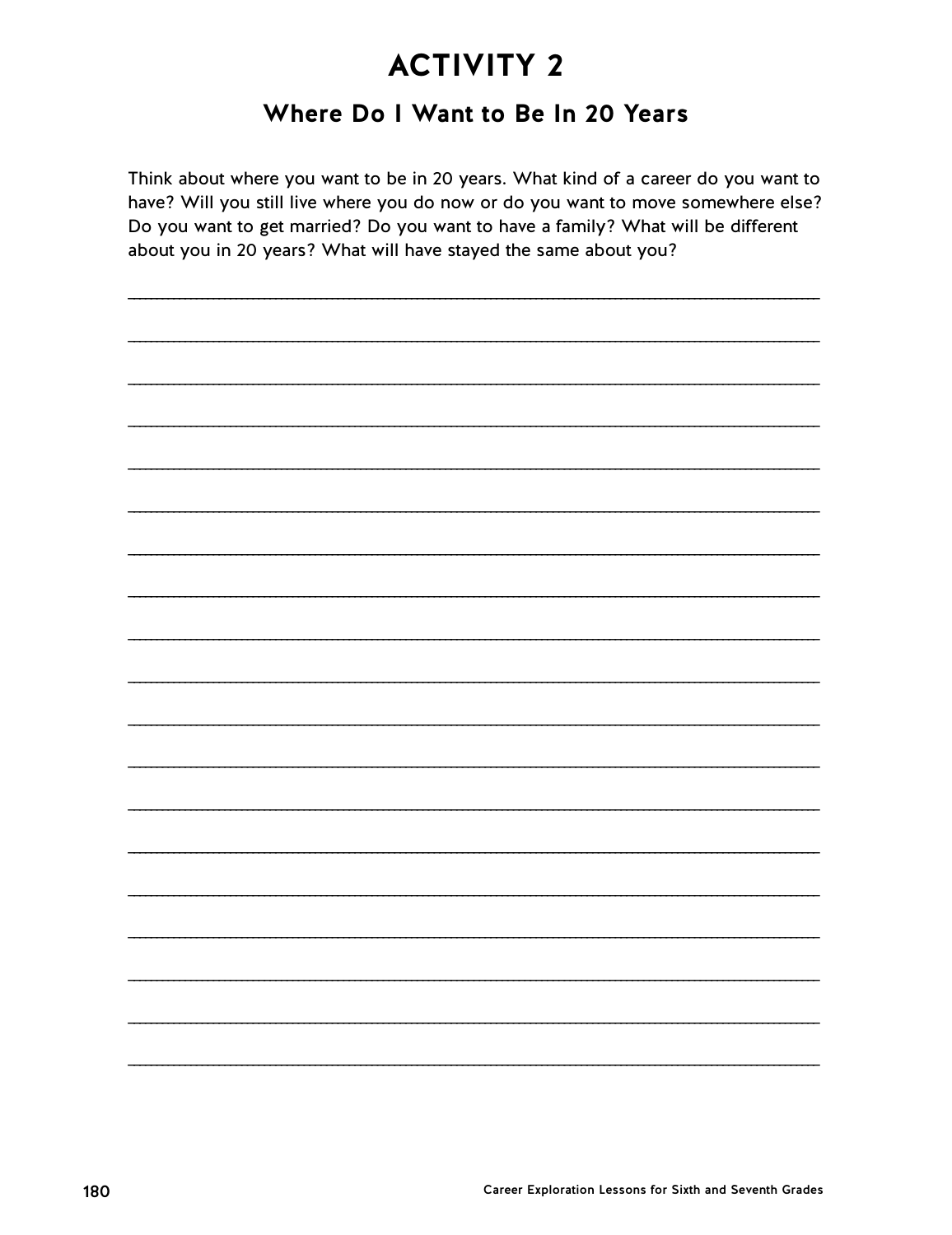## Where Do I Want to Be In 20 Years

Think about where you want to be in 20 years. What kind of a career do you want to have? Will you still live where you do now or do you want to move somewhere else? Do you want to get married? Do you want to have a family? What will be different about you in 20 years? What will have stayed the same about you?

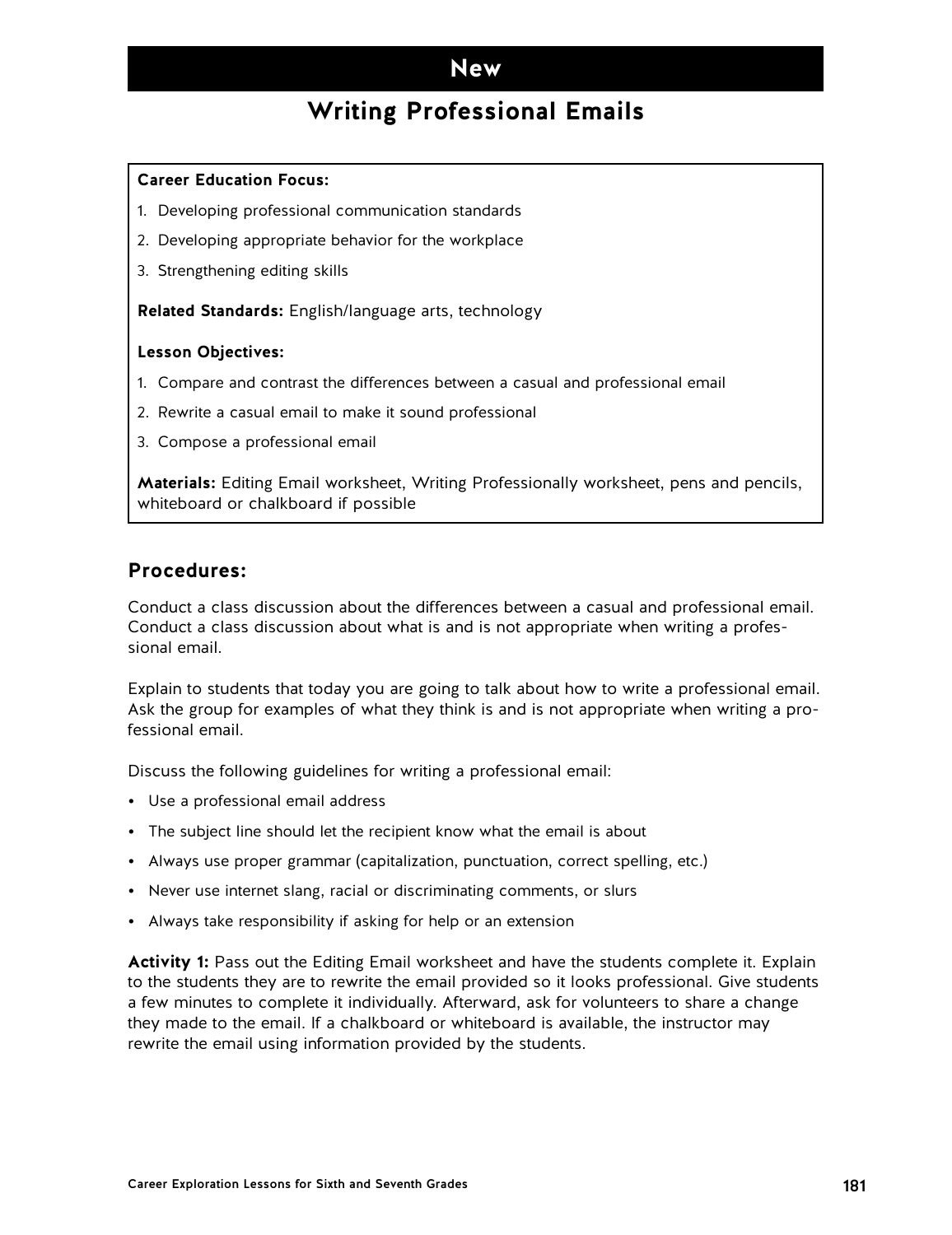### **New**

### **Writing Professional Emails**

#### **Career Education Focus:**

- 1. Developing professional communication standards
- 2. Developing appropriate behavior for the workplace
- 3. Strengthening editing skills

**Related Standards:** English/language arts, technology

#### **Lesson Objectives:**

- 1. Compare and contrast the differences between a casual and professional email
- 2. Rewrite a casual email to make it sound professional
- 3. Compose a professional email

**Materials:** Editing Email worksheet, Writing Professionally worksheet, pens and pencils, whiteboard or chalkboard if possible

### **Procedures:**

Conduct a class discussion about the differences between a casual and professional email. Conduct a class discussion about what is and is not appropriate when writing a professional email.

Explain to students that today you are going to talk about how to write a professional email. Ask the group for examples of what they think is and is not appropriate when writing a professional email.

Discuss the following guidelines for writing a professional email:

- Use a professional email address
- The subject line should let the recipient know what the email is about
- Always use proper grammar (capitalization, punctuation, correct spelling, etc.)
- Never use internet slang, racial or discriminating comments, or slurs
- Always take responsibility if asking for help or an extension

**Activity 1:** Pass out the Editing Email worksheet and have the students complete it. Explain to the students they are to rewrite the email provided so it looks professional. Give students a few minutes to complete it individually. Afterward, ask for volunteers to share a change they made to the email. If a chalkboard or whiteboard is available, the instructor may rewrite the email using information provided by the students.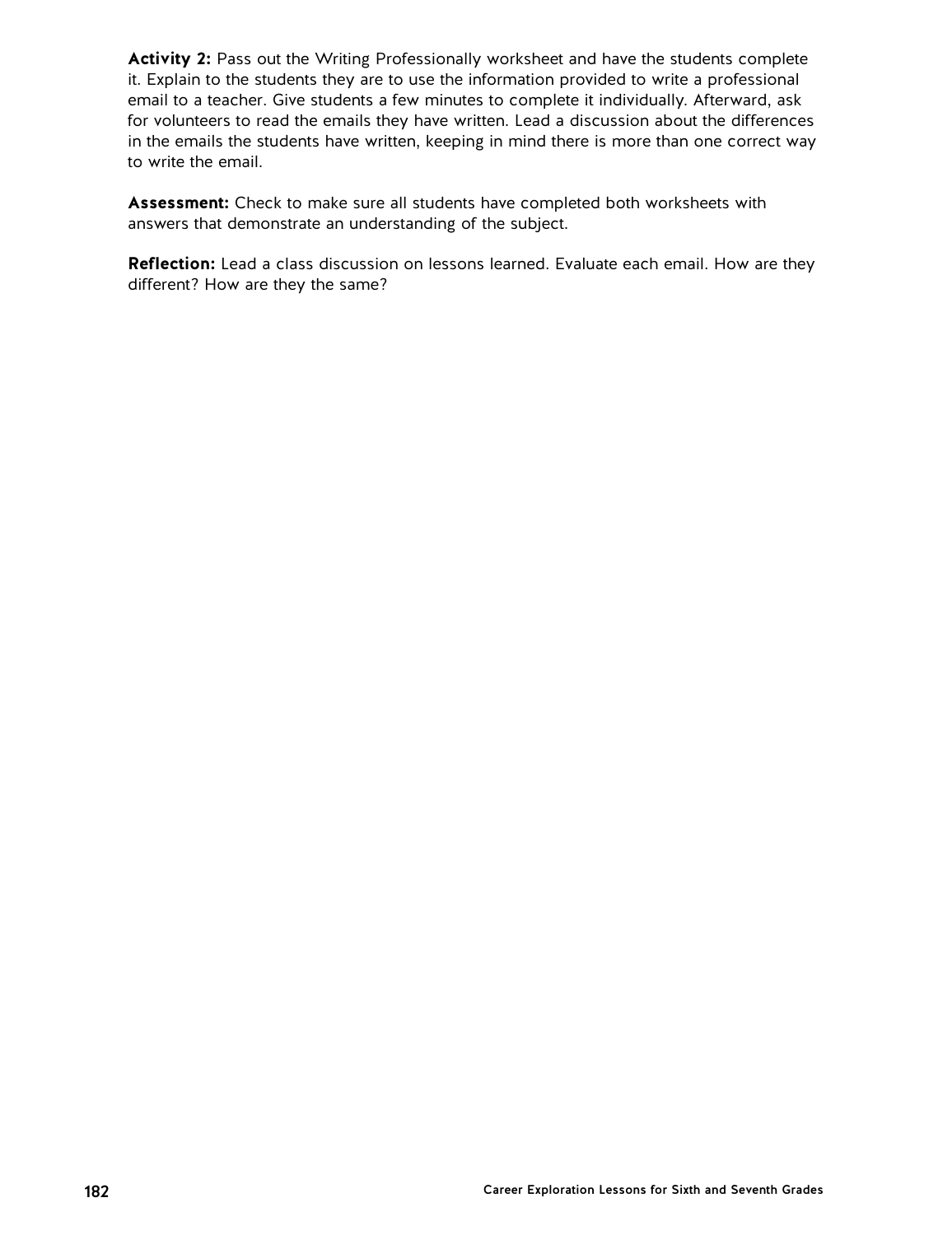**Activity 2:** Pass out the Writing Professionally worksheet and have the students complete it. Explain to the students they are to use the information provided to write a professional email to a teacher. Give students a few minutes to complete it individually. Afterward, ask for volunteers to read the emails they have written. Lead a discussion about the differences in the emails the students have written, keeping in mind there is more than one correct way to write the email.

**Assessment:** Check to make sure all students have completed both worksheets with answers that demonstrate an understanding of the subject.

**Reflection:** Lead a class discussion on lessons learned. Evaluate each email. How are they different? How are they the same?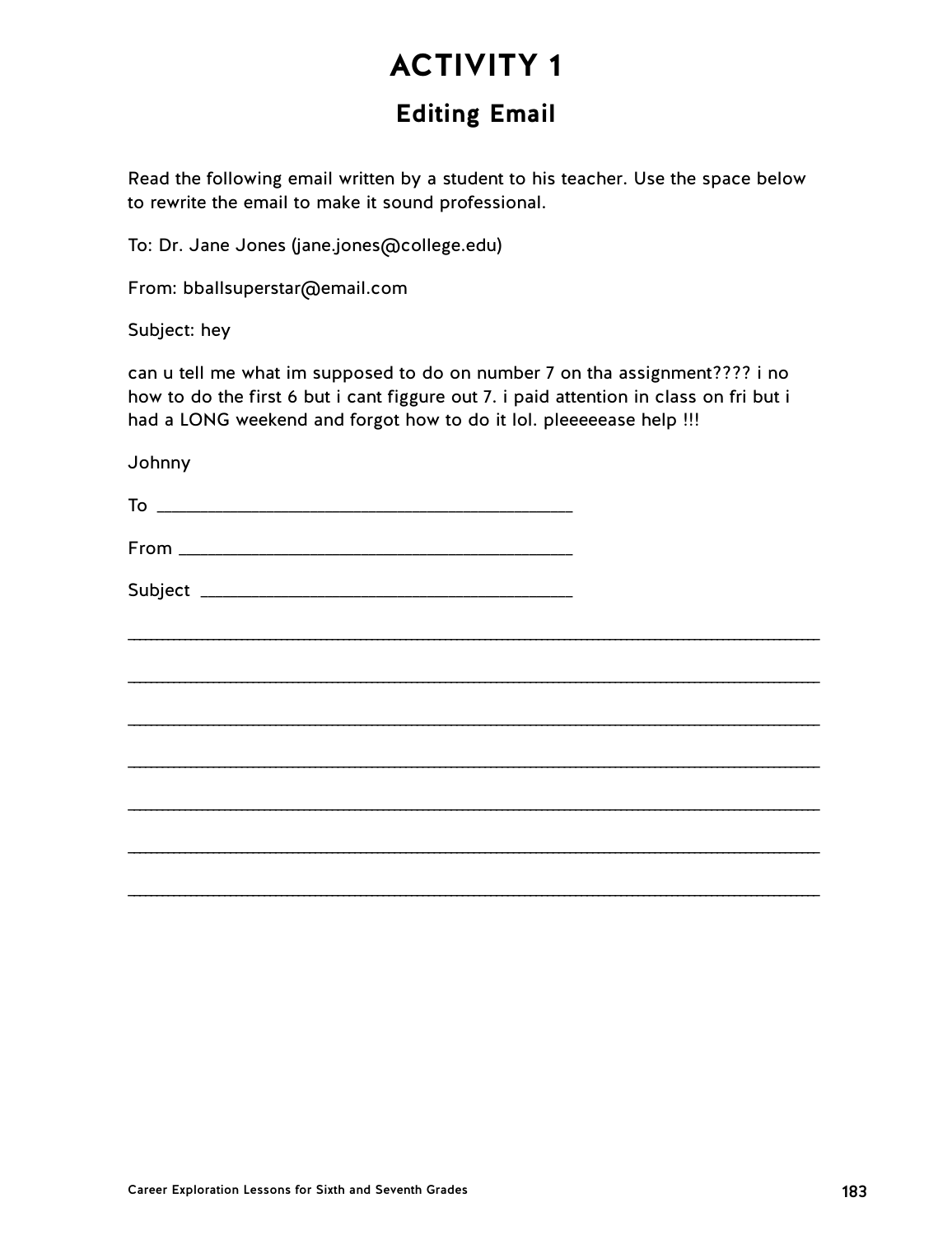## **Editing Email**

Read the following email written by a student to his teacher. Use the space below to rewrite the email to make it sound professional.

To: Dr. Jane Jones (jane.jones@college.edu)

From: bballsuperstar@email.com

Subject: hey

can u tell me what im supposed to do on number 7 on tha assignment???? i no how to do the first 6 but i cant figgure out 7. i paid attention in class on fri but i had a LONG weekend and forgot how to do it lol. pleeeeease help !!!

Johnny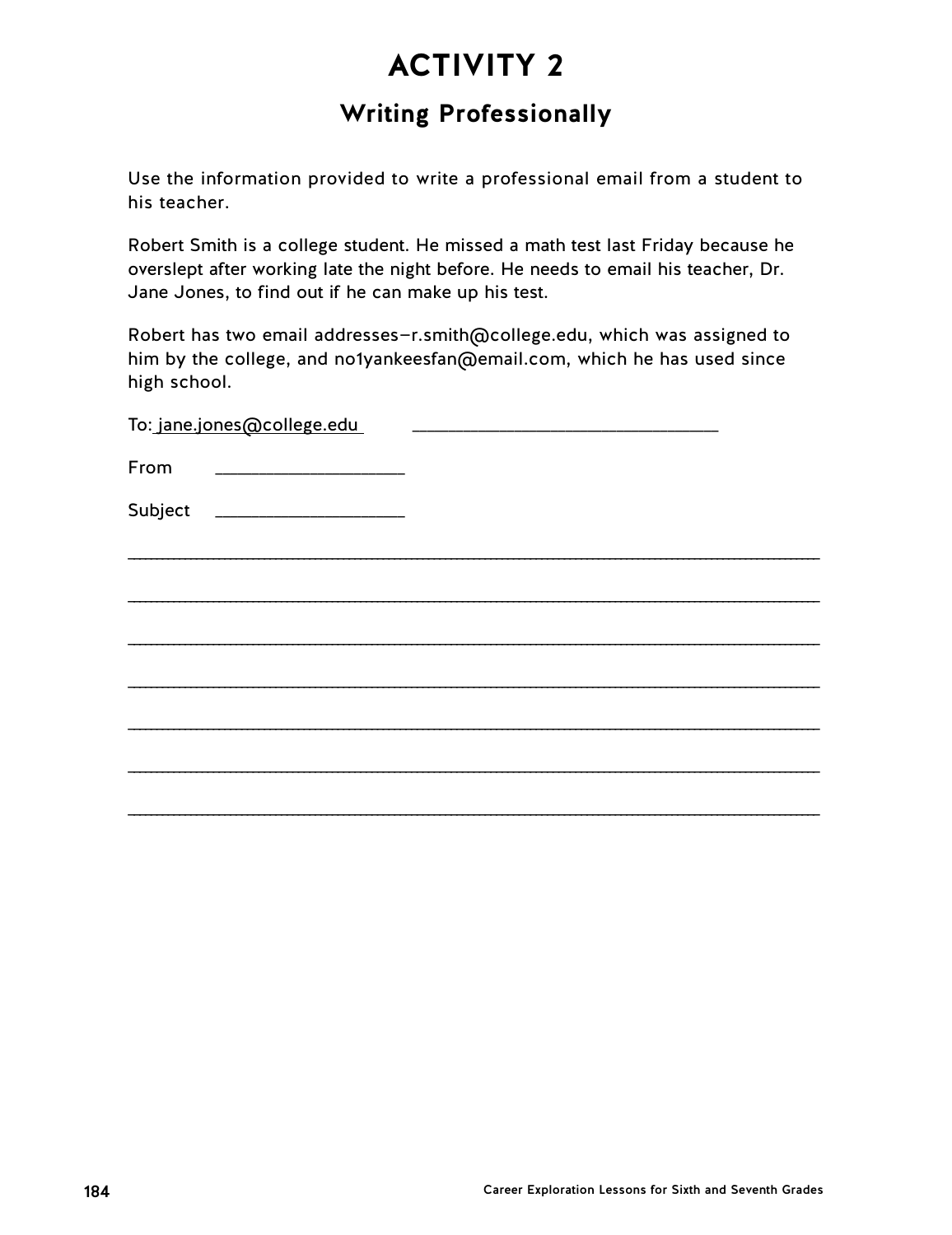### **Writing Professionally**

Use the information provided to write a professional email from a student to his teacher.

Robert Smith is a college student. He missed a math test last Friday because he overslept after working late the night before. He needs to email his teacher, Dr. Jane Jones, to find out if he can make up his test.

Robert has two email addresses—r.smith@college.edu, which was assigned to him by the college, and no1yankeesfan@email.com, which he has used since high school.

| To: jane.jones@college.edu |  |
|----------------------------|--|
| From                       |  |
| Subject                    |  |
|                            |  |
|                            |  |
|                            |  |
|                            |  |
|                            |  |
|                            |  |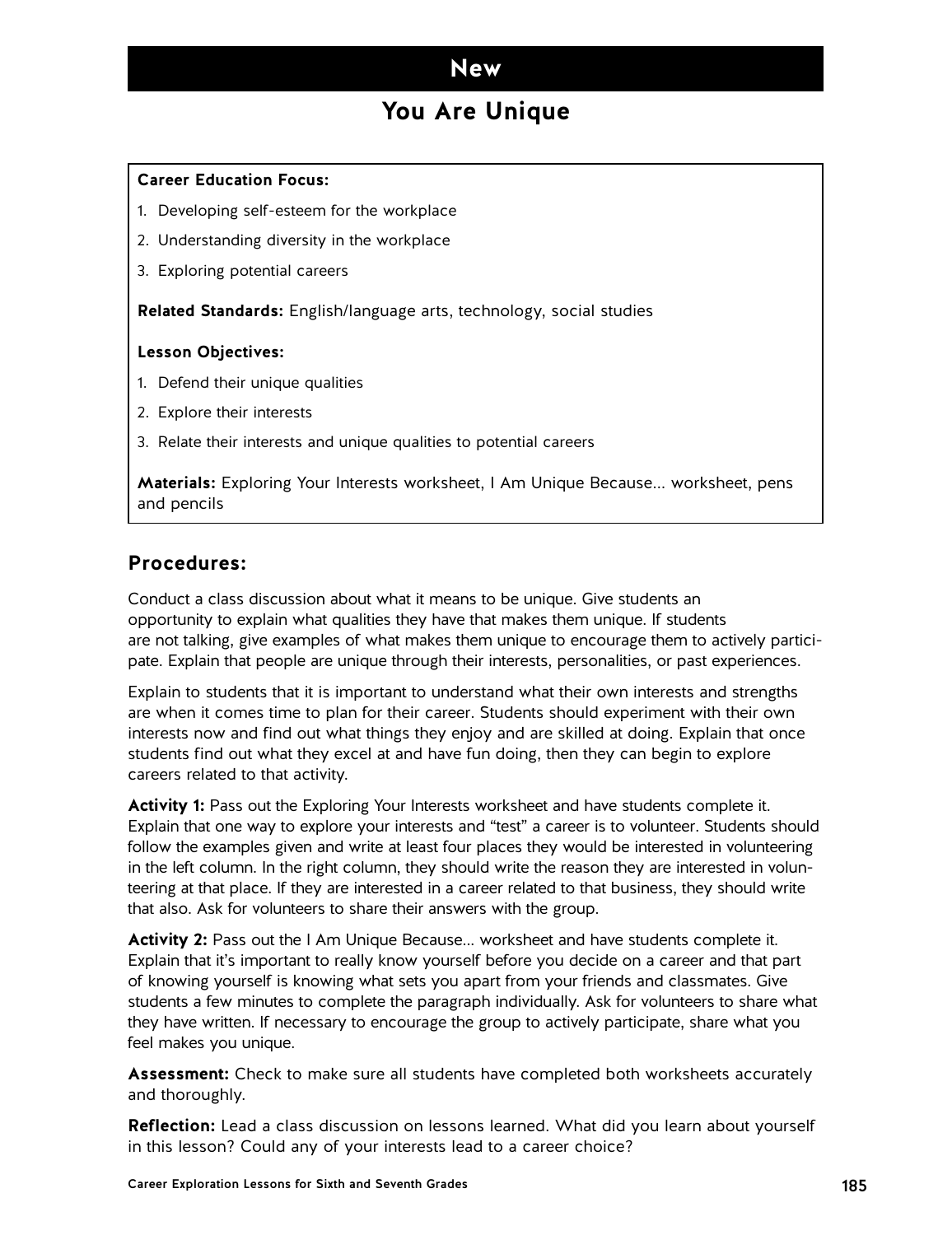### **New**

### **You Are Unique**

#### **Career Education Focus:**

- 1. Developing self-esteem for the workplace
- 2. Understanding diversity in the workplace
- 3. Exploring potential careers

**Related Standards:** English/language arts, technology, social studies

#### **Lesson Objectives:**

- 1. Defend their unique qualities
- 2. Explore their interests
- 3. Relate their interests and unique qualities to potential careers

**Materials:** Exploring Your Interests worksheet, I Am Unique Because... worksheet, pens and pencils

#### **Procedures:**

Conduct a class discussion about what it means to be unique. Give students an opportunity to explain what qualities they have that makes them unique. If students are not talking, give examples of what makes them unique to encourage them to actively participate. Explain that people are unique through their interests, personalities, or past experiences.

Explain to students that it is important to understand what their own interests and strengths are when it comes time to plan for their career. Students should experiment with their own interests now and find out what things they enjoy and are skilled at doing. Explain that once students find out what they excel at and have fun doing, then they can begin to explore careers related to that activity.

**Activity 1:** Pass out the Exploring Your Interests worksheet and have students complete it. Explain that one way to explore your interests and "test" a career is to volunteer. Students should follow the examples given and write at least four places they would be interested in volunteering in the left column. In the right column, they should write the reason they are interested in volunteering at that place. If they are interested in a career related to that business, they should write that also. Ask for volunteers to share their answers with the group.

**Activity 2:** Pass out the I Am Unique Because... worksheet and have students complete it. Explain that it's important to really know yourself before you decide on a career and that part of knowing yourself is knowing what sets you apart from your friends and classmates. Give students a few minutes to complete the paragraph individually. Ask for volunteers to share what they have written. If necessary to encourage the group to actively participate, share what you feel makes you unique.

**Assessment:** Check to make sure all students have completed both worksheets accurately and thoroughly.

**Reflection:** Lead a class discussion on lessons learned. What did you learn about yourself in this lesson? Could any of your interests lead to a career choice?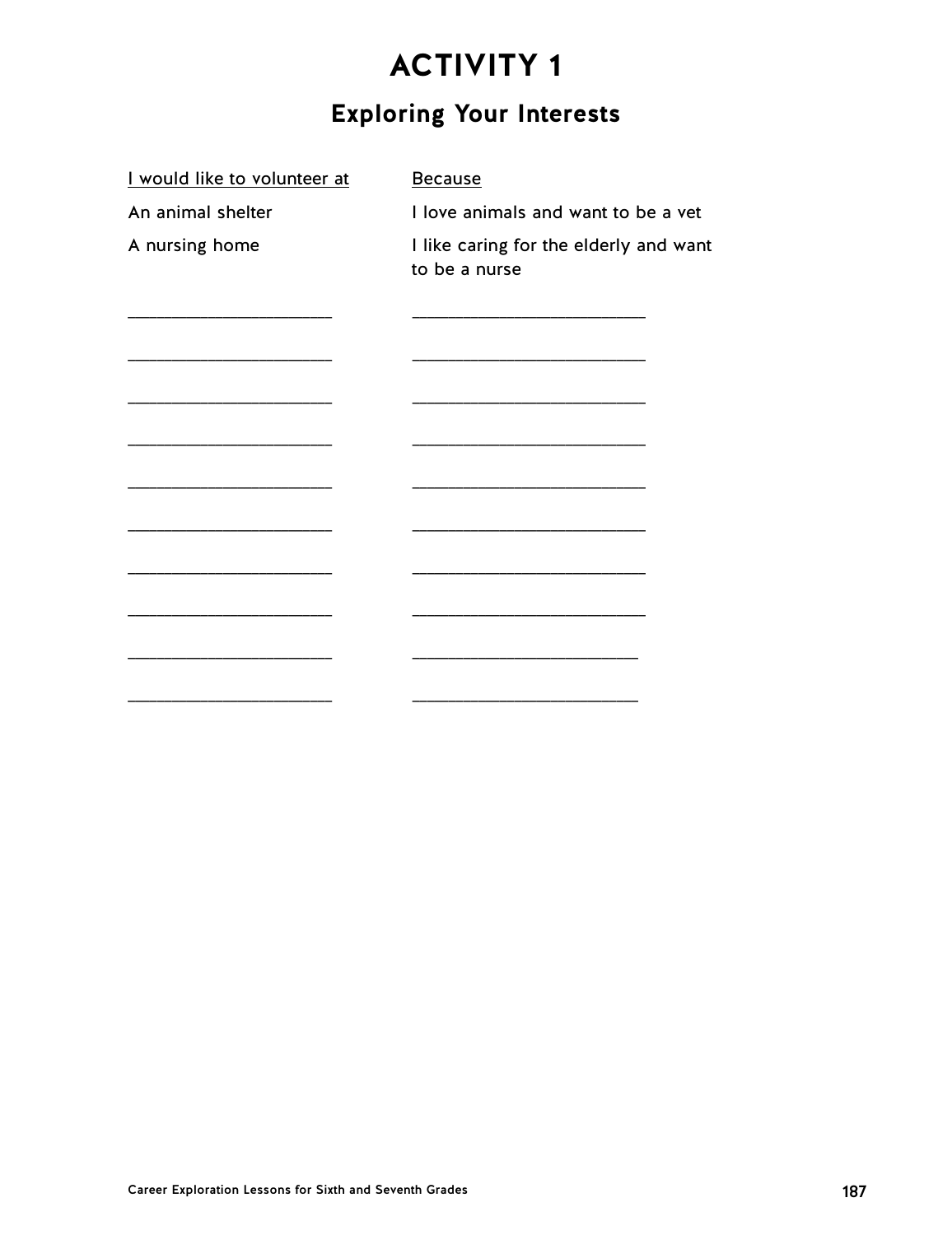## **Exploring Your Interests**

| I would like to volunteer at | <b>Because</b>                                          |
|------------------------------|---------------------------------------------------------|
| An animal shelter            | I love animals and want to be a vet                     |
| A nursing home               | I like caring for the elderly and want<br>to be a nurse |
|                              |                                                         |
|                              |                                                         |
|                              |                                                         |
|                              |                                                         |
|                              |                                                         |
|                              |                                                         |
|                              |                                                         |
|                              |                                                         |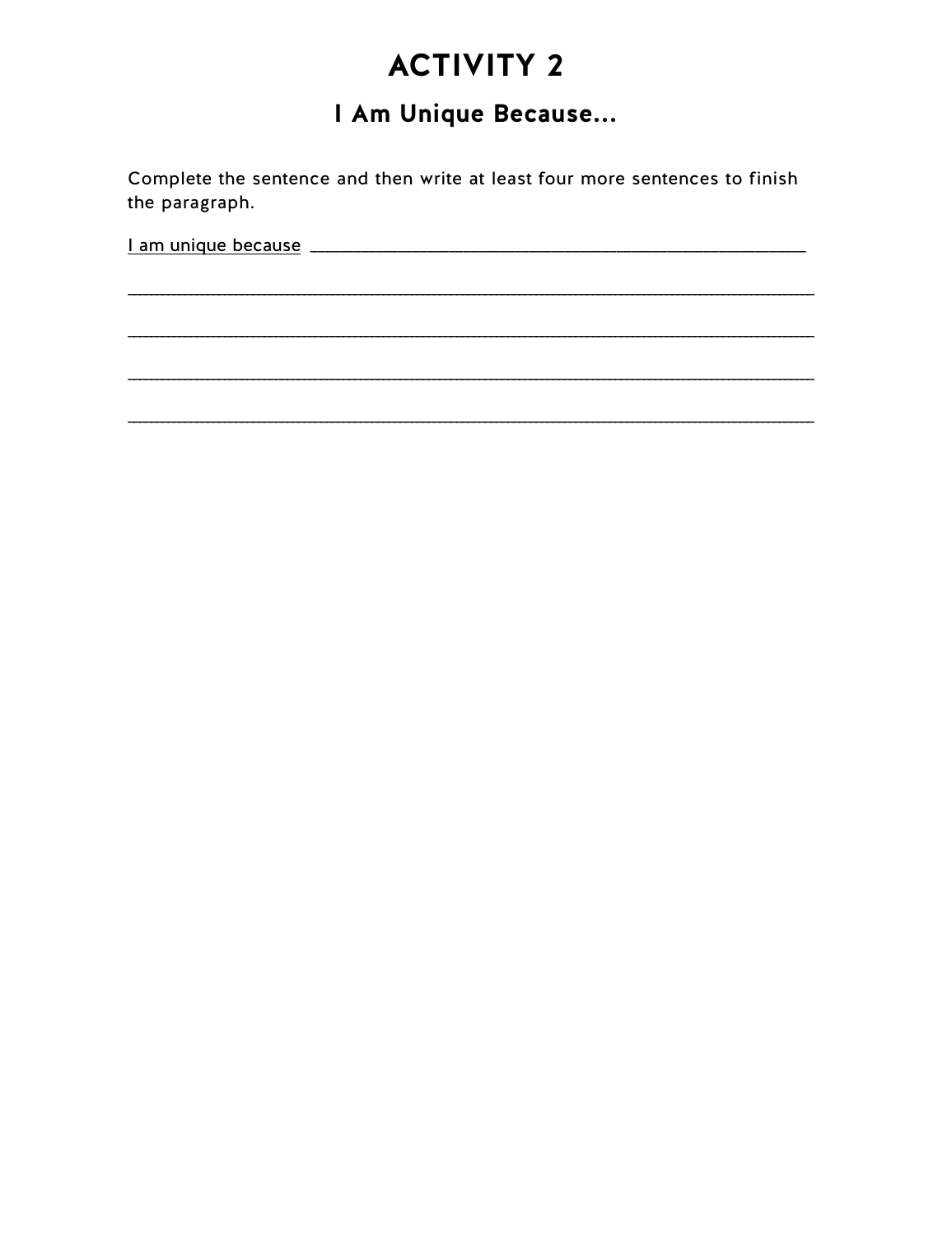## I Am Unique Because...

Complete the sentence and then write at least four more sentences to finish the paragraph.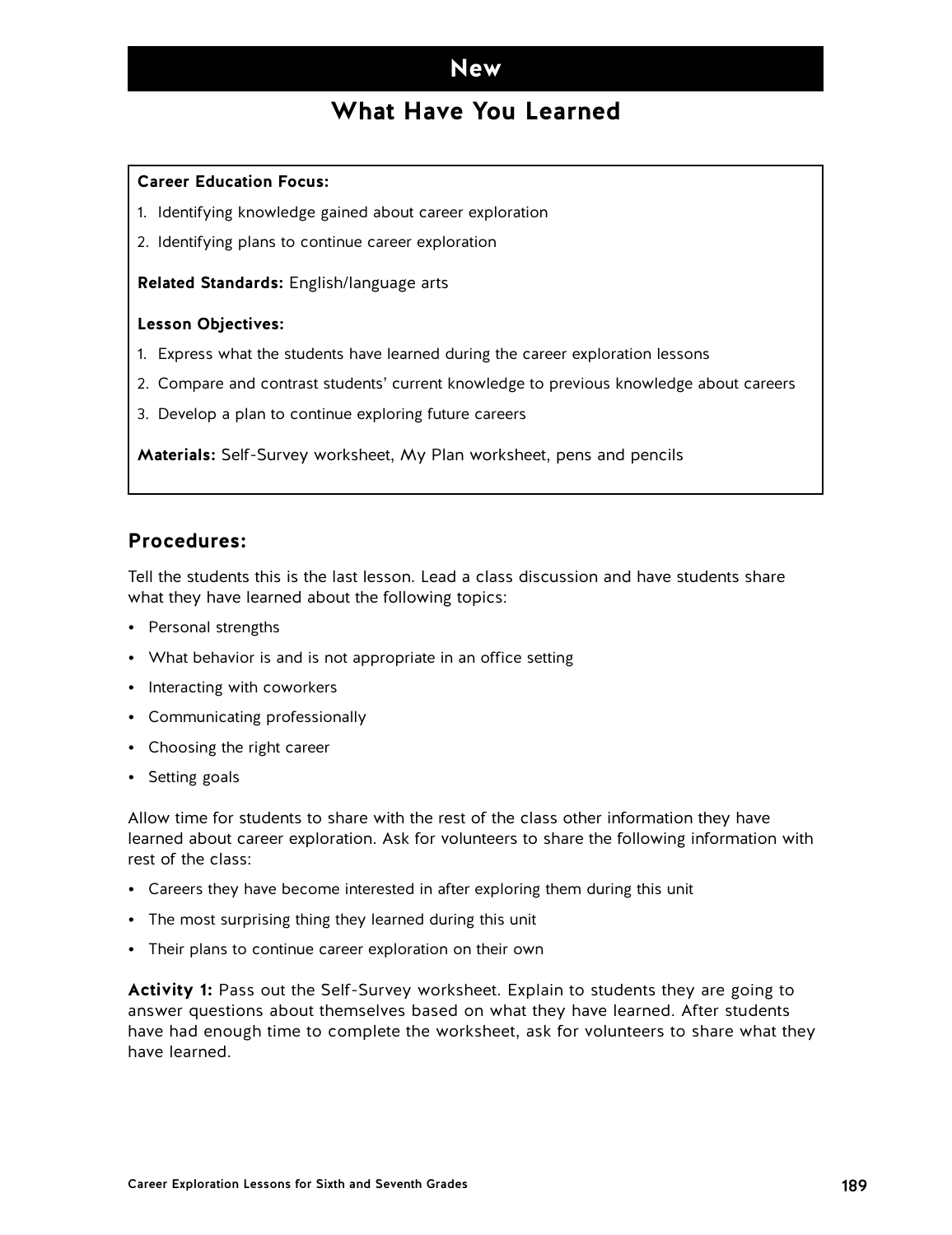### **New**

### **What Have You Learned**

#### **Career Education Focus:**

- 1. Identifying knowledge gained about career exploration
- 2. Identifying plans to continue career exploration

**Related Standards:** English/language arts

#### **Lesson Objectives:**

- 1. Express what the students have learned during the career exploration lessons
- 2. Compare and contrast students' current knowledge to previous knowledge about careers
- 3. Develop a plan to continue exploring future careers

**Materials:** Self-Survey worksheet, My Plan worksheet, pens and pencils

### **Procedures:**

Tell the students this is the last lesson. Lead a class discussion and have students share what they have learned about the following topics:

- Personal strengths
- What behavior is and is not appropriate in an office setting
- Interacting with coworkers
- Communicating professionally
- Choosing the right career
- Setting goals

Allow time for students to share with the rest of the class other information they have learned about career exploration. Ask for volunteers to share the following information with rest of the class:

- Careers they have become interested in after exploring them during this unit
- The most surprising thing they learned during this unit
- Their plans to continue career exploration on their own

**Activity 1:** Pass out the Self-Survey worksheet. Explain to students they are going to answer questions about themselves based on what they have learned. After students have had enough time to complete the worksheet, ask for volunteers to share what they have learned.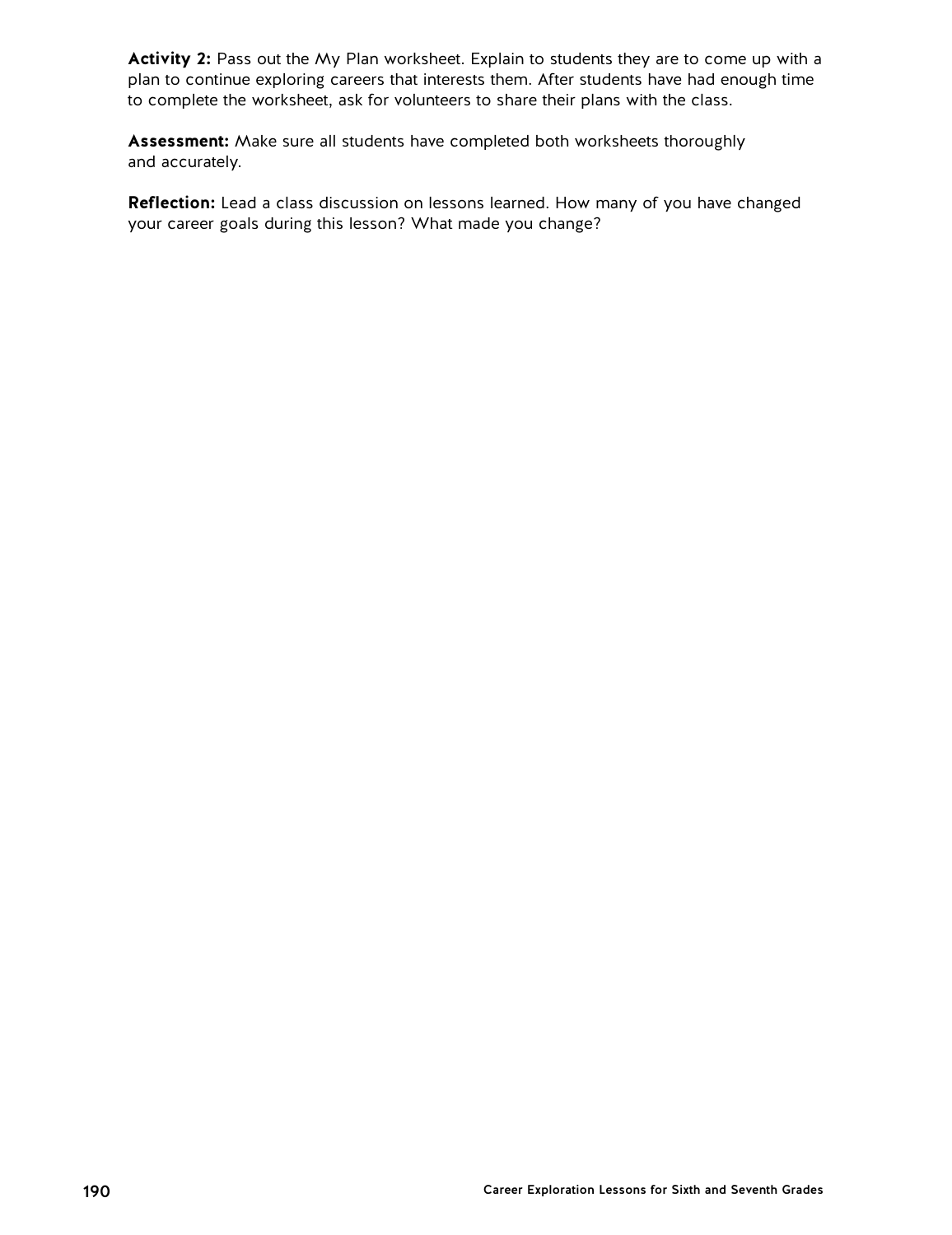**Activity 2:** Pass out the My Plan worksheet. Explain to students they are to come up with a plan to continue exploring careers that interests them. After students have had enough time to complete the worksheet, ask for volunteers to share their plans with the class.

**Assessment:** Make sure all students have completed both worksheets thoroughly and accurately.

**Reflection:** Lead a class discussion on lessons learned. How many of you have changed your career goals during this lesson? What made you change?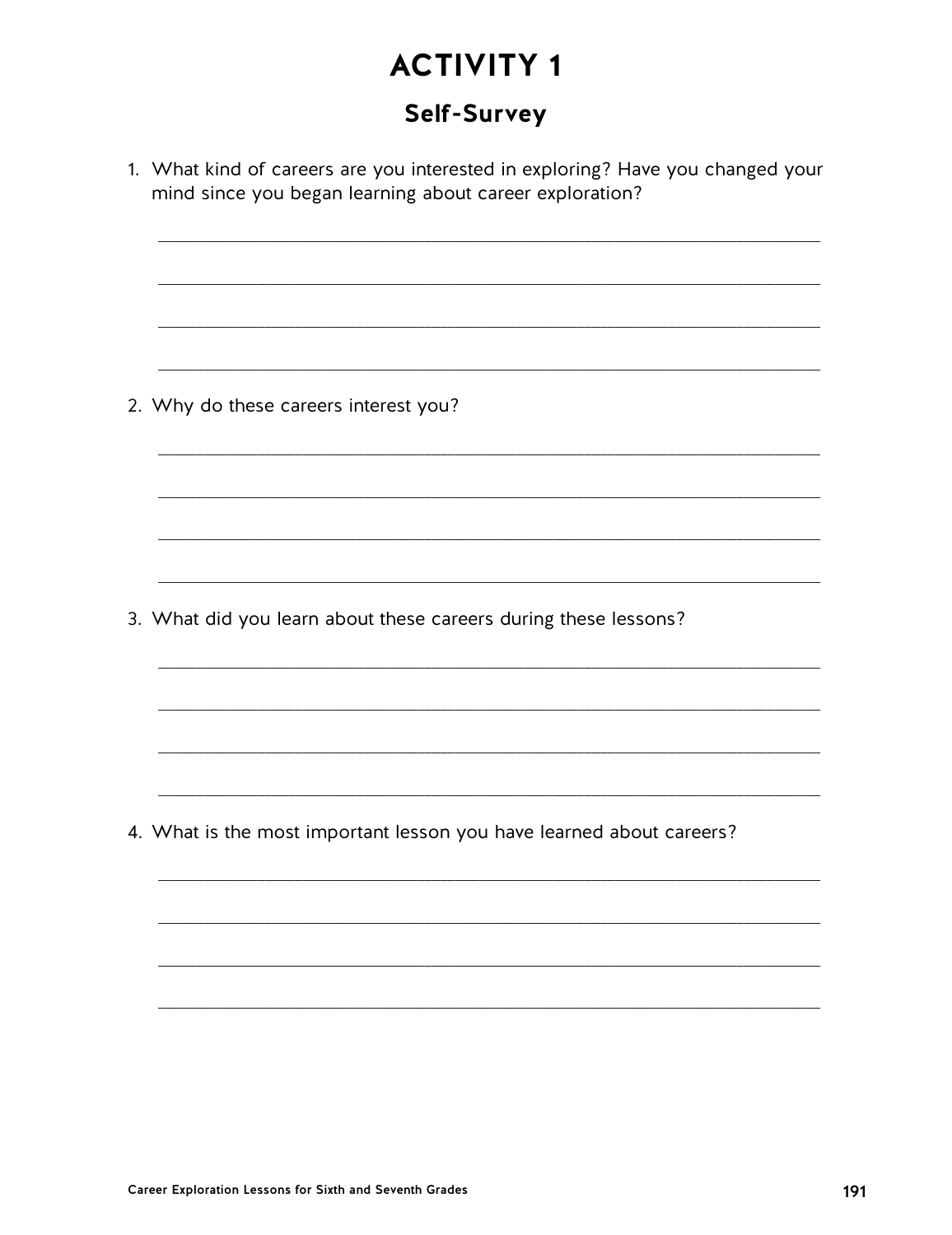### **Self-Survey**

1. What kind of careers are you interested in exploring? Have you changed your mind since you began learning about career exploration? 2. Why do these careers interest you? 3. What did you learn about these careers during these lessons? 4. What is the most important lesson you have learned about careers?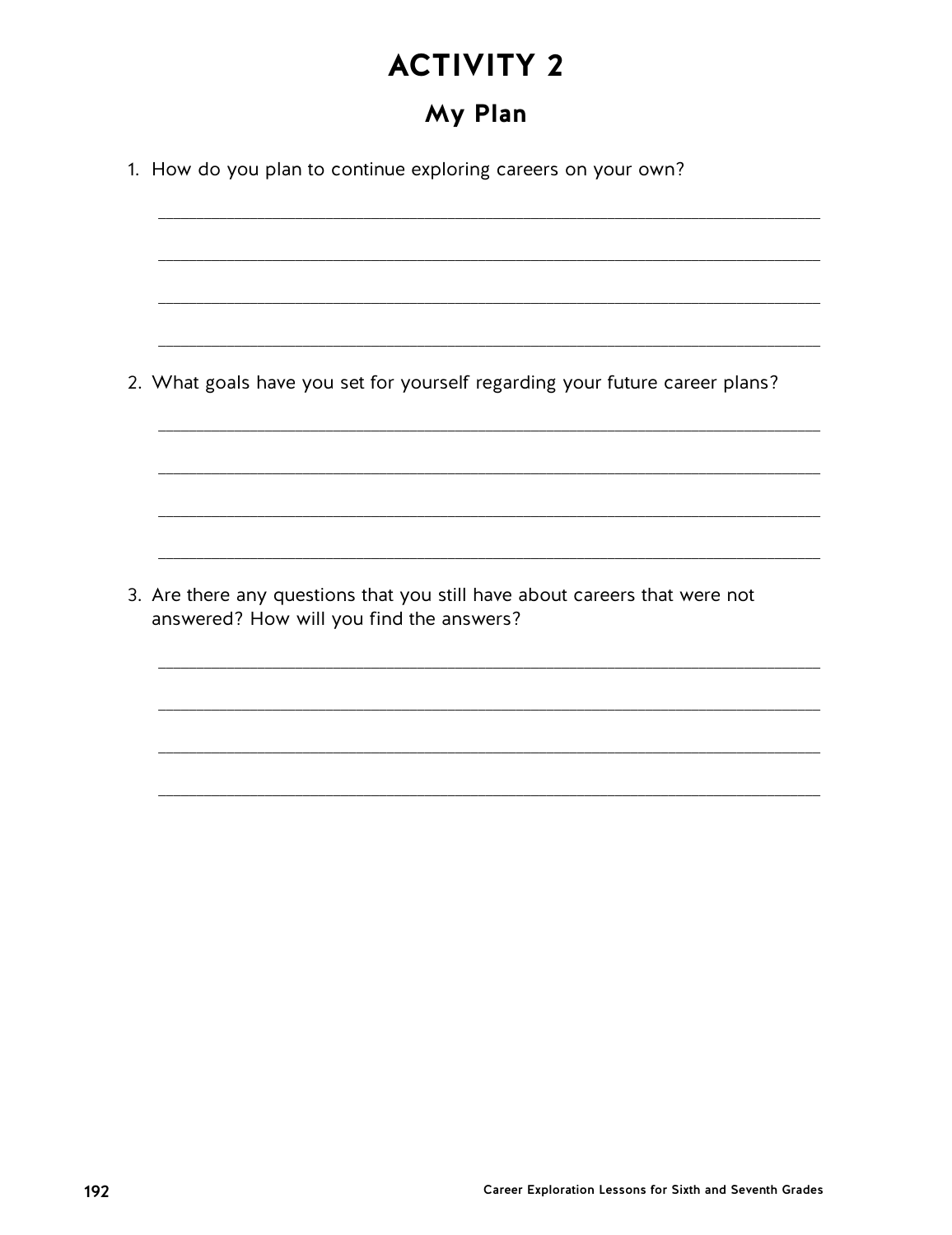## My Plan

1. How do you plan to continue exploring careers on your own? 2. What goals have you set for yourself regarding your future career plans? 3. Are there any questions that you still have about careers that were not answered? How will you find the answers?